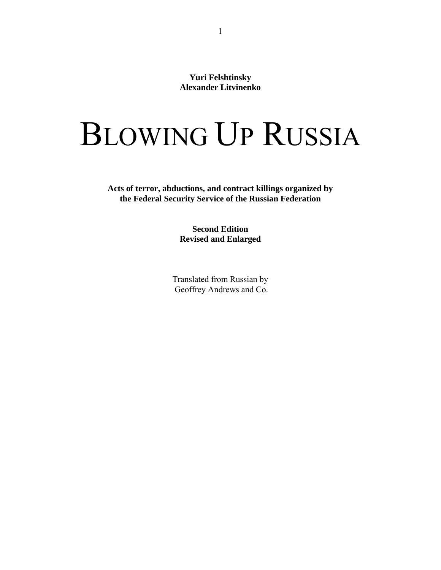**Yuri Felshtinsky Alexander Litvinenko** 

# BLOWING UP RUSSIA

**Acts of terror, abductions, and contract killings organized by the Federal Security Service of the Russian Federation** 

> **Second Edition Revised and Enlarged**

Translated from Russian by Geoffrey Andrews and Co.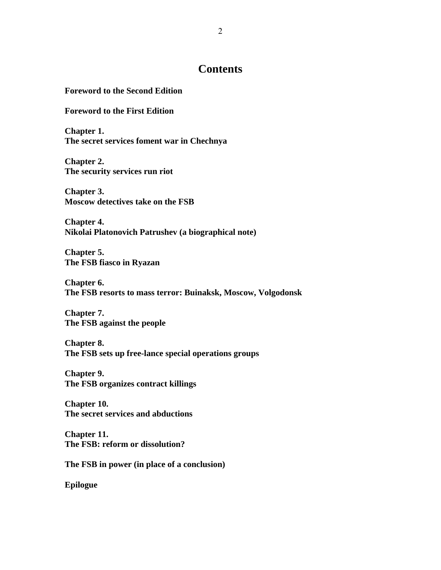# **Contents**

**Foreword to the Second Edition** 

**Foreword to the First Edition** 

**Chapter 1. The secret services foment war in Chechnya** 

**Chapter 2. The security services run riot** 

**Chapter 3. Moscow detectives take on the FSB** 

**Chapter 4. Nikolai Platonovich Patrushev (a biographical note)** 

**Chapter 5. The FSB fiasco in Ryazan** 

**Chapter 6. The FSB resorts to mass terror: Buinaksk, Moscow, Volgodonsk** 

**Chapter 7. The FSB against the people** 

**Chapter 8. The FSB sets up free-lance special operations groups** 

**Chapter 9. The FSB organizes contract killings** 

**Chapter 10. The secret services and abductions** 

**Chapter 11. The FSB: reform or dissolution?** 

**The FSB in power (in place of a conclusion)** 

**Epilogue**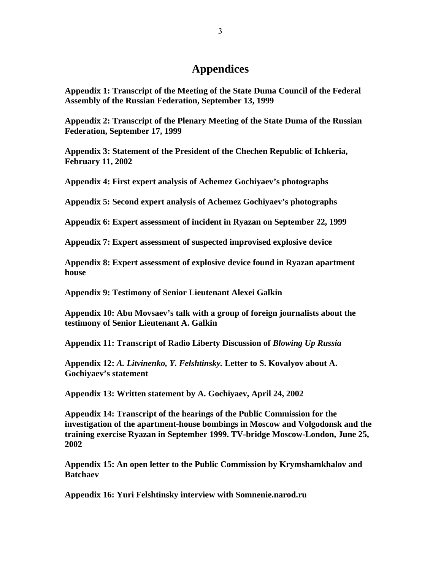# **Appendices**

**Appendix 1: Transcript of the Meeting of the State Duma Council of the Federal Assembly of the Russian Federation, September 13, 1999** 

**Appendix 2: Transcript of the Plenary Meeting of the State Duma of the Russian Federation, September 17, 1999** 

**Appendix 3: Statement of the President of the Chechen Republic of Ichkeria, February 11, 2002** 

**Appendix 4: First expert analysis of Achemez Gochiyaev's photographs** 

**Appendix 5: Second expert analysis of Achemez Gochiyaev's photographs** 

**Appendix 6: Expert assessment of incident in Ryazan on September 22, 1999** 

**Appendix 7: Expert assessment of suspected improvised explosive device** 

**Appendix 8: Expert assessment of explosive device found in Ryazan apartment house** 

**Appendix 9: Testimony of Senior Lieutenant Alexei Galkin** 

**Appendix 10: Abu Movsaev's talk with a group of foreign journalists about the testimony of Senior Lieutenant A. Galkin** 

**Appendix 11: Transcript of Radio Liberty Discussion of** *Blowing Up Russia*

**Appendix 12:** *A. Litvinenko, Y. Felshtinsky.* **Letter to S. Kovalyov about A. Gochiyaev's statement** 

**Appendix 13: Written statement by A. Gochiyaev, April 24, 2002** 

**Appendix 14: Transcript of the hearings of the Public Commission for the investigation of the apartment-house bombings in Moscow and Volgodonsk and the training exercise Ryazan in September 1999. TV-bridge Moscow-London, June 25, 2002** 

**Appendix 15: An open letter to the Public Commission by Krymshamkhalov and Batchaev** 

**Appendix 16: Yuri Felshtinsky interview with Somnenie.narod.ru**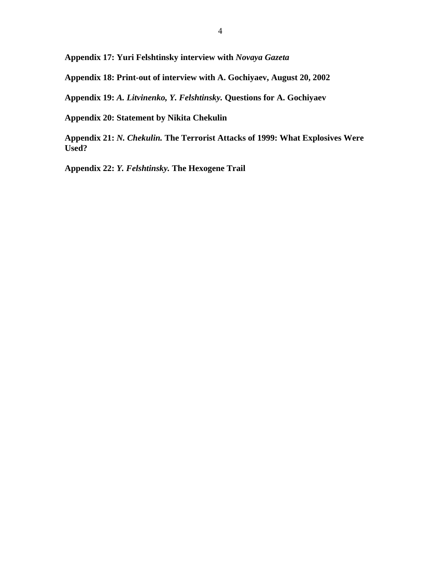**Appendix 17: Yuri Felshtinsky interview with** *Novaya Gazeta*

**Appendix 18: Print-out of interview with A. Gochiyaev, August 20, 2002** 

**Appendix 19:** *A. Litvinenko, Y. Felshtinsky.* **Questions for A. Gochiyaev** 

**Appendix 20: Statement by Nikita Chekulin** 

**Appendix 21:** *N. Chekulin.* **The Terrorist Attacks of 1999: What Explosives Were Used?** 

**Appendix 22:** *Y. Felshtinsky.* **The Hexogene Trail**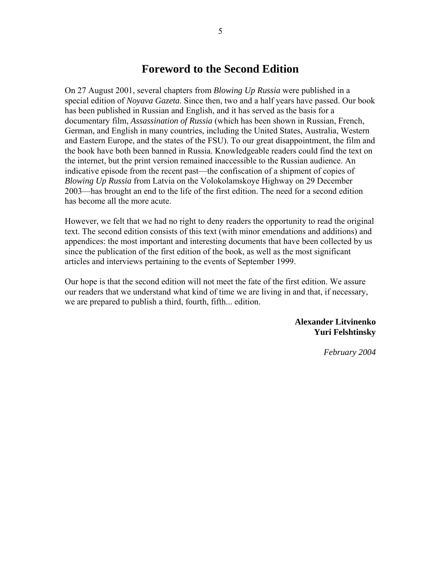## **Foreword to the Second Edition**

On 27 August 2001, several chapters from *Blowing Up Russia* were published in a special edition of *Noyava Gazeta*. Since then, two and a half years have passed. Our book has been published in Russian and English, and it has served as the basis for a documentary film, *Assassination of Russia* (which has been shown in Russian, French, German, and English in many countries, including the United States, Australia, Western and Eastern Europe, and the states of the FSU). To our great disappointment, the film and the book have both been banned in Russia. Knowledgeable readers could find the text on the internet, but the print version remained inaccessible to the Russian audience. An indicative episode from the recent past—the confiscation of a shipment of copies of *Blowing Up Russia* from Latvia on the Volokolamskoye Highway on 29 December 2003—has brought an end to the life of the first edition. The need for a second edition has become all the more acute.

However, we felt that we had no right to deny readers the opportunity to read the original text. The second edition consists of this text (with minor emendations and additions) and appendices: the most important and interesting documents that have been collected by us since the publication of the first edition of the book, as well as the most significant articles and interviews pertaining to the events of September 1999.

Our hope is that the second edition will not meet the fate of the first edition. We assure our readers that we understand what kind of time we are living in and that, if necessary, we are prepared to publish a third, fourth, fifth... edition.

> **Alexander Litvinenko Yuri Felshtinsky**

> > *February 2004*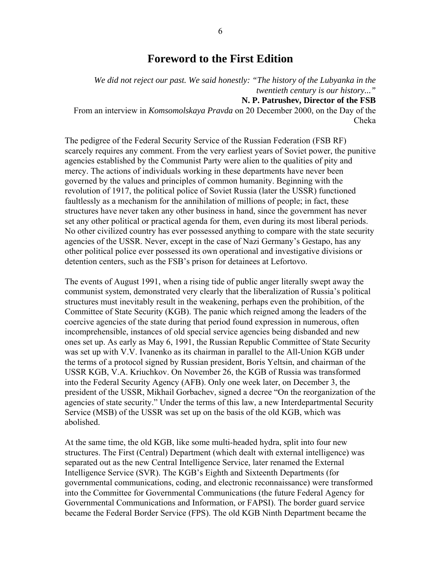### **Foreword to the First Edition**

*We did not reject our past. We said honestly: "The history of the Lubyanka in the twentieth century is our history..."*  **N. P. Patrushev, Director of the FSB** 

From an interview in *Komsomolskaya Pravda* on 20 December 2000, on the Day of the Cheka

The pedigree of the Federal Security Service of the Russian Federation (FSB RF) scarcely requires any comment. From the very earliest years of Soviet power, the punitive agencies established by the Communist Party were alien to the qualities of pity and mercy. The actions of individuals working in these departments have never been governed by the values and principles of common humanity. Beginning with the revolution of 1917, the political police of Soviet Russia (later the USSR) functioned faultlessly as a mechanism for the annihilation of millions of people; in fact, these structures have never taken any other business in hand, since the government has never set any other political or practical agenda for them, even during its most liberal periods. No other civilized country has ever possessed anything to compare with the state security agencies of the USSR. Never, except in the case of Nazi Germany's Gestapo, has any other political police ever possessed its own operational and investigative divisions or detention centers, such as the FSB's prison for detainees at Lefortovo.

The events of August 1991, when a rising tide of public anger literally swept away the communist system, demonstrated very clearly that the liberalization of Russia's political structures must inevitably result in the weakening, perhaps even the prohibition, of the Committee of State Security (KGB). The panic which reigned among the leaders of the coercive agencies of the state during that period found expression in numerous, often incomprehensible, instances of old special service agencies being disbanded and new ones set up. As early as May 6, 1991, the Russian Republic Committee of State Security was set up with V.V. Ivanenko as its chairman in parallel to the All-Union KGB under the terms of a protocol signed by Russian president, Boris Yeltsin, and chairman of the USSR KGB, V.A. Kriuchkov. On November 26, the KGB of Russia was transformed into the Federal Security Agency (AFB). Only one week later, on December 3, the president of the USSR, Mikhail Gorbachev, signed a decree "On the reorganization of the agencies of state security." Under the terms of this law, a new Interdepartmental Security Service (MSB) of the USSR was set up on the basis of the old KGB, which was abolished.

At the same time, the old KGB, like some multi-headed hydra, split into four new structures. The First (Central) Department (which dealt with external intelligence) was separated out as the new Central Intelligence Service, later renamed the External Intelligence Service (SVR). The KGB's Eighth and Sixteenth Departments (for governmental communications, coding, and electronic reconnaissance) were transformed into the Committee for Governmental Communications (the future Federal Agency for Governmental Communications and Information, or FAPSI). The border guard service became the Federal Border Service (FPS). The old KGB Ninth Department became the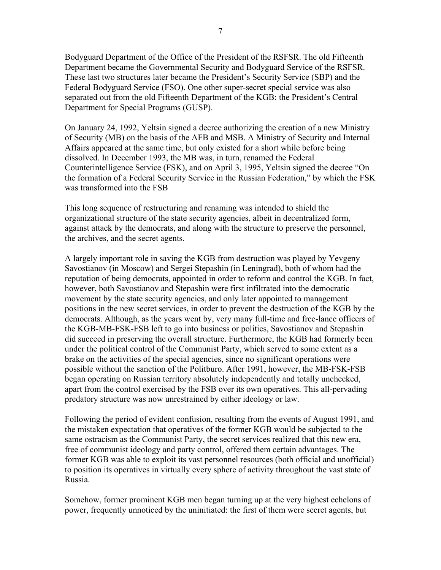Bodyguard Department of the Office of the President of the RSFSR. The old Fifteenth Department became the Governmental Security and Bodyguard Service of the RSFSR. These last two structures later became the President's Security Service (SBP) and the Federal Bodyguard Service (FSO). One other super-secret special service was also separated out from the old Fifteenth Department of the KGB: the President's Central Department for Special Programs (GUSP).

On January 24, 1992, Yeltsin signed a decree authorizing the creation of a new Ministry of Security (MB) on the basis of the AFB and MSB. A Ministry of Security and Internal Affairs appeared at the same time, but only existed for a short while before being dissolved. In December 1993, the MB was, in turn, renamed the Federal Counterintelligence Service (FSK), and on April 3, 1995, Yeltsin signed the decree "On the formation of a Federal Security Service in the Russian Federation," by which the FSK was transformed into the FSB

This long sequence of restructuring and renaming was intended to shield the organizational structure of the state security agencies, albeit in decentralized form, against attack by the democrats, and along with the structure to preserve the personnel, the archives, and the secret agents.

A largely important role in saving the KGB from destruction was played by Yevgeny Savostianov (in Moscow) and Sergei Stepashin (in Leningrad), both of whom had the reputation of being democrats, appointed in order to reform and control the KGB. In fact, however, both Savostianov and Stepashin were first infiltrated into the democratic movement by the state security agencies, and only later appointed to management positions in the new secret services, in order to prevent the destruction of the KGB by the democrats. Although, as the years went by, very many full-time and free-lance officers of the KGB-MB-FSK-FSB left to go into business or politics, Savostianov and Stepashin did succeed in preserving the overall structure. Furthermore, the KGB had formerly been under the political control of the Communist Party, which served to some extent as a brake on the activities of the special agencies, since no significant operations were possible without the sanction of the Politburo. After 1991, however, the MB-FSK-FSB began operating on Russian territory absolutely independently and totally unchecked, apart from the control exercised by the FSB over its own operatives. This all-pervading predatory structure was now unrestrained by either ideology or law.

Following the period of evident confusion, resulting from the events of August 1991, and the mistaken expectation that operatives of the former KGB would be subjected to the same ostracism as the Communist Party, the secret services realized that this new era, free of communist ideology and party control, offered them certain advantages. The former KGB was able to exploit its vast personnel resources (both official and unofficial) to position its operatives in virtually every sphere of activity throughout the vast state of Russia.

Somehow, former prominent KGB men began turning up at the very highest echelons of power, frequently unnoticed by the uninitiated: the first of them were secret agents, but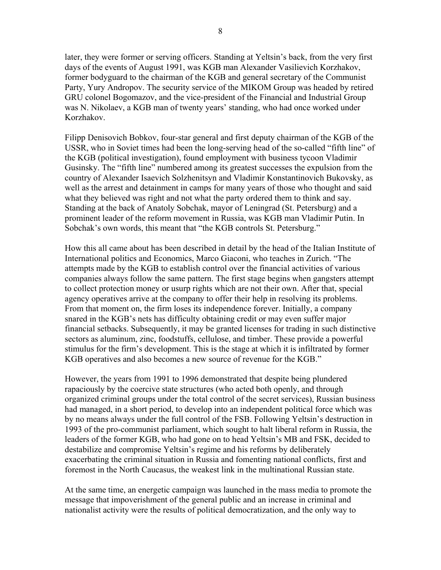later, they were former or serving officers. Standing at Yeltsin's back, from the very first days of the events of August 1991, was KGB man Alexander Vasilievich Korzhakov, former bodyguard to the chairman of the KGB and general secretary of the Communist Party, Yury Andropov. The security service of the MIKOM Group was headed by retired GRU colonel Bogomazov, and the vice-president of the Financial and Industrial Group was N. Nikolaev, a KGB man of twenty years' standing, who had once worked under Korzhakov.

Filipp Denisovich Bobkov, four-star general and first deputy chairman of the KGB of the USSR, who in Soviet times had been the long-serving head of the so-called "fifth line" of the KGB (political investigation), found employment with business tycoon Vladimir Gusinsky. The "fifth line" numbered among its greatest successes the expulsion from the country of Alexander Isaevich Solzhenitsyn and Vladimir Konstantinovich Bukovsky, as well as the arrest and detainment in camps for many years of those who thought and said what they believed was right and not what the party ordered them to think and say. Standing at the back of Anatoly Sobchak, mayor of Leningrad (St. Petersburg) and a prominent leader of the reform movement in Russia, was KGB man Vladimir Putin. In Sobchak's own words, this meant that "the KGB controls St. Petersburg."

How this all came about has been described in detail by the head of the Italian Institute of International politics and Economics, Marco Giaconi, who teaches in Zurich. "The attempts made by the KGB to establish control over the financial activities of various companies always follow the same pattern. The first stage begins when gangsters attempt to collect protection money or usurp rights which are not their own. After that, special agency operatives arrive at the company to offer their help in resolving its problems. From that moment on, the firm loses its independence forever. Initially, a company snared in the KGB's nets has difficulty obtaining credit or may even suffer major financial setbacks. Subsequently, it may be granted licenses for trading in such distinctive sectors as aluminum, zinc, foodstuffs, cellulose, and timber. These provide a powerful stimulus for the firm's development. This is the stage at which it is infiltrated by former KGB operatives and also becomes a new source of revenue for the KGB."

However, the years from 1991 to 1996 demonstrated that despite being plundered rapaciously by the coercive state structures (who acted both openly, and through organized criminal groups under the total control of the secret services), Russian business had managed, in a short period, to develop into an independent political force which was by no means always under the full control of the FSB. Following Yeltsin's destruction in 1993 of the pro-communist parliament, which sought to halt liberal reform in Russia, the leaders of the former KGB, who had gone on to head Yeltsin's MB and FSK, decided to destabilize and compromise Yeltsin's regime and his reforms by deliberately exacerbating the criminal situation in Russia and fomenting national conflicts, first and foremost in the North Caucasus, the weakest link in the multinational Russian state.

At the same time, an energetic campaign was launched in the mass media to promote the message that impoverishment of the general public and an increase in criminal and nationalist activity were the results of political democratization, and the only way to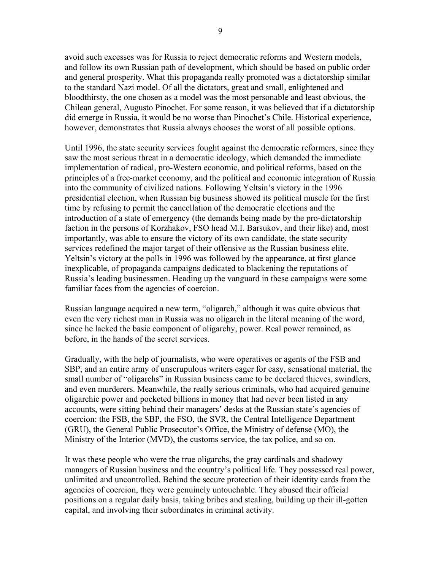avoid such excesses was for Russia to reject democratic reforms and Western models, and follow its own Russian path of development, which should be based on public order and general prosperity. What this propaganda really promoted was a dictatorship similar to the standard Nazi model. Of all the dictators, great and small, enlightened and bloodthirsty, the one chosen as a model was the most personable and least obvious, the Chilean general, Augusto Pinochet. For some reason, it was believed that if a dictatorship did emerge in Russia, it would be no worse than Pinochet's Chile. Historical experience, however, demonstrates that Russia always chooses the worst of all possible options.

Until 1996, the state security services fought against the democratic reformers, since they saw the most serious threat in a democratic ideology, which demanded the immediate implementation of radical, pro-Western economic, and political reforms, based on the principles of a free-market economy, and the political and economic integration of Russia into the community of civilized nations. Following Yeltsin's victory in the 1996 presidential election, when Russian big business showed its political muscle for the first time by refusing to permit the cancellation of the democratic elections and the introduction of a state of emergency (the demands being made by the pro-dictatorship faction in the persons of Korzhakov, FSO head M.I. Barsukov, and their like) and, most importantly, was able to ensure the victory of its own candidate, the state security services redefined the major target of their offensive as the Russian business elite. Yeltsin's victory at the polls in 1996 was followed by the appearance, at first glance inexplicable, of propaganda campaigns dedicated to blackening the reputations of Russia's leading businessmen. Heading up the vanguard in these campaigns were some familiar faces from the agencies of coercion.

Russian language acquired a new term, "oligarch," although it was quite obvious that even the very richest man in Russia was no oligarch in the literal meaning of the word, since he lacked the basic component of oligarchy, power. Real power remained, as before, in the hands of the secret services.

Gradually, with the help of journalists, who were operatives or agents of the FSB and SBP, and an entire army of unscrupulous writers eager for easy, sensational material, the small number of "oligarchs" in Russian business came to be declared thieves, swindlers, and even murderers. Meanwhile, the really serious criminals, who had acquired genuine oligarchic power and pocketed billions in money that had never been listed in any accounts, were sitting behind their managers' desks at the Russian state's agencies of coercion: the FSB, the SBP, the FSO, the SVR, the Central Intelligence Department (GRU), the General Public Prosecutor's Office, the Ministry of defense (MO), the Ministry of the Interior (MVD), the customs service, the tax police, and so on.

It was these people who were the true oligarchs, the gray cardinals and shadowy managers of Russian business and the country's political life. They possessed real power, unlimited and uncontrolled. Behind the secure protection of their identity cards from the agencies of coercion, they were genuinely untouchable. They abused their official positions on a regular daily basis, taking bribes and stealing, building up their ill-gotten capital, and involving their subordinates in criminal activity.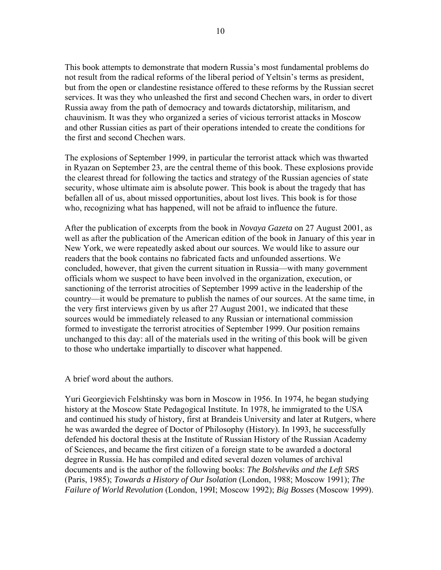This book attempts to demonstrate that modern Russia's most fundamental problems do not result from the radical reforms of the liberal period of Yeltsin's terms as president, but from the open or clandestine resistance offered to these reforms by the Russian secret services. It was they who unleashed the first and second Chechen wars, in order to divert Russia away from the path of democracy and towards dictatorship, militarism, and chauvinism. It was they who organized a series of vicious terrorist attacks in Moscow and other Russian cities as part of their operations intended to create the conditions for the first and second Chechen wars.

The explosions of September 1999, in particular the terrorist attack which was thwarted in Ryazan on September 23, are the central theme of this book. These explosions provide the clearest thread for following the tactics and strategy of the Russian agencies of state security, whose ultimate aim is absolute power. This book is about the tragedy that has befallen all of us, about missed opportunities, about lost lives. This book is for those who, recognizing what has happened, will not be afraid to influence the future.

After the publication of excerpts from the book in *Novaya Gazeta* on 27 August 2001, as well as after the publication of the American edition of the book in January of this year in New York, we were repeatedly asked about our sources. We would like to assure our readers that the book contains no fabricated facts and unfounded assertions. We concluded, however, that given the current situation in Russia—with many government officials whom we suspect to have been involved in the organization, execution, or sanctioning of the terrorist atrocities of September 1999 active in the leadership of the country—it would be premature to publish the names of our sources. At the same time, in the very first interviews given by us after 27 August 2001, we indicated that these sources would be immediately released to any Russian or international commission formed to investigate the terrorist atrocities of September 1999. Our position remains unchanged to this day: all of the materials used in the writing of this book will be given to those who undertake impartially to discover what happened.

A brief word about the authors.

Yuri Georgievich Felshtinsky was born in Moscow in 1956. In 1974, he began studying history at the Moscow State Pedagogical Institute. In 1978, he immigrated to the USA and continued his study of history, first at Brandeis University and later at Rutgers, where he was awarded the degree of Doctor of Philosophy (History). In 1993, he successfully defended his doctoral thesis at the Institute of Russian History of the Russian Academy of Sciences, and became the first citizen of a foreign state to be awarded a doctoral degree in Russia. He has compiled and edited several dozen volumes of archival documents and is the author of the following books: *The Bolsheviks and the Left SRS* (Paris, 1985); *Towards a History of Our Isolation* (London, 1988; Moscow 1991); *The Failure of World Revolution* (London, 199I; Moscow 1992); *Big Bosses* (Moscow 1999).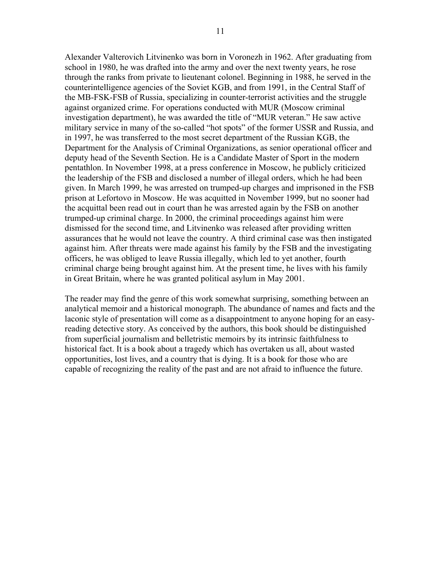Alexander Valterovich Litvinenko was born in Voronezh in 1962. After graduating from school in 1980, he was drafted into the army and over the next twenty years, he rose through the ranks from private to lieutenant colonel. Beginning in 1988, he served in the counterintelligence agencies of the Soviet KGB, and from 1991, in the Central Staff of the MB-FSK-FSB of Russia, specializing in counter-terrorist activities and the struggle against organized crime. For operations conducted with MUR (Moscow criminal investigation department), he was awarded the title of "MUR veteran." He saw active military service in many of the so-called "hot spots" of the former USSR and Russia, and in 1997, he was transferred to the most secret department of the Russian KGB, the Department for the Analysis of Criminal Organizations, as senior operational officer and deputy head of the Seventh Section. He is a Candidate Master of Sport in the modern pentathlon. In November 1998, at a press conference in Moscow, he publicly criticized the leadership of the FSB and disclosed a number of illegal orders, which he had been given. In March 1999, he was arrested on trumped-up charges and imprisoned in the FSB prison at Lefortovo in Moscow. He was acquitted in November 1999, but no sooner had the acquittal been read out in court than he was arrested again by the FSB on another trumped-up criminal charge. In 2000, the criminal proceedings against him were dismissed for the second time, and Litvinenko was released after providing written assurances that he would not leave the country. A third criminal case was then instigated against him. After threats were made against his family by the FSB and the investigating officers, he was obliged to leave Russia illegally, which led to yet another, fourth criminal charge being brought against him. At the present time, he lives with his family in Great Britain, where he was granted political asylum in May 2001.

The reader may find the genre of this work somewhat surprising, something between an analytical memoir and a historical monograph. The abundance of names and facts and the laconic style of presentation will come as a disappointment to anyone hoping for an easyreading detective story. As conceived by the authors, this book should be distinguished from superficial journalism and belletristic memoirs by its intrinsic faithfulness to historical fact. It is a book about a tragedy which has overtaken us all, about wasted opportunities, lost lives, and a country that is dying. It is a book for those who are capable of recognizing the reality of the past and are not afraid to influence the future.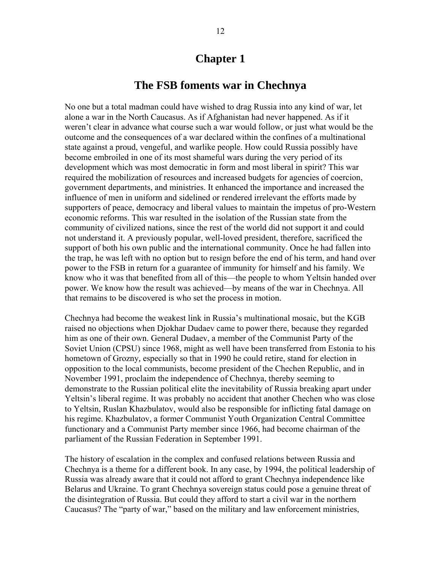#### **Chapter 1**

#### **The FSB foments war in Chechnya**

No one but a total madman could have wished to drag Russia into any kind of war, let alone a war in the North Caucasus. As if Afghanistan had never happened. As if it weren't clear in advance what course such a war would follow, or just what would be the outcome and the consequences of a war declared within the confines of a multinational state against a proud, vengeful, and warlike people. How could Russia possibly have become embroiled in one of its most shameful wars during the very period of its development which was most democratic in form and most liberal in spirit? This war required the mobilization of resources and increased budgets for agencies of coercion, government departments, and ministries. It enhanced the importance and increased the influence of men in uniform and sidelined or rendered irrelevant the efforts made by supporters of peace, democracy and liberal values to maintain the impetus of pro-Western economic reforms. This war resulted in the isolation of the Russian state from the community of civilized nations, since the rest of the world did not support it and could not understand it. A previously popular, well-loved president, therefore, sacrificed the support of both his own public and the international community. Once he had fallen into the trap, he was left with no option but to resign before the end of his term, and hand over power to the FSB in return for a guarantee of immunity for himself and his family. We know who it was that benefited from all of this—the people to whom Yeltsin handed over power. We know how the result was achieved—by means of the war in Chechnya. All that remains to be discovered is who set the process in motion.

Chechnya had become the weakest link in Russia's multinational mosaic, but the KGB raised no objections when Djokhar Dudaev came to power there, because they regarded him as one of their own. General Dudaev, a member of the Communist Party of the Soviet Union (CPSU) since 1968, might as well have been transferred from Estonia to his hometown of Grozny*,* especially so that in 1990 he could retire, stand for election in opposition to the local communists, become president of the Chechen Republic, and in November 1991, proclaim the independence of Chechnya, thereby seeming to demonstrate to the Russian political elite the inevitability of Russia breaking apart under Yeltsin's liberal regime. It was probably no accident that another Chechen who was close to Yeltsin, Ruslan Khazbulatov, would also be responsible for inflicting fatal damage on his regime. Khazbulatov, a former Communist Youth Organization Central Committee functionary and a Communist Party member since 1966, had become chairman of the parliament of the Russian Federation in September 1991.

The history of escalation in the complex and confused relations between Russia and Chechnya is a theme for a different book. In any case, by 1994, the political leadership of Russia was already aware that it could not afford to grant Chechnya independence like Belarus and Ukraine. To grant Chechnya sovereign status could pose a genuine threat of the disintegration of Russia. But could they afford to start a civil war in the northern Caucasus? The "party of war," based on the military and law enforcement ministries,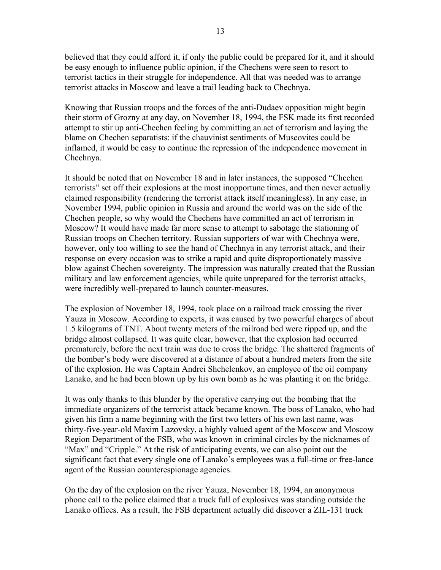believed that they could afford it, if only the public could be prepared for it, and it should be easy enough to influence public opinion, if the Chechens were seen to resort to terrorist tactics in their struggle for independence. All that was needed was to arrange terrorist attacks in Moscow and leave a trail leading back to Chechnya.

Knowing that Russian troops and the forces of the anti-Dudaev opposition might begin their storm of Grozny at any day, on November 18, 1994, the FSK made its first recorded attempt to stir up anti-Chechen feeling by committing an act of terrorism and laying the blame on Chechen separatists: if the chauvinist sentiments of Muscovites could be inflamed, it would be easy to continue the repression of the independence movement in Chechnya.

It should be noted that on November 18 and in later instances, the supposed "Chechen terrorists" set off their explosions at the most inopportune times, and then never actually claimed responsibility (rendering the terrorist attack itself meaningless). In any case, in November 1994, public opinion in Russia and around the world was on the side of the Chechen people, so why would the Chechens have committed an act of terrorism in Moscow? It would have made far more sense to attempt to sabotage the stationing of Russian troops on Chechen territory. Russian supporters of war with Chechnya were, however, only too willing to see the hand of Chechnya in any terrorist attack, and their response on every occasion was to strike a rapid and quite disproportionately massive blow against Chechen sovereignty. The impression was naturally created that the Russian military and law enforcement agencies, while quite unprepared for the terrorist attacks, were incredibly well-prepared to launch counter-measures.

The explosion of November 18, 1994, took place on a railroad track crossing the river Yauza in Moscow. According to experts, it was caused by two powerful charges of about 1.5 kilograms of TNT. About twenty meters of the railroad bed were ripped up, and the bridge almost collapsed. It was quite clear, however, that the explosion had occurred prematurely, before the next train was due to cross the bridge. The shattered fragments of the bomber's body were discovered at a distance of about a hundred meters from the site of the explosion. He was Captain Andrei Shchelenkov, an employee of the oil company Lanako, and he had been blown up by his own bomb as he was planting it on the bridge.

It was only thanks to this blunder by the operative carrying out the bombing that the immediate organizers of the terrorist attack became known. The boss of Lanako, who had given his firm a name beginning with the first two letters of his own last name, was thirty-five-year-old Maxim Lazovsky, a highly valued agent of the Moscow and Moscow Region Department of the FSB, who was known in criminal circles by the nicknames of "Max" and "Cripple." At the risk of anticipating events, we can also point out the significant fact that every single one of Lanako's employees was a full-time or free-lance agent of the Russian counterespionage agencies.

On the day of the explosion on the river Yauza, November 18, 1994, an anonymous phone call to the police claimed that a truck full of explosives was standing outside the Lanako offices. As a result, the FSB department actually did discover a ZIL-131 truck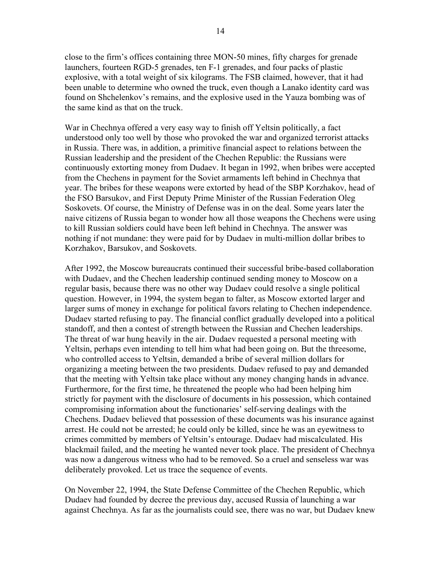close to the firm's offices containing three MON-50 mines, fifty charges for grenade launchers, fourteen RGD-5 grenades, ten F-1 grenades, and four packs of plastic explosive, with a total weight of six kilograms. The FSB claimed, however, that it had been unable to determine who owned the truck, even though a Lanako identity card was found on Shchelenkov's remains, and the explosive used in the Yauza bombing was of the same kind as that on the truck.

War in Chechnya offered a very easy way to finish off Yeltsin politically, a fact understood only too well by those who provoked the war and organized terrorist attacks in Russia. There was, in addition, a primitive financial aspect to relations between the Russian leadership and the president of the Chechen Republic: the Russians were continuously extorting money from Dudaev. It began in 1992, when bribes were accepted from the Chechens in payment for the Soviet armaments left behind in Chechnya that year. The bribes for these weapons were extorted by head of the SBP Korzhakov, head of the FSO Barsukov, and First Deputy Prime Minister of the Russian Federation Oleg Soskovets. Of course, the Ministry of Defense was in on the deal. Some years later the naive citizens of Russia began to wonder how all those weapons the Chechens were using to kill Russian soldiers could have been left behind in Chechnya. The answer was nothing if not mundane: they were paid for by Dudaev in multi-million dollar bribes to Korzhakov, Barsukov, and Soskovets.

After 1992, the Moscow bureaucrats continued their successful bribe-based collaboration with Dudaev, and the Chechen leadership continued sending money to Moscow on a regular basis, because there was no other way Dudaev could resolve a single political question. However, in 1994, the system began to falter, as Moscow extorted larger and larger sums of money in exchange for political favors relating to Chechen independence. Dudaev started refusing to pay. The financial conflict gradually developed into a political standoff, and then a contest of strength between the Russian and Chechen leaderships. The threat of war hung heavily in the air. Dudaev requested a personal meeting with Yeltsin, perhaps even intending to tell him what had been going on. But the threesome, who controlled access to Yeltsin, demanded a bribe of several million dollars for organizing a meeting between the two presidents. Dudaev refused to pay and demanded that the meeting with Yeltsin take place without any money changing hands in advance. Furthermore, for the first time, he threatened the people who had been helping him strictly for payment with the disclosure of documents in his possession, which contained compromising information about the functionaries' self-serving dealings with the Chechens. Dudaev believed that possession of these documents was his insurance against arrest. He could not be arrested; he could only be killed, since he was an eyewitness to crimes committed by members of Yeltsin's entourage. Dudaev had miscalculated. His blackmail failed, and the meeting he wanted never took place. The president of Chechnya was now a dangerous witness who had to be removed. So a cruel and senseless war was deliberately provoked. Let us trace the sequence of events.

On November 22, 1994, the State Defense Committee of the Chechen Republic, which Dudaev had founded by decree the previous day, accused Russia of launching a war against Chechnya. As far as the journalists could see, there was no war, but Dudaev knew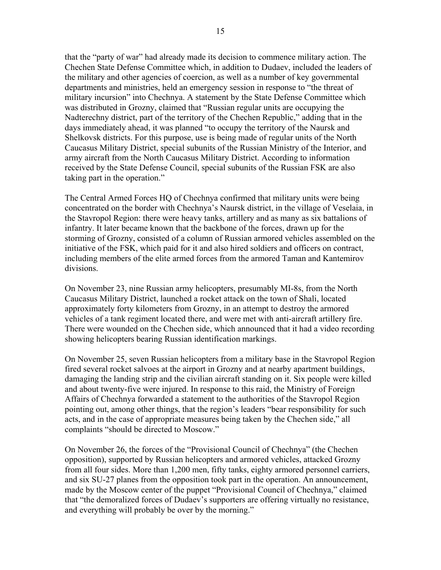that the "party of war" had already made its decision to commence military action. The Chechen State Defense Committee which, in addition to Dudaev, included the leaders of the military and other agencies of coercion, as well as a number of key governmental departments and ministries, held an emergency session in response to "the threat of military incursion" into Chechnya. A statement by the State Defense Committee which was distributed in Grozny, claimed that "Russian regular units are occupying the Nadterechny district, part of the territory of the Chechen Republic," adding that in the days immediately ahead, it was planned "to occupy the territory of the Naursk and Shelkovsk districts. For this purpose, use is being made of regular units of the North Caucasus Military District, special subunits of the Russian Ministry of the Interior, and army aircraft from the North Caucasus Military District. According to information received by the State Defense Council, special subunits of the Russian FSK are also taking part in the operation."

The Central Armed Forces HQ of Chechnya confirmed that military units were being concentrated on the border with Chechnya's Naursk district, in the village of Veselaia, in the Stavropol Region: there were heavy tanks, artillery and as many as six battalions of infantry. It later became known that the backbone of the forces, drawn up for the storming of Grozny, consisted of a column of Russian armored vehicles assembled on the initiative of the FSK, which paid for it and also hired soldiers and officers on contract, including members of the elite armed forces from the armored Taman and Kantemirov divisions.

On November 23, nine Russian army helicopters, presumably MI-8s, from the North Caucasus Military District, launched a rocket attack on the town of Shali, located approximately forty kilometers from Grozny, in an attempt to destroy the armored vehicles of a tank regiment located there, and were met with anti-aircraft artillery fire. There were wounded on the Chechen side, which announced that it had a video recording showing helicopters bearing Russian identification markings.

On November 25, seven Russian helicopters from a military base in the Stavropol Region fired several rocket salvoes at the airport in Grozny and at nearby apartment buildings, damaging the landing strip and the civilian aircraft standing on it. Six people were killed and about twenty-five were injured. In response to this raid, the Ministry of Foreign Affairs of Chechnya forwarded a statement to the authorities of the Stavropol Region pointing out, among other things, that the region's leaders "bear responsibility for such acts, and in the case of appropriate measures being taken by the Chechen side," all complaints "should be directed to Moscow."

On November 26, the forces of the "Provisional Council of Chechnya" (the Chechen opposition), supported by Russian helicopters and armored vehicles, attacked Grozny from all four sides. More than 1,200 men, fifty tanks, eighty armored personnel carriers, and six SU-27 planes from the opposition took part in the operation. An announcement, made by the Moscow center of the puppet "Provisional Council of Chechnya," claimed that "the demoralized forces of Dudaev's supporters are offering virtually no resistance, and everything will probably be over by the morning."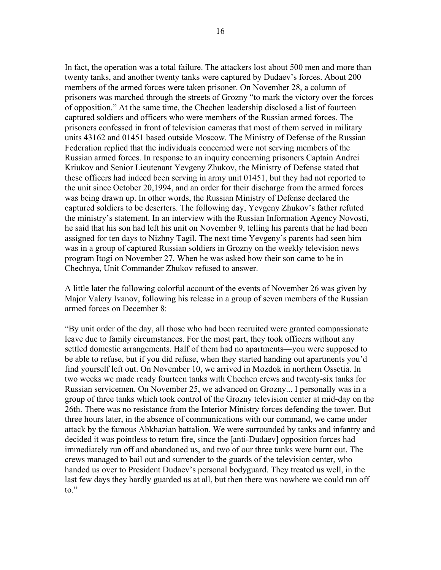In fact, the operation was a total failure. The attackers lost about 500 men and more than twenty tanks, and another twenty tanks were captured by Dudaev's forces. About 200 members of the armed forces were taken prisoner. On November 28, a column of prisoners was marched through the streets of Grozny "to mark the victory over the forces of opposition." At the same time, the Chechen leadership disclosed a list of fourteen captured soldiers and officers who were members of the Russian armed forces. The prisoners confessed in front of television cameras that most of them served in military units 43162 and 01451 based outside Moscow. The Ministry of Defense of the Russian Federation replied that the individuals concerned were not serving members of the Russian armed forces. In response to an inquiry concerning prisoners Captain Andrei Kriukov and Senior Lieutenant Yevgeny Zhukov, the Ministry of Defense stated that these officers had indeed been serving in army unit 01451, but they had not reported to the unit since October 20,1994, and an order for their discharge from the armed forces was being drawn up. In other words, the Russian Ministry of Defense declared the captured soldiers to be deserters. The following day, Yevgeny Zhukov's father refuted the ministry's statement. In an interview with the Russian Information Agency Novosti, he said that his son had left his unit on November 9, telling his parents that he had been assigned for ten days to Nizhny Tagil. The next time Yevgeny's parents had seen him was in a group of captured Russian soldiers in Grozny on the weekly television news program Itogi on November 27. When he was asked how their son came to be in Chechnya, Unit Commander Zhukov refused to answer.

A little later the following colorful account of the events of November 26 was given by Major Valery Ivanov, following his release in a group of seven members of the Russian armed forces on December 8:

"By unit order of the day, all those who had been recruited were granted compassionate leave due to family circumstances. For the most part, they took officers without any settled domestic arrangements. Half of them had no apartments—you were supposed to be able to refuse, but if you did refuse, when they started handing out apartments you'd find yourself left out. On November 10, we arrived in Mozdok in northern Ossetia. In two weeks we made ready fourteen tanks with Chechen crews and twenty-six tanks for Russian servicemen. On November 25, we advanced on Grozny... I personally was in a group of three tanks which took control of the Grozny television center at mid-day on the 26th. There was no resistance from the Interior Ministry forces defending the tower. But three hours later, in the absence of communications with our command, we came under attack by the famous Abkhazian battalion. We were surrounded by tanks and infantry and decided it was pointless to return fire, since the [anti-Dudaev] opposition forces had immediately run off and abandoned us, and two of our three tanks were burnt out. The crews managed to bail out and surrender to the guards of the television center, who handed us over to President Dudaev's personal bodyguard. They treated us well, in the last few days they hardly guarded us at all, but then there was nowhere we could run off to."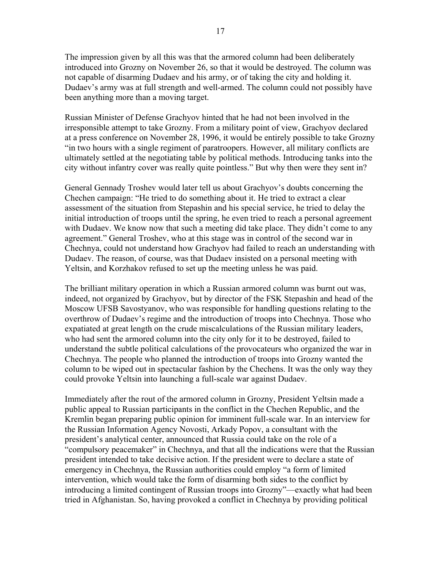The impression given by all this was that the armored column had been deliberately introduced into Grozny on November 26, so that it would be destroyed. The column was not capable of disarming Dudaev and his army, or of taking the city and holding it. Dudaev's army was at full strength and well-armed. The column could not possibly have been anything more than a moving target.

Russian Minister of Defense Grachyov hinted that he had not been involved in the irresponsible attempt to take Grozny. From a military point of view, Grachyov declared at a press conference on November 28, 1996, it would be entirely possible to take Grozny "in two hours with a single regiment of paratroopers. However, all military conflicts are ultimately settled at the negotiating table by political methods. Introducing tanks into the city without infantry cover was really quite pointless." But why then were they sent in?

General Gennady Troshev would later tell us about Grachyov's doubts concerning the Chechen campaign: "He tried to do something about it. He tried to extract a clear assessment of the situation from Stepashin and his special service, he tried to delay the initial introduction of troops until the spring, he even tried to reach a personal agreement with Dudaev. We know now that such a meeting did take place. They didn't come to any agreement." General Troshev, who at this stage was in control of the second war in Chechnya, could not understand how Grachyov had failed to reach an understanding with Dudaev. The reason, of course, was that Dudaev insisted on a personal meeting with Yeltsin, and Korzhakov refused to set up the meeting unless he was paid.

The brilliant military operation in which a Russian armored column was burnt out was, indeed, not organized by Grachyov, but by director of the FSK Stepashin and head of the Moscow UFSB Savostyanov, who was responsible for handling questions relating to the overthrow of Dudaev's regime and the introduction of troops into Chechnya. Those who expatiated at great length on the crude miscalculations of the Russian military leaders, who had sent the armored column into the city only for it to be destroyed, failed to understand the subtle political calculations of the provocateurs who organized the war in Chechnya. The people who planned the introduction of troops into Grozny wanted the column to be wiped out in spectacular fashion by the Chechens. It was the only way they could provoke Yeltsin into launching a full-scale war against Dudaev.

Immediately after the rout of the armored column in Grozny, President Yeltsin made a public appeal to Russian participants in the conflict in the Chechen Republic, and the Kremlin began preparing public opinion for imminent full-scale war. In an interview for the Russian Information Agency Novosti, Arkady Popov, a consultant with the president's analytical center, announced that Russia could take on the role of a "compulsory peacemaker" in Chechnya, and that all the indications were that the Russian president intended to take decisive action. If the president were to declare a state of emergency in Chechnya, the Russian authorities could employ "a form of limited intervention, which would take the form of disarming both sides to the conflict by introducing a limited contingent of Russian troops into Grozny"—exactly what had been tried in Afghanistan. So, having provoked a conflict in Chechnya by providing political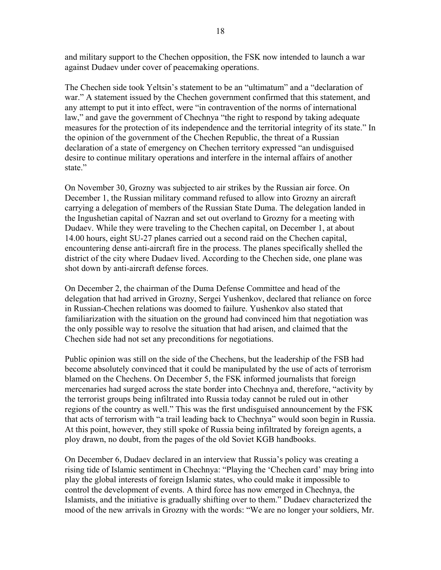and military support to the Chechen opposition, the FSK now intended to launch a war against Dudaev under cover of peacemaking operations.

The Chechen side took Yeltsin's statement to be an "ultimatum" and a "declaration of war." A statement issued by the Chechen government confirmed that this statement, and any attempt to put it into effect, were "in contravention of the norms of international law," and gave the government of Chechnya "the right to respond by taking adequate measures for the protection of its independence and the territorial integrity of its state." In the opinion of the government of the Chechen Republic, the threat of a Russian declaration of a state of emergency on Chechen territory expressed "an undisguised desire to continue military operations and interfere in the internal affairs of another state."

On November 30, Grozny was subjected to air strikes by the Russian air force. On December 1, the Russian military command refused to allow into Grozny an aircraft carrying a delegation of members of the Russian State Duma. The delegation landed in the Ingushetian capital of Nazran and set out overland to Grozny for a meeting with Dudaev. While they were traveling to the Chechen capital, on December 1, at about 14.00 hours, eight SU-27 planes carried out a second raid on the Chechen capital, encountering dense anti-aircraft fire in the process. The planes specifically shelled the district of the city where Dudaev lived. According to the Chechen side, one plane was shot down by anti-aircraft defense forces.

On December 2, the chairman of the Duma Defense Committee and head of the delegation that had arrived in Grozny, Sergei Yushenkov, declared that reliance on force in Russian-Chechen relations was doomed to failure. Yushenkov also stated that familiarization with the situation on the ground had convinced him that negotiation was the only possible way to resolve the situation that had arisen, and claimed that the Chechen side had not set any preconditions for negotiations.

Public opinion was still on the side of the Chechens, but the leadership of the FSB had become absolutely convinced that it could be manipulated by the use of acts of terrorism blamed on the Chechens. On December 5, the FSK informed journalists that foreign mercenaries had surged across the state border into Chechnya and, therefore, "activity by the terrorist groups being infiltrated into Russia today cannot be ruled out in other regions of the country as well." This was the first undisguised announcement by the FSK that acts of terrorism with "a trail leading back to Chechnya" would soon begin in Russia. At this point, however, they still spoke of Russia being infiltrated by foreign agents, a ploy drawn, no doubt, from the pages of the old Soviet KGB handbooks.

On December 6, Dudaev declared in an interview that Russia's policy was creating a rising tide of Islamic sentiment in Chechnya: "Playing the 'Chechen card' may bring into play the global interests of foreign Islamic states, who could make it impossible to control the development of events. A third force has now emerged in Chechnya, the Islamists, and the initiative is gradually shifting over to them." Dudaev characterized the mood of the new arrivals in Grozny with the words: "We are no longer your soldiers, Mr.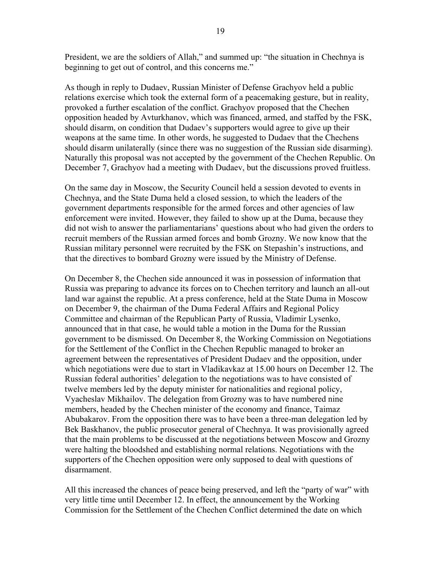President, we are the soldiers of Allah," and summed up: "the situation in Chechnya is beginning to get out of control, and this concerns me."

As though in reply to Dudaev, Russian Minister of Defense Grachyov held a public relations exercise which took the external form of a peacemaking gesture, but in reality, provoked a further escalation of the conflict. Grachyov proposed that the Chechen opposition headed by Avturkhanov, which was financed, armed, and staffed by the FSK, should disarm, on condition that Dudaev's supporters would agree to give up their weapons at the same time. In other words, he suggested to Dudaev that the Chechens should disarm unilaterally (since there was no suggestion of the Russian side disarming). Naturally this proposal was not accepted by the government of the Chechen Republic. On December 7, Grachyov had a meeting with Dudaev, but the discussions proved fruitless.

On the same day in Moscow, the Security Council held a session devoted to events in Chechnya, and the State Duma held a closed session, to which the leaders of the government departments responsible for the armed forces and other agencies of law enforcement were invited. However, they failed to show up at the Duma, because they did not wish to answer the parliamentarians' questions about who had given the orders to recruit members of the Russian armed forces and bomb Grozny. We now know that the Russian military personnel were recruited by the FSK on Stepashin's instructions, and that the directives to bombard Grozny were issued by the Ministry of Defense.

On December 8, the Chechen side announced it was in possession of information that Russia was preparing to advance its forces on to Chechen territory and launch an all-out land war against the republic. At a press conference, held at the State Duma in Moscow on December 9, the chairman of the Duma Federal Affairs and Regional Policy Committee and chairman of the Republican Party of Russia, Vladimir Lysenko, announced that in that case, he would table a motion in the Duma for the Russian government to be dismissed. On December 8, the Working Commission on Negotiations for the Settlement of the Conflict in the Chechen Republic managed to broker an agreement between the representatives of President Dudaev and the opposition, under which negotiations were due to start in Vladikavkaz at 15.00 hours on December 12. The Russian federal authorities' delegation to the negotiations was to have consisted of twelve members led by the deputy minister for nationalities and regional policy, Vyacheslav Mikhailov. The delegation from Grozny was to have numbered nine members, headed by the Chechen minister of the economy and finance, Taimaz Abubakarov. From the opposition there was to have been a three-man delegation led by Bek Baskhanov, the public prosecutor general of Chechnya. It was provisionally agreed that the main problems to be discussed at the negotiations between Moscow and Grozny were halting the bloodshed and establishing normal relations. Negotiations with the supporters of the Chechen opposition were only supposed to deal with questions of disarmament.

All this increased the chances of peace being preserved, and left the "party of war" with very little time until December 12. In effect, the announcement by the Working Commission for the Settlement of the Chechen Conflict determined the date on which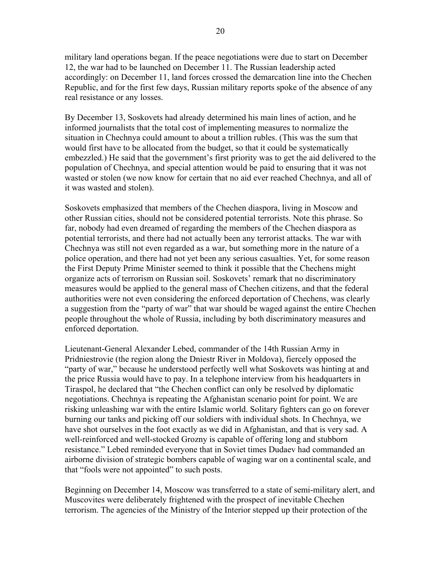military land operations began. If the peace negotiations were due to start on December 12, the war had to be launched on December 11. The Russian leadership acted accordingly: on December 11, land forces crossed the demarcation line into the Chechen Republic, and for the first few days, Russian military reports spoke of the absence of any real resistance or any losses.

By December 13, Soskovets had already determined his main lines of action, and he informed journalists that the total cost of implementing measures to normalize the situation in Chechnya could amount to about a trillion rubles. (This was the sum that would first have to be allocated from the budget, so that it could be systematically embezzled.) He said that the government's first priority was to get the aid delivered to the population of Chechnya, and special attention would be paid to ensuring that it was not wasted or stolen (we now know for certain that no aid ever reached Chechnya, and all of it was wasted and stolen).

Soskovets emphasized that members of the Chechen diaspora, living in Moscow and other Russian cities, should not be considered potential terrorists. Note this phrase. So far, nobody had even dreamed of regarding the members of the Chechen diaspora as potential terrorists, and there had not actually been any terrorist attacks. The war with Chechnya was still not even regarded as a war, but something more in the nature of a police operation, and there had not yet been any serious casualties. Yet, for some reason the First Deputy Prime Minister seemed to think it possible that the Chechens might organize acts of terrorism on Russian soil. Soskovets' remark that no discriminatory measures would be applied to the general mass of Chechen citizens, and that the federal authorities were not even considering the enforced deportation of Chechens, was clearly a suggestion from the "party of war" that war should be waged against the entire Chechen people throughout the whole of Russia, including by both discriminatory measures and enforced deportation.

Lieutenant-General Alexander Lebed, commander of the 14th Russian Army in Pridniestrovie (the region along the Dniestr River in Moldova), fiercely opposed the "party of war," because he understood perfectly well what Soskovets was hinting at and the price Russia would have to pay. In a telephone interview from his headquarters in Tiraspol, he declared that "the Chechen conflict can only be resolved by diplomatic negotiations. Chechnya is repeating the Afghanistan scenario point for point. We are risking unleashing war with the entire Islamic world. Solitary fighters can go on forever burning our tanks and picking off our soldiers with individual shots. In Chechnya, we have shot ourselves in the foot exactly as we did in Afghanistan, and that is very sad. A well-reinforced and well-stocked Grozny is capable of offering long and stubborn resistance." Lebed reminded everyone that in Soviet times Dudaev had commanded an airborne division of strategic bombers capable of waging war on a continental scale, and that "fools were not appointed" to such posts.

Beginning on December 14, Moscow was transferred to a state of semi-military alert, and Muscovites were deliberately frightened with the prospect of inevitable Chechen terrorism. The agencies of the Ministry of the Interior stepped up their protection of the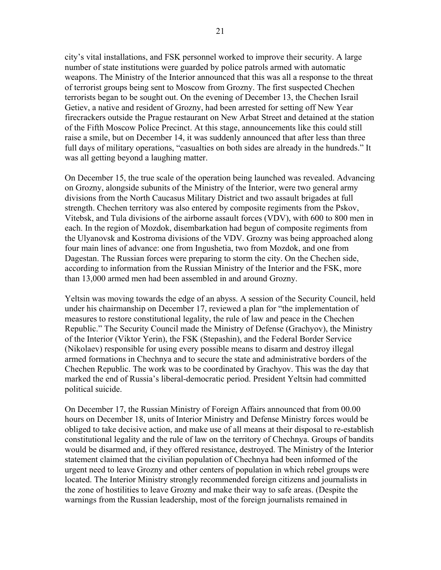city's vital installations, and FSK personnel worked to improve their security. A large number of state institutions were guarded by police patrols armed with automatic weapons. The Ministry of the Interior announced that this was all a response to the threat of terrorist groups being sent to Moscow from Grozny. The first suspected Chechen terrorists began to be sought out. On the evening of December 13, the Chechen Israil Getiev, a native and resident of Grozny, had been arrested for setting off New Year firecrackers outside the Prague restaurant on New Arbat Street and detained at the station of the Fifth Moscow Police Precinct. At this stage, announcements like this could still raise a smile, but on December 14, it was suddenly announced that after less than three full days of military operations, "casualties on both sides are already in the hundreds." It was all getting beyond a laughing matter.

On December 15, the true scale of the operation being launched was revealed. Advancing on Grozny, alongside subunits of the Ministry of the Interior, were two general army divisions from the North Caucasus Military District and two assault brigades at full strength. Chechen territory was also entered by composite regiments from the Pskov, Vitebsk, and Tula divisions of the airborne assault forces (VDV), with 600 to 800 men in each. In the region of Mozdok, disembarkation had begun of composite regiments from the Ulyanovsk and Kostroma divisions of the VDV. Grozny was being approached along four main lines of advance: one from Ingushetia, two from Mozdok, and one from Dagestan. The Russian forces were preparing to storm the city. On the Chechen side, according to information from the Russian Ministry of the Interior and the FSK, more than 13,000 armed men had been assembled in and around Grozny.

Yeltsin was moving towards the edge of an abyss. A session of the Security Council, held under his chairmanship on December 17, reviewed a plan for "the implementation of measures to restore constitutional legality, the rule of law and peace in the Chechen Republic." The Security Council made the Ministry of Defense (Grachyov), the Ministry of the Interior (Viktor Yerin), the FSK (Stepashin), and the Federal Border Service (Nikolaev) responsible for using every possible means to disarm and destroy illegal armed formations in Chechnya and to secure the state and administrative borders of the Chechen Republic. The work was to be coordinated by Grachyov. This was the day that marked the end of Russia's liberal-democratic period. President Yeltsin had committed political suicide.

On December 17, the Russian Ministry of Foreign Affairs announced that from 00.00 hours on December 18, units of Interior Ministry and Defense Ministry forces would be obliged to take decisive action, and make use of all means at their disposal to re-establish constitutional legality and the rule of law on the territory of Chechnya. Groups of bandits would be disarmed and, if they offered resistance, destroyed. The Ministry of the Interior statement claimed that the civilian population of Chechnya had been informed of the urgent need to leave Grozny and other centers of population in which rebel groups were located. The Interior Ministry strongly recommended foreign citizens and journalists in the zone of hostilities to leave Grozny and make their way to safe areas. (Despite the warnings from the Russian leadership, most of the foreign journalists remained in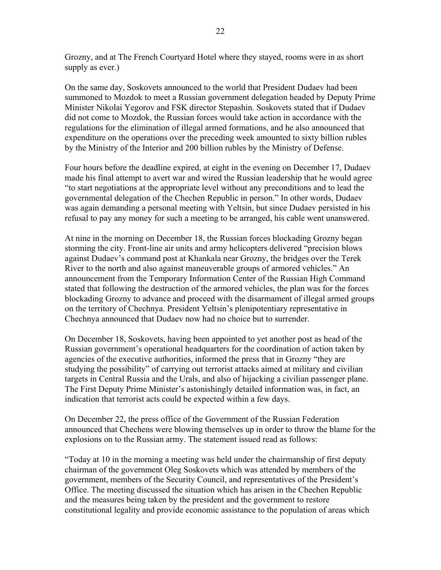Grozny, and at The French Courtyard Hotel where they stayed, rooms were in as short supply as ever.)

On the same day, Soskovets announced to the world that President Dudaev had been summoned to Mozdok to meet a Russian government delegation headed by Deputy Prime Minister Nikolai Yegorov and FSK director Stepashin. Soskovets stated that if Dudaev did not come to Mozdok, the Russian forces would take action in accordance with the regulations for the elimination of illegal armed formations, and he also announced that expenditure on the operations over the preceding week amounted to sixty billion rubles by the Ministry of the Interior and 200 billion rubles by the Ministry of Defense.

Four hours before the deadline expired, at eight in the evening on December 17, Dudaev made his final attempt to avert war and wired the Russian leadership that he would agree "to start negotiations at the appropriate level without any preconditions and to lead the governmental delegation of the Chechen Republic in person." In other words, Dudaev was again demanding a personal meeting with Yeltsin, but since Dudaev persisted in his refusal to pay any money for such a meeting to be arranged, his cable went unanswered.

At nine in the morning on December 18, the Russian forces blockading Grozny began storming the city. Front-line air units and army helicopters delivered "precision blows against Dudaev's command post at Khankala near Grozny, the bridges over the Terek River to the north and also against maneuverable groups of armored vehicles." An announcement from the Temporary Information Center of the Russian High Command stated that following the destruction of the armored vehicles, the plan was for the forces blockading Grozny to advance and proceed with the disarmament of illegal armed groups on the territory of Chechnya. President Yeltsin's plenipotentiary representative in Chechnya announced that Dudaev now had no choice but to surrender.

On December 18, Soskovets, having been appointed to yet another post as head of the Russian government's operational headquarters for the coordination of action taken by agencies of the executive authorities, informed the press that in Grozny "they are studying the possibility" of carrying out terrorist attacks aimed at military and civilian targets in Central Russia and the Urals, and also of hijacking a civilian passenger plane. The First Deputy Prime Minister's astonishingly detailed information was, in fact, an indication that terrorist acts could be expected within a few days.

On December 22, the press office of the Government of the Russian Federation announced that Chechens were blowing themselves up in order to throw the blame for the explosions on to the Russian army. The statement issued read as follows:

"Today at 10 in the morning a meeting was held under the chairmanship of first deputy chairman of the government Oleg Soskovets which was attended by members of the government, members of the Security Council, and representatives of the President's Office. The meeting discussed the situation which has arisen in the Chechen Republic and the measures being taken by the president and the government to restore constitutional legality and provide economic assistance to the population of areas which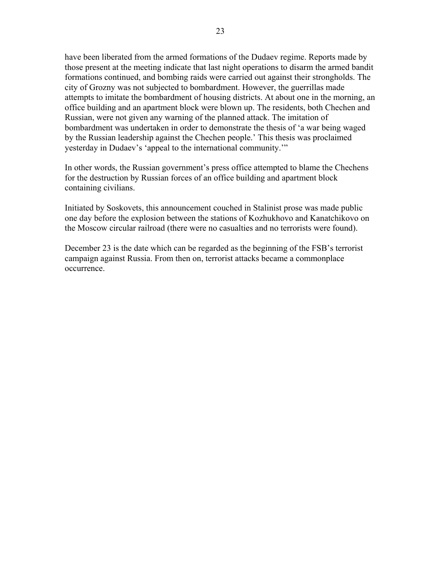have been liberated from the armed formations of the Dudaev regime. Reports made by those present at the meeting indicate that last night operations to disarm the armed bandit formations continued, and bombing raids were carried out against their strongholds. The city of Grozny was not subjected to bombardment. However, the guerrillas made attempts to imitate the bombardment of housing districts. At about one in the morning, an office building and an apartment block were blown up. The residents, both Chechen and Russian, were not given any warning of the planned attack. The imitation of bombardment was undertaken in order to demonstrate the thesis of 'a war being waged by the Russian leadership against the Chechen people.' This thesis was proclaimed yesterday in Dudaev's 'appeal to the international community.'"

In other words, the Russian government's press office attempted to blame the Chechens for the destruction by Russian forces of an office building and apartment block containing civilians.

Initiated by Soskovets, this announcement couched in Stalinist prose was made public one day before the explosion between the stations of Kozhukhovo and Kanatchikovo on the Moscow circular railroad (there were no casualties and no terrorists were found).

December 23 is the date which can be regarded as the beginning of the FSB's terrorist campaign against Russia. From then on, terrorist attacks became a commonplace occurrence.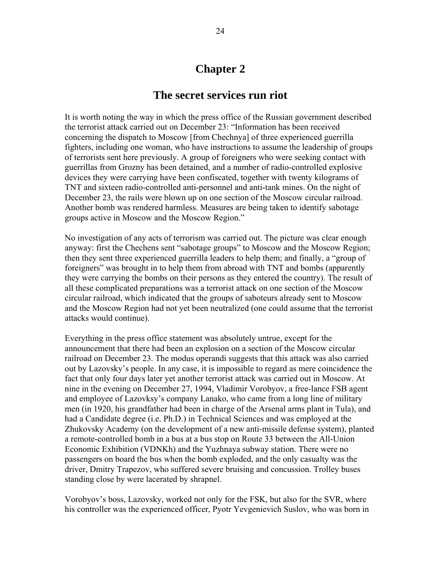# **Chapter 2**

#### **The secret services run riot**

It is worth noting the way in which the press office of the Russian government described the terrorist attack carried out on December 23: "Information has been received concerning the dispatch to Moscow [from Chechnya] of three experienced guerrilla fighters, including one woman, who have instructions to assume the leadership of groups of terrorists sent here previously. A group of foreigners who were seeking contact with guerrillas from Grozny has been detained, and a number of radio-controlled explosive devices they were carrying have been confiscated, together with twenty kilograms of TNT and sixteen radio-controlled anti-personnel and anti-tank mines. On the night of December 23, the rails were blown up on one section of the Moscow circular railroad. Another bomb was rendered harmless. Measures are being taken to identify sabotage groups active in Moscow and the Moscow Region."

No investigation of any acts of terrorism was carried out. The picture was clear enough anyway: first the Chechens sent "sabotage groups" to Moscow and the Moscow Region; then they sent three experienced guerrilla leaders to help them; and finally, a "group of foreigners" was brought in to help them from abroad with TNT and bombs (apparently they were carrying the bombs on their persons as they entered the country). The result of all these complicated preparations was a terrorist attack on one section of the Moscow circular railroad, which indicated that the groups of saboteurs already sent to Moscow and the Moscow Region had not yet been neutralized (one could assume that the terrorist attacks would continue).

Everything in the press office statement was absolutely untrue, except for the announcement that there had been an explosion on a section of the Moscow circular railroad on December 23. The modus operandi suggests that this attack was also carried out by Lazovsky's people. In any case, it is impossible to regard as mere coincidence the fact that only four days later yet another terrorist attack was carried out in Moscow. At nine in the evening on December 27, 1994, Vladimir Vorobyov, a free-lance FSB agent and employee of Lazovksy's company Lanako, who came from a long line of military men (in 1920, his grandfather had been in charge of the Arsenal arms plant in Tula), and had a Candidate degree (i.e. Ph.D.) in Technical Sciences and was employed at the Zhukovsky Academy (on the development of a new anti-missile defense system), planted a remote-controlled bomb in a bus at a bus stop on Route 33 between the All-Union Economic Exhibition (VDNKh) and the Yuzhnaya subway station. There were no passengers on board the bus when the bomb exploded, and the only casualty was the driver, Dmitry Trapezov, who suffered severe bruising and concussion. Trolley buses standing close by were lacerated by shrapnel.

Vorobyov's boss, Lazovsky, worked not only for the FSK, but also for the SVR, where his controller was the experienced officer, Pyotr Yevgenievich Suslov, who was born in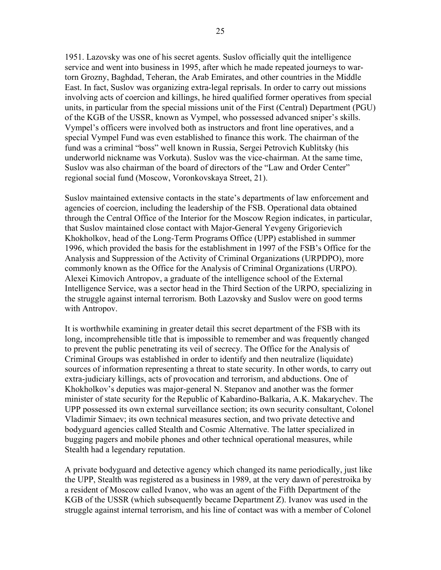1951. Lazovsky was one of his secret agents. Suslov officially quit the intelligence service and went into business in 1995, after which he made repeated journeys to wartorn Grozny, Baghdad, Teheran, the Arab Emirates, and other countries in the Middle East. In fact, Suslov was organizing extra-legal reprisals. In order to carry out missions involving acts of coercion and killings, he hired qualified former operatives from special units, in particular from the special missions unit of the First (Central) Department (PGU) of the KGB of the USSR, known as Vympel, who possessed advanced sniper's skills. Vympel's officers were involved both as instructors and front line operatives, and a special Vympel Fund was even established to finance this work. The chairman of the fund was a criminal "boss" well known in Russia, Sergei Petrovich Kublitsky (his underworld nickname was Vorkuta). Suslov was the vice-chairman. At the same time, Suslov was also chairman of the board of directors of the "Law and Order Center" regional social fund (Moscow, Voronkovskaya Street, 21).

Suslov maintained extensive contacts in the state's departments of law enforcement and agencies of coercion, including the leadership of the FSB. Operational data obtained through the Central Office of the Interior for the Moscow Region indicates, in particular, that Suslov maintained close contact with Major-General Yevgeny Grigorievich Khokholkov, head of the Long-Term Programs Office (UPP) established in summer 1996, which provided the basis for the establishment in 1997 of the FSB's Office for the Analysis and Suppression of the Activity of Criminal Organizations (URPDPO), more commonly known as the Office for the Analysis of Criminal Organizations (URPO). Alexei Kimovich Antropov, a graduate of the intelligence school of the External Intelligence Service, was a sector head in the Third Section of the URPO, specializing in the struggle against internal terrorism. Both Lazovsky and Suslov were on good terms with Antropov.

It is worthwhile examining in greater detail this secret department of the FSB with its long, incomprehensible title that is impossible to remember and was frequently changed to prevent the public penetrating its veil of secrecy. The Office for the Analysis of Criminal Groups was established in order to identify and then neutralize (liquidate) sources of information representing a threat to state security. In other words, to carry out extra-judiciary killings, acts of provocation and terrorism, and abductions. One of Khokholkov's deputies was major-general N. Stepanov and another was the former minister of state security for the Republic of Kabardino-Balkaria, A.K. Makarychev. The UPP possessed its own external surveillance section; its own security consultant, Colonel Vladimir Simaev; its own technical measures section, and two private detective and bodyguard agencies called Stealth and Cosmic Alternative. The latter specialized in bugging pagers and mobile phones and other technical operational measures, while Stealth had a legendary reputation.

A private bodyguard and detective agency which changed its name periodically, just like the UPP, Stealth was registered as a business in 1989, at the very dawn of perestroika by a resident of Moscow called Ivanov, who was an agent of the Fifth Department of the KGB of the USSR (which subsequently became Department Z). Ivanov was used in the struggle against internal terrorism, and his line of contact was with a member of Colonel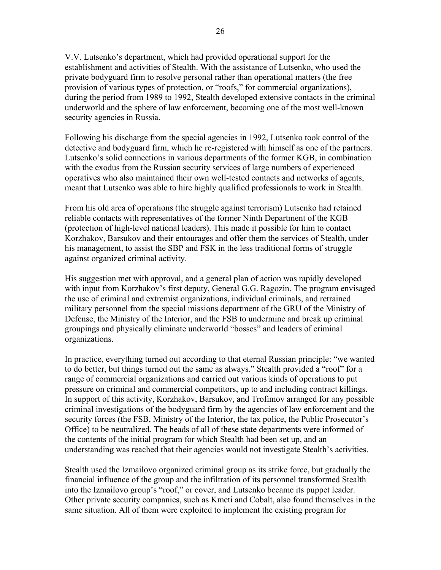V.V. Lutsenko's department, which had provided operational support for the establishment and activities of Stealth. With the assistance of Lutsenko, who used the private bodyguard firm to resolve personal rather than operational matters (the free provision of various types of protection, or "roofs," for commercial organizations), during the period from 1989 to 1992, Stealth developed extensive contacts in the criminal underworld and the sphere of law enforcement, becoming one of the most well-known security agencies in Russia.

Following his discharge from the special agencies in 1992, Lutsenko took control of the detective and bodyguard firm, which he re-registered with himself as one of the partners. Lutsenko's solid connections in various departments of the former KGB, in combination with the exodus from the Russian security services of large numbers of experienced operatives who also maintained their own well-tested contacts and networks of agents, meant that Lutsenko was able to hire highly qualified professionals to work in Stealth.

From his old area of operations (the struggle against terrorism) Lutsenko had retained reliable contacts with representatives of the former Ninth Department of the KGB (protection of high-level national leaders). This made it possible for him to contact Korzhakov, Barsukov and their entourages and offer them the services of Stealth, under his management, to assist the SBP and FSK in the less traditional forms of struggle against organized criminal activity.

His suggestion met with approval, and a general plan of action was rapidly developed with input from Korzhakov's first deputy, General G.G. Ragozin. The program envisaged the use of criminal and extremist organizations, individual criminals, and retrained military personnel from the special missions department of the GRU of the Ministry of Defense, the Ministry of the Interior, and the FSB to undermine and break up criminal groupings and physically eliminate underworld "bosses" and leaders of criminal organizations.

In practice, everything turned out according to that eternal Russian principle: "we wanted to do better, but things turned out the same as always." Stealth provided a "roof" for a range of commercial organizations and carried out various kinds of operations to put pressure on criminal and commercial competitors, up to and including contract killings. In support of this activity, Korzhakov, Barsukov, and Trofimov arranged for any possible criminal investigations of the bodyguard firm by the agencies of law enforcement and the security forces (the FSB, Ministry of the Interior, the tax police, the Public Prosecutor's Office) to be neutralized. The heads of all of these state departments were informed of the contents of the initial program for which Stealth had been set up, and an understanding was reached that their agencies would not investigate Stealth's activities.

Stealth used the Izmailovo organized criminal group as its strike force, but gradually the financial influence of the group and the infiltration of its personnel transformed Stealth into the Izmailovo group's "roof," or cover, and Lutsenko became its puppet leader. Other private security companies, such as Kmeti and Cobalt, also found themselves in the same situation. All of them were exploited to implement the existing program for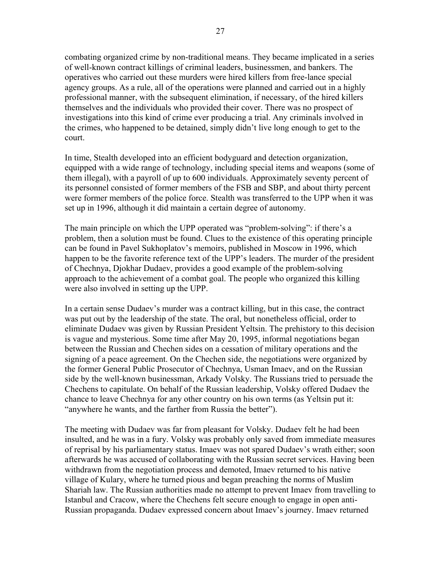combating organized crime by non-traditional means. They became implicated in a series of well-known contract killings of criminal leaders, businessmen, and bankers. The operatives who carried out these murders were hired killers from free-lance special agency groups. As a rule, all of the operations were planned and carried out in a highly professional manner, with the subsequent elimination, if necessary, of the hired killers themselves and the individuals who provided their cover. There was no prospect of investigations into this kind of crime ever producing a trial. Any criminals involved in the crimes, who happened to be detained, simply didn't live long enough to get to the court.

In time, Stealth developed into an efficient bodyguard and detection organization, equipped with a wide range of technology, including special items and weapons (some of them illegal), with a payroll of up to 600 individuals. Approximately seventy percent of its personnel consisted of former members of the FSB and SBP, and about thirty percent were former members of the police force. Stealth was transferred to the UPP when it was set up in 1996, although it did maintain a certain degree of autonomy.

The main principle on which the UPP operated was "problem-solving": if there's a problem, then a solution must be found. Clues to the existence of this operating principle can be found in Pavel Sukhoplatov's memoirs, published in Moscow in 1996, which happen to be the favorite reference text of the UPP's leaders. The murder of the president of Chechnya, Djokhar Dudaev, provides a good example of the problem-solving approach to the achievement of a combat goal. The people who organized this killing were also involved in setting up the UPP.

In a certain sense Dudaev's murder was a contract killing, but in this case, the contract was put out by the leadership of the state. The oral, but nonetheless official, order to eliminate Dudaev was given by Russian President Yeltsin. The prehistory to this decision is vague and mysterious. Some time after May 20, 1995, informal negotiations began between the Russian and Chechen sides on a cessation of military operations and the signing of a peace agreement. On the Chechen side, the negotiations were organized by the former General Public Prosecutor of Chechnya, Usman Imaev, and on the Russian side by the well-known businessman, Arkady Volsky. The Russians tried to persuade the Chechens to capitulate. On behalf of the Russian leadership, Volsky offered Dudaev the chance to leave Chechnya for any other country on his own terms (as Yeltsin put it: "anywhere he wants, and the farther from Russia the better").

The meeting with Dudaev was far from pleasant for Volsky. Dudaev felt he had been insulted, and he was in a fury. Volsky was probably only saved from immediate measures of reprisal by his parliamentary status. Imaev was not spared Dudaev's wrath either; soon afterwards he was accused of collaborating with the Russian secret services. Having been withdrawn from the negotiation process and demoted, Imaev returned to his native village of Kulary, where he turned pious and began preaching the norms of Muslim Shariah law. The Russian authorities made no attempt to prevent Imaev from travelling to Istanbul and Cracow, where the Chechens felt secure enough to engage in open anti-Russian propaganda. Dudaev expressed concern about Imaev's journey. Imaev returned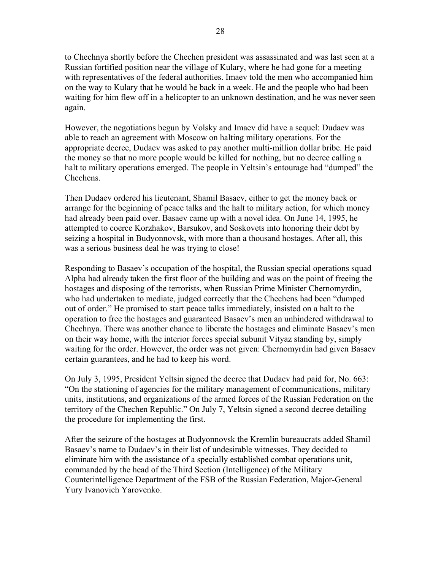to Chechnya shortly before the Chechen president was assassinated and was last seen at a Russian fortified position near the village of Kulary, where he had gone for a meeting with representatives of the federal authorities. Imaev told the men who accompanied him on the way to Kulary that he would be back in a week. He and the people who had been waiting for him flew off in a helicopter to an unknown destination, and he was never seen again.

However, the negotiations begun by Volsky and Imaev did have a sequel: Dudaev was able to reach an agreement with Moscow on halting military operations. For the appropriate decree, Dudaev was asked to pay another multi-million dollar bribe. He paid the money so that no more people would be killed for nothing, but no decree calling a halt to military operations emerged. The people in Yeltsin's entourage had "dumped" the Chechens.

Then Dudaev ordered his lieutenant, Shamil Basaev, either to get the money back or arrange for the beginning of peace talks and the halt to military action, for which money had already been paid over. Basaev came up with a novel idea. On June 14, 1995, he attempted to coerce Korzhakov, Barsukov, and Soskovets into honoring their debt by seizing a hospital in Budyonnovsk, with more than a thousand hostages. After all, this was a serious business deal he was trying to close!

Responding to Basaev's occupation of the hospital, the Russian special operations squad Alpha had already taken the first floor of the building and was on the point of freeing the hostages and disposing of the terrorists, when Russian Prime Minister Chernomyrdin, who had undertaken to mediate, judged correctly that the Chechens had been "dumped out of order." He promised to start peace talks immediately, insisted on a halt to the operation to free the hostages and guaranteed Basaev's men an unhindered withdrawal to Chechnya. There was another chance to liberate the hostages and eliminate Basaev's men on their way home, with the interior forces special subunit Vityaz standing by, simply waiting for the order. However, the order was not given: Chernomyrdin had given Basaev certain guarantees, and he had to keep his word.

On July 3, 1995, President Yeltsin signed the decree that Dudaev had paid for, No. 663: "On the stationing of agencies for the military management of communications, military units, institutions, and organizations of the armed forces of the Russian Federation on the territory of the Chechen Republic." On July 7, Yeltsin signed a second decree detailing the procedure for implementing the first.

After the seizure of the hostages at Budyonnovsk the Kremlin bureaucrats added Shamil Basaev's name to Dudaev's in their list of undesirable witnesses. They decided to eliminate him with the assistance of a specially established combat operations unit, commanded by the head of the Third Section (Intelligence) of the Military Counterintelligence Department of the FSB of the Russian Federation, Major-General Yury Ivanovich Yarovenko.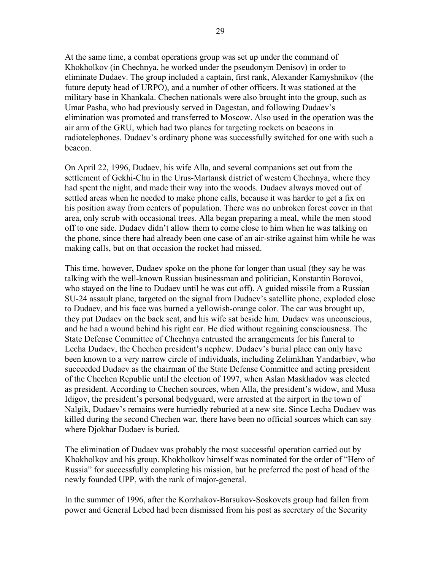At the same time, a combat operations group was set up under the command of Khokholkov (in Chechnya, he worked under the pseudonym Denisov) in order to eliminate Dudaev. The group included a captain, first rank, Alexander Kamyshnikov (the future deputy head of URPO), and a number of other officers. It was stationed at the military base in Khankala. Chechen nationals were also brought into the group, such as Umar Pasha, who had previously served in Dagestan, and following Dudaev's elimination was promoted and transferred to Moscow. Also used in the operation was the air arm of the GRU, which had two planes for targeting rockets on beacons in radiotelephones. Dudaev's ordinary phone was successfully switched for one with such a beacon.

On April 22, 1996, Dudaev, his wife Alla, and several companions set out from the settlement of Gekhi-Chu in the Urus-Martansk district of western Chechnya, where they had spent the night, and made their way into the woods. Dudaev always moved out of settled areas when he needed to make phone calls, because it was harder to get a fix on his position away from centers of population. There was no unbroken forest cover in that area, only scrub with occasional trees. Alla began preparing a meal, while the men stood off to one side. Dudaev didn't allow them to come close to him when he was talking on the phone, since there had already been one case of an air-strike against him while he was making calls, but on that occasion the rocket had missed.

This time, however, Dudaev spoke on the phone for longer than usual (they say he was talking with the well-known Russian businessman and politician, Konstantin Borovoi, who stayed on the line to Dudaev until he was cut off). A guided missile from a Russian SU-24 assault plane, targeted on the signal from Dudaev's satellite phone, exploded close to Dudaev, and his face was burned a yellowish-orange color. The car was brought up, they put Dudaev on the back seat, and his wife sat beside him. Dudaev was unconscious, and he had a wound behind his right ear. He died without regaining consciousness. The State Defense Committee of Chechnya entrusted the arrangements for his funeral to Lecha Dudaev, the Chechen president's nephew. Dudaev's burial place can only have been known to a very narrow circle of individuals, including Zelimkhan Yandarbiev, who succeeded Dudaev as the chairman of the State Defense Committee and acting president of the Chechen Republic until the election of 1997, when Aslan Maskhadov was elected as president. According to Chechen sources, when Alla, the president's widow, and Musa Idigov, the president's personal bodyguard, were arrested at the airport in the town of Nalgik, Dudaev's remains were hurriedly reburied at a new site. Since Lecha Dudaev was killed during the second Chechen war, there have been no official sources which can say where Djokhar Dudaev is buried.

The elimination of Dudaev was probably the most successful operation carried out by Khokholkov and his group. Khokholkov himself was nominated for the order of "Hero of Russia" for successfully completing his mission, but he preferred the post of head of the newly founded UPP, with the rank of major-general.

In the summer of 1996, after the Korzhakov-Barsukov-Soskovets group had fallen from power and General Lebed had been dismissed from his post as secretary of the Security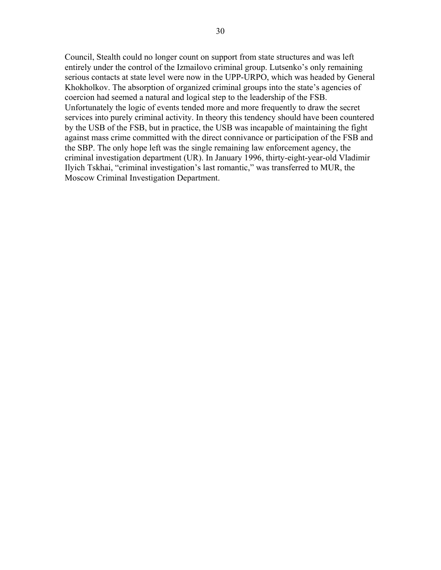Council, Stealth could no longer count on support from state structures and was left entirely under the control of the Izmailovo criminal group. Lutsenko's only remaining serious contacts at state level were now in the UPP-URPO, which was headed by General Khokholkov. The absorption of organized criminal groups into the state's agencies of coercion had seemed a natural and logical step to the leadership of the FSB. Unfortunately the logic of events tended more and more frequently to draw the secret services into purely criminal activity. In theory this tendency should have been countered by the USB of the FSB, but in practice, the USB was incapable of maintaining the fight against mass crime committed with the direct connivance or participation of the FSB and the SBP. The only hope left was the single remaining law enforcement agency, the criminal investigation department (UR). In January 1996, thirty-eight-year-old Vladimir Ilyich Tskhai, "criminal investigation's last romantic," was transferred to MUR, the Moscow Criminal Investigation Department.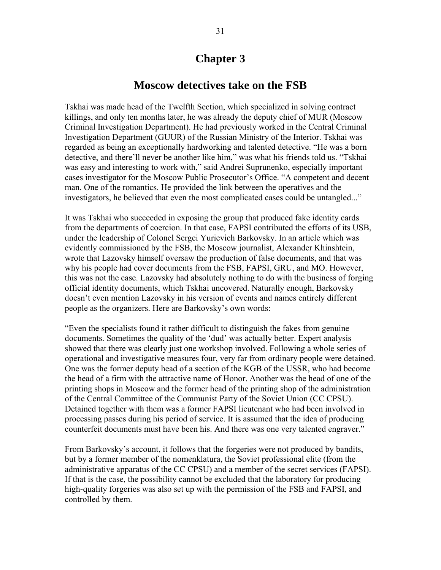# **Chapter 3**

#### **Moscow detectives take on the FSB**

Tskhai was made head of the Twelfth Section, which specialized in solving contract killings, and only ten months later, he was already the deputy chief of MUR (Moscow Criminal Investigation Department). He had previously worked in the Central Criminal Investigation Department (GUUR) of the Russian Ministry of the Interior. Tskhai was regarded as being an exceptionally hardworking and talented detective. "He was a born detective, and there'll never be another like him," was what his friends told us. "Tskhai was easy and interesting to work with," said Andrei Suprunenko, especially important cases investigator for the Moscow Public Prosecutor's Office. "A competent and decent man. One of the romantics. He provided the link between the operatives and the investigators, he believed that even the most complicated cases could be untangled..."

It was Tskhai who succeeded in exposing the group that produced fake identity cards from the departments of coercion. In that case, FAPSI contributed the efforts of its USB, under the leadership of Colonel Sergei Yurievich Barkovsky. In an article which was evidently commissioned by the FSB, the Moscow journalist, Alexander Khinshtein, wrote that Lazovsky himself oversaw the production of false documents, and that was why his people had cover documents from the FSB, FAPSI, GRU, and MO. However, this was not the case. Lazovsky had absolutely nothing to do with the business of forging official identity documents, which Tskhai uncovered. Naturally enough, Barkovsky doesn't even mention Lazovsky in his version of events and names entirely different people as the organizers. Here are Barkovsky's own words:

"Even the specialists found it rather difficult to distinguish the fakes from genuine documents. Sometimes the quality of the 'dud' was actually better. Expert analysis showed that there was clearly just one workshop involved. Following a whole series of operational and investigative measures four, very far from ordinary people were detained. One was the former deputy head of a section of the KGB of the USSR, who had become the head of a firm with the attractive name of Honor. Another was the head of one of the printing shops in Moscow and the former head of the printing shop of the administration of the Central Committee of the Communist Party of the Soviet Union (CC CPSU). Detained together with them was a former FAPSI lieutenant who had been involved in processing passes during his period of service. It is assumed that the idea of producing counterfeit documents must have been his. And there was one very talented engraver."

From Barkovsky's account, it follows that the forgeries were not produced by bandits, but by a former member of the nomenklatura, the Soviet professional elite (from the administrative apparatus of the CC CPSU) and a member of the secret services (FAPSI). If that is the case, the possibility cannot be excluded that the laboratory for producing high-quality forgeries was also set up with the permission of the FSB and FAPSI, and controlled by them.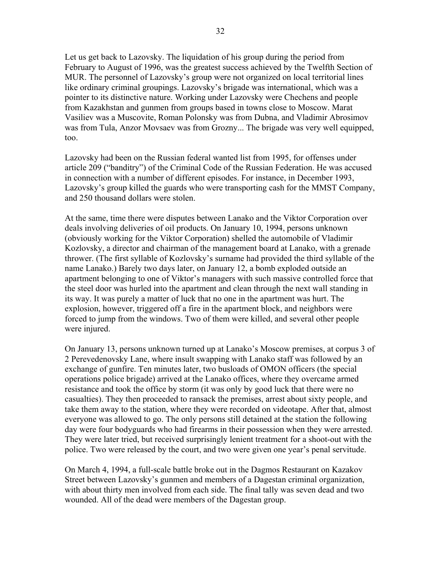Let us get back to Lazovsky. The liquidation of his group during the period from February to August of 1996, was the greatest success achieved by the Twelfth Section of MUR. The personnel of Lazovsky's group were not organized on local territorial lines like ordinary criminal groupings. Lazovsky's brigade was international, which was a pointer to its distinctive nature. Working under Lazovsky were Chechens and people from Kazakhstan and gunmen from groups based in towns close to Moscow. Marat Vasiliev was a Muscovite, Roman Polonsky was from Dubna, and Vladimir Abrosimov was from Tula, Anzor Movsaev was from Grozny... The brigade was very well equipped, too.

Lazovsky had been on the Russian federal wanted list from 1995, for offenses under article 209 ("banditry") of the Criminal Code of the Russian Federation. He was accused in connection with a number of different episodes. For instance, in December 1993, Lazovsky's group killed the guards who were transporting cash for the MMST Company, and 250 thousand dollars were stolen.

At the same, time there were disputes between Lanako and the Viktor Corporation over deals involving deliveries of oil products. On January 10, 1994, persons unknown (obviously working for the Viktor Corporation) shelled the automobile of Vladimir Kozlovsky, a director and chairman of the management board at Lanako, with a grenade thrower. (The first syllable of Kozlovsky's surname had provided the third syllable of the name Lanako.) Barely two days later, on January 12, a bomb exploded outside an apartment belonging to one of Viktor's managers with such massive controlled force that the steel door was hurled into the apartment and clean through the next wall standing in its way. It was purely a matter of luck that no one in the apartment was hurt. The explosion, however, triggered off a fire in the apartment block, and neighbors were forced to jump from the windows. Two of them were killed, and several other people were injured.

On January 13, persons unknown turned up at Lanako's Moscow premises, at corpus 3 of 2 Perevedenovsky Lane, where insult swapping with Lanako staff was followed by an exchange of gunfire. Ten minutes later, two busloads of OMON officers (the special operations police brigade) arrived at the Lanako offices, where they overcame armed resistance and took the office by storm (it was only by good luck that there were no casualties). They then proceeded to ransack the premises, arrest about sixty people, and take them away to the station, where they were recorded on videotape. After that, almost everyone was allowed to go. The only persons still detained at the station the following day were four bodyguards who had firearms in their possession when they were arrested. They were later tried, but received surprisingly lenient treatment for a shoot-out with the police. Two were released by the court, and two were given one year's penal servitude.

On March 4, 1994, a full-scale battle broke out in the Dagmos Restaurant on Kazakov Street between Lazovsky's gunmen and members of a Dagestan criminal organization, with about thirty men involved from each side. The final tally was seven dead and two wounded. All of the dead were members of the Dagestan group.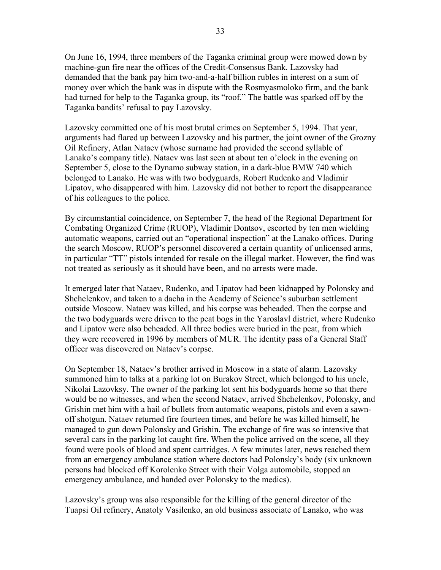On June 16, 1994, three members of the Taganka criminal group were mowed down by machine-gun fire near the offices of the Credit-Consensus Bank. Lazovsky had demanded that the bank pay him two-and-a-half billion rubles in interest on a sum of money over which the bank was in dispute with the Rosmyasmoloko firm, and the bank had turned for help to the Taganka group, its "roof." The battle was sparked off by the Taganka bandits' refusal to pay Lazovsky.

Lazovsky committed one of his most brutal crimes on September 5, 1994. That year, arguments had flared up between Lazovsky and his partner, the joint owner of the Grozny Oil Refinery, Atlan Nataev (whose surname had provided the second syllable of Lanako's company title). Nataev was last seen at about ten o'clock in the evening on September 5, close to the Dynamo subway station, in a dark-blue BMW 740 which belonged to Lanako. He was with two bodyguards, Robert Rudenko and Vladimir Lipatov, who disappeared with him. Lazovsky did not bother to report the disappearance of his colleagues to the police.

By circumstantial coincidence, on September 7, the head of the Regional Department for Combating Organized Crime (RUOP), Vladimir Dontsov, escorted by ten men wielding automatic weapons, carried out an "operational inspection" at the Lanako offices. During the search Moscow, RUOP's personnel discovered a certain quantity of unlicensed arms, in particular "TT" pistols intended for resale on the illegal market. However, the find was not treated as seriously as it should have been, and no arrests were made.

It emerged later that Nataev, Rudenko, and Lipatov had been kidnapped by Polonsky and Shchelenkov, and taken to a dacha in the Academy of Science's suburban settlement outside Moscow. Nataev was killed, and his corpse was beheaded. Then the corpse and the two bodyguards were driven to the peat bogs in the Yaroslavl district, where Rudenko and Lipatov were also beheaded. All three bodies were buried in the peat, from which they were recovered in 1996 by members of MUR. The identity pass of a General Staff officer was discovered on Nataev's corpse.

On September 18, Nataev's brother arrived in Moscow in a state of alarm. Lazovsky summoned him to talks at a parking lot on Burakov Street, which belonged to his uncle, Nikolai Lazovksy. The owner of the parking lot sent his bodyguards home so that there would be no witnesses, and when the second Nataev, arrived Shchelenkov, Polonsky, and Grishin met him with a hail of bullets from automatic weapons, pistols and even a sawnoff shotgun. Nataev returned fire fourteen times, and before he was killed himself, he managed to gun down Polonsky and Grishin. The exchange of fire was so intensive that several cars in the parking lot caught fire. When the police arrived on the scene, all they found were pools of blood and spent cartridges. A few minutes later, news reached them from an emergency ambulance station where doctors had Polonsky's body (six unknown persons had blocked off Korolenko Street with their Volga automobile, stopped an emergency ambulance, and handed over Polonsky to the medics).

Lazovsky's group was also responsible for the killing of the general director of the Tuapsi Oil refinery, Anatoly Vasilenko, an old business associate of Lanako, who was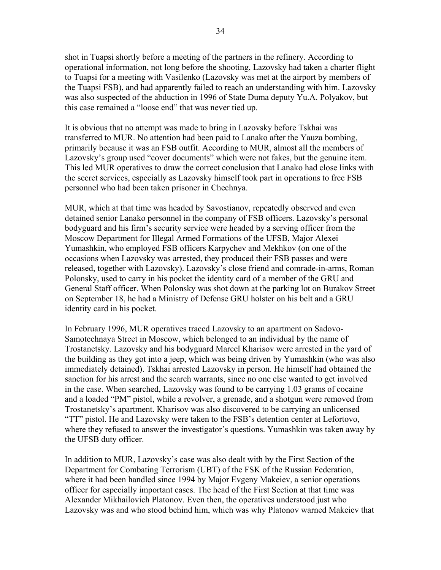shot in Tuapsi shortly before a meeting of the partners in the refinery. According to operational information, not long before the shooting, Lazovsky had taken a charter flight to Tuapsi for a meeting with Vasilenko (Lazovsky was met at the airport by members of the Tuapsi FSB), and had apparently failed to reach an understanding with him. Lazovsky was also suspected of the abduction in 1996 of State Duma deputy Yu.A. Polyakov, but this case remained a "loose end" that was never tied up.

It is obvious that no attempt was made to bring in Lazovsky before Tskhai was transferred to MUR. No attention had been paid to Lanako after the Yauza bombing, primarily because it was an FSB outfit. According to MUR, almost all the members of Lazovsky's group used "cover documents" which were not fakes, but the genuine item. This led MUR operatives to draw the correct conclusion that Lanako had close links with the secret services, especially as Lazovsky himself took part in operations to free FSB personnel who had been taken prisoner in Chechnya.

MUR, which at that time was headed by Savostianov, repeatedly observed and even detained senior Lanako personnel in the company of FSB officers. Lazovsky's personal bodyguard and his firm's security service were headed by a serving officer from the Moscow Department for Illegal Armed Formations of the UFSB, Major Alexei Yumashkin, who employed FSB officers Karpychev and Mekhkov (on one of the occasions when Lazovsky was arrested, they produced their FSB passes and were released, together with Lazovsky). Lazovsky's close friend and comrade-in-arms, Roman Polonsky, used to carry in his pocket the identity card of a member of the GRU and General Staff officer. When Polonsky was shot down at the parking lot on Burakov Street on September 18, he had a Ministry of Defense GRU holster on his belt and a GRU identity card in his pocket.

In February 1996, MUR operatives traced Lazovsky to an apartment on Sadovo-Samotechnaya Street in Moscow, which belonged to an individual by the name of Trostanetsky. Lazovsky and his bodyguard Marcel Kharisov were arrested in the yard of the building as they got into a jeep, which was being driven by Yumashkin (who was also immediately detained). Tskhai arrested Lazovsky in person. He himself had obtained the sanction for his arrest and the search warrants, since no one else wanted to get involved in the case. When searched, Lazovsky was found to be carrying 1.03 grams of cocaine and a loaded "PM" pistol, while a revolver, a grenade, and a shotgun were removed from Trostanetsky's apartment. Kharisov was also discovered to be carrying an unlicensed "TT" pistol. He and Lazovsky were taken to the FSB's detention center at Lefortovo, where they refused to answer the investigator's questions. Yumashkin was taken away by the UFSB duty officer.

In addition to MUR, Lazovsky's case was also dealt with by the First Section of the Department for Combating Terrorism (UBT) of the FSK of the Russian Federation, where it had been handled since 1994 by Major Evgeny Makeiev, a senior operations officer for especially important cases. The head of the First Section at that time was Alexander Mikhailovich Platonov. Even then, the operatives understood just who Lazovsky was and who stood behind him, which was why Platonov warned Makeiev that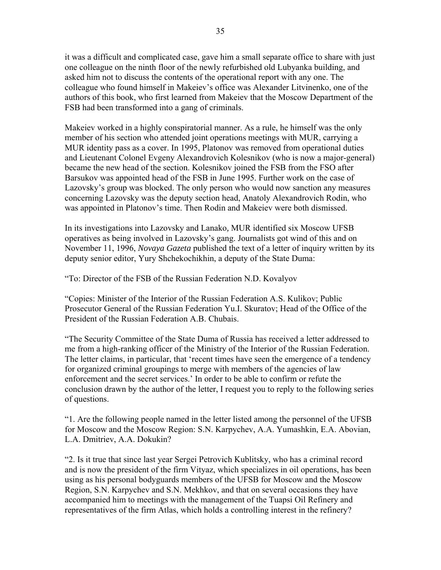it was a difficult and complicated case, gave him a small separate office to share with just one colleague on the ninth floor of the newly refurbished old Lubyanka building, and asked him not to discuss the contents of the operational report with any one. The colleague who found himself in Makeiev's office was Alexander Litvinenko, one of the authors of this book, who first learned from Makeiev that the Moscow Department of the FSB had been transformed into a gang of criminals.

Makeiev worked in a highly conspiratorial manner. As a rule, he himself was the only member of his section who attended joint operations meetings with MUR, carrying a MUR identity pass as a cover. In 1995, Platonov was removed from operational duties and Lieutenant Colonel Evgeny Alexandrovich Kolesnikov (who is now a major-general) became the new head of the section. Kolesnikov joined the FSB from the FSO after Barsukov was appointed head of the FSB in June 1995. Further work on the case of Lazovsky's group was blocked. The only person who would now sanction any measures concerning Lazovsky was the deputy section head, Anatoly Alexandrovich Rodin, who was appointed in Platonov's time. Then Rodin and Makeiev were both dismissed.

In its investigations into Lazovsky and Lanako*,* MUR identified six Moscow UFSB operatives as being involved in Lazovsky's gang. Journalists got wind of this and on November 11, 1996, *Novaya Gazeta* published the text of a letter of inquiry written by its deputy senior editor, Yury Shchekochikhin, a deputy of the State Duma:

"To: Director of the FSB of the Russian Federation N.D. Kovalyov

"Copies: Minister of the Interior of the Russian Federation A.S. Kulikov; Public Prosecutor General of the Russian Federation Yu.I. Skuratov; Head of the Office of the President of the Russian Federation A.B. Chubais.

"The Security Committee of the State Duma of Russia has received a letter addressed to me from a high-ranking officer of the Ministry of the Interior of the Russian Federation. The letter claims, in particular, that 'recent times have seen the emergence of a tendency for organized criminal groupings to merge with members of the agencies of law enforcement and the secret services.' In order to be able to confirm or refute the conclusion drawn by the author of the letter, I request you to reply to the following series of questions.

"1. Are the following people named in the letter listed among the personnel of the UFSB for Moscow and the Moscow Region: S.N. Karpychev, A.A. Yumashkin, E.A. Abovian, L.A. Dmitriev, A.A. Dokukin?

"2. Is it true that since last year Sergei Petrovich Kublitsky, who has a criminal record and is now the president of the firm Vityaz, which specializes in oil operations, has been using as his personal bodyguards members of the UFSB for Moscow and the Moscow Region, S.N. Karpychev and S.N. Mekhkov, and that on several occasions they have accompanied him to meetings with the management of the Tuapsi Oil Refinery and representatives of the firm Atlas, which holds a controlling interest in the refinery?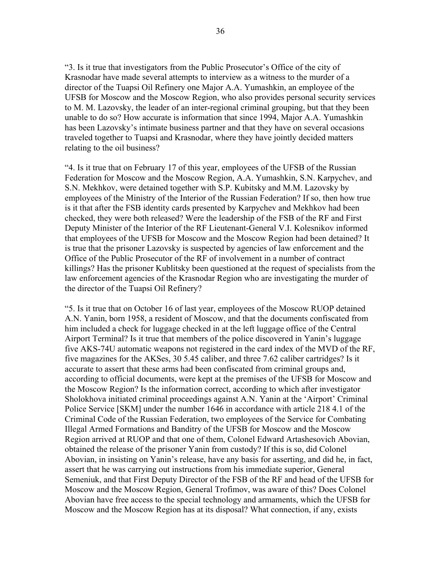"3. Is it true that investigators from the Public Prosecutor's Office of the city of Krasnodar have made several attempts to interview as a witness to the murder of a director of the Tuapsi Oil Refinery one Major A.A. Yumashkin, an employee of the UFSB for Moscow and the Moscow Region, who also provides personal security services to M. M. Lazovsky, the leader of an inter-regional criminal grouping, but that they been unable to do so? How accurate is information that since 1994, Major A.A. Yumashkin has been Lazovsky's intimate business partner and that they have on several occasions traveled together to Tuapsi and Krasnodar, where they have jointly decided matters relating to the oil business?

"4. Is it true that on February 17 of this year, employees of the UFSB of the Russian Federation for Moscow and the Moscow Region, A.A. Yumashkin, S.N. Karpychev, and S.N. Mekhkov, were detained together with S.P. Kubitsky and M.M. Lazovsky by employees of the Ministry of the Interior of the Russian Federation? If so, then how true is it that after the FSB identity cards presented by Karpychev and Mekhkov had been checked, they were both released? Were the leadership of the FSB of the RF and First Deputy Minister of the Interior of the RF Lieutenant-General V.I. Kolesnikov informed that employees of the UFSB for Moscow and the Moscow Region had been detained? It is true that the prisoner Lazovsky is suspected by agencies of law enforcement and the Office of the Public Prosecutor of the RF of involvement in a number of contract killings? Has the prisoner Kublitsky been questioned at the request of specialists from the law enforcement agencies of the Krasnodar Region who are investigating the murder of the director of the Tuapsi Oil Refinery?

"5. Is it true that on October 16 of last year, employees of the Moscow RUOP detained A.N. Yanin, born 1958, a resident of Moscow, and that the documents confiscated from him included a check for luggage checked in at the left luggage office of the Central Airport Terminal? Is it true that members of the police discovered in Yanin's luggage five AKS-74U automatic weapons not registered in the card index of the MVD of the RF, five magazines for the AKSes, 30 5.45 caliber, and three 7.62 caliber cartridges? Is it accurate to assert that these arms had been confiscated from criminal groups and, according to official documents, were kept at the premises of the UFSB for Moscow and the Moscow Region? Is the information correct, according to which after investigator Sholokhova initiated criminal proceedings against A.N. Yanin at the 'Airport' Criminal Police Service [SKM] under the number 1646 in accordance with article 218 4.1 of the Criminal Code of the Russian Federation, two employees of the Service for Combating Illegal Armed Formations and Banditry of the UFSB for Moscow and the Moscow Region arrived at RUOP and that one of them, Colonel Edward Artashesovich Abovian, obtained the release of the prisoner Yanin from custody? If this is so, did Colonel Abovian, in insisting on Yanin's release, have any basis for asserting, and did he, in fact, assert that he was carrying out instructions from his immediate superior, General Semeniuk, and that First Deputy Director of the FSB of the RF and head of the UFSB for Moscow and the Moscow Region, General Trofimov, was aware of this? Does Colonel Abovian have free access to the special technology and armaments, which the UFSB for Moscow and the Moscow Region has at its disposal? What connection, if any, exists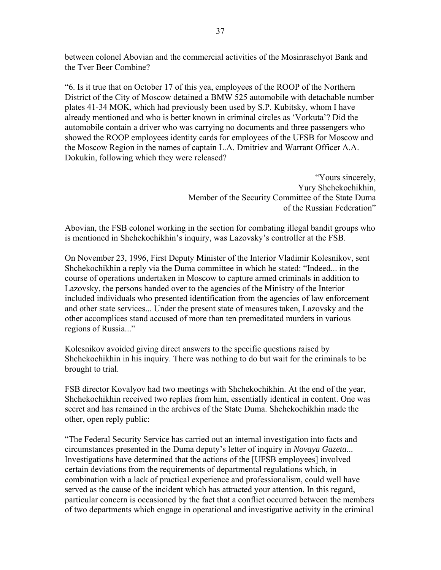between colonel Abovian and the commercial activities of the Mosinraschyot Bank and the Tver Beer Combine?

"6. Is it true that on October 17 of this yea, employees of the ROOP of the Northern District of the City of Moscow detained a BMW 525 automobile with detachable number plates 41-34 MOK, which had previously been used by S.P. Kubitsky, whom I have already mentioned and who is better known in criminal circles as 'Vorkuta'? Did the automobile contain a driver who was carrying no documents and three passengers who showed the ROOP employees identity cards for employees of the UFSB for Moscow and the Moscow Region in the names of captain L.A. Dmitriev and Warrant Officer A.A. Dokukin, following which they were released?

> "Yours sincerely, Yury Shchekochikhin, Member of the Security Committee of the State Duma of the Russian Federation"

Abovian, the FSB colonel working in the section for combating illegal bandit groups who is mentioned in Shchekochikhin's inquiry, was Lazovsky's controller at the FSB.

On November 23, 1996, First Deputy Minister of the Interior Vladimir Kolesnikov, sent Shchekochikhin a reply via the Duma committee in which he stated: "Indeed... in the course of operations undertaken in Moscow to capture armed criminals in addition to Lazovsky, the persons handed over to the agencies of the Ministry of the Interior included individuals who presented identification from the agencies of law enforcement and other state services... Under the present state of measures taken, Lazovsky and the other accomplices stand accused of more than ten premeditated murders in various regions of Russia..."

Kolesnikov avoided giving direct answers to the specific questions raised by Shchekochikhin in his inquiry. There was nothing to do but wait for the criminals to be brought to trial.

FSB director Kovalyov had two meetings with Shchekochikhin. At the end of the year, Shchekochikhin received two replies from him, essentially identical in content. One was secret and has remained in the archives of the State Duma. Shchekochikhin made the other, open reply public:

"The Federal Security Service has carried out an internal investigation into facts and circumstances presented in the Duma deputy's letter of inquiry in *Novaya Gazeta*... Investigations have determined that the actions of the [UFSB employees] involved certain deviations from the requirements of departmental regulations which, in combination with a lack of practical experience and professionalism, could well have served as the cause of the incident which has attracted your attention. In this regard, particular concern is occasioned by the fact that a conflict occurred between the members of two departments which engage in operational and investigative activity in the criminal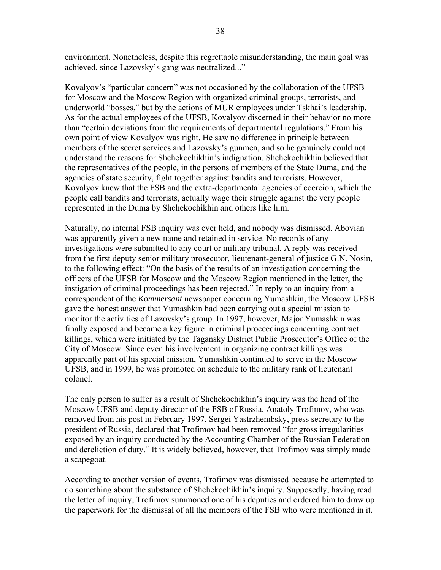environment. Nonetheless, despite this regrettable misunderstanding, the main goal was achieved, since Lazovsky's gang was neutralized..."

Kovalyov's "particular concern" was not occasioned by the collaboration of the UFSB for Moscow and the Moscow Region with organized criminal groups, terrorists, and underworld "bosses," but by the actions of MUR employees under Tskhai's leadership. As for the actual employees of the UFSB, Kovalyov discerned in their behavior no more than "certain deviations from the requirements of departmental regulations." From his own point of view Kovalyov was right. He saw no difference in principle between members of the secret services and Lazovsky's gunmen, and so he genuinely could not understand the reasons for Shchekochikhin's indignation. Shchekochikhin believed that the representatives of the people, in the persons of members of the State Duma, and the agencies of state security, fight together against bandits and terrorists. However, Kovalyov knew that the FSB and the extra-departmental agencies of coercion, which the people call bandits and terrorists, actually wage their struggle against the very people represented in the Duma by Shchekochikhin and others like him.

Naturally, no internal FSB inquiry was ever held, and nobody was dismissed. Abovian was apparently given a new name and retained in service. No records of any investigations were submitted to any court or military tribunal. A reply was received from the first deputy senior military prosecutor, lieutenant-general of justice G.N. Nosin, to the following effect: "On the basis of the results of an investigation concerning the officers of the UFSB for Moscow and the Moscow Region mentioned in the letter, the instigation of criminal proceedings has been rejected." In reply to an inquiry from a correspondent of the *Kommersant* newspaper concerning Yumashkin, the Moscow UFSB gave the honest answer that Yumashkin had been carrying out a special mission to monitor the activities of Lazovsky's group. In 1997, however, Major Yumashkin was finally exposed and became a key figure in criminal proceedings concerning contract killings, which were initiated by the Tagansky District Public Prosecutor's Office of the City of Moscow. Since even his involvement in organizing contract killings was apparently part of his special mission, Yumashkin continued to serve in the Moscow UFSB, and in 1999, he was promoted on schedule to the military rank of lieutenant colonel.

The only person to suffer as a result of Shchekochikhin's inquiry was the head of the Moscow UFSB and deputy director of the FSB of Russia, Anatoly Trofimov, who was removed from his post in February 1997. Sergei Yastrzhembsky, press secretary to the president of Russia, declared that Trofimov had been removed "for gross irregularities exposed by an inquiry conducted by the Accounting Chamber of the Russian Federation and dereliction of duty." It is widely believed, however, that Trofimov was simply made a scapegoat.

According to another version of events, Trofimov was dismissed because he attempted to do something about the substance of Shchekochikhin's inquiry. Supposedly, having read the letter of inquiry, Trofimov summoned one of his deputies and ordered him to draw up the paperwork for the dismissal of all the members of the FSB who were mentioned in it.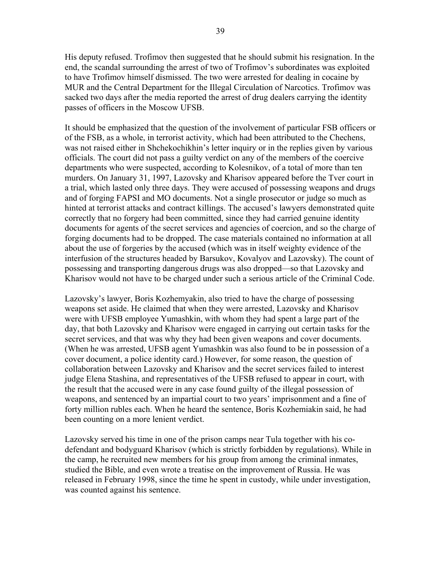His deputy refused. Trofimov then suggested that he should submit his resignation. In the end, the scandal surrounding the arrest of two of Trofimov's subordinates was exploited to have Trofimov himself dismissed. The two were arrested for dealing in cocaine by MUR and the Central Department for the Illegal Circulation of Narcotics. Trofimov was sacked two days after the media reported the arrest of drug dealers carrying the identity passes of officers in the Moscow UFSB.

It should be emphasized that the question of the involvement of particular FSB officers or of the FSB, as a whole, in terrorist activity, which had been attributed to the Chechens, was not raised either in Shchekochikhin's letter inquiry or in the replies given by various officials. The court did not pass a guilty verdict on any of the members of the coercive departments who were suspected, according to Kolesnikov, of a total of more than ten murders. On January 31, 1997, Lazovsky and Kharisov appeared before the Tver court in a trial, which lasted only three days. They were accused of possessing weapons and drugs and of forging FAPSI and MO documents. Not a single prosecutor or judge so much as hinted at terrorist attacks and contract killings. The accused's lawyers demonstrated quite correctly that no forgery had been committed, since they had carried genuine identity documents for agents of the secret services and agencies of coercion, and so the charge of forging documents had to be dropped. The case materials contained no information at all about the use of forgeries by the accused (which was in itself weighty evidence of the interfusion of the structures headed by Barsukov, Kovalyov and Lazovsky). The count of possessing and transporting dangerous drugs was also dropped—so that Lazovsky and Kharisov would not have to be charged under such a serious article of the Criminal Code.

Lazovsky's lawyer, Boris Kozhemyakin, also tried to have the charge of possessing weapons set aside. He claimed that when they were arrested, Lazovsky and Kharisov were with UFSB employee Yumashkin, with whom they had spent a large part of the day, that both Lazovsky and Kharisov were engaged in carrying out certain tasks for the secret services, and that was why they had been given weapons and cover documents. (When he was arrested, UFSB agent Yumashkin was also found to be in possession of a cover document, a police identity card.) However, for some reason, the question of collaboration between Lazovsky and Kharisov and the secret services failed to interest judge Elena Stashina, and representatives of the UFSB refused to appear in court, with the result that the accused were in any case found guilty of the illegal possession of weapons, and sentenced by an impartial court to two years' imprisonment and a fine of forty million rubles each. When he heard the sentence, Boris Kozhemiakin said, he had been counting on a more lenient verdict.

Lazovsky served his time in one of the prison camps near Tula together with his codefendant and bodyguard Kharisov (which is strictly forbidden by regulations). While in the camp, he recruited new members for his group from among the criminal inmates, studied the Bible, and even wrote a treatise on the improvement of Russia. He was released in February 1998, since the time he spent in custody, while under investigation, was counted against his sentence.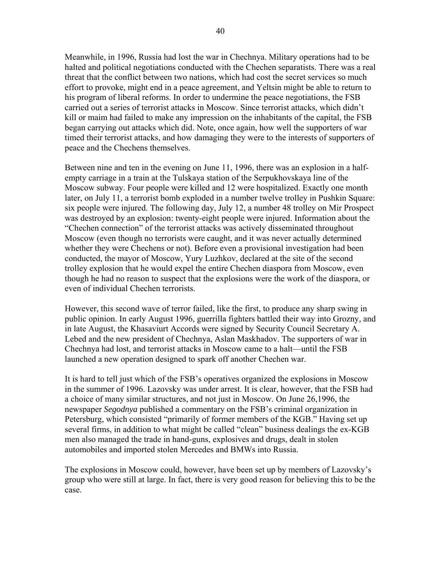Meanwhile, in 1996, Russia had lost the war in Chechnya. Military operations had to be halted and political negotiations conducted with the Chechen separatists. There was a real threat that the conflict between two nations, which had cost the secret services so much effort to provoke, might end in a peace agreement, and Yeltsin might be able to return to his program of liberal reforms. In order to undermine the peace negotiations, the FSB carried out a series of terrorist attacks in Moscow. Since terrorist attacks, which didn't kill or maim had failed to make any impression on the inhabitants of the capital, the FSB began carrying out attacks which did. Note, once again, how well the supporters of war timed their terrorist attacks, and how damaging they were to the interests of supporters of peace and the Chechens themselves.

Between nine and ten in the evening on June 11, 1996, there was an explosion in a halfempty carriage in a train at the Tulskaya station of the Serpukhovskaya line of the Moscow subway. Four people were killed and 12 were hospitalized. Exactly one month later, on July 11, a terrorist bomb exploded in a number twelve trolley in Pushkin Square: six people were injured. The following day, July 12, a number 48 trolley on Mir Prospect was destroyed by an explosion: twenty-eight people were injured. Information about the "Chechen connection" of the terrorist attacks was actively disseminated throughout Moscow (even though no terrorists were caught, and it was never actually determined whether they were Chechens or not). Before even a provisional investigation had been conducted, the mayor of Moscow, Yury Luzhkov, declared at the site of the second trolley explosion that he would expel the entire Chechen diaspora from Moscow, even though he had no reason to suspect that the explosions were the work of the diaspora, or even of individual Chechen terrorists.

However, this second wave of terror failed, like the first, to produce any sharp swing in public opinion. In early August 1996, guerrilla fighters battled their way into Grozny*,* and in late August, the Khasaviurt Accords were signed by Security Council Secretary A. Lebed and the new president of Chechnya, Aslan Maskhadov. The supporters of war in Chechnya had lost, and terrorist attacks in Moscow came to a halt—until the FSB launched a new operation designed to spark off another Chechen war.

It is hard to tell just which of the FSB's operatives organized the explosions in Moscow in the summer of 1996. Lazovsky was under arrest. It is clear, however, that the FSB had a choice of many similar structures, and not just in Moscow. On June 26,1996, the newspaper *Segodnya* published a commentary on the FSB's criminal organization in Petersburg, which consisted "primarily of former members of the KGB." Having set up several firms, in addition to what might be called "clean" business dealings the ex-KGB men also managed the trade in hand-guns, explosives and drugs, dealt in stolen automobiles and imported stolen Mercedes and BMWs into Russia.

The explosions in Moscow could, however, have been set up by members of Lazovsky's group who were still at large. In fact, there is very good reason for believing this to be the case.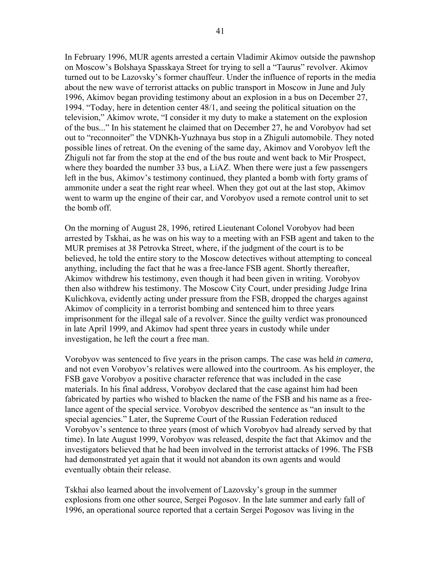In February 1996, MUR agents arrested a certain Vladimir Akimov outside the pawnshop on Moscow's Bolshaya Spasskaya Street for trying to sell a "Taurus" revolver. Akimov turned out to be Lazovsky's former chauffeur. Under the influence of reports in the media about the new wave of terrorist attacks on public transport in Moscow in June and July 1996, Akimov began providing testimony about an explosion in a bus on December 27, 1994. "Today, here in detention center 48/1, and seeing the political situation on the television," Akimov wrote, "I consider it my duty to make a statement on the explosion of the bus..." In his statement he claimed that on December 27, he and Vorobyov had set out to "reconnoiter" the VDNKh-Yuzhnaya bus stop in a Zhiguli automobile. They noted possible lines of retreat. On the evening of the same day, Akimov and Vorobyov left the Zhiguli not far from the stop at the end of the bus route and went back to Mir Prospect, where they boarded the number 33 bus, a LiAZ. When there were just a few passengers left in the bus, Akimov's testimony continued, they planted a bomb with forty grams of ammonite under a seat the right rear wheel. When they got out at the last stop, Akimov went to warm up the engine of their car, and Vorobyov used a remote control unit to set the bomb off.

On the morning of August 28, 1996, retired Lieutenant Colonel Vorobyov had been arrested by Tskhai, as he was on his way to a meeting with an FSB agent and taken to the MUR premises at 38 Petrovka Street, where, if the judgment of the court is to be believed, he told the entire story to the Moscow detectives without attempting to conceal anything, including the fact that he was a free-lance FSB agent. Shortly thereafter, Akimov withdrew his testimony, even though it had been given in writing. Vorobyov then also withdrew his testimony. The Moscow City Court, under presiding Judge Irina Kulichkova, evidently acting under pressure from the FSB, dropped the charges against Akimov of complicity in a terrorist bombing and sentenced him to three years imprisonment for the illegal sale of a revolver. Since the guilty verdict was pronounced in late April 1999, and Akimov had spent three years in custody while under investigation, he left the court a free man.

Vorobyov was sentenced to five years in the prison camps. The case was held *in camera*, and not even Vorobyov's relatives were allowed into the courtroom. As his employer, the FSB gave Vorobyov a positive character reference that was included in the case materials. In his final address, Vorobyov declared that the case against him had been fabricated by parties who wished to blacken the name of the FSB and his name as a freelance agent of the special service. Vorobyov described the sentence as "an insult to the special agencies." Later, the Supreme Court of the Russian Federation reduced Vorobyov's sentence to three years (most of which Vorobyov had already served by that time). In late August 1999, Vorobyov was released, despite the fact that Akimov and the investigators believed that he had been involved in the terrorist attacks of 1996. The FSB had demonstrated yet again that it would not abandon its own agents and would eventually obtain their release.

Tskhai also learned about the involvement of Lazovsky's group in the summer explosions from one other source, Sergei Pogosov. In the late summer and early fall of 1996, an operational source reported that a certain Sergei Pogosov was living in the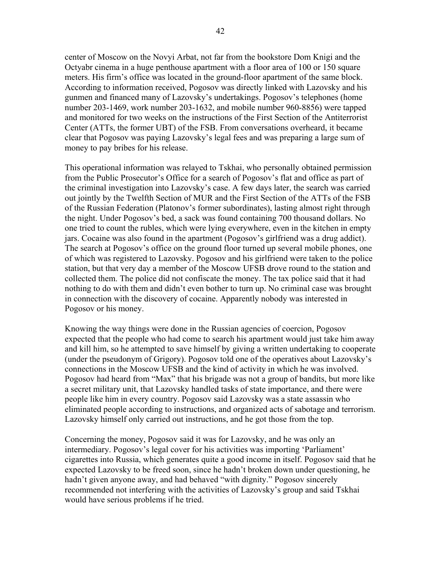center of Moscow on the Novyi Arbat, not far from the bookstore Dom Knigi and the Octyabr cinema in a huge penthouse apartment with a floor area of 100 or 150 square meters. His firm's office was located in the ground-floor apartment of the same block. According to information received, Pogosov was directly linked with Lazovsky and his gunmen and financed many of Lazovsky's undertakings. Pogosov's telephones (home number 203-1469, work number 203-1632, and mobile number 960-8856) were tapped and monitored for two weeks on the instructions of the First Section of the Antiterrorist Center (ATTs, the former UBT) of the FSB. From conversations overheard, it became clear that Pogosov was paying Lazovsky's legal fees and was preparing a large sum of money to pay bribes for his release.

This operational information was relayed to Tskhai, who personally obtained permission from the Public Prosecutor's Office for a search of Pogosov's flat and office as part of the criminal investigation into Lazovsky's case. A few days later, the search was carried out jointly by the Twelfth Section of MUR and the First Section of the ATTs of the FSB of the Russian Federation (Platonov's former subordinates), lasting almost right through the night. Under Pogosov's bed, a sack was found containing 700 thousand dollars. No one tried to count the rubles, which were lying everywhere, even in the kitchen in empty jars. Cocaine was also found in the apartment (Pogosov's girlfriend was a drug addict). The search at Pogosov's office on the ground floor turned up several mobile phones, one of which was registered to Lazovsky. Pogosov and his girlfriend were taken to the police station, but that very day a member of the Moscow UFSB drove round to the station and collected them. The police did not confiscate the money. The tax police said that it had nothing to do with them and didn't even bother to turn up. No criminal case was brought in connection with the discovery of cocaine. Apparently nobody was interested in Pogosov or his money.

Knowing the way things were done in the Russian agencies of coercion, Pogosov expected that the people who had come to search his apartment would just take him away and kill him, so he attempted to save himself by giving a written undertaking to cooperate (under the pseudonym of Grigory). Pogosov told one of the operatives about Lazovsky's connections in the Moscow UFSB and the kind of activity in which he was involved. Pogosov had heard from "Max" that his brigade was not a group of bandits, but more like a secret military unit, that Lazovsky handled tasks of state importance, and there were people like him in every country. Pogosov said Lazovsky was a state assassin who eliminated people according to instructions, and organized acts of sabotage and terrorism. Lazovsky himself only carried out instructions, and he got those from the top.

Concerning the money, Pogosov said it was for Lazovsky, and he was only an intermediary. Pogosov's legal cover for his activities was importing 'Parliament' cigarettes into Russia, which generates quite a good income in itself. Pogosov said that he expected Lazovsky to be freed soon, since he hadn't broken down under questioning, he hadn't given anyone away, and had behaved "with dignity." Pogosov sincerely recommended not interfering with the activities of Lazovsky's group and said Tskhai would have serious problems if he tried.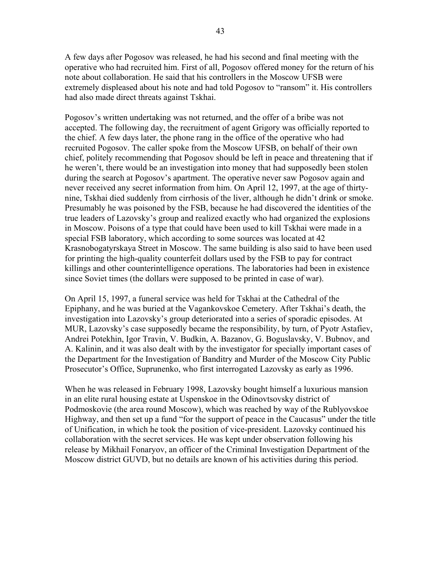A few days after Pogosov was released, he had his second and final meeting with the operative who had recruited him. First of all, Pogosov offered money for the return of his note about collaboration. He said that his controllers in the Moscow UFSB were extremely displeased about his note and had told Pogosov to "ransom" it. His controllers had also made direct threats against Tskhai.

Pogosov's written undertaking was not returned, and the offer of a bribe was not accepted. The following day, the recruitment of agent Grigory was officially reported to the chief. A few days later, the phone rang in the office of the operative who had recruited Pogosov. The caller spoke from the Moscow UFSB, on behalf of their own chief, politely recommending that Pogosov should be left in peace and threatening that if he weren't, there would be an investigation into money that had supposedly been stolen during the search at Pogosov's apartment. The operative never saw Pogosov again and never received any secret information from him. On April 12, 1997, at the age of thirtynine, Tskhai died suddenly from cirrhosis of the liver, although he didn't drink or smoke. Presumably he was poisoned by the FSB, because he had discovered the identities of the true leaders of Lazovsky's group and realized exactly who had organized the explosions in Moscow. Poisons of a type that could have been used to kill Tskhai were made in a special FSB laboratory, which according to some sources was located at 42 Krasnobogatyrskaya Street in Moscow. The same building is also said to have been used for printing the high-quality counterfeit dollars used by the FSB to pay for contract killings and other counterintelligence operations. The laboratories had been in existence since Soviet times (the dollars were supposed to be printed in case of war).

On April 15, 1997, a funeral service was held for Tskhai at the Cathedral of the Epiphany, and he was buried at the Vagankovskoe Cemetery. After Tskhai's death, the investigation into Lazovsky's group deteriorated into a series of sporadic episodes. At MUR, Lazovsky's case supposedly became the responsibility, by turn, of Pyotr Astafiev, Andrei Potekhin, Igor Travin, V. Budkin, A. Bazanov, G. Boguslavsky, V. Bubnov, and A. Kalinin, and it was also dealt with by the investigator for specially important cases of the Department for the Investigation of Banditry and Murder of the Moscow City Public Prosecutor's Office, Suprunenko, who first interrogated Lazovsky as early as 1996.

When he was released in February 1998, Lazovsky bought himself a luxurious mansion in an elite rural housing estate at Uspenskoe in the Odinovtsovsky district of Podmoskovie (the area round Moscow), which was reached by way of the Rublyovskoe Highway, and then set up a fund "for the support of peace in the Caucasus" under the title of Unification, in which he took the position of vice-president. Lazovsky continued his collaboration with the secret services. He was kept under observation following his release by Mikhail Fonaryov, an officer of the Criminal Investigation Department of the Moscow district GUVD, but no details are known of his activities during this period.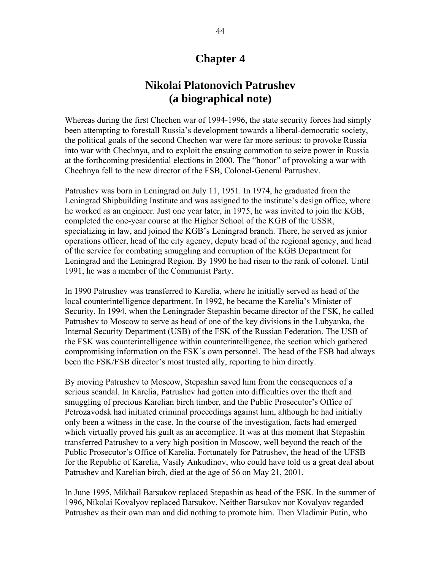### **Chapter 4**

### **Nikolai Platonovich Patrushev (a biographical note)**

Whereas during the first Chechen war of 1994-1996, the state security forces had simply been attempting to forestall Russia's development towards a liberal-democratic society, the political goals of the second Chechen war were far more serious: to provoke Russia into war with Chechnya, and to exploit the ensuing commotion to seize power in Russia at the forthcoming presidential elections in 2000. The "honor" of provoking a war with Chechnya fell to the new director of the FSB, Colonel-General Patrushev.

Patrushev was born in Leningrad on July 11, 1951. In 1974, he graduated from the Leningrad Shipbuilding Institute and was assigned to the institute's design office, where he worked as an engineer. Just one year later, in 1975, he was invited to join the KGB, completed the one-year course at the Higher School of the KGB of the USSR, specializing in law, and joined the KGB's Leningrad branch. There, he served as junior operations officer, head of the city agency, deputy head of the regional agency, and head of the service for combating smuggling and corruption of the KGB Department for Leningrad and the Leningrad Region. By 1990 he had risen to the rank of colonel. Until 1991, he was a member of the Communist Party.

In 1990 Patrushev was transferred to Karelia, where he initially served as head of the local counterintelligence department. In 1992, he became the Karelia's Minister of Security. In 1994, when the Leningrader Stepashin became director of the FSK, he called Patrushev to Moscow to serve as head of one of the key divisions in the Lubyanka, the Internal Security Department (USB) of the FSK of the Russian Federation. The USB of the FSK was counterintelligence within counterintelligence, the section which gathered compromising information on the FSK's own personnel. The head of the FSB had always been the FSK/FSB director's most trusted ally, reporting to him directly.

By moving Patrushev to Moscow, Stepashin saved him from the consequences of a serious scandal. In Karelia, Patrushev had gotten into difficulties over the theft and smuggling of precious Karelian birch timber, and the Public Prosecutor's Office of Petrozavodsk had initiated criminal proceedings against him, although he had initially only been a witness in the case. In the course of the investigation, facts had emerged which virtually proved his guilt as an accomplice. It was at this moment that Stepashin transferred Patrushev to a very high position in Moscow, well beyond the reach of the Public Prosecutor's Office of Karelia. Fortunately for Patrushev, the head of the UFSB for the Republic of Karelia, Vasily Ankudinov, who could have told us a great deal about Patrushev and Karelian birch, died at the age of 56 on May 21, 2001.

In June 1995, Mikhail Barsukov replaced Stepashin as head of the FSK. In the summer of 1996, Nikolai Kovalyov replaced Barsukov. Neither Barsukov nor Kovalyov regarded Patrushev as their own man and did nothing to promote him. Then Vladimir Putin, who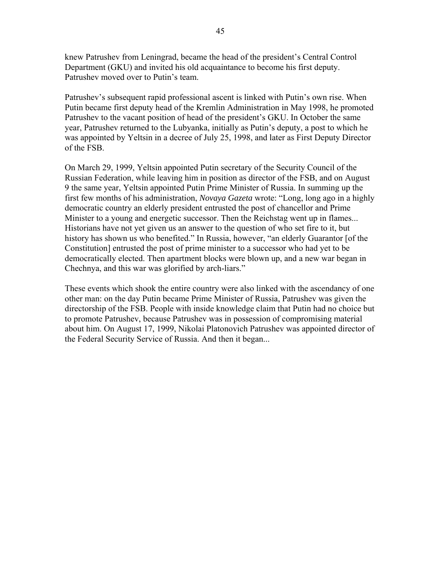knew Patrushev from Leningrad, became the head of the president's Central Control Department (GKU) and invited his old acquaintance to become his first deputy. Patrushev moved over to Putin's team.

Patrushev's subsequent rapid professional ascent is linked with Putin's own rise. When Putin became first deputy head of the Kremlin Administration in May 1998, he promoted Patrushev to the vacant position of head of the president's GKU. In October the same year, Patrushev returned to the Lubyanka, initially as Putin's deputy, a post to which he was appointed by Yeltsin in a decree of July 25, 1998, and later as First Deputy Director of the FSB.

On March 29, 1999, Yeltsin appointed Putin secretary of the Security Council of the Russian Federation, while leaving him in position as director of the FSB, and on August 9 the same year, Yeltsin appointed Putin Prime Minister of Russia. In summing up the first few months of his administration, *Novaya Gazeta* wrote: "Long, long ago in a highly democratic country an elderly president entrusted the post of chancellor and Prime Minister to a young and energetic successor. Then the Reichstag went up in flames... Historians have not yet given us an answer to the question of who set fire to it, but history has shown us who benefited." In Russia, however, "an elderly Guarantor [of the Constitution] entrusted the post of prime minister to a successor who had yet to be democratically elected. Then apartment blocks were blown up, and a new war began in Chechnya, and this war was glorified by arch-liars."

These events which shook the entire country were also linked with the ascendancy of one other man: on the day Putin became Prime Minister of Russia, Patrushev was given the directorship of the FSB. People with inside knowledge claim that Putin had no choice but to promote Patrushev, because Patrushev was in possession of compromising material about him. On August 17, 1999, Nikolai Platonovich Patrushev was appointed director of the Federal Security Service of Russia. And then it began...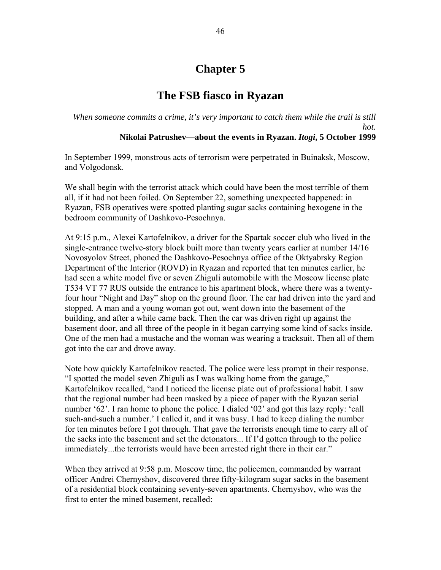# **Chapter 5**

## **The FSB fiasco in Ryazan**

*When someone commits a crime, it's very important to catch them while the trail is still hot.* 

#### **Nikolai Patrushev—about the events in Ryazan.** *Itogi***, 5 October 1999**

In September 1999, monstrous acts of terrorism were perpetrated in Buinaksk, Moscow, and Volgodonsk.

We shall begin with the terrorist attack which could have been the most terrible of them all, if it had not been foiled. On September 22, something unexpected happened: in Ryazan, FSB operatives were spotted planting sugar sacks containing hexogene in the bedroom community of Dashkovo-Pesochnya.

At 9:15 p.m., Alexei Kartofelnikov, a driver for the Spartak soccer club who lived in the single-entrance twelve-story block built more than twenty years earlier at number 14/16 Novosyolov Street, phoned the Dashkovo-Pesochnya office of the Oktyabrsky Region Department of the Interior (ROVD) in Ryazan and reported that ten minutes earlier, he had seen a white model five or seven Zhiguli automobile with the Moscow license plate T534 VT 77 RUS outside the entrance to his apartment block, where there was a twentyfour hour "Night and Day" shop on the ground floor. The car had driven into the yard and stopped. A man and a young woman got out, went down into the basement of the building, and after a while came back. Then the car was driven right up against the basement door, and all three of the people in it began carrying some kind of sacks inside. One of the men had a mustache and the woman was wearing a tracksuit. Then all of them got into the car and drove away.

Note how quickly Kartofelnikov reacted. The police were less prompt in their response. "I spotted the model seven Zhiguli as I was walking home from the garage," Kartofelnikov recalled, "and I noticed the license plate out of professional habit. I saw that the regional number had been masked by a piece of paper with the Ryazan serial number '62'. I ran home to phone the police. I dialed '02' and got this lazy reply: 'call such-and-such a number.' I called it, and it was busy. I had to keep dialing the number for ten minutes before I got through. That gave the terrorists enough time to carry all of the sacks into the basement and set the detonators... If I'd gotten through to the police immediately...the terrorists would have been arrested right there in their car."

When they arrived at 9:58 p.m. Moscow time, the policemen, commanded by warrant officer Andrei Chernyshov, discovered three fifty-kilogram sugar sacks in the basement of a residential block containing seventy-seven apartments. Chernyshov, who was the first to enter the mined basement, recalled: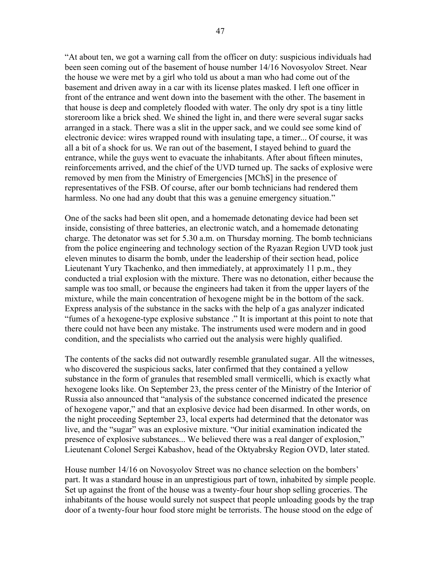"At about ten, we got a warning call from the officer on duty: suspicious individuals had been seen coming out of the basement of house number 14/16 Novosyolov Street. Near the house we were met by a girl who told us about a man who had come out of the basement and driven away in a car with its license plates masked. I left one officer in front of the entrance and went down into the basement with the other. The basement in that house is deep and completely flooded with water. The only dry spot is a tiny little storeroom like a brick shed. We shined the light in, and there were several sugar sacks arranged in a stack. There was a slit in the upper sack, and we could see some kind of electronic device: wires wrapped round with insulating tape, a timer... Of course, it was all a bit of a shock for us. We ran out of the basement, I stayed behind to guard the entrance, while the guys went to evacuate the inhabitants. After about fifteen minutes, reinforcements arrived, and the chief of the UVD turned up. The sacks of explosive were removed by men from the Ministry of Emergencies [MChS] in the presence of representatives of the FSB. Of course, after our bomb technicians had rendered them harmless. No one had any doubt that this was a genuine emergency situation."

One of the sacks had been slit open, and a homemade detonating device had been set inside, consisting of three batteries, an electronic watch, and a homemade detonating charge. The detonator was set for 5.30 a.m. on Thursday morning. The bomb technicians from the police engineering and technology section of the Ryazan Region UVD took just eleven minutes to disarm the bomb, under the leadership of their section head, police Lieutenant Yury Tkachenko, and then immediately, at approximately 11 p.m., they conducted a trial explosion with the mixture. There was no detonation, either because the sample was too small, or because the engineers had taken it from the upper layers of the mixture, while the main concentration of hexogene might be in the bottom of the sack. Express analysis of the substance in the sacks with the help of a gas analyzer indicated "fumes of a hexogene-type explosive substance ." It is important at this point to note that there could not have been any mistake. The instruments used were modern and in good condition, and the specialists who carried out the analysis were highly qualified.

The contents of the sacks did not outwardly resemble granulated sugar. All the witnesses, who discovered the suspicious sacks, later confirmed that they contained a yellow substance in the form of granules that resembled small vermicelli, which is exactly what hexogene looks like. On September 23, the press center of the Ministry of the Interior of Russia also announced that "analysis of the substance concerned indicated the presence of hexogene vapor," and that an explosive device had been disarmed. In other words, on the night proceeding September 23, local experts had determined that the detonator was live, and the "sugar" was an explosive mixture. "Our initial examination indicated the presence of explosive substances... We believed there was a real danger of explosion," Lieutenant Colonel Sergei Kabashov, head of the Oktyabrsky Region OVD, later stated.

House number 14/16 on Novosyolov Street was no chance selection on the bombers' part. It was a standard house in an unprestigious part of town, inhabited by simple people. Set up against the front of the house was a twenty-four hour shop selling groceries. The inhabitants of the house would surely not suspect that people unloading goods by the trap door of a twenty-four hour food store might be terrorists. The house stood on the edge of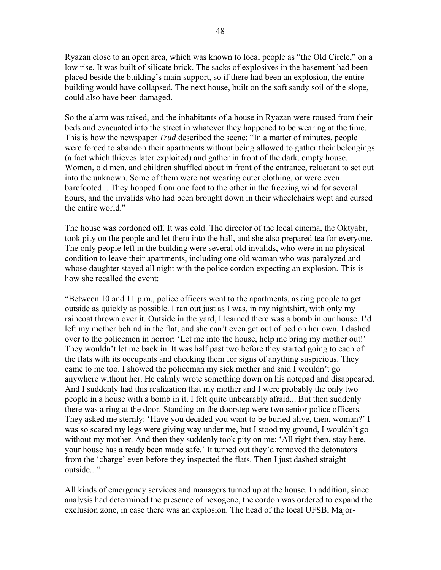Ryazan close to an open area, which was known to local people as "the Old Circle," on a low rise. It was built of silicate brick. The sacks of explosives in the basement had been placed beside the building's main support, so if there had been an explosion, the entire building would have collapsed. The next house, built on the soft sandy soil of the slope, could also have been damaged.

So the alarm was raised, and the inhabitants of a house in Ryazan were roused from their beds and evacuated into the street in whatever they happened to be wearing at the time. This is how the newspaper *Trud* described the scene: "In a matter of minutes, people were forced to abandon their apartments without being allowed to gather their belongings (a fact which thieves later exploited) and gather in front of the dark, empty house. Women, old men, and children shuffled about in front of the entrance, reluctant to set out into the unknown. Some of them were not wearing outer clothing, or were even barefooted... They hopped from one foot to the other in the freezing wind for several hours, and the invalids who had been brought down in their wheelchairs wept and cursed the entire world."

The house was cordoned off. It was cold. The director of the local cinema, the Oktyabr, took pity on the people and let them into the hall, and she also prepared tea for everyone. The only people left in the building were several old invalids, who were in no physical condition to leave their apartments, including one old woman who was paralyzed and whose daughter stayed all night with the police cordon expecting an explosion. This is how she recalled the event:

"Between 10 and 11 p.m., police officers went to the apartments, asking people to get outside as quickly as possible. I ran out just as I was, in my nightshirt, with only my raincoat thrown over it. Outside in the yard, I learned there was a bomb in our house. I'd left my mother behind in the flat, and she can't even get out of bed on her own. I dashed over to the policemen in horror: 'Let me into the house, help me bring my mother out!' They wouldn't let me back in. It was half past two before they started going to each of the flats with its occupants and checking them for signs of anything suspicious. They came to me too. I showed the policeman my sick mother and said I wouldn't go anywhere without her. He calmly wrote something down on his notepad and disappeared. And I suddenly had this realization that my mother and I were probably the only two people in a house with a bomb in it. I felt quite unbearably afraid... But then suddenly there was a ring at the door. Standing on the doorstep were two senior police officers. They asked me sternly: 'Have you decided you want to be buried alive, then, woman?' I was so scared my legs were giving way under me, but I stood my ground, I wouldn't go without my mother. And then they suddenly took pity on me: 'All right then, stay here, your house has already been made safe.' It turned out they'd removed the detonators from the 'charge' even before they inspected the flats. Then I just dashed straight outside..."

All kinds of emergency services and managers turned up at the house. In addition, since analysis had determined the presence of hexogene, the cordon was ordered to expand the exclusion zone, in case there was an explosion. The head of the local UFSB, Major-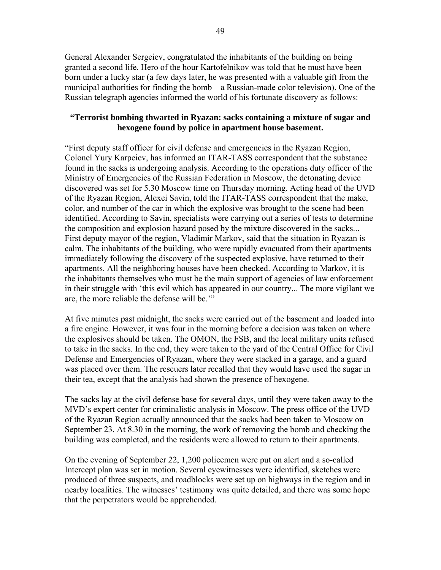General Alexander Sergeiev, congratulated the inhabitants of the building on being granted a second life. Hero of the hour Kartofelnikov was told that he must have been born under a lucky star (a few days later, he was presented with a valuable gift from the municipal authorities for finding the bomb—a Russian-made color television). One of the Russian telegraph agencies informed the world of his fortunate discovery as follows:

#### **"Terrorist bombing thwarted in Ryazan: sacks containing a mixture of sugar and hexogene found by police in apartment house basement.**

"First deputy staff officer for civil defense and emergencies in the Ryazan Region, Colonel Yury Karpeiev, has informed an ITAR-TASS correspondent that the substance found in the sacks is undergoing analysis. According to the operations duty officer of the Ministry of Emergencies of the Russian Federation in Moscow, the detonating device discovered was set for 5.30 Moscow time on Thursday morning. Acting head of the UVD of the Ryazan Region, Alexei Savin, told the ITAR-TASS correspondent that the make, color, and number of the car in which the explosive was brought to the scene had been identified. According to Savin, specialists were carrying out a series of tests to determine the composition and explosion hazard posed by the mixture discovered in the sacks... First deputy mayor of the region, Vladimir Markov, said that the situation in Ryazan is calm. The inhabitants of the building, who were rapidly evacuated from their apartments immediately following the discovery of the suspected explosive, have returned to their apartments. All the neighboring houses have been checked. According to Markov, it is the inhabitants themselves who must be the main support of agencies of law enforcement in their struggle with 'this evil which has appeared in our country... The more vigilant we are, the more reliable the defense will be.'"

At five minutes past midnight, the sacks were carried out of the basement and loaded into a fire engine. However, it was four in the morning before a decision was taken on where the explosives should be taken. The OMON, the FSB, and the local military units refused to take in the sacks. In the end, they were taken to the yard of the Central Office for Civil Defense and Emergencies of Ryazan, where they were stacked in a garage, and a guard was placed over them. The rescuers later recalled that they would have used the sugar in their tea, except that the analysis had shown the presence of hexogene.

The sacks lay at the civil defense base for several days, until they were taken away to the MVD's expert center for criminalistic analysis in Moscow. The press office of the UVD of the Ryazan Region actually announced that the sacks had been taken to Moscow on September 23. At 8.30 in the morning, the work of removing the bomb and checking the building was completed, and the residents were allowed to return to their apartments.

On the evening of September 22, 1,200 policemen were put on alert and a so-called Intercept plan was set in motion. Several eyewitnesses were identified, sketches were produced of three suspects, and roadblocks were set up on highways in the region and in nearby localities. The witnesses' testimony was quite detailed, and there was some hope that the perpetrators would be apprehended.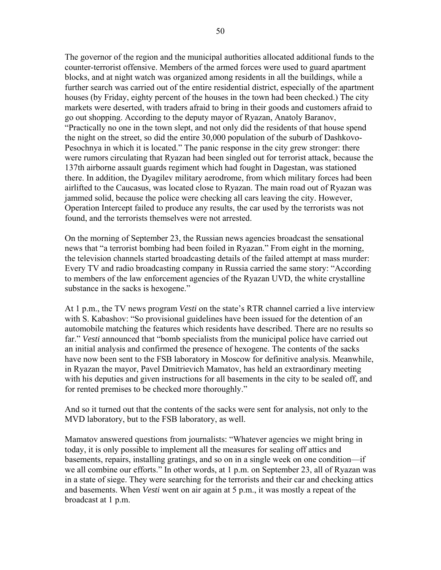The governor of the region and the municipal authorities allocated additional funds to the counter-terrorist offensive. Members of the armed forces were used to guard apartment blocks, and at night watch was organized among residents in all the buildings, while a further search was carried out of the entire residential district, especially of the apartment houses (by Friday, eighty percent of the houses in the town had been checked.) The city markets were deserted, with traders afraid to bring in their goods and customers afraid to go out shopping. According to the deputy mayor of Ryazan, Anatoly Baranov, "Practically no one in the town slept, and not only did the residents of that house spend the night on the street, so did the entire 30,000 population of the suburb of Dashkovo-Pesochnya in which it is located." The panic response in the city grew stronger: there were rumors circulating that Ryazan had been singled out for terrorist attack, because the 137th airborne assault guards regiment which had fought in Dagestan, was stationed there. In addition, the Dyagilev military aerodrome, from which military forces had been airlifted to the Caucasus, was located close to Ryazan. The main road out of Ryazan was jammed solid, because the police were checking all cars leaving the city. However, Operation Intercept failed to produce any results, the car used by the terrorists was not found, and the terrorists themselves were not arrested.

On the morning of September 23, the Russian news agencies broadcast the sensational news that "a terrorist bombing had been foiled in Ryazan." From eight in the morning, the television channels started broadcasting details of the failed attempt at mass murder: Every TV and radio broadcasting company in Russia carried the same story: "According to members of the law enforcement agencies of the Ryazan UVD, the white crystalline substance in the sacks is hexogene."

At 1 p.m., the TV news program *Vesti* on the state's RTR channel carried a live interview with S. Kabashov: "So provisional guidelines have been issued for the detention of an automobile matching the features which residents have described. There are no results so far." *Vesti* announced that "bomb specialists from the municipal police have carried out an initial analysis and confirmed the presence of hexogene. The contents of the sacks have now been sent to the FSB laboratory in Moscow for definitive analysis. Meanwhile, in Ryazan the mayor, Pavel Dmitrievich Mamatov, has held an extraordinary meeting with his deputies and given instructions for all basements in the city to be sealed off, and for rented premises to be checked more thoroughly."

And so it turned out that the contents of the sacks were sent for analysis, not only to the MVD laboratory, but to the FSB laboratory, as well.

Mamatov answered questions from journalists: "Whatever agencies we might bring in today, it is only possible to implement all the measures for sealing off attics and basements, repairs, installing gratings, and so on in a single week on one condition—if we all combine our efforts." In other words, at 1 p.m. on September 23, all of Ryazan was in a state of siege. They were searching for the terrorists and their car and checking attics and basements. When *Vesti* went on air again at 5 p.m., it was mostly a repeat of the broadcast at 1 p.m.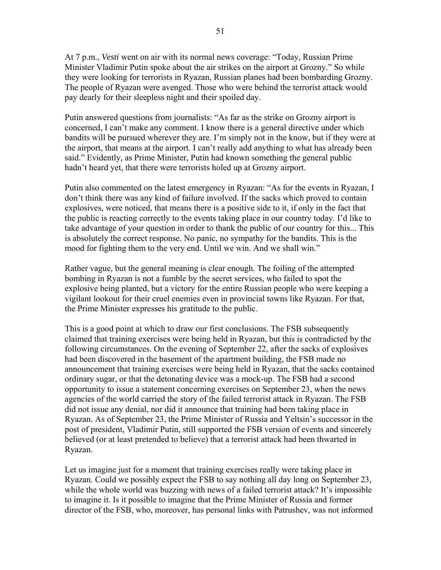At 7 p.m., *Vesti* went on air with its normal news coverage: "Today, Russian Prime Minister Vladimir Putin spoke about the air strikes on the airport at Grozny." So while they were looking for terrorists in Ryazan, Russian planes had been bombarding Grozny. The people of Ryazan were avenged. Those who were behind the terrorist attack would pay dearly for their sleepless night and their spoiled day.

Putin answered questions from journalists: "As far as the strike on Grozny airport is concerned, I can't make any comment. I know there is a general directive under which bandits will be pursued wherever they are. I'm simply not in the know, but if they were at the airport, that means at the airport. I can't really add anything to what has already been said." Evidently, as Prime Minister, Putin had known something the general public hadn't heard yet, that there were terrorists holed up at Grozny airport.

Putin also commented on the latest emergency in Ryazan: "As for the events in Ryazan, I don't think there was any kind of failure involved. If the sacks which proved to contain explosives, were noticed, that means there is a positive side to it, if only in the fact that the public is reacting correctly to the events taking place in our country today. I'd like to take advantage of your question in order to thank the public of our country for this... This is absolutely the correct response. No panic, no sympathy for the bandits. This is the mood for fighting them to the very end. Until we win. And we shall win."

Rather vague, but the general meaning is clear enough. The foiling of the attempted bombing in Ryazan is not a fumble by the secret services, who failed to spot the explosive being planted, but a victory for the entire Russian people who were keeping a vigilant lookout for their cruel enemies even in provincial towns like Ryazan. For that, the Prime Minister expresses his gratitude to the public.

This is a good point at which to draw our first conclusions. The FSB subsequently claimed that training exercises were being held in Ryazan, but this is contradicted by the following circumstances. On the evening of September 22, after the sacks of explosives had been discovered in the basement of the apartment building, the FSB made no announcement that training exercises were being held in Ryazan, that the sacks contained ordinary sugar, or that the detonating device was a mock-up. The FSB had a second opportunity to issue a statement concerning exercises on September 23, when the news agencies of the world carried the story of the failed terrorist attack in Ryazan. The FSB did not issue any denial, nor did it announce that training had been taking place in Ryazan. As of September 23, the Prime Minister of Russia and Yeltsin's successor in the post of president, Vladimir Putin, still supported the FSB version of events and sincerely believed (or at least pretended to believe) that a terrorist attack had been thwarted in Ryazan.

Let us imagine just for a moment that training exercises really were taking place in Ryazan. Could we possibly expect the FSB to say nothing all day long on September 23, while the whole world was buzzing with news of a failed terrorist attack? It's impossible to imagine it. Is it possible to imagine that the Prime Minister of Russia and former director of the FSB, who, moreover, has personal links with Patrushev, was not informed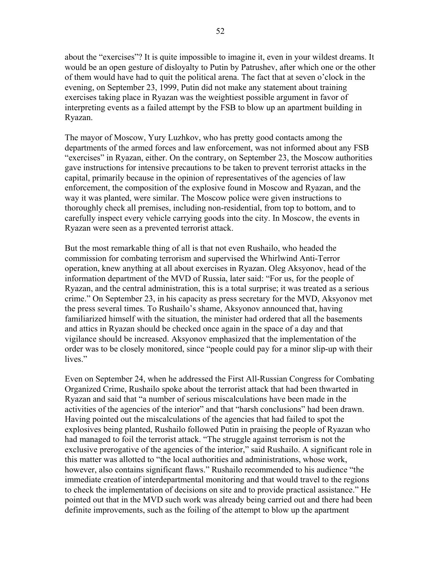about the "exercises"? It is quite impossible to imagine it, even in your wildest dreams. It would be an open gesture of disloyalty to Putin by Patrushev, after which one or the other of them would have had to quit the political arena. The fact that at seven o'clock in the evening, on September 23, 1999, Putin did not make any statement about training exercises taking place in Ryazan was the weightiest possible argument in favor of interpreting events as a failed attempt by the FSB to blow up an apartment building in Ryazan.

The mayor of Moscow, Yury Luzhkov, who has pretty good contacts among the departments of the armed forces and law enforcement, was not informed about any FSB "exercises" in Ryazan, either. On the contrary, on September 23, the Moscow authorities gave instructions for intensive precautions to be taken to prevent terrorist attacks in the capital, primarily because in the opinion of representatives of the agencies of law enforcement, the composition of the explosive found in Moscow and Ryazan, and the way it was planted, were similar. The Moscow police were given instructions to thoroughly check all premises, including non-residential, from top to bottom, and to carefully inspect every vehicle carrying goods into the city. In Moscow, the events in Ryazan were seen as a prevented terrorist attack.

But the most remarkable thing of all is that not even Rushailo, who headed the commission for combating terrorism and supervised the Whirlwind Anti-Terror operation, knew anything at all about exercises in Ryazan. Oleg Aksyonov, head of the information department of the MVD of Russia, later said: "For us, for the people of Ryazan, and the central administration, this is a total surprise; it was treated as a serious crime." On September 23, in his capacity as press secretary for the MVD, Aksyonov met the press several times. To Rushailo's shame, Aksyonov announced that, having familiarized himself with the situation, the minister had ordered that all the basements and attics in Ryazan should be checked once again in the space of a day and that vigilance should be increased. Aksyonov emphasized that the implementation of the order was to be closely monitored, since "people could pay for a minor slip-up with their lives."

Even on September 24, when he addressed the First All-Russian Congress for Combating Organized Crime, Rushailo spoke about the terrorist attack that had been thwarted in Ryazan and said that "a number of serious miscalculations have been made in the activities of the agencies of the interior" and that "harsh conclusions" had been drawn. Having pointed out the miscalculations of the agencies that had failed to spot the explosives being planted, Rushailo followed Putin in praising the people of Ryazan who had managed to foil the terrorist attack. "The struggle against terrorism is not the exclusive prerogative of the agencies of the interior," said Rushailo. A significant role in this matter was allotted to "the local authorities and administrations, whose work, however, also contains significant flaws." Rushailo recommended to his audience "the immediate creation of interdepartmental monitoring and that would travel to the regions to check the implementation of decisions on site and to provide practical assistance." He pointed out that in the MVD such work was already being carried out and there had been definite improvements, such as the foiling of the attempt to blow up the apartment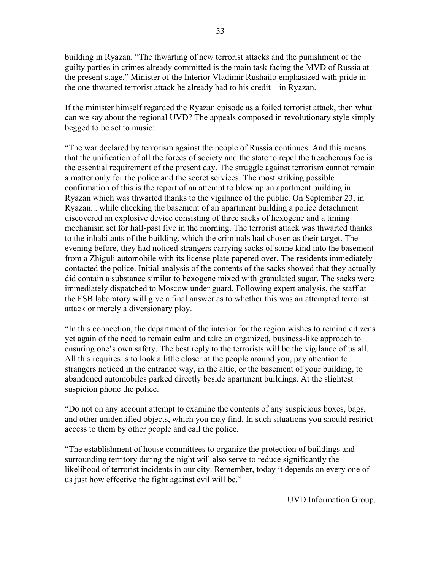building in Ryazan. "The thwarting of new terrorist attacks and the punishment of the guilty parties in crimes already committed is the main task facing the MVD of Russia at the present stage," Minister of the Interior Vladimir Rushailo emphasized with pride in the one thwarted terrorist attack he already had to his credit—in Ryazan.

If the minister himself regarded the Ryazan episode as a foiled terrorist attack, then what can we say about the regional UVD? The appeals composed in revolutionary style simply begged to be set to music:

"The war declared by terrorism against the people of Russia continues. And this means that the unification of all the forces of society and the state to repel the treacherous foe is the essential requirement of the present day. The struggle against terrorism cannot remain a matter only for the police and the secret services. The most striking possible confirmation of this is the report of an attempt to blow up an apartment building in Ryazan which was thwarted thanks to the vigilance of the public. On September 23, in Ryazan... while checking the basement of an apartment building a police detachment discovered an explosive device consisting of three sacks of hexogene and a timing mechanism set for half-past five in the morning. The terrorist attack was thwarted thanks to the inhabitants of the building, which the criminals had chosen as their target. The evening before, they had noticed strangers carrying sacks of some kind into the basement from a Zhiguli automobile with its license plate papered over. The residents immediately contacted the police. Initial analysis of the contents of the sacks showed that they actually did contain a substance similar to hexogene mixed with granulated sugar. The sacks were immediately dispatched to Moscow under guard. Following expert analysis, the staff at the FSB laboratory will give a final answer as to whether this was an attempted terrorist attack or merely a diversionary ploy.

"In this connection, the department of the interior for the region wishes to remind citizens yet again of the need to remain calm and take an organized, business-like approach to ensuring one's own safety. The best reply to the terrorists will be the vigilance of us all. All this requires is to look a little closer at the people around you, pay attention to strangers noticed in the entrance way, in the attic, or the basement of your building, to abandoned automobiles parked directly beside apartment buildings. At the slightest suspicion phone the police.

"Do not on any account attempt to examine the contents of any suspicious boxes, bags, and other unidentified objects, which you may find. In such situations you should restrict access to them by other people and call the police.

"The establishment of house committees to organize the protection of buildings and surrounding territory during the night will also serve to reduce significantly the likelihood of terrorist incidents in our city. Remember, today it depends on every one of us just how effective the fight against evil will be."

—UVD Information Group.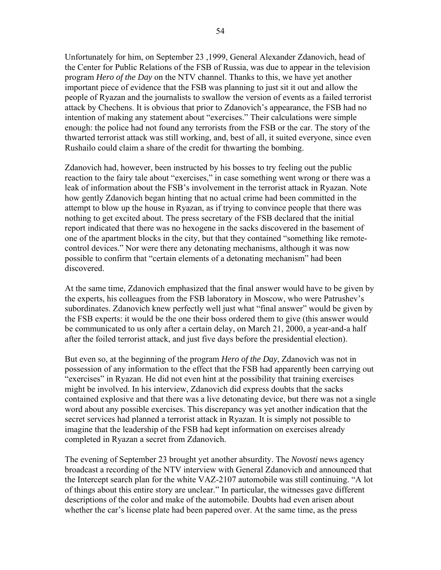Unfortunately for him, on September 23 ,1999, General Alexander Zdanovich, head of the Center for Public Relations of the FSB of Russia, was due to appear in the television program *Hero of the Day* on the NTV channel. Thanks to this, we have yet another important piece of evidence that the FSB was planning to just sit it out and allow the people of Ryazan and the journalists to swallow the version of events as a failed terrorist attack by Chechens. It is obvious that prior to Zdanovich's appearance, the FSB had no intention of making any statement about "exercises." Their calculations were simple enough: the police had not found any terrorists from the FSB or the car. The story of the thwarted terrorist attack was still working, and, best of all, it suited everyone, since even Rushailo could claim a share of the credit for thwarting the bombing.

Zdanovich had, however, been instructed by his bosses to try feeling out the public reaction to the fairy tale about "exercises," in case something went wrong or there was a leak of information about the FSB's involvement in the terrorist attack in Ryazan. Note how gently Zdanovich began hinting that no actual crime had been committed in the attempt to blow up the house in Ryazan, as if trying to convince people that there was nothing to get excited about. The press secretary of the FSB declared that the initial report indicated that there was no hexogene in the sacks discovered in the basement of one of the apartment blocks in the city, but that they contained "something like remotecontrol devices." Nor were there any detonating mechanisms, although it was now possible to confirm that "certain elements of a detonating mechanism" had been discovered.

At the same time, Zdanovich emphasized that the final answer would have to be given by the experts, his colleagues from the FSB laboratory in Moscow, who were Patrushev's subordinates. Zdanovich knew perfectly well just what "final answer" would be given by the FSB experts: it would be the one their boss ordered them to give (this answer would be communicated to us only after a certain delay, on March 21, 2000, a year-and-a half after the foiled terrorist attack, and just five days before the presidential election).

But even so, at the beginning of the program *Hero of the Day*, Zdanovich was not in possession of any information to the effect that the FSB had apparently been carrying out "exercises" in Ryazan. He did not even hint at the possibility that training exercises might be involved. In his interview, Zdanovich did express doubts that the sacks contained explosive and that there was a live detonating device, but there was not a single word about any possible exercises. This discrepancy was yet another indication that the secret services had planned a terrorist attack in Ryazan. It is simply not possible to imagine that the leadership of the FSB had kept information on exercises already completed in Ryazan a secret from Zdanovich.

The evening of September 23 brought yet another absurdity. The *Novosti* news agency broadcast a recording of the NTV interview with General Zdanovich and announced that the Intercept search plan for the white VAZ-2107 automobile was still continuing. "A lot of things about this entire story are unclear." In particular, the witnesses gave different descriptions of the color and make of the automobile. Doubts had even arisen about whether the car's license plate had been papered over. At the same time, as the press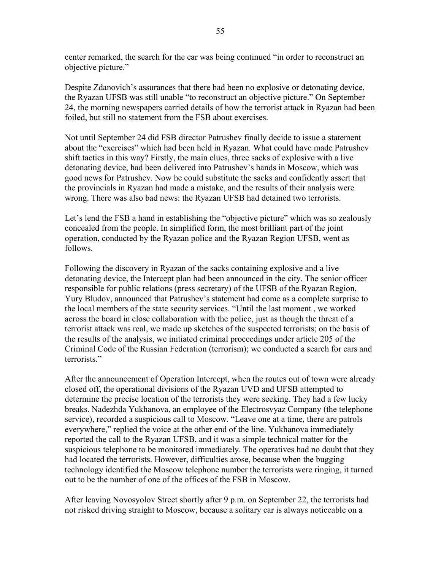center remarked, the search for the car was being continued "in order to reconstruct an objective picture."

Despite Zdanovich's assurances that there had been no explosive or detonating device, the Ryazan UFSB was still unable "to reconstruct an objective picture." On September 24, the morning newspapers carried details of how the terrorist attack in Ryazan had been foiled, but still no statement from the FSB about exercises.

Not until September 24 did FSB director Patrushev finally decide to issue a statement about the "exercises" which had been held in Ryazan. What could have made Patrushev shift tactics in this way? Firstly, the main clues, three sacks of explosive with a live detonating device, had been delivered into Patrushev's hands in Moscow, which was good news for Patrushev. Now he could substitute the sacks and confidently assert that the provincials in Ryazan had made a mistake, and the results of their analysis were wrong. There was also bad news: the Ryazan UFSB had detained two terrorists.

Let's lend the FSB a hand in establishing the "objective picture" which was so zealously concealed from the people. In simplified form, the most brilliant part of the joint operation, conducted by the Ryazan police and the Ryazan Region UFSB, went as follows.

Following the discovery in Ryazan of the sacks containing explosive and a live detonating device, the Intercept plan had been announced in the city. The senior officer responsible for public relations (press secretary) of the UFSB of the Ryazan Region, Yury Bludov, announced that Patrushev's statement had come as a complete surprise to the local members of the state security services. "Until the last moment , we worked across the board in close collaboration with the police, just as though the threat of a terrorist attack was real, we made up sketches of the suspected terrorists; on the basis of the results of the analysis, we initiated criminal proceedings under article 205 of the Criminal Code of the Russian Federation (terrorism); we conducted a search for cars and terrorists."

After the announcement of Operation Intercept, when the routes out of town were already closed off, the operational divisions of the Ryazan UVD and UFSB attempted to determine the precise location of the terrorists they were seeking. They had a few lucky breaks. Nadezhda Yukhanova, an employee of the Electrosvyaz Company (the telephone service), recorded a suspicious call to Moscow. "Leave one at a time, there are patrols everywhere," replied the voice at the other end of the line. Yukhanova immediately reported the call to the Ryazan UFSB, and it was a simple technical matter for the suspicious telephone to be monitored immediately. The operatives had no doubt that they had located the terrorists. However, difficulties arose, because when the bugging technology identified the Moscow telephone number the terrorists were ringing, it turned out to be the number of one of the offices of the FSB in Moscow.

After leaving Novosyolov Street shortly after 9 p.m. on September 22, the terrorists had not risked driving straight to Moscow, because a solitary car is always noticeable on a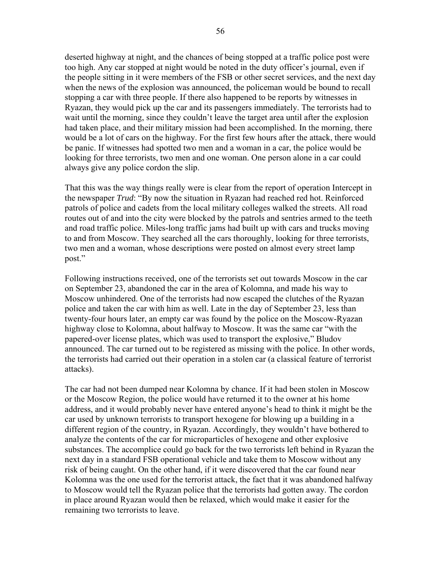deserted highway at night, and the chances of being stopped at a traffic police post were too high. Any car stopped at night would be noted in the duty officer's journal, even if the people sitting in it were members of the FSB or other secret services, and the next day when the news of the explosion was announced, the policeman would be bound to recall stopping a car with three people. If there also happened to be reports by witnesses in Ryazan, they would pick up the car and its passengers immediately. The terrorists had to wait until the morning, since they couldn't leave the target area until after the explosion had taken place, and their military mission had been accomplished. In the morning, there would be a lot of cars on the highway. For the first few hours after the attack, there would be panic. If witnesses had spotted two men and a woman in a car, the police would be looking for three terrorists, two men and one woman. One person alone in a car could always give any police cordon the slip.

That this was the way things really were is clear from the report of operation Intercept in the newspaper *Trud*: "By now the situation in Ryazan had reached red hot. Reinforced patrols of police and cadets from the local military colleges walked the streets. All road routes out of and into the city were blocked by the patrols and sentries armed to the teeth and road traffic police. Miles-long traffic jams had built up with cars and trucks moving to and from Moscow. They searched all the cars thoroughly, looking for three terrorists, two men and a woman, whose descriptions were posted on almost every street lamp post."

Following instructions received, one of the terrorists set out towards Moscow in the car on September 23, abandoned the car in the area of Kolomna*,* and made his way to Moscow unhindered. One of the terrorists had now escaped the clutches of the Ryazan police and taken the car with him as well. Late in the day of September 23, less than twenty-four hours later, an empty car was found by the police on the Moscow-Ryazan highway close to Kolomna, about halfway to Moscow. It was the same car "with the papered-over license plates, which was used to transport the explosive," Bludov announced. The car turned out to be registered as missing with the police. In other words, the terrorists had carried out their operation in a stolen car (a classical feature of terrorist attacks).

The car had not been dumped near Kolomna by chance. If it had been stolen in Moscow or the Moscow Region, the police would have returned it to the owner at his home address, and it would probably never have entered anyone's head to think it might be the car used by unknown terrorists to transport hexogene for blowing up a building in a different region of the country, in Ryazan. Accordingly, they wouldn't have bothered to analyze the contents of the car for microparticles of hexogene and other explosive substances. The accomplice could go back for the two terrorists left behind in Ryazan the next day in a standard FSB operational vehicle and take them to Moscow without any risk of being caught. On the other hand, if it were discovered that the car found near Kolomna was the one used for the terrorist attack, the fact that it was abandoned halfway to Moscow would tell the Ryazan police that the terrorists had gotten away. The cordon in place around Ryazan would then be relaxed, which would make it easier for the remaining two terrorists to leave.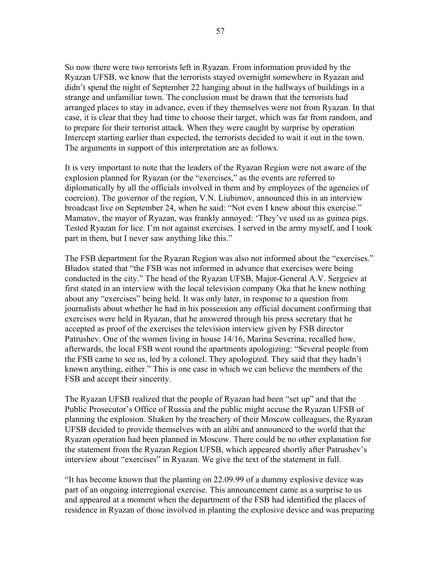So now there were two terrorists left in Ryazan. From information provided by the Ryazan UFSB, we know that the terrorists stayed overnight somewhere in Ryazan and didn't spend the night of September 22 hanging about in the hallways of buildings in a strange and unfamiliar town. The conclusion must be drawn that the terrorists had arranged places to stay in advance, even if they themselves were not from Ryazan. In that case, it is clear that they had time to choose their target, which was far from random, and to prepare for their terrorist attack. When they were caught by surprise by operation Intercept starting earlier than expected, the terrorists decided to wait it out in the town. The arguments in support of this interpretation are as follows.

It is very important to note that the leaders of the Ryazan Region were not aware of the explosion planned for Ryazan (or the "exercises," as the events are referred to diplomatically by all the officials involved in them and by employees of the agencies of coercion). The governor of the region, V.N. Liubimov, announced this in an interview broadcast live on September 24, when he said: "Not even I knew about this exercise." Mamatov, the mayor of Ryazan, was frankly annoyed: 'They've used us as guinea pigs. Tested Ryazan for lice. I'm not against exercises. I served in the army myself, and I took part in them, but I never saw anything like this."

The FSB department for the Ryazan Region was also not informed about the "exercises." Bludov stated that "the FSB was not informed in advance that exercises were being conducted in the city." The head of the Ryazan UFSB, Major-General A.V. Sergeiev at first stated in an interview with the local television company Oka that he knew nothing about any "exercises" being held. It was only later, in response to a question from journalists about whether he had in his possession any official document confirming that exercises were held in Ryazan, that he answered through his press secretary that he accepted as proof of the exercises the television interview given by FSB director Patrushev. One of the women living in house 14/16, Marina Severina, recalled how, afterwards, the local FSB went round the apartments apologizing: "Several people from the FSB came to see us, led by a colonel. They apologized. They said that they hadn't known anything, either." This is one case in which we can believe the members of the FSB and accept their sincerity.

The Ryazan UFSB realized that the people of Ryazan had been "set up" and that the Public Prosecutor's Office of Russia and the public might accuse the Ryazan UFSB of planning the explosion. Shaken by the treachery of their Moscow colleagues, the Ryazan UFSB decided to provide themselves with an alibi and announced to the world that the Ryazan operation had been planned in Moscow. There could be no other explanation for the statement from the Ryazan Region UFSB, which appeared shortly after Patrushev's interview about "exercises" in Ryazan. We give the text of the statement in full.

"It has become known that the planting on 22.09.99 of a dummy explosive device was part of an ongoing interregional exercise. This announcement came as a surprise to us and appeared at a moment when the department of the FSB had identified the places of residence in Ryazan of those involved in planting the explosive device and was preparing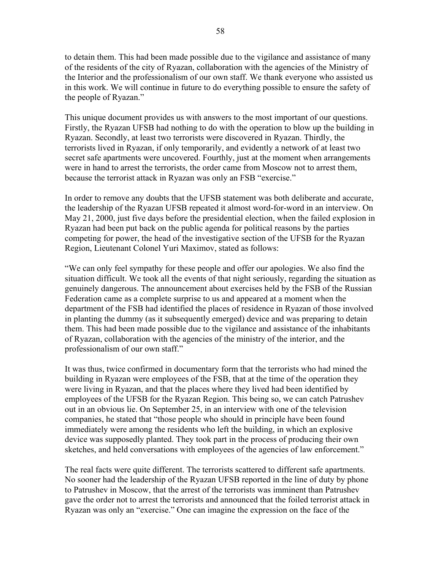58

to detain them. This had been made possible due to the vigilance and assistance of many of the residents of the city of Ryazan, collaboration with the agencies of the Ministry of the Interior and the professionalism of our own staff. We thank everyone who assisted us in this work. We will continue in future to do everything possible to ensure the safety of the people of Ryazan."

This unique document provides us with answers to the most important of our questions. Firstly, the Ryazan UFSB had nothing to do with the operation to blow up the building in Ryazan. Secondly, at least two terrorists were discovered in Ryazan. Thirdly, the terrorists lived in Ryazan, if only temporarily, and evidently a network of at least two secret safe apartments were uncovered. Fourthly, just at the moment when arrangements were in hand to arrest the terrorists, the order came from Moscow not to arrest them, because the terrorist attack in Ryazan was only an FSB "exercise."

In order to remove any doubts that the UFSB statement was both deliberate and accurate, the leadership of the Ryazan UFSB repeated it almost word-for-word in an interview. On May 21, 2000, just five days before the presidential election, when the failed explosion in Ryazan had been put back on the public agenda for political reasons by the parties competing for power, the head of the investigative section of the UFSB for the Ryazan Region, Lieutenant Colonel Yuri Maximov, stated as follows:

"We can only feel sympathy for these people and offer our apologies. We also find the situation difficult. We took all the events of that night seriously, regarding the situation as genuinely dangerous. The announcement about exercises held by the FSB of the Russian Federation came as a complete surprise to us and appeared at a moment when the department of the FSB had identified the places of residence in Ryazan of those involved in planting the dummy (as it subsequently emerged) device and was preparing to detain them. This had been made possible due to the vigilance and assistance of the inhabitants of Ryazan, collaboration with the agencies of the ministry of the interior, and the professionalism of our own staff."

It was thus, twice confirmed in documentary form that the terrorists who had mined the building in Ryazan were employees of the FSB, that at the time of the operation they were living in Ryazan, and that the places where they lived had been identified by employees of the UFSB for the Ryazan Region. This being so, we can catch Patrushev out in an obvious lie. On September 25, in an interview with one of the television companies, he stated that "those people who should in principle have been found immediately were among the residents who left the building, in which an explosive device was supposedly planted. They took part in the process of producing their own sketches, and held conversations with employees of the agencies of law enforcement."

The real facts were quite different. The terrorists scattered to different safe apartments. No sooner had the leadership of the Ryazan UFSB reported in the line of duty by phone to Patrushev in Moscow, that the arrest of the terrorists was imminent than Patrushev gave the order not to arrest the terrorists and announced that the foiled terrorist attack in Ryazan was only an "exercise." One can imagine the expression on the face of the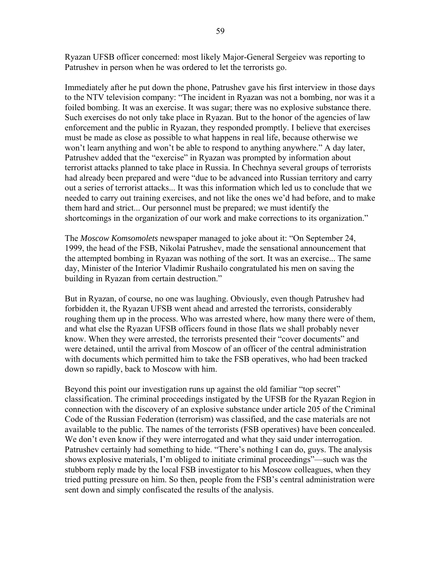Ryazan UFSB officer concerned: most likely Major-General Sergeiev was reporting to Patrushev in person when he was ordered to let the terrorists go.

Immediately after he put down the phone, Patrushev gave his first interview in those days to the NTV television company: "The incident in Ryazan was not a bombing, nor was it a foiled bombing. It was an exercise. It was sugar; there was no explosive substance there. Such exercises do not only take place in Ryazan. But to the honor of the agencies of law enforcement and the public in Ryazan, they responded promptly. I believe that exercises must be made as close as possible to what happens in real life, because otherwise we won't learn anything and won't be able to respond to anything anywhere." A day later, Patrushev added that the "exercise" in Ryazan was prompted by information about terrorist attacks planned to take place in Russia. In Chechnya several groups of terrorists had already been prepared and were "due to be advanced into Russian territory and carry out a series of terrorist attacks... It was this information which led us to conclude that we needed to carry out training exercises, and not like the ones we'd had before, and to make them hard and strict... Our personnel must be prepared; we must identify the shortcomings in the organization of our work and make corrections to its organization."

The *Moscow Komsomolets* newspaper managed to joke about it: "On September 24, 1999, the head of the FSB, Nikolai Patrushev, made the sensational announcement that the attempted bombing in Ryazan was nothing of the sort. It was an exercise... The same day, Minister of the Interior Vladimir Rushailo congratulated his men on saving the building in Ryazan from certain destruction."

But in Ryazan, of course, no one was laughing. Obviously, even though Patrushev had forbidden it, the Ryazan UFSB went ahead and arrested the terrorists, considerably roughing them up in the process. Who was arrested where, how many there were of them, and what else the Ryazan UFSB officers found in those flats we shall probably never know. When they were arrested, the terrorists presented their "cover documents" and were detained, until the arrival from Moscow of an officer of the central administration with documents which permitted him to take the FSB operatives, who had been tracked down so rapidly, back to Moscow with him.

Beyond this point our investigation runs up against the old familiar "top secret" classification. The criminal proceedings instigated by the UFSB for the Ryazan Region in connection with the discovery of an explosive substance under article 205 of the Criminal Code of the Russian Federation (terrorism) was classified, and the case materials are not available to the public. The names of the terrorists (FSB operatives) have been concealed. We don't even know if they were interrogated and what they said under interrogation. Patrushev certainly had something to hide. "There's nothing I can do, guys. The analysis shows explosive materials, I'm obliged to initiate criminal proceedings"—such was the stubborn reply made by the local FSB investigator to his Moscow colleagues, when they tried putting pressure on him. So then, people from the FSB's central administration were sent down and simply confiscated the results of the analysis.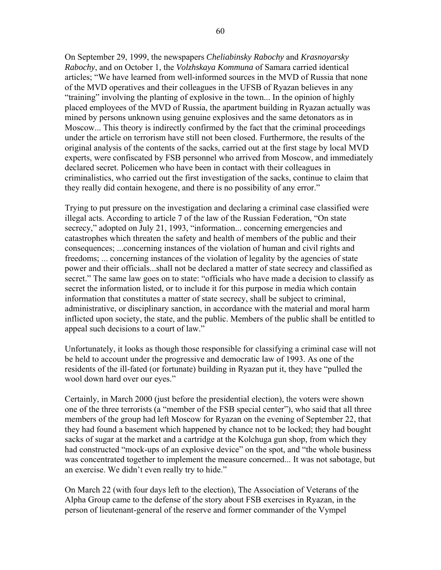On September 29, 1999, the newspapers *Cheliabinsky Rabochy* and *Krasnoyarsky Rabochy*, and on October 1, the *Volzhskaya Kommuna* of Samara carried identical articles; "We have learned from well-informed sources in the MVD of Russia that none of the MVD operatives and their colleagues in the UFSB of Ryazan believes in any "training" involving the planting of explosive in the town... In the opinion of highly placed employees of the MVD of Russia, the apartment building in Ryazan actually was mined by persons unknown using genuine explosives and the same detonators as in Moscow... This theory is indirectly confirmed by the fact that the criminal proceedings under the article on terrorism have still not been closed. Furthermore, the results of the original analysis of the contents of the sacks, carried out at the first stage by local MVD experts, were confiscated by FSB personnel who arrived from Moscow, and immediately declared secret. Policemen who have been in contact with their colleagues in criminalistics, who carried out the first investigation of the sacks, continue to claim that they really did contain hexogene, and there is no possibility of any error."

Trying to put pressure on the investigation and declaring a criminal case classified were illegal acts. According to article 7 of the law of the Russian Federation, "On state secrecy," adopted on July 21, 1993, "information... concerning emergencies and catastrophes which threaten the safety and health of members of the public and their consequences; ...concerning instances of the violation of human and civil rights and freedoms; ... concerning instances of the violation of legality by the agencies of state power and their officials...shall not be declared a matter of state secrecy and classified as secret." The same law goes on to state: "officials who have made a decision to classify as secret the information listed, or to include it for this purpose in media which contain information that constitutes a matter of state secrecy, shall be subject to criminal, administrative, or disciplinary sanction, in accordance with the material and moral harm inflicted upon society, the state, and the public. Members of the public shall be entitled to appeal such decisions to a court of law."

Unfortunately, it looks as though those responsible for classifying a criminal case will not be held to account under the progressive and democratic law of 1993. As one of the residents of the ill-fated (or fortunate) building in Ryazan put it, they have "pulled the wool down hard over our eyes."

Certainly, in March 2000 (just before the presidential election), the voters were shown one of the three terrorists (a "member of the FSB special center"), who said that all three members of the group had left Moscow for Ryazan on the evening of September 22, that they had found a basement which happened by chance not to be locked; they had bought sacks of sugar at the market and a cartridge at the Kolchuga gun shop, from which they had constructed "mock-ups of an explosive device" on the spot, and "the whole business was concentrated together to implement the measure concerned... It was not sabotage, but an exercise. We didn't even really try to hide."

On March 22 (with four days left to the election), The Association of Veterans of the Alpha Group came to the defense of the story about FSB exercises in Ryazan, in the person of lieutenant-general of the reserve and former commander of the Vympel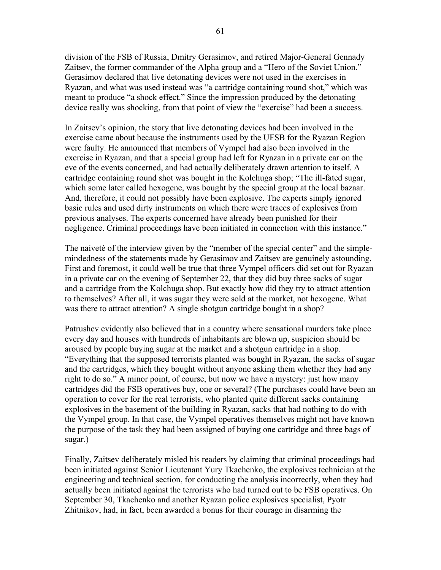division of the FSB of Russia, Dmitry Gerasimov, and retired Major-General Gennady Zaitsev, the former commander of the Alpha group and a "Hero of the Soviet Union." Gerasimov declared that live detonating devices were not used in the exercises in Ryazan, and what was used instead was "a cartridge containing round shot," which was meant to produce "a shock effect." Since the impression produced by the detonating device really was shocking, from that point of view the "exercise" had been a success.

In Zaitsev's opinion, the story that live detonating devices had been involved in the exercise came about because the instruments used by the UFSB for the Ryazan Region were faulty. He announced that members of Vympel had also been involved in the exercise in Ryazan, and that a special group had left for Ryazan in a private car on the eve of the events concerned, and had actually deliberately drawn attention to itself. A cartridge containing round shot was bought in the Kolchuga shop; "The ill-fated sugar, which some later called hexogene, was bought by the special group at the local bazaar. And, therefore, it could not possibly have been explosive. The experts simply ignored basic rules and used dirty instruments on which there were traces of explosives from previous analyses. The experts concerned have already been punished for their negligence. Criminal proceedings have been initiated in connection with this instance."

The naiveté of the interview given by the "member of the special center" and the simplemindedness of the statements made by Gerasimov and Zaitsev are genuinely astounding. First and foremost, it could well be true that three Vympel officers did set out for Ryazan in a private car on the evening of September 22, that they did buy three sacks of sugar and a cartridge from the Kolchuga shop. But exactly how did they try to attract attention to themselves? After all, it was sugar they were sold at the market, not hexogene. What was there to attract attention? A single shotgun cartridge bought in a shop?

Patrushev evidently also believed that in a country where sensational murders take place every day and houses with hundreds of inhabitants are blown up, suspicion should be aroused by people buying sugar at the market and a shotgun cartridge in a shop. "Everything that the supposed terrorists planted was bought in Ryazan, the sacks of sugar and the cartridges, which they bought without anyone asking them whether they had any right to do so." A minor point, of course, but now we have a mystery: just how many cartridges did the FSB operatives buy, one or several? (The purchases could have been an operation to cover for the real terrorists, who planted quite different sacks containing explosives in the basement of the building in Ryazan, sacks that had nothing to do with the Vympel group. In that case, the Vympel operatives themselves might not have known the purpose of the task they had been assigned of buying one cartridge and three bags of sugar.)

Finally, Zaitsev deliberately misled his readers by claiming that criminal proceedings had been initiated against Senior Lieutenant Yury Tkachenko, the explosives technician at the engineering and technical section, for conducting the analysis incorrectly, when they had actually been initiated against the terrorists who had turned out to be FSB operatives. On September 30, Tkachenko and another Ryazan police explosives specialist, Pyotr Zhitnikov, had, in fact, been awarded a bonus for their courage in disarming the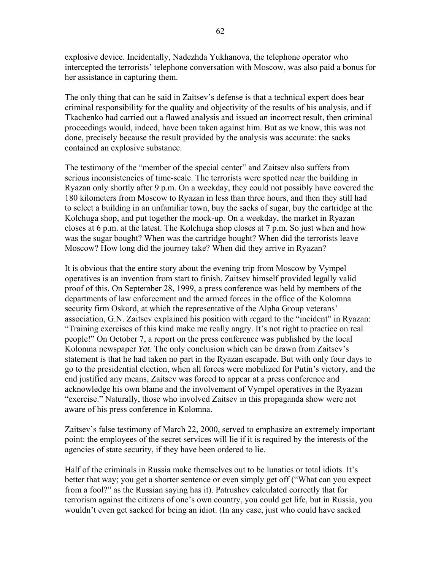explosive device. Incidentally, Nadezhda Yukhanova, the telephone operator who intercepted the terrorists' telephone conversation with Moscow, was also paid a bonus for her assistance in capturing them.

The only thing that can be said in Zaitsev's defense is that a technical expert does bear criminal responsibility for the quality and objectivity of the results of his analysis, and if Tkachenko had carried out a flawed analysis and issued an incorrect result, then criminal proceedings would, indeed, have been taken against him. But as we know, this was not done, precisely because the result provided by the analysis was accurate: the sacks contained an explosive substance.

The testimony of the "member of the special center" and Zaitsev also suffers from serious inconsistencies of time-scale. The terrorists were spotted near the building in Ryazan only shortly after 9 p.m. On a weekday, they could not possibly have covered the 180 kilometers from Moscow to Ryazan in less than three hours, and then they still had to select a building in an unfamiliar town, buy the sacks of sugar, buy the cartridge at the Kolchuga shop, and put together the mock-up. On a weekday, the market in Ryazan closes at 6 p.m. at the latest. The Kolchuga shop closes at 7 p.m. So just when and how was the sugar bought? When was the cartridge bought? When did the terrorists leave Moscow? How long did the journey take? When did they arrive in Ryazan?

It is obvious that the entire story about the evening trip from Moscow by Vympel operatives is an invention from start to finish. Zaitsev himself provided legally valid proof of this. On September 28, 1999, a press conference was held by members of the departments of law enforcement and the armed forces in the office of the Kolomna security firm Oskord, at which the representative of the Alpha Group veterans' association, G.N. Zaitsev explained his position with regard to the "incident" in Ryazan: "Training exercises of this kind make me really angry. It's not right to practice on real people!" On October 7, a report on the press conference was published by the local Kolomna newspaper *Yat*. The only conclusion which can be drawn from Zaitsev's statement is that he had taken no part in the Ryazan escapade. But with only four days to go to the presidential election, when all forces were mobilized for Putin's victory, and the end justified any means, Zaitsev was forced to appear at a press conference and acknowledge his own blame and the involvement of Vympel operatives in the Ryazan "exercise." Naturally, those who involved Zaitsev in this propaganda show were not aware of his press conference in Kolomna.

Zaitsev's false testimony of March 22, 2000, served to emphasize an extremely important point: the employees of the secret services will lie if it is required by the interests of the agencies of state security, if they have been ordered to lie.

Half of the criminals in Russia make themselves out to be lunatics or total idiots. It's better that way; you get a shorter sentence or even simply get off ("What can you expect from a fool?" as the Russian saying has it). Patrushev calculated correctly that for terrorism against the citizens of one's own country, you could get life, but in Russia, you wouldn't even get sacked for being an idiot. (In any case, just who could have sacked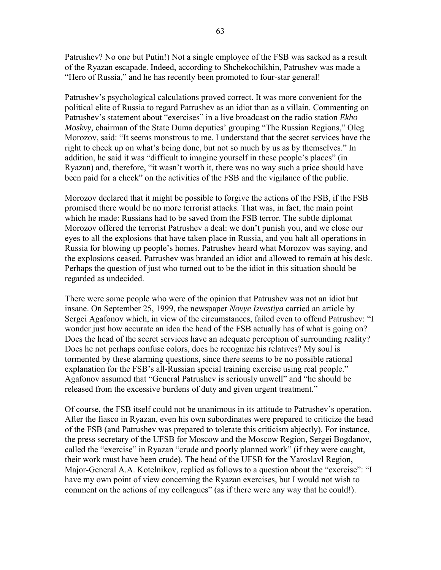Patrushev? No one but Putin!) Not a single employee of the FSB was sacked as a result of the Ryazan escapade. Indeed, according to Shchekochikhin, Patrushev was made a "Hero of Russia," and he has recently been promoted to four-star general!

Patrushev's psychological calculations proved correct. It was more convenient for the political elite of Russia to regard Patrushev as an idiot than as a villain. Commenting on Patrushev's statement about "exercises" in a live broadcast on the radio station *Ekho Moskvy,* chairman of the State Duma deputies' grouping "The Russian Regions," Oleg Morozov, said: "It seems monstrous to me. I understand that the secret services have the right to check up on what's being done, but not so much by us as by themselves." In addition, he said it was "difficult to imagine yourself in these people's places" (in Ryazan) and, therefore, "it wasn't worth it, there was no way such a price should have been paid for a check" on the activities of the FSB and the vigilance of the public.

Morozov declared that it might be possible to forgive the actions of the FSB, if the FSB promised there would be no more terrorist attacks. That was, in fact, the main point which he made: Russians had to be saved from the FSB terror. The subtle diplomat Morozov offered the terrorist Patrushev a deal: we don't punish you, and we close our eyes to all the explosions that have taken place in Russia, and you halt all operations in Russia for blowing up people's homes. Patrushev heard what Morozov was saying, and the explosions ceased. Patrushev was branded an idiot and allowed to remain at his desk. Perhaps the question of just who turned out to be the idiot in this situation should be regarded as undecided.

There were some people who were of the opinion that Patrushev was not an idiot but insane. On September 25, 1999, the newspaper *Novye Izvestiya* carried an article by Sergei Agafonov which, in view of the circumstances, failed even to offend Patrushev: "I wonder just how accurate an idea the head of the FSB actually has of what is going on? Does the head of the secret services have an adequate perception of surrounding reality? Does he not perhaps confuse colors, does he recognize his relatives? My soul is tormented by these alarming questions, since there seems to be no possible rational explanation for the FSB's all-Russian special training exercise using real people." Agafonov assumed that "General Patrushev is seriously unwell" and "he should be released from the excessive burdens of duty and given urgent treatment."

Of course, the FSB itself could not be unanimous in its attitude to Patrushev's operation. After the fiasco in Ryazan, even his own subordinates were prepared to criticize the head of the FSB (and Patrushev was prepared to tolerate this criticism abjectly). For instance, the press secretary of the UFSB for Moscow and the Moscow Region, Sergei Bogdanov, called the "exercise" in Ryazan "crude and poorly planned work" (if they were caught, their work must have been crude). The head of the UFSB for the Yaroslavl Region, Major-General A.A. Kotelnikov, replied as follows to a question about the "exercise": "I have my own point of view concerning the Ryazan exercises, but I would not wish to comment on the actions of my colleagues" (as if there were any way that he could!).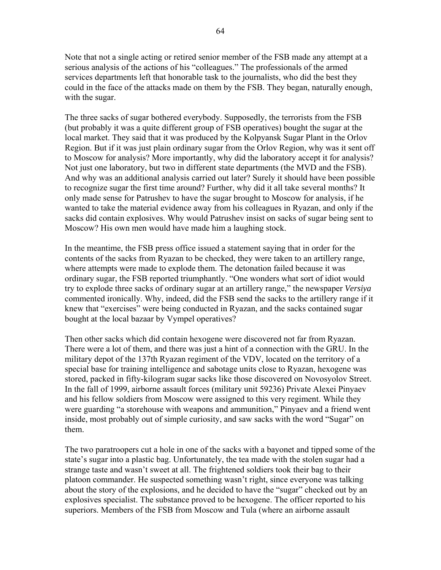Note that not a single acting or retired senior member of the FSB made any attempt at a serious analysis of the actions of his "colleagues." The professionals of the armed services departments left that honorable task to the journalists, who did the best they could in the face of the attacks made on them by the FSB. They began, naturally enough, with the sugar.

The three sacks of sugar bothered everybody. Supposedly, the terrorists from the FSB (but probably it was a quite different group of FSB operatives) bought the sugar at the local market. They said that it was produced by the Kolpyansk Sugar Plant in the Orlov Region. But if it was just plain ordinary sugar from the Orlov Region, why was it sent off to Moscow for analysis? More importantly, why did the laboratory accept it for analysis? Not just one laboratory, but two in different state departments (the MVD and the FSB). And why was an additional analysis carried out later? Surely it should have been possible to recognize sugar the first time around? Further, why did it all take several months? It only made sense for Patrushev to have the sugar brought to Moscow for analysis, if he wanted to take the material evidence away from his colleagues in Ryazan, and only if the sacks did contain explosives. Why would Patrushev insist on sacks of sugar being sent to Moscow? His own men would have made him a laughing stock.

In the meantime, the FSB press office issued a statement saying that in order for the contents of the sacks from Ryazan to be checked, they were taken to an artillery range, where attempts were made to explode them. The detonation failed because it was ordinary sugar, the FSB reported triumphantly. "One wonders what sort of idiot would try to explode three sacks of ordinary sugar at an artillery range," the newspaper *Versiya* commented ironically. Why, indeed, did the FSB send the sacks to the artillery range if it knew that "exercises" were being conducted in Ryazan, and the sacks contained sugar bought at the local bazaar by Vympel operatives?

Then other sacks which did contain hexogene were discovered not far from Ryazan. There were a lot of them, and there was just a hint of a connection with the GRU. In the military depot of the 137th Ryazan regiment of the VDV, located on the territory of a special base for training intelligence and sabotage units close to Ryazan, hexogene was stored, packed in fifty-kilogram sugar sacks like those discovered on Novosyolov Street. In the fall of 1999, airborne assault forces (military unit 59236) Private Alexei Pinyaev and his fellow soldiers from Moscow were assigned to this very regiment. While they were guarding "a storehouse with weapons and ammunition," Pinyaev and a friend went inside, most probably out of simple curiosity, and saw sacks with the word "Sugar" on them.

The two paratroopers cut a hole in one of the sacks with a bayonet and tipped some of the state's sugar into a plastic bag. Unfortunately, the tea made with the stolen sugar had a strange taste and wasn't sweet at all. The frightened soldiers took their bag to their platoon commander. He suspected something wasn't right, since everyone was talking about the story of the explosions, and he decided to have the "sugar" checked out by an explosives specialist. The substance proved to be hexogene. The officer reported to his superiors. Members of the FSB from Moscow and Tula (where an airborne assault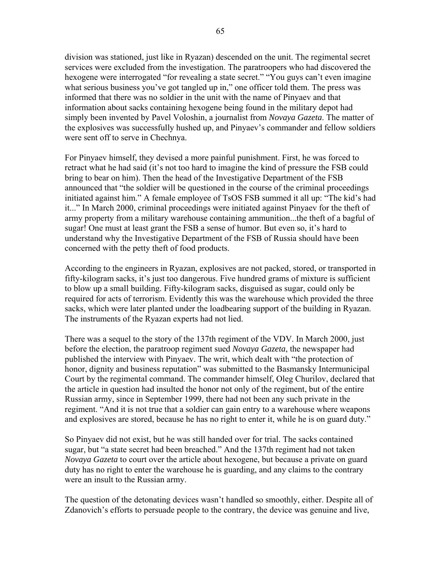division was stationed, just like in Ryazan) descended on the unit. The regimental secret services were excluded from the investigation. The paratroopers who had discovered the hexogene were interrogated "for revealing a state secret." "You guys can't even imagine what serious business you've got tangled up in," one officer told them. The press was informed that there was no soldier in the unit with the name of Pinyaev and that information about sacks containing hexogene being found in the military depot had simply been invented by Pavel Voloshin, a journalist from *Novaya Gazeta*. The matter of the explosives was successfully hushed up, and Pinyaev's commander and fellow soldiers were sent off to serve in Chechnya.

For Pinyaev himself, they devised a more painful punishment. First, he was forced to retract what he had said (it's not too hard to imagine the kind of pressure the FSB could bring to bear on him). Then the head of the Investigative Department of the FSB announced that "the soldier will be questioned in the course of the criminal proceedings initiated against him." A female employee of TsOS FSB summed it all up: "The kid's had it..." In March 2000, criminal proceedings were initiated against Pinyaev for the theft of army property from a military warehouse containing ammunition...the theft of a bagful of sugar! One must at least grant the FSB a sense of humor. But even so, it's hard to understand why the Investigative Department of the FSB of Russia should have been concerned with the petty theft of food products.

According to the engineers in Ryazan, explosives are not packed, stored, or transported in fifty-kilogram sacks, it's just too dangerous. Five hundred grams of mixture is sufficient to blow up a small building. Fifty-kilogram sacks, disguised as sugar, could only be required for acts of terrorism. Evidently this was the warehouse which provided the three sacks, which were later planted under the loadbearing support of the building in Ryazan. The instruments of the Ryazan experts had not lied.

There was a sequel to the story of the 137th regiment of the VDV. In March 2000, just before the election, the paratroop regiment sued *Novaya Gazeta*, the newspaper had published the interview with Pinyaev. The writ, which dealt with "the protection of honor, dignity and business reputation" was submitted to the Basmansky Intermunicipal Court by the regimental command. The commander himself, Oleg Churilov, declared that the article in question had insulted the honor not only of the regiment, but of the entire Russian army, since in September 1999, there had not been any such private in the regiment. "And it is not true that a soldier can gain entry to a warehouse where weapons and explosives are stored, because he has no right to enter it, while he is on guard duty."

So Pinyaev did not exist, but he was still handed over for trial. The sacks contained sugar, but "a state secret had been breached." And the 137th regiment had not taken *Novaya Gazeta* to court over the article about hexogene, but because a private on guard duty has no right to enter the warehouse he is guarding, and any claims to the contrary were an insult to the Russian army.

The question of the detonating devices wasn't handled so smoothly, either. Despite all of Zdanovich's efforts to persuade people to the contrary, the device was genuine and live,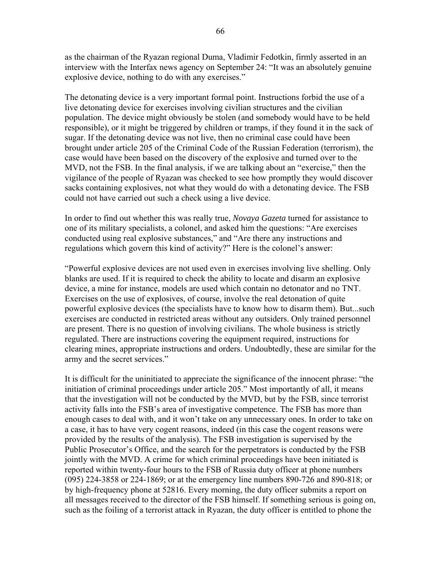as the chairman of the Ryazan regional Duma, Vladimir Fedotkin, firmly asserted in an interview with the Interfax news agency on September 24: "It was an absolutely genuine explosive device, nothing to do with any exercises."

The detonating device is a very important formal point. Instructions forbid the use of a live detonating device for exercises involving civilian structures and the civilian population. The device might obviously be stolen (and somebody would have to be held responsible), or it might be triggered by children or tramps, if they found it in the sack of sugar. If the detonating device was not live, then no criminal case could have been brought under article 205 of the Criminal Code of the Russian Federation (terrorism), the case would have been based on the discovery of the explosive and turned over to the MVD, not the FSB. In the final analysis, if we are talking about an "exercise," then the vigilance of the people of Ryazan was checked to see how promptly they would discover sacks containing explosives, not what they would do with a detonating device. The FSB could not have carried out such a check using a live device.

In order to find out whether this was really true, *Novaya Gazeta* turned for assistance to one of its military specialists, a colonel, and asked him the questions: "Are exercises conducted using real explosive substances," and "Are there any instructions and regulations which govern this kind of activity?" Here is the colonel's answer:

"Powerful explosive devices are not used even in exercises involving live shelling. Only blanks are used. If it is required to check the ability to locate and disarm an explosive device, a mine for instance, models are used which contain no detonator and no TNT. Exercises on the use of explosives, of course, involve the real detonation of quite powerful explosive devices (the specialists have to know how to disarm them). But...such exercises are conducted in restricted areas without any outsiders. Only trained personnel are present. There is no question of involving civilians. The whole business is strictly regulated. There are instructions covering the equipment required, instructions for clearing mines, appropriate instructions and orders. Undoubtedly, these are similar for the army and the secret services."

It is difficult for the uninitiated to appreciate the significance of the innocent phrase: "the initiation of criminal proceedings under article 205." Most importantly of all, it means that the investigation will not be conducted by the MVD, but by the FSB, since terrorist activity falls into the FSB's area of investigative competence. The FSB has more than enough cases to deal with, and it won't take on any unnecessary ones. In order to take on a case, it has to have very cogent reasons, indeed (in this case the cogent reasons were provided by the results of the analysis). The FSB investigation is supervised by the Public Prosecutor's Office, and the search for the perpetrators is conducted by the FSB jointly with the MVD. A crime for which criminal proceedings have been initiated is reported within twenty-four hours to the FSB of Russia duty officer at phone numbers (095) 224-3858 or 224-1869; or at the emergency line numbers 890-726 and 890-818; or by high-frequency phone at 52816. Every morning, the duty officer submits a report on all messages received to the director of the FSB himself. If something serious is going on, such as the foiling of a terrorist attack in Ryazan, the duty officer is entitled to phone the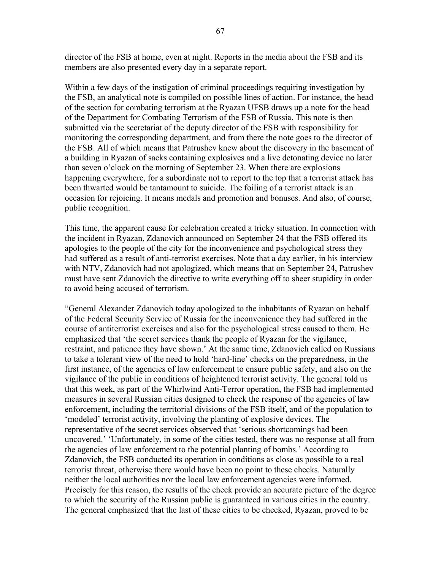director of the FSB at home, even at night. Reports in the media about the FSB and its members are also presented every day in a separate report.

Within a few days of the instigation of criminal proceedings requiring investigation by the FSB, an analytical note is compiled on possible lines of action. For instance, the head of the section for combating terrorism at the Ryazan UFSB draws up a note for the head of the Department for Combating Terrorism of the FSB of Russia. This note is then submitted via the secretariat of the deputy director of the FSB with responsibility for monitoring the corresponding department, and from there the note goes to the director of the FSB. All of which means that Patrushev knew about the discovery in the basement of a building in Ryazan of sacks containing explosives and a live detonating device no later than seven o'clock on the morning of September 23. When there are explosions happening everywhere, for a subordinate not to report to the top that a terrorist attack has been thwarted would be tantamount to suicide. The foiling of a terrorist attack is an occasion for rejoicing. It means medals and promotion and bonuses. And also, of course, public recognition.

This time, the apparent cause for celebration created a tricky situation. In connection with the incident in Ryazan, Zdanovich announced on September 24 that the FSB offered its apologies to the people of the city for the inconvenience and psychological stress they had suffered as a result of anti-terrorist exercises. Note that a day earlier, in his interview with NTV, Zdanovich had not apologized, which means that on September 24, Patrushev must have sent Zdanovich the directive to write everything off to sheer stupidity in order to avoid being accused of terrorism.

"General Alexander Zdanovich today apologized to the inhabitants of Ryazan on behalf of the Federal Security Service of Russia for the inconvenience they had suffered in the course of antiterrorist exercises and also for the psychological stress caused to them. He emphasized that 'the secret services thank the people of Ryazan for the vigilance, restraint, and patience they have shown.' At the same time, Zdanovich called on Russians to take a tolerant view of the need to hold 'hard-line' checks on the preparedness, in the first instance, of the agencies of law enforcement to ensure public safety, and also on the vigilance of the public in conditions of heightened terrorist activity. The general told us that this week, as part of the Whirlwind Anti-Terror operation, the FSB had implemented measures in several Russian cities designed to check the response of the agencies of law enforcement, including the territorial divisions of the FSB itself, and of the population to 'modeled' terrorist activity, involving the planting of explosive devices. The representative of the secret services observed that 'serious shortcomings had been uncovered.' 'Unfortunately, in some of the cities tested, there was no response at all from the agencies of law enforcement to the potential planting of bombs.' According to Zdanovich, the FSB conducted its operation in conditions as close as possible to a real terrorist threat, otherwise there would have been no point to these checks. Naturally neither the local authorities nor the local law enforcement agencies were informed. Precisely for this reason, the results of the check provide an accurate picture of the degree to which the security of the Russian public is guaranteed in various cities in the country. The general emphasized that the last of these cities to be checked, Ryazan, proved to be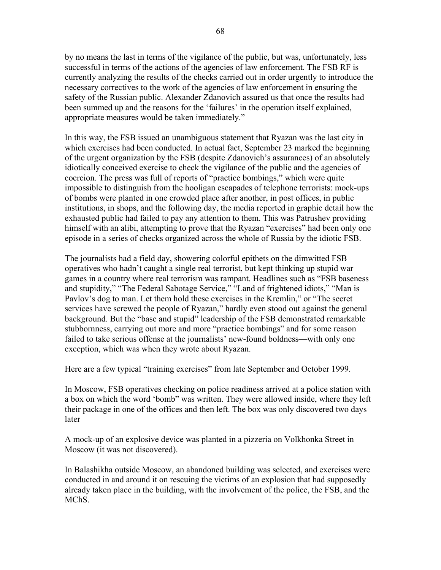by no means the last in terms of the vigilance of the public, but was, unfortunately, less successful in terms of the actions of the agencies of law enforcement. The FSB RF is currently analyzing the results of the checks carried out in order urgently to introduce the necessary correctives to the work of the agencies of law enforcement in ensuring the safety of the Russian public. Alexander Zdanovich assured us that once the results had been summed up and the reasons for the 'failures' in the operation itself explained, appropriate measures would be taken immediately."

In this way, the FSB issued an unambiguous statement that Ryazan was the last city in which exercises had been conducted. In actual fact, September 23 marked the beginning of the urgent organization by the FSB (despite Zdanovich's assurances) of an absolutely idiotically conceived exercise to check the vigilance of the public and the agencies of coercion. The press was full of reports of "practice bombings," which were quite impossible to distinguish from the hooligan escapades of telephone terrorists: mock-ups of bombs were planted in one crowded place after another, in post offices, in public institutions, in shops, and the following day, the media reported in graphic detail how the exhausted public had failed to pay any attention to them. This was Patrushev providing himself with an alibi, attempting to prove that the Ryazan "exercises" had been only one episode in a series of checks organized across the whole of Russia by the idiotic FSB.

The journalists had a field day, showering colorful epithets on the dimwitted FSB operatives who hadn't caught a single real terrorist, but kept thinking up stupid war games in a country where real terrorism was rampant. Headlines such as "FSB baseness and stupidity," "The Federal Sabotage Service," "Land of frightened idiots," "Man is Pavlov's dog to man. Let them hold these exercises in the Kremlin," or "The secret services have screwed the people of Ryazan," hardly even stood out against the general background. But the "base and stupid" leadership of the FSB demonstrated remarkable stubbornness, carrying out more and more "practice bombings" and for some reason failed to take serious offense at the journalists' new-found boldness—with only one exception, which was when they wrote about Ryazan.

Here are a few typical "training exercises" from late September and October 1999.

In Moscow, FSB operatives checking on police readiness arrived at a police station with a box on which the word 'bomb" was written. They were allowed inside, where they left their package in one of the offices and then left. The box was only discovered two days later

A mock-up of an explosive device was planted in a pizzeria on Volkhonka Street in Moscow (it was not discovered).

In Balashikha outside Moscow, an abandoned building was selected, and exercises were conducted in and around it on rescuing the victims of an explosion that had supposedly already taken place in the building, with the involvement of the police, the FSB, and the MChS.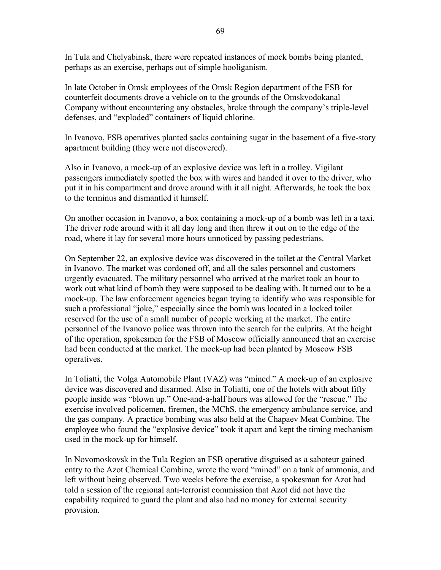In Tula and Chelyabinsk, there were repeated instances of mock bombs being planted, perhaps as an exercise, perhaps out of simple hooliganism.

In late October in Omsk employees of the Omsk Region department of the FSB for counterfeit documents drove a vehicle on to the grounds of the Omskvodokanal Company without encountering any obstacles, broke through the company's triple-level defenses, and "exploded" containers of liquid chlorine.

In Ivanovo, FSB operatives planted sacks containing sugar in the basement of a five-story apartment building (they were not discovered).

Also in Ivanovo, a mock-up of an explosive device was left in a trolley. Vigilant passengers immediately spotted the box with wires and handed it over to the driver, who put it in his compartment and drove around with it all night. Afterwards, he took the box to the terminus and dismantled it himself.

On another occasion in Ivanovo, a box containing a mock-up of a bomb was left in a taxi. The driver rode around with it all day long and then threw it out on to the edge of the road, where it lay for several more hours unnoticed by passing pedestrians.

On September 22, an explosive device was discovered in the toilet at the Central Market in Ivanovo. The market was cordoned off, and all the sales personnel and customers urgently evacuated. The military personnel who arrived at the market took an hour to work out what kind of bomb they were supposed to be dealing with. It turned out to be a mock-up. The law enforcement agencies began trying to identify who was responsible for such a professional "joke," especially since the bomb was located in a locked toilet reserved for the use of a small number of people working at the market. The entire personnel of the Ivanovo police was thrown into the search for the culprits. At the height of the operation, spokesmen for the FSB of Moscow officially announced that an exercise had been conducted at the market. The mock-up had been planted by Moscow FSB operatives.

In Toliatti, the Volga Automobile Plant (VAZ) was "mined." A mock-up of an explosive device was discovered and disarmed. Also in Toliatti, one of the hotels with about fifty people inside was "blown up." One-and-a-half hours was allowed for the "rescue." The exercise involved policemen, firemen, the MChS, the emergency ambulance service, and the gas company. A practice bombing was also held at the Chapaev Meat Combine. The employee who found the "explosive device" took it apart and kept the timing mechanism used in the mock-up for himself.

In Novomoskovsk in the Tula Region an FSB operative disguised as a saboteur gained entry to the Azot Chemical Combine, wrote the word "mined" on a tank of ammonia, and left without being observed. Two weeks before the exercise, a spokesman for Azot had told a session of the regional anti-terrorist commission that Azot did not have the capability required to guard the plant and also had no money for external security provision.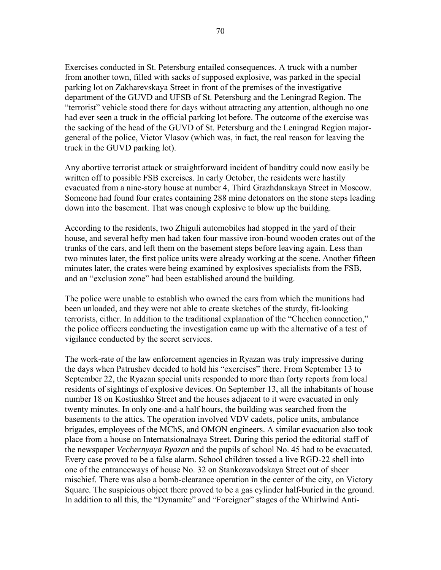Exercises conducted in St. Petersburg entailed consequences. A truck with a number from another town, filled with sacks of supposed explosive, was parked in the special parking lot on Zakharevskaya Street in front of the premises of the investigative department of the GUVD and UFSB of St. Petersburg and the Leningrad Region. The "terrorist" vehicle stood there for days without attracting any attention, although no one had ever seen a truck in the official parking lot before. The outcome of the exercise was the sacking of the head of the GUVD of St. Petersburg and the Leningrad Region majorgeneral of the police, Victor Vlasov (which was, in fact, the real reason for leaving the truck in the GUVD parking lot).

Any abortive terrorist attack or straightforward incident of banditry could now easily be written off to possible FSB exercises. In early October, the residents were hastily evacuated from a nine-story house at number 4, Third Grazhdanskaya Street in Moscow. Someone had found four crates containing 288 mine detonators on the stone steps leading down into the basement. That was enough explosive to blow up the building.

According to the residents, two Zhiguli automobiles had stopped in the yard of their house, and several hefty men had taken four massive iron-bound wooden crates out of the trunks of the cars, and left them on the basement steps before leaving again. Less than two minutes later, the first police units were already working at the scene. Another fifteen minutes later, the crates were being examined by explosives specialists from the FSB, and an "exclusion zone" had been established around the building.

The police were unable to establish who owned the cars from which the munitions had been unloaded, and they were not able to create sketches of the sturdy, fit-looking terrorists, either. In addition to the traditional explanation of the "Chechen connection," the police officers conducting the investigation came up with the alternative of a test of vigilance conducted by the secret services.

The work-rate of the law enforcement agencies in Ryazan was truly impressive during the days when Patrushev decided to hold his "exercises" there. From September 13 to September 22, the Ryazan special units responded to more than forty reports from local residents of sightings of explosive devices. On September 13, all the inhabitants of house number 18 on Kostiushko Street and the houses adjacent to it were evacuated in only twenty minutes. In only one-and-a half hours, the building was searched from the basements to the attics. The operation involved VDV cadets, police units, ambulance brigades, employees of the MChS, and OMON engineers. A similar evacuation also took place from a house on Internatsionalnaya Street. During this period the editorial staff of the newspaper *Vechernyaya Ryazan* and the pupils of school No. 45 had to be evacuated. Every case proved to be a false alarm. School children tossed a live RGD-22 shell into one of the entranceways of house No. 32 on Stankozavodskaya Street out of sheer mischief. There was also a bomb-clearance operation in the center of the city, on Victory Square. The suspicious object there proved to be a gas cylinder half-buried in the ground. In addition to all this, the "Dynamite" and "Foreigner" stages of the Whirlwind Anti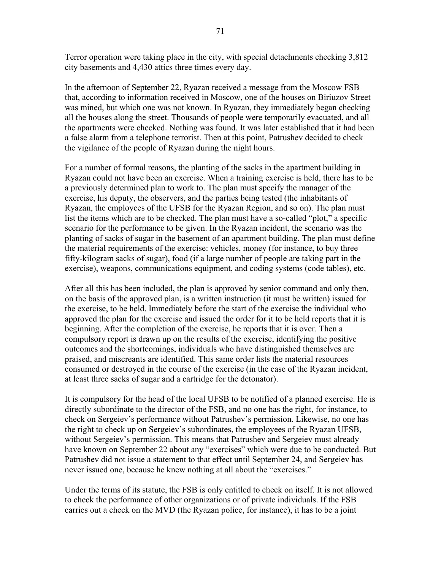Terror operation were taking place in the city, with special detachments checking 3,812 city basements and 4,430 attics three times every day.

In the afternoon of September 22, Ryazan received a message from the Moscow FSB that, according to information received in Moscow, one of the houses on Biriuzov Street was mined, but which one was not known. In Ryazan, they immediately began checking all the houses along the street. Thousands of people were temporarily evacuated, and all the apartments were checked. Nothing was found. It was later established that it had been a false alarm from a telephone terrorist. Then at this point, Patrushev decided to check the vigilance of the people of Ryazan during the night hours.

For a number of formal reasons, the planting of the sacks in the apartment building in Ryazan could not have been an exercise. When a training exercise is held, there has to be a previously determined plan to work to. The plan must specify the manager of the exercise, his deputy, the observers, and the parties being tested (the inhabitants of Ryazan, the employees of the UFSB for the Ryazan Region, and so on). The plan must list the items which are to be checked. The plan must have a so-called "plot," a specific scenario for the performance to be given. In the Ryazan incident, the scenario was the planting of sacks of sugar in the basement of an apartment building. The plan must define the material requirements of the exercise: vehicles, money (for instance, to buy three fifty-kilogram sacks of sugar), food (if a large number of people are taking part in the exercise), weapons, communications equipment, and coding systems (code tables), etc.

After all this has been included, the plan is approved by senior command and only then, on the basis of the approved plan, is a written instruction (it must be written) issued for the exercise, to be held. Immediately before the start of the exercise the individual who approved the plan for the exercise and issued the order for it to be held reports that it is beginning. After the completion of the exercise, he reports that it is over. Then a compulsory report is drawn up on the results of the exercise, identifying the positive outcomes and the shortcomings, individuals who have distinguished themselves are praised, and miscreants are identified. This same order lists the material resources consumed or destroyed in the course of the exercise (in the case of the Ryazan incident, at least three sacks of sugar and a cartridge for the detonator).

It is compulsory for the head of the local UFSB to be notified of a planned exercise. He is directly subordinate to the director of the FSB, and no one has the right, for instance, to check on Sergeiev's performance without Patrushev's permission. Likewise, no one has the right to check up on Sergeiev's subordinates, the employees of the Ryazan UFSB, without Sergeiev's permission. This means that Patrushev and Sergeiev must already have known on September 22 about any "exercises" which were due to be conducted. But Patrushev did not issue a statement to that effect until September 24, and Sergeiev has never issued one, because he knew nothing at all about the "exercises."

Under the terms of its statute, the FSB is only entitled to check on itself. It is not allowed to check the performance of other organizations or of private individuals. If the FSB carries out a check on the MVD (the Ryazan police, for instance), it has to be a joint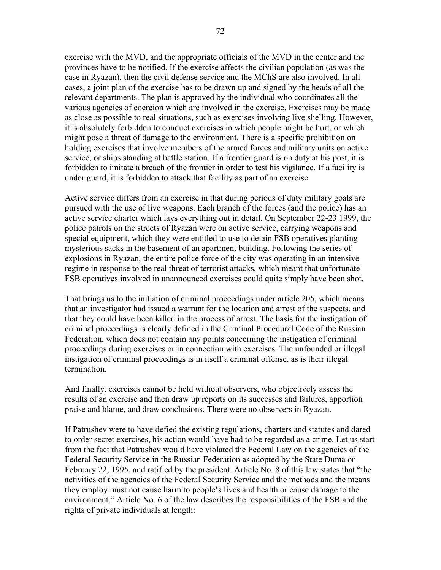exercise with the MVD, and the appropriate officials of the MVD in the center and the provinces have to be notified. If the exercise affects the civilian population (as was the case in Ryazan), then the civil defense service and the MChS are also involved. In all cases, a joint plan of the exercise has to be drawn up and signed by the heads of all the relevant departments. The plan is approved by the individual who coordinates all the various agencies of coercion which are involved in the exercise. Exercises may be made as close as possible to real situations, such as exercises involving live shelling. However, it is absolutely forbidden to conduct exercises in which people might be hurt, or which might pose a threat of damage to the environment. There is a specific prohibition on holding exercises that involve members of the armed forces and military units on active service, or ships standing at battle station. If a frontier guard is on duty at his post, it is forbidden to imitate a breach of the frontier in order to test his vigilance. If a facility is under guard, it is forbidden to attack that facility as part of an exercise.

Active service differs from an exercise in that during periods of duty military goals are pursued with the use of live weapons. Each branch of the forces (and the police) has an active service charter which lays everything out in detail. On September 22-23 1999, the police patrols on the streets of Ryazan were on active service, carrying weapons and special equipment, which they were entitled to use to detain FSB operatives planting mysterious sacks in the basement of an apartment building. Following the series of explosions in Ryazan, the entire police force of the city was operating in an intensive regime in response to the real threat of terrorist attacks, which meant that unfortunate FSB operatives involved in unannounced exercises could quite simply have been shot.

That brings us to the initiation of criminal proceedings under article 205, which means that an investigator had issued a warrant for the location and arrest of the suspects, and that they could have been killed in the process of arrest. The basis for the instigation of criminal proceedings is clearly defined in the Criminal Procedural Code of the Russian Federation, which does not contain any points concerning the instigation of criminal proceedings during exercises or in connection with exercises. The unfounded or illegal instigation of criminal proceedings is in itself a criminal offense, as is their illegal termination.

And finally, exercises cannot be held without observers, who objectively assess the results of an exercise and then draw up reports on its successes and failures, apportion praise and blame, and draw conclusions. There were no observers in Ryazan.

If Patrushev were to have defied the existing regulations, charters and statutes and dared to order secret exercises, his action would have had to be regarded as a crime. Let us start from the fact that Patrushev would have violated the Federal Law on the agencies of the Federal Security Service in the Russian Federation as adopted by the State Duma on February 22, 1995, and ratified by the president. Article No. 8 of this law states that "the activities of the agencies of the Federal Security Service and the methods and the means they employ must not cause harm to people's lives and health or cause damage to the environment." Article No. 6 of the law describes the responsibilities of the FSB and the rights of private individuals at length: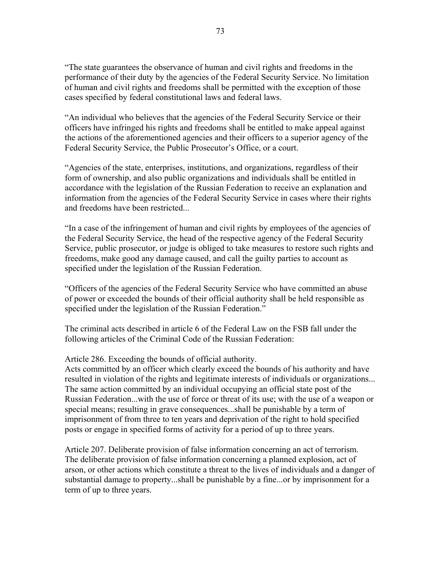"The state guarantees the observance of human and civil rights and freedoms in the performance of their duty by the agencies of the Federal Security Service. No limitation of human and civil rights and freedoms shall be permitted with the exception of those cases specified by federal constitutional laws and federal laws.

"An individual who believes that the agencies of the Federal Security Service or their officers have infringed his rights and freedoms shall be entitled to make appeal against the actions of the aforementioned agencies and their officers to a superior agency of the Federal Security Service, the Public Prosecutor's Office, or a court.

"Agencies of the state, enterprises, institutions, and organizations, regardless of their form of ownership, and also public organizations and individuals shall be entitled in accordance with the legislation of the Russian Federation to receive an explanation and information from the agencies of the Federal Security Service in cases where their rights and freedoms have been restricted...

"In a case of the infringement of human and civil rights by employees of the agencies of the Federal Security Service, the head of the respective agency of the Federal Security Service, public prosecutor, or judge is obliged to take measures to restore such rights and freedoms, make good any damage caused, and call the guilty parties to account as specified under the legislation of the Russian Federation.

"Officers of the agencies of the Federal Security Service who have committed an abuse of power or exceeded the bounds of their official authority shall be held responsible as specified under the legislation of the Russian Federation."

The criminal acts described in article 6 of the Federal Law on the FSB fall under the following articles of the Criminal Code of the Russian Federation:

Article 286. Exceeding the bounds of official authority.

Acts committed by an officer which clearly exceed the bounds of his authority and have resulted in violation of the rights and legitimate interests of individuals or organizations... The same action committed by an individual occupying an official state post of the Russian Federation...with the use of force or threat of its use; with the use of a weapon or special means; resulting in grave consequences...shall be punishable by a term of imprisonment of from three to ten years and deprivation of the right to hold specified posts or engage in specified forms of activity for a period of up to three years.

Article 207. Deliberate provision of false information concerning an act of terrorism. The deliberate provision of false information concerning a planned explosion, act of arson, or other actions which constitute a threat to the lives of individuals and a danger of substantial damage to property...shall be punishable by a fine...or by imprisonment for a term of up to three years.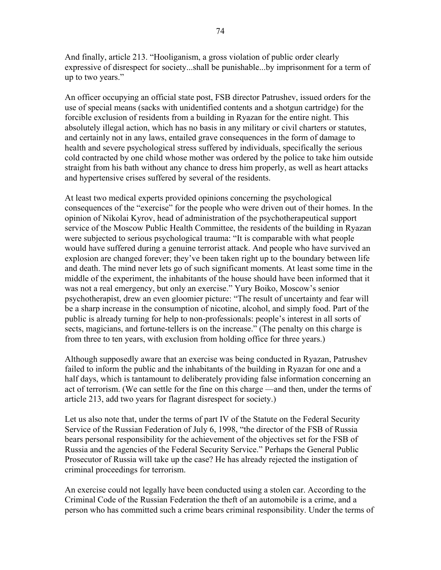And finally, article 213. "Hooliganism, a gross violation of public order clearly expressive of disrespect for society...shall be punishable...by imprisonment for a term of up to two years."

An officer occupying an official state post, FSB director Patrushev, issued orders for the use of special means (sacks with unidentified contents and a shotgun cartridge) for the forcible exclusion of residents from a building in Ryazan for the entire night. This absolutely illegal action, which has no basis in any military or civil charters or statutes, and certainly not in any laws, entailed grave consequences in the form of damage to health and severe psychological stress suffered by individuals, specifically the serious cold contracted by one child whose mother was ordered by the police to take him outside straight from his bath without any chance to dress him properly, as well as heart attacks and hypertensive crises suffered by several of the residents.

At least two medical experts provided opinions concerning the psychological consequences of the "exercise" for the people who were driven out of their homes. In the opinion of Nikolai Kyrov, head of administration of the psychotherapeutical support service of the Moscow Public Health Committee, the residents of the building in Ryazan were subjected to serious psychological trauma: "It is comparable with what people would have suffered during a genuine terrorist attack. And people who have survived an explosion are changed forever; they've been taken right up to the boundary between life and death. The mind never lets go of such significant moments. At least some time in the middle of the experiment, the inhabitants of the house should have been informed that it was not a real emergency, but only an exercise." Yury Boiko, Moscow's senior psychotherapist, drew an even gloomier picture: "The result of uncertainty and fear will be a sharp increase in the consumption of nicotine, alcohol, and simply food. Part of the public is already turning for help to non-professionals: people's interest in all sorts of sects, magicians, and fortune-tellers is on the increase." (The penalty on this charge is from three to ten years, with exclusion from holding office for three years.)

Although supposedly aware that an exercise was being conducted in Ryazan, Patrushev failed to inform the public and the inhabitants of the building in Ryazan for one and a half days, which is tantamount to deliberately providing false information concerning an act of terrorism. (We can settle for the fine on this charge —and then, under the terms of article 213, add two years for flagrant disrespect for society.)

Let us also note that, under the terms of part IV of the Statute on the Federal Security Service of the Russian Federation of July 6, 1998, "the director of the FSB of Russia bears personal responsibility for the achievement of the objectives set for the FSB of Russia and the agencies of the Federal Security Service." Perhaps the General Public Prosecutor of Russia will take up the case? He has already rejected the instigation of criminal proceedings for terrorism.

An exercise could not legally have been conducted using a stolen car. According to the Criminal Code of the Russian Federation the theft of an automobile is a crime, and a person who has committed such a crime bears criminal responsibility. Under the terms of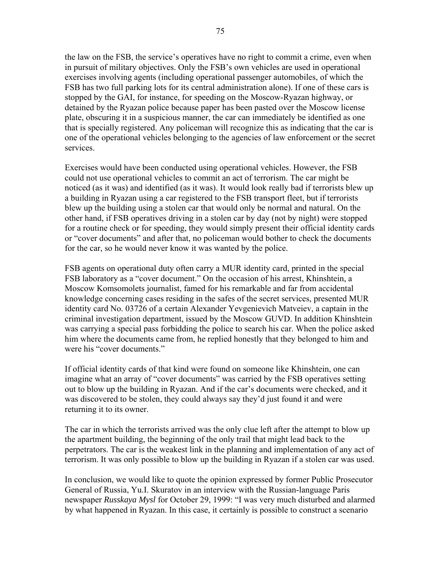the law on the FSB, the service's operatives have no right to commit a crime, even when in pursuit of military objectives. Only the FSB's own vehicles are used in operational exercises involving agents (including operational passenger automobiles, of which the FSB has two full parking lots for its central administration alone). If one of these cars is stopped by the GAI, for instance, for speeding on the Moscow-Ryazan highway, or detained by the Ryazan police because paper has been pasted over the Moscow license plate, obscuring it in a suspicious manner, the car can immediately be identified as one that is specially registered. Any policeman will recognize this as indicating that the car is one of the operational vehicles belonging to the agencies of law enforcement or the secret services.

Exercises would have been conducted using operational vehicles. However, the FSB could not use operational vehicles to commit an act of terrorism. The car might be noticed (as it was) and identified (as it was). It would look really bad if terrorists blew up a building in Ryazan using a car registered to the FSB transport fleet, but if terrorists blew up the building using a stolen car that would only be normal and natural. On the other hand, if FSB operatives driving in a stolen car by day (not by night) were stopped for a routine check or for speeding, they would simply present their official identity cards or "cover documents" and after that, no policeman would bother to check the documents for the car, so he would never know it was wanted by the police.

FSB agents on operational duty often carry a MUR identity card, printed in the special FSB laboratory as a "cover document." On the occasion of his arrest, Khinshtein, a Moscow Komsomolets journalist, famed for his remarkable and far from accidental knowledge concerning cases residing in the safes of the secret services, presented MUR identity card No. 03726 of a certain Alexander Yevgenievich Matveiev, a captain in the criminal investigation department, issued by the Moscow GUVD. In addition Khinshtein was carrying a special pass forbidding the police to search his car. When the police asked him where the documents came from, he replied honestly that they belonged to him and were his "cover documents."

If official identity cards of that kind were found on someone like Khinshtein, one can imagine what an array of "cover documents" was carried by the FSB operatives setting out to blow up the building in Ryazan. And if the car's documents were checked, and it was discovered to be stolen, they could always say they'd just found it and were returning it to its owner.

The car in which the terrorists arrived was the only clue left after the attempt to blow up the apartment building, the beginning of the only trail that might lead back to the perpetrators. The car is the weakest link in the planning and implementation of any act of terrorism. It was only possible to blow up the building in Ryazan if a stolen car was used.

In conclusion, we would like to quote the opinion expressed by former Public Prosecutor General of Russia, Yu.I. Skuratov in an interview with the Russian-language Paris newspaper *Russkaya Mysl* for October 29, 1999: "I was very much disturbed and alarmed by what happened in Ryazan. In this case, it certainly is possible to construct a scenario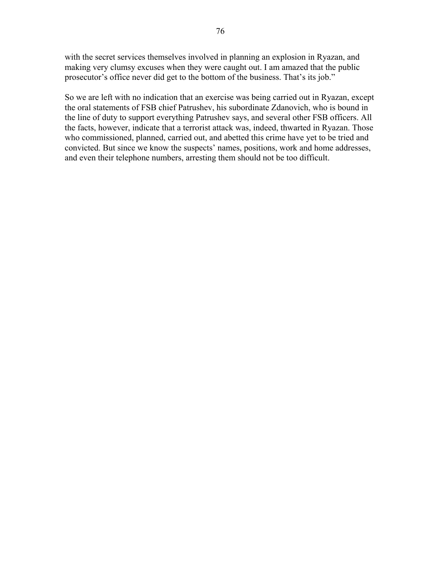with the secret services themselves involved in planning an explosion in Ryazan, and making very clumsy excuses when they were caught out. I am amazed that the public prosecutor's office never did get to the bottom of the business. That's its job."

So we are left with no indication that an exercise was being carried out in Ryazan, except the oral statements of FSB chief Patrushev, his subordinate Zdanovich, who is bound in the line of duty to support everything Patrushev says, and several other FSB officers. All the facts, however, indicate that a terrorist attack was, indeed, thwarted in Ryazan. Those who commissioned, planned, carried out, and abetted this crime have yet to be tried and convicted. But since we know the suspects' names, positions, work and home addresses, and even their telephone numbers, arresting them should not be too difficult.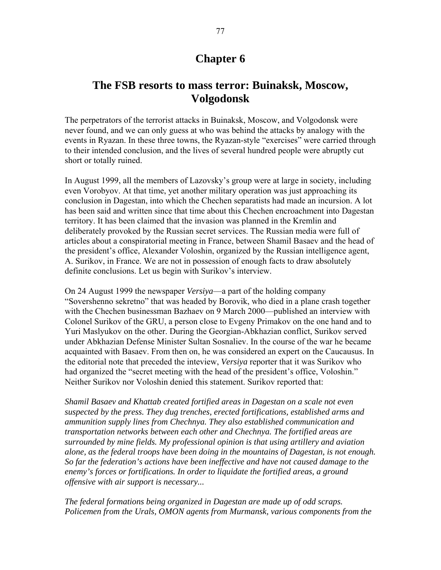## **Chapter 6**

# **The FSB resorts to mass terror: Buinaksk, Moscow, Volgodonsk**

The perpetrators of the terrorist attacks in Buinaksk, Moscow, and Volgodonsk were never found, and we can only guess at who was behind the attacks by analogy with the events in Ryazan. In these three towns, the Ryazan-style "exercises" were carried through to their intended conclusion, and the lives of several hundred people were abruptly cut short or totally ruined.

In August 1999, all the members of Lazovsky's group were at large in society, including even Vorobyov. At that time, yet another military operation was just approaching its conclusion in Dagestan, into which the Chechen separatists had made an incursion. A lot has been said and written since that time about this Chechen encroachment into Dagestan territory. It has been claimed that the invasion was planned in the Kremlin and deliberately provoked by the Russian secret services. The Russian media were full of articles about a conspiratorial meeting in France, between Shamil Basaev and the head of the president's office, Alexander Voloshin, organized by the Russian intelligence agent, A. Surikov, in France. We are not in possession of enough facts to draw absolutely definite conclusions. Let us begin with Surikov's interview.

On 24 August 1999 the newspaper *Versiya*—a part of the holding company "Sovershenno sekretno" that was headed by Borovik, who died in a plane crash together with the Chechen businessman Bazhaev on 9 March 2000—published an interview with Colonel Surikov of the GRU, a person close to Evgeny Primakov on the one hand and to Yuri Maslyukov on the other. During the Georgian-Abkhazian conflict, Surikov served under Abkhazian Defense Minister Sultan Sosnaliev. In the course of the war he became acquainted with Basaev. From then on, he was considered an expert on the Caucausus. In the editorial note that preceded the inteview, *Versiya* reporter that it was Surikov who had organized the "secret meeting with the head of the president's office, Voloshin." Neither Surikov nor Voloshin denied this statement. Surikov reported that:

*Shamil Basaev and Khattab created fortified areas in Dagestan on a scale not even suspected by the press. They dug trenches, erected fortifications, established arms and ammunition supply lines from Chechnya. They also established communication and transportation networks between each other and Chechnya. The fortified areas are surrounded by mine fields. My professional opinion is that using artillery and aviation alone, as the federal troops have been doing in the mountains of Dagestan, is not enough. So far the federation's actions have been ineffective and have not caused damage to the enemy's forces or fortifications. In order to liquidate the fortified areas, a ground offensive with air support is necessary...* 

*The federal formations being organized in Dagestan are made up of odd scraps. Policemen from the Urals, OMON agents from Murmansk, various components from the*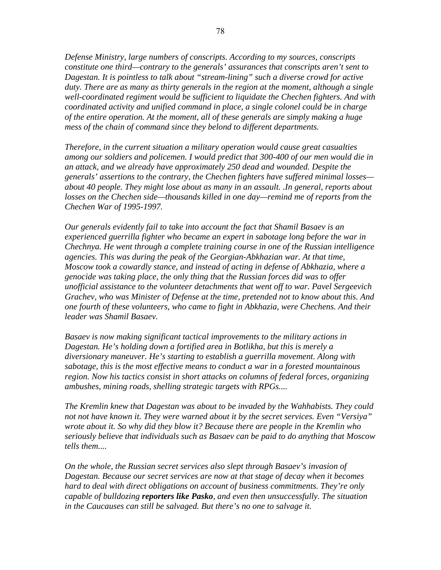*Defense Ministry, large numbers of conscripts. According to my sources, conscripts constitute one third—contrary to the generals' assurances that conscripts aren't sent to Dagestan. It is pointless to talk about "stream-lining" such a diverse crowd for active duty. There are as many as thirty generals in the region at the moment, although a single well-coordinated regiment would be sufficient to liquidate the Chechen fighters. And with coordinated activity and unified command in place, a single colonel could be in charge of the entire operation. At the moment, all of these generals are simply making a huge mess of the chain of command since they belond to different departments.* 

*Therefore, in the current situation a military operation would cause great casualties among our soldiers and policemen. I would predict that 300-400 of our men would die in an attack, and we already have approximately 250 dead and wounded. Despite the generals' assertions to the contrary, the Chechen fighters have suffered minimal losses about 40 people. They might lose about as many in an assault. .In general, reports about*  losses on the Chechen side—thousands killed in one day—remind me of reports from the *Chechen War of 1995-1997.* 

*Our generals evidently fail to take into account the fact that Shamil Basaev is an experienced guerrilla fighter who became an expert in sabotage long before the war in Chechnya. He went through a complete training course in one of the Russian intelligence agencies. This was during the peak of the Georgian-Abkhazian war. At that time, Moscow took a cowardly stance, and instead of acting in defense of Abkhazia, where a genocide was taking place, the only thing that the Russian forces did was to offer unofficial assistance to the volunteer detachments that went off to war. Pavel Sergeevich Grachev, who was Minister of Defense at the time, pretended not to know about this. And one fourth of these volunteers, who came to fight in Abkhazia, were Chechens. And their leader was Shamil Basaev.* 

*Basaev is now making significant tactical improvements to the military actions in Dagestan. He's holding down a fortified area in Botlikha, but this is merely a diversionary maneuver. He's starting to establish a guerrilla movement. Along with sabotage, this is the most effective means to conduct a war in a forested mountainous region. Now his tactics consist in short attacks on columns of federal forces, organizing ambushes, mining roads, shelling strategic targets with RPGs....* 

*The Kremlin knew that Dagestan was about to be invaded by the Wahhabists. They could not not have known it. They were warned about it by the secret services. Even "Versiya" wrote about it. So why did they blow it? Because there are people in the Kremlin who seriously believe that individuals such as Basaev can be paid to do anything that Moscow tells them....* 

*On the whole, the Russian secret services also slept through Basaev's invasion of Dagestan. Because our secret services are now at that stage of decay when it becomes hard to deal with direct obligations on account of business commitments. They're only capable of bulldozing reporters like Pasko, and even then unsuccessfully. The situation in the Caucauses can still be salvaged. But there's no one to salvage it.*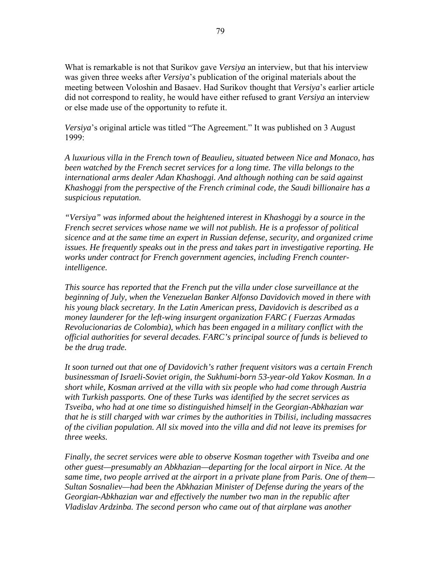What is remarkable is not that Surikov gave *Versiya* an interview, but that his interview was given three weeks after *Versiya*'s publication of the original materials about the meeting between Voloshin and Basaev. Had Surikov thought that *Versiya*'s earlier article did not correspond to reality, he would have either refused to grant *Versiya* an interview or else made use of the opportunity to refute it.

*Versiya*'s original article was titled "The Agreement." It was published on 3 August 1999:

*A luxurious villa in the French town of Beaulieu, situated between Nice and Monaco, has been watched by the French secret services for a long time. The villa belongs to the international arms dealer Adan Khashoggi. And although nothing can be said against Khashoggi from the perspective of the French criminal code, the Saudi billionaire has a suspicious reputation.* 

*"Versiya" was informed about the heightened interest in Khashoggi by a source in the French secret services whose name we will not publish. He is a professor of political sicence and at the same time an expert in Russian defense, security, and organized crime issues. He frequently speaks out in the press and takes part in investigative reporting. He works under contract for French government agencies, including French counterintelligence.* 

*This source has reported that the French put the villa under close surveillance at the beginning of July, when the Venezuelan Banker Alfonso Davidovich moved in there with his young black secretary. In the Latin American press, Davidovich is described as a money launderer for the left-wing insurgent organization FARC ( Fuerzas Armadas Revolucionarias de Colombia), which has been engaged in a military conflict with the official authorities for several decades. FARC's principal source of funds is believed to be the drug trade.* 

*It soon turned out that one of Davidovich's rather frequent visitors was a certain French businessman of Israeli-Soviet origin, the Sukhumi-born 53-year-old Yakov Kosman. In a short while, Kosman arrived at the villa with six people who had come through Austria with Turkish passports. One of these Turks was identified by the secret services as Tsveiba, who had at one time so distinguished himself in the Georgian-Abkhazian war that he is still charged with war crimes by the authorities in Tbilisi, including massacres of the civilian population. All six moved into the villa and did not leave its premises for three weeks.* 

*Finally, the secret services were able to observe Kosman together with Tsveiba and one other guest—presumably an Abkhazian—departing for the local airport in Nice. At the same time, two people arrived at the airport in a private plane from Paris. One of them— Sultan Sosnaliev—had been the Abkhazian Minister of Defense during the years of the Georgian-Abkhazian war and effectively the number two man in the republic after Vladislav Ardzinba. The second person who came out of that airplane was another*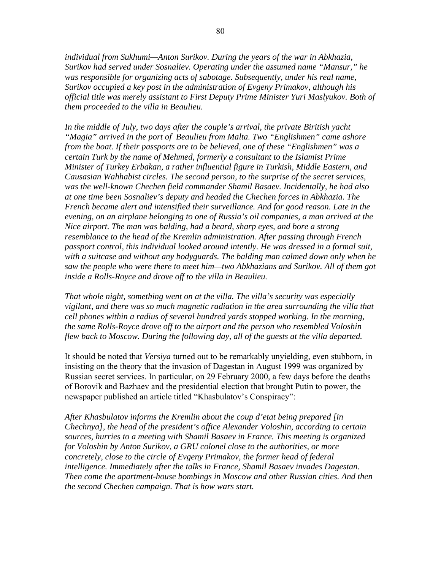*individual from Sukhumi—Anton Surikov. During the years of the war in Abkhazia, Surikov had served under Sosnaliev. Operating under the assumed name "Mansur," he was responsible for organizing acts of sabotage. Subsequently, under his real name, Surikov occupied a key post in the administration of Evgeny Primakov, although his official title was merely assistant to First Deputy Prime Minister Yuri Maslyukov. Both of them proceeded to the villa in Beaulieu.* 

*In the middle of July, two days after the couple's arrival, the private Biritish yacht "Magia" arrived in the port of Beaulieu from Malta. Two "Englishmen" came ashore from the boat. If their passports are to be believed, one of these "Englishmen" was a certain Turk by the name of Mehmed, formerly a consultant to the Islamist Prime Minister of Turkey Erbakan, a rather influential figure in Turkish, Middle Eastern, and Causasian Wahhabist circles. The second person, to the surprise of the secret services, was the well-known Chechen field commander Shamil Basaev. Incidentally, he had also at one time been Sosnaliev's deputy and headed the Chechen forces in Abkhazia. The French became alert and intensified their surveillance. And for good reason. Late in the evening, on an airplane belonging to one of Russia's oil companies, a man arrived at the Nice airport. The man was balding, had a beard, sharp eyes, and bore a strong resemblance to the head of the Kremlin administration. After passing through French passport control, this individual looked around intently. He was dressed in a formal suit, with a suitcase and without any bodyguards. The balding man calmed down only when he saw the people who were there to meet him—two Abkhazians and Surikov. All of them got inside a Rolls-Royce and drove off to the villa in Beaulieu.* 

*That whole night, something went on at the villa. The villa's security was especially vigilant, and there was so much magnetic radiation in the area surrounding the villa that cell phones within a radius of several hundred yards stopped working. In the morning, the same Rolls-Royce drove off to the airport and the person who resembled Voloshin flew back to Moscow. During the following day, all of the guests at the villa departed.* 

It should be noted that *Versiya* turned out to be remarkably unyielding, even stubborn, in insisting on the theory that the invasion of Dagestan in August 1999 was organized by Russian secret services. In particular, on 29 February 2000, a few days before the deaths of Borovik and Bazhaev and the presidential election that brought Putin to power, the newspaper published an article titled "Khasbulatov's Conspiracy":

*After Khasbulatov informs the Kremlin about the coup d'etat being prepared [in Chechnya], the head of the president's office Alexander Voloshin, according to certain sources, hurries to a meeting with Shamil Basaev in France. This meeting is organized for Voloshin by Anton Surikov, a GRU colonel close to the authorities, or more concretely, close to the circle of Evgeny Primakov, the former head of federal intelligence. Immediately after the talks in France, Shamil Basaev invades Dagestan. Then come the apartment-house bombings in Moscow and other Russian cities. And then the second Chechen campaign. That is how wars start.*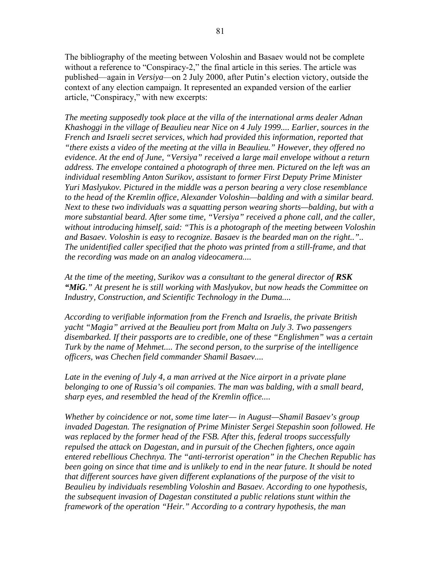The bibliography of the meeting between Voloshin and Basaev would not be complete without a reference to "Conspiracy-2," the final article in this series. The article was published—again in *Versiya*—on 2 July 2000, after Putin's election victory, outside the context of any election campaign. It represented an expanded version of the earlier article, "Conspiracy," with new excerpts:

*The meeting supposedly took place at the villa of the international arms dealer Adnan Khashoggi in the village of Beaulieu near Nice on 4 July 1999.... Earlier, sources in the French and Israeli secret services, which had provided this information, reported that "there exists a video of the meeting at the villa in Beaulieu." However, they offered no evidence. At the end of June, "Versiya" received a large mail envelope without a return address. The envelope contained a photograph of three men. Pictured on the left was an individual resembling Anton Surikov, assistant to former First Deputy Prime Minister Yuri Maslyukov. Pictured in the middle was a person bearing a very close resemblance to the head of the Kremlin office, Alexander Voloshin—balding and with a similar beard. Next to these two individuals was a squatting person wearing shorts—balding, but with a more substantial beard. After some time, "Versiya" received a phone call, and the caller, without introducing himself, said: "This is a photograph of the meeting between Voloshin and Basaev. Voloshin is easy to recognize. Basaev is the bearded man on the right..".. The unidentified caller specified that the photo was printed from a still-frame, and that the recording was made on an analog videocamera....* 

*At the time of the meeting, Surikov was a consultant to the general director of RSK "MiG." At present he is still working with Maslyukov, but now heads the Committee on Industry, Construction, and Scientific Technology in the Duma....* 

*According to verifiable information from the French and Israelis, the private British yacht "Magia" arrived at the Beaulieu port from Malta on July 3. Two passengers disembarked. If their passports are to credible, one of these "Englishmen" was a certain Turk by the name of Mehmet.... The second person, to the surprise of the intelligence officers, was Chechen field commander Shamil Basaev....* 

Late in the evening of July 4, a man arrived at the Nice airport in a private plane *belonging to one of Russia's oil companies. The man was balding, with a small beard, sharp eyes, and resembled the head of the Kremlin office....* 

*Whether by coincidence or not, some time later— in August—Shamil Basaev's group invaded Dagestan. The resignation of Prime Minister Sergei Stepashin soon followed. He was replaced by the former head of the FSB. After this, federal troops successfully repulsed the attack on Dagestan, and in pursuit of the Chechen fighters, once again entered rebellious Chechnya. The "anti-terrorist operation" in the Chechen Republic has been going on since that time and is unlikely to end in the near future. It should be noted that different sources have given different explanations of the purpose of the visit to Beaulieu by individuals resembling Voloshin and Basaev. According to one hypothesis, the subsequent invasion of Dagestan constituted a public relations stunt within the framework of the operation "Heir." According to a contrary hypothesis, the man*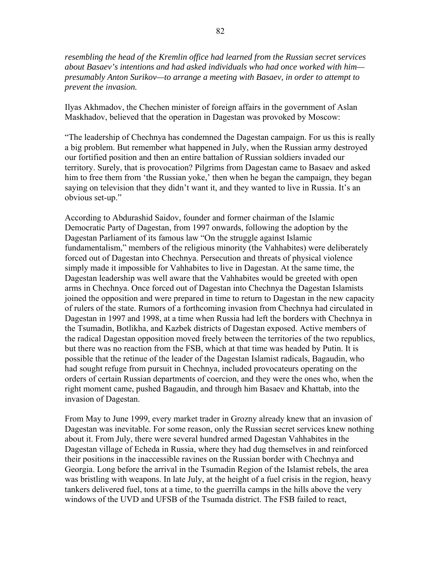*resembling the head of the Kremlin office had learned from the Russian secret services about Basaev's intentions and had asked individuals who had once worked with him presumably Anton Surikov—to arrange a meeting with Basaev, in order to attempt to prevent the invasion.* 

Ilyas Akhmadov, the Chechen minister of foreign affairs in the government of Aslan Maskhadov, believed that the operation in Dagestan was provoked by Moscow:

"The leadership of Chechnya has condemned the Dagestan campaign. For us this is really a big problem. But remember what happened in July, when the Russian army destroyed our fortified position and then an entire battalion of Russian soldiers invaded our territory. Surely, that is provocation? Pilgrims from Dagestan came to Basaev and asked him to free them from 'the Russian yoke,' then when he began the campaign, they began saying on television that they didn't want it, and they wanted to live in Russia. It's an obvious set-up."

According to Abdurashid Saidov, founder and former chairman of the Islamic Democratic Party of Dagestan, from 1997 onwards, following the adoption by the Dagestan Parliament of its famous law "On the struggle against Islamic fundamentalism," members of the religious minority (the Vahhabites) were deliberately forced out of Dagestan into Chechnya. Persecution and threats of physical violence simply made it impossible for Vahhabites to live in Dagestan. At the same time, the Dagestan leadership was well aware that the Vahhabites would be greeted with open arms in Chechnya. Once forced out of Dagestan into Chechnya the Dagestan Islamists joined the opposition and were prepared in time to return to Dagestan in the new capacity of rulers of the state. Rumors of a forthcoming invasion from Chechnya had circulated in Dagestan in 1997 and 1998, at a time when Russia had left the borders with Chechnya in the Tsumadin, Botlikha, and Kazbek districts of Dagestan exposed. Active members of the radical Dagestan opposition moved freely between the territories of the two republics, but there was no reaction from the FSB, which at that time was headed by Putin. It is possible that the retinue of the leader of the Dagestan Islamist radicals, Bagaudin, who had sought refuge from pursuit in Chechnya, included provocateurs operating on the orders of certain Russian departments of coercion, and they were the ones who, when the right moment came, pushed Bagaudin, and through him Basaev and Khattab, into the invasion of Dagestan.

From May to June 1999, every market trader in Grozny already knew that an invasion of Dagestan was inevitable. For some reason, only the Russian secret services knew nothing about it. From July, there were several hundred armed Dagestan Vahhabites in the Dagestan village of Echeda in Russia, where they had dug themselves in and reinforced their positions in the inaccessible ravines on the Russian border with Chechnya and Georgia. Long before the arrival in the Tsumadin Region of the Islamist rebels, the area was bristling with weapons. In late July, at the height of a fuel crisis in the region, heavy tankers delivered fuel, tons at a time, to the guerrilla camps in the hills above the very windows of the UVD and UFSB of the Tsumada district. The FSB failed to react,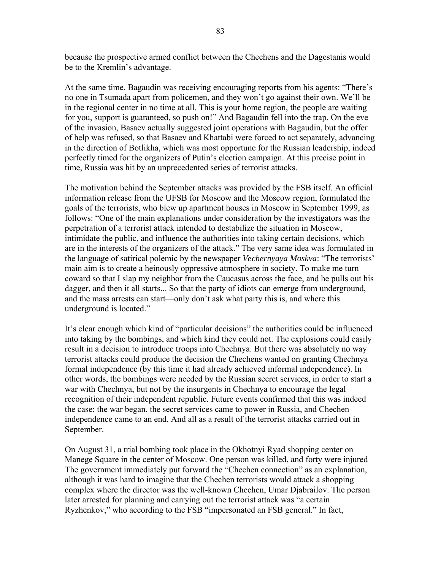because the prospective armed conflict between the Chechens and the Dagestanis would be to the Kremlin's advantage.

At the same time, Bagaudin was receiving encouraging reports from his agents: "There's no one in Tsumada apart from policemen, and they won't go against their own. We'll be in the regional center in no time at all. This is your home region, the people are waiting for you, support is guaranteed, so push on!" And Bagaudin fell into the trap. On the eve of the invasion, Basaev actually suggested joint operations with Bagaudin, but the offer of help was refused, so that Basaev and Khattabi were forced to act separately, advancing in the direction of Botlikha, which was most opportune for the Russian leadership, indeed perfectly timed for the organizers of Putin's election campaign. At this precise point in time, Russia was hit by an unprecedented series of terrorist attacks.

The motivation behind the September attacks was provided by the FSB itself. An official information release from the UFSB for Moscow and the Moscow region, formulated the goals of the terrorists, who blew up apartment houses in Moscow in September 1999, as follows: "One of the main explanations under consideration by the investigators was the perpetration of a terrorist attack intended to destabilize the situation in Moscow, intimidate the public, and influence the authorities into taking certain decisions, which are in the interests of the organizers of the attack." The very same idea was formulated in the language of satirical polemic by the newspaper *Vechernyaya Moskva*: "The terrorists' main aim is to create a heinously oppressive atmosphere in society. To make me turn coward so that I slap my neighbor from the Caucasus across the face, and he pulls out his dagger, and then it all starts... So that the party of idiots can emerge from underground, and the mass arrests can start—only don't ask what party this is, and where this underground is located."

It's clear enough which kind of "particular decisions" the authorities could be influenced into taking by the bombings, and which kind they could not. The explosions could easily result in a decision to introduce troops into Chechnya. But there was absolutely no way terrorist attacks could produce the decision the Chechens wanted on granting Chechnya formal independence (by this time it had already achieved informal independence). In other words, the bombings were needed by the Russian secret services, in order to start a war with Chechnya, but not by the insurgents in Chechnya to encourage the legal recognition of their independent republic. Future events confirmed that this was indeed the case: the war began, the secret services came to power in Russia, and Chechen independence came to an end. And all as a result of the terrorist attacks carried out in September.

On August 31, a trial bombing took place in the Okhotnyi Ryad shopping center on Manege Square in the center of Moscow. One person was killed, and forty were injured The government immediately put forward the "Chechen connection" as an explanation, although it was hard to imagine that the Chechen terrorists would attack a shopping complex where the director was the well-known Chechen, Umar Djabrailov. The person later arrested for planning and carrying out the terrorist attack was "a certain Ryzhenkov," who according to the FSB "impersonated an FSB general." In fact,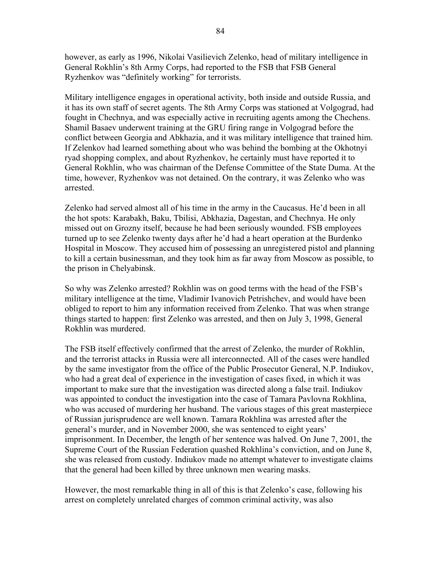however, as early as 1996, Nikolai Vasilievich Zelenko, head of military intelligence in General Rokhlin's 8th Army Corps, had reported to the FSB that FSB General Ryzhenkov was "definitely working" for terrorists.

Military intelligence engages in operational activity, both inside and outside Russia, and it has its own staff of secret agents. The 8th Army Corps was stationed at Volgograd, had fought in Chechnya, and was especially active in recruiting agents among the Chechens. Shamil Basaev underwent training at the GRU firing range in Volgograd before the conflict between Georgia and Abkhazia, and it was military intelligence that trained him. If Zelenkov had learned something about who was behind the bombing at the Okhotnyi ryad shopping complex, and about Ryzhenkov, he certainly must have reported it to General Rokhlin, who was chairman of the Defense Committee of the State Duma. At the time, however, Ryzhenkov was not detained. On the contrary, it was Zelenko who was arrested.

Zelenko had served almost all of his time in the army in the Caucasus. He'd been in all the hot spots: Karabakh, Baku, Tbilisi, Abkhazia, Dagestan, and Chechnya. He only missed out on Grozny itself, because he had been seriously wounded. FSB employees turned up to see Zelenko twenty days after he'd had a heart operation at the Burdenko Hospital in Moscow. They accused him of possessing an unregistered pistol and planning to kill a certain businessman, and they took him as far away from Moscow as possible, to the prison in Chelyabinsk.

So why was Zelenko arrested? Rokhlin was on good terms with the head of the FSB's military intelligence at the time, Vladimir Ivanovich Petrishchev, and would have been obliged to report to him any information received from Zelenko. That was when strange things started to happen: first Zelenko was arrested, and then on July 3, 1998, General Rokhlin was murdered.

The FSB itself effectively confirmed that the arrest of Zelenko, the murder of Rokhlin, and the terrorist attacks in Russia were all interconnected. All of the cases were handled by the same investigator from the office of the Public Prosecutor General, N.P. Indiukov, who had a great deal of experience in the investigation of cases fixed, in which it was important to make sure that the investigation was directed along a false trail. Indiukov was appointed to conduct the investigation into the case of Tamara Pavlovna Rokhlina, who was accused of murdering her husband. The various stages of this great masterpiece of Russian jurisprudence are well known. Tamara Rokhlina was arrested after the general's murder, and in November 2000, she was sentenced to eight years' imprisonment. In December, the length of her sentence was halved. On June 7, 2001, the Supreme Court of the Russian Federation quashed Rokhlina's conviction, and on June 8, she was released from custody. Indiukov made no attempt whatever to investigate claims that the general had been killed by three unknown men wearing masks.

However, the most remarkable thing in all of this is that Zelenko's case, following his arrest on completely unrelated charges of common criminal activity, was also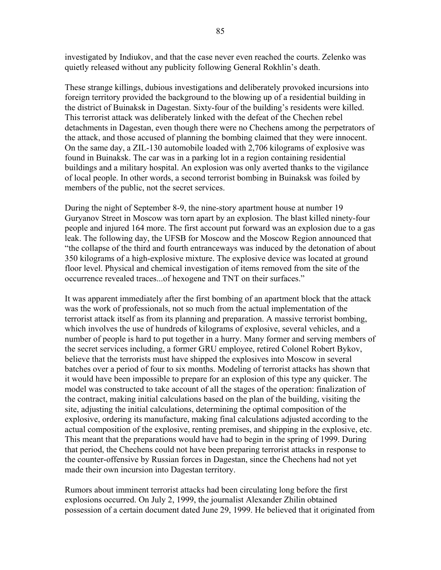investigated by Indiukov, and that the case never even reached the courts. Zelenko was quietly released without any publicity following General Rokhlin's death.

These strange killings, dubious investigations and deliberately provoked incursions into foreign territory provided the background to the blowing up of a residential building in the district of Buinaksk in Dagestan. Sixty-four of the building's residents were killed. This terrorist attack was deliberately linked with the defeat of the Chechen rebel detachments in Dagestan, even though there were no Chechens among the perpetrators of the attack, and those accused of planning the bombing claimed that they were innocent. On the same day, a ZIL-130 automobile loaded with 2,706 kilograms of explosive was found in Buinaksk. The car was in a parking lot in a region containing residential buildings and a military hospital. An explosion was only averted thanks to the vigilance of local people. In other words, a second terrorist bombing in Buinaksk was foiled by members of the public, not the secret services.

During the night of September 8-9, the nine-story apartment house at number 19 Guryanov Street in Moscow was torn apart by an explosion. The blast killed ninety-four people and injured 164 more. The first account put forward was an explosion due to a gas leak. The following day, the UFSB for Moscow and the Moscow Region announced that "the collapse of the third and fourth entranceways was induced by the detonation of about 350 kilograms of a high-explosive mixture. The explosive device was located at ground floor level. Physical and chemical investigation of items removed from the site of the occurrence revealed traces...of hexogene and TNT on their surfaces."

It was apparent immediately after the first bombing of an apartment block that the attack was the work of professionals, not so much from the actual implementation of the terrorist attack itself as from its planning and preparation. A massive terrorist bombing, which involves the use of hundreds of kilograms of explosive, several vehicles, and a number of people is hard to put together in a hurry. Many former and serving members of the secret services including, a former GRU employee, retired Colonel Robert Bykov, believe that the terrorists must have shipped the explosives into Moscow in several batches over a period of four to six months. Modeling of terrorist attacks has shown that it would have been impossible to prepare for an explosion of this type any quicker. The model was constructed to take account of all the stages of the operation: finalization of the contract, making initial calculations based on the plan of the building, visiting the site, adjusting the initial calculations, determining the optimal composition of the explosive, ordering its manufacture, making final calculations adjusted according to the actual composition of the explosive, renting premises, and shipping in the explosive, etc. This meant that the preparations would have had to begin in the spring of 1999. During that period, the Chechens could not have been preparing terrorist attacks in response to the counter-offensive by Russian forces in Dagestan, since the Chechens had not yet made their own incursion into Dagestan territory.

Rumors about imminent terrorist attacks had been circulating long before the first explosions occurred. On July 2, 1999, the journalist Alexander Zhilin obtained possession of a certain document dated June 29, 1999. He believed that it originated from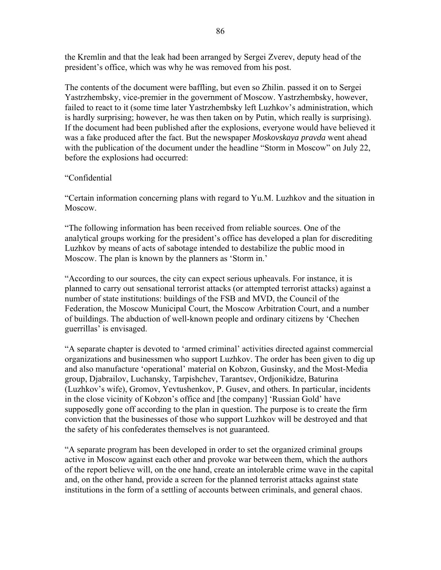the Kremlin and that the leak had been arranged by Sergei Zverev, deputy head of the president's office, which was why he was removed from his post.

The contents of the document were baffling, but even so Zhilin. passed it on to Sergei Yastrzhembsky, vice-premier in the government of Moscow. Yastrzhembsky, however, failed to react to it (some time later Yastrzhembsky left Luzhkov's administration, which is hardly surprising; however, he was then taken on by Putin, which really is surprising). If the document had been published after the explosions, everyone would have believed it was a fake produced after the fact. But the newspaper *Moskovskaya pravda* went ahead with the publication of the document under the headline "Storm in Moscow" on July 22, before the explosions had occurred:

#### "Confidential

"Certain information concerning plans with regard to Yu.M. Luzhkov and the situation in Moscow.

"The following information has been received from reliable sources. One of the analytical groups working for the president's office has developed a plan for discrediting Luzhkov by means of acts of sabotage intended to destabilize the public mood in Moscow. The plan is known by the planners as 'Storm in.'

"According to our sources, the city can expect serious upheavals. For instance, it is planned to carry out sensational terrorist attacks (or attempted terrorist attacks) against a number of state institutions: buildings of the FSB and MVD, the Council of the Federation, the Moscow Municipal Court, the Moscow Arbitration Court, and a number of buildings. The abduction of well-known people and ordinary citizens by 'Chechen guerrillas' is envisaged.

"A separate chapter is devoted to 'armed criminal' activities directed against commercial organizations and businessmen who support Luzhkov. The order has been given to dig up and also manufacture 'operational' material on Kobzon, Gusinsky, and the Most-Media group, Djabrailov, Luchansky, Tarpishchev, Tarantsev, Ordjonikidze, Baturina (Luzhkov's wife), Gromov, Yevtushenkov, P. Gusev, and others. In particular, incidents in the close vicinity of Kobzon's office and [the company] 'Russian Gold' have supposedly gone off according to the plan in question. The purpose is to create the firm conviction that the businesses of those who support Luzhkov will be destroyed and that the safety of his confederates themselves is not guaranteed.

"A separate program has been developed in order to set the organized criminal groups active in Moscow against each other and provoke war between them, which the authors of the report believe will, on the one hand, create an intolerable crime wave in the capital and, on the other hand, provide a screen for the planned terrorist attacks against state institutions in the form of a settling of accounts between criminals, and general chaos.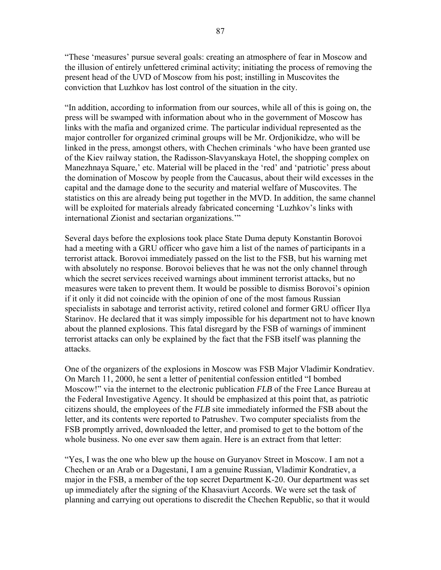"These 'measures' pursue several goals: creating an atmosphere of fear in Moscow and the illusion of entirely unfettered criminal activity; initiating the process of removing the present head of the UVD of Moscow from his post; instilling in Muscovites the conviction that Luzhkov has lost control of the situation in the city.

"In addition, according to information from our sources, while all of this is going on, the press will be swamped with information about who in the government of Moscow has links with the mafia and organized crime. The particular individual represented as the major controller for organized criminal groups will be Mr. Ordjonikidze, who will be linked in the press, amongst others, with Chechen criminals 'who have been granted use of the Kiev railway station, the Radisson-Slavyanskaya Hotel, the shopping complex on Manezhnaya Square,' etc. Material will be placed in the 'red' and 'patriotic' press about the domination of Moscow by people from the Caucasus, about their wild excesses in the capital and the damage done to the security and material welfare of Muscovites. The statistics on this are already being put together in the MVD. In addition, the same channel will be exploited for materials already fabricated concerning 'Luzhkov's links with international Zionist and sectarian organizations.'"

Several days before the explosions took place State Duma deputy Konstantin Borovoi had a meeting with a GRU officer who gave him a list of the names of participants in a terrorist attack. Borovoi immediately passed on the list to the FSB, but his warning met with absolutely no response. Borovoi believes that he was not the only channel through which the secret services received warnings about imminent terrorist attacks, but no measures were taken to prevent them. It would be possible to dismiss Borovoi's opinion if it only it did not coincide with the opinion of one of the most famous Russian specialists in sabotage and terrorist activity, retired colonel and former GRU officer Ilya Starinov. He declared that it was simply impossible for his department not to have known about the planned explosions. This fatal disregard by the FSB of warnings of imminent terrorist attacks can only be explained by the fact that the FSB itself was planning the attacks.

One of the organizers of the explosions in Moscow was FSB Major Vladimir Kondratiev. On March 11, 2000, he sent a letter of penitential confession entitled "I bombed Moscow!" via the internet to the electronic publication *FLB* of the Free Lance Bureau at the Federal Investigative Agency. It should be emphasized at this point that, as patriotic citizens should, the employees of the *FLB* site immediately informed the FSB about the letter, and its contents were reported to Patrushev. Two computer specialists from the FSB promptly arrived, downloaded the letter, and promised to get to the bottom of the whole business. No one ever saw them again. Here is an extract from that letter:

"Yes, I was the one who blew up the house on Guryanov Street in Moscow. I am not a Chechen or an Arab or a Dagestani, I am a genuine Russian, Vladimir Kondratiev, a major in the FSB, a member of the top secret Department K-20. Our department was set up immediately after the signing of the Khasaviurt Accords. We were set the task of planning and carrying out operations to discredit the Chechen Republic, so that it would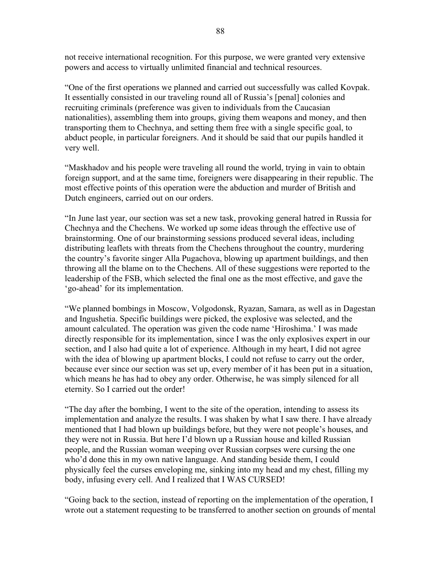not receive international recognition. For this purpose, we were granted very extensive powers and access to virtually unlimited financial and technical resources.

"One of the first operations we planned and carried out successfully was called Kovpak. It essentially consisted in our traveling round all of Russia's [penal] colonies and recruiting criminals (preference was given to individuals from the Caucasian nationalities), assembling them into groups, giving them weapons and money, and then transporting them to Chechnya, and setting them free with a single specific goal, to abduct people, in particular foreigners. And it should be said that our pupils handled it very well.

"Maskhadov and his people were traveling all round the world, trying in vain to obtain foreign support, and at the same time, foreigners were disappearing in their republic. The most effective points of this operation were the abduction and murder of British and Dutch engineers, carried out on our orders.

"In June last year, our section was set a new task, provoking general hatred in Russia for Chechnya and the Chechens. We worked up some ideas through the effective use of brainstorming. One of our brainstorming sessions produced several ideas, including distributing leaflets with threats from the Chechens throughout the country, murdering the country's favorite singer Alla Pugachova, blowing up apartment buildings, and then throwing all the blame on to the Chechens. All of these suggestions were reported to the leadership of the FSB, which selected the final one as the most effective, and gave the 'go-ahead' for its implementation.

"We planned bombings in Moscow, Volgodonsk, Ryazan, Samara, as well as in Dagestan and Ingushetia. Specific buildings were picked, the explosive was selected, and the amount calculated. The operation was given the code name 'Hiroshima.' I was made directly responsible for its implementation, since I was the only explosives expert in our section, and I also had quite a lot of experience. Although in my heart, I did not agree with the idea of blowing up apartment blocks, I could not refuse to carry out the order, because ever since our section was set up, every member of it has been put in a situation, which means he has had to obey any order. Otherwise, he was simply silenced for all eternity. So I carried out the order!

"The day after the bombing, I went to the site of the operation, intending to assess its implementation and analyze the results. I was shaken by what I saw there. I have already mentioned that I had blown up buildings before, but they were not people's houses, and they were not in Russia. But here I'd blown up a Russian house and killed Russian people, and the Russian woman weeping over Russian corpses were cursing the one who'd done this in my own native language. And standing beside them, I could physically feel the curses enveloping me, sinking into my head and my chest, filling my body, infusing every cell. And I realized that I WAS CURSED!

"Going back to the section, instead of reporting on the implementation of the operation, I wrote out a statement requesting to be transferred to another section on grounds of mental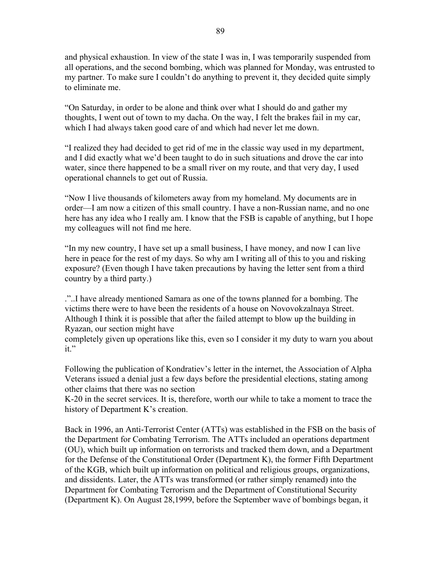and physical exhaustion. In view of the state I was in, I was temporarily suspended from all operations, and the second bombing, which was planned for Monday, was entrusted to my partner. To make sure I couldn't do anything to prevent it, they decided quite simply to eliminate me.

"On Saturday, in order to be alone and think over what I should do and gather my thoughts, I went out of town to my dacha. On the way, I felt the brakes fail in my car, which I had always taken good care of and which had never let me down.

"I realized they had decided to get rid of me in the classic way used in my department, and I did exactly what we'd been taught to do in such situations and drove the car into water, since there happened to be a small river on my route, and that very day, I used operational channels to get out of Russia.

"Now I live thousands of kilometers away from my homeland. My documents are in order—I am now a citizen of this small country. I have a non-Russian name, and no one here has any idea who I really am. I know that the FSB is capable of anything, but I hope my colleagues will not find me here.

"In my new country, I have set up a small business, I have money, and now I can live here in peace for the rest of my days. So why am I writing all of this to you and risking exposure? (Even though I have taken precautions by having the letter sent from a third country by a third party.)

."..I have already mentioned Samara as one of the towns planned for a bombing. The victims there were to have been the residents of a house on Novovokzalnaya Street. Although I think it is possible that after the failed attempt to blow up the building in Ryazan, our section might have

completely given up operations like this, even so I consider it my duty to warn you about it."

Following the publication of Kondratiev's letter in the internet, the Association of Alpha Veterans issued a denial just a few days before the presidential elections, stating among other claims that there was no section

K-20 in the secret services. It is, therefore, worth our while to take a moment to trace the history of Department K's creation.

Back in 1996, an Anti-Terrorist Center (ATTs) was established in the FSB on the basis of the Department for Combating Terrorism. The ATTs included an operations department (OU), which built up information on terrorists and tracked them down, and a Department for the Defense of the Constitutional Order (Department K), the former Fifth Department of the KGB, which built up information on political and religious groups, organizations, and dissidents. Later, the ATTs was transformed (or rather simply renamed) into the Department for Combating Terrorism and the Department of Constitutional Security (Department K). On August 28,1999, before the September wave of bombings began, it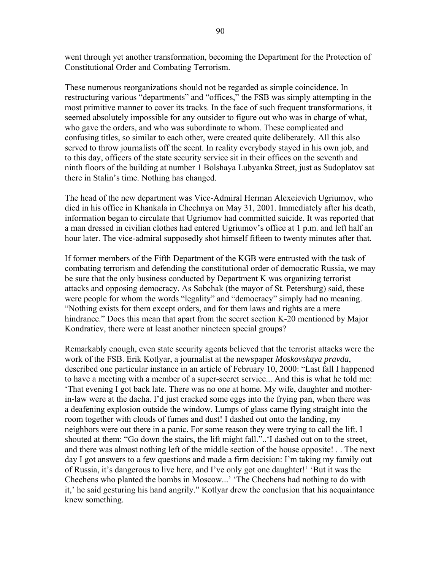went through yet another transformation, becoming the Department for the Protection of Constitutional Order and Combating Terrorism.

These numerous reorganizations should not be regarded as simple coincidence. In restructuring various "departments" and "offices," the FSB was simply attempting in the most primitive manner to cover its tracks. In the face of such frequent transformations, it seemed absolutely impossible for any outsider to figure out who was in charge of what, who gave the orders, and who was subordinate to whom. These complicated and confusing titles, so similar to each other, were created quite deliberately. All this also served to throw journalists off the scent. In reality everybody stayed in his own job, and to this day, officers of the state security service sit in their offices on the seventh and ninth floors of the building at number 1 Bolshaya Lubyanka Street, just as Sudoplatov sat there in Stalin's time. Nothing has changed.

The head of the new department was Vice-Admiral Herman Alexeievich Ugriumov, who died in his office in Khankala in Chechnya on May 31, 2001. Immediately after his death, information began to circulate that Ugriumov had committed suicide. It was reported that a man dressed in civilian clothes had entered Ugriumov's office at 1 p.m. and left half an hour later. The vice-admiral supposedly shot himself fifteen to twenty minutes after that.

If former members of the Fifth Department of the KGB were entrusted with the task of combating terrorism and defending the constitutional order of democratic Russia, we may be sure that the only business conducted by Department K was organizing terrorist attacks and opposing democracy. As Sobchak (the mayor of St. Petersburg) said, these were people for whom the words "legality" and "democracy" simply had no meaning. "Nothing exists for them except orders, and for them laws and rights are a mere hindrance." Does this mean that apart from the secret section K-20 mentioned by Major Kondratiev, there were at least another nineteen special groups?

Remarkably enough, even state security agents believed that the terrorist attacks were the work of the FSB. Erik Kotlyar, a journalist at the newspaper *Moskovskaya pravda*, described one particular instance in an article of February 10, 2000: "Last fall I happened to have a meeting with a member of a super-secret service... And this is what he told me: 'That evening I got back late. There was no one at home. My wife, daughter and motherin-law were at the dacha. I'd just cracked some eggs into the frying pan, when there was a deafening explosion outside the window. Lumps of glass came flying straight into the room together with clouds of fumes and dust! I dashed out onto the landing, my neighbors were out there in a panic. For some reason they were trying to call the lift. I shouted at them: "Go down the stairs, the lift might fall."..'I dashed out on to the street, and there was almost nothing left of the middle section of the house opposite! . . The next day I got answers to a few questions and made a firm decision: I'm taking my family out of Russia, it's dangerous to live here, and I've only got one daughter!' 'But it was the Chechens who planted the bombs in Moscow...' 'The Chechens had nothing to do with it,' he said gesturing his hand angrily." Kotlyar drew the conclusion that his acquaintance knew something.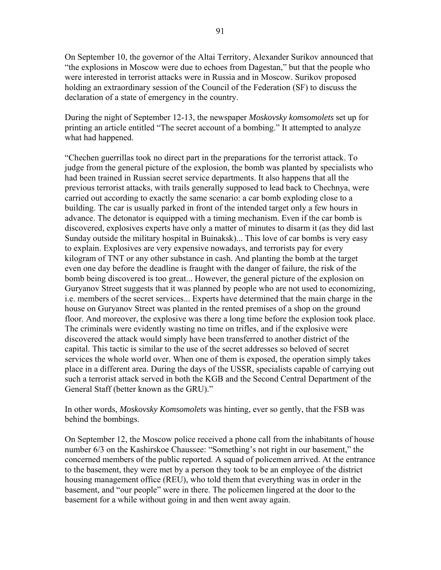On September 10, the governor of the Altai Territory, Alexander Surikov announced that "the explosions in Moscow were due to echoes from Dagestan," but that the people who were interested in terrorist attacks were in Russia and in Moscow. Surikov proposed holding an extraordinary session of the Council of the Federation (SF) to discuss the declaration of a state of emergency in the country.

During the night of September 12-13, the newspaper *Moskovsky komsomolets* set up for printing an article entitled "The secret account of a bombing." It attempted to analyze what had happened.

"Chechen guerrillas took no direct part in the preparations for the terrorist attack. To judge from the general picture of the explosion, the bomb was planted by specialists who had been trained in Russian secret service departments. It also happens that all the previous terrorist attacks, with trails generally supposed to lead back to Chechnya, were carried out according to exactly the same scenario: a car bomb exploding close to a building. The car is usually parked in front of the intended target only a few hours in advance. The detonator is equipped with a timing mechanism. Even if the car bomb is discovered, explosives experts have only a matter of minutes to disarm it (as they did last Sunday outside the military hospital in Buinaksk)... This love of car bombs is very easy to explain. Explosives are very expensive nowadays, and terrorists pay for every kilogram of TNT or any other substance in cash. And planting the bomb at the target even one day before the deadline is fraught with the danger of failure, the risk of the bomb being discovered is too great... However, the general picture of the explosion on Guryanov Street suggests that it was planned by people who are not used to economizing, i.e. members of the secret services... Experts have determined that the main charge in the house on Guryanov Street was planted in the rented premises of a shop on the ground floor. And moreover, the explosive was there a long time before the explosion took place. The criminals were evidently wasting no time on trifles, and if the explosive were discovered the attack would simply have been transferred to another district of the capital. This tactic is similar to the use of the secret addresses so beloved of secret services the whole world over. When one of them is exposed, the operation simply takes place in a different area. During the days of the USSR, specialists capable of carrying out such a terrorist attack served in both the KGB and the Second Central Department of the General Staff (better known as the GRU)."

In other words, *Moskovsky Komsomolets* was hinting, ever so gently, that the FSB was behind the bombings.

On September 12, the Moscow police received a phone call from the inhabitants of house number 6/3 on the Kashirskoe Chaussee: "Something's not right in our basement," the concerned members of the public reported. A squad of policemen arrived. At the entrance to the basement, they were met by a person they took to be an employee of the district housing management office (REU), who told them that everything was in order in the basement, and "our people" were in there. The policemen lingered at the door to the basement for a while without going in and then went away again.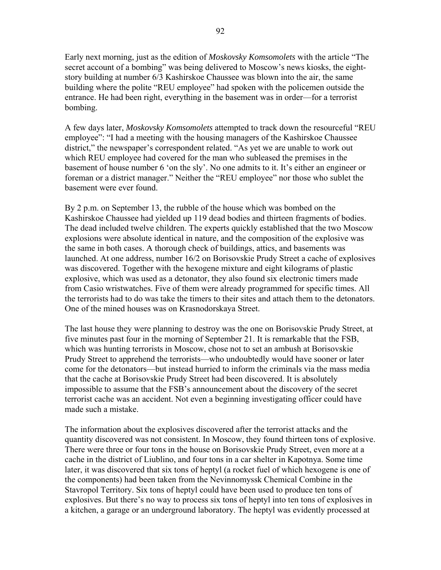Early next morning, just as the edition of *Moskovsky Komsomolets* with the article "The secret account of a bombing" was being delivered to Moscow's news kiosks, the eightstory building at number 6/3 Kashirskoe Chaussee was blown into the air, the same building where the polite "REU employee" had spoken with the policemen outside the entrance. He had been right, everything in the basement was in order—for a terrorist bombing.

A few days later, *Moskovsky Komsomolets* attempted to track down the resourceful "REU employee": "I had a meeting with the housing managers of the Kashirskoe Chaussee district," the newspaper's correspondent related. "As yet we are unable to work out which REU employee had covered for the man who subleased the premises in the basement of house number 6 'on the sly'. No one admits to it. It's either an engineer or foreman or a district manager." Neither the "REU employee" nor those who sublet the basement were ever found.

By 2 p.m. on September 13, the rubble of the house which was bombed on the Kashirskoe Chaussee had yielded up 119 dead bodies and thirteen fragments of bodies. The dead included twelve children. The experts quickly established that the two Moscow explosions were absolute identical in nature, and the composition of the explosive was the same in both cases. A thorough check of buildings, attics, and basements was launched. At one address, number 16/2 on Borisovskie Prudy Street a cache of explosives was discovered. Together with the hexogene mixture and eight kilograms of plastic explosive, which was used as a detonator, they also found six electronic timers made from Casio wristwatches. Five of them were already programmed for specific times. All the terrorists had to do was take the timers to their sites and attach them to the detonators. One of the mined houses was on Krasnodorskaya Street.

The last house they were planning to destroy was the one on Borisovskie Prudy Street, at five minutes past four in the morning of September 21. It is remarkable that the FSB, which was hunting terrorists in Moscow, chose not to set an ambush at Borisovskie Prudy Street to apprehend the terrorists—who undoubtedly would have sooner or later come for the detonators—but instead hurried to inform the criminals via the mass media that the cache at Borisovskie Prudy Street had been discovered. It is absolutely impossible to assume that the FSB's announcement about the discovery of the secret terrorist cache was an accident. Not even a beginning investigating officer could have made such a mistake.

The information about the explosives discovered after the terrorist attacks and the quantity discovered was not consistent. In Moscow, they found thirteen tons of explosive. There were three or four tons in the house on Borisovskie Prudy Street, even more at a cache in the district of Liublino, and four tons in a car shelter in Kapotnya. Some time later, it was discovered that six tons of heptyl (a rocket fuel of which hexogene is one of the components) had been taken from the Nevinnomyssk Chemical Combine in the Stavropol Territory. Six tons of heptyl could have been used to produce ten tons of explosives. But there's no way to process six tons of heptyl into ten tons of explosives in a kitchen, a garage or an underground laboratory. The heptyl was evidently processed at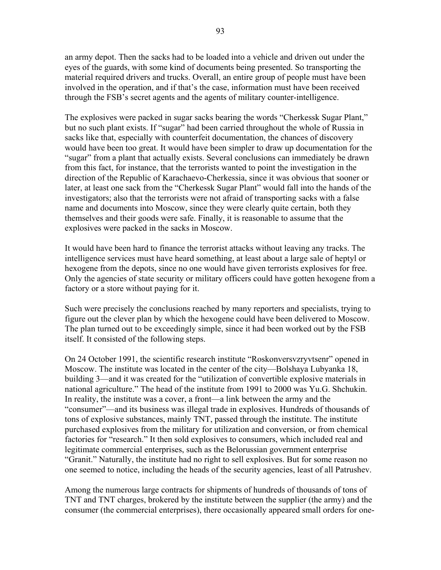an army depot. Then the sacks had to be loaded into a vehicle and driven out under the eyes of the guards, with some kind of documents being presented. So transporting the material required drivers and trucks. Overall, an entire group of people must have been involved in the operation, and if that's the case, information must have been received through the FSB's secret agents and the agents of military counter-intelligence.

The explosives were packed in sugar sacks bearing the words "Cherkessk Sugar Plant," but no such plant exists. If "sugar" had been carried throughout the whole of Russia in sacks like that, especially with counterfeit documentation, the chances of discovery would have been too great. It would have been simpler to draw up documentation for the "sugar" from a plant that actually exists. Several conclusions can immediately be drawn from this fact, for instance, that the terrorists wanted to point the investigation in the direction of the Republic of Karachaevo-Cherkessia, since it was obvious that sooner or later, at least one sack from the "Cherkessk Sugar Plant" would fall into the hands of the investigators; also that the terrorists were not afraid of transporting sacks with a false name and documents into Moscow, since they were clearly quite certain, both they themselves and their goods were safe. Finally, it is reasonable to assume that the explosives were packed in the sacks in Moscow.

It would have been hard to finance the terrorist attacks without leaving any tracks. The intelligence services must have heard something, at least about a large sale of heptyl or hexogene from the depots, since no one would have given terrorists explosives for free. Only the agencies of state security or military officers could have gotten hexogene from a factory or a store without paying for it.

Such were precisely the conclusions reached by many reporters and specialists, trying to figure out the clever plan by which the hexogene could have been delivered to Moscow. The plan turned out to be exceedingly simple, since it had been worked out by the FSB itself. It consisted of the following steps.

On 24 October 1991, the scientific research institute "Roskonversvzryvtsenr" opened in Moscow. The institute was located in the center of the city—Bolshaya Lubyanka 18, building 3—and it was created for the "utilization of convertible explosive materials in national agriculture." The head of the institute from 1991 to 2000 was Yu.G. Shchukin. In reality, the institute was a cover, a front—a link between the army and the "consumer"—and its business was illegal trade in explosives. Hundreds of thousands of tons of explosive substances, mainly TNT, passed through the institute. The institute purchased explosives from the military for utilization and conversion, or from chemical factories for "research." It then sold explosives to consumers, which included real and legitimate commercial enterprises, such as the Belorussian government enterprise "Granit." Naturally, the institute had no right to sell explosives. But for some reason no one seemed to notice, including the heads of the security agencies, least of all Patrushev.

Among the numerous large contracts for shipments of hundreds of thousands of tons of TNT and TNT charges, brokered by the institute between the supplier (the army) and the consumer (the commercial enterprises), there occasionally appeared small orders for one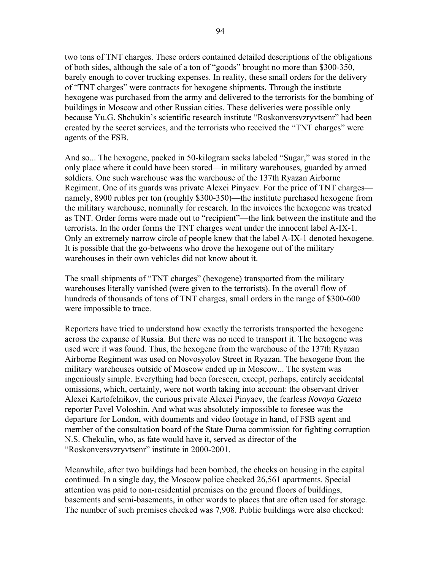two tons of TNT charges. These orders contained detailed descriptions of the obligations of both sides, although the sale of a ton of "goods" brought no more than \$300-350, barely enough to cover trucking expenses. In reality, these small orders for the delivery of "TNT charges" were contracts for hexogene shipments. Through the institute hexogene was purchased from the army and delivered to the terrorists for the bombing of buildings in Moscow and other Russian cities. These deliveries were possible only because Yu.G. Shchukin's scientific research institute "Roskonversvzryvtsenr" had been created by the secret services, and the terrorists who received the "TNT charges" were agents of the FSB.

And so... The hexogene, packed in 50-kilogram sacks labeled "Sugar," was stored in the only place where it could have been stored—in military warehouses, guarded by armed soldiers. One such warehouse was the warehouse of the 137th Ryazan Airborne Regiment. One of its guards was private Alexei Pinyaev. For the price of TNT charges namely, 8900 rubles per ton (roughly \$300-350)—the institute purchased hexogene from the military warehouse, nominally for research. In the invoices the hexogene was treated as TNT. Order forms were made out to "recipient"—the link between the institute and the terrorists. In the order forms the TNT charges went under the innocent label A-IX-1. Only an extremely narrow circle of people knew that the label A-IX-1 denoted hexogene. It is possible that the go-betweens who drove the hexogene out of the military warehouses in their own vehicles did not know about it.

The small shipments of "TNT charges" (hexogene) transported from the military warehouses literally vanished (were given to the terrorists). In the overall flow of hundreds of thousands of tons of TNT charges, small orders in the range of \$300-600 were impossible to trace.

Reporters have tried to understand how exactly the terrorists transported the hexogene across the expanse of Russia. But there was no need to transport it. The hexogene was used were it was found. Thus, the hexogene from the warehouse of the 137th Ryazan Airborne Regiment was used on Novosyolov Street in Ryazan. The hexogene from the military warehouses outside of Moscow ended up in Moscow... The system was ingeniously simple. Everything had been foreseen, except, perhaps, entirely accidental omissions, which, certainly, were not worth taking into account: the observant driver Alexei Kartofelnikov, the curious private Alexei Pinyaev, the fearless *Novaya Gazeta* reporter Pavel Voloshin. And what was absolutely impossible to foresee was the departure for London, with douments and video footage in hand, of FSB agent and member of the consultation board of the State Duma commission for fighting corruption N.S. Chekulin, who, as fate would have it, served as director of the "Roskonversvzryvtsenr" institute in 2000-2001.

Meanwhile, after two buildings had been bombed, the checks on housing in the capital continued. In a single day, the Moscow police checked 26,561 apartments. Special attention was paid to non-residential premises on the ground floors of buildings, basements and semi-basements, in other words to places that are often used for storage. The number of such premises checked was 7,908. Public buildings were also checked: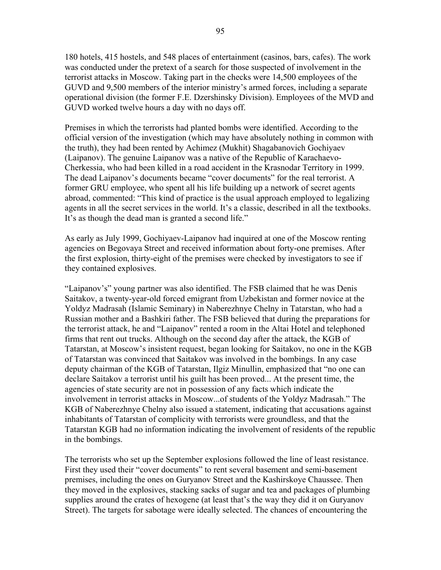180 hotels, 415 hostels, and 548 places of entertainment (casinos, bars, cafes). The work was conducted under the pretext of a search for those suspected of involvement in the terrorist attacks in Moscow. Taking part in the checks were 14,500 employees of the GUVD and 9,500 members of the interior ministry's armed forces, including a separate operational division (the former F.E. Dzershinsky Division). Employees of the MVD and GUVD worked twelve hours a day with no days off.

Premises in which the terrorists had planted bombs were identified. According to the official version of the investigation (which may have absolutely nothing in common with the truth), they had been rented by Achimez (Mukhit) Shagabanovich Gochiyaev (Laipanov). The genuine Laipanov was a native of the Republic of Karachaevo-Cherkessia, who had been killed in a road accident in the Krasnodar Territory in 1999. The dead Laipanov's documents became "cover documents" for the real terrorist. A former GRU employee, who spent all his life building up a network of secret agents abroad, commented: "This kind of practice is the usual approach employed to legalizing agents in all the secret services in the world. It's a classic, described in all the textbooks. It's as though the dead man is granted a second life."

As early as July 1999, Gochiyaev-Laipanov had inquired at one of the Moscow renting agencies on Begovaya Street and received information about forty-one premises. After the first explosion, thirty-eight of the premises were checked by investigators to see if they contained explosives.

"Laipanov's" young partner was also identified. The FSB claimed that he was Denis Saitakov, a twenty-year-old forced emigrant from Uzbekistan and former novice at the Yoldyz Madrasah (Islamic Seminary) in Naberezhnye Chelny in Tatarstan, who had a Russian mother and a Bashkiri father. The FSB believed that during the preparations for the terrorist attack, he and "Laipanov" rented a room in the Altai Hotel and telephoned firms that rent out trucks. Although on the second day after the attack, the KGB of Tatarstan, at Moscow's insistent request, began looking for Saitakov, no one in the KGB of Tatarstan was convinced that Saitakov was involved in the bombings. In any case deputy chairman of the KGB of Tatarstan, Ilgiz Minullin, emphasized that "no one can declare Saitakov a terrorist until his guilt has been proved... At the present time, the agencies of state security are not in possession of any facts which indicate the involvement in terrorist attacks in Moscow...of students of the Yoldyz Madrasah." The KGB of Naberezhnye Chelny also issued a statement, indicating that accusations against inhabitants of Tatarstan of complicity with terrorists were groundless, and that the Tatarstan KGB had no information indicating the involvement of residents of the republic in the bombings.

The terrorists who set up the September explosions followed the line of least resistance. First they used their "cover documents" to rent several basement and semi-basement premises, including the ones on Guryanov Street and the Kashirskoye Chaussee. Then they moved in the explosives, stacking sacks of sugar and tea and packages of plumbing supplies around the crates of hexogene (at least that's the way they did it on Guryanov Street). The targets for sabotage were ideally selected. The chances of encountering the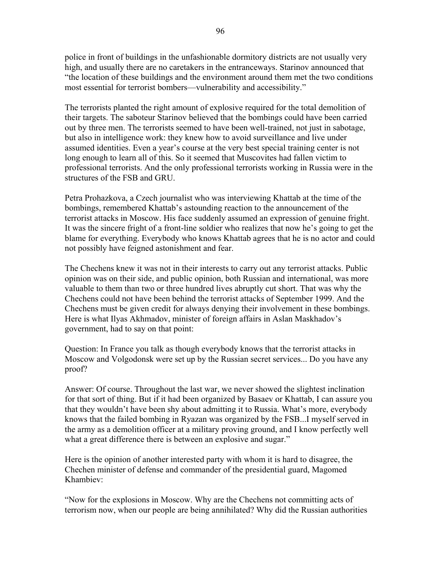police in front of buildings in the unfashionable dormitory districts are not usually very high, and usually there are no caretakers in the entranceways. Starinov announced that "the location of these buildings and the environment around them met the two conditions most essential for terrorist bombers—vulnerability and accessibility."

The terrorists planted the right amount of explosive required for the total demolition of their targets. The saboteur Starinov believed that the bombings could have been carried out by three men. The terrorists seemed to have been well-trained, not just in sabotage, but also in intelligence work: they knew how to avoid surveillance and live under assumed identities. Even a year's course at the very best special training center is not long enough to learn all of this. So it seemed that Muscovites had fallen victim to professional terrorists. And the only professional terrorists working in Russia were in the structures of the FSB and GRU.

Petra Prohazkova, a Czech journalist who was interviewing Khattab at the time of the bombings, remembered Khattab's astounding reaction to the announcement of the terrorist attacks in Moscow. His face suddenly assumed an expression of genuine fright. It was the sincere fright of a front-line soldier who realizes that now he's going to get the blame for everything. Everybody who knows Khattab agrees that he is no actor and could not possibly have feigned astonishment and fear.

The Chechens knew it was not in their interests to carry out any terrorist attacks. Public opinion was on their side, and public opinion, both Russian and international, was more valuable to them than two or three hundred lives abruptly cut short. That was why the Chechens could not have been behind the terrorist attacks of September 1999. And the Chechens must be given credit for always denying their involvement in these bombings. Here is what Ilyas Akhmadov, minister of foreign affairs in Aslan Maskhadov's government, had to say on that point:

Question: In France you talk as though everybody knows that the terrorist attacks in Moscow and Volgodonsk were set up by the Russian secret services... Do you have any proof?

Answer: Of course. Throughout the last war, we never showed the slightest inclination for that sort of thing. But if it had been organized by Basaev or Khattab, I can assure you that they wouldn't have been shy about admitting it to Russia. What's more, everybody knows that the failed bombing in Ryazan was organized by the FSB...I myself served in the army as a demolition officer at a military proving ground, and I know perfectly well what a great difference there is between an explosive and sugar."

Here is the opinion of another interested party with whom it is hard to disagree, the Chechen minister of defense and commander of the presidential guard, Magomed Khambiev:

"Now for the explosions in Moscow. Why are the Chechens not committing acts of terrorism now, when our people are being annihilated? Why did the Russian authorities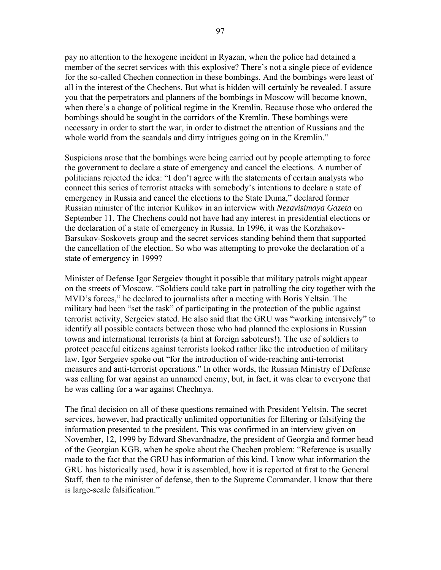pay no attention to the hexogene incident in Ryazan, when the police had detained a member of the secret services with this explosive? There's not a single piece of evidence for the so-called Chechen connection in these bombings. And the bombings were least of all in the interest of the Chechens. But what is hidden will certainly be revealed. I assure you that the perpetrators and planners of the bombings in Moscow will become known, when there's a change of political regime in the Kremlin. Because those who ordered the bombings should be sought in the corridors of the Kremlin. These bombings were necessary in order to start the war, in order to distract the attention of Russians and the whole world from the scandals and dirty intrigues going on in the Kremlin."

Suspicions arose that the bombings were being carried out by people attempting to force the government to declare a state of emergency and cancel the elections. A number of politicians rejected the idea: "I don't agree with the statements of certain analysts who connect this series of terrorist attacks with somebody's intentions to declare a state of emergency in Russia and cancel the elections to the State Duma," declared former Russian minister of the interior Kulikov in an interview with *Nezavisimaya Gazeta* on September 11. The Chechens could not have had any interest in presidential elections or the declaration of a state of emergency in Russia. In 1996, it was the Korzhakov-Barsukov-Soskovets group and the secret services standing behind them that supported the cancellation of the election. So who was attempting to provoke the declaration of a state of emergency in 1999?

Minister of Defense Igor Sergeiev thought it possible that military patrols might appear on the streets of Moscow. "Soldiers could take part in patrolling the city together with the MVD's forces," he declared to journalists after a meeting with Boris Yeltsin. The military had been "set the task" of participating in the protection of the public against terrorist activity, Sergeiev stated. He also said that the GRU was "working intensively" to identify all possible contacts between those who had planned the explosions in Russian towns and international terrorists (a hint at foreign saboteurs!). The use of soldiers to protect peaceful citizens against terrorists looked rather like the introduction of military law. Igor Sergeiev spoke out "for the introduction of wide-reaching anti-terrorist measures and anti-terrorist operations." In other words, the Russian Ministry of Defense was calling for war against an unnamed enemy, but, in fact, it was clear to everyone that he was calling for a war against Chechnya.

The final decision on all of these questions remained with President Yeltsin. The secret services, however, had practically unlimited opportunities for filtering or falsifying the information presented to the president. This was confirmed in an interview given on November, 12, 1999 by Edward Shevardnadze, the president of Georgia and former head of the Georgian KGB, when he spoke about the Chechen problem: "Reference is usually made to the fact that the GRU has information of this kind. I know what information the GRU has historically used, how it is assembled, how it is reported at first to the General Staff, then to the minister of defense, then to the Supreme Commander. I know that there is large-scale falsification."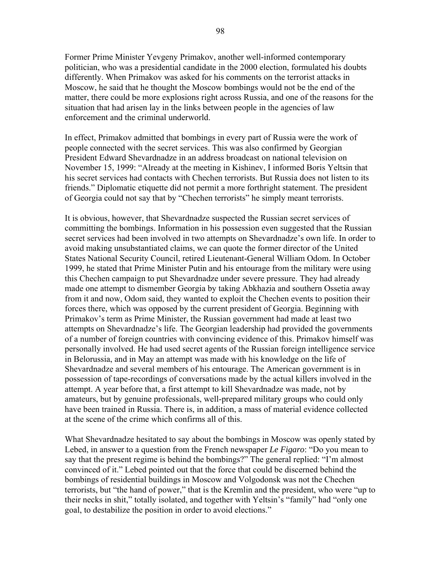Former Prime Minister Yevgeny Primakov, another well-informed contemporary politician, who was a presidential candidate in the 2000 election, formulated his doubts differently. When Primakov was asked for his comments on the terrorist attacks in Moscow, he said that he thought the Moscow bombings would not be the end of the matter, there could be more explosions right across Russia, and one of the reasons for the situation that had arisen lay in the links between people in the agencies of law enforcement and the criminal underworld.

In effect, Primakov admitted that bombings in every part of Russia were the work of people connected with the secret services. This was also confirmed by Georgian President Edward Shevardnadze in an address broadcast on national television on November 15, 1999: "Already at the meeting in Kishinev, I informed Boris Yeltsin that his secret services had contacts with Chechen terrorists. But Russia does not listen to its friends." Diplomatic etiquette did not permit a more forthright statement. The president of Georgia could not say that by "Chechen terrorists" he simply meant terrorists.

It is obvious, however, that Shevardnadze suspected the Russian secret services of committing the bombings. Information in his possession even suggested that the Russian secret services had been involved in two attempts on Shevardnadze's own life. In order to avoid making unsubstantiated claims, we can quote the former director of the United States National Security Council, retired Lieutenant-General William Odom. In October 1999, he stated that Prime Minister Putin and his entourage from the military were using this Chechen campaign to put Shevardnadze under severe pressure. They had already made one attempt to dismember Georgia by taking Abkhazia and southern Ossetia away from it and now, Odom said, they wanted to exploit the Chechen events to position their forces there, which was opposed by the current president of Georgia. Beginning with Primakov's term as Prime Minister, the Russian government had made at least two attempts on Shevardnadze's life. The Georgian leadership had provided the governments of a number of foreign countries with convincing evidence of this. Primakov himself was personally involved. He had used secret agents of the Russian foreign intelligence service in Belorussia, and in May an attempt was made with his knowledge on the life of Shevardnadze and several members of his entourage. The American government is in possession of tape-recordings of conversations made by the actual killers involved in the attempt. A year before that, a first attempt to kill Shevardnadze was made, not by amateurs, but by genuine professionals, well-prepared military groups who could only have been trained in Russia. There is, in addition, a mass of material evidence collected at the scene of the crime which confirms all of this.

What Shevardnadze hesitated to say about the bombings in Moscow was openly stated by Lebed, in answer to a question from the French newspaper *Le Figaro*: "Do you mean to say that the present regime is behind the bombings?" The general replied: "I'm almost convinced of it." Lebed pointed out that the force that could be discerned behind the bombings of residential buildings in Moscow and Volgodonsk was not the Chechen terrorists, but "the hand of power," that is the Kremlin and the president, who were "up to their necks in shit," totally isolated, and together with Yeltsin's "family" had "only one goal, to destabilize the position in order to avoid elections."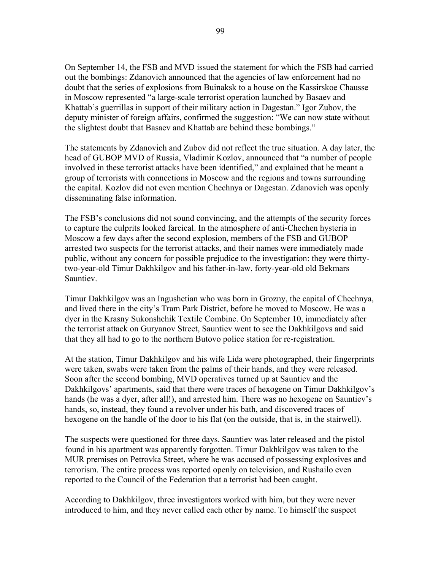On September 14, the FSB and MVD issued the statement for which the FSB had carried out the bombings: Zdanovich announced that the agencies of law enforcement had no doubt that the series of explosions from Buinaksk to a house on the Kassirskoe Chausse in Moscow represented "a large-scale terrorist operation launched by Basaev and Khattab's guerrillas in support of their military action in Dagestan." Igor Zubov, the deputy minister of foreign affairs, confirmed the suggestion: "We can now state without the slightest doubt that Basaev and Khattab are behind these bombings."

The statements by Zdanovich and Zubov did not reflect the true situation. A day later, the head of GUBOP MVD of Russia, Vladimir Kozlov, announced that "a number of people involved in these terrorist attacks have been identified," and explained that he meant a group of terrorists with connections in Moscow and the regions and towns surrounding the capital. Kozlov did not even mention Chechnya or Dagestan. Zdanovich was openly disseminating false information.

The FSB's conclusions did not sound convincing, and the attempts of the security forces to capture the culprits looked farcical. In the atmosphere of anti-Chechen hysteria in Moscow a few days after the second explosion, members of the FSB and GUBOP arrested two suspects for the terrorist attacks, and their names were immediately made public, without any concern for possible prejudice to the investigation: they were thirtytwo-year-old Timur Dakhkilgov and his father-in-law, forty-year-old old Bekmars Sauntiev.

Timur Dakhkilgov was an Ingushetian who was born in Grozny, the capital of Chechnya, and lived there in the city's Tram Park District, before he moved to Moscow. He was a dyer in the Krasny Sukonshchik Textile Combine. On September 10, immediately after the terrorist attack on Guryanov Street, Sauntiev went to see the Dakhkilgovs and said that they all had to go to the northern Butovo police station for re-registration.

At the station, Timur Dakhkilgov and his wife Lida were photographed, their fingerprints were taken, swabs were taken from the palms of their hands, and they were released. Soon after the second bombing, MVD operatives turned up at Sauntiev and the Dakhkilgovs' apartments, said that there were traces of hexogene on Timur Dakhkilgov's hands (he was a dyer, after all!), and arrested him. There was no hexogene on Sauntiev's hands, so, instead, they found a revolver under his bath, and discovered traces of hexogene on the handle of the door to his flat (on the outside, that is, in the stairwell).

The suspects were questioned for three days. Sauntiev was later released and the pistol found in his apartment was apparently forgotten. Timur Dakhkilgov was taken to the MUR premises on Petrovka Street, where he was accused of possessing explosives and terrorism. The entire process was reported openly on television, and Rushailo even reported to the Council of the Federation that a terrorist had been caught.

According to Dakhkilgov, three investigators worked with him, but they were never introduced to him, and they never called each other by name. To himself the suspect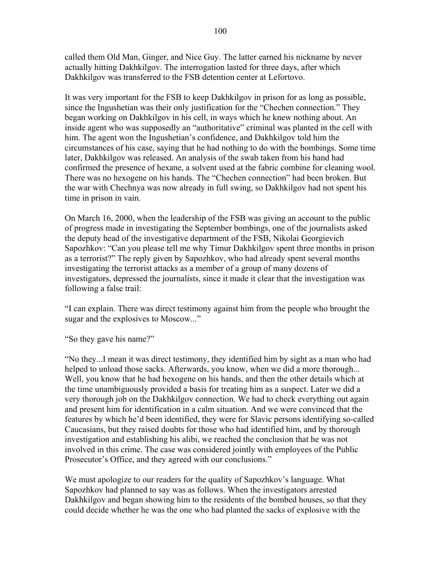called them Old Man, Ginger, and Nice Guy. The latter earned his nickname by never actually hitting Dakhkilgov. The interrogation lasted for three days, after which Dakhkilgov was transferred to the FSB detention center at Lefortovo.

It was very important for the FSB to keep Dakhkilgov in prison for as long as possible, since the Ingushetian was their only justification for the "Chechen connection." They began working on Dakhkilgov in his cell, in ways which he knew nothing about. An inside agent who was supposedly an "authoritative" criminal was planted in the cell with him. The agent won the Ingushetian's confidence, and Dakhkilgov told him the circumstances of his case, saying that he had nothing to do with the bombings. Some time later, Dakhkilgov was released. An analysis of the swab taken from his hand had confirmed the presence of hexane, a solvent used at the fabric combine for cleaning wool. There was no hexogene on his hands. The "Chechen connection" had been broken. But the war with Chechnya was now already in full swing, so Dakhkilgov had not spent his time in prison in vain.

On March 16, 2000, when the leadership of the FSB was giving an account to the public of progress made in investigating the September bombings, one of the journalists asked the deputy head of the investigative department of the FSB, Nikolai Georgievich Sapozhkov: "Can you please tell me why Timur Dakhkilgov spent three months in prison as a terrorist?" The reply given by Sapozhkov, who had already spent several months investigating the terrorist attacks as a member of a group of many dozens of investigators, depressed the journalists, since it made it clear that the investigation was following a false trail:

"I can explain. There was direct testimony against him from the people who brought the sugar and the explosives to Moscow..."

"So they gave his name?"

"No they...I mean it was direct testimony, they identified him by sight as a man who had helped to unload those sacks. Afterwards, you know, when we did a more thorough... Well, you know that he had hexogene on his hands, and then the other details which at the time unambiguously provided a basis for treating him as a suspect. Later we did a very thorough job on the Dakhkilgov connection. We had to check everything out again and present him for identification in a calm situation. And we were convinced that the features by which he'd been identified, they were for Slavic persons identifying so-called Caucasians, but they raised doubts for those who had identified him, and by thorough investigation and establishing his alibi, we reached the conclusion that he was not involved in this crime. The case was considered jointly with employees of the Public Prosecutor's Office, and they agreed with our conclusions."

We must apologize to our readers for the quality of Sapozhkov's language. What Sapozhkov had planned to say was as follows. When the investigators arrested Dakhkilgov and began showing him to the residents of the bombed houses, so that they could decide whether he was the one who had planted the sacks of explosive with the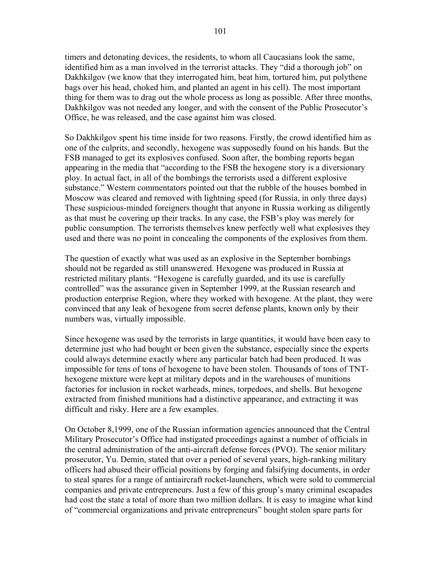timers and detonating devices, the residents, to whom all Caucasians look the same, identified him as a man involved in the terrorist attacks. They "did a thorough job" on Dakhkilgov (we know that they interrogated him, beat him, tortured him, put polythene bags over his head, choked him, and planted an agent in his cell). The most important thing for them was to drag out the whole process as long as possible. After three months, Dakhkilgov was not needed any longer, and with the consent of the Public Prosecutor's Office, he was released, and the case against him was closed.

So Dakhkilgov spent his time inside for two reasons. Firstly, the crowd identified him as one of the culprits, and secondly, hexogene was supposedly found on his hands. But the FSB managed to get its explosives confused. Soon after, the bombing reports began appearing in the media that "according to the FSB the hexogene story is a diversionary ploy. In actual fact, in all of the bombings the terrorists used a different explosive substance." Western commentators pointed out that the rubble of the houses bombed in Moscow was cleared and removed with lightning speed (for Russia, in only three days) These suspicious-minded foreigners thought that anyone in Russia working as diligently as that must be covering up their tracks. In any case, the FSB's ploy was merely for public consumption. The terrorists themselves knew perfectly well what explosives they used and there was no point in concealing the components of the explosives from them.

The question of exactly what was used as an explosive in the September bombings should not be regarded as still unanswered. Hexogene was produced in Russia at restricted military plants. "Hexogene is carefully guarded, and its use is carefully controlled" was the assurance given in September 1999, at the Russian research and production enterprise Region, where they worked with hexogene. At the plant, they were convinced that any leak of hexogene from secret defense plants, known only by their numbers was, virtually impossible.

Since hexogene was used by the terrorists in large quantities, it would have been easy to determine just who had bought or been given the substance, especially since the experts could always determine exactly where any particular batch had been produced. It was impossible for tens of tons of hexogene to have been stolen. Thousands of tons of TNThexogene mixture were kept at military depots and in the warehouses of munitions factories for inclusion in rocket warheads, mines, torpedoes, and shells. But hexogene extracted from finished munitions had a distinctive appearance, and extracting it was difficult and risky. Here are a few examples.

On October 8,1999, one of the Russian information agencies announced that the Central Military Prosecutor's Office had instigated proceedings against a number of officials in the central administration of the anti-aircraft defense forces (PVO). The senior military prosecutor, Yu. Demin, stated that over a period of several years, high-ranking military officers had abused their official positions by forging and falsifying documents, in order to steal spares for a range of antiaircraft rocket-launchers, which were sold to commercial companies and private entrepreneurs. Just a few of this group's many criminal escapades had cost the state a total of more than two million dollars. It is easy to imagine what kind of "commercial organizations and private entrepreneurs" bought stolen spare parts for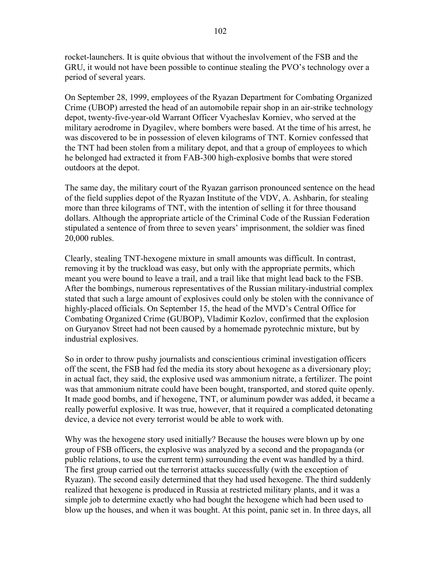rocket-launchers. It is quite obvious that without the involvement of the FSB and the GRU, it would not have been possible to continue stealing the PVO's technology over a period of several years.

On September 28, 1999, employees of the Ryazan Department for Combating Organized Crime (UBOP) arrested the head of an automobile repair shop in an air-strike technology depot, twenty-five-year-old Warrant Officer Vyacheslav Korniev, who served at the military aerodrome in Dyagilev, where bombers were based. At the time of his arrest, he was discovered to be in possession of eleven kilograms of TNT. Korniev confessed that the TNT had been stolen from a military depot, and that a group of employees to which he belonged had extracted it from FAB-300 high-explosive bombs that were stored outdoors at the depot.

The same day, the military court of the Ryazan garrison pronounced sentence on the head of the field supplies depot of the Ryazan Institute of the VDV, A. Ashbarin, for stealing more than three kilograms of TNT, with the intention of selling it for three thousand dollars. Although the appropriate article of the Criminal Code of the Russian Federation stipulated a sentence of from three to seven years' imprisonment, the soldier was fined 20,000 rubles.

Clearly, stealing TNT-hexogene mixture in small amounts was difficult. In contrast, removing it by the truckload was easy, but only with the appropriate permits, which meant you were bound to leave a trail, and a trail like that might lead back to the FSB. After the bombings, numerous representatives of the Russian military-industrial complex stated that such a large amount of explosives could only be stolen with the connivance of highly-placed officials. On September 15, the head of the MVD's Central Office for Combating Organized Crime (GUBOP), Vladimir Kozlov, confirmed that the explosion on Guryanov Street had not been caused by a homemade pyrotechnic mixture, but by industrial explosives.

So in order to throw pushy journalists and conscientious criminal investigation officers off the scent, the FSB had fed the media its story about hexogene as a diversionary ploy; in actual fact, they said, the explosive used was ammonium nitrate, a fertilizer. The point was that ammonium nitrate could have been bought, transported, and stored quite openly. It made good bombs, and if hexogene, TNT, or aluminum powder was added, it became a really powerful explosive. It was true, however, that it required a complicated detonating device, a device not every terrorist would be able to work with.

Why was the hexogene story used initially? Because the houses were blown up by one group of FSB officers, the explosive was analyzed by a second and the propaganda (or public relations, to use the current term) surrounding the event was handled by a third. The first group carried out the terrorist attacks successfully (with the exception of Ryazan). The second easily determined that they had used hexogene. The third suddenly realized that hexogene is produced in Russia at restricted military plants, and it was a simple job to determine exactly who had bought the hexogene which had been used to blow up the houses, and when it was bought. At this point, panic set in. In three days, all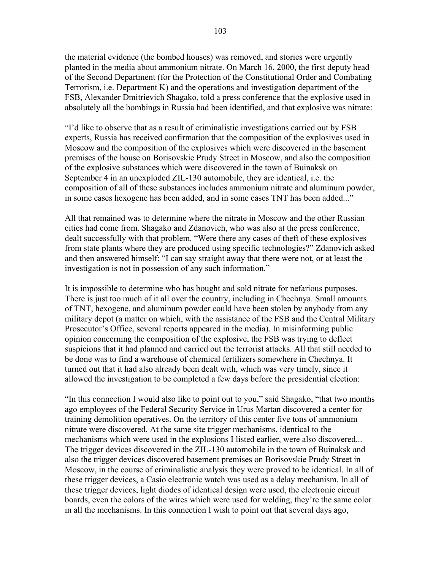the material evidence (the bombed houses) was removed, and stories were urgently planted in the media about ammonium nitrate. On March 16, 2000, the first deputy head of the Second Department (for the Protection of the Constitutional Order and Combating Terrorism, i.e. Department K) and the operations and investigation department of the FSB, Alexander Dmitrievich Shagako, told a press conference that the explosive used in absolutely all the bombings in Russia had been identified, and that explosive was nitrate:

"I'd like to observe that as a result of criminalistic investigations carried out by FSB experts, Russia has received confirmation that the composition of the explosives used in Moscow and the composition of the explosives which were discovered in the basement premises of the house on Borisovskie Prudy Street in Moscow, and also the composition of the explosive substances which were discovered in the town of Buinaksk on September 4 in an unexploded ZIL-130 automobile, they are identical, i.e. the composition of all of these substances includes ammonium nitrate and aluminum powder, in some cases hexogene has been added, and in some cases TNT has been added..."

All that remained was to determine where the nitrate in Moscow and the other Russian cities had come from. Shagako and Zdanovich, who was also at the press conference, dealt successfully with that problem. "Were there any cases of theft of these explosives from state plants where they are produced using specific technologies?" Zdanovich asked and then answered himself: "I can say straight away that there were not, or at least the investigation is not in possession of any such information."

It is impossible to determine who has bought and sold nitrate for nefarious purposes. There is just too much of it all over the country, including in Chechnya. Small amounts of TNT, hexogene, and aluminum powder could have been stolen by anybody from any military depot (a matter on which, with the assistance of the FSB and the Central Military Prosecutor's Office, several reports appeared in the media). In misinforming public opinion concerning the composition of the explosive, the FSB was trying to deflect suspicions that it had planned and carried out the terrorist attacks. All that still needed to be done was to find a warehouse of chemical fertilizers somewhere in Chechnya. It turned out that it had also already been dealt with, which was very timely, since it allowed the investigation to be completed a few days before the presidential election:

"In this connection I would also like to point out to you," said Shagako, "that two months ago employees of the Federal Security Service in Urus Martan discovered a center for training demolition operatives. On the territory of this center five tons of ammonium nitrate were discovered. At the same site trigger mechanisms, identical to the mechanisms which were used in the explosions I listed earlier, were also discovered... The trigger devices discovered in the ZIL-130 automobile in the town of Buinaksk and also the trigger devices discovered basement premises on Borisovskie Prudy Street in Moscow, in the course of criminalistic analysis they were proved to be identical. In all of these trigger devices, a Casio electronic watch was used as a delay mechanism. In all of these trigger devices, light diodes of identical design were used, the electronic circuit boards, even the colors of the wires which were used for welding, they're the same color in all the mechanisms. In this connection I wish to point out that several days ago,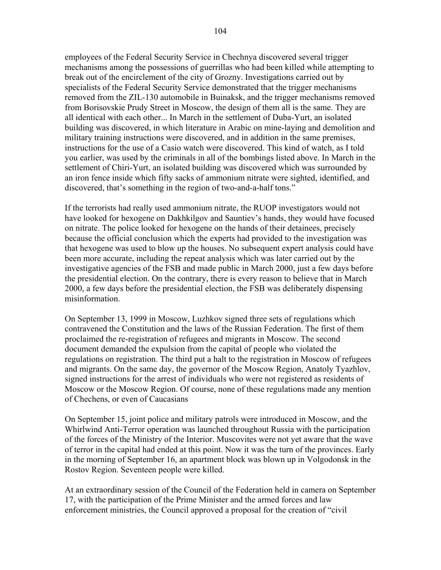employees of the Federal Security Service in Chechnya discovered several trigger mechanisms among the possessions of guerrillas who had been killed while attempting to break out of the encirclement of the city of Grozny. Investigations carried out by specialists of the Federal Security Service demonstrated that the trigger mechanisms removed from the ZIL-130 automobile in Buinaksk, and the trigger mechanisms removed from Borisovskie Prudy Street in Moscow, the design of them all is the same. They are all identical with each other... In March in the settlement of Duba-Yurt, an isolated building was discovered, in which literature in Arabic on mine-laying and demolition and military training instructions were discovered, and in addition in the same premises, instructions for the use of a Casio watch were discovered. This kind of watch, as I told you earlier, was used by the criminals in all of the bombings listed above. In March in the settlement of Chiri-Yurt, an isolated building was discovered which was surrounded by an iron fence inside which fifty sacks of ammonium nitrate were sighted, identified, and discovered, that's something in the region of two-and-a-half tons."

If the terrorists had really used ammonium nitrate, the RUOP investigators would not have looked for hexogene on Dakhkilgov and Sauntiev's hands, they would have focused on nitrate. The police looked for hexogene on the hands of their detainees, precisely because the official conclusion which the experts had provided to the investigation was that hexogene was used to blow up the houses. No subsequent expert analysis could have been more accurate, including the repeat analysis which was later carried out by the investigative agencies of the FSB and made public in March 2000, just a few days before the presidential election. On the contrary, there is every reason to believe that in March 2000, a few days before the presidential election, the FSB was deliberately dispensing misinformation.

On September 13, 1999 in Moscow, Luzhkov signed three sets of regulations which contravened the Constitution and the laws of the Russian Federation. The first of them proclaimed the re-registration of refugees and migrants in Moscow. The second document demanded the expulsion from the capital of people who violated the regulations on registration. The third put a halt to the registration in Moscow of refugees and migrants. On the same day, the governor of the Moscow Region, Anatoly Tyazhlov, signed instructions for the arrest of individuals who were not registered as residents of Moscow or the Moscow Region. Of course, none of these regulations made any mention of Chechens, or even of Caucasians

On September 15, joint police and military patrols were introduced in Moscow, and the Whirlwind Anti-Terror operation was launched throughout Russia with the participation of the forces of the Ministry of the Interior. Muscovites were not yet aware that the wave of terror in the capital had ended at this point. Now it was the turn of the provinces. Early in the morning of September 16, an apartment block was blown up in Volgodonsk in the Rostov Region. Seventeen people were killed.

At an extraordinary session of the Council of the Federation held in camera on September 17, with the participation of the Prime Minister and the armed forces and law enforcement ministries, the Council approved a proposal for the creation of "civil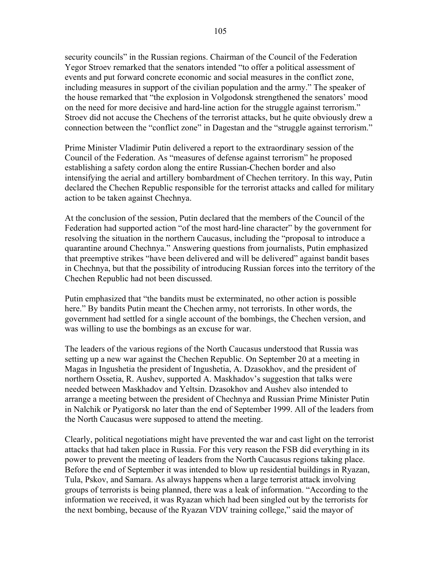security councils" in the Russian regions. Chairman of the Council of the Federation Yegor Stroev remarked that the senators intended "to offer a political assessment of events and put forward concrete economic and social measures in the conflict zone, including measures in support of the civilian population and the army." The speaker of the house remarked that "the explosion in Volgodonsk strengthened the senators' mood on the need for more decisive and hard-line action for the struggle against terrorism." Stroev did not accuse the Chechens of the terrorist attacks, but he quite obviously drew a connection between the "conflict zone" in Dagestan and the "struggle against terrorism."

Prime Minister Vladimir Putin delivered a report to the extraordinary session of the Council of the Federation. As "measures of defense against terrorism" he proposed establishing a safety cordon along the entire Russian-Chechen border and also intensifying the aerial and artillery bombardment of Chechen territory. In this way, Putin declared the Chechen Republic responsible for the terrorist attacks and called for military action to be taken against Chechnya.

At the conclusion of the session, Putin declared that the members of the Council of the Federation had supported action "of the most hard-line character" by the government for resolving the situation in the northern Caucasus, including the "proposal to introduce a quarantine around Chechnya." Answering questions from journalists, Putin emphasized that preemptive strikes "have been delivered and will be delivered" against bandit bases in Chechnya, but that the possibility of introducing Russian forces into the territory of the Chechen Republic had not been discussed.

Putin emphasized that "the bandits must be exterminated, no other action is possible here." By bandits Putin meant the Chechen army, not terrorists. In other words, the government had settled for a single account of the bombings, the Chechen version, and was willing to use the bombings as an excuse for war.

The leaders of the various regions of the North Caucasus understood that Russia was setting up a new war against the Chechen Republic. On September 20 at a meeting in Magas in Ingushetia the president of Ingushetia, A. Dzasokhov, and the president of northern Ossetia, R. Aushev, supported A. Maskhadov's suggestion that talks were needed between Maskhadov and Yeltsin. Dzasokhov and Aushev also intended to arrange a meeting between the president of Chechnya and Russian Prime Minister Putin in Nalchik or Pyatigorsk no later than the end of September 1999. All of the leaders from the North Caucasus were supposed to attend the meeting.

Clearly, political negotiations might have prevented the war and cast light on the terrorist attacks that had taken place in Russia. For this very reason the FSB did everything in its power to prevent the meeting of leaders from the North Caucasus regions taking place. Before the end of September it was intended to blow up residential buildings in Ryazan, Tula, Pskov, and Samara. As always happens when a large terrorist attack involving groups of terrorists is being planned, there was a leak of information. "According to the information we received, it was Ryazan which had been singled out by the terrorists for the next bombing, because of the Ryazan VDV training college," said the mayor of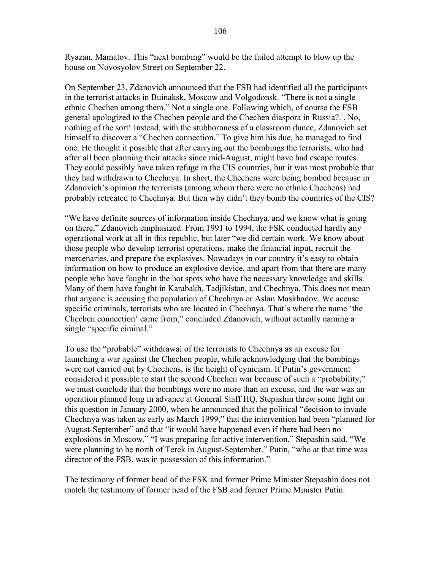Ryazan, Mamatov. This "next bombing" would be the failed attempt to blow up the house on Novosyolov Street on September 22.

On September 23, Zdanovich announced that the FSB had identified all the participants in the terrorist attacks in Buinaksk, Moscow and Volgodonsk. "There is not a single ethnic Chechen among them." Not a single one. Following which, of course the FSB general apologized to the Chechen people and the Chechen diaspora in Russia?. . No, nothing of the sort! Instead, with the stubbornness of a classroom dunce, Zdanovich set himself to discover a "Chechen connection." To give him his due, he managed to find one. He thought it possible that after carrying out the bombings the terrorists, who had after all been planning their attacks since mid-August, might have had escape routes. They could possibly have taken refuge in the CIS countries, but it was most probable that they had withdrawn to Chechnya. In short, the Chechens were being bombed because in Zdanovich's opinion the terrorists (among whom there were no ethnic Chechens) had probably retreated to Chechnya. But then why didn't they bomb the countries of the CIS?

"We have definite sources of information inside Chechnya, and we know what is going on there," Zdanovich emphasized. From 1991 to 1994, the FSK conducted hardly any operational work at all in this republic, but later "we did certain work. We know about those people who develop terrorist operations, make the financial input, recruit the mercenaries, and prepare the explosives. Nowadays in our country it's easy to obtain information on how to produce an explosive device, and apart from that there are many people who have fought in the hot spots who have the necessary knowledge and skills. Many of them have fought in Karabakh, Tadjikistan, and Chechnya. This does not mean that anyone is accusing the population of Chechnya or Aslan Maskhadov. We accuse specific criminals, terrorists who are located in Chechnya. That's where the name 'the Chechen connection' came from," concluded Zdanovich, without actually naming a single "specific ciminal."

To use the "probable" withdrawal of the terrorists to Chechnya as an excuse for launching a war against the Chechen people, while acknowledging that the bombings were not carried out by Chechens, is the height of cynicism. If Putin's government considered it possible to start the second Chechen war because of such a "probability," we must conclude that the bombings were no more than an excuse, and the war was an operation planned long in advance at General Staff HQ. Stepashin threw some light on this question in January 2000, when he announced that the political "decision to invade Chechnya was taken as early as March 1999," that the intervention had been "planned for August-September" and that "it would have happened even if there had been no explosions in Moscow." "I was preparing for active intervention," Stepashin said. "We were planning to be north of Terek in August-September." Putin, "who at that time was director of the FSB, was in possession of this information."

The testimony of former head of the FSK and former Prime Minister Stepashin does not match the testimony of former head of the FSB and former Prime Minister Putin: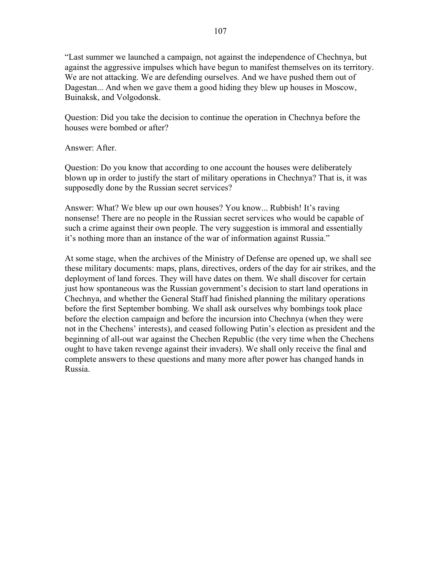"Last summer we launched a campaign, not against the independence of Chechnya, but against the aggressive impulses which have begun to manifest themselves on its territory. We are not attacking. We are defending ourselves. And we have pushed them out of Dagestan... And when we gave them a good hiding they blew up houses in Moscow, Buinaksk, and Volgodonsk.

Question: Did you take the decision to continue the operation in Chechnya before the houses were bombed or after?

Answer: After.

Question: Do you know that according to one account the houses were deliberately blown up in order to justify the start of military operations in Chechnya? That is, it was supposedly done by the Russian secret services?

Answer: What? We blew up our own houses? You know... Rubbish! It's raving nonsense! There are no people in the Russian secret services who would be capable of such a crime against their own people. The very suggestion is immoral and essentially it's nothing more than an instance of the war of information against Russia."

At some stage, when the archives of the Ministry of Defense are opened up, we shall see these military documents: maps, plans, directives, orders of the day for air strikes, and the deployment of land forces. They will have dates on them. We shall discover for certain just how spontaneous was the Russian government's decision to start land operations in Chechnya, and whether the General Staff had finished planning the military operations before the first September bombing. We shall ask ourselves why bombings took place before the election campaign and before the incursion into Chechnya (when they were not in the Chechens' interests), and ceased following Putin's election as president and the beginning of all-out war against the Chechen Republic (the very time when the Chechens ought to have taken revenge against their invaders). We shall only receive the final and complete answers to these questions and many more after power has changed hands in Russia.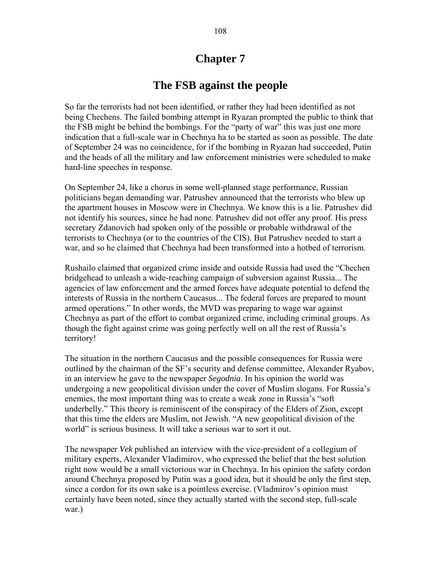# **Chapter 7**

### **The FSB against the people**

So far the terrorists had not been identified, or rather they had been identified as not being Chechens. The failed bombing attempt in Ryazan prompted the public to think that the FSB might be behind the bombings. For the "party of war" this was just one more indication that a full-scale war in Chechnya ha to be started as soon as possible. The date of September 24 was no coincidence, for if the bombing in Ryazan had succeeded, Putin and the heads of all the military and law enforcement ministries were scheduled to make hard-line speeches in response.

On September 24, like a chorus in some well-planned stage performance, Russian politicians began demanding war. Patrushev announced that the terrorists who blew up the apartment houses in Moscow were in Chechnya. We know this is a lie. Patrushev did not identify his sources, since he had none. Patrushev did not offer any proof. His press secretary Zdanovich had spoken only of the possible or probable withdrawal of the terrorists to Chechnya (or to the countries of the CIS). But Patrushev needed to start a war, and so he claimed that Chechnya had been transformed into a hotbed of terrorism.

Rushailo claimed that organized crime inside and outside Russia had used the "Chechen bridgehead to unleash a wide-reaching campaign of subversion against Russia... The agencies of law enforcement and the armed forces have adequate potential to defend the interests of Russia in the northern Caucasus... The federal forces are prepared to mount armed operations." In other words, the MVD was preparing to wage war against Chechnya as part of the effort to combat organized crime, including criminal groups. As though the fight against crime was going perfectly well on all the rest of Russia's territory!

The situation in the northern Caucasus and the possible consequences for Russia were outlined by the chairman of the SF's security and defense committee, Alexander Ryabov, in an interview he gave to the newspaper *Segodnia*. In his opinion the world was undergoing a new geopolitical division under the cover of Muslim slogans. For Russia's enemies, the most important thing was to create a weak zone in Russia's "soft underbelly." This theory is reminiscent of the conspiracy of the Elders of Zion, except that this time the elders are Muslim, not Jewish. "A new geopolitical division of the world" is serious business. It will take a serious war to sort it out.

The newspaper *Vek* published an interview with the vice-president of a collegium of military experts, Alexander Vladimirov, who expressed the belief that the best solution right now would be a small victorious war in Chechnya. In his opinion the safety cordon around Chechnya proposed by Putin was a good idea, but it should be only the first step, since a cordon for its own sake is a pointless exercise. (Vladmirov's opinion must certainly have been noted, since they actually started with the second step, full-scale war.)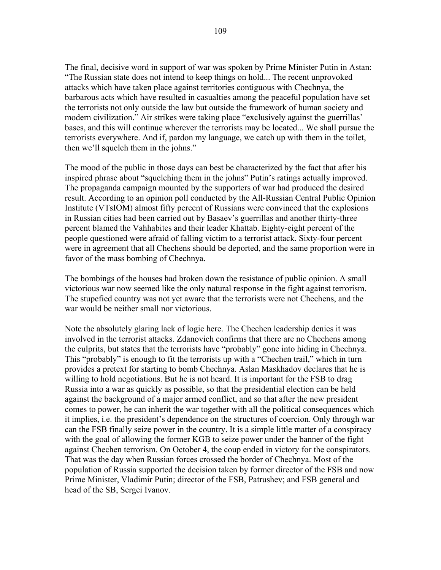The final, decisive word in support of war was spoken by Prime Minister Putin in Astan: "The Russian state does not intend to keep things on hold... The recent unprovoked attacks which have taken place against territories contiguous with Chechnya, the barbarous acts which have resulted in casualties among the peaceful population have set the terrorists not only outside the law but outside the framework of human society and modern civilization." Air strikes were taking place "exclusively against the guerrillas' bases, and this will continue wherever the terrorists may be located... We shall pursue the terrorists everywhere. And if, pardon my language, we catch up with them in the toilet, then we'll squelch them in the johns."

The mood of the public in those days can best be characterized by the fact that after his inspired phrase about "squelching them in the johns" Putin's ratings actually improved. The propaganda campaign mounted by the supporters of war had produced the desired result. According to an opinion poll conducted by the All-Russian Central Public Opinion Institute (VTsIOM) almost fifty percent of Russians were convinced that the explosions in Russian cities had been carried out by Basaev's guerrillas and another thirty-three percent blamed the Vahhabites and their leader Khattab. Eighty-eight percent of the people questioned were afraid of falling victim to a terrorist attack. Sixty-four percent were in agreement that all Chechens should be deported, and the same proportion were in favor of the mass bombing of Chechnya.

The bombings of the houses had broken down the resistance of public opinion. A small victorious war now seemed like the only natural response in the fight against terrorism. The stupefied country was not yet aware that the terrorists were not Chechens, and the war would be neither small nor victorious.

Note the absolutely glaring lack of logic here. The Chechen leadership denies it was involved in the terrorist attacks. Zdanovich confirms that there are no Chechens among the culprits, but states that the terrorists have "probably" gone into hiding in Chechnya. This "probably" is enough to fit the terrorists up with a "Chechen trail," which in turn provides a pretext for starting to bomb Chechnya. Aslan Maskhadov declares that he is willing to hold negotiations. But he is not heard. It is important for the FSB to drag Russia into a war as quickly as possible, so that the presidential election can be held against the background of a major armed conflict, and so that after the new president comes to power, he can inherit the war together with all the political consequences which it implies, i.e. the president's dependence on the structures of coercion. Only through war can the FSB finally seize power in the country. It is a simple little matter of a conspiracy with the goal of allowing the former KGB to seize power under the banner of the fight against Chechen terrorism. On October 4, the coup ended in victory for the conspirators. That was the day when Russian forces crossed the border of Chechnya. Most of the population of Russia supported the decision taken by former director of the FSB and now Prime Minister, Vladimir Putin; director of the FSB, Patrushev; and FSB general and head of the SB, Sergei Ivanov.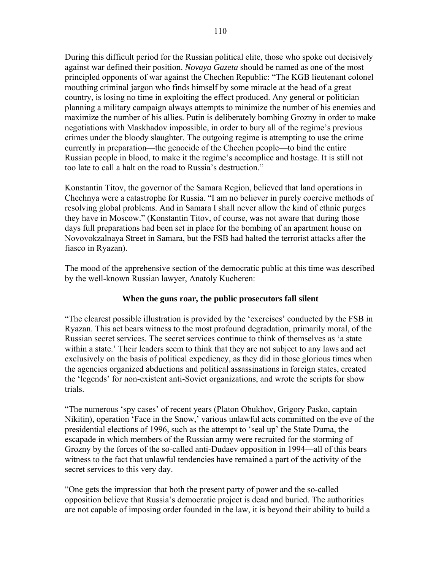During this difficult period for the Russian political elite, those who spoke out decisively against war defined their position. *Novaya Gazeta* should be named as one of the most principled opponents of war against the Chechen Republic: "The KGB lieutenant colonel mouthing criminal jargon who finds himself by some miracle at the head of a great country, is losing no time in exploiting the effect produced. Any general or politician planning a military campaign always attempts to minimize the number of his enemies and maximize the number of his allies. Putin is deliberately bombing Grozny in order to make negotiations with Maskhadov impossible, in order to bury all of the regime's previous crimes under the bloody slaughter. The outgoing regime is attempting to use the crime currently in preparation—the genocide of the Chechen people—to bind the entire Russian people in blood, to make it the regime's accomplice and hostage. It is still not too late to call a halt on the road to Russia's destruction."

Konstantin Titov, the governor of the Samara Region, believed that land operations in Chechnya were a catastrophe for Russia. "I am no believer in purely coercive methods of resolving global problems. And in Samara I shall never allow the kind of ethnic purges they have in Moscow." (Konstantin Titov, of course, was not aware that during those days full preparations had been set in place for the bombing of an apartment house on Novovokzalnaya Street in Samara, but the FSB had halted the terrorist attacks after the fiasco in Ryazan).

The mood of the apprehensive section of the democratic public at this time was described by the well-known Russian lawyer, Anatoly Kucheren:

#### **When the guns roar, the public prosecutors fall silent**

"The clearest possible illustration is provided by the 'exercises' conducted by the FSB in Ryazan. This act bears witness to the most profound degradation, primarily moral, of the Russian secret services. The secret services continue to think of themselves as 'a state within a state.' Their leaders seem to think that they are not subject to any laws and act exclusively on the basis of political expediency, as they did in those glorious times when the agencies organized abductions and political assassinations in foreign states, created the 'legends' for non-existent anti-Soviet organizations, and wrote the scripts for show trials.

"The numerous 'spy cases' of recent years (Platon Obukhov, Grigory Pasko, captain Nikitin), operation 'Face in the Snow,' various unlawful acts committed on the eve of the presidential elections of 1996, such as the attempt to 'seal up' the State Duma, the escapade in which members of the Russian army were recruited for the storming of Grozny by the forces of the so-called anti-Dudaev opposition in 1994—all of this bears witness to the fact that unlawful tendencies have remained a part of the activity of the secret services to this very day.

"One gets the impression that both the present party of power and the so-called opposition believe that Russia's democratic project is dead and buried. The authorities are not capable of imposing order founded in the law, it is beyond their ability to build a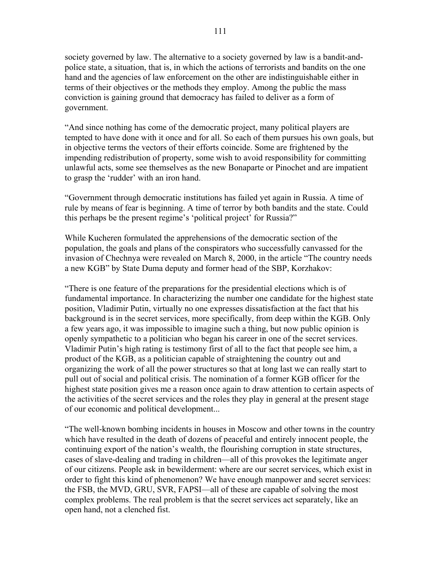society governed by law. The alternative to a society governed by law is a bandit-andpolice state, a situation, that is, in which the actions of terrorists and bandits on the one hand and the agencies of law enforcement on the other are indistinguishable either in terms of their objectives or the methods they employ. Among the public the mass conviction is gaining ground that democracy has failed to deliver as a form of government.

"And since nothing has come of the democratic project, many political players are tempted to have done with it once and for all. So each of them pursues his own goals, but in objective terms the vectors of their efforts coincide. Some are frightened by the impending redistribution of property, some wish to avoid responsibility for committing unlawful acts, some see themselves as the new Bonaparte or Pinochet and are impatient to grasp the 'rudder' with an iron hand.

"Government through democratic institutions has failed yet again in Russia. A time of rule by means of fear is beginning. A time of terror by both bandits and the state. Could this perhaps be the present regime's 'political project' for Russia?"

While Kucheren formulated the apprehensions of the democratic section of the population, the goals and plans of the conspirators who successfully canvassed for the invasion of Chechnya were revealed on March 8, 2000, in the article "The country needs a new KGB" by State Duma deputy and former head of the SBP, Korzhakov:

"There is one feature of the preparations for the presidential elections which is of fundamental importance. In characterizing the number one candidate for the highest state position, Vladimir Putin, virtually no one expresses dissatisfaction at the fact that his background is in the secret services, more specifically, from deep within the KGB. Only a few years ago, it was impossible to imagine such a thing, but now public opinion is openly sympathetic to a politician who began his career in one of the secret services. Vladimir Putin's high rating is testimony first of all to the fact that people see him, a product of the KGB, as a politician capable of straightening the country out and organizing the work of all the power structures so that at long last we can really start to pull out of social and political crisis. The nomination of a former KGB officer for the highest state position gives me a reason once again to draw attention to certain aspects of the activities of the secret services and the roles they play in general at the present stage of our economic and political development...

"The well-known bombing incidents in houses in Moscow and other towns in the country which have resulted in the death of dozens of peaceful and entirely innocent people, the continuing export of the nation's wealth, the flourishing corruption in state structures, cases of slave-dealing and trading in children—all of this provokes the legitimate anger of our citizens. People ask in bewilderment: where are our secret services, which exist in order to fight this kind of phenomenon? We have enough manpower and secret services: the FSB, the MVD, GRU, SVR, FAPSI—all of these are capable of solving the most complex problems. The real problem is that the secret services act separately, like an open hand, not a clenched fist.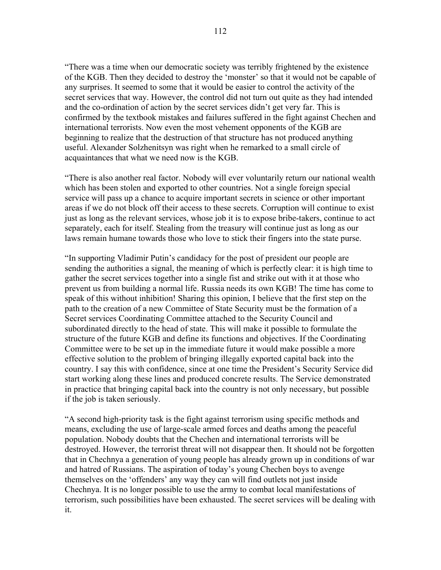"There was a time when our democratic society was terribly frightened by the existence of the KGB. Then they decided to destroy the 'monster' so that it would not be capable of any surprises. It seemed to some that it would be easier to control the activity of the secret services that way. However, the control did not turn out quite as they had intended and the co-ordination of action by the secret services didn't get very far. This is confirmed by the textbook mistakes and failures suffered in the fight against Chechen and international terrorists. Now even the most vehement opponents of the KGB are beginning to realize that the destruction of that structure has not produced anything useful. Alexander Solzhenitsyn was right when he remarked to a small circle of acquaintances that what we need now is the KGB.

"There is also another real factor. Nobody will ever voluntarily return our national wealth which has been stolen and exported to other countries. Not a single foreign special service will pass up a chance to acquire important secrets in science or other important areas if we do not block off their access to these secrets. Corruption will continue to exist just as long as the relevant services, whose job it is to expose bribe-takers, continue to act separately, each for itself. Stealing from the treasury will continue just as long as our laws remain humane towards those who love to stick their fingers into the state purse.

"In supporting Vladimir Putin's candidacy for the post of president our people are sending the authorities a signal, the meaning of which is perfectly clear: it is high time to gather the secret services together into a single fist and strike out with it at those who prevent us from building a normal life. Russia needs its own KGB! The time has come to speak of this without inhibition! Sharing this opinion, I believe that the first step on the path to the creation of a new Committee of State Security must be the formation of a Secret services Coordinating Committee attached to the Security Council and subordinated directly to the head of state. This will make it possible to formulate the structure of the future KGB and define its functions and objectives. If the Coordinating Committee were to be set up in the immediate future it would make possible a more effective solution to the problem of bringing illegally exported capital back into the country. I say this with confidence, since at one time the President's Security Service did start working along these lines and produced concrete results. The Service demonstrated in practice that bringing capital back into the country is not only necessary, but possible if the job is taken seriously.

"A second high-priority task is the fight against terrorism using specific methods and means, excluding the use of large-scale armed forces and deaths among the peaceful population. Nobody doubts that the Chechen and international terrorists will be destroyed. However, the terrorist threat will not disappear then. It should not be forgotten that in Chechnya a generation of young people has already grown up in conditions of war and hatred of Russians. The aspiration of today's young Chechen boys to avenge themselves on the 'offenders' any way they can will find outlets not just inside Chechnya. It is no longer possible to use the army to combat local manifestations of terrorism, such possibilities have been exhausted. The secret services will be dealing with it.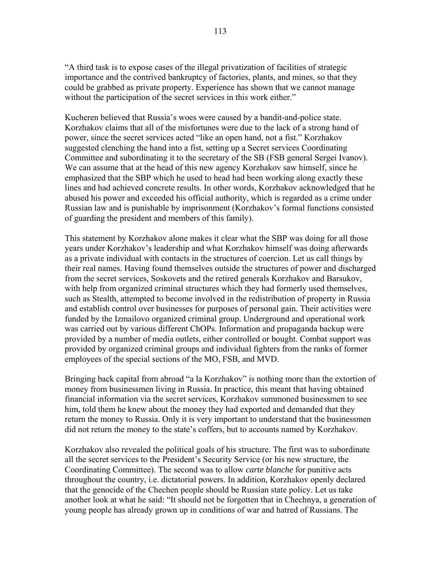"A third task is to expose cases of the illegal privatization of facilities of strategic importance and the contrived bankruptcy of factories, plants, and mines, so that they could be grabbed as private property. Experience has shown that we cannot manage without the participation of the secret services in this work either."

Kucheren believed that Russia's woes were caused by a bandit-and-police state. Korzhakov claims that all of the misfortunes were due to the lack of a strong hand of power, since the secret services acted "like an open hand, not a fist." Korzhakov suggested clenching the hand into a fist, setting up a Secret services Coordinating Committee and subordinating it to the secretary of the SB (FSB general Sergei Ivanov). We can assume that at the head of this new agency Korzhakov saw himself, since he emphasized that the SBP which he used to head had been working along exactly these lines and had achieved concrete results. In other words, Korzhakov acknowledged that he abused his power and exceeded his official authority, which is regarded as a crime under Russian law and is punishable by imprisonment (Korzhakov's formal functions consisted of guarding the president and members of this family).

This statement by Korzhakov alone makes it clear what the SBP was doing for all those years under Korzhakov's leadership and what Korzhakov himself was doing afterwards as a private individual with contacts in the structures of coercion. Let us call things by their real names. Having found themselves outside the structures of power and discharged from the secret services, Soskovets and the retired generals Korzhakov and Barsukov, with help from organized criminal structures which they had formerly used themselves, such as Stealth, attempted to become involved in the redistribution of property in Russia and establish control over businesses for purposes of personal gain. Their activities were funded by the Izmailovo organized criminal group. Underground and operational work was carried out by various different ChOPs. Information and propaganda backup were provided by a number of media outlets, either controlled or bought. Combat support was provided by organized criminal groups and individual fighters from the ranks of former employees of the special sections of the MO, FSB, and MVD.

Bringing back capital from abroad "a la Korzhakov" is nothing more than the extortion of money from businessmen living in Russia. In practice, this meant that having obtained financial information via the secret services, Korzhakov summoned businessmen to see him, told them he knew about the money they had exported and demanded that they return the money to Russia. Only it is very important to understand that the businessmen did not return the money to the state's coffers, but to accounts named by Korzhakov.

Korzhakov also revealed the political goals of his structure. The first was to subordinate all the secret services to the President's Security Service (or his new structure, the Coordinating Committee). The second was to allow *carte blanche* for punitive acts throughout the country, i.e. dictatorial powers. In addition, Korzhakov openly declared that the genocide of the Chechen people should be Russian state policy. Let us take another look at what he said: "It should not be forgotten that in Chechnya, a generation of young people has already grown up in conditions of war and hatred of Russians. The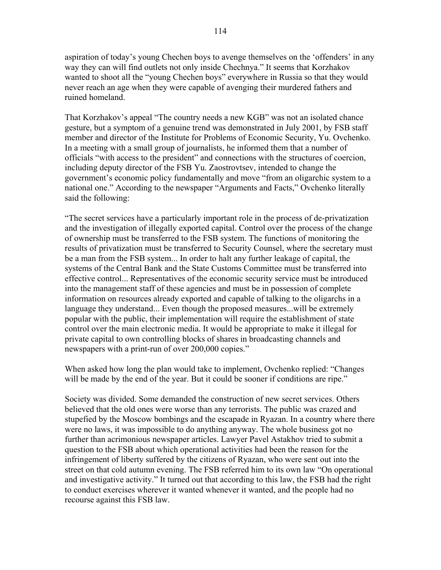aspiration of today's young Chechen boys to avenge themselves on the 'offenders' in any way they can will find outlets not only inside Chechnya." It seems that Korzhakov wanted to shoot all the "young Chechen boys" everywhere in Russia so that they would never reach an age when they were capable of avenging their murdered fathers and ruined homeland.

That Korzhakov's appeal "The country needs a new KGB" was not an isolated chance gesture, but a symptom of a genuine trend was demonstrated in July 2001, by FSB staff member and director of the Institute for Problems of Economic Security, Yu. Ovchenko. In a meeting with a small group of journalists, he informed them that a number of officials "with access to the president" and connections with the structures of coercion, including deputy director of the FSB Yu. Zaostrovtsev, intended to change the government's economic policy fundamentally and move "from an oligarchic system to a national one." According to the newspaper "Arguments and Facts," Ovchenko literally said the following:

"The secret services have a particularly important role in the process of de-privatization and the investigation of illegally exported capital. Control over the process of the change of ownership must be transferred to the FSB system. The functions of monitoring the results of privatization must be transferred to Security Counsel, where the secretary must be a man from the FSB system... In order to halt any further leakage of capital, the systems of the Central Bank and the State Customs Committee must be transferred into effective control... Representatives of the economic security service must be introduced into the management staff of these agencies and must be in possession of complete information on resources already exported and capable of talking to the oligarchs in a language they understand... Even though the proposed measures...will be extremely popular with the public, their implementation will require the establishment of state control over the main electronic media. It would be appropriate to make it illegal for private capital to own controlling blocks of shares in broadcasting channels and newspapers with a print-run of over 200,000 copies."

When asked how long the plan would take to implement, Ovchenko replied: "Changes will be made by the end of the year. But it could be sooner if conditions are ripe."

Society was divided. Some demanded the construction of new secret services. Others believed that the old ones were worse than any terrorists. The public was crazed and stupefied by the Moscow bombings and the escapade in Ryazan. In a country where there were no laws, it was impossible to do anything anyway. The whole business got no further than acrimonious newspaper articles. Lawyer Pavel Astakhov tried to submit a question to the FSB about which operational activities had been the reason for the infringement of liberty suffered by the citizens of Ryazan, who were sent out into the street on that cold autumn evening. The FSB referred him to its own law "On operational and investigative activity." It turned out that according to this law, the FSB had the right to conduct exercises wherever it wanted whenever it wanted, and the people had no recourse against this FSB law.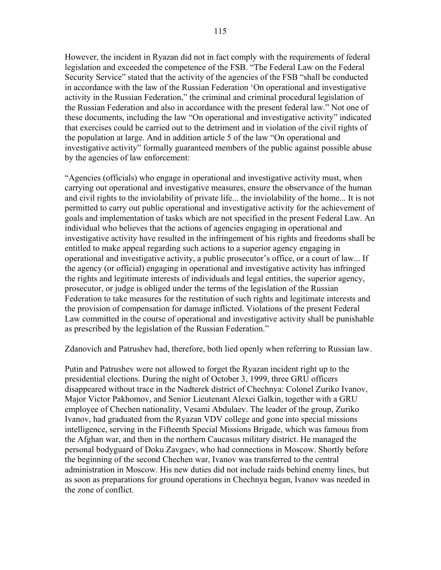However, the incident in Ryazan did not in fact comply with the requirements of federal legislation and exceeded the competence of the FSB. "The Federal Law on the Federal Security Service" stated that the activity of the agencies of the FSB "shall be conducted in accordance with the law of the Russian Federation 'On operational and investigative activity in the Russian Federation," the criminal and criminal procedural legislation of the Russian Federation and also in accordance with the present federal law." Not one of these documents, including the law "On operational and investigative activity" indicated that exercises could be carried out to the detriment and in violation of the civil rights of the population at large. And in addition article 5 of the law "On operational and investigative activity" formally guaranteed members of the public against possible abuse by the agencies of law enforcement:

"Agencies (officials) who engage in operational and investigative activity must, when carrying out operational and investigative measures, ensure the observance of the human and civil rights to the inviolability of private life... the inviolability of the home... It is not permitted to carry out public operational and investigative activity for the achievement of goals and implementation of tasks which are not specified in the present Federal Law. An individual who believes that the actions of agencies engaging in operational and investigative activity have resulted in the infringement of his rights and freedoms shall be entitled to make appeal regarding such actions to a superior agency engaging in operational and investigative activity, a public prosecutor's office, or a court of law... If the agency (or official) engaging in operational and investigative activity has infringed the rights and legitimate interests of individuals and legal entities, the superior agency, prosecutor, or judge is obliged under the terms of the legislation of the Russian Federation to take measures for the restitution of such rights and legitimate interests and the provision of compensation for damage inflicted. Violations of the present Federal Law committed in the course of operational and investigative activity shall be punishable as prescribed by the legislation of the Russian Federation."

#### Zdanovich and Patrushev had, therefore, both lied openly when referring to Russian law.

Putin and Patrushev were not allowed to forget the Ryazan incident right up to the presidential elections. During the night of October 3, 1999, three GRU officers disappeared without trace in the Nadterek district of Chechnya: Colonel Zuriko Ivanov, Major Victor Pakhomov, and Senior Lieutenant Alexei Galkin, together with a GRU employee of Chechen nationality, Vesami Abdulaev. The leader of the group, Zuriko Ivanov, had graduated from the Ryazan VDV college and gone into special missions intelligence, serving in the Fifteenth Special Missions Brigade, which was famous from the Afghan war, and then in the northern Caucasus military district. He managed the personal bodyguard of Doku Zavgaev, who had connections in Moscow. Shortly before the beginning of the second Chechen war, Ivanov was transferred to the central administration in Moscow. His new duties did not include raids behind enemy lines, but as soon as preparations for ground operations in Chechnya began, Ivanov was needed in the zone of conflict.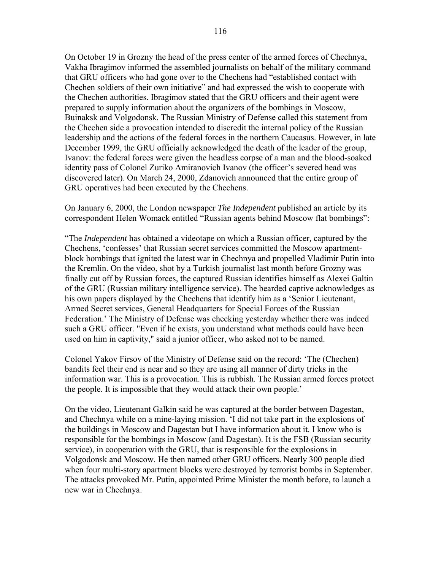On October 19 in Grozny the head of the press center of the armed forces of Chechnya, Vakha Ibragimov informed the assembled journalists on behalf of the military command that GRU officers who had gone over to the Chechens had "established contact with Chechen soldiers of their own initiative" and had expressed the wish to cooperate with the Chechen authorities. Ibragimov stated that the GRU officers and their agent were prepared to supply information about the organizers of the bombings in Moscow, Buinaksk and Volgodonsk. The Russian Ministry of Defense called this statement from the Chechen side a provocation intended to discredit the internal policy of the Russian leadership and the actions of the federal forces in the northern Caucasus. However, in late December 1999, the GRU officially acknowledged the death of the leader of the group, Ivanov: the federal forces were given the headless corpse of a man and the blood-soaked identity pass of Colonel Zuriko Amiranovich Ivanov (the officer's severed head was discovered later). On March 24, 2000, Zdanovich announced that the entire group of GRU operatives had been executed by the Chechens.

On January 6, 2000, the London newspaper *The Independent* published an article by its correspondent Helen Womack entitled "Russian agents behind Moscow flat bombings":

"The *Independent* has obtained a videotape on which a Russian officer*,* captured by the Chechens, 'confesses' that Russian secret services committed the Moscow apartmentblock bombings that ignited the latest war in Chechnya and propelled Vladimir Putin into the Kremlin. On the video, shot by a Turkish journalist last month before Grozny was finally cut off by Russian forces, the captured Russian identifies himself as Alexei Galtin of the GRU (Russian military intelligence service). The bearded captive acknowledges as his own papers displayed by the Chechens that identify him as a 'Senior Lieutenant, Armed Secret services, General Headquarters for Special Forces of the Russian Federation.' The Ministry of Defense was checking yesterday whether there was indeed such a GRU officer. "Even if he exists, you understand what methods could have been used on him in captivity," said a junior officer, who asked not to be named.

Colonel Yakov Firsov of the Ministry of Defense said on the record: 'The (Chechen) bandits feel their end is near and so they are using all manner of dirty tricks in the information war. This is a provocation. This is rubbish. The Russian armed forces protect the people. It is impossible that they would attack their own people.'

On the video, Lieutenant Galkin said he was captured at the border between Dagestan, and Chechnya while on a mine-laying mission. 'I did not take part in the explosions of the buildings in Moscow and Dagestan but I have information about it. I know who is responsible for the bombings in Moscow (and Dagestan). It is the FSB (Russian security service), in cooperation with the GRU, that is responsible for the explosions in Volgodonsk and Moscow. He then named other GRU officers. Nearly 300 people died when four multi-story apartment blocks were destroyed by terrorist bombs in September. The attacks provoked Mr. Putin, appointed Prime Minister the month before, to launch a new war in Chechnya.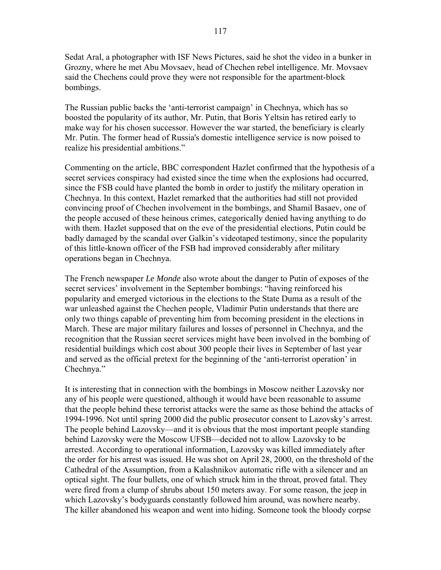Sedat Aral, a photographer with ISF News Pictures, said he shot the video in a bunker in Grozny, where he met Abu Movsaev, head of Chechen rebel intelligence. Mr. Movsaev said the Chechens could prove they were not responsible for the apartment-block bombings.

The Russian public backs the 'anti-terrorist campaign' in Chechnya, which has so boosted the popularity of its author, Mr. Putin, that Boris Yeltsin has retired early to make way for his chosen successor. However the war started, the beneficiary is clearly Mr. Putin. The former head of Russia's domestic intelligence service is now poised to realize his presidential ambitions."

Commenting on the article, BBC correspondent Hazlet confirmed that the hypothesis of a secret services conspiracy had existed since the time when the explosions had occurred, since the FSB could have planted the bomb in order to justify the military operation in Chechnya. In this context, Hazlet remarked that the authorities had still not provided convincing proof of Chechen involvement in the bombings, and Shamil Basaev, one of the people accused of these heinous crimes, categorically denied having anything to do with them. Hazlet supposed that on the eve of the presidential elections, Putin could be badly damaged by the scandal over Galkin's videotaped testimony, since the popularity of this little-known officer of the FSB had improved considerably after military operations began in Chechnya.

The French newspaper *Le Monde* also wrote about the danger to Putin of exposes of the secret services' involvement in the September bombings: "having reinforced his popularity and emerged victorious in the elections to the State Duma as a result of the war unleashed against the Chechen people, Vladimir Putin understands that there are only two things capable of preventing him from becoming president in the elections in March. These are major military failures and losses of personnel in Chechnya, and the recognition that the Russian secret services might have been involved in the bombing of residential buildings which cost about 300 people their lives in September of last year and served as the official pretext for the beginning of the 'anti-terrorist operation' in Chechnya."

It is interesting that in connection with the bombings in Moscow neither Lazovsky nor any of his people were questioned, although it would have been reasonable to assume that the people behind these terrorist attacks were the same as those behind the attacks of 1994-1996. Not until spring 2000 did the public prosecutor consent to Lazovsky's arrest. The people behind Lazovsky—and it is obvious that the most important people standing behind Lazovsky were the Moscow UFSB—decided not to allow Lazovsky to be arrested. According to operational information, Lazovsky was killed immediately after the order for his arrest was issued. He was shot on April 28, 2000, on the threshold of the Cathedral of the Assumption, from a Kalashnikov automatic rifle with a silencer and an optical sight. The four bullets, one of which struck him in the throat, proved fatal. They were fired from a clump of shrubs about 150 meters away. For some reason, the jeep in which Lazovsky's bodyguards constantly followed him around, was nowhere nearby. The killer abandoned his weapon and went into hiding. Someone took the bloody corpse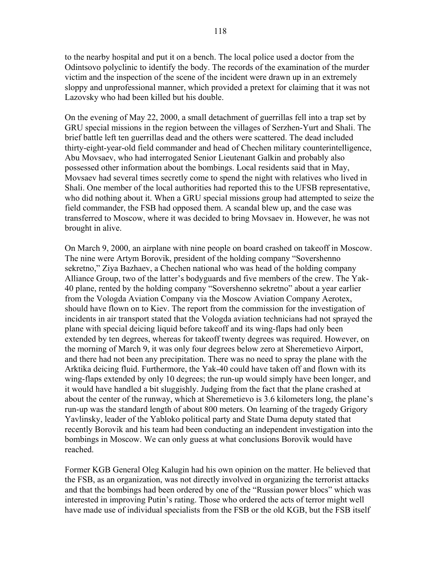to the nearby hospital and put it on a bench. The local police used a doctor from the Odintsovo polyclinic to identify the body. The records of the examination of the murder victim and the inspection of the scene of the incident were drawn up in an extremely sloppy and unprofessional manner, which provided a pretext for claiming that it was not Lazovsky who had been killed but his double.

On the evening of May 22, 2000, a small detachment of guerrillas fell into a trap set by GRU special missions in the region between the villages of Serzhen-Yurt and Shali. The brief battle left ten guerrillas dead and the others were scattered. The dead included thirty-eight-year-old field commander and head of Chechen military counterintelligence, Abu Movsaev, who had interrogated Senior Lieutenant Galkin and probably also possessed other information about the bombings. Local residents said that in May, Movsaev had several times secretly come to spend the night with relatives who lived in Shali. One member of the local authorities had reported this to the UFSB representative, who did nothing about it. When a GRU special missions group had attempted to seize the field commander, the FSB had opposed them. A scandal blew up, and the case was transferred to Moscow, where it was decided to bring Movsaev in. However, he was not brought in alive.

On March 9, 2000, an airplane with nine people on board crashed on takeoff in Moscow. The nine were Artym Borovik, president of the holding company "Sovershenno sekretno," Ziya Bazhaev, a Chechen national who was head of the holding company Alliance Group, two of the latter's bodyguards and five members of the crew. The Yak-40 plane, rented by the holding company "Sovershenno sekretno" about a year earlier from the Vologda Aviation Company via the Moscow Aviation Company Aerotex, should have flown on to Kiev. The report from the commission for the investigation of incidents in air transport stated that the Vologda aviation technicians had not sprayed the plane with special deicing liquid before takeoff and its wing-flaps had only been extended by ten degrees, whereas for takeoff twenty degrees was required. However, on the morning of March 9, it was only four degrees below zero at Sheremetievo Airport, and there had not been any precipitation. There was no need to spray the plane with the Arktika deicing fluid. Furthermore, the Yak-40 could have taken off and flown with its wing-flaps extended by only 10 degrees; the run-up would simply have been longer, and it would have handled a bit sluggishly. Judging from the fact that the plane crashed at about the center of the runway, which at Sheremetievo is 3.6 kilometers long, the plane's run-up was the standard length of about 800 meters. On learning of the tragedy Grigory Yavlinsky, leader of the Yabloko political party and State Duma deputy stated that recently Borovik and his team had been conducting an independent investigation into the bombings in Moscow. We can only guess at what conclusions Borovik would have reached.

Former KGB General Oleg Kalugin had his own opinion on the matter. He believed that the FSB, as an organization, was not directly involved in organizing the terrorist attacks and that the bombings had been ordered by one of the "Russian power blocs" which was interested in improving Putin's rating. Those who ordered the acts of terror might well have made use of individual specialists from the FSB or the old KGB, but the FSB itself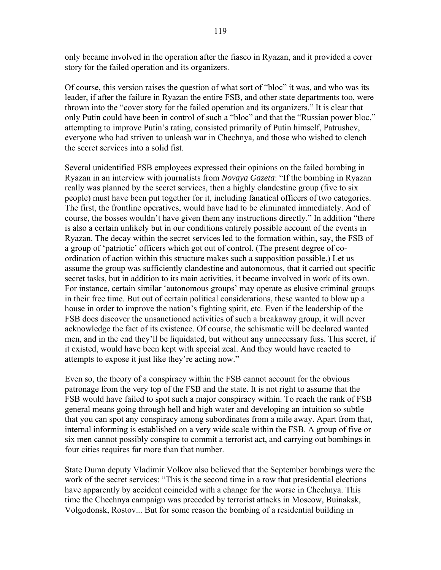only became involved in the operation after the fiasco in Ryazan, and it provided a cover story for the failed operation and its organizers.

Of course, this version raises the question of what sort of "bloc" it was, and who was its leader, if after the failure in Ryazan the entire FSB, and other state departments too, were thrown into the "cover story for the failed operation and its organizers." It is clear that only Putin could have been in control of such a "bloc" and that the "Russian power bloc," attempting to improve Putin's rating, consisted primarily of Putin himself, Patrushev, everyone who had striven to unleash war in Chechnya, and those who wished to clench the secret services into a solid fist.

Several unidentified FSB employees expressed their opinions on the failed bombing in Ryazan in an interview with journalists from *Novaya Gazeta*: "If the bombing in Ryazan really was planned by the secret services, then a highly clandestine group (five to six people) must have been put together for it, including fanatical officers of two categories. The first, the frontline operatives, would have had to be eliminated immediately. And of course, the bosses wouldn't have given them any instructions directly." In addition "there is also a certain unlikely but in our conditions entirely possible account of the events in Ryazan. The decay within the secret services led to the formation within, say, the FSB of a group of 'patriotic' officers which got out of control. (The present degree of coordination of action within this structure makes such a supposition possible.) Let us assume the group was sufficiently clandestine and autonomous, that it carried out specific secret tasks, but in addition to its main activities, it became involved in work of its own. For instance, certain similar 'autonomous groups' may operate as elusive criminal groups in their free time. But out of certain political considerations, these wanted to blow up a house in order to improve the nation's fighting spirit, etc. Even if the leadership of the FSB does discover the unsanctioned activities of such a breakaway group, it will never acknowledge the fact of its existence. Of course, the schismatic will be declared wanted men, and in the end they'll be liquidated, but without any unnecessary fuss. This secret, if it existed, would have been kept with special zeal. And they would have reacted to attempts to expose it just like they're acting now."

Even so, the theory of a conspiracy within the FSB cannot account for the obvious patronage from the very top of the FSB and the state. It is not right to assume that the FSB would have failed to spot such a major conspiracy within. To reach the rank of FSB general means going through hell and high water and developing an intuition so subtle that you can spot any conspiracy among subordinates from a mile away. Apart from that, internal informing is established on a very wide scale within the FSB. A group of five or six men cannot possibly conspire to commit a terrorist act, and carrying out bombings in four cities requires far more than that number.

State Duma deputy Vladimir Volkov also believed that the September bombings were the work of the secret services: "This is the second time in a row that presidential elections have apparently by accident coincided with a change for the worse in Chechnya. This time the Chechnya campaign was preceded by terrorist attacks in Moscow, Buinaksk, Volgodonsk, Rostov... But for some reason the bombing of a residential building in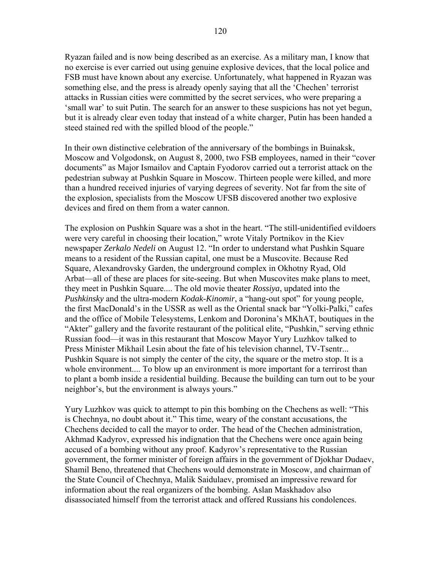Ryazan failed and is now being described as an exercise. As a military man, I know that no exercise is ever carried out using genuine explosive devices, that the local police and FSB must have known about any exercise. Unfortunately, what happened in Ryazan was something else, and the press is already openly saying that all the 'Chechen' terrorist attacks in Russian cities were committed by the secret services, who were preparing a 'small war' to suit Putin. The search for an answer to these suspicions has not yet begun, but it is already clear even today that instead of a white charger, Putin has been handed a steed stained red with the spilled blood of the people."

In their own distinctive celebration of the anniversary of the bombings in Buinaksk, Moscow and Volgodonsk, on August 8, 2000, two FSB employees, named in their "cover documents" as Major Ismailov and Captain Fyodorov carried out a terrorist attack on the pedestrian subway at Pushkin Square in Moscow. Thirteen people were killed, and more than a hundred received injuries of varying degrees of severity. Not far from the site of the explosion, specialists from the Moscow UFSB discovered another two explosive devices and fired on them from a water cannon.

The explosion on Pushkin Square was a shot in the heart. "The still-unidentified evildoers were very careful in choosing their location," wrote Vitaly Portnikov in the Kiev newspaper *Zerkalo Nedeli* on August 12. "In order to understand what Pushkin Square means to a resident of the Russian capital, one must be a Muscovite. Because Red Square, Alexandrovsky Garden, the underground complex in Okhotny Ryad, Old Arbat—all of these are places for site-seeing. But when Muscovites make plans to meet, they meet in Pushkin Square.... The old movie theater *Rossiya*, updated into the *Pushkinsky* and the ultra-modern *Kodak-Kinomir*, a "hang-out spot" for young people, the first MacDonald's in the USSR as well as the Oriental snack bar "Yolki-Palki," cafes and the office of Mobile Telesystems, Lenkom and Doronina's MKhAT, boutiques in the "Akter" gallery and the favorite restaurant of the political elite, "Pushkin," serving ethnic Russian food—it was in this restaurant that Moscow Mayor Yury Luzhkov talked to Press Minister Mikhail Lesin about the fate of his television channel, TV-Tsentr... Pushkin Square is not simply the center of the city, the square or the metro stop. It is a whole environment.... To blow up an environment is more important for a terrirost than to plant a bomb inside a residential building. Because the building can turn out to be your neighbor's, but the environment is always yours."

Yury Luzhkov was quick to attempt to pin this bombing on the Chechens as well: "This is Chechnya, no doubt about it." This time, weary of the constant accusations, the Chechens decided to call the mayor to order. The head of the Chechen administration, Akhmad Kadyrov, expressed his indignation that the Chechens were once again being accused of a bombing without any proof. Kadyrov's representative to the Russian government, the former minister of foreign affairs in the government of Djokhar Dudaev, Shamil Beno, threatened that Chechens would demonstrate in Moscow, and chairman of the State Council of Chechnya, Malik Saidulaev, promised an impressive reward for information about the real organizers of the bombing. Aslan Maskhadov also disassociated himself from the terrorist attack and offered Russians his condolences.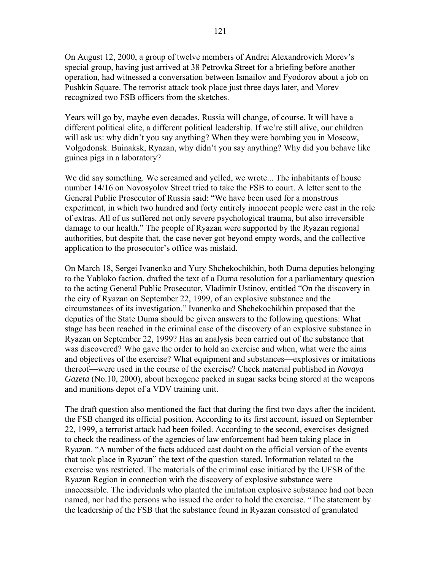On August 12, 2000, a group of twelve members of Andrei Alexandrovich Morev's special group, having just arrived at 38 Petrovka Street for a briefing before another operation, had witnessed a conversation between Ismailov and Fyodorov about a job on Pushkin Square. The terrorist attack took place just three days later, and Morev recognized two FSB officers from the sketches.

Years will go by, maybe even decades. Russia will change, of course. It will have a different political elite, a different political leadership. If we're still alive, our children will ask us: why didn't you say anything? When they were bombing you in Moscow, Volgodonsk. Buinaksk, Ryazan, why didn't you say anything? Why did you behave like guinea pigs in a laboratory?

We did say something. We screamed and yelled, we wrote... The inhabitants of house number 14/16 on Novosyolov Street tried to take the FSB to court. A letter sent to the General Public Prosecutor of Russia said: "We have been used for a monstrous experiment, in which two hundred and forty entirely innocent people were cast in the role of extras. All of us suffered not only severe psychological trauma, but also irreversible damage to our health." The people of Ryazan were supported by the Ryazan regional authorities, but despite that, the case never got beyond empty words, and the collective application to the prosecutor's office was mislaid.

On March 18, Sergei Ivanenko and Yury Shchekochikhin, both Duma deputies belonging to the Yabloko faction, drafted the text of a Duma resolution for a parliamentary question to the acting General Public Prosecutor, Vladimir Ustinov, entitled "On the discovery in the city of Ryazan on September 22, 1999, of an explosive substance and the circumstances of its investigation." Ivanenko and Shchekochikhin proposed that the deputies of the State Duma should be given answers to the following questions: What stage has been reached in the criminal case of the discovery of an explosive substance in Ryazan on September 22, 1999? Has an analysis been carried out of the substance that was discovered? Who gave the order to hold an exercise and when, what were the aims and objectives of the exercise? What equipment and substances—explosives or imitations thereof—were used in the course of the exercise? Check material published in *Novaya Gazeta* (No.10, 2000), about hexogene packed in sugar sacks being stored at the weapons and munitions depot of a VDV training unit.

The draft question also mentioned the fact that during the first two days after the incident, the FSB changed its official position. According to its first account, issued on September 22, 1999, a terrorist attack had been foiled. According to the second, exercises designed to check the readiness of the agencies of law enforcement had been taking place in Ryazan. "A number of the facts adduced cast doubt on the official version of the events that took place in Ryazan" the text of the question stated. Information related to the exercise was restricted. The materials of the criminal case initiated by the UFSB of the Ryazan Region in connection with the discovery of explosive substance were inaccessible. The individuals who planted the imitation explosive substance had not been named, nor had the persons who issued the order to hold the exercise. "The statement by the leadership of the FSB that the substance found in Ryazan consisted of granulated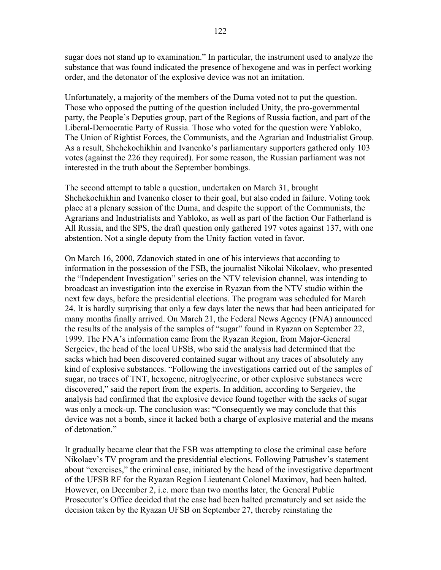sugar does not stand up to examination." In particular, the instrument used to analyze the substance that was found indicated the presence of hexogene and was in perfect working order, and the detonator of the explosive device was not an imitation.

Unfortunately, a majority of the members of the Duma voted not to put the question. Those who opposed the putting of the question included Unity, the pro-governmental party, the People's Deputies group, part of the Regions of Russia faction, and part of the Liberal-Democratic Party of Russia. Those who voted for the question were Yabloko, The Union of Rightist Forces, the Communists, and the Agrarian and Industrialist Group. As a result, Shchekochikhin and Ivanenko's parliamentary supporters gathered only 103 votes (against the 226 they required). For some reason, the Russian parliament was not interested in the truth about the September bombings.

The second attempt to table a question, undertaken on March 31, brought Shchekochikhin and Ivanenko closer to their goal, but also ended in failure. Voting took place at a plenary session of the Duma, and despite the support of the Communists, the Agrarians and Industrialists and Yabloko, as well as part of the faction Our Fatherland is All Russia, and the SPS, the draft question only gathered 197 votes against 137, with one abstention. Not a single deputy from the Unity faction voted in favor.

On March 16, 2000, Zdanovich stated in one of his interviews that according to information in the possession of the FSB, the journalist Nikolai Nikolaev, who presented the "Independent Investigation" series on the NTV television channel, was intending to broadcast an investigation into the exercise in Ryazan from the NTV studio within the next few days, before the presidential elections. The program was scheduled for March 24. It is hardly surprising that only a few days later the news that had been anticipated for many months finally arrived. On March 21, the Federal News Agency (FNA) announced the results of the analysis of the samples of "sugar" found in Ryazan on September 22, 1999. The FNA's information came from the Ryazan Region, from Major-General Sergeiev, the head of the local UFSB, who said the analysis had determined that the sacks which had been discovered contained sugar without any traces of absolutely any kind of explosive substances. "Following the investigations carried out of the samples of sugar, no traces of TNT, hexogene, nitroglycerine, or other explosive substances were discovered," said the report from the experts. In addition, according to Sergeiev, the analysis had confirmed that the explosive device found together with the sacks of sugar was only a mock-up. The conclusion was: "Consequently we may conclude that this device was not a bomb, since it lacked both a charge of explosive material and the means of detonation."

It gradually became clear that the FSB was attempting to close the criminal case before Nikolaev's TV program and the presidential elections. Following Patrushev's statement about "exercises," the criminal case, initiated by the head of the investigative department of the UFSB RF for the Ryazan Region Lieutenant Colonel Maximov, had been halted. However, on December 2, i.e. more than two months later, the General Public Prosecutor's Office decided that the case had been halted prematurely and set aside the decision taken by the Ryazan UFSB on September 27, thereby reinstating the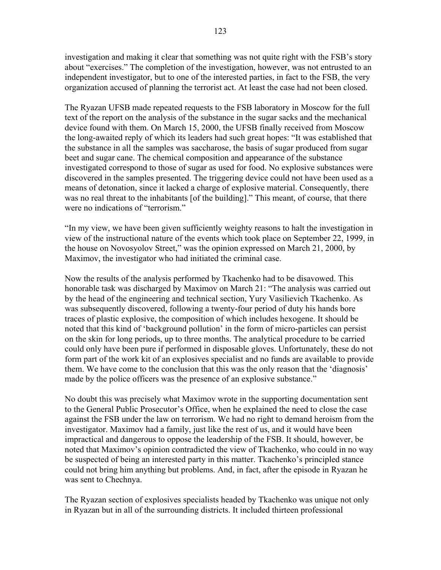investigation and making it clear that something was not quite right with the FSB's story about "exercises." The completion of the investigation, however, was not entrusted to an independent investigator, but to one of the interested parties, in fact to the FSB, the very organization accused of planning the terrorist act. At least the case had not been closed.

The Ryazan UFSB made repeated requests to the FSB laboratory in Moscow for the full text of the report on the analysis of the substance in the sugar sacks and the mechanical device found with them. On March 15, 2000, the UFSB finally received from Moscow the long-awaited reply of which its leaders had such great hopes: "It was established that the substance in all the samples was saccharose, the basis of sugar produced from sugar beet and sugar cane. The chemical composition and appearance of the substance investigated correspond to those of sugar as used for food. No explosive substances were discovered in the samples presented. The triggering device could not have been used as a means of detonation, since it lacked a charge of explosive material. Consequently, there was no real threat to the inhabitants [of the building]." This meant, of course, that there were no indications of "terrorism."

"In my view, we have been given sufficiently weighty reasons to halt the investigation in view of the instructional nature of the events which took place on September 22, 1999, in the house on Novosyolov Street," was the opinion expressed on March 21, 2000, by Maximov, the investigator who had initiated the criminal case.

Now the results of the analysis performed by Tkachenko had to be disavowed. This honorable task was discharged by Maximov on March 21: "The analysis was carried out by the head of the engineering and technical section, Yury Vasilievich Tkachenko. As was subsequently discovered, following a twenty-four period of duty his hands bore traces of plastic explosive, the composition of which includes hexogene. It should be noted that this kind of 'background pollution' in the form of micro-particles can persist on the skin for long periods, up to three months. The analytical procedure to be carried could only have been pure if performed in disposable gloves. Unfortunately, these do not form part of the work kit of an explosives specialist and no funds are available to provide them. We have come to the conclusion that this was the only reason that the 'diagnosis' made by the police officers was the presence of an explosive substance."

No doubt this was precisely what Maximov wrote in the supporting documentation sent to the General Public Prosecutor's Office, when he explained the need to close the case against the FSB under the law on terrorism. We had no right to demand heroism from the investigator. Maximov had a family, just like the rest of us, and it would have been impractical and dangerous to oppose the leadership of the FSB. It should, however, be noted that Maximov's opinion contradicted the view of Tkachenko, who could in no way be suspected of being an interested party in this matter. Tkachenko's principled stance could not bring him anything but problems. And, in fact, after the episode in Ryazan he was sent to Chechnya.

The Ryazan section of explosives specialists headed by Tkachenko was unique not only in Ryazan but in all of the surrounding districts. It included thirteen professional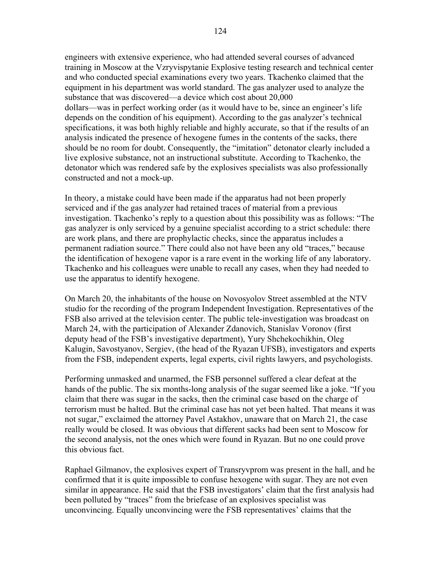engineers with extensive experience, who had attended several courses of advanced training in Moscow at the Vzryvispytanie Explosive testing research and technical center and who conducted special examinations every two years. Tkachenko claimed that the equipment in his department was world standard. The gas analyzer used to analyze the substance that was discovered—a device which cost about 20,000 dollars—was in perfect working order (as it would have to be, since an engineer's life depends on the condition of his equipment). According to the gas analyzer's technical specifications, it was both highly reliable and highly accurate, so that if the results of an analysis indicated the presence of hexogene fumes in the contents of the sacks, there should be no room for doubt. Consequently, the "imitation" detonator clearly included a live explosive substance, not an instructional substitute. According to Tkachenko, the detonator which was rendered safe by the explosives specialists was also professionally constructed and not a mock-up.

In theory, a mistake could have been made if the apparatus had not been properly serviced and if the gas analyzer had retained traces of material from a previous investigation. Tkachenko's reply to a question about this possibility was as follows: "The gas analyzer is only serviced by a genuine specialist according to a strict schedule: there are work plans, and there are prophylactic checks, since the apparatus includes a permanent radiation source." There could also not have been any old "traces," because the identification of hexogene vapor is a rare event in the working life of any laboratory. Tkachenko and his colleagues were unable to recall any cases, when they had needed to use the apparatus to identify hexogene.

On March 20, the inhabitants of the house on Novosyolov Street assembled at the NTV studio for the recording of the program Independent Investigation. Representatives of the FSB also arrived at the television center. The public tele-investigation was broadcast on March 24, with the participation of Alexander Zdanovich, Stanislav Voronov (first deputy head of the FSB's investigative department), Yury Shchekochikhin, Oleg Kalugin, Savostyanov, Sergiev, (the head of the Ryazan UFSB), investigators and experts from the FSB, independent experts, legal experts, civil rights lawyers, and psychologists.

Performing unmasked and unarmed, the FSB personnel suffered a clear defeat at the hands of the public. The six months-long analysis of the sugar seemed like a joke. "If you claim that there was sugar in the sacks, then the criminal case based on the charge of terrorism must be halted. But the criminal case has not yet been halted. That means it was not sugar," exclaimed the attorney Pavel Astakhov, unaware that on March 21, the case really would be closed. It was obvious that different sacks had been sent to Moscow for the second analysis, not the ones which were found in Ryazan. But no one could prove this obvious fact.

Raphael Gilmanov, the explosives expert of Transryvprom was present in the hall, and he confirmed that it is quite impossible to confuse hexogene with sugar. They are not even similar in appearance. He said that the FSB investigators' claim that the first analysis had been polluted by "traces" from the briefcase of an explosives specialist was unconvincing. Equally unconvincing were the FSB representatives' claims that the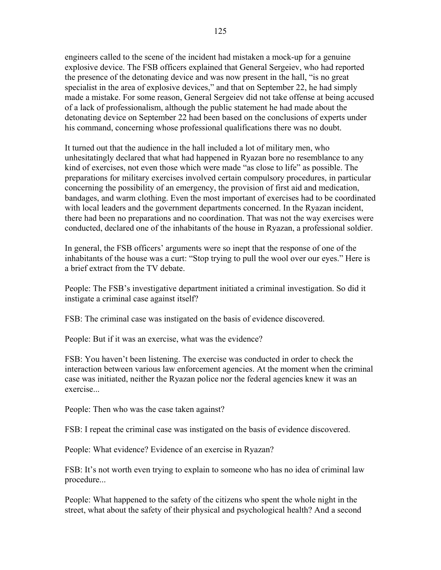engineers called to the scene of the incident had mistaken a mock-up for a genuine explosive device. The FSB officers explained that General Sergeiev, who had reported the presence of the detonating device and was now present in the hall, "is no great specialist in the area of explosive devices," and that on September 22, he had simply made a mistake. For some reason, General Sergeiev did not take offense at being accused of a lack of professionalism, although the public statement he had made about the detonating device on September 22 had been based on the conclusions of experts under his command, concerning whose professional qualifications there was no doubt.

It turned out that the audience in the hall included a lot of military men, who unhesitatingly declared that what had happened in Ryazan bore no resemblance to any kind of exercises, not even those which were made "as close to life" as possible. The preparations for military exercises involved certain compulsory procedures, in particular concerning the possibility of an emergency, the provision of first aid and medication, bandages, and warm clothing. Even the most important of exercises had to be coordinated with local leaders and the government departments concerned. In the Ryazan incident, there had been no preparations and no coordination. That was not the way exercises were conducted, declared one of the inhabitants of the house in Ryazan, a professional soldier.

In general, the FSB officers' arguments were so inept that the response of one of the inhabitants of the house was a curt: "Stop trying to pull the wool over our eyes." Here is a brief extract from the TV debate.

People: The FSB's investigative department initiated a criminal investigation. So did it instigate a criminal case against itself?

FSB: The criminal case was instigated on the basis of evidence discovered.

People: But if it was an exercise, what was the evidence?

FSB: You haven't been listening. The exercise was conducted in order to check the interaction between various law enforcement agencies. At the moment when the criminal case was initiated, neither the Ryazan police nor the federal agencies knew it was an exercise...

People: Then who was the case taken against?

FSB: I repeat the criminal case was instigated on the basis of evidence discovered.

People: What evidence? Evidence of an exercise in Ryazan?

FSB: It's not worth even trying to explain to someone who has no idea of criminal law procedure...

People: What happened to the safety of the citizens who spent the whole night in the street, what about the safety of their physical and psychological health? And a second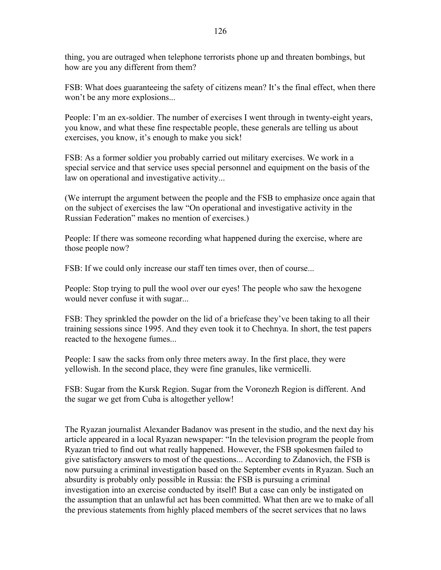thing, you are outraged when telephone terrorists phone up and threaten bombings, but how are you any different from them?

FSB: What does guaranteeing the safety of citizens mean? It's the final effect, when there won't be any more explosions...

People: I'm an ex-soldier. The number of exercises I went through in twenty-eight years, you know, and what these fine respectable people, these generals are telling us about exercises, you know, it's enough to make you sick!

FSB: As a former soldier you probably carried out military exercises. We work in a special service and that service uses special personnel and equipment on the basis of the law on operational and investigative activity...

(We interrupt the argument between the people and the FSB to emphasize once again that on the subject of exercises the law "On operational and investigative activity in the Russian Federation" makes no mention of exercises.)

People: If there was someone recording what happened during the exercise, where are those people now?

FSB: If we could only increase our staff ten times over, then of course...

People: Stop trying to pull the wool over our eyes! The people who saw the hexogene would never confuse it with sugar...

FSB: They sprinkled the powder on the lid of a briefcase they've been taking to all their training sessions since 1995. And they even took it to Chechnya. In short, the test papers reacted to the hexogene fumes...

People: I saw the sacks from only three meters away. In the first place, they were yellowish. In the second place, they were fine granules, like vermicelli.

FSB: Sugar from the Kursk Region. Sugar from the Voronezh Region is different. And the sugar we get from Cuba is altogether yellow!

The Ryazan journalist Alexander Badanov was present in the studio, and the next day his article appeared in a local Ryazan newspaper: "In the television program the people from Ryazan tried to find out what really happened. However, the FSB spokesmen failed to give satisfactory answers to most of the questions... According to Zdanovich, the FSB is now pursuing a criminal investigation based on the September events in Ryazan. Such an absurdity is probably only possible in Russia: the FSB is pursuing a criminal investigation into an exercise conducted by itself! But a case can only be instigated on the assumption that an unlawful act has been committed. What then are we to make of all the previous statements from highly placed members of the secret services that no laws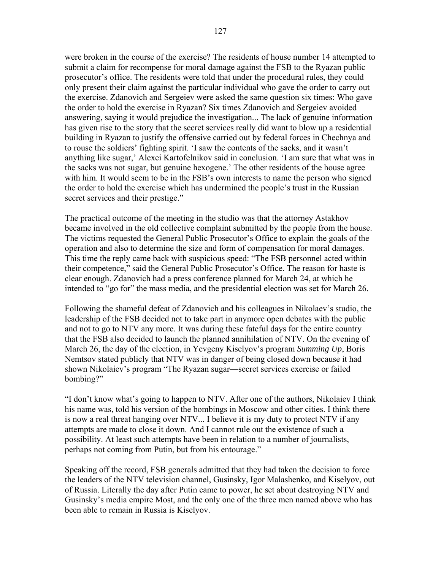were broken in the course of the exercise? The residents of house number 14 attempted to submit a claim for recompense for moral damage against the FSB to the Ryazan public prosecutor's office. The residents were told that under the procedural rules, they could only present their claim against the particular individual who gave the order to carry out the exercise. Zdanovich and Sergeiev were asked the same question six times: Who gave the order to hold the exercise in Ryazan? Six times Zdanovich and Sergeiev avoided answering, saying it would prejudice the investigation... The lack of genuine information has given rise to the story that the secret services really did want to blow up a residential building in Ryazan to justify the offensive carried out by federal forces in Chechnya and to rouse the soldiers' fighting spirit. 'I saw the contents of the sacks, and it wasn't anything like sugar,' Alexei Kartofelnikov said in conclusion. 'I am sure that what was in the sacks was not sugar, but genuine hexogene.' The other residents of the house agree with him. It would seem to be in the FSB's own interests to name the person who signed the order to hold the exercise which has undermined the people's trust in the Russian secret services and their prestige."

The practical outcome of the meeting in the studio was that the attorney Astakhov became involved in the old collective complaint submitted by the people from the house. The victims requested the General Public Prosecutor's Office to explain the goals of the operation and also to determine the size and form of compensation for moral damages. This time the reply came back with suspicious speed: "The FSB personnel acted within their competence," said the General Public Prosecutor's Office. The reason for haste is clear enough. Zdanovich had a press conference planned for March 24, at which he intended to "go for" the mass media, and the presidential election was set for March 26.

Following the shameful defeat of Zdanovich and his colleagues in Nikolaev's studio, the leadership of the FSB decided not to take part in anymore open debates with the public and not to go to NTV any more. It was during these fateful days for the entire country that the FSB also decided to launch the planned annihilation of NTV. On the evening of March 26, the day of the election, in Yevgeny Kiselyov's program *Summing Up*, Boris Nemtsov stated publicly that NTV was in danger of being closed down because it had shown Nikolaiev's program "The Ryazan sugar—secret services exercise or failed bombing?"

"I don't know what's going to happen to NTV. After one of the authors, Nikolaiev I think his name was, told his version of the bombings in Moscow and other cities. I think there is now a real threat hanging over NTV... I believe it is my duty to protect NTV if any attempts are made to close it down. And I cannot rule out the existence of such a possibility. At least such attempts have been in relation to a number of journalists, perhaps not coming from Putin, but from his entourage."

Speaking off the record, FSB generals admitted that they had taken the decision to force the leaders of the NTV television channel, Gusinsky, Igor Malashenko, and Kiselyov, out of Russia. Literally the day after Putin came to power, he set about destroying NTV and Gusinsky's media empire Most, and the only one of the three men named above who has been able to remain in Russia is Kiselyov.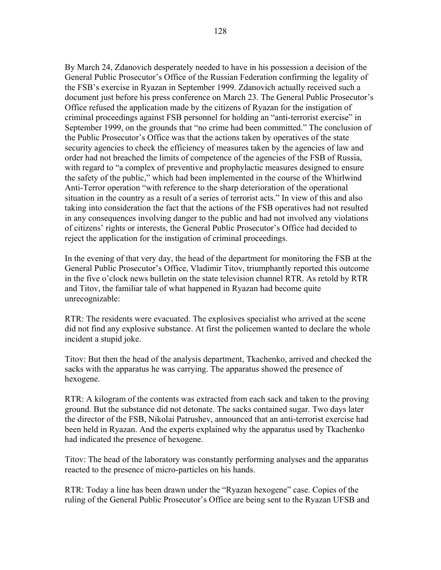By March 24, Zdanovich desperately needed to have in his possession a decision of the General Public Prosecutor's Office of the Russian Federation confirming the legality of the FSB's exercise in Ryazan in September 1999. Zdanovich actually received such a document just before his press conference on March 23. The General Public Prosecutor's Office refused the application made by the citizens of Ryazan for the instigation of criminal proceedings against FSB personnel for holding an "anti-terrorist exercise" in September 1999, on the grounds that "no crime had been committed." The conclusion of the Public Prosecutor's Office was that the actions taken by operatives of the state security agencies to check the efficiency of measures taken by the agencies of law and order had not breached the limits of competence of the agencies of the FSB of Russia, with regard to "a complex of preventive and prophylactic measures designed to ensure the safety of the public," which had been implemented in the course of the Whirlwind Anti-Terror operation "with reference to the sharp deterioration of the operational situation in the country as a result of a series of terrorist acts." In view of this and also taking into consideration the fact that the actions of the FSB operatives had not resulted in any consequences involving danger to the public and had not involved any violations of citizens' rights or interests, the General Public Prosecutor's Office had decided to reject the application for the instigation of criminal proceedings.

In the evening of that very day, the head of the department for monitoring the FSB at the General Public Prosecutor's Office, Vladimir Titov, triumphantly reported this outcome in the five o'clock news bulletin on the state television channel RTR. As retold by RTR and Titov, the familiar tale of what happened in Ryazan had become quite unrecognizable:

RTR: The residents were evacuated. The explosives specialist who arrived at the scene did not find any explosive substance. At first the policemen wanted to declare the whole incident a stupid joke.

Titov: But then the head of the analysis department, Tkachenko, arrived and checked the sacks with the apparatus he was carrying. The apparatus showed the presence of hexogene.

RTR: A kilogram of the contents was extracted from each sack and taken to the proving ground. But the substance did not detonate. The sacks contained sugar. Two days later the director of the FSB, Nikolai Patrushev, announced that an anti-terrorist exercise had been held in Ryazan. And the experts explained why the apparatus used by Tkachenko had indicated the presence of hexogene.

Titov: The head of the laboratory was constantly performing analyses and the apparatus reacted to the presence of micro-particles on his hands.

RTR: Today a line has been drawn under the "Ryazan hexogene" case. Copies of the ruling of the General Public Prosecutor's Office are being sent to the Ryazan UFSB and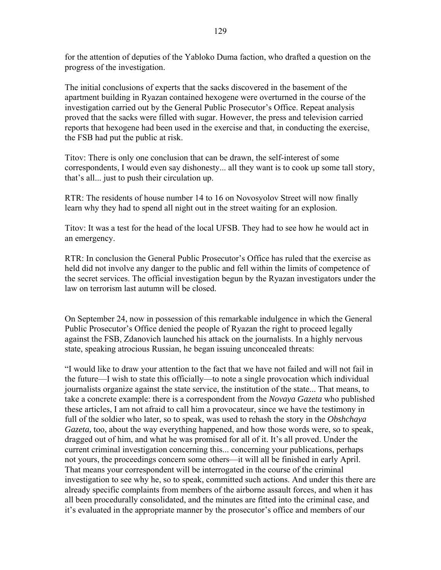for the attention of deputies of the Yabloko Duma faction, who drafted a question on the progress of the investigation.

The initial conclusions of experts that the sacks discovered in the basement of the apartment building in Ryazan contained hexogene were overturned in the course of the investigation carried out by the General Public Prosecutor's Office. Repeat analysis proved that the sacks were filled with sugar. However, the press and television carried reports that hexogene had been used in the exercise and that, in conducting the exercise, the FSB had put the public at risk.

Titov: There is only one conclusion that can be drawn, the self-interest of some correspondents, I would even say dishonesty... all they want is to cook up some tall story, that's all... just to push their circulation up.

RTR: The residents of house number 14 to 16 on Novosyolov Street will now finally learn why they had to spend all night out in the street waiting for an explosion.

Titov: It was a test for the head of the local UFSB. They had to see how he would act in an emergency.

RTR: In conclusion the General Public Prosecutor's Office has ruled that the exercise as held did not involve any danger to the public and fell within the limits of competence of the secret services. The official investigation begun by the Ryazan investigators under the law on terrorism last autumn will be closed.

On September 24, now in possession of this remarkable indulgence in which the General Public Prosecutor's Office denied the people of Ryazan the right to proceed legally against the FSB, Zdanovich launched his attack on the journalists. In a highly nervous state, speaking atrocious Russian, he began issuing unconcealed threats:

"I would like to draw your attention to the fact that we have not failed and will not fail in the future—I wish to state this officially—to note a single provocation which individual journalists organize against the state service, the institution of the state... That means, to take a concrete example: there is a correspondent from the *Novaya Gazeta* who published these articles, I am not afraid to call him a provocateur, since we have the testimony in full of the soldier who later, so to speak, was used to rehash the story in the *Obshchaya Gazeta,* too, about the way everything happened, and how those words were, so to speak, dragged out of him, and what he was promised for all of it. It's all proved. Under the current criminal investigation concerning this... concerning your publications, perhaps not yours, the proceedings concern some others—it will all be finished in early April. That means your correspondent will be interrogated in the course of the criminal investigation to see why he, so to speak, committed such actions. And under this there are already specific complaints from members of the airborne assault forces, and when it has all been procedurally consolidated, and the minutes are fitted into the criminal case, and it's evaluated in the appropriate manner by the prosecutor's office and members of our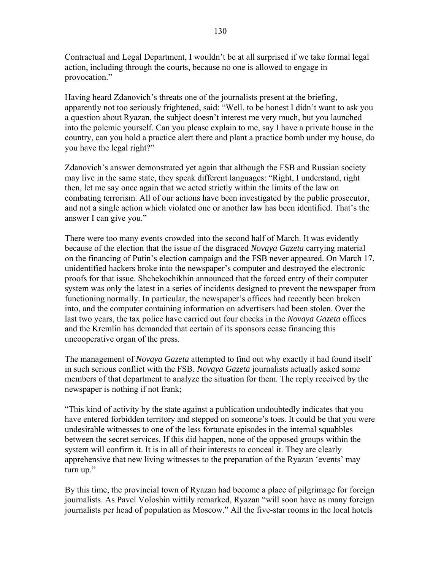Contractual and Legal Department, I wouldn't be at all surprised if we take formal legal action, including through the courts, because no one is allowed to engage in provocation."

Having heard Zdanovich's threats one of the journalists present at the briefing, apparently not too seriously frightened, said: "Well, to be honest I didn't want to ask you a question about Ryazan, the subject doesn't interest me very much, but you launched into the polemic yourself. Can you please explain to me, say I have a private house in the country, can you hold a practice alert there and plant a practice bomb under my house, do you have the legal right?"

Zdanovich's answer demonstrated yet again that although the FSB and Russian society may live in the same state, they speak different languages: "Right, I understand, right then, let me say once again that we acted strictly within the limits of the law on combating terrorism. All of our actions have been investigated by the public prosecutor, and not a single action which violated one or another law has been identified. That's the answer I can give you."

There were too many events crowded into the second half of March. It was evidently because of the election that the issue of the disgraced *Novaya Gazeta* carrying material on the financing of Putin's election campaign and the FSB never appeared. On March 17, unidentified hackers broke into the newspaper's computer and destroyed the electronic proofs for that issue. Shchekochikhin announced that the forced entry of their computer system was only the latest in a series of incidents designed to prevent the newspaper from functioning normally. In particular, the newspaper's offices had recently been broken into, and the computer containing information on advertisers had been stolen. Over the last two years, the tax police have carried out four checks in the *Novaya Gazeta* offices and the Kremlin has demanded that certain of its sponsors cease financing this uncooperative organ of the press.

The management of *Novaya Gazeta* attempted to find out why exactly it had found itself in such serious conflict with the FSB. *Novaya Gazeta* journalists actually asked some members of that department to analyze the situation for them. The reply received by the newspaper is nothing if not frank;

"This kind of activity by the state against a publication undoubtedly indicates that you have entered forbidden territory and stepped on someone's toes. It could be that you were undesirable witnesses to one of the less fortunate episodes in the internal squabbles between the secret services. If this did happen, none of the opposed groups within the system will confirm it. It is in all of their interests to conceal it. They are clearly apprehensive that new living witnesses to the preparation of the Ryazan 'events' may turn up."

By this time, the provincial town of Ryazan had become a place of pilgrimage for foreign journalists. As Pavel Voloshin wittily remarked, Ryazan "will soon have as many foreign journalists per head of population as Moscow." All the five-star rooms in the local hotels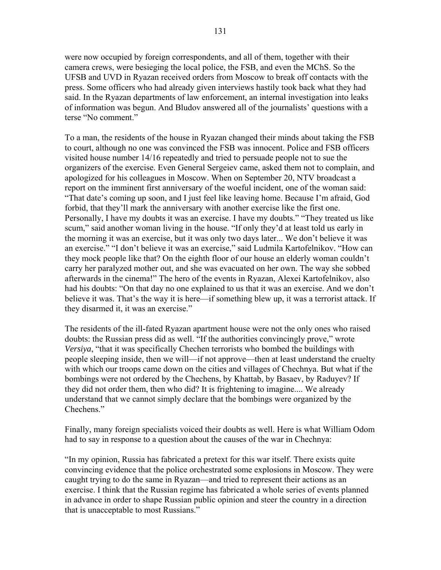were now occupied by foreign correspondents, and all of them, together with their camera crews, were besieging the local police, the FSB, and even the MChS. So the UFSB and UVD in Ryazan received orders from Moscow to break off contacts with the press. Some officers who had already given interviews hastily took back what they had said. In the Ryazan departments of law enforcement, an internal investigation into leaks of information was begun. And Bludov answered all of the journalists' questions with a terse "No comment."

To a man, the residents of the house in Ryazan changed their minds about taking the FSB to court, although no one was convinced the FSB was innocent. Police and FSB officers visited house number 14/16 repeatedly and tried to persuade people not to sue the organizers of the exercise. Even General Sergeiev came, asked them not to complain, and apologized for his colleagues in Moscow. When on September 20, NTV broadcast a report on the imminent first anniversary of the woeful incident, one of the woman said: "That date's coming up soon, and I just feel like leaving home. Because I'm afraid, God forbid, that they'll mark the anniversary with another exercise like the first one. Personally, I have my doubts it was an exercise. I have my doubts." "They treated us like scum," said another woman living in the house. "If only they'd at least told us early in the morning it was an exercise, but it was only two days later... We don't believe it was an exercise." "I don't believe it was an exercise," said Ludmila Kartofelnikov. "How can they mock people like that? On the eighth floor of our house an elderly woman couldn't carry her paralyzed mother out, and she was evacuated on her own. The way she sobbed afterwards in the cinema!" The hero of the events in Ryazan, Alexei Kartofelnikov, also had his doubts: "On that day no one explained to us that it was an exercise. And we don't believe it was. That's the way it is here—if something blew up, it was a terrorist attack. If they disarmed it, it was an exercise."

The residents of the ill-fated Ryazan apartment house were not the only ones who raised doubts: the Russian press did as well. "If the authorities convincingly prove," wrote *Versiya*, "that it was specifically Chechen terrorists who bombed the buildings with people sleeping inside, then we will—if not approve—then at least understand the cruelty with which our troops came down on the cities and villages of Chechnya. But what if the bombings were not ordered by the Chechens, by Khattab, by Basaev, by Raduyev? If they did not order them, then who did? It is frightening to imagine.... We already understand that we cannot simply declare that the bombings were organized by the Chechens."

Finally, many foreign specialists voiced their doubts as well. Here is what William Odom had to say in response to a question about the causes of the war in Chechnya:

"In my opinion, Russia has fabricated a pretext for this war itself. There exists quite convincing evidence that the police orchestrated some explosions in Moscow. They were caught trying to do the same in Ryazan—and tried to represent their actions as an exercise. I think that the Russian regime has fabricated a whole series of events planned in advance in order to shape Russian public opinion and steer the country in a direction that is unacceptable to most Russians."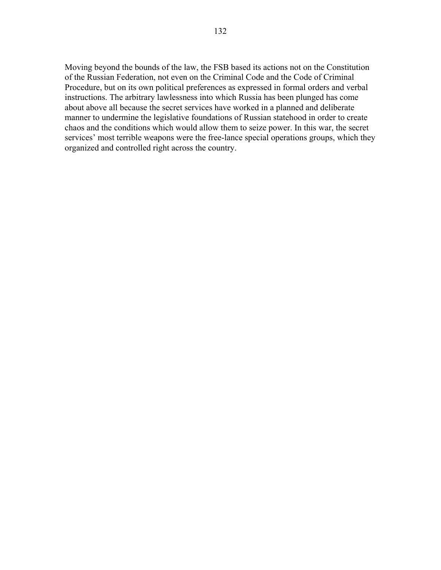Moving beyond the bounds of the law, the FSB based its actions not on the Constitution of the Russian Federation, not even on the Criminal Code and the Code of Criminal Procedure, but on its own political preferences as expressed in formal orders and verbal instructions. The arbitrary lawlessness into which Russia has been plunged has come about above all because the secret services have worked in a planned and deliberate manner to undermine the legislative foundations of Russian statehood in order to create chaos and the conditions which would allow them to seize power. In this war, the secret services' most terrible weapons were the free-lance special operations groups, which they organized and controlled right across the country.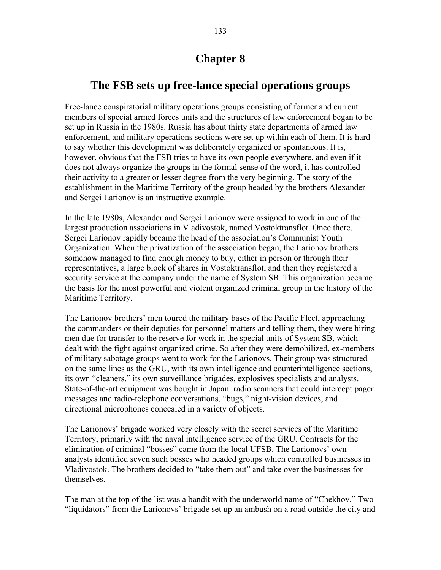# **Chapter 8**

## **The FSB sets up free-lance special operations groups**

Free-lance conspiratorial military operations groups consisting of former and current members of special armed forces units and the structures of law enforcement began to be set up in Russia in the 1980s. Russia has about thirty state departments of armed law enforcement, and military operations sections were set up within each of them. It is hard to say whether this development was deliberately organized or spontaneous. It is, however, obvious that the FSB tries to have its own people everywhere, and even if it does not always organize the groups in the formal sense of the word, it has controlled their activity to a greater or lesser degree from the very beginning. The story of the establishment in the Maritime Territory of the group headed by the brothers Alexander and Sergei Larionov is an instructive example.

In the late 1980s, Alexander and Sergei Larionov were assigned to work in one of the largest production associations in Vladivostok, named Vostoktransflot. Once there, Sergei Larionov rapidly became the head of the association's Communist Youth Organization. When the privatization of the association began, the Larionov brothers somehow managed to find enough money to buy, either in person or through their representatives, a large block of shares in Vostoktransflot, and then they registered a security service at the company under the name of System SB. This organization became the basis for the most powerful and violent organized criminal group in the history of the Maritime Territory.

The Larionov brothers' men toured the military bases of the Pacific Fleet, approaching the commanders or their deputies for personnel matters and telling them, they were hiring men due for transfer to the reserve for work in the special units of System SB, which dealt with the fight against organized crime. So after they were demobilized, ex-members of military sabotage groups went to work for the Larionovs. Their group was structured on the same lines as the GRU, with its own intelligence and counterintelligence sections, its own "cleaners," its own surveillance brigades, explosives specialists and analysts. State-of-the-art equipment was bought in Japan: radio scanners that could intercept pager messages and radio-telephone conversations, "bugs," night-vision devices, and directional microphones concealed in a variety of objects.

The Larionovs' brigade worked very closely with the secret services of the Maritime Territory, primarily with the naval intelligence service of the GRU. Contracts for the elimination of criminal "bosses" came from the local UFSB. The Larionovs' own analysts identified seven such bosses who headed groups which controlled businesses in Vladivostok. The brothers decided to "take them out" and take over the businesses for themselves.

The man at the top of the list was a bandit with the underworld name of "Chekhov." Two "liquidators" from the Larionovs' brigade set up an ambush on a road outside the city and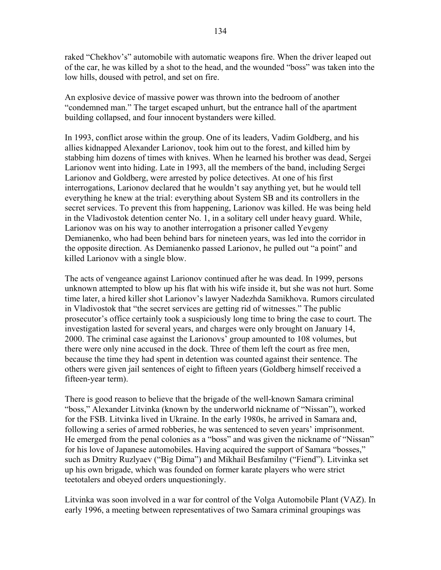raked "Chekhov's" automobile with automatic weapons fire. When the driver leaped out of the car, he was killed by a shot to the head, and the wounded "boss" was taken into the low hills, doused with petrol, and set on fire.

An explosive device of massive power was thrown into the bedroom of another "condemned man." The target escaped unhurt, but the entrance hall of the apartment building collapsed, and four innocent bystanders were killed.

In 1993, conflict arose within the group. One of its leaders, Vadim Goldberg, and his allies kidnapped Alexander Larionov, took him out to the forest, and killed him by stabbing him dozens of times with knives. When he learned his brother was dead, Sergei Larionov went into hiding. Late in 1993, all the members of the band, including Sergei Larionov and Goldberg, were arrested by police detectives. At one of his first interrogations, Larionov declared that he wouldn't say anything yet, but he would tell everything he knew at the trial: everything about System SB and its controllers in the secret services. To prevent this from happening, Larionov was killed. He was being held in the Vladivostok detention center No. 1, in a solitary cell under heavy guard. While, Larionov was on his way to another interrogation a prisoner called Yevgeny Demianenko, who had been behind bars for nineteen years, was led into the corridor in the opposite direction. As Demianenko passed Larionov, he pulled out "a point" and killed Larionov with a single blow.

The acts of vengeance against Larionov continued after he was dead. In 1999, persons unknown attempted to blow up his flat with his wife inside it, but she was not hurt. Some time later, a hired killer shot Larionov's lawyer Nadezhda Samikhova. Rumors circulated in Vladivostok that "the secret services are getting rid of witnesses." The public prosecutor's office certainly took a suspiciously long time to bring the case to court. The investigation lasted for several years, and charges were only brought on January 14, 2000. The criminal case against the Larionovs' group amounted to 108 volumes, but there were only nine accused in the dock. Three of them left the court as free men, because the time they had spent in detention was counted against their sentence. The others were given jail sentences of eight to fifteen years (Goldberg himself received a fifteen-year term).

There is good reason to believe that the brigade of the well-known Samara criminal "boss," Alexander Litvinka (known by the underworld nickname of "Nissan"), worked for the FSB. Litvinka lived in Ukraine. In the early 1980s, he arrived in Samara and, following a series of armed robberies, he was sentenced to seven years' imprisonment. He emerged from the penal colonies as a "boss" and was given the nickname of "Nissan" for his love of Japanese automobiles. Having acquired the support of Samara "bosses," such as Dmitry Ruzlyaev ("Big Dima") and Mikhail Besfamilny ("Fiend"). Litvinka set up his own brigade, which was founded on former karate players who were strict teetotalers and obeyed orders unquestioningly.

Litvinka was soon involved in a war for control of the Volga Automobile Plant (VAZ). In early 1996, a meeting between representatives of two Samara criminal groupings was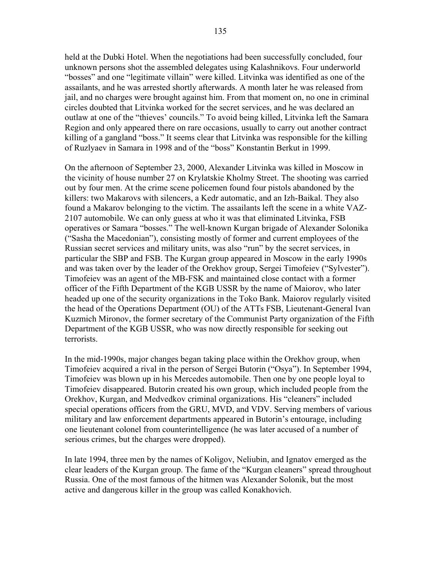held at the Dubki Hotel. When the negotiations had been successfully concluded, four unknown persons shot the assembled delegates using Kalashnikovs. Four underworld "bosses" and one "legitimate villain" were killed. Litvinka was identified as one of the assailants, and he was arrested shortly afterwards. A month later he was released from jail, and no charges were brought against him. From that moment on, no one in criminal circles doubted that Litvinka worked for the secret services, and he was declared an outlaw at one of the "thieves' councils." To avoid being killed, Litvinka left the Samara Region and only appeared there on rare occasions, usually to carry out another contract killing of a gangland "boss." It seems clear that Litvinka was responsible for the killing of Ruzlyaev in Samara in 1998 and of the "boss" Konstantin Berkut in 1999.

On the afternoon of September 23, 2000, Alexander Litvinka was killed in Moscow in the vicinity of house number 27 on Krylatskie Kholmy Street. The shooting was carried out by four men. At the crime scene policemen found four pistols abandoned by the killers: two Makarovs with silencers, a Kedr automatic, and an Izh-Baikal. They also found a Makarov belonging to the victim. The assailants left the scene in a white VAZ-2107 automobile. We can only guess at who it was that eliminated Litvinka, FSB operatives or Samara "bosses." The well-known Kurgan brigade of Alexander Solonika ("Sasha the Macedonian"), consisting mostly of former and current employees of the Russian secret services and military units, was also "run" by the secret services, in particular the SBP and FSB. The Kurgan group appeared in Moscow in the early 1990s and was taken over by the leader of the Orekhov group, Sergei Timofeiev ("Sylvester"). Timofeiev was an agent of the MB-FSK and maintained close contact with a former officer of the Fifth Department of the KGB USSR by the name of Maiorov, who later headed up one of the security organizations in the Toko Bank. Maiorov regularly visited the head of the Operations Department (OU) of the ATTs FSB, Lieutenant-General Ivan Kuzmich Mironov, the former secretary of the Communist Party organization of the Fifth Department of the KGB USSR, who was now directly responsible for seeking out terrorists.

In the mid-1990s, major changes began taking place within the Orekhov group, when Timofeiev acquired a rival in the person of Sergei Butorin ("Osya"). In September 1994, Timofeiev was blown up in his Mercedes automobile. Then one by one people loyal to Timofeiev disappeared. Butorin created his own group, which included people from the Orekhov, Kurgan, and Medvedkov criminal organizations. His "cleaners" included special operations officers from the GRU, MVD, and VDV. Serving members of various military and law enforcement departments appeared in Butorin's entourage, including one lieutenant colonel from counterintelligence (he was later accused of a number of serious crimes, but the charges were dropped).

In late 1994, three men by the names of Koligov, Neliubin, and Ignatov emerged as the clear leaders of the Kurgan group. The fame of the "Kurgan cleaners" spread throughout Russia. One of the most famous of the hitmen was Alexander Solonik, but the most active and dangerous killer in the group was called Konakhovich.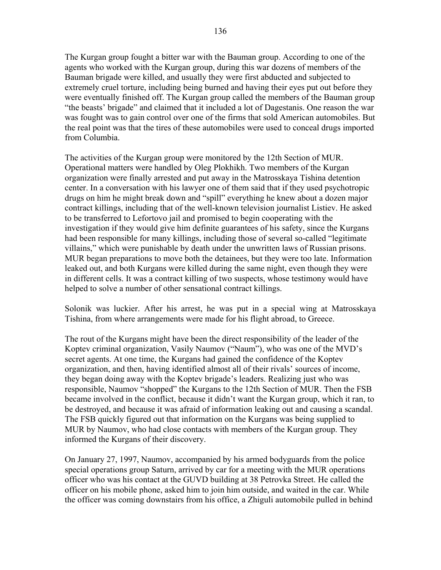The Kurgan group fought a bitter war with the Bauman group. According to one of the agents who worked with the Kurgan group, during this war dozens of members of the Bauman brigade were killed, and usually they were first abducted and subjected to extremely cruel torture, including being burned and having their eyes put out before they were eventually finished off. The Kurgan group called the members of the Bauman group "the beasts' brigade" and claimed that it included a lot of Dagestanis. One reason the war was fought was to gain control over one of the firms that sold American automobiles. But the real point was that the tires of these automobiles were used to conceal drugs imported from Columbia.

The activities of the Kurgan group were monitored by the 12th Section of MUR. Operational matters were handled by Oleg Plokhikh. Two members of the Kurgan organization were finally arrested and put away in the Matrosskaya Tishina detention center. In a conversation with his lawyer one of them said that if they used psychotropic drugs on him he might break down and "spill" everything he knew about a dozen major contract killings, including that of the well-known television journalist Listiev. He asked to be transferred to Lefortovo jail and promised to begin cooperating with the investigation if they would give him definite guarantees of his safety, since the Kurgans had been responsible for many killings, including those of several so-called "legitimate villains," which were punishable by death under the unwritten laws of Russian prisons. MUR began preparations to move both the detainees, but they were too late. Information leaked out, and both Kurgans were killed during the same night, even though they were in different cells. It was a contract killing of two suspects, whose testimony would have helped to solve a number of other sensational contract killings.

Solonik was luckier. After his arrest, he was put in a special wing at Matrosskaya Tishina, from where arrangements were made for his flight abroad, to Greece.

The rout of the Kurgans might have been the direct responsibility of the leader of the Koptev criminal organization, Vasily Naumov ("Naum"), who was one of the MVD's secret agents. At one time, the Kurgans had gained the confidence of the Koptev organization, and then, having identified almost all of their rivals' sources of income, they began doing away with the Koptev brigade's leaders. Realizing just who was responsible, Naumov "shopped" the Kurgans to the 12th Section of MUR. Then the FSB became involved in the conflict, because it didn't want the Kurgan group, which it ran, to be destroyed, and because it was afraid of information leaking out and causing a scandal. The FSB quickly figured out that information on the Kurgans was being supplied to MUR by Naumov, who had close contacts with members of the Kurgan group. They informed the Kurgans of their discovery.

On January 27, 1997, Naumov, accompanied by his armed bodyguards from the police special operations group Saturn, arrived by car for a meeting with the MUR operations officer who was his contact at the GUVD building at 38 Petrovka Street. He called the officer on his mobile phone, asked him to join him outside, and waited in the car. While the officer was coming downstairs from his office, a Zhiguli automobile pulled in behind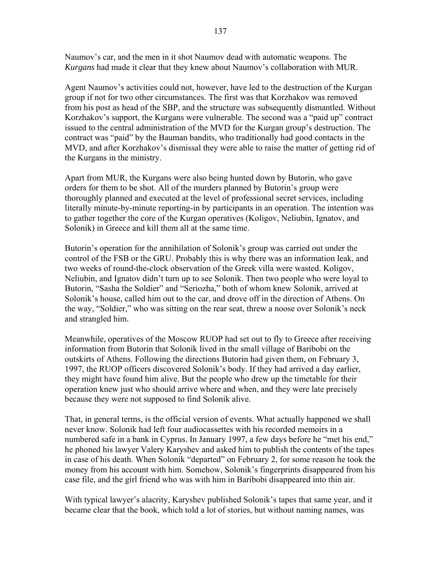Naumov's car, and the men in it shot Naumov dead with automatic weapons. The *Kurgans* had made it clear that they knew about Naumov's collaboration with MUR.

Agent Naumov's activities could not, however, have led to the destruction of the Kurgan group if not for two other circumstances. The first was that Korzhakov was removed from his post as head of the SBP, and the structure was subsequently dismantled. Without Korzhakov's support, the Kurgans were vulnerable. The second was a "paid up" contract issued to the central administration of the MVD for the Kurgan group's destruction. The contract was "paid" by the Bauman bandits, who traditionally had good contacts in the MVD, and after Korzhakov's dismissal they were able to raise the matter of getting rid of the Kurgans in the ministry.

Apart from MUR, the Kurgans were also being hunted down by Butorin, who gave orders for them to be shot. All of the murders planned by Butorin's group were thoroughly planned and executed at the level of professional secret services, including literally minute-by-minute reporting-in by participants in an operation. The intention was to gather together the core of the Kurgan operatives (Koligov, Neliubin, Ignatov, and Solonik) in Greece and kill them all at the same time.

Butorin's operation for the annihilation of Solonik's group was carried out under the control of the FSB or the GRU. Probably this is why there was an information leak, and two weeks of round-the-clock observation of the Greek villa were wasted. Koligov, Neliubin, and Ignatov didn't turn up to see Solonik. Then two people who were loyal to Butorin, "Sasha the Soldier" and "Seriozha," both of whom knew Solonik, arrived at Solonik's house, called him out to the car, and drove off in the direction of Athens. On the way, "Soldier," who was sitting on the rear seat, threw a noose over Solonik's neck and strangled him.

Meanwhile, operatives of the Moscow RUOP had set out to fly to Greece after receiving information from Butorin that Solonik lived in the small village of Baribobi on the outskirts of Athens. Following the directions Butorin had given them, on February 3, 1997, the RUOP officers discovered Solonik's body. If they had arrived a day earlier, they might have found him alive. But the people who drew up the timetable for their operation knew just who should arrive where and when, and they were late precisely because they were not supposed to find Solonik alive.

That, in general terms, is the official version of events. What actually happened we shall never know. Solonik had left four audiocassettes with his recorded memoirs in a numbered safe in a bank in Cyprus. In January 1997, a few days before he "met his end," he phoned his lawyer Valery Karyshev and asked him to publish the contents of the tapes in case of his death. When Solonik "departed" on February 2, for some reason he took the money from his account with him. Somehow, Solonik's fingerprints disappeared from his case file, and the girl friend who was with him in Baribobi disappeared into thin air.

With typical lawyer's alacrity, Karyshev published Solonik's tapes that same year, and it became clear that the book, which told a lot of stories, but without naming names, was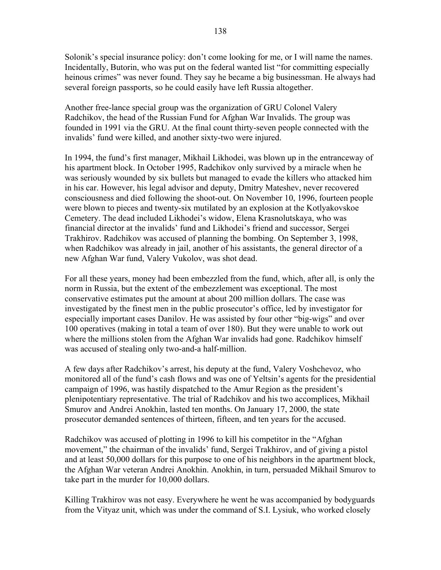Solonik's special insurance policy: don't come looking for me, or I will name the names. Incidentally, Butorin, who was put on the federal wanted list "for committing especially heinous crimes" was never found. They say he became a big businessman. He always had several foreign passports, so he could easily have left Russia altogether.

Another free-lance special group was the organization of GRU Colonel Valery Radchikov, the head of the Russian Fund for Afghan War Invalids. The group was founded in 1991 via the GRU. At the final count thirty-seven people connected with the invalids' fund were killed, and another sixty-two were injured.

In 1994, the fund's first manager, Mikhail Likhodei, was blown up in the entranceway of his apartment block. In October 1995, Radchikov only survived by a miracle when he was seriously wounded by six bullets but managed to evade the killers who attacked him in his car. However, his legal advisor and deputy, Dmitry Mateshev, never recovered consciousness and died following the shoot-out. On November 10, 1996, fourteen people were blown to pieces and twenty-six mutilated by an explosion at the Kotlyakovskoe Cemetery. The dead included Likhodei's widow, Elena Krasnolutskaya, who was financial director at the invalids' fund and Likhodei's friend and successor, Sergei Trakhirov. Radchikov was accused of planning the bombing. On September 3, 1998, when Radchikov was already in jail, another of his assistants, the general director of a new Afghan War fund, Valery Vukolov, was shot dead.

For all these years, money had been embezzled from the fund, which, after all, is only the norm in Russia, but the extent of the embezzlement was exceptional. The most conservative estimates put the amount at about 200 million dollars. The case was investigated by the finest men in the public prosecutor's office, led by investigator for especially important cases Danilov. He was assisted by four other "big-wigs" and over 100 operatives (making in total a team of over 180). But they were unable to work out where the millions stolen from the Afghan War invalids had gone. Radchikov himself was accused of stealing only two-and-a half-million.

A few days after Radchikov's arrest, his deputy at the fund, Valery Voshchevoz, who monitored all of the fund's cash flows and was one of Yeltsin's agents for the presidential campaign of 1996, was hastily dispatched to the Amur Region as the president's plenipotentiary representative. The trial of Radchikov and his two accomplices, Mikhail Smurov and Andrei Anokhin, lasted ten months. On January 17, 2000, the state prosecutor demanded sentences of thirteen, fifteen, and ten years for the accused.

Radchikov was accused of plotting in 1996 to kill his competitor in the "Afghan movement," the chairman of the invalids' fund, Sergei Trakhirov, and of giving a pistol and at least 50,000 dollars for this purpose to one of his neighbors in the apartment block, the Afghan War veteran Andrei Anokhin. Anokhin, in turn, persuaded Mikhail Smurov to take part in the murder for 10,000 dollars.

Killing Trakhirov was not easy. Everywhere he went he was accompanied by bodyguards from the Vityaz unit, which was under the command of S.I. Lysiuk, who worked closely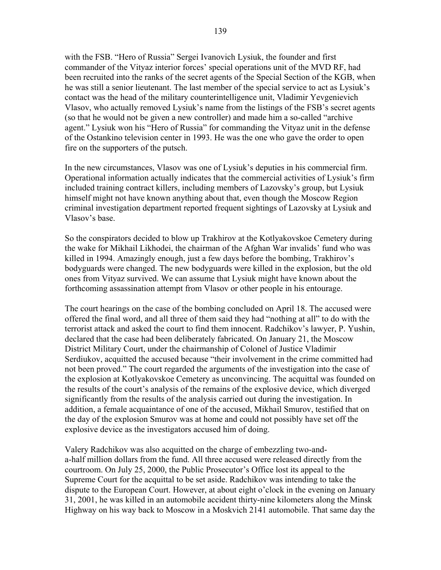with the FSB. "Hero of Russia" Sergei Ivanovich Lysiuk, the founder and first commander of the Vityaz interior forces' special operations unit of the MVD RF, had been recruited into the ranks of the secret agents of the Special Section of the KGB, when he was still a senior lieutenant. The last member of the special service to act as Lysiuk's contact was the head of the military counterintelligence unit, Vladimir Yevgenievich Vlasov, who actually removed Lysiuk's name from the listings of the FSB's secret agents (so that he would not be given a new controller) and made him a so-called "archive agent." Lysiuk won his "Hero of Russia" for commanding the Vityaz unit in the defense of the Ostankino television center in 1993. He was the one who gave the order to open fire on the supporters of the putsch.

In the new circumstances, Vlasov was one of Lysiuk's deputies in his commercial firm. Operational information actually indicates that the commercial activities of Lysiuk's firm included training contract killers, including members of Lazovsky's group, but Lysiuk himself might not have known anything about that, even though the Moscow Region criminal investigation department reported frequent sightings of Lazovsky at Lysiuk and Vlasov's base.

So the conspirators decided to blow up Trakhirov at the Kotlyakovskoe Cemetery during the wake for Mikhail Likhodei, the chairman of the Afghan War invalids' fund who was killed in 1994. Amazingly enough, just a few days before the bombing, Trakhirov's bodyguards were changed. The new bodyguards were killed in the explosion, but the old ones from Vityaz survived. We can assume that Lysiuk might have known about the forthcoming assassination attempt from Vlasov or other people in his entourage.

The court hearings on the case of the bombing concluded on April 18. The accused were offered the final word, and all three of them said they had "nothing at all" to do with the terrorist attack and asked the court to find them innocent. Radchikov's lawyer, P. Yushin, declared that the case had been deliberately fabricated. On January 21, the Moscow District Military Court, under the chairmanship of Colonel of Justice Vladimir Serdiukov, acquitted the accused because "their involvement in the crime committed had not been proved." The court regarded the arguments of the investigation into the case of the explosion at Kotlyakovskoe Cemetery as unconvincing. The acquittal was founded on the results of the court's analysis of the remains of the explosive device, which diverged significantly from the results of the analysis carried out during the investigation. In addition, a female acquaintance of one of the accused, Mikhail Smurov, testified that on the day of the explosion Smurov was at home and could not possibly have set off the explosive device as the investigators accused him of doing.

Valery Radchikov was also acquitted on the charge of embezzling two-anda-half million dollars from the fund. All three accused were released directly from the courtroom. On July 25, 2000, the Public Prosecutor's Office lost its appeal to the Supreme Court for the acquittal to be set aside. Radchikov was intending to take the dispute to the European Court. However, at about eight o'clock in the evening on January 31, 2001, he was killed in an automobile accident thirty-nine kilometers along the Minsk Highway on his way back to Moscow in a Moskvich 2141 automobile. That same day the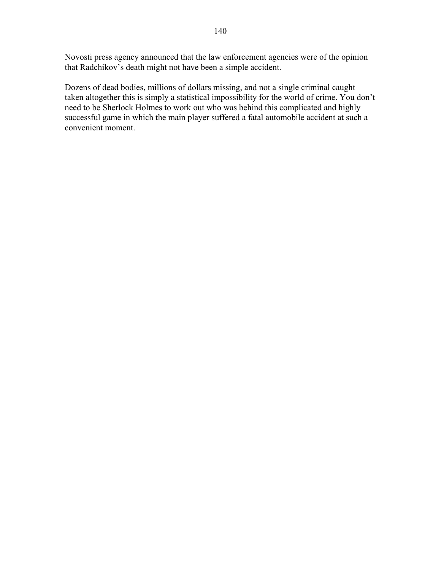Novosti press agency announced that the law enforcement agencies were of the opinion that Radchikov's death might not have been a simple accident.

Dozens of dead bodies, millions of dollars missing, and not a single criminal caught taken altogether this is simply a statistical impossibility for the world of crime. You don't need to be Sherlock Holmes to work out who was behind this complicated and highly successful game in which the main player suffered a fatal automobile accident at such a convenient moment.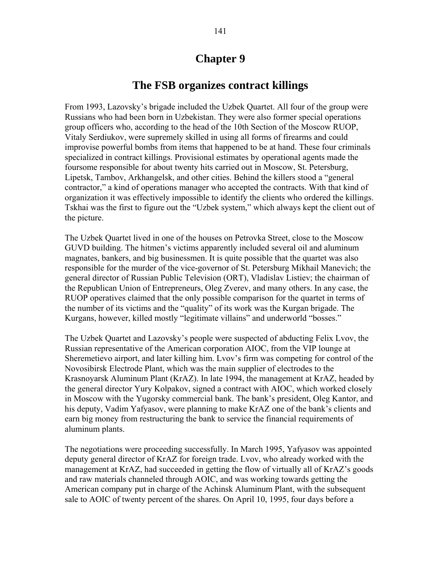### **Chapter 9**

#### **The FSB organizes contract killings**

From 1993, Lazovsky's brigade included the Uzbek Quartet. All four of the group were Russians who had been born in Uzbekistan. They were also former special operations group officers who, according to the head of the 10th Section of the Moscow RUOP, Vitaly Serdiukov, were supremely skilled in using all forms of firearms and could improvise powerful bombs from items that happened to be at hand. These four criminals specialized in contract killings. Provisional estimates by operational agents made the foursome responsible for about twenty hits carried out in Moscow, St. Petersburg, Lipetsk, Tambov, Arkhangelsk, and other cities. Behind the killers stood a "general contractor," a kind of operations manager who accepted the contracts. With that kind of organization it was effectively impossible to identify the clients who ordered the killings. Tskhai was the first to figure out the "Uzbek system," which always kept the client out of the picture.

The Uzbek Quartet lived in one of the houses on Petrovka Street, close to the Moscow GUVD building. The hitmen's victims apparently included several oil and aluminum magnates, bankers, and big businessmen. It is quite possible that the quartet was also responsible for the murder of the vice-governor of St. Petersburg Mikhail Manevich; the general director of Russian Public Television (ORT), Vladislav Listiev; the chairman of the Republican Union of Entrepreneurs, Oleg Zverev, and many others. In any case, the RUOP operatives claimed that the only possible comparison for the quartet in terms of the number of its victims and the "quality" of its work was the Kurgan brigade. The Kurgans, however, killed mostly "legitimate villains" and underworld "bosses."

The Uzbek Quartet and Lazovsky's people were suspected of abducting Felix Lvov, the Russian representative of the American corporation AIOC, from the VIP lounge at Sheremetievo airport, and later killing him. Lvov's firm was competing for control of the Novosibirsk Electrode Plant, which was the main supplier of electrodes to the Krasnoyarsk Aluminum Plant (KrAZ). In late 1994, the management at KrAZ, headed by the general director Yury Kolpakov, signed a contract with AIOC, which worked closely in Moscow with the Yugorsky commercial bank. The bank's president, Oleg Kantor, and his deputy, Vadim Yafyasov, were planning to make KrAZ one of the bank's clients and earn big money from restructuring the bank to service the financial requirements of aluminum plants.

The negotiations were proceeding successfully. In March 1995, Yafyasov was appointed deputy general director of KrAZ for foreign trade. Lvov, who already worked with the management at KrAZ, had succeeded in getting the flow of virtually all of KrAZ's goods and raw materials channeled through AOIC, and was working towards getting the American company put in charge of the Achinsk Aluminum Plant, with the subsequent sale to AOIC of twenty percent of the shares. On April 10, 1995, four days before a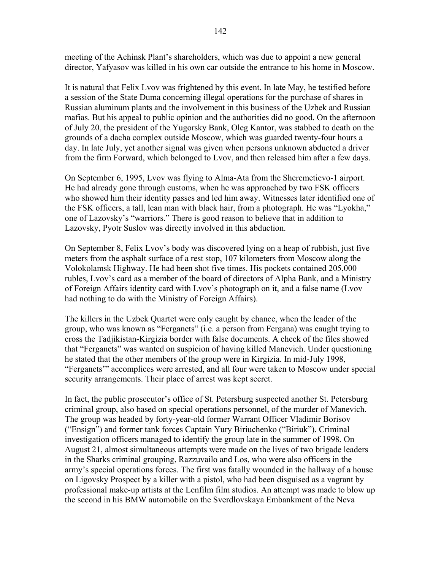meeting of the Achinsk Plant's shareholders, which was due to appoint a new general director, Yafyasov was killed in his own car outside the entrance to his home in Moscow.

It is natural that Felix Lvov was frightened by this event. In late May, he testified before a session of the State Duma concerning illegal operations for the purchase of shares in Russian aluminum plants and the involvement in this business of the Uzbek and Russian mafias. But his appeal to public opinion and the authorities did no good. On the afternoon of July 20, the president of the Yugorsky Bank, Oleg Kantor, was stabbed to death on the grounds of a dacha complex outside Moscow, which was guarded twenty-four hours a day. In late July, yet another signal was given when persons unknown abducted a driver from the firm Forward, which belonged to Lvov, and then released him after a few days.

On September 6, 1995, Lvov was flying to Alma-Ata from the Sheremetievo-1 airport. He had already gone through customs, when he was approached by two FSK officers who showed him their identity passes and led him away. Witnesses later identified one of the FSK officers, a tall, lean man with black hair, from a photograph. He was "Lyokha," one of Lazovsky's "warriors." There is good reason to believe that in addition to Lazovsky, Pyotr Suslov was directly involved in this abduction.

On September 8, Felix Lvov's body was discovered lying on a heap of rubbish, just five meters from the asphalt surface of a rest stop, 107 kilometers from Moscow along the Volokolamsk Highway. He had been shot five times. His pockets contained 205,000 rubles, Lvov's card as a member of the board of directors of Alpha Bank, and a Ministry of Foreign Affairs identity card with Lvov's photograph on it, and a false name (Lvov had nothing to do with the Ministry of Foreign Affairs).

The killers in the Uzbek Quartet were only caught by chance, when the leader of the group, who was known as "Ferganets" (i.e. a person from Fergana) was caught trying to cross the Tadjikistan-Kirgizia border with false documents. A check of the files showed that "Ferganets" was wanted on suspicion of having killed Manevich. Under questioning he stated that the other members of the group were in Kirgizia. In mid-July 1998, "Ferganets'" accomplices were arrested, and all four were taken to Moscow under special security arrangements. Their place of arrest was kept secret.

In fact, the public prosecutor's office of St. Petersburg suspected another St. Petersburg criminal group, also based on special operations personnel, of the murder of Manevich. The group was headed by forty-year-old former Warrant Officer Vladimir Borisov ("Ensign") and former tank forces Captain Yury Biriuchenko ("Biriuk"). Criminal investigation officers managed to identify the group late in the summer of 1998. On August 21, almost simultaneous attempts were made on the lives of two brigade leaders in the Sharks criminal grouping, Razzuvailo and Los, who were also officers in the army's special operations forces. The first was fatally wounded in the hallway of a house on Ligovsky Prospect by a killer with a pistol, who had been disguised as a vagrant by professional make-up artists at the Lenfilm film studios. An attempt was made to blow up the second in his BMW automobile on the Sverdlovskaya Embankment of the Neva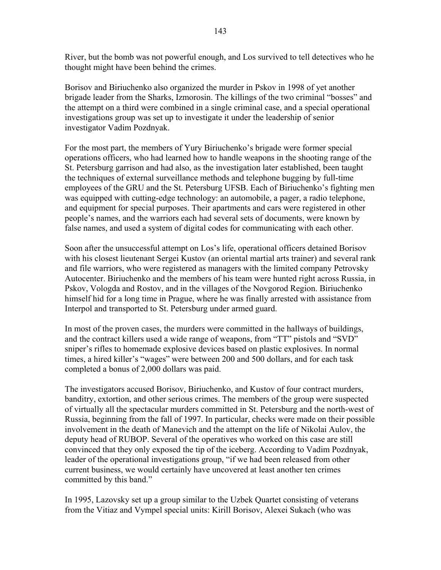River, but the bomb was not powerful enough, and Los survived to tell detectives who he thought might have been behind the crimes.

Borisov and Biriuchenko also organized the murder in Pskov in 1998 of yet another brigade leader from the Sharks, Izmorosin. The killings of the two criminal "bosses" and the attempt on a third were combined in a single criminal case, and a special operational investigations group was set up to investigate it under the leadership of senior investigator Vadim Pozdnyak.

For the most part, the members of Yury Biriuchenko's brigade were former special operations officers, who had learned how to handle weapons in the shooting range of the St. Petersburg garrison and had also, as the investigation later established, been taught the techniques of external surveillance methods and telephone bugging by full-time employees of the GRU and the St. Petersburg UFSB. Each of Biriuchenko's fighting men was equipped with cutting-edge technology: an automobile, a pager, a radio telephone, and equipment for special purposes. Their apartments and cars were registered in other people's names, and the warriors each had several sets of documents, were known by false names, and used a system of digital codes for communicating with each other.

Soon after the unsuccessful attempt on Los's life, operational officers detained Borisov with his closest lieutenant Sergei Kustov (an oriental martial arts trainer) and several rank and file warriors, who were registered as managers with the limited company Petrovsky Autocenter. Biriuchenko and the members of his team were hunted right across Russia, in Pskov, Vologda and Rostov, and in the villages of the Novgorod Region. Biriuchenko himself hid for a long time in Prague, where he was finally arrested with assistance from Interpol and transported to St. Petersburg under armed guard.

In most of the proven cases, the murders were committed in the hallways of buildings, and the contract killers used a wide range of weapons, from "TT" pistols and "SVD" sniper's rifles to homemade explosive devices based on plastic explosives. In normal times, a hired killer's "wages" were between 200 and 500 dollars, and for each task completed a bonus of 2,000 dollars was paid.

The investigators accused Borisov, Biriuchenko, and Kustov of four contract murders, banditry, extortion, and other serious crimes. The members of the group were suspected of virtually all the spectacular murders committed in St. Petersburg and the north-west of Russia, beginning from the fall of 1997. In particular, checks were made on their possible involvement in the death of Manevich and the attempt on the life of Nikolai Aulov, the deputy head of RUBOP. Several of the operatives who worked on this case are still convinced that they only exposed the tip of the iceberg. According to Vadim Pozdnyak, leader of the operational investigations group, "if we had been released from other current business, we would certainly have uncovered at least another ten crimes committed by this band."

In 1995, Lazovsky set up a group similar to the Uzbek Quartet consisting of veterans from the Vitiaz and Vympel special units: Kirill Borisov, Alexei Sukach (who was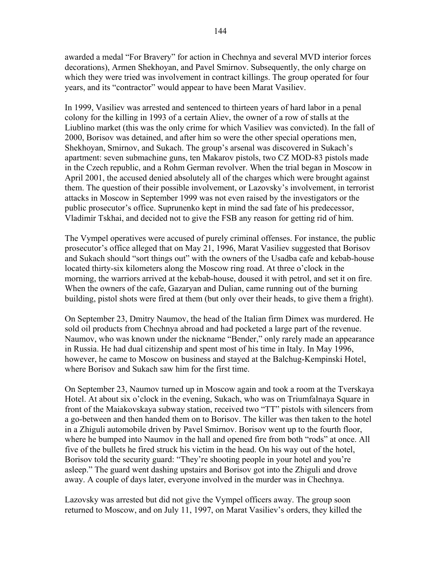awarded a medal "For Bravery" for action in Chechnya and several MVD interior forces decorations), Armen Shekhoyan, and Pavel Smirnov. Subsequently, the only charge on which they were tried was involvement in contract killings. The group operated for four years, and its "contractor" would appear to have been Marat Vasiliev.

In 1999, Vasiliev was arrested and sentenced to thirteen years of hard labor in a penal colony for the killing in 1993 of a certain Aliev, the owner of a row of stalls at the Liublino market (this was the only crime for which Vasiliev was convicted). In the fall of 2000, Borisov was detained, and after him so were the other special operations men, Shekhoyan, Smirnov, and Sukach. The group's arsenal was discovered in Sukach's apartment: seven submachine guns, ten Makarov pistols, two CZ MOD-83 pistols made in the Czech republic, and a Rohm German revolver. When the trial began in Moscow in April 2001, the accused denied absolutely all of the charges which were brought against them. The question of their possible involvement, or Lazovsky's involvement, in terrorist attacks in Moscow in September 1999 was not even raised by the investigators or the public prosecutor's office. Suprunenko kept in mind the sad fate of his predecessor, Vladimir Tskhai, and decided not to give the FSB any reason for getting rid of him.

The Vympel operatives were accused of purely criminal offenses. For instance, the public prosecutor's office alleged that on May 21, 1996, Marat Vasiliev suggested that Borisov and Sukach should "sort things out" with the owners of the Usadba cafe and kebab-house located thirty-six kilometers along the Moscow ring road. At three o'clock in the morning, the warriors arrived at the kebab-house, doused it with petrol, and set it on fire. When the owners of the cafe, Gazaryan and Dulian, came running out of the burning building, pistol shots were fired at them (but only over their heads, to give them a fright).

On September 23, Dmitry Naumov, the head of the Italian firm Dimex was murdered. He sold oil products from Chechnya abroad and had pocketed a large part of the revenue. Naumov, who was known under the nickname "Bender," only rarely made an appearance in Russia. He had dual citizenship and spent most of his time in Italy. In May 1996, however, he came to Moscow on business and stayed at the Balchug-Kempinski Hotel, where Borisov and Sukach saw him for the first time.

On September 23, Naumov turned up in Moscow again and took a room at the Tverskaya Hotel. At about six o'clock in the evening, Sukach, who was on Triumfalnaya Square in front of the Maiakovskaya subway station, received two "TT" pistols with silencers from a go-between and then handed them on to Borisov. The killer was then taken to the hotel in a Zhiguli automobile driven by Pavel Smirnov. Borisov went up to the fourth floor, where he bumped into Naumov in the hall and opened fire from both "rods" at once. All five of the bullets he fired struck his victim in the head. On his way out of the hotel, Borisov told the security guard: "They're shooting people in your hotel and you're asleep." The guard went dashing upstairs and Borisov got into the Zhiguli and drove away. A couple of days later, everyone involved in the murder was in Chechnya.

Lazovsky was arrested but did not give the Vympel officers away. The group soon returned to Moscow, and on July 11, 1997, on Marat Vasiliev's orders, they killed the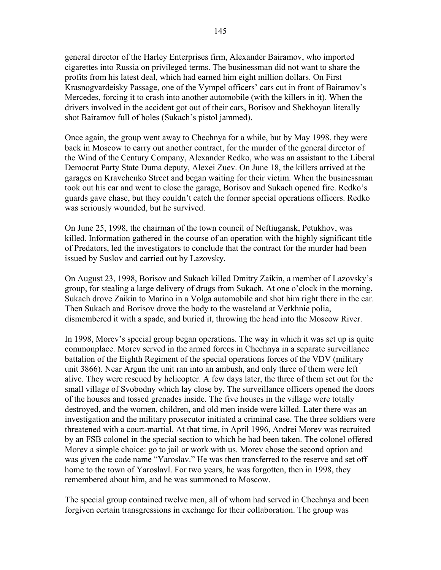general director of the Harley Enterprises firm, Alexander Bairamov, who imported cigarettes into Russia on privileged terms. The businessman did not want to share the profits from his latest deal, which had earned him eight million dollars. On First Krasnogvardeisky Passage, one of the Vympel officers' cars cut in front of Bairamov's Mercedes, forcing it to crash into another automobile (with the killers in it). When the drivers involved in the accident got out of their cars, Borisov and Shekhoyan literally shot Bairamov full of holes (Sukach's pistol jammed).

Once again, the group went away to Chechnya for a while, but by May 1998, they were back in Moscow to carry out another contract, for the murder of the general director of the Wind of the Century Company, Alexander Redko, who was an assistant to the Liberal Democrat Party State Duma deputy, Alexei Zuev. On June 18, the killers arrived at the garages on Kravchenko Street and began waiting for their victim. When the businessman took out his car and went to close the garage, Borisov and Sukach opened fire. Redko's guards gave chase, but they couldn't catch the former special operations officers. Redko was seriously wounded, but he survived.

On June 25, 1998, the chairman of the town council of Neftiugansk, Petukhov, was killed. Information gathered in the course of an operation with the highly significant title of Predators, led the investigators to conclude that the contract for the murder had been issued by Suslov and carried out by Lazovsky.

On August 23, 1998, Borisov and Sukach killed Dmitry Zaikin, a member of Lazovsky's group, for stealing a large delivery of drugs from Sukach. At one o'clock in the morning, Sukach drove Zaikin to Marino in a Volga automobile and shot him right there in the car. Then Sukach and Borisov drove the body to the wasteland at Verkhnie polia, dismembered it with a spade, and buried it, throwing the head into the Moscow River.

In 1998, Morev's special group began operations. The way in which it was set up is quite commonplace. Morev served in the armed forces in Chechnya in a separate surveillance battalion of the Eighth Regiment of the special operations forces of the VDV (military unit 3866). Near Argun the unit ran into an ambush, and only three of them were left alive. They were rescued by helicopter. A few days later, the three of them set out for the small village of Svobodny which lay close by. The surveillance officers opened the doors of the houses and tossed grenades inside. The five houses in the village were totally destroyed, and the women, children, and old men inside were killed. Later there was an investigation and the military prosecutor initiated a criminal case. The three soldiers were threatened with a court-martial. At that time, in April 1996, Andrei Morev was recruited by an FSB colonel in the special section to which he had been taken. The colonel offered Morev a simple choice: go to jail or work with us. Morev chose the second option and was given the code name "Yaroslav." He was then transferred to the reserve and set off home to the town of Yaroslavl. For two years, he was forgotten, then in 1998, they remembered about him, and he was summoned to Moscow.

The special group contained twelve men, all of whom had served in Chechnya and been forgiven certain transgressions in exchange for their collaboration. The group was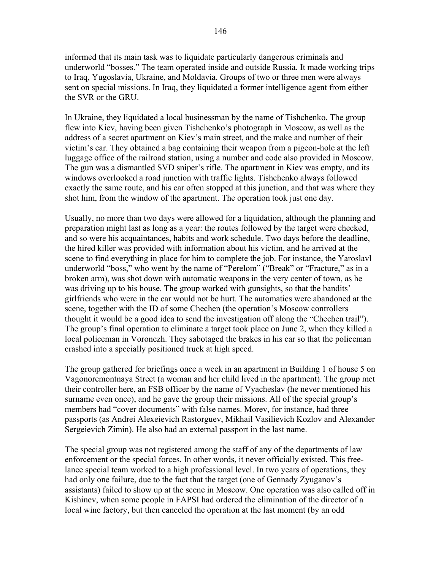informed that its main task was to liquidate particularly dangerous criminals and underworld "bosses." The team operated inside and outside Russia. It made working trips to Iraq, Yugoslavia, Ukraine, and Moldavia. Groups of two or three men were always sent on special missions. In Iraq, they liquidated a former intelligence agent from either the SVR or the GRU.

In Ukraine, they liquidated a local businessman by the name of Tishchenko. The group flew into Kiev, having been given Tishchenko's photograph in Moscow, as well as the address of a secret apartment on Kiev's main street, and the make and number of their victim's car. They obtained a bag containing their weapon from a pigeon-hole at the left luggage office of the railroad station, using a number and code also provided in Moscow. The gun was a dismantled SVD sniper's rifle. The apartment in Kiev was empty, and its windows overlooked a road junction with traffic lights. Tishchenko always followed exactly the same route, and his car often stopped at this junction, and that was where they shot him, from the window of the apartment. The operation took just one day.

Usually, no more than two days were allowed for a liquidation, although the planning and preparation might last as long as a year: the routes followed by the target were checked, and so were his acquaintances, habits and work schedule. Two days before the deadline, the hired killer was provided with information about his victim, and he arrived at the scene to find everything in place for him to complete the job. For instance, the Yaroslavl underworld "boss," who went by the name of "Perelom" ("Break" or "Fracture," as in a broken arm), was shot down with automatic weapons in the very center of town, as he was driving up to his house. The group worked with gunsights, so that the bandits' girlfriends who were in the car would not be hurt. The automatics were abandoned at the scene, together with the ID of some Chechen (the operation's Moscow controllers thought it would be a good idea to send the investigation off along the "Chechen trail"). The group's final operation to eliminate a target took place on June 2, when they killed a local policeman in Voronezh. They sabotaged the brakes in his car so that the policeman crashed into a specially positioned truck at high speed.

The group gathered for briefings once a week in an apartment in Building 1 of house 5 on Vagonoremontnaya Street (a woman and her child lived in the apartment). The group met their controller here, an FSB officer by the name of Vyacheslav (he never mentioned his surname even once), and he gave the group their missions. All of the special group's members had "cover documents" with false names. Morev, for instance, had three passports (as Andrei Alexeievich Rastorguev, Mikhail Vasilievich Kozlov and Alexander Sergeievich Zimin). He also had an external passport in the last name.

The special group was not registered among the staff of any of the departments of law enforcement or the special forces. In other words, it never officially existed. This freelance special team worked to a high professional level. In two years of operations, they had only one failure, due to the fact that the target (one of Gennady Zyuganov's assistants) failed to show up at the scene in Moscow. One operation was also called off in Kishinev, when some people in FAPSI had ordered the elimination of the director of a local wine factory, but then canceled the operation at the last moment (by an odd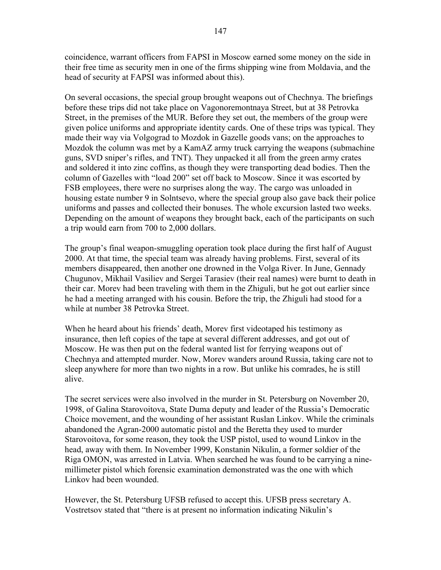coincidence, warrant officers from FAPSI in Moscow earned some money on the side in their free time as security men in one of the firms shipping wine from Moldavia, and the head of security at FAPSI was informed about this).

On several occasions, the special group brought weapons out of Chechnya. The briefings before these trips did not take place on Vagonoremontnaya Street, but at 38 Petrovka Street, in the premises of the MUR. Before they set out, the members of the group were given police uniforms and appropriate identity cards. One of these trips was typical. They made their way via Volgograd to Mozdok in Gazelle goods vans; on the approaches to Mozdok the column was met by a KamAZ army truck carrying the weapons (submachine guns, SVD sniper's rifles, and TNT). They unpacked it all from the green army crates and soldered it into zinc coffins, as though they were transporting dead bodies. Then the column of Gazelles with "load 200" set off back to Moscow. Since it was escorted by FSB employees, there were no surprises along the way. The cargo was unloaded in housing estate number 9 in Solntsevo, where the special group also gave back their police uniforms and passes and collected their bonuses. The whole excursion lasted two weeks. Depending on the amount of weapons they brought back, each of the participants on such a trip would earn from 700 to 2,000 dollars.

The group's final weapon-smuggling operation took place during the first half of August 2000. At that time, the special team was already having problems. First, several of its members disappeared, then another one drowned in the Volga River. In June, Gennady Chugunov, Mikhail Vasiliev and Sergei Tarasiev (their real names) were burnt to death in their car. Morev had been traveling with them in the Zhiguli, but he got out earlier since he had a meeting arranged with his cousin. Before the trip, the Zhiguli had stood for a while at number 38 Petrovka Street.

When he heard about his friends' death, Morev first videotaped his testimony as insurance, then left copies of the tape at several different addresses, and got out of Moscow. He was then put on the federal wanted list for ferrying weapons out of Chechnya and attempted murder. Now, Morev wanders around Russia, taking care not to sleep anywhere for more than two nights in a row. But unlike his comrades, he is still alive.

The secret services were also involved in the murder in St. Petersburg on November 20, 1998, of Galina Starovoitova, State Duma deputy and leader of the Russia's Democratic Choice movement, and the wounding of her assistant Ruslan Linkov. While the criminals abandoned the Agran-2000 automatic pistol and the Beretta they used to murder Starovoitova, for some reason, they took the USP pistol, used to wound Linkov in the head, away with them. In November 1999, Konstanin Nikulin, a former soldier of the Riga OMON, was arrested in Latvia. When searched he was found to be carrying a ninemillimeter pistol which forensic examination demonstrated was the one with which Linkov had been wounded.

However, the St. Petersburg UFSB refused to accept this. UFSB press secretary A. Vostretsov stated that "there is at present no information indicating Nikulin's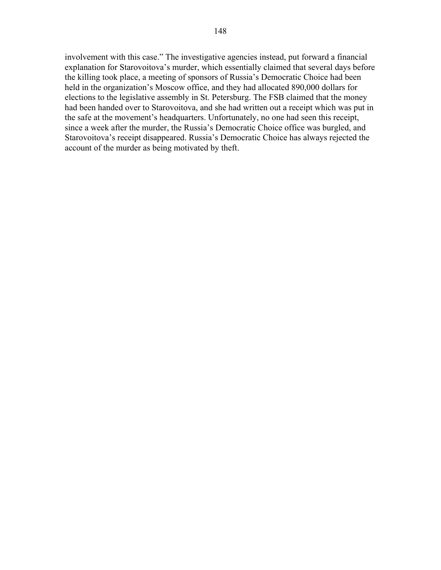involvement with this case." The investigative agencies instead, put forward a financial explanation for Starovoitova's murder, which essentially claimed that several days before the killing took place, a meeting of sponsors of Russia's Democratic Choice had been held in the organization's Moscow office, and they had allocated 890,000 dollars for elections to the legislative assembly in St. Petersburg. The FSB claimed that the money had been handed over to Starovoitova, and she had written out a receipt which was put in the safe at the movement's headquarters. Unfortunately, no one had seen this receipt, since a week after the murder, the Russia's Democratic Choice office was burgled, and Starovoitova's receipt disappeared. Russia's Democratic Choice has always rejected the account of the murder as being motivated by theft.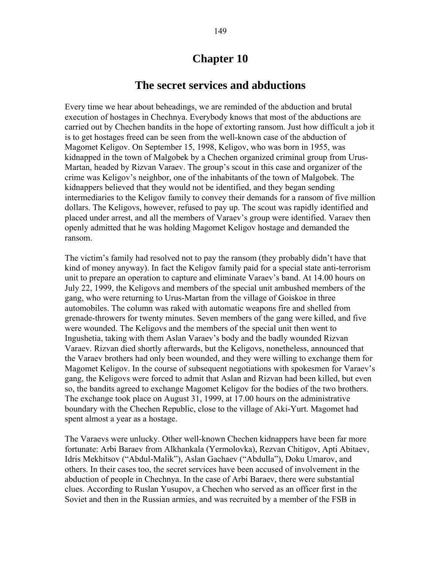## **Chapter 10**

## **The secret services and abductions**

Every time we hear about beheadings, we are reminded of the abduction and brutal execution of hostages in Chechnya. Everybody knows that most of the abductions are carried out by Chechen bandits in the hope of extorting ransom. Just how difficult a job it is to get hostages freed can be seen from the well-known case of the abduction of Magomet Keligov. On September 15, 1998, Keligov, who was born in 1955, was kidnapped in the town of Malgobek by a Chechen organized criminal group from Urus-Martan, headed by Rizvan Varaev. The group's scout in this case and organizer of the crime was Keligov's neighbor, one of the inhabitants of the town of Malgobek. The kidnappers believed that they would not be identified, and they began sending intermediaries to the Keligov family to convey their demands for a ransom of five million dollars. The Keligovs, however, refused to pay up. The scout was rapidly identified and placed under arrest, and all the members of Varaev's group were identified. Varaev then openly admitted that he was holding Magomet Keligov hostage and demanded the ransom.

The victim's family had resolved not to pay the ransom (they probably didn't have that kind of money anyway). In fact the Keligov family paid for a special state anti-terrorism unit to prepare an operation to capture and eliminate Varaev's band. At 14.00 hours on July 22, 1999, the Keligovs and members of the special unit ambushed members of the gang, who were returning to Urus-Martan from the village of Goiskoe in three automobiles. The column was raked with automatic weapons fire and shelled from grenade-throwers for twenty minutes. Seven members of the gang were killed, and five were wounded. The Keligovs and the members of the special unit then went to Ingushetia, taking with them Aslan Varaev's body and the badly wounded Rizvan Varaev. Rizvan died shortly afterwards, but the Keligovs, nonetheless, announced that the Varaev brothers had only been wounded, and they were willing to exchange them for Magomet Keligov. In the course of subsequent negotiations with spokesmen for Varaev's gang, the Keligovs were forced to admit that Aslan and Rizvan had been killed, but even so, the bandits agreed to exchange Magomet Keligov for the bodies of the two brothers. The exchange took place on August 31, 1999, at 17.00 hours on the administrative boundary with the Chechen Republic, close to the village of Aki-Yurt. Magomet had spent almost a year as a hostage.

The Varaevs were unlucky. Other well-known Chechen kidnappers have been far more fortunate: Arbi Baraev from Alkhankala (Yermolovka), Rezvan Chitigov, Apti Abitaev, Idris Mekhitsov ("Abdul-Malik"), Aslan Gachaev ("Abdulla"), Doku Umarov, and others. In their cases too, the secret services have been accused of involvement in the abduction of people in Chechnya. In the case of Arbi Baraev, there were substantial clues. According to Ruslan Yusupov, a Chechen who served as an officer first in the Soviet and then in the Russian armies, and was recruited by a member of the FSB in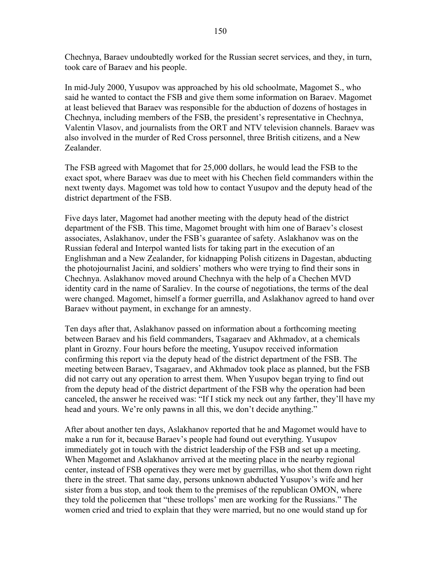Chechnya, Baraev undoubtedly worked for the Russian secret services, and they, in turn, took care of Baraev and his people.

In mid-July 2000, Yusupov was approached by his old schoolmate, Magomet S., who said he wanted to contact the FSB and give them some information on Baraev. Magomet at least believed that Baraev was responsible for the abduction of dozens of hostages in Chechnya, including members of the FSB, the president's representative in Chechnya, Valentin Vlasov, and journalists from the ORT and NTV television channels. Baraev was also involved in the murder of Red Cross personnel, three British citizens, and a New Zealander.

The FSB agreed with Magomet that for 25,000 dollars, he would lead the FSB to the exact spot, where Baraev was due to meet with his Chechen field commanders within the next twenty days. Magomet was told how to contact Yusupov and the deputy head of the district department of the FSB.

Five days later, Magomet had another meeting with the deputy head of the district department of the FSB. This time, Magomet brought with him one of Baraev's closest associates, Aslakhanov, under the FSB's guarantee of safety. Aslakhanov was on the Russian federal and Interpol wanted lists for taking part in the execution of an Englishman and a New Zealander, for kidnapping Polish citizens in Dagestan, abducting the photojournalist Jacini, and soldiers' mothers who were trying to find their sons in Chechnya. Aslakhanov moved around Chechnya with the help of a Chechen MVD identity card in the name of Saraliev. In the course of negotiations, the terms of the deal were changed. Magomet, himself a former guerrilla, and Aslakhanov agreed to hand over Baraev without payment, in exchange for an amnesty.

Ten days after that, Aslakhanov passed on information about a forthcoming meeting between Baraev and his field commanders, Tsagaraev and Akhmadov, at a chemicals plant in Grozny. Four hours before the meeting, Yusupov received information confirming this report via the deputy head of the district department of the FSB. The meeting between Baraev, Tsagaraev, and Akhmadov took place as planned, but the FSB did not carry out any operation to arrest them. When Yusupov began trying to find out from the deputy head of the district department of the FSB why the operation had been canceled, the answer he received was: "If I stick my neck out any farther, they'll have my head and yours. We're only pawns in all this, we don't decide anything."

After about another ten days, Aslakhanov reported that he and Magomet would have to make a run for it, because Baraev's people had found out everything. Yusupov immediately got in touch with the district leadership of the FSB and set up a meeting. When Magomet and Aslakhanov arrived at the meeting place in the nearby regional center, instead of FSB operatives they were met by guerrillas, who shot them down right there in the street. That same day, persons unknown abducted Yusupov's wife and her sister from a bus stop, and took them to the premises of the republican OMON, where they told the policemen that "these trollops' men are working for the Russians." The women cried and tried to explain that they were married, but no one would stand up for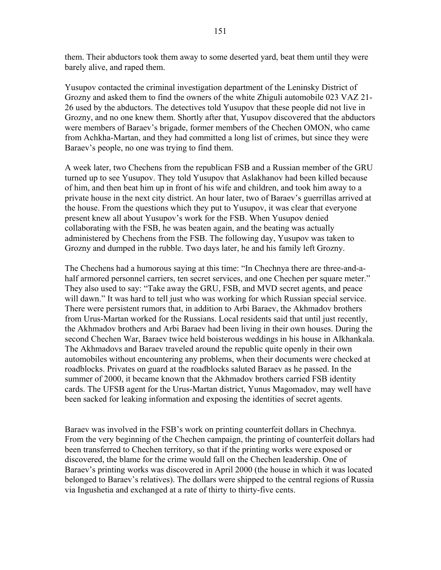them. Their abductors took them away to some deserted yard, beat them until they were barely alive, and raped them.

Yusupov contacted the criminal investigation department of the Leninsky District of Grozny and asked them to find the owners of the white Zhiguli automobile 023 VAZ 21- 26 used by the abductors. The detectives told Yusupov that these people did not live in Grozny, and no one knew them. Shortly after that, Yusupov discovered that the abductors were members of Baraev's brigade, former members of the Chechen OMON, who came from Achkha-Martan, and they had committed a long list of crimes, but since they were Baraev's people, no one was trying to find them.

A week later, two Chechens from the republican FSB and a Russian member of the GRU turned up to see Yusupov. They told Yusupov that Aslakhanov had been killed because of him, and then beat him up in front of his wife and children, and took him away to a private house in the next city district. An hour later, two of Baraev's guerrillas arrived at the house. From the questions which they put to Yusupov, it was clear that everyone present knew all about Yusupov's work for the FSB. When Yusupov denied collaborating with the FSB, he was beaten again, and the beating was actually administered by Chechens from the FSB. The following day, Yusupov was taken to Grozny and dumped in the rubble. Two days later, he and his family left Grozny.

The Chechens had a humorous saying at this time: "In Chechnya there are three-and-ahalf armored personnel carriers, ten secret services, and one Chechen per square meter." They also used to say: "Take away the GRU, FSB, and MVD secret agents, and peace will dawn." It was hard to tell just who was working for which Russian special service. There were persistent rumors that, in addition to Arbi Baraev, the Akhmadov brothers from Urus*-*Martan worked for the Russians. Local residents said that until just recently, the Akhmadov brothers and Arbi Baraev had been living in their own houses. During the second Chechen War, Baraev twice held boisterous weddings in his house in Alkhankala. The Akhmadovs and Baraev traveled around the republic quite openly in their own automobiles without encountering any problems, when their documents were checked at roadblocks. Privates on guard at the roadblocks saluted Baraev as he passed. In the summer of 2000, it became known that the Akhmadov brothers carried FSB identity cards. The UFSB agent for the Urus-Martan district, Yunus Magomadov, may well have been sacked for leaking information and exposing the identities of secret agents.

Baraev was involved in the FSB's work on printing counterfeit dollars in Chechnya. From the very beginning of the Chechen campaign, the printing of counterfeit dollars had been transferred to Chechen territory, so that if the printing works were exposed or discovered, the blame for the crime would fall on the Chechen leadership. One of Baraev's printing works was discovered in April 2000 (the house in which it was located belonged to Baraev's relatives). The dollars were shipped to the central regions of Russia via Ingushetia and exchanged at a rate of thirty to thirty-five cents.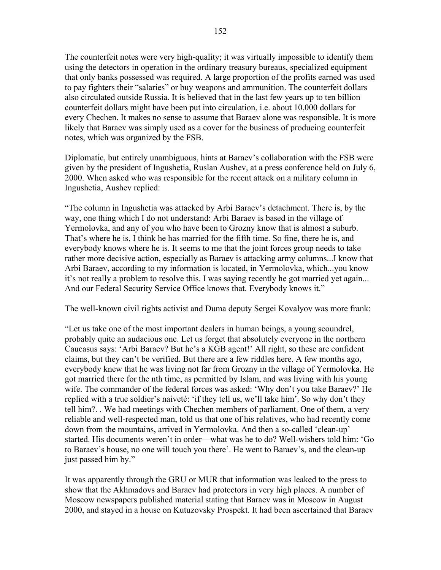The counterfeit notes were very high-quality; it was virtually impossible to identify them using the detectors in operation in the ordinary treasury bureaus, specialized equipment that only banks possessed was required. A large proportion of the profits earned was used to pay fighters their "salaries" or buy weapons and ammunition. The counterfeit dollars also circulated outside Russia. It is believed that in the last few years up to ten billion counterfeit dollars might have been put into circulation, i.e. about 10,000 dollars for every Chechen. It makes no sense to assume that Baraev alone was responsible. It is more likely that Baraev was simply used as a cover for the business of producing counterfeit notes, which was organized by the FSB.

Diplomatic, but entirely unambiguous, hints at Baraev's collaboration with the FSB were given by the president of Ingushetia, Ruslan Aushev, at a press conference held on July 6, 2000. When asked who was responsible for the recent attack on a military column in Ingushetia, Aushev replied:

"The column in Ingushetia was attacked by Arbi Baraev's detachment. There is, by the way, one thing which I do not understand: Arbi Baraev is based in the village of Yermolovka, and any of you who have been to Grozny know that is almost a suburb. That's where he is, I think he has married for the fifth time. So fine, there he is, and everybody knows where he is. It seems to me that the joint forces group needs to take rather more decisive action, especially as Baraev is attacking army columns...I know that Arbi Baraev, according to my information is located, in Yermolovka, which...you know it's not really a problem to resolve this. I was saying recently he got married yet again... And our Federal Security Service Office knows that. Everybody knows it."

The well-known civil rights activist and Duma deputy Sergei Kovalyov was more frank:

"Let us take one of the most important dealers in human beings, a young scoundrel, probably quite an audacious one. Let us forget that absolutely everyone in the northern Caucasus says: 'Arbi Baraev? But he's a KGB agent!' All right, so these are confident claims, but they can't be verified. But there are a few riddles here. A few months ago, everybody knew that he was living not far from Grozny in the village of Yermolovka. He got married there for the nth time, as permitted by Islam, and was living with his young wife. The commander of the federal forces was asked: 'Why don't you take Baraev?' He replied with a true soldier's naiveté: 'if they tell us, we'll take him'. So why don't they tell him?. . We had meetings with Chechen members of parliament. One of them, a very reliable and well-respected man, told us that one of his relatives, who had recently come down from the mountains, arrived in Yermolovka. And then a so-called 'clean-up' started. His documents weren't in order—what was he to do? Well-wishers told him: 'Go to Baraev's house, no one will touch you there'. He went to Baraev's, and the clean-up just passed him by."

It was apparently through the GRU or MUR that information was leaked to the press to show that the Akhmadovs and Baraev had protectors in very high places. A number of Moscow newspapers published material stating that Baraev was in Moscow in August 2000, and stayed in a house on Kutuzovsky Prospekt. It had been ascertained that Baraev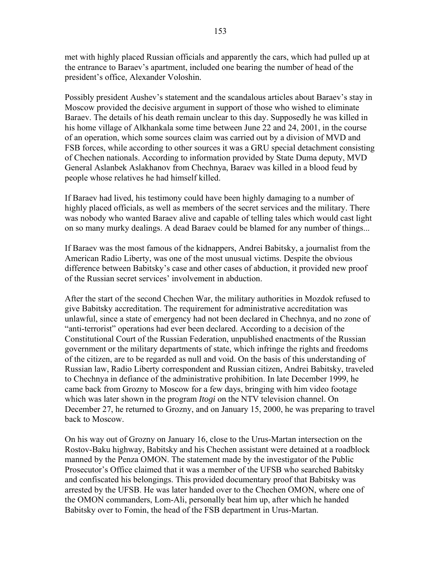met with highly placed Russian officials and apparently the cars, which had pulled up at the entrance to Baraev's apartment, included one bearing the number of head of the president's office, Alexander Voloshin.

Possibly president Aushev's statement and the scandalous articles about Baraev's stay in Moscow provided the decisive argument in support of those who wished to eliminate Baraev. The details of his death remain unclear to this day. Supposedly he was killed in his home village of Alkhankala some time between June 22 and 24, 2001, in the course of an operation, which some sources claim was carried out by a division of MVD and FSB forces, while according to other sources it was a GRU special detachment consisting of Chechen nationals. According to information provided by State Duma deputy, MVD General Aslanbek Aslakhanov from Chechnya, Baraev was killed in a blood feud by people whose relatives he had himself killed.

If Baraev had lived, his testimony could have been highly damaging to a number of highly placed officials, as well as members of the secret services and the military. There was nobody who wanted Baraev alive and capable of telling tales which would cast light on so many murky dealings. A dead Baraev could be blamed for any number of things...

If Baraev was the most famous of the kidnappers, Andrei Babitsky, a journalist from the American Radio Liberty, was one of the most unusual victims. Despite the obvious difference between Babitsky's case and other cases of abduction, it provided new proof of the Russian secret services' involvement in abduction.

After the start of the second Chechen War, the military authorities in Mozdok refused to give Babitsky accreditation. The requirement for administrative accreditation was unlawful, since a state of emergency had not been declared in Chechnya, and no zone of "anti-terrorist" operations had ever been declared. According to a decision of the Constitutional Court of the Russian Federation, unpublished enactments of the Russian government or the military departments of state, which infringe the rights and freedoms of the citizen, are to be regarded as null and void. On the basis of this understanding of Russian law, Radio Liberty correspondent and Russian citizen, Andrei Babitsky, traveled to Chechnya in defiance of the administrative prohibition. In late December 1999, he came back from Grozny to Moscow for a few days, bringing with him video footage which was later shown in the program *Itogi* on the NTV television channel. On December 27, he returned to Grozny, and on January 15, 2000, he was preparing to travel back to Moscow.

On his way out of Grozny on January 16, close to the Urus-Martan intersection on the Rostov-Baku highway, Babitsky and his Chechen assistant were detained at a roadblock manned by the Penza OMON. The statement made by the investigator of the Public Prosecutor's Office claimed that it was a member of the UFSB who searched Babitsky and confiscated his belongings. This provided documentary proof that Babitsky was arrested by the UFSB. He was later handed over to the Chechen OMON, where one of the OMON commanders, Lom-Ali, personally beat him up, after which he handed Babitsky over to Fomin, the head of the FSB department in Urus-Martan.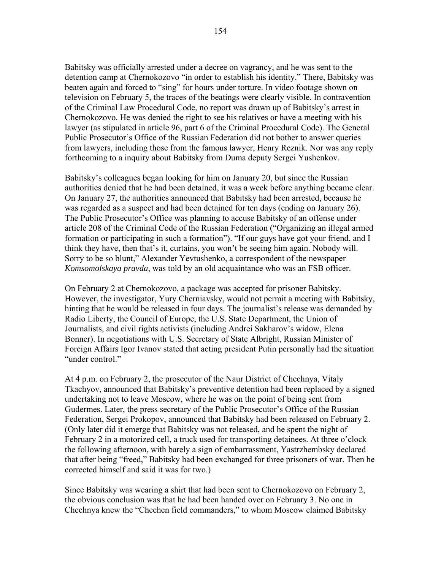Babitsky was officially arrested under a decree on vagrancy, and he was sent to the detention camp at Chernokozovo "in order to establish his identity." There, Babitsky was beaten again and forced to "sing" for hours under torture. In video footage shown on television on February 5, the traces of the beatings were clearly visible. In contravention of the Criminal Law Procedural Code, no report was drawn up of Babitsky's arrest in Chernokozovo. He was denied the right to see his relatives or have a meeting with his lawyer (as stipulated in article 96, part 6 of the Criminal Procedural Code). The General Public Prosecutor's Office of the Russian Federation did not bother to answer queries from lawyers, including those from the famous lawyer, Henry Reznik. Nor was any reply forthcoming to a inquiry about Babitsky from Duma deputy Sergei Yushenkov.

Babitsky's colleagues began looking for him on January 20, but since the Russian authorities denied that he had been detained, it was a week before anything became clear. On January 27, the authorities announced that Babitsky had been arrested, because he was regarded as a suspect and had been detained for ten days (ending on January 26). The Public Prosecutor's Office was planning to accuse Babitsky of an offense under article 208 of the Criminal Code of the Russian Federation ("Organizing an illegal armed formation or participating in such a formation"). "If our guys have got your friend, and I think they have, then that's it, curtains, you won't be seeing him again. Nobody will. Sorry to be so blunt," Alexander Yevtushenko, a correspondent of the newspaper *Komsomolskaya pravda*, was told by an old acquaintance who was an FSB officer.

On February 2 at Chernokozovo, a package was accepted for prisoner Babitsky. However, the investigator, Yury Cherniavsky, would not permit a meeting with Babitsky, hinting that he would be released in four days. The journalist's release was demanded by Radio Liberty, the Council of Europe, the U.S. State Department, the Union of Journalists, and civil rights activists (including Andrei Sakharov's widow, Elena Bonner). In negotiations with U.S. Secretary of State Albright, Russian Minister of Foreign Affairs Igor Ivanov stated that acting president Putin personally had the situation "under control."

At 4 p.m. on February 2, the prosecutor of the Naur District of Chechnya, Vitaly Tkachyov, announced that Babitsky's preventive detention had been replaced by a signed undertaking not to leave Moscow, where he was on the point of being sent from Gudermes. Later, the press secretary of the Public Prosecutor's Office of the Russian Federation, Sergei Prokopov, announced that Babitsky had been released on February 2. (Only later did it emerge that Babitsky was not released, and he spent the night of February 2 in a motorized cell, a truck used for transporting detainees. At three o'clock the following afternoon, with barely a sign of embarrassment, Yastrzhembsky declared that after being "freed," Babitsky had been exchanged for three prisoners of war. Then he corrected himself and said it was for two.)

Since Babitsky was wearing a shirt that had been sent to Chernokozovo on February 2, the obvious conclusion was that he had been handed over on February 3. No one in Chechnya knew the "Chechen field commanders," to whom Moscow claimed Babitsky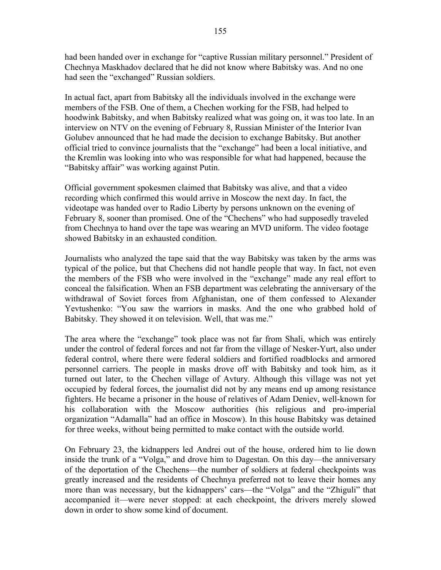had been handed over in exchange for "captive Russian military personnel." President of Chechnya Maskhadov declared that he did not know where Babitsky was. And no one had seen the "exchanged" Russian soldiers.

In actual fact, apart from Babitsky all the individuals involved in the exchange were members of the FSB. One of them, a Chechen working for the FSB, had helped to hoodwink Babitsky, and when Babitsky realized what was going on, it was too late. In an interview on NTV on the evening of February 8, Russian Minister of the Interior Ivan Golubev announced that he had made the decision to exchange Babitsky. But another official tried to convince journalists that the "exchange" had been a local initiative, and the Kremlin was looking into who was responsible for what had happened, because the "Babitsky affair" was working against Putin.

Official government spokesmen claimed that Babitsky was alive, and that a video recording which confirmed this would arrive in Moscow the next day. In fact, the videotape was handed over to Radio Liberty by persons unknown on the evening of February 8, sooner than promised. One of the "Chechens" who had supposedly traveled from Chechnya to hand over the tape was wearing an MVD uniform. The video footage showed Babitsky in an exhausted condition.

Journalists who analyzed the tape said that the way Babitsky was taken by the arms was typical of the police, but that Chechens did not handle people that way. In fact, not even the members of the FSB who were involved in the "exchange" made any real effort to conceal the falsification. When an FSB department was celebrating the anniversary of the withdrawal of Soviet forces from Afghanistan, one of them confessed to Alexander Yevtushenko: "You saw the warriors in masks. And the one who grabbed hold of Babitsky. They showed it on television. Well, that was me."

The area where the "exchange" took place was not far from Shali, which was entirely under the control of federal forces and not far from the village of Nesker-Yurt, also under federal control, where there were federal soldiers and fortified roadblocks and armored personnel carriers. The people in masks drove off with Babitsky and took him, as it turned out later, to the Chechen village of Avtury. Although this village was not yet occupied by federal forces, the journalist did not by any means end up among resistance fighters. He became a prisoner in the house of relatives of Adam Deniev, well-known for his collaboration with the Moscow authorities (his religious and pro-imperial organization "Adamalla" had an office in Moscow). In this house Babitsky was detained for three weeks, without being permitted to make contact with the outside world.

On February 23, the kidnappers led Andrei out of the house, ordered him to lie down inside the trunk of a "Volga," and drove him to Dagestan. On this day—the anniversary of the deportation of the Chechens—the number of soldiers at federal checkpoints was greatly increased and the residents of Chechnya preferred not to leave their homes any more than was necessary, but the kidnappers' cars—the "Volga" and the "Zhiguli" that accompanied it—were never stopped: at each checkpoint, the drivers merely slowed down in order to show some kind of document.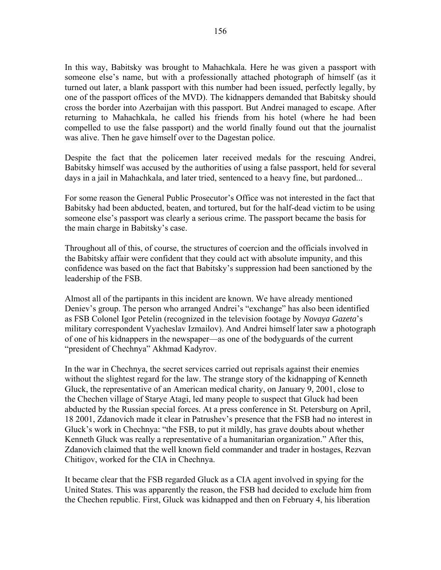In this way, Babitsky was brought to Mahachkala. Here he was given a passport with someone else's name, but with a professionally attached photograph of himself (as it turned out later, a blank passport with this number had been issued, perfectly legally, by one of the passport offices of the MVD). The kidnappers demanded that Babitsky should cross the border into Azerbaijan with this passport. But Andrei managed to escape. After returning to Mahachkala, he called his friends from his hotel (where he had been compelled to use the false passport) and the world finally found out that the journalist was alive. Then he gave himself over to the Dagestan police.

Despite the fact that the policemen later received medals for the rescuing Andrei, Babitsky himself was accused by the authorities of using a false passport, held for several days in a jail in Mahachkala, and later tried, sentenced to a heavy fine, but pardoned...

For some reason the General Public Prosecutor's Office was not interested in the fact that Babitsky had been abducted, beaten, and tortured, but for the half-dead victim to be using someone else's passport was clearly a serious crime. The passport became the basis for the main charge in Babitsky's case.

Throughout all of this, of course, the structures of coercion and the officials involved in the Babitsky affair were confident that they could act with absolute impunity, and this confidence was based on the fact that Babitsky's suppression had been sanctioned by the leadership of the FSB.

Almost all of the partipants in this incident are known. We have already mentioned Deniev's group. The person who arranged Andrei's "exchange" has also been identified as FSB Colonel Igor Petelin (recognized in the television footage by *Novaya Gazeta*'s military correspondent Vyacheslav Izmailov). And Andrei himself later saw a photograph of one of his kidnappers in the newspaper—as one of the bodyguards of the current "president of Chechnya" Akhmad Kadyrov.

In the war in Chechnya, the secret services carried out reprisals against their enemies without the slightest regard for the law. The strange story of the kidnapping of Kenneth Gluck, the representative of an American medical charity, on January 9, 2001, close to the Chechen village of Starye Atagi, led many people to suspect that Gluck had been abducted by the Russian special forces. At a press conference in St. Petersburg on April, 18 2001, Zdanovich made it clear in Patrushev's presence that the FSB had no interest in Gluck's work in Chechnya: "the FSB, to put it mildly, has grave doubts about whether Kenneth Gluck was really a representative of a humanitarian organization." After this, Zdanovich claimed that the well known field commander and trader in hostages, Rezvan Chitigov, worked for the CIA in Chechnya.

It became clear that the FSB regarded Gluck as a CIA agent involved in spying for the United States. This was apparently the reason, the FSB had decided to exclude him from the Chechen republic. First, Gluck was kidnapped and then on February 4, his liberation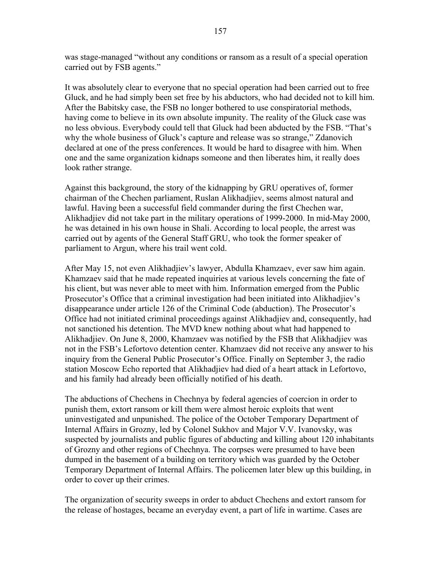was stage-managed "without any conditions or ransom as a result of a special operation carried out by FSB agents."

It was absolutely clear to everyone that no special operation had been carried out to free Gluck, and he had simply been set free by his abductors, who had decided not to kill him. After the Babitsky case, the FSB no longer bothered to use conspiratorial methods, having come to believe in its own absolute impunity. The reality of the Gluck case was no less obvious. Everybody could tell that Gluck had been abducted by the FSB. "That's why the whole business of Gluck's capture and release was so strange," Zdanovich declared at one of the press conferences. It would be hard to disagree with him. When one and the same organization kidnaps someone and then liberates him, it really does look rather strange.

Against this background, the story of the kidnapping by GRU operatives of, former chairman of the Chechen parliament, Ruslan Alikhadjiev, seems almost natural and lawful. Having been a successful field commander during the first Chechen war, Alikhadjiev did not take part in the military operations of 1999-2000. In mid-May 2000, he was detained in his own house in Shali. According to local people, the arrest was carried out by agents of the General Staff GRU, who took the former speaker of parliament to Argun, where his trail went cold.

After May 15, not even Alikhadjiev's lawyer, Abdulla Khamzaev, ever saw him again. Khamzaev said that he made repeated inquiries at various levels concerning the fate of his client, but was never able to meet with him. Information emerged from the Public Prosecutor's Office that a criminal investigation had been initiated into Alikhadjiev's disappearance under article 126 of the Criminal Code (abduction). The Prosecutor's Office had not initiated criminal proceedings against Alikhadjiev and, consequently, had not sanctioned his detention. The MVD knew nothing about what had happened to Alikhadjiev. On June 8, 2000, Khamzaev was notified by the FSB that Alikhadjiev was not in the FSB's Lefortovo detention center. Khamzaev did not receive any answer to his inquiry from the General Public Prosecutor's Office. Finally on September 3, the radio station Moscow Echo reported that Alikhadjiev had died of a heart attack in Lefortovo, and his family had already been officially notified of his death.

The abductions of Chechens in Chechnya by federal agencies of coercion in order to punish them, extort ransom or kill them were almost heroic exploits that went uninvestigated and unpunished. The police of the October Temporary Department of Internal Affairs in Grozny, led by Colonel Sukhov and Major V.V. Ivanovsky, was suspected by journalists and public figures of abducting and killing about 120 inhabitants of Grozny and other regions of Chechnya. The corpses were presumed to have been dumped in the basement of a building on territory which was guarded by the October Temporary Department of Internal Affairs. The policemen later blew up this building, in order to cover up their crimes.

The organization of security sweeps in order to abduct Chechens and extort ransom for the release of hostages, became an everyday event, a part of life in wartime. Cases are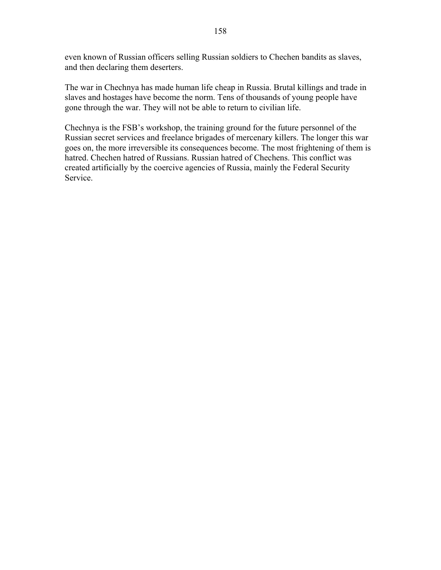even known of Russian officers selling Russian soldiers to Chechen bandits as slaves, and then declaring them deserters.

The war in Chechnya has made human life cheap in Russia. Brutal killings and trade in slaves and hostages have become the norm. Tens of thousands of young people have gone through the war. They will not be able to return to civilian life.

Chechnya is the FSB's workshop, the training ground for the future personnel of the Russian secret services and freelance brigades of mercenary killers. The longer this war goes on, the more irreversible its consequences become. The most frightening of them is hatred. Chechen hatred of Russians. Russian hatred of Chechens. This conflict was created artificially by the coercive agencies of Russia, mainly the Federal Security Service.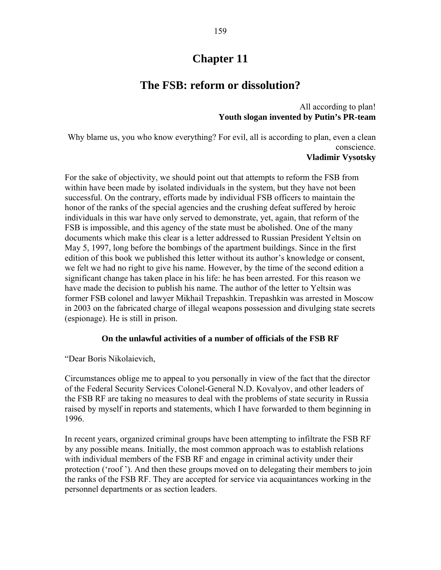## **Chapter 11**

## **The FSB: reform or dissolution?**

### All according to plan! **Youth slogan invented by Putin's PR-team**

Why blame us, you who know everything? For evil, all is according to plan, even a clean conscience.

## **Vladimir Vysotsky**

For the sake of objectivity, we should point out that attempts to reform the FSB from within have been made by isolated individuals in the system, but they have not been successful. On the contrary, efforts made by individual FSB officers to maintain the honor of the ranks of the special agencies and the crushing defeat suffered by heroic individuals in this war have only served to demonstrate, yet, again, that reform of the FSB is impossible, and this agency of the state must be abolished. One of the many documents which make this clear is a letter addressed to Russian President Yeltsin on May 5, 1997, long before the bombings of the apartment buildings. Since in the first edition of this book we published this letter without its author's knowledge or consent, we felt we had no right to give his name. However, by the time of the second edition a significant change has taken place in his life: he has been arrested. For this reason we have made the decision to publish his name. The author of the letter to Yeltsin was former FSB colonel and lawyer Mikhail Trepashkin. Trepashkin was arrested in Moscow in 2003 on the fabricated charge of illegal weapons possession and divulging state secrets (espionage). He is still in prison.

### **On the unlawful activities of a number of officials of the FSB RF**

"Dear Boris Nikolaievich,

Circumstances oblige me to appeal to you personally in view of the fact that the director of the Federal Security Services Colonel-General N.D. Kovalyov, and other leaders of the FSB RF are taking no measures to deal with the problems of state security in Russia raised by myself in reports and statements, which I have forwarded to them beginning in 1996.

In recent years, organized criminal groups have been attempting to infiltrate the FSB RF by any possible means. Initially, the most common approach was to establish relations with individual members of the FSB RF and engage in criminal activity under their protection ('roof '). And then these groups moved on to delegating their members to join the ranks of the FSB RF. They are accepted for service via acquaintances working in the personnel departments or as section leaders.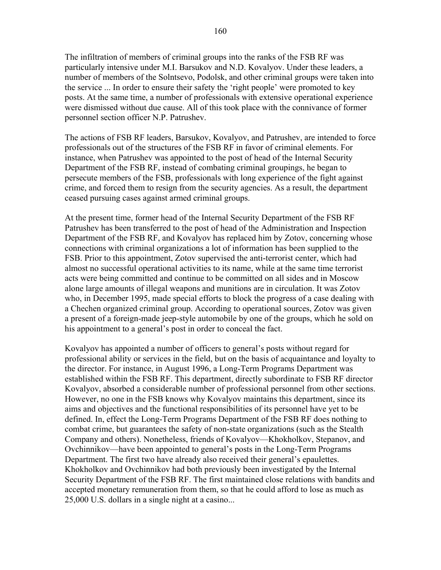The infiltration of members of criminal groups into the ranks of the FSB RF was particularly intensive under M.I. Barsukov and N.D. Kovalyov. Under these leaders, a number of members of the Solntsevo, Podolsk, and other criminal groups were taken into the service ... In order to ensure their safety the 'right people' were promoted to key posts. At the same time, a number of professionals with extensive operational experience were dismissed without due cause. All of this took place with the connivance of former personnel section officer N.P. Patrushev.

The actions of FSB RF leaders, Barsukov, Kovalyov, and Patrushev, are intended to force professionals out of the structures of the FSB RF in favor of criminal elements. For instance, when Patrushev was appointed to the post of head of the Internal Security Department of the FSB RF, instead of combating criminal groupings, he began to persecute members of the FSB, professionals with long experience of the fight against crime, and forced them to resign from the security agencies. As a result, the department ceased pursuing cases against armed criminal groups.

At the present time, former head of the Internal Security Department of the FSB RF Patrushev has been transferred to the post of head of the Administration and Inspection Department of the FSB RF, and Kovalyov has replaced him by Zotov, concerning whose connections with criminal organizations a lot of information has been supplied to the FSB. Prior to this appointment, Zotov supervised the anti-terrorist center, which had almost no successful operational activities to its name, while at the same time terrorist acts were being committed and continue to be committed on all sides and in Moscow alone large amounts of illegal weapons and munitions are in circulation. It was Zotov who, in December 1995, made special efforts to block the progress of a case dealing with a Chechen organized criminal group. According to operational sources, Zotov was given a present of a foreign-made jeep-style automobile by one of the groups, which he sold on his appointment to a general's post in order to conceal the fact.

Kovalyov has appointed a number of officers to general's posts without regard for professional ability or services in the field, but on the basis of acquaintance and loyalty to the director. For instance, in August 1996, a Long-Term Programs Department was established within the FSB RF. This department, directly subordinate to FSB RF director Kovalyov, absorbed a considerable number of professional personnel from other sections. However, no one in the FSB knows why Kovalyov maintains this department, since its aims and objectives and the functional responsibilities of its personnel have yet to be defined. In, effect the Long-Term Programs Department of the FSB RF does nothing to combat crime, but guarantees the safety of non-state organizations (such as the Stealth Company and others). Nonetheless, friends of Kovalyov—Khokholkov, Stepanov, and Ovchinnikov—have been appointed to general's posts in the Long-Term Programs Department. The first two have already also received their general's epaulettes. Khokholkov and Ovchinnikov had both previously been investigated by the Internal Security Department of the FSB RF. The first maintained close relations with bandits and accepted monetary remuneration from them, so that he could afford to lose as much as 25,000 U.S. dollars in a single night at a casino...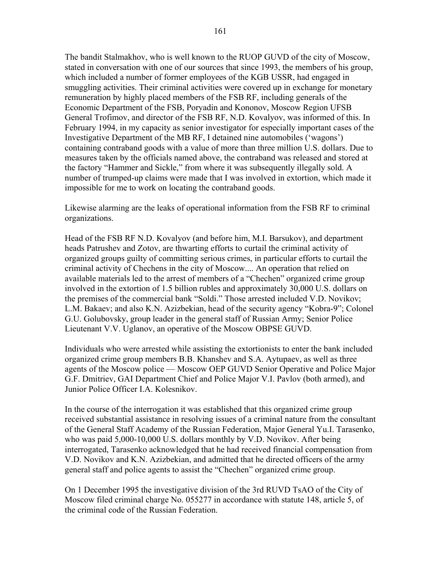The bandit Stalmakhov, who is well known to the RUOP GUVD of the city of Moscow, stated in conversation with one of our sources that since 1993, the members of his group, which included a number of former employees of the KGB USSR, had engaged in smuggling activities. Their criminal activities were covered up in exchange for monetary remuneration by highly placed members of the FSB RF, including generals of the Economic Department of the FSB, Poryadin and Kononov, Moscow Region UFSB General Trofimov, and director of the FSB RF, N.D. Kovalyov, was informed of this. In February 1994, in my capacity as senior investigator for especially important cases of the Investigative Department of the MB RF, I detained nine automobiles ('wagons') containing contraband goods with a value of more than three million U.S. dollars. Due to measures taken by the officials named above, the contraband was released and stored at the factory "Hammer and Sickle," from where it was subsequently illegally sold. A number of trumped-up claims were made that I was involved in extortion, which made it impossible for me to work on locating the contraband goods.

Likewise alarming are the leaks of operational information from the FSB RF to criminal organizations.

Head of the FSB RF N.D. Kovalyov (and before him, M.I. Barsukov), and department heads Patrushev and Zotov, are thwarting efforts to curtail the criminal activity of organized groups guilty of committing serious crimes, in particular efforts to curtail the criminal activity of Chechens in the city of Moscow.... An operation that relied on available materials led to the arrest of members of a "Chechen" organized crime group involved in the extortion of 1.5 billion rubles and approximately 30,000 U.S. dollars on the premises of the commercial bank "Soldi." Those arrested included V.D. Novikov; L.M. Bakaev; and also K.N. Azizbekian, head of the security agency "Kobra-9"; Colonel G.U. Golubovsky, group leader in the general staff of Russian Army; Senior Police Lieutenant V.V. Uglanov, an operative of the Moscow OBPSE GUVD.

Individuals who were arrested while assisting the extortionists to enter the bank included organized crime group members B.B. Khanshev and S.A. Aytupaev, as well as three agents of the Moscow police — Moscow OEP GUVD Senior Operative and Police Major G.F. Dmitriev, GAI Department Chief and Police Major V.I. Pavlov (both armed), and Junior Police Officer I.A. Kolesnikov.

In the course of the interrogation it was established that this organized crime group received substantial assistance in resolving issues of a criminal nature from the consultant of the General Staff Academy of the Russian Federation, Major General Yu.I. Tarasenko, who was paid 5,000-10,000 U.S. dollars monthly by V.D. Novikov. After being interrogated, Tarasenko acknowledged that he had received financial compensation from V.D. Novikov and K.N. Azizbekian, and admitted that he directed officers of the army general staff and police agents to assist the "Chechen" organized crime group.

On 1 December 1995 the investigative division of the 3rd RUVD TsAO of the City of Moscow filed criminal charge No. 055277 in accordance with statute 148, article 5, of the criminal code of the Russian Federation.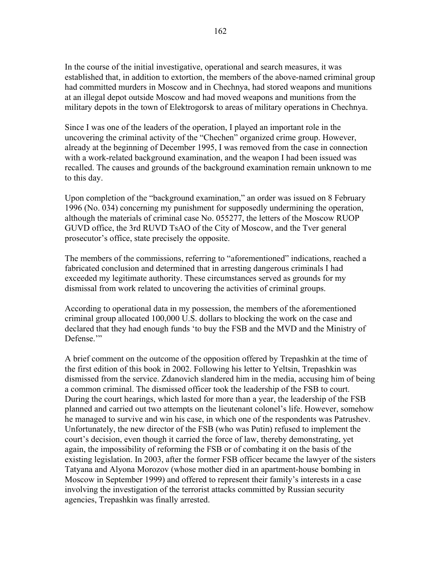In the course of the initial investigative, operational and search measures, it was established that, in addition to extortion, the members of the above-named criminal group had committed murders in Moscow and in Chechnya, had stored weapons and munitions at an illegal depot outside Moscow and had moved weapons and munitions from the military depots in the town of Elektrogorsk to areas of military operations in Chechnya.

Since I was one of the leaders of the operation, I played an important role in the uncovering the criminal activity of the "Chechen" organized crime group. However, already at the beginning of December 1995, I was removed from the case in connection with a work-related background examination, and the weapon I had been issued was recalled. The causes and grounds of the background examination remain unknown to me to this day.

Upon completion of the "background examination," an order was issued on 8 February 1996 (No. 034) concerning my punishment for supposedly undermining the operation, although the materials of criminal case No. 055277, the letters of the Moscow RUOP GUVD office, the 3rd RUVD TsAO of the City of Moscow, and the Tver general prosecutor's office, state precisely the opposite.

The members of the commissions, referring to "aforementioned" indications, reached a fabricated conclusion and determined that in arresting dangerous criminals I had exceeded my legitimate authority. These circumstances served as grounds for my dismissal from work related to uncovering the activities of criminal groups.

According to operational data in my possession, the members of the aforementioned criminal group allocated 100,000 U.S. dollars to blocking the work on the case and declared that they had enough funds 'to buy the FSB and the MVD and the Ministry of Defense."

A brief comment on the outcome of the opposition offered by Trepashkin at the time of the first edition of this book in 2002. Following his letter to Yeltsin, Trepashkin was dismissed from the service. Zdanovich slandered him in the media, accusing him of being a common criminal. The dismissed officer took the leadership of the FSB to court. During the court hearings, which lasted for more than a year, the leadership of the FSB planned and carried out two attempts on the lieutenant colonel's life. However, somehow he managed to survive and win his case, in which one of the respondents was Patrushev. Unfortunately, the new director of the FSB (who was Putin) refused to implement the court's decision, even though it carried the force of law, thereby demonstrating, yet again, the impossibility of reforming the FSB or of combating it on the basis of the existing legislation. In 2003, after the former FSB officer became the lawyer of the sisters Tatyana and Alyona Morozov (whose mother died in an apartment-house bombing in Moscow in September 1999) and offered to represent their family's interests in a case involving the investigation of the terrorist attacks committed by Russian security agencies, Trepashkin was finally arrested.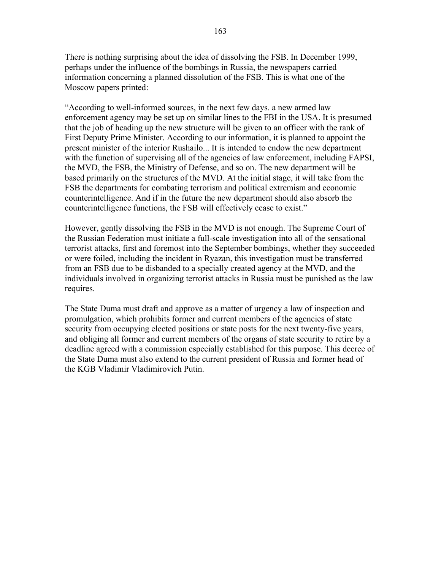There is nothing surprising about the idea of dissolving the FSB. In December 1999, perhaps under the influence of the bombings in Russia, the newspapers carried information concerning a planned dissolution of the FSB. This is what one of the Moscow papers printed:

"According to well-informed sources, in the next few days. a new armed law enforcement agency may be set up on similar lines to the FBI in the USA. It is presumed that the job of heading up the new structure will be given to an officer with the rank of First Deputy Prime Minister. According to our information, it is planned to appoint the present minister of the interior Rushailo... It is intended to endow the new department with the function of supervising all of the agencies of law enforcement, including FAPSI, the MVD, the FSB, the Ministry of Defense, and so on. The new department will be based primarily on the structures of the MVD. At the initial stage, it will take from the FSB the departments for combating terrorism and political extremism and economic counterintelligence. And if in the future the new department should also absorb the counterintelligence functions, the FSB will effectively cease to exist."

However, gently dissolving the FSB in the MVD is not enough. The Supreme Court of the Russian Federation must initiate a full-scale investigation into all of the sensational terrorist attacks, first and foremost into the September bombings, whether they succeeded or were foiled, including the incident in Ryazan, this investigation must be transferred from an FSB due to be disbanded to a specially created agency at the MVD, and the individuals involved in organizing terrorist attacks in Russia must be punished as the law requires.

The State Duma must draft and approve as a matter of urgency a law of inspection and promulgation, which prohibits former and current members of the agencies of state security from occupying elected positions or state posts for the next twenty-five years, and obliging all former and current members of the organs of state security to retire by a deadline agreed with a commission especially established for this purpose. This decree of the State Duma must also extend to the current president of Russia and former head of the KGB Vladimir Vladimirovich Putin.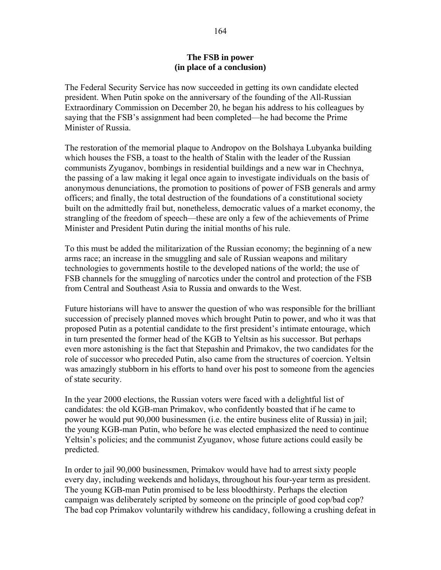### **The FSB in power (in place of a conclusion)**

The Federal Security Service has now succeeded in getting its own candidate elected president. When Putin spoke on the anniversary of the founding of the All-Russian Extraordinary Commission on December 20, he began his address to his colleagues by saying that the FSB's assignment had been completed—he had become the Prime Minister of Russia.

The restoration of the memorial plaque to Andropov on the Bolshaya Lubyanka building which houses the FSB, a toast to the health of Stalin with the leader of the Russian communists Zyuganov, bombings in residential buildings and a new war in Chechnya, the passing of a law making it legal once again to investigate individuals on the basis of anonymous denunciations, the promotion to positions of power of FSB generals and army officers; and finally, the total destruction of the foundations of a constitutional society built on the admittedly frail but, nonetheless, democratic values of a market economy, the strangling of the freedom of speech—these are only a few of the achievements of Prime Minister and President Putin during the initial months of his rule.

To this must be added the militarization of the Russian economy; the beginning of a new arms race; an increase in the smuggling and sale of Russian weapons and military technologies to governments hostile to the developed nations of the world; the use of FSB channels for the smuggling of narcotics under the control and protection of the FSB from Central and Southeast Asia to Russia and onwards to the West.

Future historians will have to answer the question of who was responsible for the brilliant succession of precisely planned moves which brought Putin to power, and who it was that proposed Putin as a potential candidate to the first president's intimate entourage, which in turn presented the former head of the KGB to Yeltsin as his successor. But perhaps even more astonishing is the fact that Stepashin and Primakov, the two candidates for the role of successor who preceded Putin, also came from the structures of coercion. Yeltsin was amazingly stubborn in his efforts to hand over his post to someone from the agencies of state security.

In the year 2000 elections, the Russian voters were faced with a delightful list of candidates: the old KGB-man Primakov, who confidently boasted that if he came to power he would put 90,000 businessmen (i.e. the entire business elite of Russia) in jail; the young KGB-man Putin, who before he was elected emphasized the need to continue Yeltsin's policies; and the communist Zyuganov, whose future actions could easily be predicted.

In order to jail 90,000 businessmen, Primakov would have had to arrest sixty people every day, including weekends and holidays, throughout his four-year term as president. The young KGB-man Putin promised to be less bloodthirsty. Perhaps the election campaign was deliberately scripted by someone on the principle of good cop/bad cop? The bad cop Primakov voluntarily withdrew his candidacy, following a crushing defeat in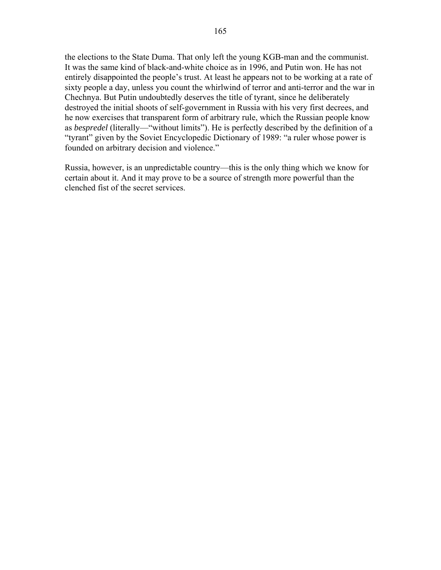the elections to the State Duma. That only left the young KGB-man and the communist. It was the same kind of black-and-white choice as in 1996, and Putin won. He has not entirely disappointed the people's trust. At least he appears not to be working at a rate of sixty people a day, unless you count the whirlwind of terror and anti-terror and the war in Chechnya. But Putin undoubtedly deserves the title of tyrant, since he deliberately destroyed the initial shoots of self-government in Russia with his very first decrees, and he now exercises that transparent form of arbitrary rule, which the Russian people know as *bespredel* (literally—"without limits"). He is perfectly described by the definition of a "tyrant" given by the Soviet Encyclopedic Dictionary of 1989: "a ruler whose power is founded on arbitrary decision and violence."

Russia, however, is an unpredictable country—this is the only thing which we know for certain about it. And it may prove to be a source of strength more powerful than the clenched fist of the secret services.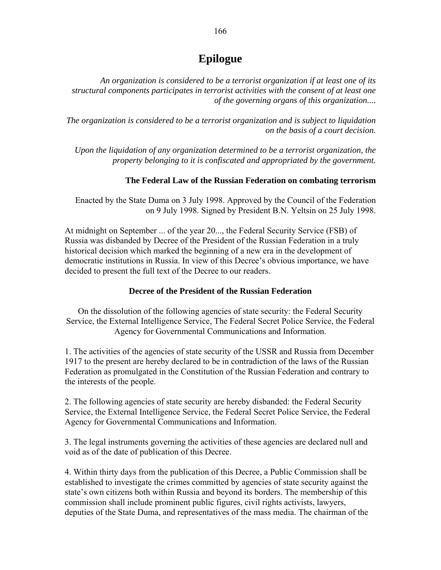## **Epilogue**

*An organization is considered to be a terrorist organization if at least one of its structural components participates in terrorist activities with the consent of at least one of the governing organs of this organization....* 

*The organization is considered to be a terrorist organization and is subject to liquidation on the basis of a court decision.* 

*Upon the liquidation of any organization determined to be a terrorist organization, the property belonging to it is confiscated and appropriated by the government.* 

## **The Federal Law of the Russian Federation on combating terrorism**

Enacted by the State Duma on 3 July 1998. Approved by the Council of the Federation on 9 July 1998. Signed by President B.N. Yeltsin on 25 July 1998.

At midnight on September ... of the year 20..., the Federal Security Service (FSB) of Russia was disbanded by Decree of the President of the Russian Federation in a truly historical decision which marked the beginning of a new era in the development of democratic institutions in Russia. In view of this Decree's obvious importance, we have decided to present the full text of the Decree to our readers.

## **Decree of the President of the Russian Federation**

On the dissolution of the following agencies of state security: the Federal Security Service, the External Intelligence Service, The Federal Secret Police Service, the Federal Agency for Governmental Communications and Information.

1. The activities of the agencies of state security of the USSR and Russia from December 1917 to the present are hereby declared to be in contradiction of the laws of the Russian Federation as promulgated in the Constitution of the Russian Federation and contrary to the interests of the people.

2. The following agencies of state security are hereby disbanded: the Federal Security Service, the External Intelligence Service, the Federal Secret Police Service, the Federal Agency for Governmental Communications and Information.

3. The legal instruments governing the activities of these agencies are declared null and void as of the date of publication of this Decree.

4. Within thirty days from the publication of this Decree, a Public Commission shall be established to investigate the crimes committed by agencies of state security against the state's own citizens both within Russia and beyond its borders. The membership of this commission shall include prominent public figures, civil rights activists, lawyers, deputies of the State Duma, and representatives of the mass media. The chairman of the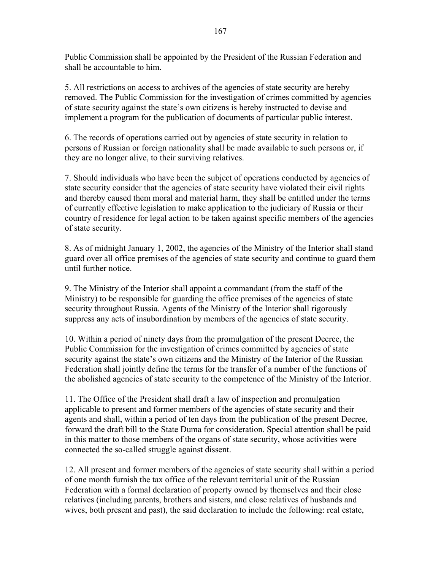Public Commission shall be appointed by the President of the Russian Federation and shall be accountable to him.

5. All restrictions on access to archives of the agencies of state security are hereby removed. The Public Commission for the investigation of crimes committed by agencies of state security against the state's own citizens is hereby instructed to devise and implement a program for the publication of documents of particular public interest.

6. The records of operations carried out by agencies of state security in relation to persons of Russian or foreign nationality shall be made available to such persons or, if they are no longer alive, to their surviving relatives.

7. Should individuals who have been the subject of operations conducted by agencies of state security consider that the agencies of state security have violated their civil rights and thereby caused them moral and material harm, they shall be entitled under the terms of currently effective legislation to make application to the judiciary of Russia or their country of residence for legal action to be taken against specific members of the agencies of state security.

8. As of midnight January 1, 2002, the agencies of the Ministry of the Interior shall stand guard over all office premises of the agencies of state security and continue to guard them until further notice.

9. The Ministry of the Interior shall appoint a commandant (from the staff of the Ministry) to be responsible for guarding the office premises of the agencies of state security throughout Russia. Agents of the Ministry of the Interior shall rigorously suppress any acts of insubordination by members of the agencies of state security.

10. Within a period of ninety days from the promulgation of the present Decree, the Public Commission for the investigation of crimes committed by agencies of state security against the state's own citizens and the Ministry of the Interior of the Russian Federation shall jointly define the terms for the transfer of a number of the functions of the abolished agencies of state security to the competence of the Ministry of the Interior.

11. The Office of the President shall draft a law of inspection and promulgation applicable to present and former members of the agencies of state security and their agents and shall, within a period of ten days from the publication of the present Decree, forward the draft bill to the State Duma for consideration. Special attention shall be paid in this matter to those members of the organs of state security, whose activities were connected the so-called struggle against dissent.

12. All present and former members of the agencies of state security shall within a period of one month furnish the tax office of the relevant territorial unit of the Russian Federation with a formal declaration of property owned by themselves and their close relatives (including parents, brothers and sisters, and close relatives of husbands and wives, both present and past), the said declaration to include the following: real estate,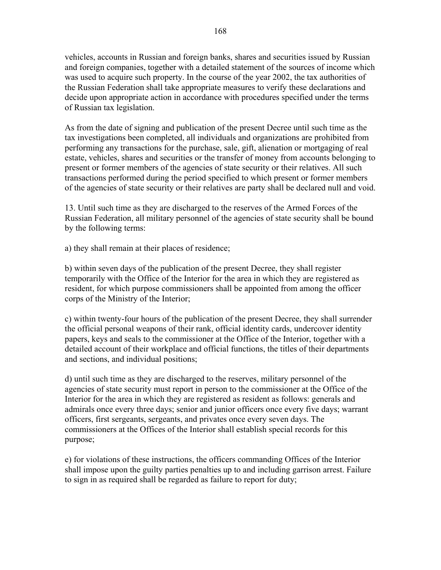vehicles, accounts in Russian and foreign banks, shares and securities issued by Russian and foreign companies, together with a detailed statement of the sources of income which was used to acquire such property. In the course of the year 2002, the tax authorities of the Russian Federation shall take appropriate measures to verify these declarations and decide upon appropriate action in accordance with procedures specified under the terms of Russian tax legislation.

As from the date of signing and publication of the present Decree until such time as the tax investigations been completed, all individuals and organizations are prohibited from performing any transactions for the purchase, sale, gift, alienation or mortgaging of real estate, vehicles, shares and securities or the transfer of money from accounts belonging to present or former members of the agencies of state security or their relatives. All such transactions performed during the period specified to which present or former members of the agencies of state security or their relatives are party shall be declared null and void.

13. Until such time as they are discharged to the reserves of the Armed Forces of the Russian Federation, all military personnel of the agencies of state security shall be bound by the following terms:

a) they shall remain at their places of residence;

b) within seven days of the publication of the present Decree, they shall register temporarily with the Office of the Interior for the area in which they are registered as resident, for which purpose commissioners shall be appointed from among the officer corps of the Ministry of the Interior;

c) within twenty-four hours of the publication of the present Decree, they shall surrender the official personal weapons of their rank, official identity cards, undercover identity papers, keys and seals to the commissioner at the Office of the Interior, together with a detailed account of their workplace and official functions, the titles of their departments and sections, and individual positions;

d) until such time as they are discharged to the reserves, military personnel of the agencies of state security must report in person to the commissioner at the Office of the Interior for the area in which they are registered as resident as follows: generals and admirals once every three days; senior and junior officers once every five days; warrant officers, first sergeants, sergeants, and privates once every seven days. The commissioners at the Offices of the Interior shall establish special records for this purpose;

e) for violations of these instructions, the officers commanding Offices of the Interior shall impose upon the guilty parties penalties up to and including garrison arrest. Failure to sign in as required shall be regarded as failure to report for duty;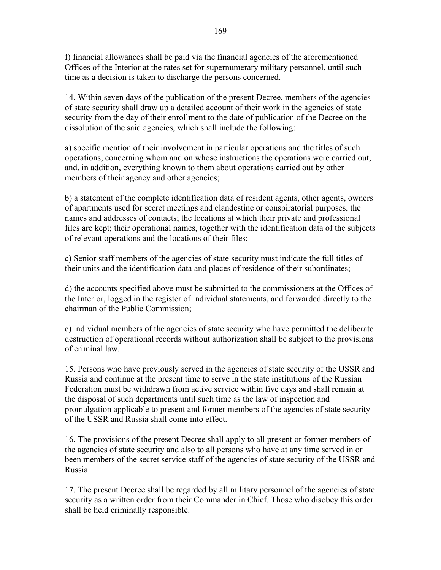f) financial allowances shall be paid via the financial agencies of the aforementioned Offices of the Interior at the rates set for supernumerary military personnel, until such time as a decision is taken to discharge the persons concerned.

14. Within seven days of the publication of the present Decree, members of the agencies of state security shall draw up a detailed account of their work in the agencies of state security from the day of their enrollment to the date of publication of the Decree on the dissolution of the said agencies, which shall include the following:

a) specific mention of their involvement in particular operations and the titles of such operations, concerning whom and on whose instructions the operations were carried out, and, in addition, everything known to them about operations carried out by other members of their agency and other agencies;

b) a statement of the complete identification data of resident agents, other agents, owners of apartments used for secret meetings and clandestine or conspiratorial purposes, the names and addresses of contacts; the locations at which their private and professional files are kept; their operational names, together with the identification data of the subjects of relevant operations and the locations of their files;

c) Senior staff members of the agencies of state security must indicate the full titles of their units and the identification data and places of residence of their subordinates;

d) the accounts specified above must be submitted to the commissioners at the Offices of the Interior, logged in the register of individual statements, and forwarded directly to the chairman of the Public Commission;

e) individual members of the agencies of state security who have permitted the deliberate destruction of operational records without authorization shall be subject to the provisions of criminal law.

15. Persons who have previously served in the agencies of state security of the USSR and Russia and continue at the present time to serve in the state institutions of the Russian Federation must be withdrawn from active service within five days and shall remain at the disposal of such departments until such time as the law of inspection and promulgation applicable to present and former members of the agencies of state security of the USSR and Russia shall come into effect.

16. The provisions of the present Decree shall apply to all present or former members of the agencies of state security and also to all persons who have at any time served in or been members of the secret service staff of the agencies of state security of the USSR and Russia.

17. The present Decree shall be regarded by all military personnel of the agencies of state security as a written order from their Commander in Chief. Those who disobey this order shall be held criminally responsible.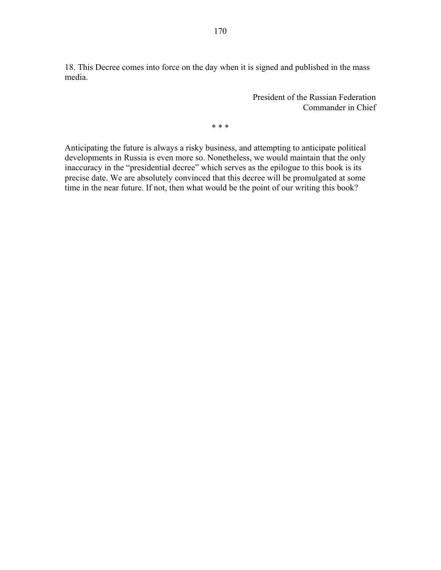18. This Decree comes into force on the day when it is signed and published in the mass media.

> President of the Russian Federation Commander in Chief

\* \* \*

Anticipating the future is always a risky business, and attempting to anticipate political developments in Russia is even more so. Nonetheless, we would maintain that the only inaccuracy in the "presidential decree" which serves as the epilogue to this book is its precise date. We are absolutely convinced that this decree will be promulgated at some time in the near future. If not, then what would be the point of our writing this book?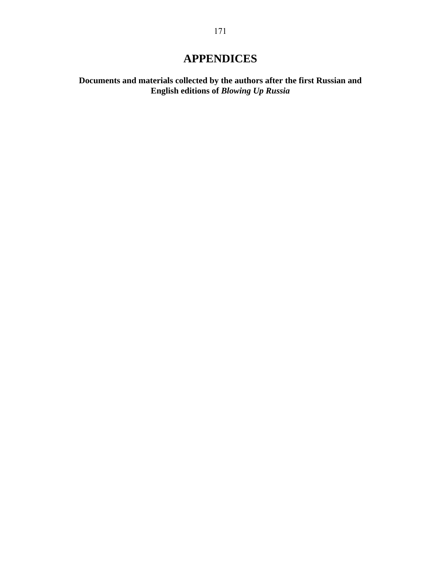# **APPENDICES**

### **Documents and materials collected by the authors after the first Russian and English editions of** *Blowing Up Russia*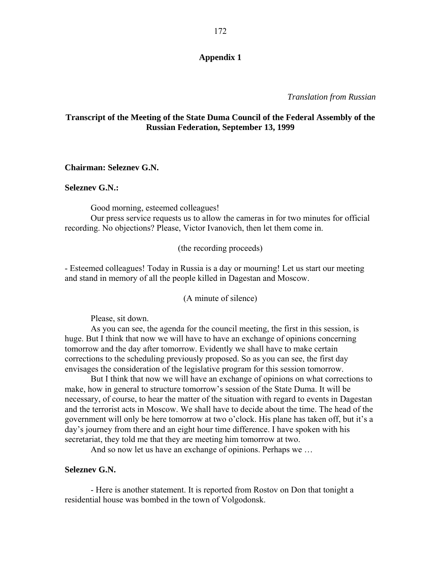*Translation from Russian* 

### **Transcript of the Meeting of the State Duma Council of the Federal Assembly of the Russian Federation, September 13, 1999**

#### **Chairman: Seleznev G.N.**

**Seleznev G.N.:** 

Good morning, esteemed colleagues!

 Our press service requests us to allow the cameras in for two minutes for official recording. No objections? Please, Victor Ivanovich, then let them come in.

(the recording proceeds)

- Esteemed colleagues! Today in Russia is a day or mourning! Let us start our meeting and stand in memory of all the people killed in Dagestan and Moscow.

(A minute of silence)

Please, sit down.

 As you can see, the agenda for the council meeting, the first in this session, is huge. But I think that now we will have to have an exchange of opinions concerning tomorrow and the day after tomorrow. Evidently we shall have to make certain corrections to the scheduling previously proposed. So as you can see, the first day envisages the consideration of the legislative program for this session tomorrow.

But I think that now we will have an exchange of opinions on what corrections to make, how in general to structure tomorrow's session of the State Duma. It will be necessary, of course, to hear the matter of the situation with regard to events in Dagestan and the terrorist acts in Moscow. We shall have to decide about the time. The head of the government will only be here tomorrow at two o'clock. His plane has taken off, but it's a day's journey from there and an eight hour time difference. I have spoken with his secretariat, they told me that they are meeting him tomorrow at two.

And so now let us have an exchange of opinions. Perhaps we …

#### **Seleznev G.N.**

- Here is another statement. It is reported from Rostov on Don that tonight a residential house was bombed in the town of Volgodonsk.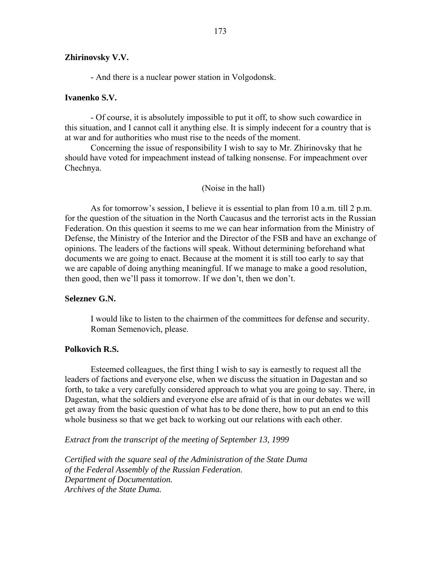#### **Zhirinovsky V.V.**

- And there is a nuclear power station in Volgodonsk.

#### **Ivanenko S.V.**

- Of course, it is absolutely impossible to put it off, to show such cowardice in this situation, and I cannot call it anything else. It is simply indecent for a country that is at war and for authorities who must rise to the needs of the moment.

Concerning the issue of responsibility I wish to say to Mr. Zhirinovsky that he should have voted for impeachment instead of talking nonsense. For impeachment over Chechnya.

(Noise in the hall)

As for tomorrow's session, I believe it is essential to plan from 10 a.m. till 2 p.m. for the question of the situation in the North Caucasus and the terrorist acts in the Russian Federation. On this question it seems to me we can hear information from the Ministry of Defense, the Ministry of the Interior and the Director of the FSB and have an exchange of opinions. The leaders of the factions will speak. Without determining beforehand what documents we are going to enact. Because at the moment it is still too early to say that we are capable of doing anything meaningful. If we manage to make a good resolution, then good, then we'll pass it tomorrow. If we don't, then we don't.

#### **Seleznev G.N.**

I would like to listen to the chairmen of the committees for defense and security. Roman Semenovich, please.

#### **Polkovich R.S.**

Esteemed colleagues, the first thing I wish to say is earnestly to request all the leaders of factions and everyone else, when we discuss the situation in Dagestan and so forth, to take a very carefully considered approach to what you are going to say. There, in Dagestan, what the soldiers and everyone else are afraid of is that in our debates we will get away from the basic question of what has to be done there, how to put an end to this whole business so that we get back to working out our relations with each other.

*Extract from the transcript of the meeting of September 13, 1999* 

*Certified with the square seal of the Administration of the State Duma of the Federal Assembly of the Russian Federation. Department of Documentation. Archives of the State Duma.*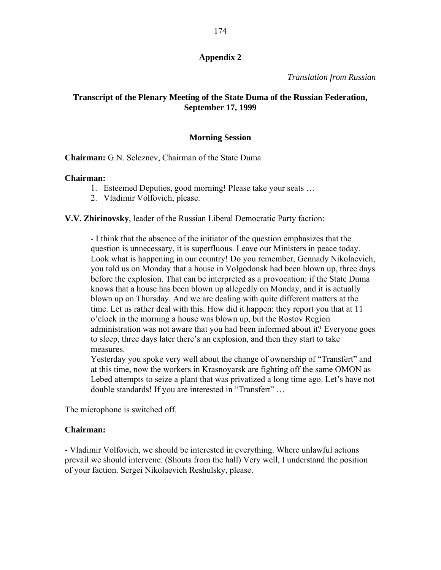*Translation from Russian* 

## **Transcript of the Plenary Meeting of the State Duma of the Russian Federation, September 17, 1999**

### **Morning Session**

**Chairman:** G.N. Seleznev, Chairman of the State Duma

### **Chairman:**

- 1. Esteemed Deputies, good morning! Please take your seats …
- 2. Vladimir Volfovich, please.

**V.V. Zhirinovsky**, leader of the Russian Liberal Democratic Party faction:

- I think that the absence of the initiator of the question emphasizes that the question is unnecessary, it is superfluous. Leave our Ministers in peace today. Look what is happening in our country! Do you remember, Gennady Nikolaevich, you told us on Monday that a house in Volgodonsk had been blown up, three days before the explosion. That can be interpreted as a provocation: if the State Duma knows that a house has been blown up allegedly on Monday, and it is actually blown up on Thursday. And we are dealing with quite different matters at the time. Let us rather deal with this. How did it happen: they report you that at 11 o'clock in the morning a house was blown up, but the Rostov Region administration was not aware that you had been informed about it? Everyone goes to sleep, three days later there's an explosion, and then they start to take measures.

Yesterday you spoke very well about the change of ownership of "Transfert" and at this time, now the workers in Krasnoyarsk are fighting off the same OMON as Lebed attempts to seize a plant that was privatized a long time ago. Let's have not double standards! If you are interested in "Transfert" …

The microphone is switched off.

#### **Chairman:**

- Vladimir Volfovich, we should be interested in everything. Where unlawful actions prevail we should intervene. (Shouts from the hall) Very well, I understand the position of your faction. Sergei Nikolaevich Reshulsky, please.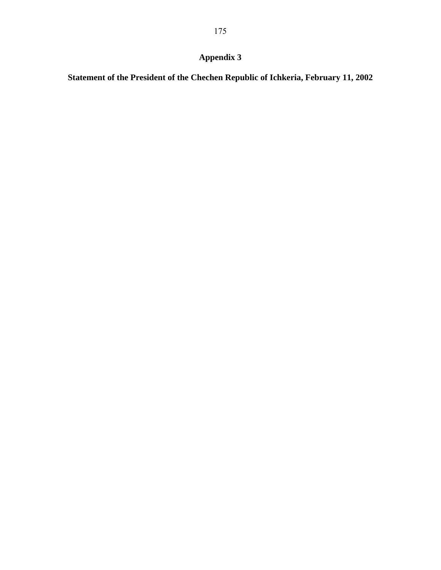**Statement of the President of the Chechen Republic of Ichkeria, February 11, 2002**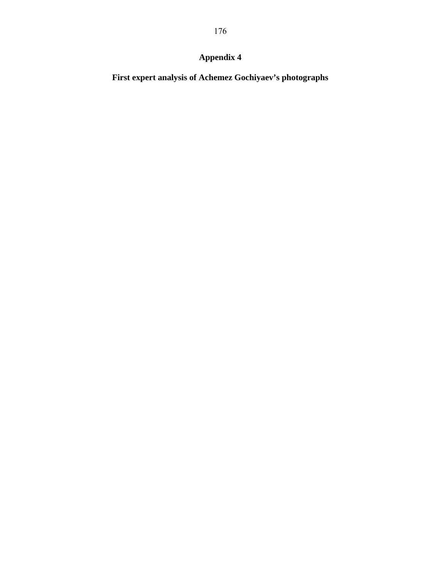**First expert analysis of Achemez Gochiyaev's photographs**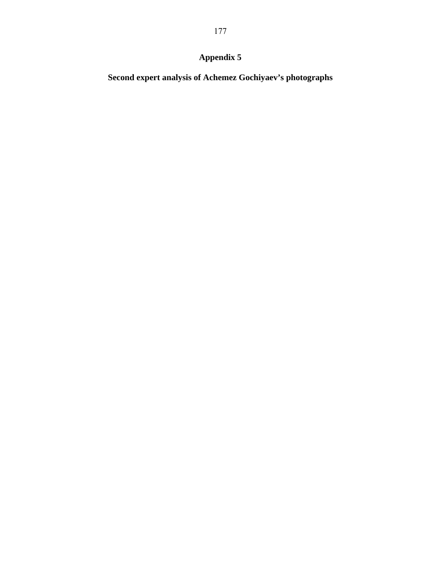**Second expert analysis of Achemez Gochiyaev's photographs**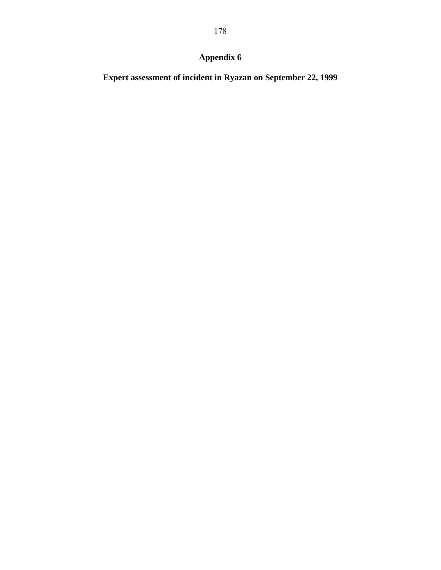**Expert assessment of incident in Ryazan on September 22, 1999**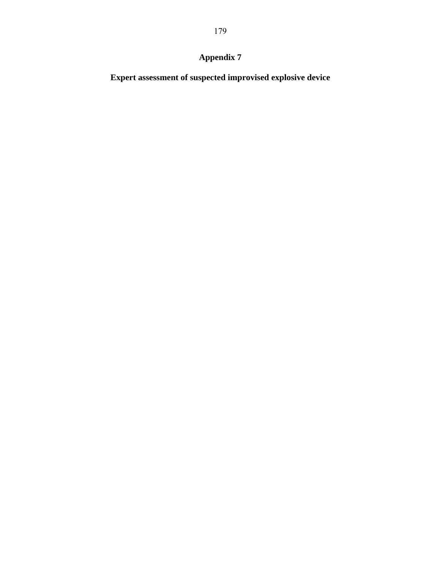**Expert assessment of suspected improvised explosive device**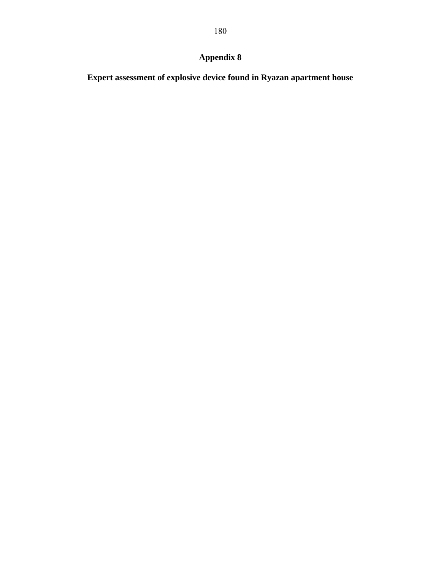**Expert assessment of explosive device found in Ryazan apartment house**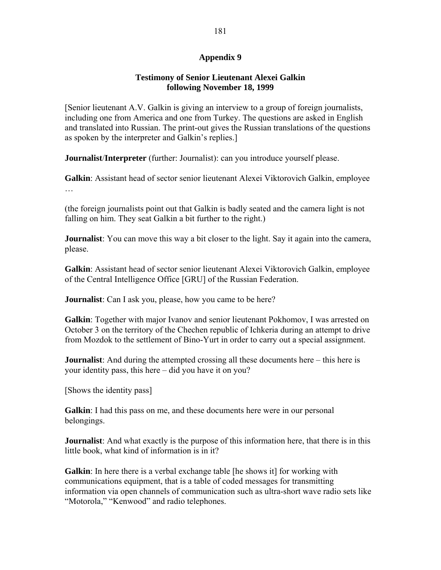## **Appendix 9**

#### **Testimony of Senior Lieutenant Alexei Galkin following November 18, 1999**

[Senior lieutenant A.V. Galkin is giving an interview to a group of foreign journalists, including one from America and one from Turkey. The questions are asked in English and translated into Russian. The print-out gives the Russian translations of the questions as spoken by the interpreter and Galkin's replies.]

**Journalist**/**Interpreter** (further: Journalist): can you introduce yourself please.

**Galkin**: Assistant head of sector senior lieutenant Alexei Viktorovich Galkin, employee …

(the foreign journalists point out that Galkin is badly seated and the camera light is not falling on him. They seat Galkin a bit further to the right.)

**Journalist**: You can move this way a bit closer to the light. Say it again into the camera, please.

**Galkin**: Assistant head of sector senior lieutenant Alexei Viktorovich Galkin, employee of the Central Intelligence Office [GRU] of the Russian Federation.

**Journalist**: Can I ask you, please, how you came to be here?

**Galkin**: Together with major Ivanov and senior lieutenant Pokhomov, I was arrested on October 3 on the territory of the Chechen republic of Ichkeria during an attempt to drive from Mozdok to the settlement of Bino-Yurt in order to carry out a special assignment.

**Journalist**: And during the attempted crossing all these documents here – this here is your identity pass, this here – did you have it on you?

[Shows the identity pass]

**Galkin**: I had this pass on me, and these documents here were in our personal belongings.

**Journalist**: And what exactly is the purpose of this information here, that there is in this little book, what kind of information is in it?

**Galkin**: In here there is a verbal exchange table [he shows it] for working with communications equipment, that is a table of coded messages for transmitting information via open channels of communication such as ultra-short wave radio sets like "Motorola," "Kenwood" and radio telephones.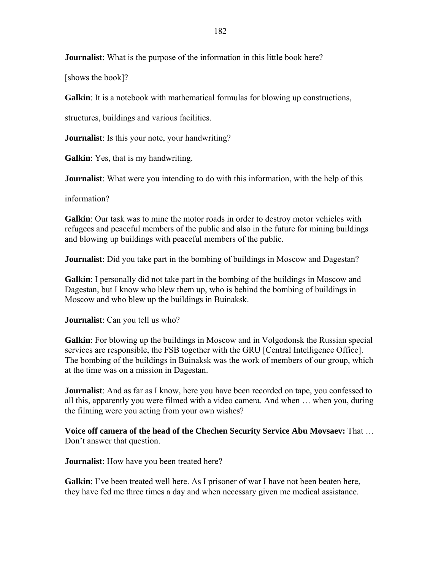**Journalist**: What is the purpose of the information in this little book here?

[shows the book]?

**Galkin**: It is a notebook with mathematical formulas for blowing up constructions,

structures, buildings and various facilities.

**Journalist**: Is this your note, your handwriting?

**Galkin**: Yes, that is my handwriting.

**Journalist**: What were you intending to do with this information, with the help of this

information?

**Galkin**: Our task was to mine the motor roads in order to destroy motor vehicles with refugees and peaceful members of the public and also in the future for mining buildings and blowing up buildings with peaceful members of the public.

**Journalist**: Did you take part in the bombing of buildings in Moscow and Dagestan?

**Galkin**: I personally did not take part in the bombing of the buildings in Moscow and Dagestan, but I know who blew them up, who is behind the bombing of buildings in Moscow and who blew up the buildings in Buinaksk.

**Journalist**: Can you tell us who?

**Galkin**: For blowing up the buildings in Moscow and in Volgodonsk the Russian special services are responsible, the FSB together with the GRU [Central Intelligence Office]. The bombing of the buildings in Buinaksk was the work of members of our group, which at the time was on a mission in Dagestan.

**Journalist**: And as far as I know, here you have been recorded on tape, you confessed to all this, apparently you were filmed with a video camera. And when … when you, during the filming were you acting from your own wishes?

**Voice off camera of the head of the Chechen Security Service Abu Movsaev:** That … Don't answer that question.

**Journalist**: How have you been treated here?

Galkin: I've been treated well here. As I prisoner of war I have not been beaten here, they have fed me three times a day and when necessary given me medical assistance.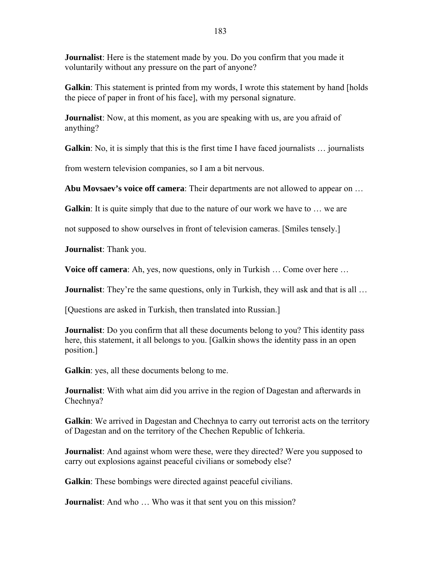**Journalist**: Here is the statement made by you. Do you confirm that you made it voluntarily without any pressure on the part of anyone?

**Galkin**: This statement is printed from my words, I wrote this statement by hand [holds the piece of paper in front of his face], with my personal signature.

**Journalist**: Now, at this moment, as you are speaking with us, are you afraid of anything?

**Galkin**: No, it is simply that this is the first time I have faced journalists … journalists

from western television companies, so I am a bit nervous.

**Abu Movsaev's voice off camera**: Their departments are not allowed to appear on …

**Galkin**: It is quite simply that due to the nature of our work we have to ... we are

not supposed to show ourselves in front of television cameras. [Smiles tensely.]

**Journalist**: Thank you.

**Voice off camera**: Ah, yes, now questions, only in Turkish ... Come over here ...

**Journalist**: They're the same questions, only in Turkish, they will ask and that is all ...

[Questions are asked in Turkish, then translated into Russian.]

**Journalist**: Do you confirm that all these documents belong to you? This identity pass here, this statement, it all belongs to you. [Galkin shows the identity pass in an open position.]

**Galkin**: yes, all these documents belong to me.

**Journalist**: With what aim did you arrive in the region of Dagestan and afterwards in Chechnya?

**Galkin**: We arrived in Dagestan and Chechnya to carry out terrorist acts on the territory of Dagestan and on the territory of the Chechen Republic of Ichkeria.

**Journalist**: And against whom were these, were they directed? Were you supposed to carry out explosions against peaceful civilians or somebody else?

**Galkin**: These bombings were directed against peaceful civilians.

**Journalist**: And who ... Who was it that sent you on this mission?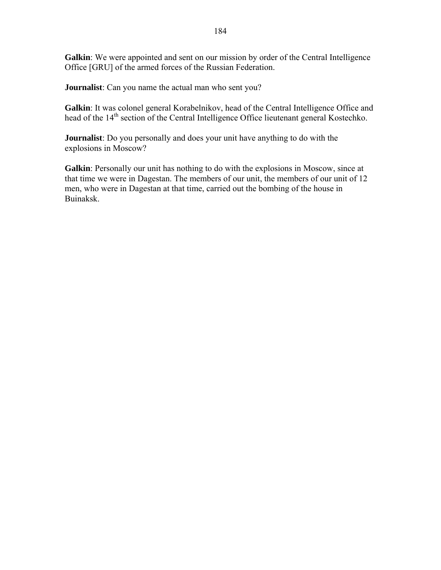**Galkin**: We were appointed and sent on our mission by order of the Central Intelligence Office [GRU] of the armed forces of the Russian Federation.

**Journalist**: Can you name the actual man who sent you?

Galkin: It was colonel general Korabelnikov, head of the Central Intelligence Office and head of the 14<sup>th</sup> section of the Central Intelligence Office lieutenant general Kostechko.

**Journalist**: Do you personally and does your unit have anything to do with the explosions in Moscow?

**Galkin**: Personally our unit has nothing to do with the explosions in Moscow, since at that time we were in Dagestan. The members of our unit, the members of our unit of 12 men, who were in Dagestan at that time, carried out the bombing of the house in Buinaksk.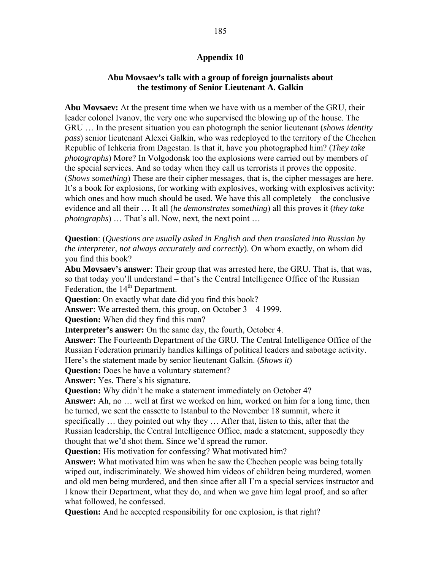## **Appendix 10**

## **Abu Movsaev's talk with a group of foreign journalists about the testimony of Senior Lieutenant A. Galkin**

**Abu Movsaev:** At the present time when we have with us a member of the GRU, their leader colonel Ivanov, the very one who supervised the blowing up of the house. The GRU … In the present situation you can photograph the senior lieutenant (*shows identity pass*) senior lieutenant Alexei Galkin, who was redeployed to the territory of the Chechen Republic of Ichkeria from Dagestan. Is that it, have you photographed him? (*They take photographs*) More? In Volgodonsk too the explosions were carried out by members of the special services. And so today when they call us terrorists it proves the opposite. (*Shows something*) These are their cipher messages, that is, the cipher messages are here. It's a book for explosions, for working with explosives, working with explosives activity: which ones and how much should be used. We have this all completely – the conclusive evidence and all their … It all (*he demonstrates something*) all this proves it (*they take photographs*) … That's all. Now, next, the next point …

**Question**: (*Questions are usually asked in English and then translated into Russian by the interpreter, not always accurately and correctly*). On whom exactly, on whom did you find this book?

**Abu Movsaev's answer**: Their group that was arrested here, the GRU. That is, that was, so that today you'll understand – that's the Central Intelligence Office of the Russian Federation, the 14<sup>th</sup> Department.

**Question**: On exactly what date did you find this book?

**Answer**: We arrested them, this group, on October 3—4 1999.

**Question:** When did they find this man?

**Interpreter's answer:** On the same day, the fourth, October 4.

**Answer:** The Fourteenth Department of the GRU. The Central Intelligence Office of the Russian Federation primarily handles killings of political leaders and sabotage activity. Here's the statement made by senior lieutenant Galkin. (*Shows it*)

**Question:** Does he have a voluntary statement?

**Answer:** Yes. There's his signature.

**Question:** Why didn't he make a statement immediately on October 4?

**Answer:** Ah, no … well at first we worked on him, worked on him for a long time, then he turned, we sent the cassette to Istanbul to the November 18 summit, where it specifically … they pointed out why they … After that, listen to this, after that the Russian leadership, the Central Intelligence Office, made a statement, supposedly they thought that we'd shot them. Since we'd spread the rumor.

**Question:** His motivation for confessing? What motivated him?

**Answer:** What motivated him was when he saw the Chechen people was being totally wiped out, indiscriminately. We showed him videos of children being murdered, women and old men being murdered, and then since after all I'm a special services instructor and I know their Department, what they do, and when we gave him legal proof, and so after what followed, he confessed.

**Question:** And he accepted responsibility for one explosion, is that right?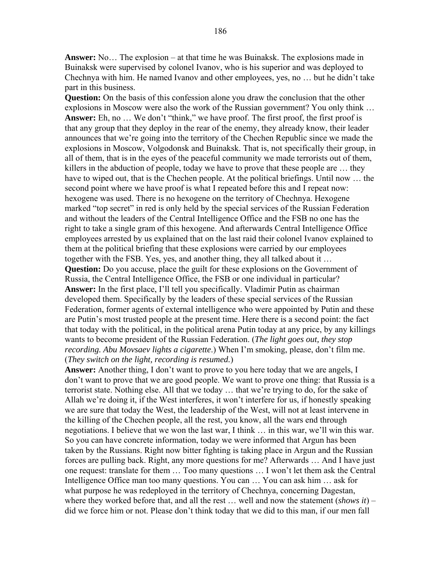**Answer:** No… The explosion – at that time he was Buinaksk. The explosions made in Buinaksk were supervised by colonel Ivanov, who is his superior and was deployed to Chechnya with him. He named Ivanov and other employees, yes, no … but he didn't take part in this business.

**Question:** On the basis of this confession alone you draw the conclusion that the other explosions in Moscow were also the work of the Russian government? You only think … **Answer:** Eh, no … We don't "think," we have proof. The first proof, the first proof is that any group that they deploy in the rear of the enemy, they already know, their leader announces that we're going into the territory of the Chechen Republic since we made the explosions in Moscow, Volgodonsk and Buinaksk. That is, not specifically their group, in all of them, that is in the eyes of the peaceful community we made terrorists out of them, killers in the abduction of people, today we have to prove that these people are … they have to wiped out, that is the Chechen people. At the political briefings. Until now ... the second point where we have proof is what I repeated before this and I repeat now: hexogene was used. There is no hexogene on the territory of Chechnya. Hexogene marked "top secret" in red is only held by the special services of the Russian Federation and without the leaders of the Central Intelligence Office and the FSB no one has the right to take a single gram of this hexogene. And afterwards Central Intelligence Office employees arrested by us explained that on the last raid their colonel Ivanov explained to them at the political briefing that these explosions were carried by our employees together with the FSB. Yes, yes, and another thing, they all talked about it … **Question:** Do you accuse, place the guilt for these explosions on the Government of Russia, the Central Intelligence Office, the FSB or one individual in particular? **Answer:** In the first place, I'll tell you specifically. Vladimir Putin as chairman developed them. Specifically by the leaders of these special services of the Russian Federation, former agents of external intelligence who were appointed by Putin and these are Putin's most trusted people at the present time. Here there is a second point: the fact that today with the political, in the political arena Putin today at any price, by any killings wants to become president of the Russian Federation. (*The light goes out, they stop recording. Abu Movsaev lights a cigarette*.) When I'm smoking, please, don't film me. (*They switch on the light, recording is resumed.*)

**Answer:** Another thing, I don't want to prove to you here today that we are angels, I don't want to prove that we are good people. We want to prove one thing: that Russia is a terrorist state. Nothing else. All that we today … that we're trying to do, for the sake of Allah we're doing it, if the West interferes, it won't interfere for us, if honestly speaking we are sure that today the West, the leadership of the West, will not at least intervene in the killing of the Chechen people, all the rest, you know, all the wars end through negotiations. I believe that we won the last war, I think … in this war, we'll win this war. So you can have concrete information, today we were informed that Argun has been taken by the Russians. Right now bitter fighting is taking place in Argun and the Russian forces are pulling back. Right, any more questions for me? Afterwards … And I have just one request: translate for them … Too many questions … I won't let them ask the Central Intelligence Office man too many questions. You can … You can ask him … ask for what purpose he was redeployed in the territory of Chechnya, concerning Dagestan, where they worked before that, and all the rest … well and now the statement (*shows it*) – did we force him or not. Please don't think today that we did to this man, if our men fall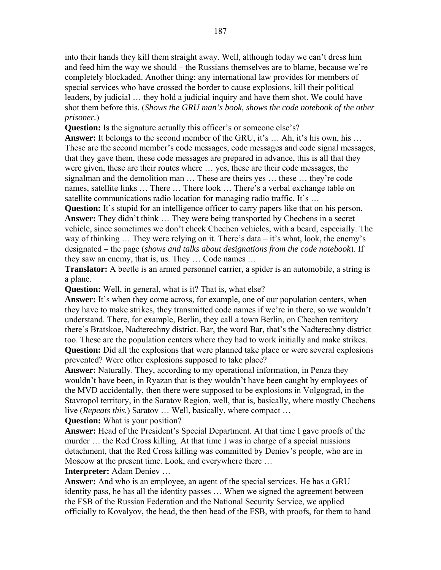into their hands they kill them straight away. Well, although today we can't dress him and feed him the way we should – the Russians themselves are to blame, because we're completely blockaded. Another thing: any international law provides for members of special services who have crossed the border to cause explosions, kill their political leaders, by judicial … they hold a judicial inquiry and have them shot. We could have shot them before this. (*Shows the GRU man's book, shows the code notebook of the other prisoner.*)

**Question:** Is the signature actually this officer's or someone else's?

**Answer:** It belongs to the second member of the GRU, it's ... Ah, it's his own, his ... These are the second member's code messages, code messages and code signal messages, that they gave them, these code messages are prepared in advance, this is all that they were given, these are their routes where … yes, these are their code messages, the signalman and the demolition man … These are theirs yes … these … they're code names, satellite links … There … There look … There's a verbal exchange table on satellite communications radio location for managing radio traffic. It's ...

**Question:** It's stupid for an intelligence officer to carry papers like that on his person. **Answer:** They didn't think … They were being transported by Chechens in a secret vehicle, since sometimes we don't check Chechen vehicles, with a beard, especially. The way of thinking  $\ldots$  They were relying on it. There's data – it's what, look, the enemy's designated – the page (*shows and talks about designations from the code notebook*). If they saw an enemy, that is, us. They … Code names …

**Translator:** A beetle is an armed personnel carrier, a spider is an automobile, a string is a plane.

**Question:** Well, in general, what is it? That is, what else?

**Answer:** It's when they come across, for example, one of our population centers, when they have to make strikes, they transmitted code names if we're in there, so we wouldn't understand. There, for example, Berlin, they call a town Berlin, on Chechen territory there's Bratskoe, Nadterechny district. Bar, the word Bar, that's the Nadterechny district too. These are the population centers where they had to work initially and make strikes. **Question:** Did all the explosions that were planned take place or were several explosions prevented? Were other explosions supposed to take place?

**Answer:** Naturally. They, according to my operational information, in Penza they wouldn't have been, in Ryazan that is they wouldn't have been caught by employees of the MVD accidentally, then there were supposed to be explosions in Volgograd, in the Stavropol territory, in the Saratov Region, well, that is, basically, where mostly Chechens live (*Repeats this.*) Saratov … Well, basically, where compact …

**Question:** What is your position?

**Answer:** Head of the President's Special Department. At that time I gave proofs of the murder … the Red Cross killing. At that time I was in charge of a special missions detachment, that the Red Cross killing was committed by Deniev's people, who are in Moscow at the present time. Look, and everywhere there …

**Interpreter:** Adam Deniev …

**Answer:** And who is an employee, an agent of the special services. He has a GRU identity pass, he has all the identity passes … When we signed the agreement between the FSB of the Russian Federation and the National Security Service, we applied officially to Kovalyov, the head, the then head of the FSB, with proofs, for them to hand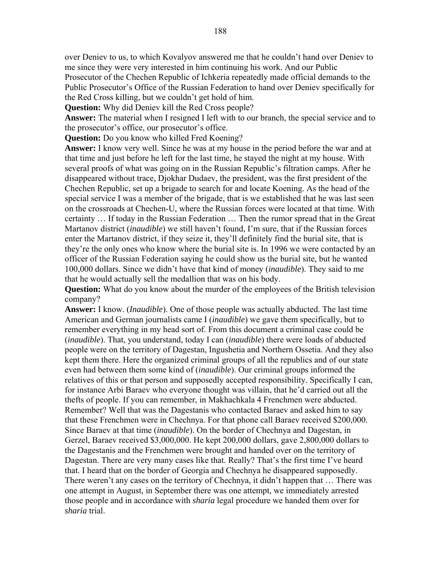over Deniev to us, to which Kovalyov answered me that he couldn't hand over Deniev to me since they were very interested in him continuing his work. And our Public Prosecutor of the Chechen Republic of Ichkeria repeatedly made official demands to the Public Prosecutor's Office of the Russian Federation to hand over Deniev specifically for the Red Cross killing, but we couldn't get hold of him.

**Question:** Why did Deniev kill the Red Cross people?

**Answer:** The material when I resigned I left with to our branch, the special service and to the prosecutor's office, our prosecutor's office.

**Question:** Do you know who killed Fred Koening?

**Answer:** I know very well. Since he was at my house in the period before the war and at that time and just before he left for the last time, he stayed the night at my house. With several proofs of what was going on in the Russian Republic's filtration camps. After he disappeared without trace, Djokhar Dudaev, the president, was the first president of the Chechen Republic, set up a brigade to search for and locate Koening. As the head of the special service I was a member of the brigade, that is we established that he was last seen on the crossroads at Chechen-U, where the Russian forces were located at that time. With certainty … If today in the Russian Federation … Then the rumor spread that in the Great Martanov district (*inaudible*) we still haven't found, I'm sure, that if the Russian forces enter the Martanov district, if they seize it, they'll definitely find the burial site, that is they're the only ones who know where the burial site is. In 1996 we were contacted by an officer of the Russian Federation saying he could show us the burial site, but he wanted 100,000 dollars. Since we didn't have that kind of money (*inaudible*). They said to me that he would actually sell the medallion that was on his body.

**Question:** What do you know about the murder of the employees of the British television company?

**Answer:** I know. (*Inaudible*). One of those people was actually abducted. The last time American and German journalists came I (*inaudible*) we gave them specifically, but to remember everything in my head sort of. From this document a criminal case could be (*inaudible*). That, you understand, today I can (*inaudible*) there were loads of abducted people were on the territory of Dagestan, Ingushetia and Northern Ossetia. And they also kept them there. Here the organized criminal groups of all the republics and of our state even had between them some kind of (*inaudible*). Our criminal groups informed the relatives of this or that person and supposedly accepted responsibility. Specifically I can, for instance Arbi Baraev who everyone thought was villain, that he'd carried out all the thefts of people. If you can remember, in Makhachkala 4 Frenchmen were abducted. Remember? Well that was the Dagestanis who contacted Baraev and asked him to say that these Frenchmen were in Chechnya. For that phone call Baraev received \$200,000. Since Baraev at that time (*inaudible*). On the border of Chechnya and Dagestan, in Gerzel, Baraev received \$3,000,000. He kept 200,000 dollars, gave 2,800,000 dollars to the Dagestanis and the Frenchmen were brought and handed over on the territory of Dagestan. There are very many cases like that. Really? That's the first time I've heard that. I heard that on the border of Georgia and Chechnya he disappeared supposedly. There weren't any cases on the territory of Chechnya, it didn't happen that … There was one attempt in August, in September there was one attempt, we immediately arrested those people and in accordance with *sharia* legal procedure we handed them over for *sharia* trial.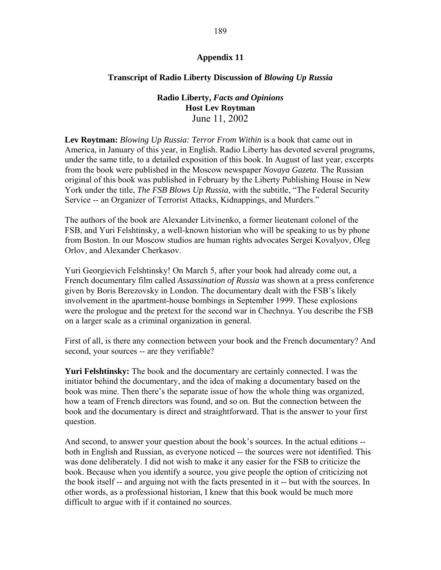## **Appendix 11**

#### **Transcript of Radio Liberty Discussion of** *Blowing Up Russia*

# **Radio Liberty,** *Facts and Opinions* **Host Lev Roytman**  June 11, 2002

**Lev Roytman:** *Blowing Up Russia: Terror From Within* is a book that came out in America, in January of this year, in English. Radio Liberty has devoted several programs, under the same title, to a detailed exposition of this book. In August of last year, excerpts from the book were published in the Moscow newspaper *Novaya Gazeta*. The Russian original of this book was published in February by the Liberty Publishing House in New York under the title, *The FSB Blows Up Russia*, with the subtitle, "The Federal Security Service -- an Organizer of Terrorist Attacks, Kidnappings, and Murders."

The authors of the book are Alexander Litvinenko, a former lieutenant colonel of the FSB, and Yuri Felshtinsky, a well-known historian who will be speaking to us by phone from Boston. In our Moscow studios are human rights advocates Sergei Kovalyov, Oleg Orlov, and Alexander Cherkasov.

Yuri Georgievich Felshtinsky! On March 5, after your book had already come out, a French documentary film called *Assassination of Russia* was shown at a press conference given by Boris Berezovsky in London. The documentary dealt with the FSB's likely involvement in the apartment-house bombings in September 1999. These explosions were the prologue and the pretext for the second war in Chechnya. You describe the FSB on a larger scale as a criminal organization in general.

First of all, is there any connection between your book and the French documentary? And second, your sources -- are they verifiable?

**Yuri Felshtinsky:** The book and the documentary are certainly connected. I was the initiator behind the documentary, and the idea of making a documentary based on the book was mine. Then there's the separate issue of how the whole thing was organized, how a team of French directors was found, and so on. But the connection between the book and the documentary is direct and straightforward. That is the answer to your first question.

And second, to answer your question about the book's sources. In the actual editions - both in English and Russian, as everyone noticed -- the sources were not identified. This was done deliberately. I did not wish to make it any easier for the FSB to criticize the book. Because when you identify a source, you give people the option of criticizing not the book itself -- and arguing not with the facts presented in it -- but with the sources. In other words, as a professional historian, I knew that this book would be much more difficult to argue with if it contained no sources.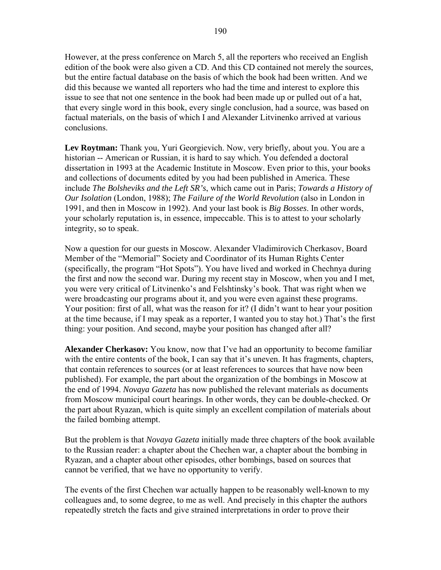However, at the press conference on March 5, all the reporters who received an English edition of the book were also given a CD. And this CD contained not merely the sources, but the entire factual database on the basis of which the book had been written. And we did this because we wanted all reporters who had the time and interest to explore this issue to see that not one sentence in the book had been made up or pulled out of a hat, that every single word in this book, every single conclusion, had a source, was based on factual materials, on the basis of which I and Alexander Litvinenko arrived at various conclusions.

**Lev Roytman:** Thank you, Yuri Georgievich. Now, very briefly, about you. You are a historian -- American or Russian, it is hard to say which. You defended a doctoral dissertation in 1993 at the Academic Institute in Moscow. Even prior to this, your books and collections of documents edited by you had been published in America. These include *The Bolsheviks and the Left SR's*, which came out in Paris; *Towards a History of Our Isolation* (London, 1988); *The Failure of the World Revolution* (also in London in 1991, and then in Moscow in 1992). And your last book is *Big Bosses*. In other words, your scholarly reputation is, in essence, impeccable. This is to attest to your scholarly integrity, so to speak.

Now a question for our guests in Moscow. Alexander Vladimirovich Cherkasov, Board Member of the "Memorial" Society and Coordinator of its Human Rights Center (specifically, the program "Hot Spots"). You have lived and worked in Chechnya during the first and now the second war. During my recent stay in Moscow, when you and I met, you were very critical of Litvinenko's and Felshtinsky's book. That was right when we were broadcasting our programs about it, and you were even against these programs. Your position: first of all, what was the reason for it? (I didn't want to hear your position at the time because, if I may speak as a reporter, I wanted you to stay hot.) That's the first thing: your position. And second, maybe your position has changed after all?

**Alexander Cherkasov:** You know, now that I've had an opportunity to become familiar with the entire contents of the book, I can say that it's uneven. It has fragments, chapters, that contain references to sources (or at least references to sources that have now been published). For example, the part about the organization of the bombings in Moscow at the end of 1994. *Novaya Gazeta* has now published the relevant materials as documents from Moscow municipal court hearings. In other words, they can be double-checked. Or the part about Ryazan, which is quite simply an excellent compilation of materials about the failed bombing attempt.

But the problem is that *Novaya Gazeta* initially made three chapters of the book available to the Russian reader: a chapter about the Chechen war, a chapter about the bombing in Ryazan, and a chapter about other episodes, other bombings, based on sources that cannot be verified, that we have no opportunity to verify.

The events of the first Chechen war actually happen to be reasonably well-known to my colleagues and, to some degree, to me as well. And precisely in this chapter the authors repeatedly stretch the facts and give strained interpretations in order to prove their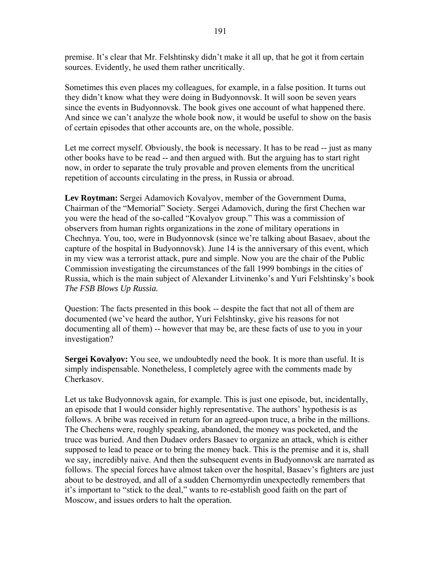premise. It's clear that Mr. Felshtinsky didn't make it all up, that he got it from certain sources. Evidently, he used them rather uncritically.

Sometimes this even places my colleagues, for example, in a false position. It turns out they didn't know what they were doing in Budyonnovsk. It will soon be seven years since the events in Budyonnovsk. The book gives one account of what happened there. And since we can't analyze the whole book now, it would be useful to show on the basis of certain episodes that other accounts are, on the whole, possible.

Let me correct myself. Obviously, the book is necessary. It has to be read -- just as many other books have to be read -- and then argued with. But the arguing has to start right now, in order to separate the truly provable and proven elements from the uncritical repetition of accounts circulating in the press, in Russia or abroad.

**Lev Roytman:** Sergei Adamovich Kovalyov, member of the Government Duma, Chairman of the "Memorial" Society. Sergei Adamovich, during the first Chechen war you were the head of the so-called "Kovalyov group." This was a commission of observers from human rights organizations in the zone of military operations in Chechnya. You, too, were in Budyonnovsk (since we're talking about Basaev, about the capture of the hospital in Budyonnovsk). June 14 is the anniversary of this event, which in my view was a terrorist attack, pure and simple. Now you are the chair of the Public Commission investigating the circumstances of the fall 1999 bombings in the cities of Russia, which is the main subject of Alexander Litvinenko's and Yuri Felshtinsky's book *The FSB Blows Up Russia.* 

Question: The facts presented in this book -- despite the fact that not all of them are documented (we've heard the author, Yuri Felshtinsky, give his reasons for not documenting all of them) -- however that may be, are these facts of use to you in your investigation?

**Sergei Kovalyov:** You see, we undoubtedly need the book. It is more than useful. It is simply indispensable. Nonetheless, I completely agree with the comments made by Cherkasov.

Let us take Budyonnovsk again, for example. This is just one episode, but, incidentally, an episode that I would consider highly representative. The authors' hypothesis is as follows. A bribe was received in return for an agreed-upon truce, a bribe in the millions. The Chechens were, roughly speaking, abandoned, the money was pocketed, and the truce was buried. And then Dudaev orders Basaev to organize an attack, which is either supposed to lead to peace or to bring the money back. This is the premise and it is, shall we say, incredibly naive. And then the subsequent events in Budyonnovsk are narrated as follows. The special forces have almost taken over the hospital, Basaev's fighters are just about to be destroyed, and all of a sudden Chernomyrdin unexpectedly remembers that it's important to "stick to the deal," wants to re-establish good faith on the part of Moscow, and issues orders to halt the operation.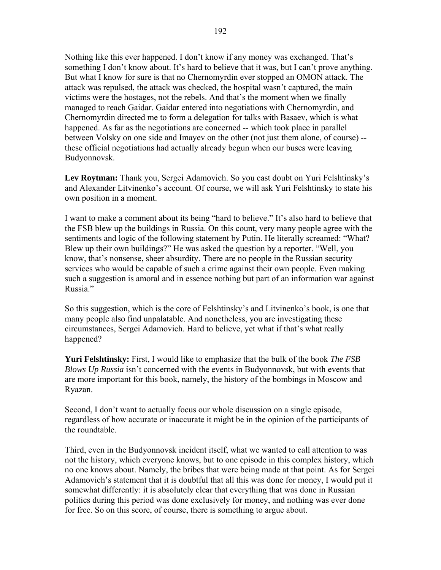Nothing like this ever happened. I don't know if any money was exchanged. That's something I don't know about. It's hard to believe that it was, but I can't prove anything. But what I know for sure is that no Chernomyrdin ever stopped an OMON attack. The attack was repulsed, the attack was checked, the hospital wasn't captured, the main victims were the hostages, not the rebels. And that's the moment when we finally managed to reach Gaidar. Gaidar entered into negotiations with Chernomyrdin, and Chernomyrdin directed me to form a delegation for talks with Basaev, which is what happened. As far as the negotiations are concerned -- which took place in parallel between Volsky on one side and Imayev on the other (not just them alone, of course) - these official negotiations had actually already begun when our buses were leaving Budyonnovsk.

**Lev Roytman:** Thank you, Sergei Adamovich. So you cast doubt on Yuri Felshtinsky's and Alexander Litvinenko's account. Of course, we will ask Yuri Felshtinsky to state his own position in a moment.

I want to make a comment about its being "hard to believe." It's also hard to believe that the FSB blew up the buildings in Russia. On this count, very many people agree with the sentiments and logic of the following statement by Putin. He literally screamed: "What? Blew up their own buildings?" He was asked the question by a reporter. "Well, you know, that's nonsense, sheer absurdity. There are no people in the Russian security services who would be capable of such a crime against their own people. Even making such a suggestion is amoral and in essence nothing but part of an information war against Russia."

So this suggestion, which is the core of Felshtinsky's and Litvinenko's book, is one that many people also find unpalatable. And nonetheless, you are investigating these circumstances, Sergei Adamovich. Hard to believe, yet what if that's what really happened?

**Yuri Felshtinsky:** First, I would like to emphasize that the bulk of the book *The FSB Blows Up Russia* isn't concerned with the events in Budyonnovsk, but with events that are more important for this book, namely, the history of the bombings in Moscow and Ryazan.

Second, I don't want to actually focus our whole discussion on a single episode, regardless of how accurate or inaccurate it might be in the opinion of the participants of the roundtable.

Third, even in the Budyonnovsk incident itself, what we wanted to call attention to was not the history, which everyone knows, but to one episode in this complex history, which no one knows about. Namely, the bribes that were being made at that point. As for Sergei Adamovich's statement that it is doubtful that all this was done for money, I would put it somewhat differently: it is absolutely clear that everything that was done in Russian politics during this period was done exclusively for money, and nothing was ever done for free. So on this score, of course, there is something to argue about.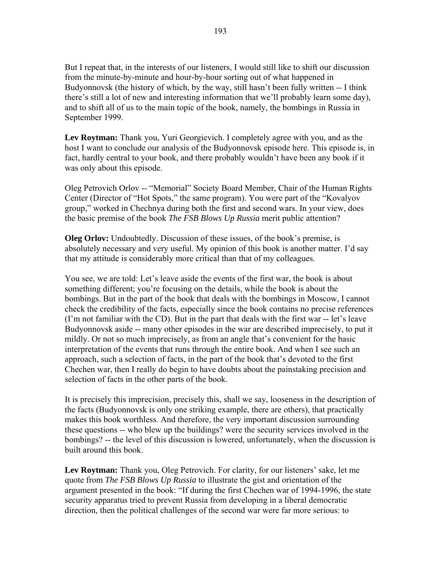But I repeat that, in the interests of our listeners, I would still like to shift our discussion from the minute-by-minute and hour-by-hour sorting out of what happened in Budyonnovsk (the history of which, by the way, still hasn't been fully written -- I think there's still a lot of new and interesting information that we'll probably learn some day), and to shift all of us to the main topic of the book, namely, the bombings in Russia in September 1999.

**Lev Roytman:** Thank you, Yuri Georgievich. I completely agree with you, and as the host I want to conclude our analysis of the Budyonnovsk episode here. This episode is, in fact, hardly central to your book, and there probably wouldn't have been any book if it was only about this episode.

Oleg Petrovich Orlov -- "Memorial" Society Board Member, Chair of the Human Rights Center (Director of "Hot Spots," the same program). You were part of the "Kovalyov group," worked in Chechnya during both the first and second wars. In your view, does the basic premise of the book *The FSB Blows Up Russia* merit public attention?

**Oleg Orlov:** Undoubtedly. Discussion of these issues, of the book's premise, is absolutely necessary and very useful. My opinion of this book is another matter. I'd say that my attitude is considerably more critical than that of my colleagues.

You see, we are told: Let's leave aside the events of the first war, the book is about something different; you're focusing on the details, while the book is about the bombings. But in the part of the book that deals with the bombings in Moscow, I cannot check the credibility of the facts, especially since the book contains no precise references (I'm not familiar with the CD). But in the part that deals with the first war -- let's leave Budyonnovsk aside -- many other episodes in the war are described imprecisely, to put it mildly. Or not so much imprecisely, as from an angle that's convenient for the basic interpretation of the events that runs through the entire book. And when I see such an approach, such a selection of facts, in the part of the book that's devoted to the first Chechen war, then I really do begin to have doubts about the painstaking precision and selection of facts in the other parts of the book.

It is precisely this imprecision, precisely this, shall we say, looseness in the description of the facts (Budyonnovsk is only one striking example, there are others), that practically makes this book worthless. And therefore, the very important discussion surrounding these questions -- who blew up the buildings? were the security services involved in the bombings? -- the level of this discussion is lowered, unfortunately, when the discussion is built around this book.

**Lev Roytman:** Thank you, Oleg Petrovich. For clarity, for our listeners' sake, let me quote from *The FSB Blows Up Russia* to illustrate the gist and orientation of the argument presented in the book: "If during the first Chechen war of 1994-1996, the state security apparatus tried to prevent Russia from developing in a liberal democratic direction, then the political challenges of the second war were far more serious: to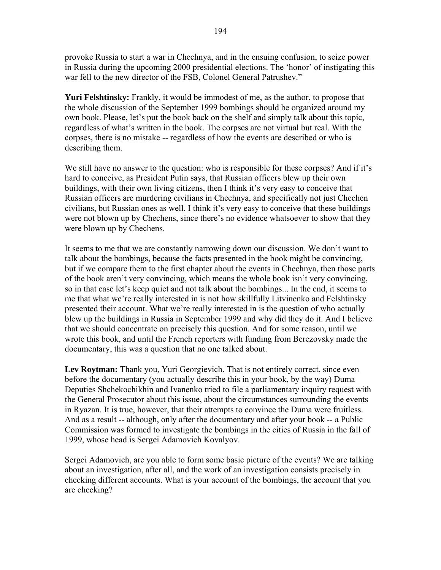provoke Russia to start a war in Chechnya, and in the ensuing confusion, to seize power in Russia during the upcoming 2000 presidential elections. The 'honor' of instigating this war fell to the new director of the FSB, Colonel General Patrushev."

**Yuri Felshtinsky:** Frankly, it would be immodest of me, as the author, to propose that the whole discussion of the September 1999 bombings should be organized around my own book. Please, let's put the book back on the shelf and simply talk about this topic, regardless of what's written in the book. The corpses are not virtual but real. With the corpses, there is no mistake -- regardless of how the events are described or who is describing them.

We still have no answer to the question: who is responsible for these corpses? And if it's hard to conceive, as President Putin says, that Russian officers blew up their own buildings, with their own living citizens, then I think it's very easy to conceive that Russian officers are murdering civilians in Chechnya, and specifically not just Chechen civilians, but Russian ones as well. I think it's very easy to conceive that these buildings were not blown up by Chechens, since there's no evidence whatsoever to show that they were blown up by Chechens.

It seems to me that we are constantly narrowing down our discussion. We don't want to talk about the bombings, because the facts presented in the book might be convincing, but if we compare them to the first chapter about the events in Chechnya, then those parts of the book aren't very convincing, which means the whole book isn't very convincing, so in that case let's keep quiet and not talk about the bombings... In the end, it seems to me that what we're really interested in is not how skillfully Litvinenko and Felshtinsky presented their account. What we're really interested in is the question of who actually blew up the buildings in Russia in September 1999 and why did they do it. And I believe that we should concentrate on precisely this question. And for some reason, until we wrote this book, and until the French reporters with funding from Berezovsky made the documentary, this was a question that no one talked about.

Lev Roytman: Thank you, Yuri Georgievich. That is not entirely correct, since even before the documentary (you actually describe this in your book, by the way) Duma Deputies Shchekochikhin and Ivanenko tried to file a parliamentary inquiry request with the General Prosecutor about this issue, about the circumstances surrounding the events in Ryazan. It is true, however, that their attempts to convince the Duma were fruitless. And as a result -- although, only after the documentary and after your book -- a Public Commission was formed to investigate the bombings in the cities of Russia in the fall of 1999, whose head is Sergei Adamovich Kovalyov.

Sergei Adamovich, are you able to form some basic picture of the events? We are talking about an investigation, after all, and the work of an investigation consists precisely in checking different accounts. What is your account of the bombings, the account that you are checking?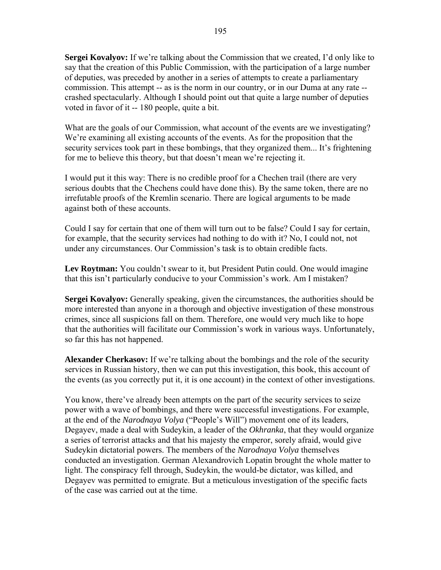**Sergei Kovalyov:** If we're talking about the Commission that we created, I'd only like to say that the creation of this Public Commission, with the participation of a large number of deputies, was preceded by another in a series of attempts to create a parliamentary commission. This attempt -- as is the norm in our country, or in our Duma at any rate - crashed spectacularly. Although I should point out that quite a large number of deputies voted in favor of it -- 180 people, quite a bit.

What are the goals of our Commission, what account of the events are we investigating? We're examining all existing accounts of the events. As for the proposition that the security services took part in these bombings, that they organized them... It's frightening for me to believe this theory, but that doesn't mean we're rejecting it.

I would put it this way: There is no credible proof for a Chechen trail (there are very serious doubts that the Chechens could have done this). By the same token, there are no irrefutable proofs of the Kremlin scenario. There are logical arguments to be made against both of these accounts.

Could I say for certain that one of them will turn out to be false? Could I say for certain, for example, that the security services had nothing to do with it? No, I could not, not under any circumstances. Our Commission's task is to obtain credible facts.

Lev Roytman: You couldn't swear to it, but President Putin could. One would imagine that this isn't particularly conducive to your Commission's work. Am I mistaken?

**Sergei Kovalyov:** Generally speaking, given the circumstances, the authorities should be more interested than anyone in a thorough and objective investigation of these monstrous crimes, since all suspicions fall on them. Therefore, one would very much like to hope that the authorities will facilitate our Commission's work in various ways. Unfortunately, so far this has not happened.

**Alexander Cherkasov:** If we're talking about the bombings and the role of the security services in Russian history, then we can put this investigation, this book, this account of the events (as you correctly put it, it is one account) in the context of other investigations.

You know, there've already been attempts on the part of the security services to seize power with a wave of bombings, and there were successful investigations. For example, at the end of the *Narodnaya Volya* ("People's Will") movement one of its leaders, Degayev, made a deal with Sudeykin, a leader of the *Okhranka*, that they would organize a series of terrorist attacks and that his majesty the emperor, sorely afraid, would give Sudeykin dictatorial powers. The members of the *Narodnaya Volya* themselves conducted an investigation. German Alexandrovich Lopatin brought the whole matter to light. The conspiracy fell through, Sudeykin, the would-be dictator, was killed, and Degayev was permitted to emigrate. But a meticulous investigation of the specific facts of the case was carried out at the time.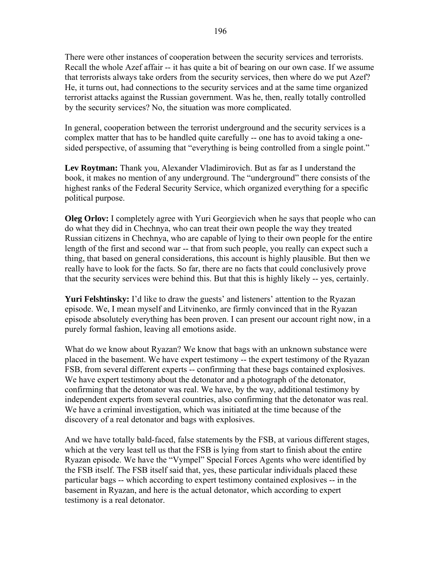There were other instances of cooperation between the security services and terrorists. Recall the whole Azef affair -- it has quite a bit of bearing on our own case. If we assume that terrorists always take orders from the security services, then where do we put Azef? He, it turns out, had connections to the security services and at the same time organized terrorist attacks against the Russian government. Was he, then, really totally controlled by the security services? No, the situation was more complicated.

In general, cooperation between the terrorist underground and the security services is a complex matter that has to be handled quite carefully -- one has to avoid taking a onesided perspective, of assuming that "everything is being controlled from a single point."

**Lev Roytman:** Thank you, Alexander Vladimirovich. But as far as I understand the book, it makes no mention of any underground. The "underground" there consists of the highest ranks of the Federal Security Service, which organized everything for a specific political purpose.

**Oleg Orlov:** I completely agree with Yuri Georgievich when he says that people who can do what they did in Chechnya, who can treat their own people the way they treated Russian citizens in Chechnya, who are capable of lying to their own people for the entire length of the first and second war -- that from such people, you really can expect such a thing, that based on general considerations, this account is highly plausible. But then we really have to look for the facts. So far, there are no facts that could conclusively prove that the security services were behind this. But that this is highly likely -- yes, certainly.

**Yuri Felshtinsky:** I'd like to draw the guests' and listeners' attention to the Ryazan episode. We, I mean myself and Litvinenko, are firmly convinced that in the Ryazan episode absolutely everything has been proven. I can present our account right now, in a purely formal fashion, leaving all emotions aside.

What do we know about Ryazan? We know that bags with an unknown substance were placed in the basement. We have expert testimony -- the expert testimony of the Ryazan FSB, from several different experts -- confirming that these bags contained explosives. We have expert testimony about the detonator and a photograph of the detonator, confirming that the detonator was real. We have, by the way, additional testimony by independent experts from several countries, also confirming that the detonator was real. We have a criminal investigation, which was initiated at the time because of the discovery of a real detonator and bags with explosives.

And we have totally bald-faced, false statements by the FSB, at various different stages, which at the very least tell us that the FSB is lying from start to finish about the entire Ryazan episode. We have the "Vympel" Special Forces Agents who were identified by the FSB itself. The FSB itself said that, yes, these particular individuals placed these particular bags -- which according to expert testimony contained explosives -- in the basement in Ryazan, and here is the actual detonator, which according to expert testimony is a real detonator.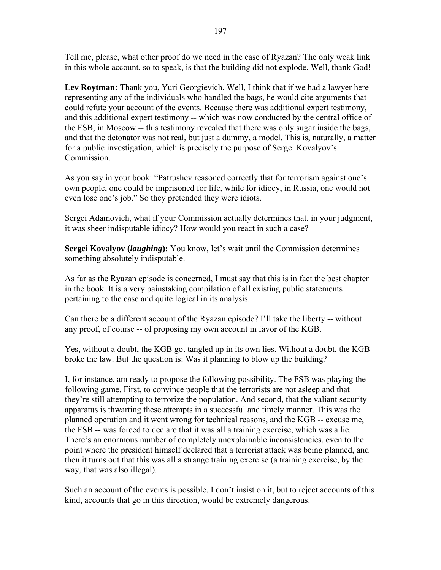Tell me, please, what other proof do we need in the case of Ryazan? The only weak link in this whole account, so to speak, is that the building did not explode. Well, thank God!

**Lev Roytman:** Thank you, Yuri Georgievich. Well, I think that if we had a lawyer here representing any of the individuals who handled the bags, he would cite arguments that could refute your account of the events. Because there was additional expert testimony, and this additional expert testimony -- which was now conducted by the central office of the FSB, in Moscow -- this testimony revealed that there was only sugar inside the bags, and that the detonator was not real, but just a dummy, a model. This is, naturally, a matter for a public investigation, which is precisely the purpose of Sergei Kovalyov's Commission.

As you say in your book: "Patrushev reasoned correctly that for terrorism against one's own people, one could be imprisoned for life, while for idiocy, in Russia, one would not even lose one's job." So they pretended they were idiots.

Sergei Adamovich, what if your Commission actually determines that, in your judgment, it was sheer indisputable idiocy? How would you react in such a case?

**Sergei Kovalyov (***laughing***):** You know, let's wait until the Commission determines something absolutely indisputable.

As far as the Ryazan episode is concerned, I must say that this is in fact the best chapter in the book. It is a very painstaking compilation of all existing public statements pertaining to the case and quite logical in its analysis.

Can there be a different account of the Ryazan episode? I'll take the liberty -- without any proof, of course -- of proposing my own account in favor of the KGB.

Yes, without a doubt, the KGB got tangled up in its own lies. Without a doubt, the KGB broke the law. But the question is: Was it planning to blow up the building?

I, for instance, am ready to propose the following possibility. The FSB was playing the following game. First, to convince people that the terrorists are not asleep and that they're still attempting to terrorize the population. And second, that the valiant security apparatus is thwarting these attempts in a successful and timely manner. This was the planned operation and it went wrong for technical reasons, and the KGB -- excuse me, the FSB -- was forced to declare that it was all a training exercise, which was a lie. There's an enormous number of completely unexplainable inconsistencies, even to the point where the president himself declared that a terrorist attack was being planned, and then it turns out that this was all a strange training exercise (a training exercise, by the way, that was also illegal).

Such an account of the events is possible. I don't insist on it, but to reject accounts of this kind, accounts that go in this direction, would be extremely dangerous.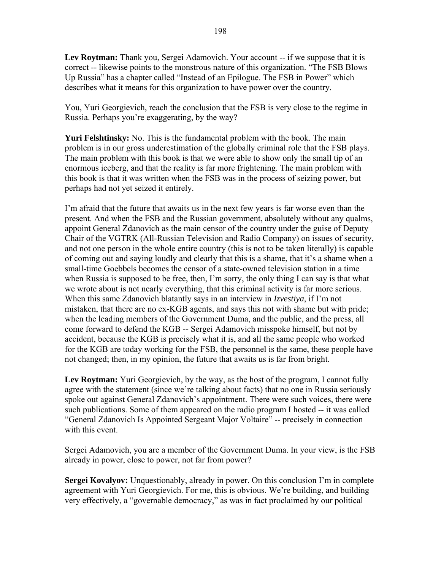**Lev Roytman:** Thank you, Sergei Adamovich. Your account -- if we suppose that it is correct -- likewise points to the monstrous nature of this organization. "The FSB Blows Up Russia" has a chapter called "Instead of an Epilogue. The FSB in Power" which describes what it means for this organization to have power over the country.

You, Yuri Georgievich, reach the conclusion that the FSB is very close to the regime in Russia. Perhaps you're exaggerating, by the way?

**Yuri Felshtinsky:** No. This is the fundamental problem with the book. The main problem is in our gross underestimation of the globally criminal role that the FSB plays. The main problem with this book is that we were able to show only the small tip of an enormous iceberg, and that the reality is far more frightening. The main problem with this book is that it was written when the FSB was in the process of seizing power, but perhaps had not yet seized it entirely.

I'm afraid that the future that awaits us in the next few years is far worse even than the present. And when the FSB and the Russian government, absolutely without any qualms, appoint General Zdanovich as the main censor of the country under the guise of Deputy Chair of the VGTRK (All-Russian Television and Radio Company) on issues of security, and not one person in the whole entire country (this is not to be taken literally) is capable of coming out and saying loudly and clearly that this is a shame, that it's a shame when a small-time Goebbels becomes the censor of a state-owned television station in a time when Russia is supposed to be free, then, I'm sorry, the only thing I can say is that what we wrote about is not nearly everything, that this criminal activity is far more serious. When this same Zdanovich blatantly says in an interview in *Izvestiya*, if I'm not mistaken, that there are no ex-KGB agents, and says this not with shame but with pride; when the leading members of the Government Duma, and the public, and the press, all come forward to defend the KGB -- Sergei Adamovich misspoke himself, but not by accident, because the KGB is precisely what it is, and all the same people who worked for the KGB are today working for the FSB, the personnel is the same, these people have not changed; then, in my opinion, the future that awaits us is far from bright.

Lev Roytman: Yuri Georgievich, by the way, as the host of the program, I cannot fully agree with the statement (since we're talking about facts) that no one in Russia seriously spoke out against General Zdanovich's appointment. There were such voices, there were such publications. Some of them appeared on the radio program I hosted -- it was called "General Zdanovich Is Appointed Sergeant Major Voltaire" -- precisely in connection with this event.

Sergei Adamovich, you are a member of the Government Duma. In your view, is the FSB already in power, close to power, not far from power?

**Sergei Kovalyov:** Unquestionably, already in power. On this conclusion I'm in complete agreement with Yuri Georgievich. For me, this is obvious. We're building, and building very effectively, a "governable democracy," as was in fact proclaimed by our political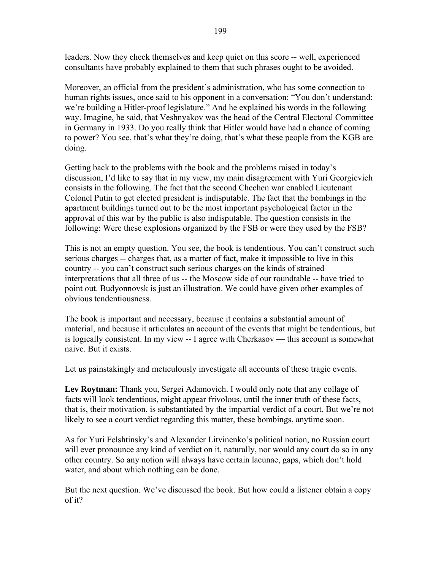leaders. Now they check themselves and keep quiet on this score -- well, experienced consultants have probably explained to them that such phrases ought to be avoided.

Moreover, an official from the president's administration, who has some connection to human rights issues, once said to his opponent in a conversation: "You don't understand: we're building a Hitler-proof legislature." And he explained his words in the following way. Imagine, he said, that Veshnyakov was the head of the Central Electoral Committee in Germany in 1933. Do you really think that Hitler would have had a chance of coming to power? You see, that's what they're doing, that's what these people from the KGB are doing.

Getting back to the problems with the book and the problems raised in today's discussion, I'd like to say that in my view, my main disagreement with Yuri Georgievich consists in the following. The fact that the second Chechen war enabled Lieutenant Colonel Putin to get elected president is indisputable. The fact that the bombings in the apartment buildings turned out to be the most important psychological factor in the approval of this war by the public is also indisputable. The question consists in the following: Were these explosions organized by the FSB or were they used by the FSB?

This is not an empty question. You see, the book is tendentious. You can't construct such serious charges -- charges that, as a matter of fact, make it impossible to live in this country -- you can't construct such serious charges on the kinds of strained interpretations that all three of us -- the Moscow side of our roundtable -- have tried to point out. Budyonnovsk is just an illustration. We could have given other examples of obvious tendentiousness.

The book is important and necessary, because it contains a substantial amount of material, and because it articulates an account of the events that might be tendentious, but is logically consistent. In my view -- I agree with Cherkasov — this account is somewhat naive. But it exists.

Let us painstakingly and meticulously investigate all accounts of these tragic events.

**Lev Roytman:** Thank you, Sergei Adamovich. I would only note that any collage of facts will look tendentious, might appear frivolous, until the inner truth of these facts, that is, their motivation, is substantiated by the impartial verdict of a court. But we're not likely to see a court verdict regarding this matter, these bombings, anytime soon.

As for Yuri Felshtinsky's and Alexander Litvinenko's political notion, no Russian court will ever pronounce any kind of verdict on it, naturally, nor would any court do so in any other country. So any notion will always have certain lacunae, gaps, which don't hold water, and about which nothing can be done.

But the next question. We've discussed the book. But how could a listener obtain a copy of it?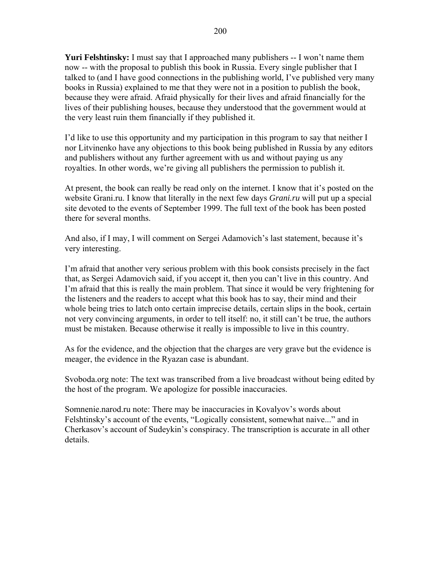**Yuri Felshtinsky:** I must say that I approached many publishers -- I won't name them now -- with the proposal to publish this book in Russia. Every single publisher that I talked to (and I have good connections in the publishing world, I've published very many books in Russia) explained to me that they were not in a position to publish the book, because they were afraid. Afraid physically for their lives and afraid financially for the lives of their publishing houses, because they understood that the government would at the very least ruin them financially if they published it.

I'd like to use this opportunity and my participation in this program to say that neither I nor Litvinenko have any objections to this book being published in Russia by any editors and publishers without any further agreement with us and without paying us any royalties. In other words, we're giving all publishers the permission to publish it.

At present, the book can really be read only on the internet. I know that it's posted on the website Grani.ru. I know that literally in the next few days *Grani.ru* will put up a special site devoted to the events of September 1999. The full text of the book has been posted there for several months.

And also, if I may, I will comment on Sergei Adamovich's last statement, because it's very interesting.

I'm afraid that another very serious problem with this book consists precisely in the fact that, as Sergei Adamovich said, if you accept it, then you can't live in this country. And I'm afraid that this is really the main problem. That since it would be very frightening for the listeners and the readers to accept what this book has to say, their mind and their whole being tries to latch onto certain imprecise details, certain slips in the book, certain not very convincing arguments, in order to tell itself: no, it still can't be true, the authors must be mistaken. Because otherwise it really is impossible to live in this country.

As for the evidence, and the objection that the charges are very grave but the evidence is meager, the evidence in the Ryazan case is abundant.

Svoboda.org note: The text was transcribed from a live broadcast without being edited by the host of the program. We apologize for possible inaccuracies.

Somnenie.narod.ru note: There may be inaccuracies in Kovalyov's words about Felshtinsky's account of the events, "Logically consistent, somewhat naive..." and in Cherkasov's account of Sudeykin's conspiracy. The transcription is accurate in all other details.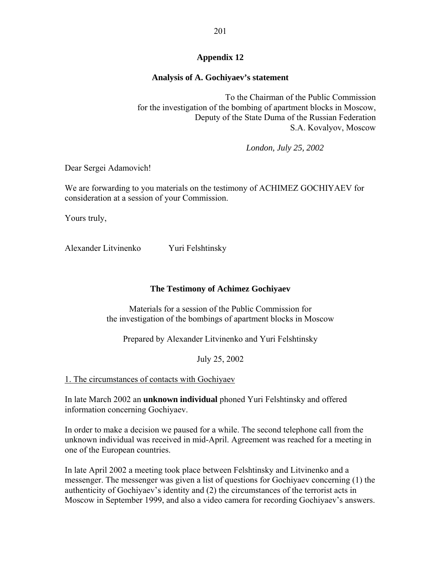# **Appendix 12**

## **Analysis of A. Gochiyaev's statement**

To the Chairman of the Public Commission for the investigation of the bombing of apartment blocks in Moscow, Deputy of the State Duma of the Russian Federation S.A. Kovalyov, Moscow

 *London, July 25, 2002* 

Dear Sergei Adamovich!

We are forwarding to you materials on the testimony of ACHIMEZ GOCHIYAEV for consideration at a session of your Commission.

Yours truly,

Alexander Litvinenko Yuri Felshtinsky

# **The Testimony of Achimez Gochiyaev**

Materials for a session of the Public Commission for the investigation of the bombings of apartment blocks in Moscow

Prepared by Alexander Litvinenko and Yuri Felshtinsky

July 25, 2002

1. The circumstances of contacts with Gochiyaev

In late March 2002 an **unknown individual** phoned Yuri Felshtinsky and offered information concerning Gochiyaev.

In order to make a decision we paused for a while. The second telephone call from the unknown individual was received in mid-April. Agreement was reached for a meeting in one of the European countries.

In late April 2002 a meeting took place between Felshtinsky and Litvinenko and a messenger. The messenger was given a list of questions for Gochiyaev concerning (1) the authenticity of Gochiyaev's identity and (2) the circumstances of the terrorist acts in Moscow in September 1999, and also a video camera for recording Gochiyaev's answers.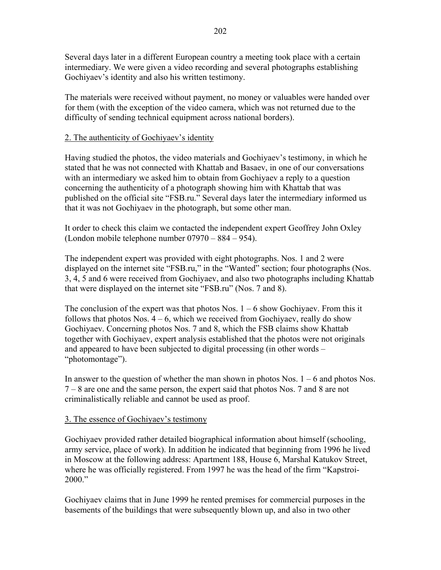Several days later in a different European country a meeting took place with a certain intermediary. We were given a video recording and several photographs establishing Gochiyaev's identity and also his written testimony.

The materials were received without payment, no money or valuables were handed over for them (with the exception of the video camera, which was not returned due to the difficulty of sending technical equipment across national borders).

# 2. The authenticity of Gochiyaev's identity

Having studied the photos, the video materials and Gochiyaev's testimony, in which he stated that he was not connected with Khattab and Basaev, in one of our conversations with an intermediary we asked him to obtain from Gochiyaev a reply to a question concerning the authenticity of a photograph showing him with Khattab that was published on the official site "FSB.ru." Several days later the intermediary informed us that it was not Gochiyaev in the photograph, but some other man.

It order to check this claim we contacted the independent expert Geoffrey John Oxley (London mobile telephone number 07970 – 884 – 954).

The independent expert was provided with eight photographs. Nos. 1 and 2 were displayed on the internet site "FSB.ru," in the "Wanted" section; four photographs (Nos. 3, 4, 5 and 6 were received from Gochiyaev, and also two photographs including Khattab that were displayed on the internet site "FSB.ru" (Nos. 7 and 8).

The conclusion of the expert was that photos Nos.  $1 - 6$  show Gochiyaev. From this it follows that photos Nos.  $4 - 6$ , which we received from Gochiyaev, really do show Gochiyaev. Concerning photos Nos. 7 and 8, which the FSB claims show Khattab together with Gochiyaev, expert analysis established that the photos were not originals and appeared to have been subjected to digital processing (in other words – "photomontage").

In answer to the question of whether the man shown in photos Nos.  $1 - 6$  and photos Nos. 7 – 8 are one and the same person, the expert said that photos Nos. 7 and 8 are not criminalistically reliable and cannot be used as proof.

# 3. The essence of Gochiyaev's testimony

Gochiyaev provided rather detailed biographical information about himself (schooling, army service, place of work). In addition he indicated that beginning from 1996 he lived in Moscow at the following address: Apartment 188, House 6, Marshal Katukov Street, where he was officially registered. From 1997 he was the head of the firm "Kapstroi-2000."

Gochiyaev claims that in June 1999 he rented premises for commercial purposes in the basements of the buildings that were subsequently blown up, and also in two other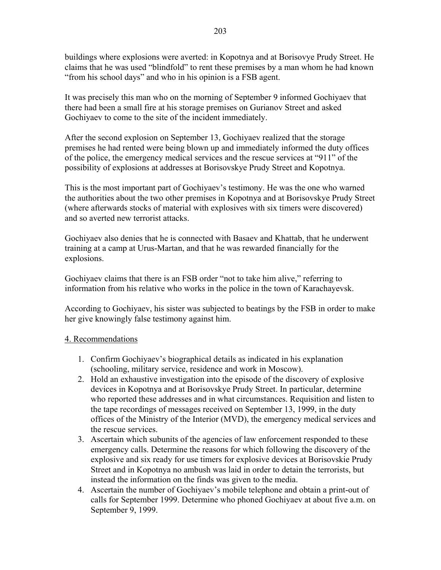buildings where explosions were averted: in Kopotnya and at Borisovye Prudy Street. He claims that he was used "blindfold" to rent these premises by a man whom he had known "from his school days" and who in his opinion is a FSB agent.

It was precisely this man who on the morning of September 9 informed Gochiyaev that there had been a small fire at his storage premises on Gurianov Street and asked Gochiyaev to come to the site of the incident immediately.

After the second explosion on September 13, Gochiyaev realized that the storage premises he had rented were being blown up and immediately informed the duty offices of the police, the emergency medical services and the rescue services at "911" of the possibility of explosions at addresses at Borisovskye Prudy Street and Kopotnya.

This is the most important part of Gochiyaev's testimony. He was the one who warned the authorities about the two other premises in Kopotnya and at Borisovskye Prudy Street (where afterwards stocks of material with explosives with six timers were discovered) and so averted new terrorist attacks.

Gochiyaev also denies that he is connected with Basaev and Khattab, that he underwent training at a camp at Urus-Martan, and that he was rewarded financially for the explosions.

Gochiyaev claims that there is an FSB order "not to take him alive," referring to information from his relative who works in the police in the town of Karachayevsk.

According to Gochiyaev, his sister was subjected to beatings by the FSB in order to make her give knowingly false testimony against him.

## 4. Recommendations

- 1. Confirm Gochiyaev's biographical details as indicated in his explanation (schooling, military service, residence and work in Moscow).
- 2. Hold an exhaustive investigation into the episode of the discovery of explosive devices in Kopotnya and at Borisovskye Prudy Street. In particular, determine who reported these addresses and in what circumstances. Requisition and listen to the tape recordings of messages received on September 13, 1999, in the duty offices of the Ministry of the Interior (MVD), the emergency medical services and the rescue services.
- 3. Ascertain which subunits of the agencies of law enforcement responded to these emergency calls. Determine the reasons for which following the discovery of the explosive and six ready for use timers for explosive devices at Borisovskie Prudy Street and in Kopotnya no ambush was laid in order to detain the terrorists, but instead the information on the finds was given to the media.
- 4. Ascertain the number of Gochiyaev's mobile telephone and obtain a print-out of calls for September 1999. Determine who phoned Gochiyaev at about five a.m. on September 9, 1999.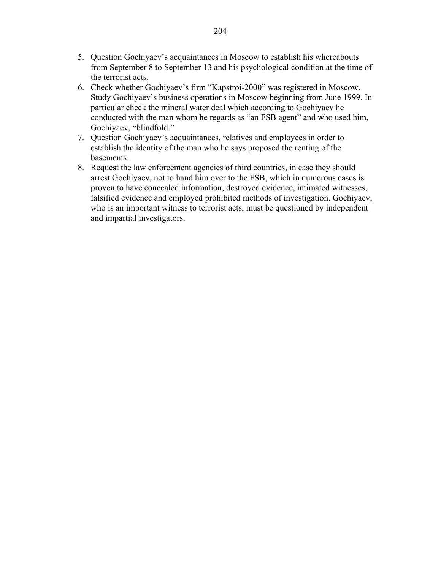- 5. Question Gochiyaev's acquaintances in Moscow to establish his whereabouts from September 8 to September 13 and his psychological condition at the time of the terrorist acts.
- 6. Check whether Gochiyaev's firm "Kapstroi-2000" was registered in Moscow. Study Gochiyaev's business operations in Moscow beginning from June 1999. In particular check the mineral water deal which according to Gochiyaev he conducted with the man whom he regards as "an FSB agent" and who used him, Gochiyaev, "blindfold."
- 7. Question Gochiyaev's acquaintances, relatives and employees in order to establish the identity of the man who he says proposed the renting of the basements.
- 8. Request the law enforcement agencies of third countries, in case they should arrest Gochiyaev, not to hand him over to the FSB, which in numerous cases is proven to have concealed information, destroyed evidence, intimated witnesses, falsified evidence and employed prohibited methods of investigation. Gochiyaev, who is an important witness to terrorist acts, must be questioned by independent and impartial investigators.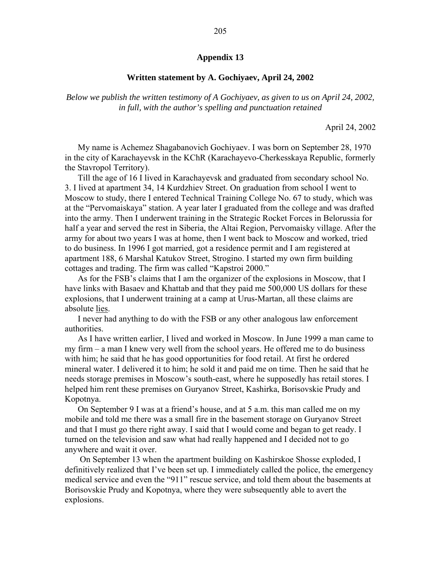#### **Appendix 13**

#### **Written statement by A. Gochiyaev, April 24, 2002**

*Below we publish the written testimony of A Gochiyaev, as given to us on April 24, 2002, in full, with the author's spelling and punctuation retained* 

April 24, 2002

My name is Achemez Shagabanovich Gochiyaev. I was born on September 28, 1970 in the city of Karachayevsk in the KChR (Karachayevo-Cherkesskaya Republic, formerly the Stavropol Territory).

Till the age of 16 I lived in Karachayevsk and graduated from secondary school No. 3. I lived at apartment 34, 14 Kurdzhiev Street. On graduation from school I went to Moscow to study, there I entered Technical Training College No. 67 to study, which was at the "Pervomaiskaya" station. A year later I graduated from the college and was drafted into the army. Then I underwent training in the Strategic Rocket Forces in Belorussia for half a year and served the rest in Siberia, the Altai Region, Pervomaisky village. After the army for about two years I was at home, then I went back to Moscow and worked, tried to do business. In 1996 I got married, got a residence permit and I am registered at apartment 188, 6 Marshal Katukov Street, Strogino. I started my own firm building cottages and trading. The firm was called "Kapstroi 2000."

As for the FSB's claims that I am the organizer of the explosions in Moscow, that I have links with Basaev and Khattab and that they paid me 500,000 US dollars for these explosions, that I underwent training at a camp at Urus-Martan, all these claims are absolute lies.

I never had anything to do with the FSB or any other analogous law enforcement authorities.

As I have written earlier, I lived and worked in Moscow. In June 1999 a man came to my firm – a man I knew very well from the school years. He offered me to do business with him; he said that he has good opportunities for food retail. At first he ordered mineral water. I delivered it to him; he sold it and paid me on time. Then he said that he needs storage premises in Moscow's south-east, where he supposedly has retail stores. I helped him rent these premises on Guryanov Street, Kashirka, Borisovskie Prudy and Kopotnya.

On September 9 I was at a friend's house, and at 5 a.m. this man called me on my mobile and told me there was a small fire in the basement storage on Guryanov Street and that I must go there right away. I said that I would come and began to get ready. I turned on the television and saw what had really happened and I decided not to go anywhere and wait it over.

 On September 13 when the apartment building on Kashirskoe Shosse exploded, I definitively realized that I've been set up. I immediately called the police, the emergency medical service and even the "911" rescue service, and told them about the basements at Borisovskie Prudy and Kopotnya, where they were subsequently able to avert the explosions.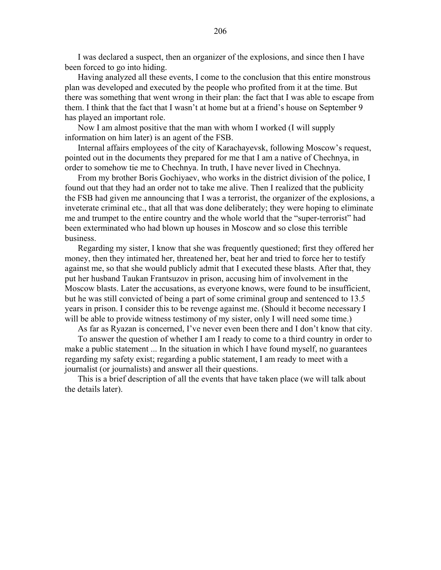I was declared a suspect, then an organizer of the explosions, and since then I have been forced to go into hiding.

Having analyzed all these events, I come to the conclusion that this entire monstrous plan was developed and executed by the people who profited from it at the time. But there was something that went wrong in their plan: the fact that I was able to escape from them. I think that the fact that I wasn't at home but at a friend's house on September 9 has played an important role.

Now I am almost positive that the man with whom I worked (I will supply information on him later) is an agent of the FSB.

Internal affairs employees of the city of Karachayevsk, following Moscow's request, pointed out in the documents they prepared for me that I am a native of Chechnya, in order to somehow tie me to Chechnya. In truth, I have never lived in Chechnya.

From my brother Boris Gochiyaev, who works in the district division of the police, I found out that they had an order not to take me alive. Then I realized that the publicity the FSB had given me announcing that I was a terrorist, the organizer of the explosions, a inveterate criminal etc., that all that was done deliberately; they were hoping to eliminate me and trumpet to the entire country and the whole world that the "super-terrorist" had been exterminated who had blown up houses in Moscow and so close this terrible business.

Regarding my sister, I know that she was frequently questioned; first they offered her money, then they intimated her, threatened her, beat her and tried to force her to testify against me, so that she would publicly admit that I executed these blasts. After that, they put her husband Taukan Frantsuzov in prison, accusing him of involvement in the Moscow blasts. Later the accusations, as everyone knows, were found to be insufficient, but he was still convicted of being a part of some criminal group and sentenced to 13.5 years in prison. I consider this to be revenge against me. (Should it become necessary I will be able to provide witness testimony of my sister, only I will need some time.)

As far as Ryazan is concerned, I've never even been there and I don't know that city.

To answer the question of whether I am I ready to come to a third country in order to make a public statement ... In the situation in which I have found myself, no guarantees regarding my safety exist; regarding a public statement, I am ready to meet with a journalist (or journalists) and answer all their questions.

This is a brief description of all the events that have taken place (we will talk about the details later).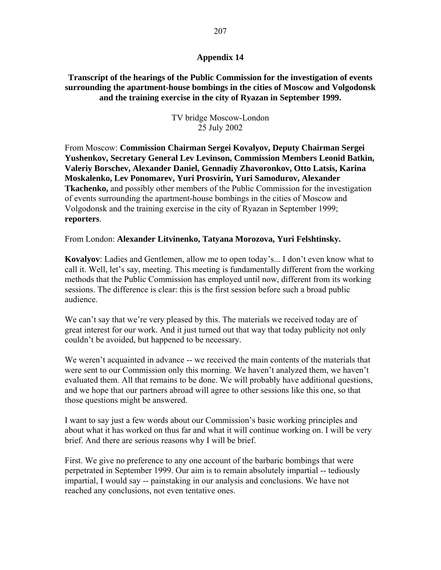## **Appendix 14**

**Transcript of the hearings of the Public Commission for the investigation of events surrounding the apartment-house bombings in the cities of Moscow and Volgodonsk and the training exercise in the city of Ryazan in September 1999.** 

> TV bridge Moscow-London 25 July 2002

From Moscow: **Commission Chairman Sergei Kovalyov, Deputy Chairman Sergei Yushenkov, Secretary General Lev Levinson, Commission Members Leonid Batkin, Valeriy Borschev, Alexander Daniel, Gennadiy Zhavoronkov, Otto Latsis, Karina Moskalenko, Lev Ponomarev, Yuri Prosvirin, Yuri Samodurov, Alexander Tkachenko,** and possibly other members of the Public Commission for the investigation of events surrounding the apartment-house bombings in the cities of Moscow and Volgodonsk and the training exercise in the city of Ryazan in September 1999; **reporters**.

## From London: **Alexander Litvinenko, Tatyana Morozova, Yuri Felshtinsky.**

**Kovalyov**: Ladies and Gentlemen, allow me to open today's... I don't even know what to call it. Well, let's say, meeting. This meeting is fundamentally different from the working methods that the Public Commission has employed until now, different from its working sessions. The difference is clear: this is the first session before such a broad public audience.

We can't say that we're very pleased by this. The materials we received today are of great interest for our work. And it just turned out that way that today publicity not only couldn't be avoided, but happened to be necessary.

We weren't acquainted in advance -- we received the main contents of the materials that were sent to our Commission only this morning. We haven't analyzed them, we haven't evaluated them. All that remains to be done. We will probably have additional questions, and we hope that our partners abroad will agree to other sessions like this one, so that those questions might be answered.

I want to say just a few words about our Commission's basic working principles and about what it has worked on thus far and what it will continue working on. I will be very brief. And there are serious reasons why I will be brief.

First. We give no preference to any one account of the barbaric bombings that were perpetrated in September 1999. Our aim is to remain absolutely impartial -- tediously impartial, I would say -- painstaking in our analysis and conclusions. We have not reached any conclusions, not even tentative ones.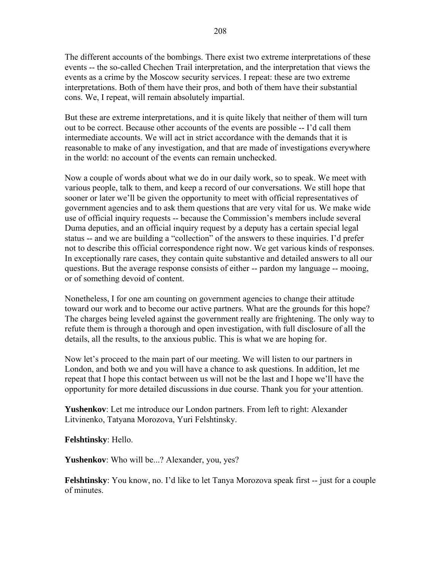The different accounts of the bombings. There exist two extreme interpretations of these events -- the so-called Chechen Trail interpretation, and the interpretation that views the events as a crime by the Moscow security services. I repeat: these are two extreme interpretations. Both of them have their pros, and both of them have their substantial cons. We, I repeat, will remain absolutely impartial.

But these are extreme interpretations, and it is quite likely that neither of them will turn out to be correct. Because other accounts of the events are possible -- I'd call them intermediate accounts. We will act in strict accordance with the demands that it is reasonable to make of any investigation, and that are made of investigations everywhere in the world: no account of the events can remain unchecked.

Now a couple of words about what we do in our daily work, so to speak. We meet with various people, talk to them, and keep a record of our conversations. We still hope that sooner or later we'll be given the opportunity to meet with official representatives of government agencies and to ask them questions that are very vital for us. We make wide use of official inquiry requests -- because the Commission's members include several Duma deputies, and an official inquiry request by a deputy has a certain special legal status -- and we are building a "collection" of the answers to these inquiries. I'd prefer not to describe this official correspondence right now. We get various kinds of responses. In exceptionally rare cases, they contain quite substantive and detailed answers to all our questions. But the average response consists of either -- pardon my language -- mooing, or of something devoid of content.

Nonetheless, I for one am counting on government agencies to change their attitude toward our work and to become our active partners. What are the grounds for this hope? The charges being leveled against the government really are frightening. The only way to refute them is through a thorough and open investigation, with full disclosure of all the details, all the results, to the anxious public. This is what we are hoping for.

Now let's proceed to the main part of our meeting. We will listen to our partners in London, and both we and you will have a chance to ask questions. In addition, let me repeat that I hope this contact between us will not be the last and I hope we'll have the opportunity for more detailed discussions in due course. Thank you for your attention.

**Yushenkov**: Let me introduce our London partners. From left to right: Alexander Litvinenko, Tatyana Morozova, Yuri Felshtinsky.

**Felshtinsky**: Hello.

Yushenkov: Who will be...? Alexander, you, yes?

**Felshtinsky**: You know, no. I'd like to let Tanya Morozova speak first -- just for a couple of minutes.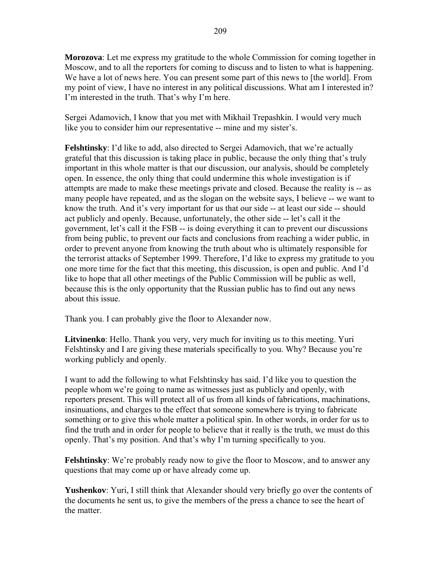**Morozova**: Let me express my gratitude to the whole Commission for coming together in Moscow, and to all the reporters for coming to discuss and to listen to what is happening. We have a lot of news here. You can present some part of this news to [the world]. From my point of view, I have no interest in any political discussions. What am I interested in? I'm interested in the truth. That's why I'm here.

Sergei Adamovich, I know that you met with Mikhail Trepashkin. I would very much like you to consider him our representative -- mine and my sister's.

**Felshtinsky**: I'd like to add, also directed to Sergei Adamovich, that we're actually grateful that this discussion is taking place in public, because the only thing that's truly important in this whole matter is that our discussion, our analysis, should be completely open. In essence, the only thing that could undermine this whole investigation is if attempts are made to make these meetings private and closed. Because the reality is -- as many people have repeated, and as the slogan on the website says, I believe -- we want to know the truth. And it's very important for us that our side -- at least our side -- should act publicly and openly. Because, unfortunately, the other side -- let's call it the government, let's call it the FSB -- is doing everything it can to prevent our discussions from being public, to prevent our facts and conclusions from reaching a wider public, in order to prevent anyone from knowing the truth about who is ultimately responsible for the terrorist attacks of September 1999. Therefore, I'd like to express my gratitude to you one more time for the fact that this meeting, this discussion, is open and public. And I'd like to hope that all other meetings of the Public Commission will be public as well, because this is the only opportunity that the Russian public has to find out any news about this issue.

Thank you. I can probably give the floor to Alexander now.

**Litvinenko**: Hello. Thank you very, very much for inviting us to this meeting. Yuri Felshtinsky and I are giving these materials specifically to you. Why? Because you're working publicly and openly.

I want to add the following to what Felshtinsky has said. I'd like you to question the people whom we're going to name as witnesses just as publicly and openly, with reporters present. This will protect all of us from all kinds of fabrications, machinations, insinuations, and charges to the effect that someone somewhere is trying to fabricate something or to give this whole matter a political spin. In other words, in order for us to find the truth and in order for people to believe that it really is the truth, we must do this openly. That's my position. And that's why I'm turning specifically to you.

**Felshtinsky**: We're probably ready now to give the floor to Moscow, and to answer any questions that may come up or have already come up.

Yushenkov: Yuri, I still think that Alexander should very briefly go over the contents of the documents he sent us, to give the members of the press a chance to see the heart of the matter.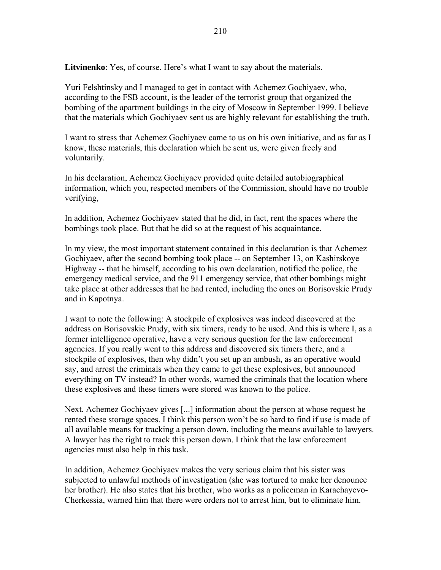**Litvinenko**: Yes, of course. Here's what I want to say about the materials.

Yuri Felshtinsky and I managed to get in contact with Achemez Gochiyaev, who, according to the FSB account, is the leader of the terrorist group that organized the bombing of the apartment buildings in the city of Moscow in September 1999. I believe that the materials which Gochiyaev sent us are highly relevant for establishing the truth.

I want to stress that Achemez Gochiyaev came to us on his own initiative, and as far as I know, these materials, this declaration which he sent us, were given freely and voluntarily.

In his declaration, Achemez Gochiyaev provided quite detailed autobiographical information, which you, respected members of the Commission, should have no trouble verifying,

In addition, Achemez Gochiyaev stated that he did, in fact, rent the spaces where the bombings took place. But that he did so at the request of his acquaintance.

In my view, the most important statement contained in this declaration is that Achemez Gochiyaev, after the second bombing took place -- on September 13, on Kashirskoye Highway -- that he himself, according to his own declaration, notified the police, the emergency medical service, and the 911 emergency service, that other bombings might take place at other addresses that he had rented, including the ones on Borisovskie Prudy and in Kapotnya.

I want to note the following: A stockpile of explosives was indeed discovered at the address on Borisovskie Prudy, with six timers, ready to be used. And this is where I, as a former intelligence operative, have a very serious question for the law enforcement agencies. If you really went to this address and discovered six timers there, and a stockpile of explosives, then why didn't you set up an ambush, as an operative would say, and arrest the criminals when they came to get these explosives, but announced everything on TV instead? In other words, warned the criminals that the location where these explosives and these timers were stored was known to the police.

Next. Achemez Gochiyaev gives [...] information about the person at whose request he rented these storage spaces. I think this person won't be so hard to find if use is made of all available means for tracking a person down, including the means available to lawyers. A lawyer has the right to track this person down. I think that the law enforcement agencies must also help in this task.

In addition, Achemez Gochiyaev makes the very serious claim that his sister was subjected to unlawful methods of investigation (she was tortured to make her denounce her brother). He also states that his brother, who works as a policeman in Karachayevo-Cherkessia, warned him that there were orders not to arrest him, but to eliminate him.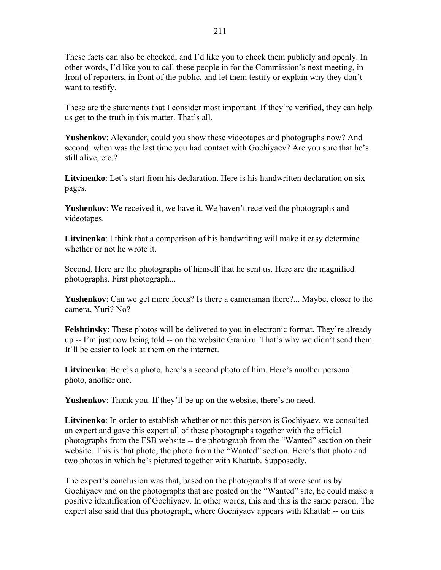These facts can also be checked, and I'd like you to check them publicly and openly. In other words, I'd like you to call these people in for the Commission's next meeting, in front of reporters, in front of the public, and let them testify or explain why they don't want to testify.

These are the statements that I consider most important. If they're verified, they can help us get to the truth in this matter. That's all.

**Yushenkov**: Alexander, could you show these videotapes and photographs now? And second: when was the last time you had contact with Gochiyaev? Are you sure that he's still alive, etc.?

**Litvinenko**: Let's start from his declaration. Here is his handwritten declaration on six pages.

Yushenkov: We received it, we have it. We haven't received the photographs and videotapes.

**Litvinenko**: I think that a comparison of his handwriting will make it easy determine whether or not he wrote it.

Second. Here are the photographs of himself that he sent us. Here are the magnified photographs. First photograph...

**Yushenkov**: Can we get more focus? Is there a cameraman there?... Maybe, closer to the camera, Yuri? No?

**Felshtinsky**: These photos will be delivered to you in electronic format. They're already up -- I'm just now being told -- on the website Grani.ru. That's why we didn't send them. It'll be easier to look at them on the internet.

**Litvinenko**: Here's a photo, here's a second photo of him. Here's another personal photo, another one.

**Yushenkov**: Thank you. If they'll be up on the website, there's no need.

**Litvinenko**: In order to establish whether or not this person is Gochiyaev, we consulted an expert and gave this expert all of these photographs together with the official photographs from the FSB website -- the photograph from the "Wanted" section on their website. This is that photo, the photo from the "Wanted" section. Here's that photo and two photos in which he's pictured together with Khattab. Supposedly.

The expert's conclusion was that, based on the photographs that were sent us by Gochiyaev and on the photographs that are posted on the "Wanted" site, he could make a positive identification of Gochiyaev. In other words, this and this is the same person. The expert also said that this photograph, where Gochiyaev appears with Khattab -- on this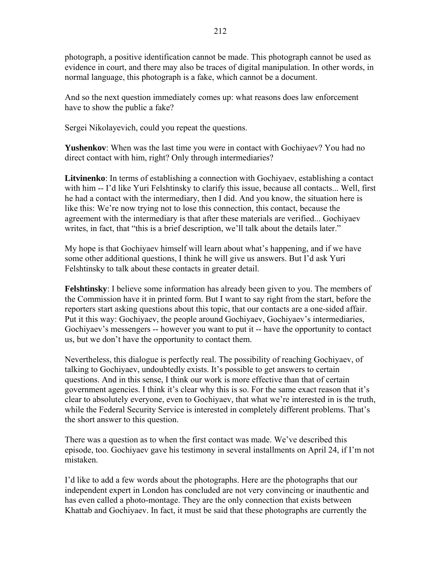photograph, a positive identification cannot be made. This photograph cannot be used as evidence in court, and there may also be traces of digital manipulation. In other words, in normal language, this photograph is a fake, which cannot be a document.

And so the next question immediately comes up: what reasons does law enforcement have to show the public a fake?

Sergei Nikolayevich, could you repeat the questions.

**Yushenkov**: When was the last time you were in contact with Gochiyaev? You had no direct contact with him, right? Only through intermediaries?

**Litvinenko**: In terms of establishing a connection with Gochiyaev, establishing a contact with him -- I'd like Yuri Felshtinsky to clarify this issue, because all contacts... Well, first he had a contact with the intermediary, then I did. And you know, the situation here is like this: We're now trying not to lose this connection, this contact, because the agreement with the intermediary is that after these materials are verified... Gochiyaev writes, in fact, that "this is a brief description, we'll talk about the details later."

My hope is that Gochiyaev himself will learn about what's happening, and if we have some other additional questions, I think he will give us answers. But I'd ask Yuri Felshtinsky to talk about these contacts in greater detail.

**Felshtinsky**: I believe some information has already been given to you. The members of the Commission have it in printed form. But I want to say right from the start, before the reporters start asking questions about this topic, that our contacts are a one-sided affair. Put it this way: Gochiyaev, the people around Gochiyaev, Gochiyaev's intermediaries, Gochiyaev's messengers -- however you want to put it -- have the opportunity to contact us, but we don't have the opportunity to contact them.

Nevertheless, this dialogue is perfectly real. The possibility of reaching Gochiyaev, of talking to Gochiyaev, undoubtedly exists. It's possible to get answers to certain questions. And in this sense, I think our work is more effective than that of certain government agencies. I think it's clear why this is so. For the same exact reason that it's clear to absolutely everyone, even to Gochiyaev, that what we're interested in is the truth, while the Federal Security Service is interested in completely different problems. That's the short answer to this question.

There was a question as to when the first contact was made. We've described this episode, too. Gochiyaev gave his testimony in several installments on April 24, if I'm not mistaken.

I'd like to add a few words about the photographs. Here are the photographs that our independent expert in London has concluded are not very convincing or inauthentic and has even called a photo-montage. They are the only connection that exists between Khattab and Gochiyaev. In fact, it must be said that these photographs are currently the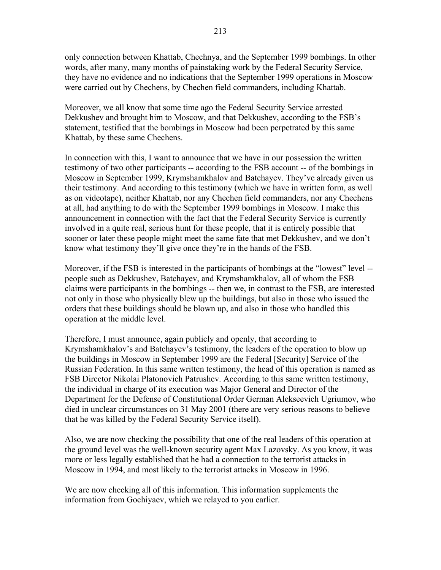only connection between Khattab, Chechnya, and the September 1999 bombings. In other words, after many, many months of painstaking work by the Federal Security Service, they have no evidence and no indications that the September 1999 operations in Moscow were carried out by Chechens, by Chechen field commanders, including Khattab.

Moreover, we all know that some time ago the Federal Security Service arrested Dekkushev and brought him to Moscow, and that Dekkushev, according to the FSB's statement, testified that the bombings in Moscow had been perpetrated by this same Khattab, by these same Chechens.

In connection with this, I want to announce that we have in our possession the written testimony of two other participants -- according to the FSB account -- of the bombings in Moscow in September 1999, Krymshamkhalov and Batchayev. They've already given us their testimony. And according to this testimony (which we have in written form, as well as on videotape), neither Khattab, nor any Chechen field commanders, nor any Chechens at all, had anything to do with the September 1999 bombings in Moscow. I make this announcement in connection with the fact that the Federal Security Service is currently involved in a quite real, serious hunt for these people, that it is entirely possible that sooner or later these people might meet the same fate that met Dekkushev, and we don't know what testimony they'll give once they're in the hands of the FSB.

Moreover, if the FSB is interested in the participants of bombings at the "lowest" level - people such as Dekkushev, Batchayev, and Krymshamkhalov, all of whom the FSB claims were participants in the bombings -- then we, in contrast to the FSB, are interested not only in those who physically blew up the buildings, but also in those who issued the orders that these buildings should be blown up, and also in those who handled this operation at the middle level.

Therefore, I must announce, again publicly and openly, that according to Krymshamkhalov's and Batchayev's testimony, the leaders of the operation to blow up the buildings in Moscow in September 1999 are the Federal [Security] Service of the Russian Federation. In this same written testimony, the head of this operation is named as FSB Director Nikolai Platonovich Patrushev. According to this same written testimony, the individual in charge of its execution was Major General and Director of the Department for the Defense of Constitutional Order German Alekseevich Ugriumov, who died in unclear circumstances on 31 May 2001 (there are very serious reasons to believe that he was killed by the Federal Security Service itself).

Also, we are now checking the possibility that one of the real leaders of this operation at the ground level was the well-known security agent Max Lazovsky. As you know, it was more or less legally established that he had a connection to the terrorist attacks in Moscow in 1994, and most likely to the terrorist attacks in Moscow in 1996.

We are now checking all of this information. This information supplements the information from Gochiyaev, which we relayed to you earlier.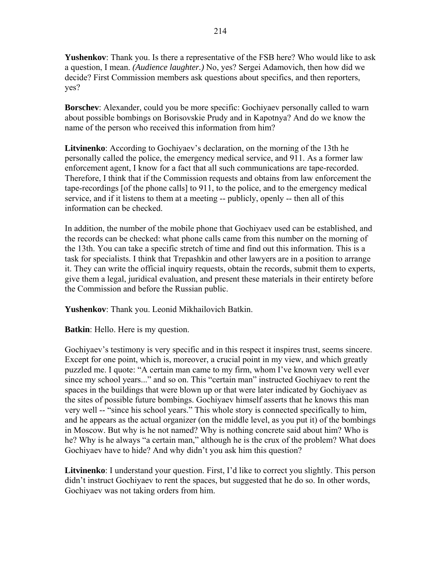**Yushenkov**: Thank you. Is there a representative of the FSB here? Who would like to ask a question, I mean. *(Audience laughter.)* No, yes? Sergei Adamovich, then how did we decide? First Commission members ask questions about specifics, and then reporters, yes?

**Borschev**: Alexander, could you be more specific: Gochiyaev personally called to warn about possible bombings on Borisovskie Prudy and in Kapotnya? And do we know the name of the person who received this information from him?

**Litvinenko**: According to Gochiyaev's declaration, on the morning of the 13th he personally called the police, the emergency medical service, and 911. As a former law enforcement agent, I know for a fact that all such communications are tape-recorded. Therefore, I think that if the Commission requests and obtains from law enforcement the tape-recordings [of the phone calls] to 911, to the police, and to the emergency medical service, and if it listens to them at a meeting -- publicly, openly -- then all of this information can be checked.

In addition, the number of the mobile phone that Gochiyaev used can be established, and the records can be checked: what phone calls came from this number on the morning of the 13th. You can take a specific stretch of time and find out this information. This is a task for specialists. I think that Trepashkin and other lawyers are in a position to arrange it. They can write the official inquiry requests, obtain the records, submit them to experts, give them a legal, juridical evaluation, and present these materials in their entirety before the Commission and before the Russian public.

**Yushenkov**: Thank you. Leonid Mikhailovich Batkin.

**Batkin**: Hello. Here is my question.

Gochiyaev's testimony is very specific and in this respect it inspires trust, seems sincere. Except for one point, which is, moreover, a crucial point in my view, and which greatly puzzled me. I quote: "A certain man came to my firm, whom I've known very well ever since my school years..." and so on. This "certain man" instructed Gochiyaev to rent the spaces in the buildings that were blown up or that were later indicated by Gochiyaev as the sites of possible future bombings. Gochiyaev himself asserts that he knows this man very well -- "since his school years." This whole story is connected specifically to him, and he appears as the actual organizer (on the middle level, as you put it) of the bombings in Moscow. But why is he not named? Why is nothing concrete said about him? Who is he? Why is he always "a certain man," although he is the crux of the problem? What does Gochiyaev have to hide? And why didn't you ask him this question?

**Litvinenko**: I understand your question. First, I'd like to correct you slightly. This person didn't instruct Gochiyaev to rent the spaces, but suggested that he do so. In other words, Gochiyaev was not taking orders from him.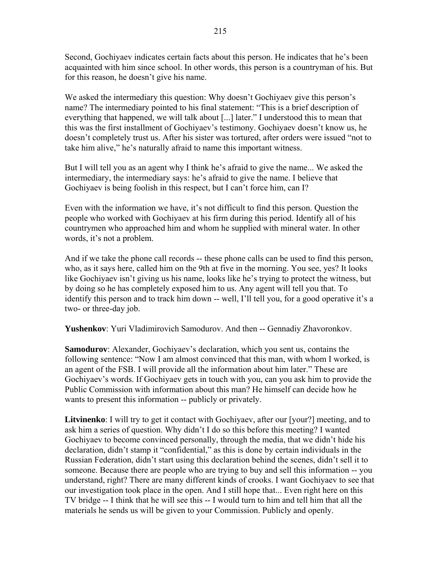Second, Gochiyaev indicates certain facts about this person. He indicates that he's been acquainted with him since school. In other words, this person is a countryman of his. But for this reason, he doesn't give his name.

We asked the intermediary this question: Why doesn't Gochiyaev give this person's name? The intermediary pointed to his final statement: "This is a brief description of everything that happened, we will talk about [...] later." I understood this to mean that this was the first installment of Gochiyaev's testimony. Gochiyaev doesn't know us, he doesn't completely trust us. After his sister was tortured, after orders were issued "not to take him alive," he's naturally afraid to name this important witness.

But I will tell you as an agent why I think he's afraid to give the name... We asked the intermediary, the intermediary says: he's afraid to give the name. I believe that Gochiyaev is being foolish in this respect, but I can't force him, can I?

Even with the information we have, it's not difficult to find this person. Question the people who worked with Gochiyaev at his firm during this period. Identify all of his countrymen who approached him and whom he supplied with mineral water. In other words, it's not a problem.

And if we take the phone call records -- these phone calls can be used to find this person, who, as it says here, called him on the 9th at five in the morning. You see, yes? It looks like Gochiyaev isn't giving us his name, looks like he's trying to protect the witness, but by doing so he has completely exposed him to us. Any agent will tell you that. To identify this person and to track him down -- well, I'll tell you, for a good operative it's a two- or three-day job.

**Yushenkov**: Yuri Vladimirovich Samodurov. And then -- Gennadiy Zhavoronkov.

**Samodurov**: Alexander, Gochiyaev's declaration, which you sent us, contains the following sentence: "Now I am almost convinced that this man, with whom I worked, is an agent of the FSB. I will provide all the information about him later." These are Gochiyaev's words. If Gochiyaev gets in touch with you, can you ask him to provide the Public Commission with information about this man? He himself can decide how he wants to present this information -- publicly or privately.

**Litvinenko**: I will try to get it contact with Gochiyaev, after our [your?] meeting, and to ask him a series of question. Why didn't I do so this before this meeting? I wanted Gochiyaev to become convinced personally, through the media, that we didn't hide his declaration, didn't stamp it "confidential," as this is done by certain individuals in the Russian Federation, didn't start using this declaration behind the scenes, didn't sell it to someone. Because there are people who are trying to buy and sell this information -- you understand, right? There are many different kinds of crooks. I want Gochiyaev to see that our investigation took place in the open. And I still hope that... Even right here on this TV bridge -- I think that he will see this -- I would turn to him and tell him that all the materials he sends us will be given to your Commission. Publicly and openly.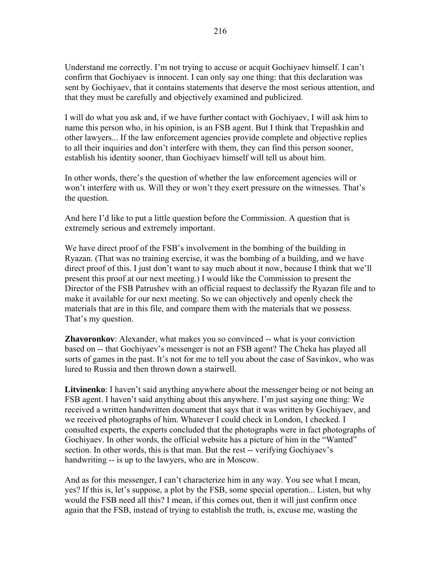Understand me correctly. I'm not trying to accuse or acquit Gochiyaev himself. I can't confirm that Gochiyaev is innocent. I can only say one thing: that this declaration was sent by Gochiyaev, that it contains statements that deserve the most serious attention, and that they must be carefully and objectively examined and publicized.

I will do what you ask and, if we have further contact with Gochiyaev, I will ask him to name this person who, in his opinion, is an FSB agent. But I think that Trepashkin and other lawyers... If the law enforcement agencies provide complete and objective replies to all their inquiries and don't interfere with them, they can find this person sooner, establish his identity sooner, than Gochiyaev himself will tell us about him.

In other words, there's the question of whether the law enforcement agencies will or won't interfere with us. Will they or won't they exert pressure on the witnesses. That's the question.

And here I'd like to put a little question before the Commission. A question that is extremely serious and extremely important.

We have direct proof of the FSB's involvement in the bombing of the building in Ryazan. (That was no training exercise, it was the bombing of a building, and we have direct proof of this. I just don't want to say much about it now, because I think that we'll present this proof at our next meeting.) I would like the Commission to present the Director of the FSB Patrushev with an official request to declassify the Ryazan file and to make it available for our next meeting. So we can objectively and openly check the materials that are in this file, and compare them with the materials that we possess. That's my question.

**Zhavoronkov**: Alexander, what makes you so convinced -- what is your conviction based on -- that Gochiyaev's messenger is not an FSB agent? The Cheka has played all sorts of games in the past. It's not for me to tell you about the case of Savinkov, who was lured to Russia and then thrown down a stairwell.

**Litvinenko**: I haven't said anything anywhere about the messenger being or not being an FSB agent. I haven't said anything about this anywhere. I'm just saying one thing: We received a written handwritten document that says that it was written by Gochiyaev, and we received photographs of him. Whatever I could check in London, I checked. I consulted experts, the experts concluded that the photographs were in fact photographs of Gochiyaev. In other words, the official website has a picture of him in the "Wanted" section. In other words, this is that man. But the rest -- verifying Gochiyaev's handwriting -- is up to the lawyers, who are in Moscow.

And as for this messenger, I can't characterize him in any way. You see what I mean, yes? If this is, let's suppose, a plot by the FSB, some special operation... Listen, but why would the FSB need all this? I mean, if this comes out, then it will just confirm once again that the FSB, instead of trying to establish the truth, is, excuse me, wasting the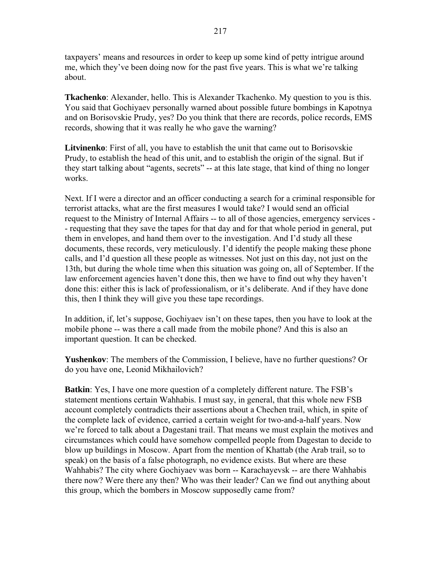taxpayers' means and resources in order to keep up some kind of petty intrigue around me, which they've been doing now for the past five years. This is what we're talking about.

**Tkachenko**: Alexander, hello. This is Alexander Tkachenko. My question to you is this. You said that Gochiyaev personally warned about possible future bombings in Kapotnya and on Borisovskie Prudy, yes? Do you think that there are records, police records, EMS records, showing that it was really he who gave the warning?

**Litvinenko**: First of all, you have to establish the unit that came out to Borisovskie Prudy, to establish the head of this unit, and to establish the origin of the signal. But if they start talking about "agents, secrets" -- at this late stage, that kind of thing no longer works.

Next. If I were a director and an officer conducting a search for a criminal responsible for terrorist attacks, what are the first measures I would take? I would send an official request to the Ministry of Internal Affairs -- to all of those agencies, emergency services - - requesting that they save the tapes for that day and for that whole period in general, put them in envelopes, and hand them over to the investigation. And I'd study all these documents, these records, very meticulously. I'd identify the people making these phone calls, and I'd question all these people as witnesses. Not just on this day, not just on the 13th, but during the whole time when this situation was going on, all of September. If the law enforcement agencies haven't done this, then we have to find out why they haven't done this: either this is lack of professionalism, or it's deliberate. And if they have done this, then I think they will give you these tape recordings.

In addition, if, let's suppose, Gochiyaev isn't on these tapes, then you have to look at the mobile phone -- was there a call made from the mobile phone? And this is also an important question. It can be checked.

**Yushenkov**: The members of the Commission, I believe, have no further questions? Or do you have one, Leonid Mikhailovich?

**Batkin**: Yes, I have one more question of a completely different nature. The FSB's statement mentions certain Wahhabis. I must say, in general, that this whole new FSB account completely contradicts their assertions about a Chechen trail, which, in spite of the complete lack of evidence, carried a certain weight for two-and-a-half years. Now we're forced to talk about a Dagestani trail. That means we must explain the motives and circumstances which could have somehow compelled people from Dagestan to decide to blow up buildings in Moscow. Apart from the mention of Khattab (the Arab trail, so to speak) on the basis of a false photograph, no evidence exists. But where are these Wahhabis? The city where Gochiyaev was born -- Karachayevsk -- are there Wahhabis there now? Were there any then? Who was their leader? Can we find out anything about this group, which the bombers in Moscow supposedly came from?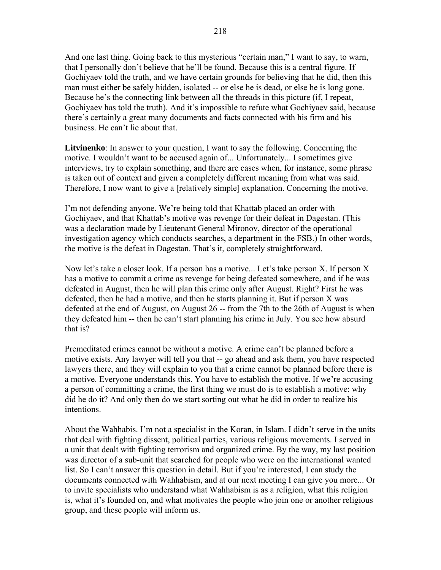And one last thing. Going back to this mysterious "certain man," I want to say, to warn, that I personally don't believe that he'll be found. Because this is a central figure. If Gochiyaev told the truth, and we have certain grounds for believing that he did, then this man must either be safely hidden, isolated -- or else he is dead, or else he is long gone. Because he's the connecting link between all the threads in this picture (if, I repeat, Gochiyaev has told the truth). And it's impossible to refute what Gochiyaev said, because there's certainly a great many documents and facts connected with his firm and his business. He can't lie about that.

**Litvinenko**: In answer to your question, I want to say the following. Concerning the motive. I wouldn't want to be accused again of... Unfortunately... I sometimes give interviews, try to explain something, and there are cases when, for instance, some phrase is taken out of context and given a completely different meaning from what was said. Therefore, I now want to give a [relatively simple] explanation. Concerning the motive.

I'm not defending anyone. We're being told that Khattab placed an order with Gochiyaev, and that Khattab's motive was revenge for their defeat in Dagestan. (This was a declaration made by Lieutenant General Mironov, director of the operational investigation agency which conducts searches, a department in the FSB.) In other words, the motive is the defeat in Dagestan. That's it, completely straightforward.

Now let's take a closer look. If a person has a motive... Let's take person X. If person X has a motive to commit a crime as revenge for being defeated somewhere, and if he was defeated in August, then he will plan this crime only after August. Right? First he was defeated, then he had a motive, and then he starts planning it. But if person X was defeated at the end of August, on August 26 -- from the 7th to the 26th of August is when they defeated him -- then he can't start planning his crime in July. You see how absurd that is?

Premeditated crimes cannot be without a motive. A crime can't be planned before a motive exists. Any lawyer will tell you that -- go ahead and ask them, you have respected lawyers there, and they will explain to you that a crime cannot be planned before there is a motive. Everyone understands this. You have to establish the motive. If we're accusing a person of committing a crime, the first thing we must do is to establish a motive: why did he do it? And only then do we start sorting out what he did in order to realize his intentions.

About the Wahhabis. I'm not a specialist in the Koran, in Islam. I didn't serve in the units that deal with fighting dissent, political parties, various religious movements. I served in a unit that dealt with fighting terrorism and organized crime. By the way, my last position was director of a sub-unit that searched for people who were on the international wanted list. So I can't answer this question in detail. But if you're interested, I can study the documents connected with Wahhabism, and at our next meeting I can give you more... Or to invite specialists who understand what Wahhabism is as a religion, what this religion is, what it's founded on, and what motivates the people who join one or another religious group, and these people will inform us.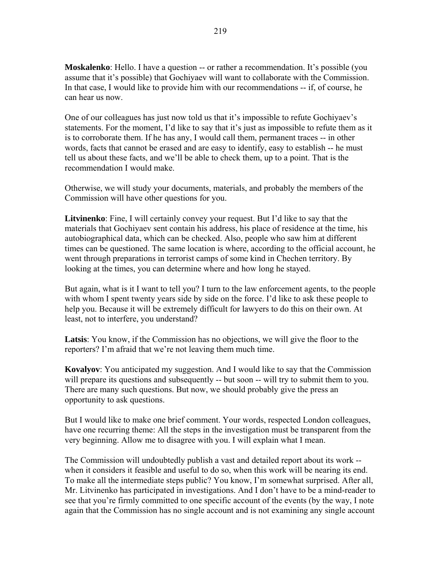**Moskalenko**: Hello. I have a question -- or rather a recommendation. It's possible (you assume that it's possible) that Gochiyaev will want to collaborate with the Commission. In that case, I would like to provide him with our recommendations -- if, of course, he can hear us now.

One of our colleagues has just now told us that it's impossible to refute Gochiyaev's statements. For the moment, I'd like to say that it's just as impossible to refute them as it is to corroborate them. If he has any, I would call them, permanent traces -- in other words, facts that cannot be erased and are easy to identify, easy to establish -- he must tell us about these facts, and we'll be able to check them, up to a point. That is the recommendation I would make.

Otherwise, we will study your documents, materials, and probably the members of the Commission will have other questions for you.

**Litvinenko**: Fine, I will certainly convey your request. But I'd like to say that the materials that Gochiyaev sent contain his address, his place of residence at the time, his autobiographical data, which can be checked. Also, people who saw him at different times can be questioned. The same location is where, according to the official account, he went through preparations in terrorist camps of some kind in Chechen territory. By looking at the times, you can determine where and how long he stayed.

But again, what is it I want to tell you? I turn to the law enforcement agents, to the people with whom I spent twenty years side by side on the force. I'd like to ask these people to help you. Because it will be extremely difficult for lawyers to do this on their own. At least, not to interfere, you understand?

**Latsis**: You know, if the Commission has no objections, we will give the floor to the reporters? I'm afraid that we're not leaving them much time.

**Kovalyov**: You anticipated my suggestion. And I would like to say that the Commission will prepare its questions and subsequently -- but soon -- will try to submit them to you. There are many such questions. But now, we should probably give the press an opportunity to ask questions.

But I would like to make one brief comment. Your words, respected London colleagues, have one recurring theme: All the steps in the investigation must be transparent from the very beginning. Allow me to disagree with you. I will explain what I mean.

The Commission will undoubtedly publish a vast and detailed report about its work - when it considers it feasible and useful to do so, when this work will be nearing its end. To make all the intermediate steps public? You know, I'm somewhat surprised. After all, Mr. Litvinenko has participated in investigations. And I don't have to be a mind-reader to see that you're firmly committed to one specific account of the events (by the way, I note again that the Commission has no single account and is not examining any single account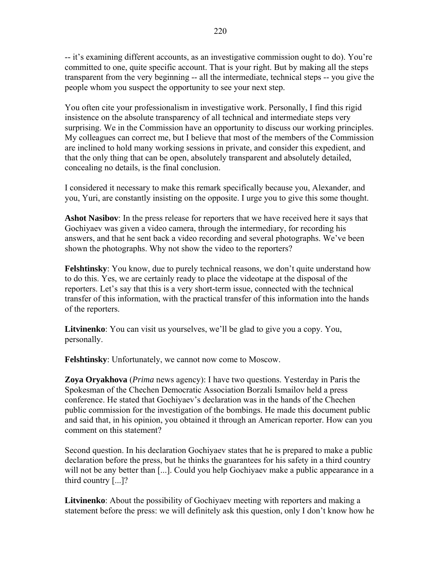-- it's examining different accounts, as an investigative commission ought to do). You're committed to one, quite specific account. That is your right. But by making all the steps transparent from the very beginning -- all the intermediate, technical steps -- you give the people whom you suspect the opportunity to see your next step.

You often cite your professionalism in investigative work. Personally, I find this rigid insistence on the absolute transparency of all technical and intermediate steps very surprising. We in the Commission have an opportunity to discuss our working principles. My colleagues can correct me, but I believe that most of the members of the Commission are inclined to hold many working sessions in private, and consider this expedient, and that the only thing that can be open, absolutely transparent and absolutely detailed, concealing no details, is the final conclusion.

I considered it necessary to make this remark specifically because you, Alexander, and you, Yuri, are constantly insisting on the opposite. I urge you to give this some thought.

**Ashot Nasibov**: In the press release for reporters that we have received here it says that Gochiyaev was given a video camera, through the intermediary, for recording his answers, and that he sent back a video recording and several photographs. We've been shown the photographs. Why not show the video to the reporters?

**Felshtinsky**: You know, due to purely technical reasons, we don't quite understand how to do this. Yes, we are certainly ready to place the videotape at the disposal of the reporters. Let's say that this is a very short-term issue, connected with the technical transfer of this information, with the practical transfer of this information into the hands of the reporters.

**Litvinenko**: You can visit us yourselves, we'll be glad to give you a copy. You, personally.

**Felshtinsky**: Unfortunately, we cannot now come to Moscow.

**Zoya Oryakhova** (*Prima* news agency): I have two questions. Yesterday in Paris the Spokesman of the Chechen Democratic Association Borzali Ismailov held a press conference. He stated that Gochiyaev's declaration was in the hands of the Chechen public commission for the investigation of the bombings. He made this document public and said that, in his opinion, you obtained it through an American reporter. How can you comment on this statement?

Second question. In his declaration Gochiyaev states that he is prepared to make a public declaration before the press, but he thinks the guarantees for his safety in a third country will not be any better than [...]. Could you help Gochiyaev make a public appearance in a third country [...]?

**Litvinenko**: About the possibility of Gochiyaev meeting with reporters and making a statement before the press: we will definitely ask this question, only I don't know how he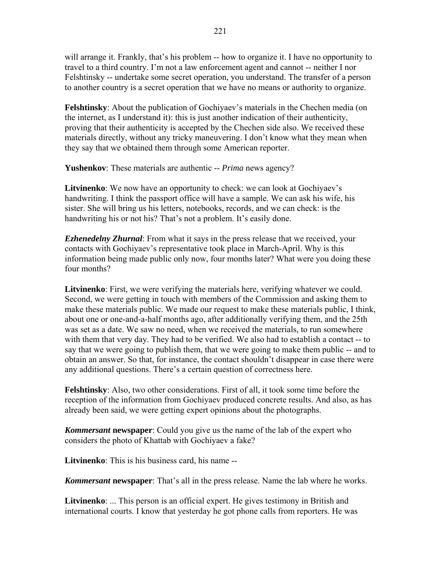will arrange it. Frankly, that's his problem -- how to organize it. I have no opportunity to travel to a third country. I'm not a law enforcement agent and cannot -- neither I nor Felshtinsky -- undertake some secret operation, you understand. The transfer of a person to another country is a secret operation that we have no means or authority to organize.

**Felshtinsky**: About the publication of Gochiyaev's materials in the Chechen media (on the internet, as I understand it): this is just another indication of their authenticity, proving that their authenticity is accepted by the Chechen side also. We received these materials directly, without any tricky maneuvering. I don't know what they mean when they say that we obtained them through some American reporter.

**Yushenkov**: These materials are authentic -- *Prima* news agency?

**Litvinenko**: We now have an opportunity to check: we can look at Gochiyaev's handwriting. I think the passport office will have a sample. We can ask his wife, his sister. She will bring us his letters, notebooks, records, and we can check: is the handwriting his or not his? That's not a problem. It's easily done.

*Ezhenedelny Zhurnal*: From what it says in the press release that we received, your contacts with Gochiyaev's representative took place in March-April. Why is this information being made public only now, four months later? What were you doing these four months?

**Litvinenko**: First, we were verifying the materials here, verifying whatever we could. Second, we were getting in touch with members of the Commission and asking them to make these materials public. We made our request to make these materials public, I think, about one or one-and-a-half months ago, after additionally verifying them, and the 25th was set as a date. We saw no need, when we received the materials, to run somewhere with them that very day. They had to be verified. We also had to establish a contact -- to say that we were going to publish them, that we were going to make them public -- and to obtain an answer. So that, for instance, the contact shouldn't disappear in case there were any additional questions. There's a certain question of correctness here.

**Felshtinsky**: Also, two other considerations. First of all, it took some time before the reception of the information from Gochiyaev produced concrete results. And also, as has already been said, we were getting expert opinions about the photographs.

*Kommersant* **newspaper**: Could you give us the name of the lab of the expert who considers the photo of Khattab with Gochiyaev a fake?

**Litvinenko**: This is his business card, his name --

*Kommersant* **newspaper**: That's all in the press release. Name the lab where he works.

**Litvinenko**: ... This person is an official expert. He gives testimony in British and international courts. I know that yesterday he got phone calls from reporters. He was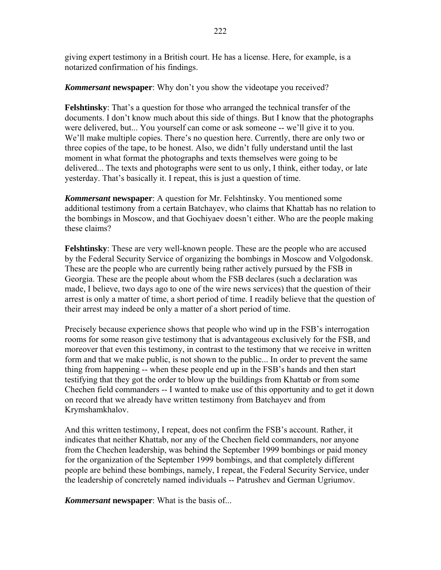giving expert testimony in a British court. He has a license. Here, for example, is a notarized confirmation of his findings.

*Kommersant* **newspaper**: Why don't you show the videotape you received?

**Felshtinsky**: That's a question for those who arranged the technical transfer of the documents. I don't know much about this side of things. But I know that the photographs were delivered, but... You yourself can come or ask someone -- we'll give it to you. We'll make multiple copies. There's no question here. Currently, there are only two or three copies of the tape, to be honest. Also, we didn't fully understand until the last moment in what format the photographs and texts themselves were going to be delivered... The texts and photographs were sent to us only, I think, either today, or late yesterday. That's basically it. I repeat, this is just a question of time.

*Kommersant* **newspaper**: A question for Mr. Felshtinsky. You mentioned some additional testimony from a certain Batchayev, who claims that Khattab has no relation to the bombings in Moscow, and that Gochiyaev doesn't either. Who are the people making these claims?

**Felshtinsky**: These are very well-known people. These are the people who are accused by the Federal Security Service of organizing the bombings in Moscow and Volgodonsk. These are the people who are currently being rather actively pursued by the FSB in Georgia. These are the people about whom the FSB declares (such a declaration was made, I believe, two days ago to one of the wire news services) that the question of their arrest is only a matter of time, a short period of time. I readily believe that the question of their arrest may indeed be only a matter of a short period of time.

Precisely because experience shows that people who wind up in the FSB's interrogation rooms for some reason give testimony that is advantageous exclusively for the FSB, and moreover that even this testimony, in contrast to the testimony that we receive in written form and that we make public, is not shown to the public... In order to prevent the same thing from happening -- when these people end up in the FSB's hands and then start testifying that they got the order to blow up the buildings from Khattab or from some Chechen field commanders -- I wanted to make use of this opportunity and to get it down on record that we already have written testimony from Batchayev and from Krymshamkhalov.

And this written testimony, I repeat, does not confirm the FSB's account. Rather, it indicates that neither Khattab, nor any of the Chechen field commanders, nor anyone from the Chechen leadership, was behind the September 1999 bombings or paid money for the organization of the September 1999 bombings, and that completely different people are behind these bombings, namely, I repeat, the Federal Security Service, under the leadership of concretely named individuals -- Patrushev and German Ugriumov.

*Kommersant* **newspaper**: What is the basis of...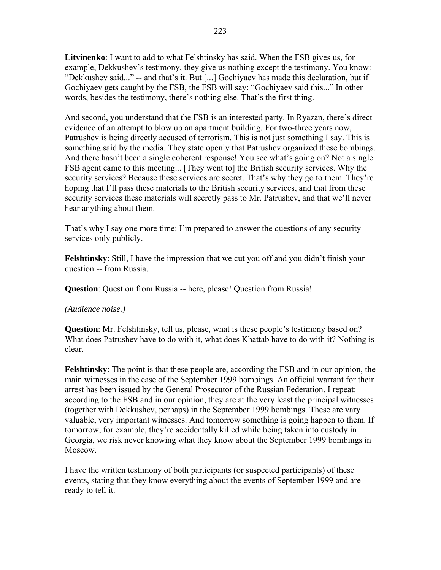**Litvinenko**: I want to add to what Felshtinsky has said. When the FSB gives us, for example, Dekkushev's testimony, they give us nothing except the testimony. You know: "Dekkushev said..." -- and that's it. But [...] Gochiyaev has made this declaration, but if Gochiyaev gets caught by the FSB, the FSB will say: "Gochiyaev said this..." In other words, besides the testimony, there's nothing else. That's the first thing.

And second, you understand that the FSB is an interested party. In Ryazan, there's direct evidence of an attempt to blow up an apartment building. For two-three years now, Patrushev is being directly accused of terrorism. This is not just something I say. This is something said by the media. They state openly that Patrushev organized these bombings. And there hasn't been a single coherent response! You see what's going on? Not a single FSB agent came to this meeting... [They went to] the British security services. Why the security services? Because these services are secret. That's why they go to them. They're hoping that I'll pass these materials to the British security services, and that from these security services these materials will secretly pass to Mr. Patrushev, and that we'll never hear anything about them.

That's why I say one more time: I'm prepared to answer the questions of any security services only publicly.

**Felshtinsky**: Still, I have the impression that we cut you off and you didn't finish your question -- from Russia.

**Question**: Question from Russia -- here, please! Question from Russia!

#### *(Audience noise.)*

**Question**: Mr. Felshtinsky, tell us, please, what is these people's testimony based on? What does Patrushev have to do with it, what does Khattab have to do with it? Nothing is clear.

**Felshtinsky**: The point is that these people are, according the FSB and in our opinion, the main witnesses in the case of the September 1999 bombings. An official warrant for their arrest has been issued by the General Prosecutor of the Russian Federation. I repeat: according to the FSB and in our opinion, they are at the very least the principal witnesses (together with Dekkushev, perhaps) in the September 1999 bombings. These are vary valuable, very important witnesses. And tomorrow something is going happen to them. If tomorrow, for example, they're accidentally killed while being taken into custody in Georgia, we risk never knowing what they know about the September 1999 bombings in Moscow.

I have the written testimony of both participants (or suspected participants) of these events, stating that they know everything about the events of September 1999 and are ready to tell it.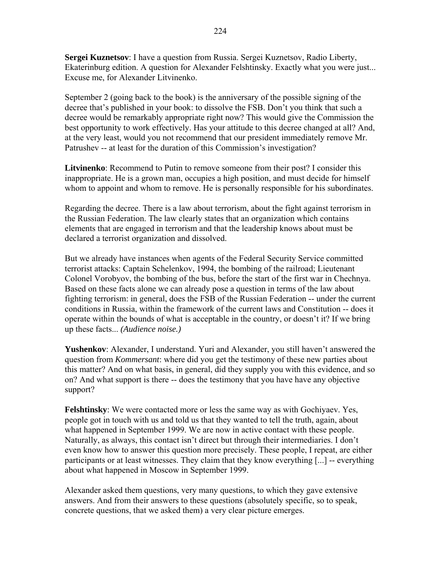**Sergei Kuznetsov**: I have a question from Russia. Sergei Kuznetsov, Radio Liberty, Ekaterinburg edition. A question for Alexander Felshtinsky. Exactly what you were just... Excuse me, for Alexander Litvinenko.

September 2 (going back to the book) is the anniversary of the possible signing of the decree that's published in your book: to dissolve the FSB. Don't you think that such a decree would be remarkably appropriate right now? This would give the Commission the best opportunity to work effectively. Has your attitude to this decree changed at all? And, at the very least, would you not recommend that our president immediately remove Mr. Patrushev -- at least for the duration of this Commission's investigation?

**Litvinenko**: Recommend to Putin to remove someone from their post? I consider this inappropriate. He is a grown man, occupies a high position, and must decide for himself whom to appoint and whom to remove. He is personally responsible for his subordinates.

Regarding the decree. There is a law about terrorism, about the fight against terrorism in the Russian Federation. The law clearly states that an organization which contains elements that are engaged in terrorism and that the leadership knows about must be declared a terrorist organization and dissolved.

But we already have instances when agents of the Federal Security Service committed terrorist attacks: Captain Schelenkov, 1994, the bombing of the railroad; Lieutenant Colonel Vorobyov, the bombing of the bus, before the start of the first war in Chechnya. Based on these facts alone we can already pose a question in terms of the law about fighting terrorism: in general, does the FSB of the Russian Federation -- under the current conditions in Russia, within the framework of the current laws and Constitution -- does it operate within the bounds of what is acceptable in the country, or doesn't it? If we bring up these facts... *(Audience noise.)*

**Yushenkov**: Alexander, I understand. Yuri and Alexander, you still haven't answered the question from *Kommersant*: where did you get the testimony of these new parties about this matter? And on what basis, in general, did they supply you with this evidence, and so on? And what support is there -- does the testimony that you have have any objective support?

**Felshtinsky**: We were contacted more or less the same way as with Gochiyaev. Yes, people got in touch with us and told us that they wanted to tell the truth, again, about what happened in September 1999. We are now in active contact with these people. Naturally, as always, this contact isn't direct but through their intermediaries. I don't even know how to answer this question more precisely. These people, I repeat, are either participants or at least witnesses. They claim that they know everything [...] -- everything about what happened in Moscow in September 1999.

Alexander asked them questions, very many questions, to which they gave extensive answers. And from their answers to these questions (absolutely specific, so to speak, concrete questions, that we asked them) a very clear picture emerges.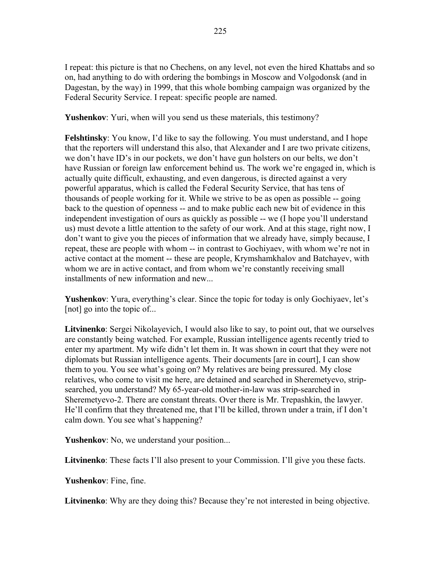I repeat: this picture is that no Chechens, on any level, not even the hired Khattabs and so on, had anything to do with ordering the bombings in Moscow and Volgodonsk (and in Dagestan, by the way) in 1999, that this whole bombing campaign was organized by the Federal Security Service. I repeat: specific people are named.

**Yushenkov**: Yuri, when will you send us these materials, this testimony?

**Felshtinsky**: You know, I'd like to say the following. You must understand, and I hope that the reporters will understand this also, that Alexander and I are two private citizens, we don't have ID's in our pockets, we don't have gun holsters on our belts, we don't have Russian or foreign law enforcement behind us. The work we're engaged in, which is actually quite difficult, exhausting, and even dangerous, is directed against a very powerful apparatus, which is called the Federal Security Service, that has tens of thousands of people working for it. While we strive to be as open as possible -- going back to the question of openness -- and to make public each new bit of evidence in this independent investigation of ours as quickly as possible -- we (I hope you'll understand us) must devote a little attention to the safety of our work. And at this stage, right now, I don't want to give you the pieces of information that we already have, simply because, I repeat, these are people with whom -- in contrast to Gochiyaev, with whom we're not in active contact at the moment -- these are people, Krymshamkhalov and Batchayev, with whom we are in active contact, and from whom we're constantly receiving small installments of new information and new...

Yushenkov: Yura, everything's clear. Since the topic for today is only Gochiyaev, let's [not] go into the topic of...

**Litvinenko**: Sergei Nikolayevich, I would also like to say, to point out, that we ourselves are constantly being watched. For example, Russian intelligence agents recently tried to enter my apartment. My wife didn't let them in. It was shown in court that they were not diplomats but Russian intelligence agents. Their documents [are in court], I can show them to you. You see what's going on? My relatives are being pressured. My close relatives, who come to visit me here, are detained and searched in Sheremetyevo, stripsearched, you understand? My 65-year-old mother-in-law was strip-searched in Sheremetyevo-2. There are constant threats. Over there is Mr. Trepashkin, the lawyer. He'll confirm that they threatened me, that I'll be killed, thrown under a train, if I don't calm down. You see what's happening?

Yushenkov: No, we understand your position...

**Litvinenko**: These facts I'll also present to your Commission. I'll give you these facts.

**Yushenkov**: Fine, fine.

**Litvinenko**: Why are they doing this? Because they're not interested in being objective.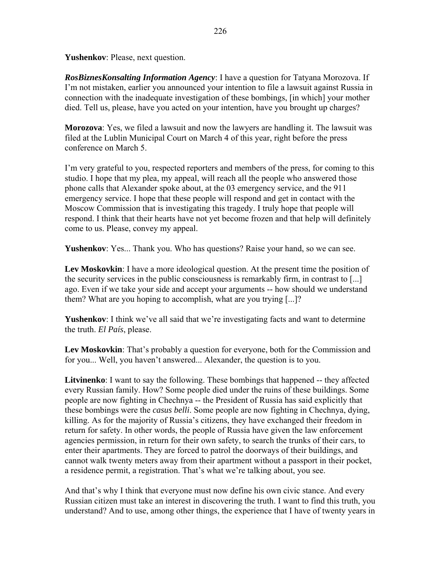**Yushenkov**: Please, next question.

*RosBiznesKonsalting Information Agency*: I have a question for Tatyana Morozova. If I'm not mistaken, earlier you announced your intention to file a lawsuit against Russia in connection with the inadequate investigation of these bombings, [in which] your mother died. Tell us, please, have you acted on your intention, have you brought up charges?

**Morozova**: Yes, we filed a lawsuit and now the lawyers are handling it. The lawsuit was filed at the Lublin Municipal Court on March 4 of this year, right before the press conference on March 5.

I'm very grateful to you, respected reporters and members of the press, for coming to this studio. I hope that my plea, my appeal, will reach all the people who answered those phone calls that Alexander spoke about, at the 03 emergency service, and the 911 emergency service. I hope that these people will respond and get in contact with the Moscow Commission that is investigating this tragedy. I truly hope that people will respond. I think that their hearts have not yet become frozen and that help will definitely come to us. Please, convey my appeal.

**Yushenkov**: Yes... Thank you. Who has questions? Raise your hand, so we can see.

Lev Moskovkin: I have a more ideological question. At the present time the position of the security services in the public consciousness is remarkably firm, in contrast to [...] ago. Even if we take your side and accept your arguments -- how should we understand them? What are you hoping to accomplish, what are you trying [...]?

**Yushenkov**: I think we've all said that we're investigating facts and want to determine the truth. *El País*, please.

**Lev Moskovkin**: That's probably a question for everyone, both for the Commission and for you... Well, you haven't answered... Alexander, the question is to you.

**Litvinenko**: I want to say the following. These bombings that happened -- they affected every Russian family. How? Some people died under the ruins of these buildings. Some people are now fighting in Chechnya -- the President of Russia has said explicitly that these bombings were the *casus belli*. Some people are now fighting in Chechnya, dying, killing. As for the majority of Russia's citizens, they have exchanged their freedom in return for safety. In other words, the people of Russia have given the law enforcement agencies permission, in return for their own safety, to search the trunks of their cars, to enter their apartments. They are forced to patrol the doorways of their buildings, and cannot walk twenty meters away from their apartment without a passport in their pocket, a residence permit, a registration. That's what we're talking about, you see.

And that's why I think that everyone must now define his own civic stance. And every Russian citizen must take an interest in discovering the truth. I want to find this truth, you understand? And to use, among other things, the experience that I have of twenty years in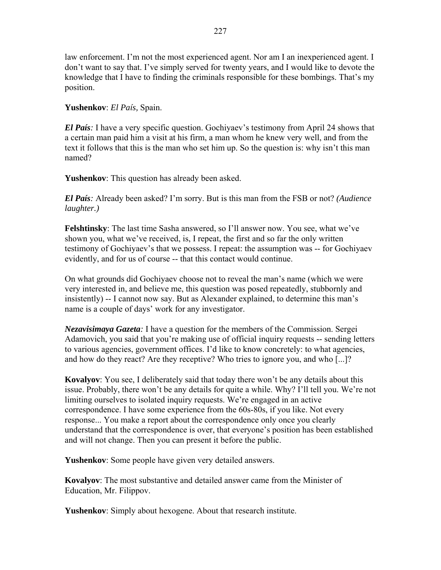law enforcement. I'm not the most experienced agent. Nor am I an inexperienced agent. I don't want to say that. I've simply served for twenty years, and I would like to devote the knowledge that I have to finding the criminals responsible for these bombings. That's my position.

**Yushenkov**: *El País,* Spain.

*El País:* I have a very specific question. Gochiyaev's testimony from April 24 shows that a certain man paid him a visit at his firm, a man whom he knew very well, and from the text it follows that this is the man who set him up. So the question is: why isn't this man named?

**Yushenkov**: This question has already been asked.

*El País:* Already been asked? I'm sorry. But is this man from the FSB or not? *(Audience laughter.)*

**Felshtinsky**: The last time Sasha answered, so I'll answer now. You see, what we've shown you, what we've received, is, I repeat, the first and so far the only written testimony of Gochiyaev's that we possess. I repeat: the assumption was -- for Gochiyaev evidently, and for us of course -- that this contact would continue.

On what grounds did Gochiyaev choose not to reveal the man's name (which we were very interested in, and believe me, this question was posed repeatedly, stubbornly and insistently) -- I cannot now say. But as Alexander explained, to determine this man's name is a couple of days' work for any investigator.

*Nezavisimaya Gazeta:* I have a question for the members of the Commission. Sergei Adamovich, you said that you're making use of official inquiry requests -- sending letters to various agencies, government offices. I'd like to know concretely: to what agencies, and how do they react? Are they receptive? Who tries to ignore you, and who [...]?

**Kovalyov**: You see, I deliberately said that today there won't be any details about this issue. Probably, there won't be any details for quite a while. Why? I'll tell you. We're not limiting ourselves to isolated inquiry requests. We're engaged in an active correspondence. I have some experience from the 60s-80s, if you like. Not every response... You make a report about the correspondence only once you clearly understand that the correspondence is over, that everyone's position has been established and will not change. Then you can present it before the public.

**Yushenkov**: Some people have given very detailed answers.

**Kovalyov**: The most substantive and detailed answer came from the Minister of Education, Mr. Filippov.

**Yushenkov**: Simply about hexogene. About that research institute.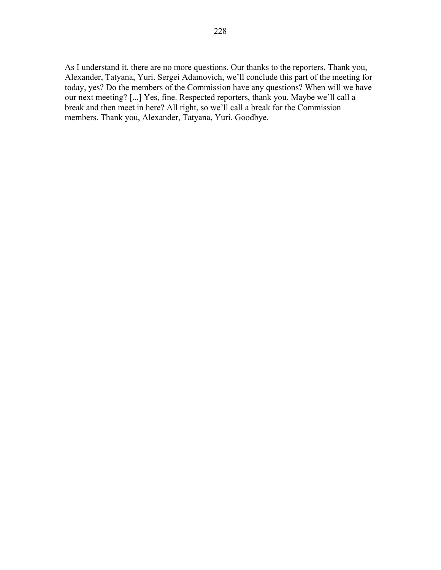As I understand it, there are no more questions. Our thanks to the reporters. Thank you, Alexander, Tatyana, Yuri. Sergei Adamovich, we'll conclude this part of the meeting for today, yes? Do the members of the Commission have any questions? When will we have our next meeting? [...] Yes, fine. Respected reporters, thank you. Maybe we'll call a break and then meet in here? All right, so we'll call a break for the Commission members. Thank you, Alexander, Tatyana, Yuri. Goodbye.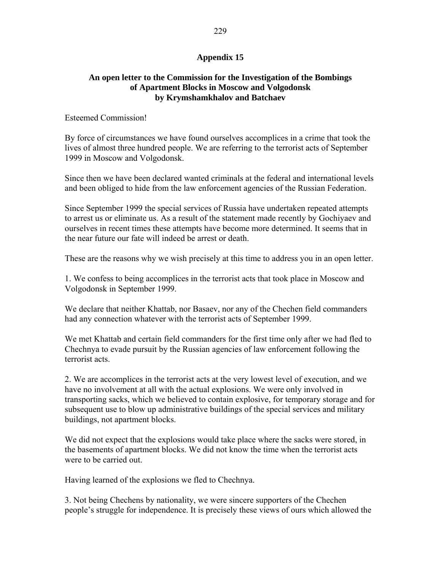# **Appendix 15**

## **An open letter to the Commission for the Investigation of the Bombings of Apartment Blocks in Moscow and Volgodonsk by Krymshamkhalov and Batchaev**

Esteemed Commission!

By force of circumstances we have found ourselves accomplices in a crime that took the lives of almost three hundred people. We are referring to the terrorist acts of September 1999 in Moscow and Volgodonsk.

Since then we have been declared wanted criminals at the federal and international levels and been obliged to hide from the law enforcement agencies of the Russian Federation.

Since September 1999 the special services of Russia have undertaken repeated attempts to arrest us or eliminate us. As a result of the statement made recently by Gochiyaev and ourselves in recent times these attempts have become more determined. It seems that in the near future our fate will indeed be arrest or death.

These are the reasons why we wish precisely at this time to address you in an open letter.

1. We confess to being accomplices in the terrorist acts that took place in Moscow and Volgodonsk in September 1999.

We declare that neither Khattab, nor Basaev, nor any of the Chechen field commanders had any connection whatever with the terrorist acts of September 1999.

We met Khattab and certain field commanders for the first time only after we had fled to Chechnya to evade pursuit by the Russian agencies of law enforcement following the terrorist acts.

2. We are accomplices in the terrorist acts at the very lowest level of execution, and we have no involvement at all with the actual explosions. We were only involved in transporting sacks, which we believed to contain explosive, for temporary storage and for subsequent use to blow up administrative buildings of the special services and military buildings, not apartment blocks.

We did not expect that the explosions would take place where the sacks were stored, in the basements of apartment blocks. We did not know the time when the terrorist acts were to be carried out.

Having learned of the explosions we fled to Chechnya.

3. Not being Chechens by nationality, we were sincere supporters of the Chechen people's struggle for independence. It is precisely these views of ours which allowed the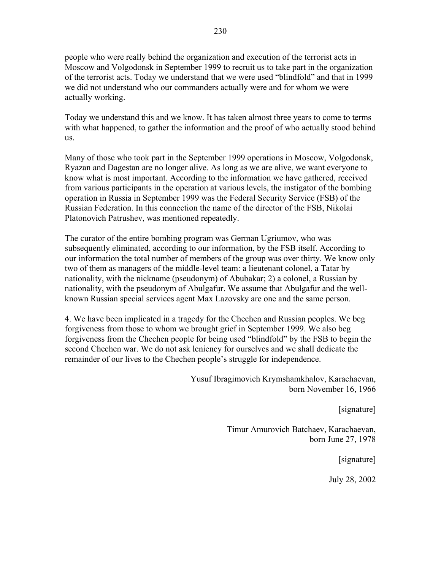people who were really behind the organization and execution of the terrorist acts in Moscow and Volgodonsk in September 1999 to recruit us to take part in the organization of the terrorist acts. Today we understand that we were used "blindfold" and that in 1999 we did not understand who our commanders actually were and for whom we were actually working.

Today we understand this and we know. It has taken almost three years to come to terms with what happened, to gather the information and the proof of who actually stood behind us.

Many of those who took part in the September 1999 operations in Moscow, Volgodonsk, Ryazan and Dagestan are no longer alive. As long as we are alive, we want everyone to know what is most important. According to the information we have gathered, received from various participants in the operation at various levels, the instigator of the bombing operation in Russia in September 1999 was the Federal Security Service (FSB) of the Russian Federation. In this connection the name of the director of the FSB, Nikolai Platonovich Patrushev, was mentioned repeatedly.

The curator of the entire bombing program was German Ugriumov, who was subsequently eliminated, according to our information, by the FSB itself. According to our information the total number of members of the group was over thirty. We know only two of them as managers of the middle-level team: a lieutenant colonel, a Tatar by nationality, with the nickname (pseudonym) of Abubakar; 2) a colonel, a Russian by nationality, with the pseudonym of Abulgafur. We assume that Abulgafur and the wellknown Russian special services agent Max Lazovsky are one and the same person.

4. We have been implicated in a tragedy for the Chechen and Russian peoples. We beg forgiveness from those to whom we brought grief in September 1999. We also beg forgiveness from the Chechen people for being used "blindfold" by the FSB to begin the second Chechen war. We do not ask leniency for ourselves and we shall dedicate the remainder of our lives to the Chechen people's struggle for independence.

> Yusuf Ibragimovich Krymshamkhalov, Karachaevan, born November 16, 1966

> > [signature]

Timur Amurovich Batchaev, Karachaevan, born June 27, 1978

[signature]

July 28, 2002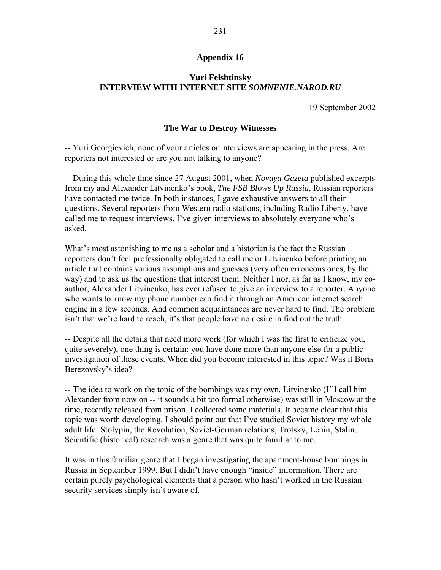#### **Appendix 16**

### **Yuri Felshtinsky INTERVIEW WITH INTERNET SITE** *SOMNENIE.NAROD.RU*

19 September 2002

#### **The War to Destroy Witnesses**

-- Yuri Georgievich, none of your articles or interviews are appearing in the press. Are reporters not interested or are you not talking to anyone?

-- During this whole time since 27 August 2001, when *Novaya Gazeta* published excerpts from my and Alexander Litvinenko's book, *The FSB Blows Up Russia,* Russian reporters have contacted me twice. In both instances, I gave exhaustive answers to all their questions. Several reporters from Western radio stations, including Radio Liberty, have called me to request interviews. I've given interviews to absolutely everyone who's asked.

What's most astonishing to me as a scholar and a historian is the fact the Russian reporters don't feel professionally obligated to call me or Litvinenko before printing an article that contains various assumptions and guesses (very often erroneous ones, by the way) and to ask us the questions that interest them. Neither I nor, as far as I know, my coauthor, Alexander Litvinenko, has ever refused to give an interview to a reporter. Anyone who wants to know my phone number can find it through an American internet search engine in a few seconds. And common acquaintances are never hard to find. The problem isn't that we're hard to reach, it's that people have no desire in find out the truth.

-- Despite all the details that need more work (for which I was the first to criticize you, quite severely), one thing is certain: you have done more than anyone else for a public investigation of these events. When did you become interested in this topic? Was it Boris Berezovsky's idea?

-- The idea to work on the topic of the bombings was my own. Litvinenko (I'll call him Alexander from now on -- it sounds a bit too formal otherwise) was still in Moscow at the time, recently released from prison. I collected some materials. It became clear that this topic was worth developing. I should point out that I've studied Soviet history my whole adult life: Stolypin, the Revolution, Soviet-German relations, Trotsky, Lenin, Stalin... Scientific (historical) research was a genre that was quite familiar to me.

It was in this familiar genre that I began investigating the apartment-house bombings in Russia in September 1999. But I didn't have enough "inside" information. There are certain purely psychological elements that a person who hasn't worked in the Russian security services simply isn't aware of.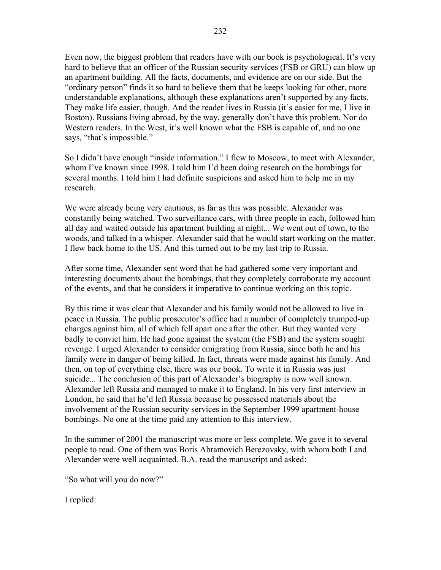Even now, the biggest problem that readers have with our book is psychological. It's very hard to believe that an officer of the Russian security services (FSB or GRU) can blow up an apartment building. All the facts, documents, and evidence are on our side. But the "ordinary person" finds it so hard to believe them that he keeps looking for other, more understandable explanations, although these explanations aren't supported by any facts. They make life easier, though. And the reader lives in Russia (it's easier for me, I live in Boston). Russians living abroad, by the way, generally don't have this problem. Nor do Western readers. In the West, it's well known what the FSB is capable of, and no one says, "that's impossible."

So I didn't have enough "inside information." I flew to Moscow, to meet with Alexander, whom I've known since 1998. I told him I'd been doing research on the bombings for several months. I told him I had definite suspicions and asked him to help me in my research.

We were already being very cautious, as far as this was possible. Alexander was constantly being watched. Two surveillance cars, with three people in each, followed him all day and waited outside his apartment building at night... We went out of town, to the woods, and talked in a whisper. Alexander said that he would start working on the matter. I flew back home to the US. And this turned out to be my last trip to Russia.

After some time, Alexander sent word that he had gathered some very important and interesting documents about the bombings, that they completely corroborate my account of the events, and that he considers it imperative to continue working on this topic.

By this time it was clear that Alexander and his family would not be allowed to live in peace in Russia. The public prosecutor's office had a number of completely trumped-up charges against him, all of which fell apart one after the other. But they wanted very badly to convict him. He had gone against the system (the FSB) and the system sought revenge. I urged Alexander to consider emigrating from Russia, since both he and his family were in danger of being killed. In fact, threats were made against his family. And then, on top of everything else, there was our book. To write it in Russia was just suicide... The conclusion of this part of Alexander's biography is now well known. Alexander left Russia and managed to make it to England. In his very first interview in London, he said that he'd left Russia because he possessed materials about the involvement of the Russian security services in the September 1999 apartment-house bombings. No one at the time paid any attention to this interview.

In the summer of 2001 the manuscript was more or less complete. We gave it to several people to read. One of them was Boris Abramovich Berezovsky, with whom both I and Alexander were well acquainted. B.A. read the manuscript and asked:

"So what will you do now?"

I replied: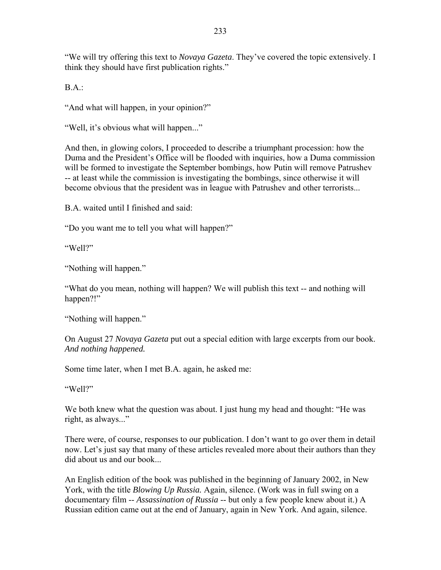"We will try offering this text to *Novaya Gazeta*. They've covered the topic extensively. I think they should have first publication rights."

B.A.:

"And what will happen, in your opinion?"

"Well, it's obvious what will happen..."

And then, in glowing colors, I proceeded to describe a triumphant procession: how the Duma and the President's Office will be flooded with inquiries, how a Duma commission will be formed to investigate the September bombings, how Putin will remove Patrushev -- at least while the commission is investigating the bombings, since otherwise it will become obvious that the president was in league with Patrushev and other terrorists...

B.A. waited until I finished and said:

"Do you want me to tell you what will happen?"

"Well?"

"Nothing will happen."

"What do you mean, nothing will happen? We will publish this text -- and nothing will happen?!"

"Nothing will happen."

On August 27 *Novaya Gazeta* put out a special edition with large excerpts from our book. *And nothing happened.*

Some time later, when I met B.A. again, he asked me:

"Well?"

We both knew what the question was about. I just hung my head and thought: "He was right, as always..."

There were, of course, responses to our publication. I don't want to go over them in detail now. Let's just say that many of these articles revealed more about their authors than they did about us and our book...

An English edition of the book was published in the beginning of January 2002, in New York, with the title *Blowing Up Russia.* Again, silence. (Work was in full swing on a documentary film -- *Assassination of Russia* -- but only a few people knew about it.) A Russian edition came out at the end of January, again in New York. And again, silence.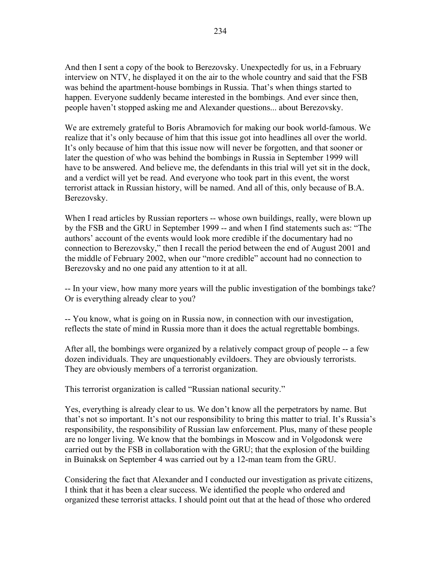And then I sent a copy of the book to Berezovsky. Unexpectedly for us, in a February interview on NTV, he displayed it on the air to the whole country and said that the FSB was behind the apartment-house bombings in Russia. That's when things started to happen. Everyone suddenly became interested in the bombings. And ever since then, people haven't stopped asking me and Alexander questions... about Berezovsky.

We are extremely grateful to Boris Abramovich for making our book world-famous. We realize that it's only because of him that this issue got into headlines all over the world. It's only because of him that this issue now will never be forgotten, and that sooner or later the question of who was behind the bombings in Russia in September 1999 will have to be answered. And believe me, the defendants in this trial will yet sit in the dock, and a verdict will yet be read. And everyone who took part in this event, the worst terrorist attack in Russian history, will be named. And all of this, only because of B.A. Berezovsky.

When I read articles by Russian reporters -- whose own buildings, really, were blown up by the FSB and the GRU in September 1999 -- and when I find statements such as: "The authors' account of the events would look more credible if the documentary had no connection to Berezovsky," then I recall the period between the end of August 2001 and the middle of February 2002, when our "more credible" account had no connection to Berezovsky and no one paid any attention to it at all.

-- In your view, how many more years will the public investigation of the bombings take? Or is everything already clear to you?

-- You know, what is going on in Russia now, in connection with our investigation, reflects the state of mind in Russia more than it does the actual regrettable bombings.

After all, the bombings were organized by a relatively compact group of people -- a few dozen individuals. They are unquestionably evildoers. They are obviously terrorists. They are obviously members of a terrorist organization.

This terrorist organization is called "Russian national security."

Yes, everything is already clear to us. We don't know all the perpetrators by name. But that's not so important. It's not our responsibility to bring this matter to trial. It's Russia's responsibility, the responsibility of Russian law enforcement. Plus, many of these people are no longer living. We know that the bombings in Moscow and in Volgodonsk were carried out by the FSB in collaboration with the GRU; that the explosion of the building in Buinaksk on September 4 was carried out by a 12-man team from the GRU.

Considering the fact that Alexander and I conducted our investigation as private citizens, I think that it has been a clear success. We identified the people who ordered and organized these terrorist attacks. I should point out that at the head of those who ordered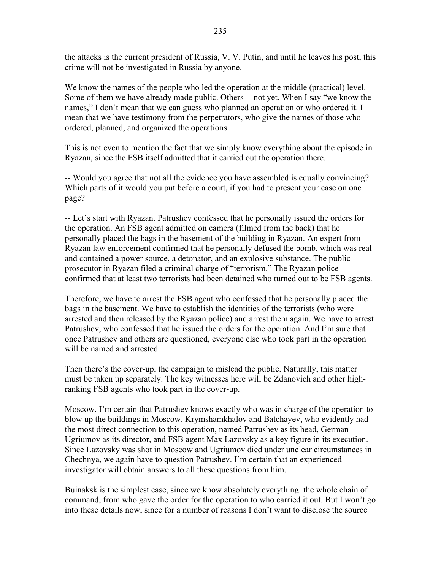the attacks is the current president of Russia, V. V. Putin, and until he leaves his post, this crime will not be investigated in Russia by anyone.

We know the names of the people who led the operation at the middle (practical) level. Some of them we have already made public. Others -- not yet. When I say "we know the names," I don't mean that we can guess who planned an operation or who ordered it. I mean that we have testimony from the perpetrators, who give the names of those who ordered, planned, and organized the operations.

This is not even to mention the fact that we simply know everything about the episode in Ryazan, since the FSB itself admitted that it carried out the operation there.

-- Would you agree that not all the evidence you have assembled is equally convincing? Which parts of it would you put before a court, if you had to present your case on one page?

-- Let's start with Ryazan. Patrushev confessed that he personally issued the orders for the operation. An FSB agent admitted on camera (filmed from the back) that he personally placed the bags in the basement of the building in Ryazan. An expert from Ryazan law enforcement confirmed that he personally defused the bomb, which was real and contained a power source, a detonator, and an explosive substance. The public prosecutor in Ryazan filed a criminal charge of "terrorism." The Ryazan police confirmed that at least two terrorists had been detained who turned out to be FSB agents.

Therefore, we have to arrest the FSB agent who confessed that he personally placed the bags in the basement. We have to establish the identities of the terrorists (who were arrested and then released by the Ryazan police) and arrest them again. We have to arrest Patrushev, who confessed that he issued the orders for the operation. And I'm sure that once Patrushev and others are questioned, everyone else who took part in the operation will be named and arrested.

Then there's the cover-up, the campaign to mislead the public. Naturally, this matter must be taken up separately. The key witnesses here will be Zdanovich and other highranking FSB agents who took part in the cover-up.

Moscow. I'm certain that Patrushev knows exactly who was in charge of the operation to blow up the buildings in Moscow. Krymshamkhalov and Batchayev, who evidently had the most direct connection to this operation, named Patrushev as its head, German Ugriumov as its director, and FSB agent Max Lazovsky as a key figure in its execution. Since Lazovsky was shot in Moscow and Ugriumov died under unclear circumstances in Chechnya, we again have to question Patrushev. I'm certain that an experienced investigator will obtain answers to all these questions from him.

Buinaksk is the simplest case, since we know absolutely everything: the whole chain of command, from who gave the order for the operation to who carried it out. But I won't go into these details now, since for a number of reasons I don't want to disclose the source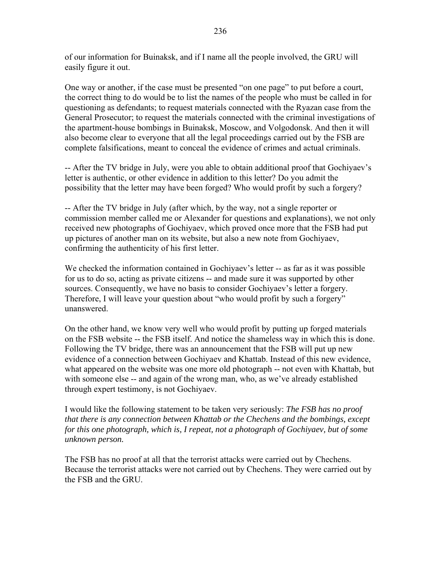of our information for Buinaksk, and if I name all the people involved, the GRU will easily figure it out.

One way or another, if the case must be presented "on one page" to put before a court, the correct thing to do would be to list the names of the people who must be called in for questioning as defendants; to request materials connected with the Ryazan case from the General Prosecutor; to request the materials connected with the criminal investigations of the apartment-house bombings in Buinaksk, Moscow, and Volgodonsk. And then it will also become clear to everyone that all the legal proceedings carried out by the FSB are complete falsifications, meant to conceal the evidence of crimes and actual criminals.

-- After the TV bridge in July, were you able to obtain additional proof that Gochiyaev's letter is authentic, or other evidence in addition to this letter? Do you admit the possibility that the letter may have been forged? Who would profit by such a forgery?

-- After the TV bridge in July (after which, by the way, not a single reporter or commission member called me or Alexander for questions and explanations), we not only received new photographs of Gochiyaev, which proved once more that the FSB had put up pictures of another man on its website, but also a new note from Gochiyaev, confirming the authenticity of his first letter.

We checked the information contained in Gochiyaev's letter -- as far as it was possible for us to do so, acting as private citizens -- and made sure it was supported by other sources. Consequently, we have no basis to consider Gochiyaev's letter a forgery. Therefore, I will leave your question about "who would profit by such a forgery" unanswered.

On the other hand, we know very well who would profit by putting up forged materials on the FSB website -- the FSB itself. And notice the shameless way in which this is done. Following the TV bridge, there was an announcement that the FSB will put up new evidence of a connection between Gochiyaev and Khattab. Instead of this new evidence, what appeared on the website was one more old photograph -- not even with Khattab, but with someone else -- and again of the wrong man, who, as we've already established through expert testimony, is not Gochiyaev.

I would like the following statement to be taken very seriously: *The FSB has no proof that there is any connection between Khattab or the Chechens and the bombings, except for this one photograph, which is, I repeat, not a photograph of Gochiyaev, but of some unknown person.*

The FSB has no proof at all that the terrorist attacks were carried out by Chechens. Because the terrorist attacks were not carried out by Chechens. They were carried out by the FSB and the GRU.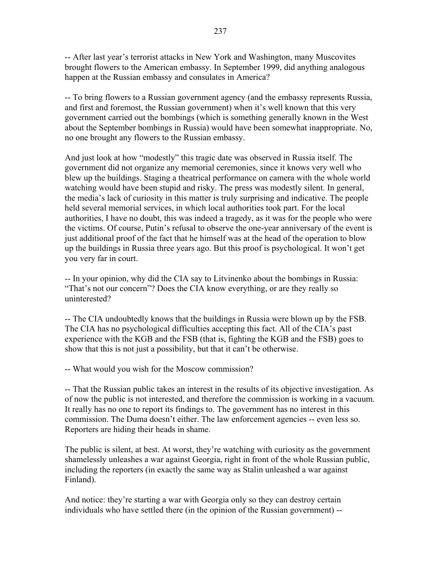-- After last year's terrorist attacks in New York and Washington, many Muscovites brought flowers to the American embassy. In September 1999, did anything analogous happen at the Russian embassy and consulates in America?

-- To bring flowers to a Russian government agency (and the embassy represents Russia, and first and foremost, the Russian government) when it's well known that this very government carried out the bombings (which is something generally known in the West about the September bombings in Russia) would have been somewhat inappropriate. No, no one brought any flowers to the Russian embassy.

And just look at how "modestly" this tragic date was observed in Russia itself. The government did not organize any memorial ceremonies, since it knows very well who blew up the buildings. Staging a theatrical performance on camera with the whole world watching would have been stupid and risky. The press was modestly silent. In general, the media's lack of curiosity in this matter is truly surprising and indicative. The people held several memorial services, in which local authorities took part. For the local authorities, I have no doubt, this was indeed a tragedy, as it was for the people who were the victims. Of course, Putin's refusal to observe the one-year anniversary of the event is just additional proof of the fact that he himself was at the head of the operation to blow up the buildings in Russia three years ago. But this proof is psychological. It won't get you very far in court.

-- In your opinion, why did the CIA say to Litvinenko about the bombings in Russia: "That's not our concern"? Does the CIA know everything, or are they really so uninterested?

-- The CIA undoubtedly knows that the buildings in Russia were blown up by the FSB. The CIA has no psychological difficulties accepting this fact. All of the CIA's past experience with the KGB and the FSB (that is, fighting the KGB and the FSB) goes to show that this is not just a possibility, but that it can't be otherwise.

-- What would you wish for the Moscow commission?

-- That the Russian public takes an interest in the results of its objective investigation. As of now the public is not interested, and therefore the commission is working in a vacuum. It really has no one to report its findings to. The government has no interest in this commission. The Duma doesn't either. The law enforcement agencies -- even less so. Reporters are hiding their heads in shame.

The public is silent, at best. At worst, they're watching with curiosity as the government shamelessly unleashes a war against Georgia, right in front of the whole Russian public, including the reporters (in exactly the same way as Stalin unleashed a war against Finland).

And notice: they're starting a war with Georgia only so they can destroy certain individuals who have settled there (in the opinion of the Russian government) --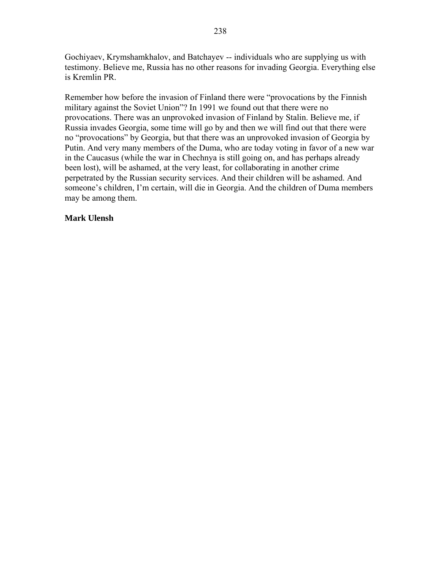Gochiyaev, Krymshamkhalov, and Batchayev -- individuals who are supplying us with testimony. Believe me, Russia has no other reasons for invading Georgia. Everything else is Kremlin PR.

Remember how before the invasion of Finland there were "provocations by the Finnish military against the Soviet Union"? In 1991 we found out that there were no provocations. There was an unprovoked invasion of Finland by Stalin. Believe me, if Russia invades Georgia, some time will go by and then we will find out that there were no "provocations" by Georgia, but that there was an unprovoked invasion of Georgia by Putin. And very many members of the Duma, who are today voting in favor of a new war in the Caucasus (while the war in Chechnya is still going on, and has perhaps already been lost), will be ashamed, at the very least, for collaborating in another crime perpetrated by the Russian security services. And their children will be ashamed. And someone's children, I'm certain, will die in Georgia. And the children of Duma members may be among them.

## **Mark Ulensh**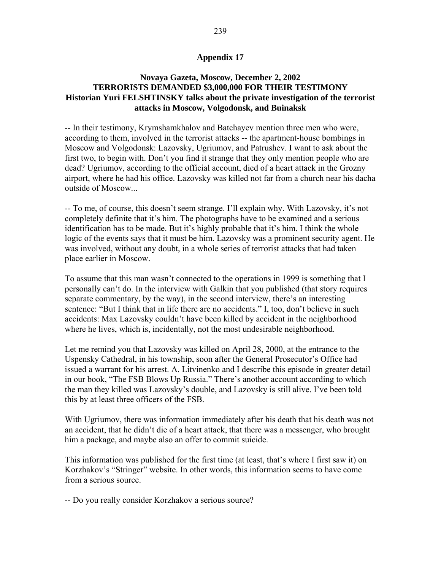## **Appendix 17**

## **Novaya Gazeta, Moscow, December 2, 2002 TERRORISTS DEMANDED \$3,000,000 FOR THEIR TESTIMONY Historian Yuri FELSHTINSKY talks about the private investigation of the terrorist attacks in Moscow, Volgodonsk, and Buinaksk**

-- In their testimony, Krymshamkhalov and Batchayev mention three men who were, according to them, involved in the terrorist attacks -- the apartment-house bombings in Moscow and Volgodonsk: Lazovsky, Ugriumov, and Patrushev. I want to ask about the first two, to begin with. Don't you find it strange that they only mention people who are dead? Ugriumov, according to the official account, died of a heart attack in the Grozny airport, where he had his office. Lazovsky was killed not far from a church near his dacha outside of Moscow...

-- To me, of course, this doesn't seem strange. I'll explain why. With Lazovsky, it's not completely definite that it's him. The photographs have to be examined and a serious identification has to be made. But it's highly probable that it's him. I think the whole logic of the events says that it must be him. Lazovsky was a prominent security agent. He was involved, without any doubt, in a whole series of terrorist attacks that had taken place earlier in Moscow.

To assume that this man wasn't connected to the operations in 1999 is something that I personally can't do. In the interview with Galkin that you published (that story requires separate commentary, by the way), in the second interview, there's an interesting sentence: "But I think that in life there are no accidents." I, too, don't believe in such accidents: Max Lazovsky couldn't have been killed by accident in the neighborhood where he lives, which is, incidentally, not the most undesirable neighborhood.

Let me remind you that Lazovsky was killed on April 28, 2000, at the entrance to the Uspensky Cathedral, in his township, soon after the General Prosecutor's Office had issued a warrant for his arrest. A. Litvinenko and I describe this episode in greater detail in our book, "The FSB Blows Up Russia." There's another account according to which the man they killed was Lazovsky's double, and Lazovsky is still alive. I've been told this by at least three officers of the FSB.

With Ugriumov, there was information immediately after his death that his death was not an accident, that he didn't die of a heart attack, that there was a messenger, who brought him a package, and maybe also an offer to commit suicide.

This information was published for the first time (at least, that's where I first saw it) on Korzhakov's "Stringer" website. In other words, this information seems to have come from a serious source.

-- Do you really consider Korzhakov a serious source?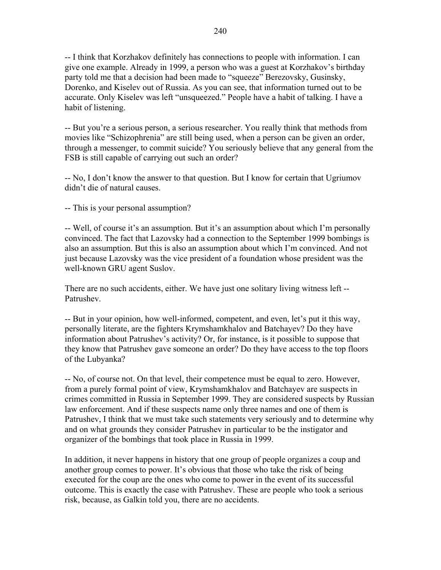-- I think that Korzhakov definitely has connections to people with information. I can give one example. Already in 1999, a person who was a guest at Korzhakov's birthday party told me that a decision had been made to "squeeze" Berezovsky, Gusinsky, Dorenko, and Kiselev out of Russia. As you can see, that information turned out to be accurate. Only Kiselev was left "unsqueezed." People have a habit of talking. I have a habit of listening.

-- But you're a serious person, a serious researcher. You really think that methods from movies like "Schizophrenia" are still being used, when a person can be given an order, through a messenger, to commit suicide? You seriously believe that any general from the FSB is still capable of carrying out such an order?

-- No, I don't know the answer to that question. But I know for certain that Ugriumov didn't die of natural causes.

-- This is your personal assumption?

-- Well, of course it's an assumption. But it's an assumption about which I'm personally convinced. The fact that Lazovsky had a connection to the September 1999 bombings is also an assumption. But this is also an assumption about which I'm convinced. And not just because Lazovsky was the vice president of a foundation whose president was the well-known GRU agent Suslov.

There are no such accidents, either. We have just one solitary living witness left -- Patrushev.

-- But in your opinion, how well-informed, competent, and even, let's put it this way, personally literate, are the fighters Krymshamkhalov and Batchayev? Do they have information about Patrushev's activity? Or, for instance, is it possible to suppose that they know that Patrushev gave someone an order? Do they have access to the top floors of the Lubyanka?

-- No, of course not. On that level, their competence must be equal to zero. However, from a purely formal point of view, Krymshamkhalov and Batchayev are suspects in crimes committed in Russia in September 1999. They are considered suspects by Russian law enforcement. And if these suspects name only three names and one of them is Patrushev, I think that we must take such statements very seriously and to determine why and on what grounds they consider Patrushev in particular to be the instigator and organizer of the bombings that took place in Russia in 1999.

In addition, it never happens in history that one group of people organizes a coup and another group comes to power. It's obvious that those who take the risk of being executed for the coup are the ones who come to power in the event of its successful outcome. This is exactly the case with Patrushev. These are people who took a serious risk, because, as Galkin told you, there are no accidents.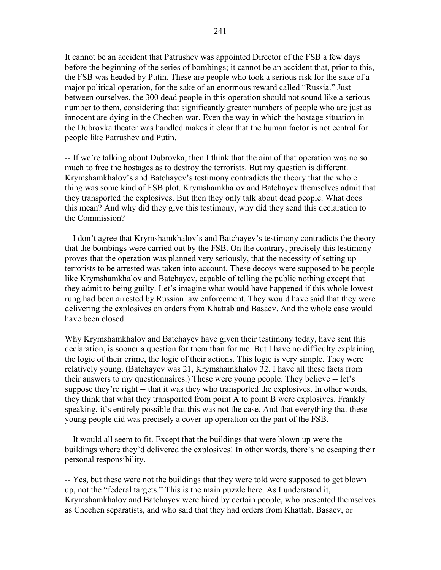It cannot be an accident that Patrushev was appointed Director of the FSB a few days before the beginning of the series of bombings; it cannot be an accident that, prior to this, the FSB was headed by Putin. These are people who took a serious risk for the sake of a major political operation, for the sake of an enormous reward called "Russia." Just between ourselves, the 300 dead people in this operation should not sound like a serious number to them, considering that significantly greater numbers of people who are just as innocent are dying in the Chechen war. Even the way in which the hostage situation in the Dubrovka theater was handled makes it clear that the human factor is not central for people like Patrushev and Putin.

-- If we're talking about Dubrovka, then I think that the aim of that operation was no so much to free the hostages as to destroy the terrorists. But my question is different. Krymshamkhalov's and Batchayev's testimony contradicts the theory that the whole thing was some kind of FSB plot. Krymshamkhalov and Batchayev themselves admit that they transported the explosives. But then they only talk about dead people. What does this mean? And why did they give this testimony, why did they send this declaration to the Commission?

-- I don't agree that Krymshamkhalov's and Batchayev's testimony contradicts the theory that the bombings were carried out by the FSB. On the contrary, precisely this testimony proves that the operation was planned very seriously, that the necessity of setting up terrorists to be arrested was taken into account. These decoys were supposed to be people like Krymshamkhalov and Batchayev, capable of telling the public nothing except that they admit to being guilty. Let's imagine what would have happened if this whole lowest rung had been arrested by Russian law enforcement. They would have said that they were delivering the explosives on orders from Khattab and Basaev. And the whole case would have been closed.

Why Krymshamkhalov and Batchayev have given their testimony today, have sent this declaration, is sooner a question for them than for me. But I have no difficulty explaining the logic of their crime, the logic of their actions. This logic is very simple. They were relatively young. (Batchayev was 21, Krymshamkhalov 32. I have all these facts from their answers to my questionnaires.) These were young people. They believe -- let's suppose they're right -- that it was they who transported the explosives. In other words, they think that what they transported from point A to point B were explosives. Frankly speaking, it's entirely possible that this was not the case. And that everything that these young people did was precisely a cover-up operation on the part of the FSB.

-- It would all seem to fit. Except that the buildings that were blown up were the buildings where they'd delivered the explosives! In other words, there's no escaping their personal responsibility.

-- Yes, but these were not the buildings that they were told were supposed to get blown up, not the "federal targets." This is the main puzzle here. As I understand it, Krymshamkhalov and Batchayev were hired by certain people, who presented themselves as Chechen separatists, and who said that they had orders from Khattab, Basaev, or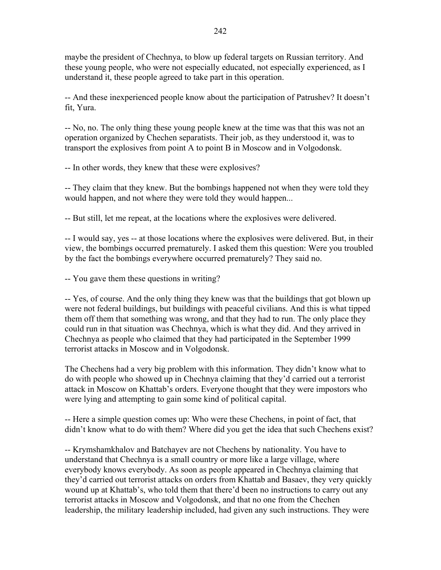maybe the president of Chechnya, to blow up federal targets on Russian territory. And these young people, who were not especially educated, not especially experienced, as I understand it, these people agreed to take part in this operation.

-- And these inexperienced people know about the participation of Patrushev? It doesn't fit, Yura.

-- No, no. The only thing these young people knew at the time was that this was not an operation organized by Chechen separatists. Their job, as they understood it, was to transport the explosives from point A to point B in Moscow and in Volgodonsk.

-- In other words, they knew that these were explosives?

-- They claim that they knew. But the bombings happened not when they were told they would happen, and not where they were told they would happen...

-- But still, let me repeat, at the locations where the explosives were delivered.

-- I would say, yes -- at those locations where the explosives were delivered. But, in their view, the bombings occurred prematurely. I asked them this question: Were you troubled by the fact the bombings everywhere occurred prematurely? They said no.

-- You gave them these questions in writing?

-- Yes, of course. And the only thing they knew was that the buildings that got blown up were not federal buildings, but buildings with peaceful civilians. And this is what tipped them off them that something was wrong, and that they had to run. The only place they could run in that situation was Chechnya, which is what they did. And they arrived in Chechnya as people who claimed that they had participated in the September 1999 terrorist attacks in Moscow and in Volgodonsk.

The Chechens had a very big problem with this information. They didn't know what to do with people who showed up in Chechnya claiming that they'd carried out a terrorist attack in Moscow on Khattab's orders. Everyone thought that they were impostors who were lying and attempting to gain some kind of political capital.

-- Here a simple question comes up: Who were these Chechens, in point of fact, that didn't know what to do with them? Where did you get the idea that such Chechens exist?

-- Krymshamkhalov and Batchayev are not Chechens by nationality. You have to understand that Chechnya is a small country or more like a large village, where everybody knows everybody. As soon as people appeared in Chechnya claiming that they'd carried out terrorist attacks on orders from Khattab and Basaev, they very quickly wound up at Khattab's, who told them that there'd been no instructions to carry out any terrorist attacks in Moscow and Volgodonsk, and that no one from the Chechen leadership, the military leadership included, had given any such instructions. They were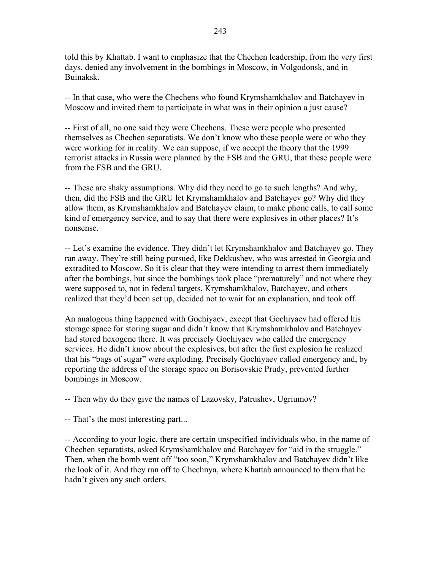told this by Khattab. I want to emphasize that the Chechen leadership, from the very first days, denied any involvement in the bombings in Moscow, in Volgodonsk, and in Buinaksk.

-- In that case, who were the Chechens who found Krymshamkhalov and Batchayev in Moscow and invited them to participate in what was in their opinion a just cause?

-- First of all, no one said they were Chechens. These were people who presented themselves as Chechen separatists. We don't know who these people were or who they were working for in reality. We can suppose, if we accept the theory that the 1999 terrorist attacks in Russia were planned by the FSB and the GRU, that these people were from the FSB and the GRU.

-- These are shaky assumptions. Why did they need to go to such lengths? And why, then, did the FSB and the GRU let Krymshamkhalov and Batchayev go? Why did they allow them, as Krymshamkhalov and Batchayev claim, to make phone calls, to call some kind of emergency service, and to say that there were explosives in other places? It's nonsense.

-- Let's examine the evidence. They didn't let Krymshamkhalov and Batchayev go. They ran away. They're still being pursued, like Dekkushev, who was arrested in Georgia and extradited to Moscow. So it is clear that they were intending to arrest them immediately after the bombings, but since the bombings took place "prematurely" and not where they were supposed to, not in federal targets, Krymshamkhalov, Batchayev, and others realized that they'd been set up, decided not to wait for an explanation, and took off.

An analogous thing happened with Gochiyaev, except that Gochiyaev had offered his storage space for storing sugar and didn't know that Krymshamkhalov and Batchayev had stored hexogene there. It was precisely Gochiyaev who called the emergency services. He didn't know about the explosives, but after the first explosion he realized that his "bags of sugar" were exploding. Precisely Gochiyaev called emergency and, by reporting the address of the storage space on Borisovskie Prudy, prevented further bombings in Moscow.

-- Then why do they give the names of Lazovsky, Patrushev, Ugriumov?

-- That's the most interesting part...

-- According to your logic, there are certain unspecified individuals who, in the name of Chechen separatists, asked Krymshamkhalov and Batchayev for "aid in the struggle." Then, when the bomb went off "too soon," Krymshamkhalov and Batchayev didn't like the look of it. And they ran off to Chechnya, where Khattab announced to them that he hadn't given any such orders.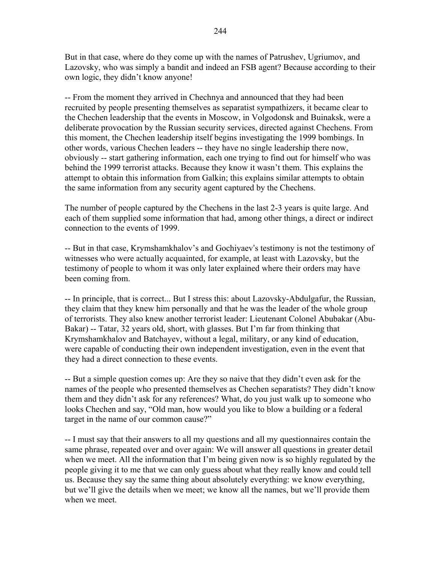But in that case, where do they come up with the names of Patrushev, Ugriumov, and Lazovsky, who was simply a bandit and indeed an FSB agent? Because according to their own logic, they didn't know anyone!

-- From the moment they arrived in Chechnya and announced that they had been recruited by people presenting themselves as separatist sympathizers, it became clear to the Chechen leadership that the events in Moscow, in Volgodonsk and Buinaksk, were a deliberate provocation by the Russian security services, directed against Chechens. From this moment, the Chechen leadership itself begins investigating the 1999 bombings. In other words, various Chechen leaders -- they have no single leadership there now, obviously -- start gathering information, each one trying to find out for himself who was behind the 1999 terrorist attacks. Because they know it wasn't them. This explains the attempt to obtain this information from Galkin; this explains similar attempts to obtain the same information from any security agent captured by the Chechens.

The number of people captured by the Chechens in the last 2-3 years is quite large. And each of them supplied some information that had, among other things, a direct or indirect connection to the events of 1999.

-- But in that case, Krymshamkhalov's and Gochiyaev's testimony is not the testimony of witnesses who were actually acquainted, for example, at least with Lazovsky, but the testimony of people to whom it was only later explained where their orders may have been coming from.

-- In principle, that is correct... But I stress this: about Lazovsky-Abdulgafur, the Russian, they claim that they knew him personally and that he was the leader of the whole group of terrorists. They also knew another terrorist leader: Lieutenant Colonel Abubakar (Abu-Bakar) -- Tatar, 32 years old, short, with glasses. But I'm far from thinking that Krymshamkhalov and Batchayev, without a legal, military, or any kind of education, were capable of conducting their own independent investigation, even in the event that they had a direct connection to these events.

-- But a simple question comes up: Are they so naive that they didn't even ask for the names of the people who presented themselves as Chechen separatists? They didn't know them and they didn't ask for any references? What, do you just walk up to someone who looks Chechen and say, "Old man, how would you like to blow a building or a federal target in the name of our common cause?"

-- I must say that their answers to all my questions and all my questionnaires contain the same phrase, repeated over and over again: We will answer all questions in greater detail when we meet. All the information that I'm being given now is so highly regulated by the people giving it to me that we can only guess about what they really know and could tell us. Because they say the same thing about absolutely everything: we know everything, but we'll give the details when we meet; we know all the names, but we'll provide them when we meet.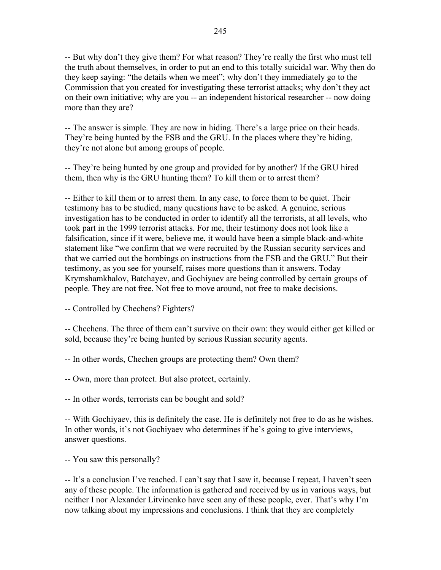-- But why don't they give them? For what reason? They're really the first who must tell the truth about themselves, in order to put an end to this totally suicidal war. Why then do they keep saying: "the details when we meet"; why don't they immediately go to the Commission that you created for investigating these terrorist attacks; why don't they act on their own initiative; why are you -- an independent historical researcher -- now doing more than they are?

-- The answer is simple. They are now in hiding. There's a large price on their heads. They're being hunted by the FSB and the GRU. In the places where they're hiding, they're not alone but among groups of people.

-- They're being hunted by one group and provided for by another? If the GRU hired them, then why is the GRU hunting them? To kill them or to arrest them?

-- Either to kill them or to arrest them. In any case, to force them to be quiet. Their testimony has to be studied, many questions have to be asked. A genuine, serious investigation has to be conducted in order to identify all the terrorists, at all levels, who took part in the 1999 terrorist attacks. For me, their testimony does not look like a falsification, since if it were, believe me, it would have been a simple black-and-white statement like "we confirm that we were recruited by the Russian security services and that we carried out the bombings on instructions from the FSB and the GRU." But their testimony, as you see for yourself, raises more questions than it answers. Today Krymshamkhalov, Batchayev, and Gochiyaev are being controlled by certain groups of people. They are not free. Not free to move around, not free to make decisions.

-- Controlled by Chechens? Fighters?

-- Chechens. The three of them can't survive on their own: they would either get killed or sold, because they're being hunted by serious Russian security agents.

-- In other words, Chechen groups are protecting them? Own them?

-- Own, more than protect. But also protect, certainly.

-- In other words, terrorists can be bought and sold?

-- With Gochiyaev, this is definitely the case. He is definitely not free to do as he wishes. In other words, it's not Gochiyaev who determines if he's going to give interviews, answer questions.

-- You saw this personally?

-- It's a conclusion I've reached. I can't say that I saw it, because I repeat, I haven't seen any of these people. The information is gathered and received by us in various ways, but neither I nor Alexander Litvinenko have seen any of these people, ever. That's why I'm now talking about my impressions and conclusions. I think that they are completely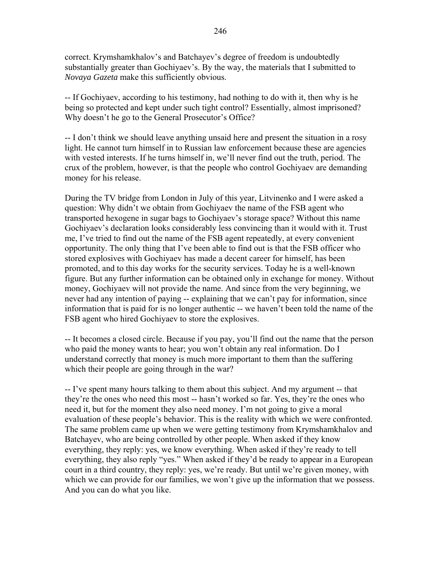correct. Krymshamkhalov's and Batchayev's degree of freedom is undoubtedly substantially greater than Gochiyaev's. By the way, the materials that I submitted to *Novaya Gazeta* make this sufficiently obvious.

-- If Gochiyaev, according to his testimony, had nothing to do with it, then why is he being so protected and kept under such tight control? Essentially, almost imprisoned? Why doesn't he go to the General Prosecutor's Office?

-- I don't think we should leave anything unsaid here and present the situation in a rosy light. He cannot turn himself in to Russian law enforcement because these are agencies with vested interests. If he turns himself in, we'll never find out the truth, period. The crux of the problem, however, is that the people who control Gochiyaev are demanding money for his release.

During the TV bridge from London in July of this year, Litvinenko and I were asked a question: Why didn't we obtain from Gochiyaev the name of the FSB agent who transported hexogene in sugar bags to Gochiyaev's storage space? Without this name Gochiyaev's declaration looks considerably less convincing than it would with it. Trust me, I've tried to find out the name of the FSB agent repeatedly, at every convenient opportunity. The only thing that I've been able to find out is that the FSB officer who stored explosives with Gochiyaev has made a decent career for himself, has been promoted, and to this day works for the security services. Today he is a well-known figure. But any further information can be obtained only in exchange for money. Without money, Gochiyaev will not provide the name. And since from the very beginning, we never had any intention of paying -- explaining that we can't pay for information, since information that is paid for is no longer authentic -- we haven't been told the name of the FSB agent who hired Gochiyaev to store the explosives.

-- It becomes a closed circle. Because if you pay, you'll find out the name that the person who paid the money wants to hear; you won't obtain any real information. Do I understand correctly that money is much more important to them than the suffering which their people are going through in the war?

-- I've spent many hours talking to them about this subject. And my argument -- that they're the ones who need this most -- hasn't worked so far. Yes, they're the ones who need it, but for the moment they also need money. I'm not going to give a moral evaluation of these people's behavior. This is the reality with which we were confronted. The same problem came up when we were getting testimony from Krymshamkhalov and Batchayev, who are being controlled by other people. When asked if they know everything, they reply: yes, we know everything. When asked if they're ready to tell everything, they also reply "yes." When asked if they'd be ready to appear in a European court in a third country, they reply: yes, we're ready. But until we're given money, with which we can provide for our families, we won't give up the information that we possess. And you can do what you like.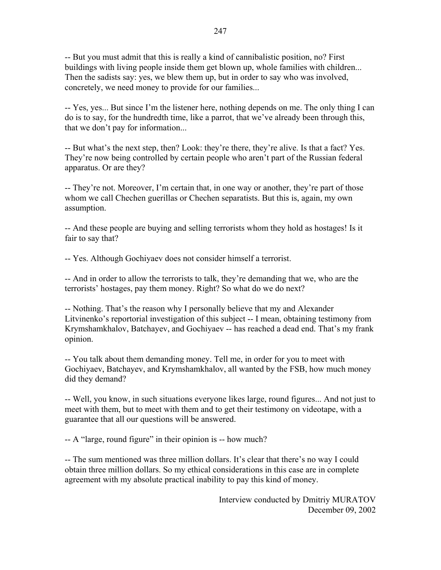-- But you must admit that this is really a kind of cannibalistic position, no? First buildings with living people inside them get blown up, whole families with children... Then the sadists say: yes, we blew them up, but in order to say who was involved, concretely, we need money to provide for our families...

-- Yes, yes... But since I'm the listener here, nothing depends on me. The only thing I can do is to say, for the hundredth time, like a parrot, that we've already been through this, that we don't pay for information...

-- But what's the next step, then? Look: they're there, they're alive. Is that a fact? Yes. They're now being controlled by certain people who aren't part of the Russian federal apparatus. Or are they?

-- They're not. Moreover, I'm certain that, in one way or another, they're part of those whom we call Chechen guerillas or Chechen separatists. But this is, again, my own assumption.

-- And these people are buying and selling terrorists whom they hold as hostages! Is it fair to say that?

-- Yes. Although Gochiyaev does not consider himself a terrorist.

-- And in order to allow the terrorists to talk, they're demanding that we, who are the terrorists' hostages, pay them money. Right? So what do we do next?

-- Nothing. That's the reason why I personally believe that my and Alexander Litvinenko's reportorial investigation of this subject -- I mean, obtaining testimony from Krymshamkhalov, Batchayev, and Gochiyaev -- has reached a dead end. That's my frank opinion.

-- You talk about them demanding money. Tell me, in order for you to meet with Gochiyaev, Batchayev, and Krymshamkhalov, all wanted by the FSB, how much money did they demand?

-- Well, you know, in such situations everyone likes large, round figures... And not just to meet with them, but to meet with them and to get their testimony on videotape, with a guarantee that all our questions will be answered.

-- A "large, round figure" in their opinion is -- how much?

-- The sum mentioned was three million dollars. It's clear that there's no way I could obtain three million dollars. So my ethical considerations in this case are in complete agreement with my absolute practical inability to pay this kind of money.

> Interview conducted by Dmitriy MURATOV December 09, 2002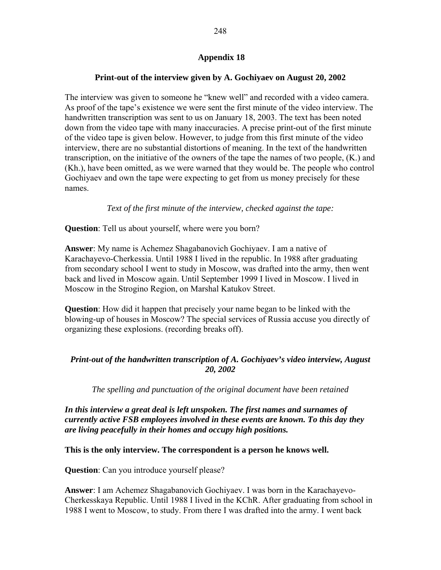#### **Appendix 18**

#### **Print-out of the interview given by A. Gochiyaev on August 20, 2002**

The interview was given to someone he "knew well" and recorded with a video camera. As proof of the tape's existence we were sent the first minute of the video interview. The handwritten transcription was sent to us on January 18, 2003. The text has been noted down from the video tape with many inaccuracies. A precise print-out of the first minute of the video tape is given below. However, to judge from this first minute of the video interview, there are no substantial distortions of meaning. In the text of the handwritten transcription, on the initiative of the owners of the tape the names of two people, (K.) and (Kh.), have been omitted, as we were warned that they would be. The people who control Gochiyaev and own the tape were expecting to get from us money precisely for these names.

*Text of the first minute of the interview, checked against the tape:* 

**Question**: Tell us about yourself, where were you born?

**Answer**: My name is Achemez Shagabanovich Gochiyaev. I am a native of Karachayevo-Cherkessia. Until 1988 I lived in the republic. In 1988 after graduating from secondary school I went to study in Moscow, was drafted into the army, then went back and lived in Moscow again. Until September 1999 I lived in Moscow. I lived in Moscow in the Strogino Region, on Marshal Katukov Street.

**Question**: How did it happen that precisely your name began to be linked with the blowing-up of houses in Moscow? The special services of Russia accuse you directly of organizing these explosions. (recording breaks off).

### *Print-out of the handwritten transcription of A. Gochiyaev's video interview, August 20, 2002*

*The spelling and punctuation of the original document have been retained* 

*In this interview a great deal is left unspoken. The first names and surnames of currently active FSB employees involved in these events are known. To this day they are living peacefully in their homes and occupy high positions.* 

**This is the only interview. The correspondent is a person he knows well.** 

**Question**: Can you introduce yourself please?

**Answer**: I am Achemez Shagabanovich Gochiyaev. I was born in the Karachayevo-Cherkesskaya Republic. Until 1988 I lived in the KChR. After graduating from school in 1988 I went to Moscow, to study. From there I was drafted into the army. I went back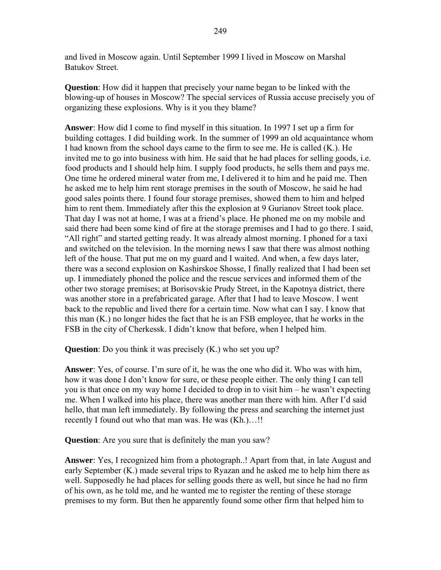and lived in Moscow again. Until September 1999 I lived in Moscow on Marshal Batukov Street.

**Question**: How did it happen that precisely your name began to be linked with the blowing-up of houses in Moscow? The special services of Russia accuse precisely you of organizing these explosions. Why is it you they blame?

**Answer**: How did I come to find myself in this situation. In 1997 I set up a firm for building cottages. I did building work. In the summer of 1999 an old acquaintance whom I had known from the school days came to the firm to see me. He is called (K.). He invited me to go into business with him. He said that he had places for selling goods, i.e. food products and I should help him. I supply food products, he sells them and pays me. One time he ordered mineral water from me, I delivered it to him and he paid me. Then he asked me to help him rent storage premises in the south of Moscow, he said he had good sales points there. I found four storage premises, showed them to him and helped him to rent them. Immediately after this the explosion at 9 Gurianov Street took place. That day I was not at home, I was at a friend's place. He phoned me on my mobile and said there had been some kind of fire at the storage premises and I had to go there. I said, "All right" and started getting ready. It was already almost morning. I phoned for a taxi and switched on the television. In the morning news I saw that there was almost nothing left of the house. That put me on my guard and I waited. And when, a few days later, there was a second explosion on Kashirskoe Shosse, I finally realized that I had been set up. I immediately phoned the police and the rescue services and informed them of the other two storage premises; at Borisovskie Prudy Street, in the Kapotnya district, there was another store in a prefabricated garage. After that I had to leave Moscow. I went back to the republic and lived there for a certain time. Now what can I say. I know that this man (K.) no longer hides the fact that he is an FSB employee, that he works in the FSB in the city of Cherkessk. I didn't know that before, when I helped him.

**Question**: Do you think it was precisely (K.) who set you up?

**Answer**: Yes, of course. I'm sure of it, he was the one who did it. Who was with him, how it was done I don't know for sure, or these people either. The only thing I can tell you is that once on my way home I decided to drop in to visit him – he wasn't expecting me. When I walked into his place, there was another man there with him. After I'd said hello, that man left immediately. By following the press and searching the internet just recently I found out who that man was. He was (Kh.)...!!

**Question**: Are you sure that is definitely the man you saw?

**Answer**: Yes, I recognized him from a photograph..! Apart from that, in late August and early September (K.) made several trips to Ryazan and he asked me to help him there as well. Supposedly he had places for selling goods there as well, but since he had no firm of his own, as he told me, and he wanted me to register the renting of these storage premises to my form. But then he apparently found some other firm that helped him to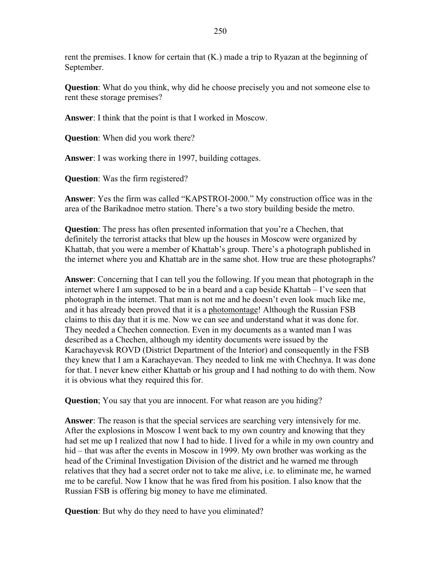rent the premises. I know for certain that (K.) made a trip to Ryazan at the beginning of September.

**Question**: What do you think, why did he choose precisely you and not someone else to rent these storage premises?

**Answer**: I think that the point is that I worked in Moscow.

**Question**: When did you work there?

**Answer**: I was working there in 1997, building cottages.

**Question**: Was the firm registered?

**Answer**: Yes the firm was called "KAPSTROI-2000." My construction office was in the area of the Barikadnoe metro station. There's a two story building beside the metro.

**Question**: The press has often presented information that you're a Chechen, that definitely the terrorist attacks that blew up the houses in Moscow were organized by Khattab, that you were a member of Khattab's group. There's a photograph published in the internet where you and Khattab are in the same shot. How true are these photographs?

**Answer**: Concerning that I can tell you the following. If you mean that photograph in the internet where I am supposed to be in a beard and a cap beside Khattab – I've seen that photograph in the internet. That man is not me and he doesn't even look much like me, and it has already been proved that it is a photomontage! Although the Russian FSB claims to this day that it is me. Now we can see and understand what it was done for. They needed a Chechen connection. Even in my documents as a wanted man I was described as a Chechen, although my identity documents were issued by the Karachayevsk ROVD (District Department of the Interior) and consequently in the FSB they knew that I am a Karachayevan. They needed to link me with Chechnya. It was done for that. I never knew either Khattab or his group and I had nothing to do with them. Now it is obvious what they required this for.

**Question**; You say that you are innocent. For what reason are you hiding?

**Answer**: The reason is that the special services are searching very intensively for me. After the explosions in Moscow I went back to my own country and knowing that they had set me up I realized that now I had to hide. I lived for a while in my own country and hid – that was after the events in Moscow in 1999. My own brother was working as the head of the Criminal Investigation Division of the district and he warned me through relatives that they had a secret order not to take me alive, i.e. to eliminate me, he warned me to be careful. Now I know that he was fired from his position. I also know that the Russian FSB is offering big money to have me eliminated.

**Question**: But why do they need to have you eliminated?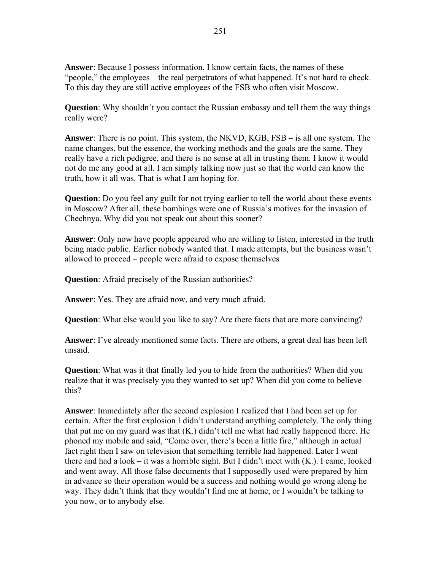**Answer**: Because I possess information, I know certain facts, the names of these "people," the employees – the real perpetrators of what happened. It's not hard to check. To this day they are still active employees of the FSB who often visit Moscow.

**Question**: Why shouldn't you contact the Russian embassy and tell them the way things really were?

**Answer**: There is no point. This system, the NKVD, KGB, FSB – is all one system. The name changes, but the essence, the working methods and the goals are the same. They really have a rich pedigree, and there is no sense at all in trusting them. I know it would not do me any good at all. I am simply talking now just so that the world can know the truth, how it all was. That is what I am hoping for.

**Question**: Do you feel any guilt for not trying earlier to tell the world about these events in Moscow? After all, these bombings were one of Russia's motives for the invasion of Chechnya. Why did you not speak out about this sooner?

**Answer**: Only now have people appeared who are willing to listen, interested in the truth being made public. Earlier nobody wanted that. I made attempts, but the business wasn't allowed to proceed – people were afraid to expose themselves

**Question**: Afraid precisely of the Russian authorities?

**Answer**: Yes. They are afraid now, and very much afraid.

**Question**: What else would you like to say? Are there facts that are more convincing?

**Answer**: I've already mentioned some facts. There are others, a great deal has been left unsaid.

**Question**: What was it that finally led you to hide from the authorities? When did you realize that it was precisely you they wanted to set up? When did you come to believe this?

**Answer**: Immediately after the second explosion I realized that I had been set up for certain. After the first explosion I didn't understand anything completely. The only thing that put me on my guard was that (K.) didn't tell me what had really happened there. He phoned my mobile and said, "Come over, there's been a little fire," although in actual fact right then I saw on television that something terrible had happened. Later I went there and had a look – it was a horrible sight. But I didn't meet with (K.). I came, looked and went away. All those false documents that I supposedly used were prepared by him in advance so their operation would be a success and nothing would go wrong along he way. They didn't think that they wouldn't find me at home, or I wouldn't be talking to you now, or to anybody else.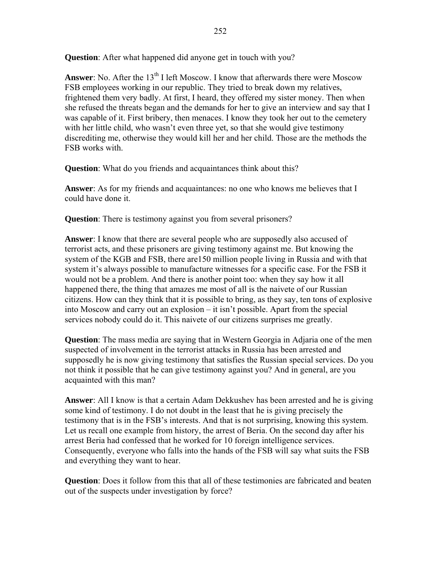**Question**: After what happened did anyone get in touch with you?

**Answer**: No. After the 13<sup>th</sup> I left Moscow. I know that afterwards there were Moscow FSB employees working in our republic. They tried to break down my relatives, frightened them very badly. At first, I heard, they offered my sister money. Then when she refused the threats began and the demands for her to give an interview and say that I was capable of it. First bribery, then menaces. I know they took her out to the cemetery with her little child, who wasn't even three yet, so that she would give testimony discrediting me, otherwise they would kill her and her child. Those are the methods the FSB works with.

**Question**: What do you friends and acquaintances think about this?

**Answer**: As for my friends and acquaintances: no one who knows me believes that I could have done it.

**Question**: There is testimony against you from several prisoners?

**Answer**: I know that there are several people who are supposedly also accused of terrorist acts, and these prisoners are giving testimony against me. But knowing the system of the KGB and FSB, there are150 million people living in Russia and with that system it's always possible to manufacture witnesses for a specific case. For the FSB it would not be a problem. And there is another point too: when they say how it all happened there, the thing that amazes me most of all is the naivete of our Russian citizens. How can they think that it is possible to bring, as they say, ten tons of explosive into Moscow and carry out an explosion – it isn't possible. Apart from the special services nobody could do it. This naivete of our citizens surprises me greatly.

**Question**: The mass media are saying that in Western Georgia in Adjaria one of the men suspected of involvement in the terrorist attacks in Russia has been arrested and supposedly he is now giving testimony that satisfies the Russian special services. Do you not think it possible that he can give testimony against you? And in general, are you acquainted with this man?

**Answer**: All I know is that a certain Adam Dekkushev has been arrested and he is giving some kind of testimony. I do not doubt in the least that he is giving precisely the testimony that is in the FSB's interests. And that is not surprising, knowing this system. Let us recall one example from history, the arrest of Beria. On the second day after his arrest Beria had confessed that he worked for 10 foreign intelligence services. Consequently, everyone who falls into the hands of the FSB will say what suits the FSB and everything they want to hear.

**Question**: Does it follow from this that all of these testimonies are fabricated and beaten out of the suspects under investigation by force?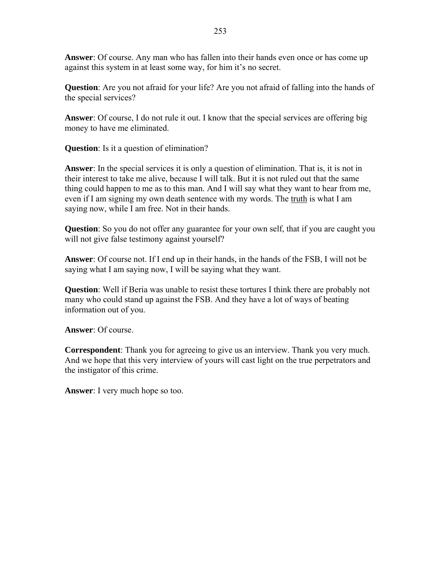**Answer**: Of course. Any man who has fallen into their hands even once or has come up against this system in at least some way, for him it's no secret.

**Question**: Are you not afraid for your life? Are you not afraid of falling into the hands of the special services?

**Answer**: Of course, I do not rule it out. I know that the special services are offering big money to have me eliminated.

**Question**: Is it a question of elimination?

**Answer**: In the special services it is only a question of elimination. That is, it is not in their interest to take me alive, because I will talk. But it is not ruled out that the same thing could happen to me as to this man. And I will say what they want to hear from me, even if I am signing my own death sentence with my words. The truth is what I am saying now, while I am free. Not in their hands.

**Question**: So you do not offer any guarantee for your own self, that if you are caught you will not give false testimony against yourself?

**Answer**: Of course not. If I end up in their hands, in the hands of the FSB, I will not be saying what I am saying now, I will be saying what they want.

**Question**: Well if Beria was unable to resist these tortures I think there are probably not many who could stand up against the FSB. And they have a lot of ways of beating information out of you.

**Answer**: Of course.

**Correspondent**: Thank you for agreeing to give us an interview. Thank you very much. And we hope that this very interview of yours will cast light on the true perpetrators and the instigator of this crime.

**Answer**: I very much hope so too.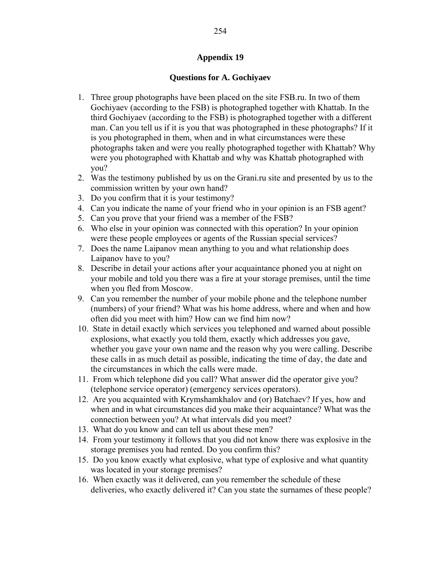## **Appendix 19**

### **Questions for A. Gochiyaev**

- 1. Three group photographs have been placed on the site FSB.ru. In two of them Gochiyaev (according to the FSB) is photographed together with Khattab. In the third Gochiyaev (according to the FSB) is photographed together with a different man. Can you tell us if it is you that was photographed in these photographs? If it is you photographed in them, when and in what circumstances were these photographs taken and were you really photographed together with Khattab? Why were you photographed with Khattab and why was Khattab photographed with you?
- 2. Was the testimony published by us on the Grani.ru site and presented by us to the commission written by your own hand?
- 3. Do you confirm that it is your testimony?
- 4. Can you indicate the name of your friend who in your opinion is an FSB agent?
- 5. Can you prove that your friend was a member of the FSB?
- 6. Who else in your opinion was connected with this operation? In your opinion were these people employees or agents of the Russian special services?
- 7. Does the name Laipanov mean anything to you and what relationship does Laipanov have to you?
- 8. Describe in detail your actions after your acquaintance phoned you at night on your mobile and told you there was a fire at your storage premises, until the time when you fled from Moscow.
- 9. Can you remember the number of your mobile phone and the telephone number (numbers) of your friend? What was his home address, where and when and how often did you meet with him? How can we find him now?
- 10. State in detail exactly which services you telephoned and warned about possible explosions, what exactly you told them, exactly which addresses you gave, whether you gave your own name and the reason why you were calling. Describe these calls in as much detail as possible, indicating the time of day, the date and the circumstances in which the calls were made.
- 11. From which telephone did you call? What answer did the operator give you? (telephone service operator) (emergency services operators).
- 12. Are you acquainted with Krymshamkhalov and (or) Batchaev? If yes, how and when and in what circumstances did you make their acquaintance? What was the connection between you? At what intervals did you meet?
- 13. What do you know and can tell us about these men?
- 14. From your testimony it follows that you did not know there was explosive in the storage premises you had rented. Do you confirm this?
- 15. Do you know exactly what explosive, what type of explosive and what quantity was located in your storage premises?
- 16. When exactly was it delivered, can you remember the schedule of these deliveries, who exactly delivered it? Can you state the surnames of these people?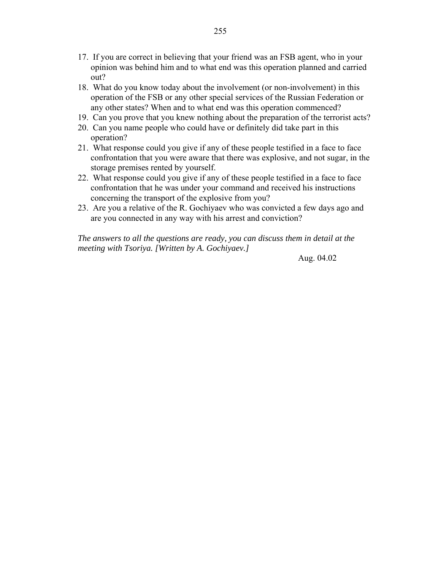- 17. If you are correct in believing that your friend was an FSB agent, who in your opinion was behind him and to what end was this operation planned and carried out?
- 18. What do you know today about the involvement (or non-involvement) in this operation of the FSB or any other special services of the Russian Federation or any other states? When and to what end was this operation commenced?
- 19. Can you prove that you knew nothing about the preparation of the terrorist acts?
- 20. Can you name people who could have or definitely did take part in this operation?
- 21. What response could you give if any of these people testified in a face to face confrontation that you were aware that there was explosive, and not sugar, in the storage premises rented by yourself.
- 22. What response could you give if any of these people testified in a face to face confrontation that he was under your command and received his instructions concerning the transport of the explosive from you?
- 23. Are you a relative of the R. Gochiyaev who was convicted a few days ago and are you connected in any way with his arrest and conviction?

*The answers to all the questions are ready, you can discuss them in detail at the meeting with Tsoriya. [Written by A. Gochiyaev.]* 

Aug. 04.02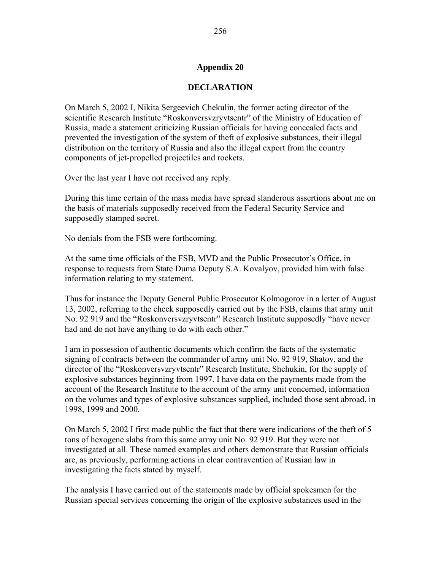## **Appendix 20**

## **DECLARATION**

On March 5, 2002 I, Nikita Sergeevich Chekulin, the former acting director of the scientific Research Institute "Roskonversvzryvtsentr" of the Ministry of Education of Russia, made a statement criticizing Russian officials for having concealed facts and prevented the investigation of the system of theft of explosive substances, their illegal distribution on the territory of Russia and also the illegal export from the country components of jet-propelled projectiles and rockets.

Over the last year I have not received any reply.

During this time certain of the mass media have spread slanderous assertions about me on the basis of materials supposedly received from the Federal Security Service and supposedly stamped secret.

No denials from the FSB were forthcoming.

At the same time officials of the FSB, MVD and the Public Prosecutor's Office, in response to requests from State Duma Deputy S.A. Kovalyov, provided him with false information relating to my statement.

Thus for instance the Deputy General Public Prosecutor Kolmogorov in a letter of August 13, 2002, referring to the check supposedly carried out by the FSB, claims that army unit No. 92 919 and the "Roskonversvzryvtsentr" Research Institute supposedly "have never had and do not have anything to do with each other."

I am in possession of authentic documents which confirm the facts of the systematic signing of contracts between the commander of army unit No. 92 919, Shatov, and the director of the "Roskonversvzryvtsentr" Research Institute, Shchukin, for the supply of explosive substances beginning from 1997. I have data on the payments made from the account of the Research Institute to the account of the army unit concerned, information on the volumes and types of explosive substances supplied, included those sent abroad, in 1998, 1999 and 2000.

On March 5, 2002 I first made public the fact that there were indications of the theft of 5 tons of hexogene slabs from this same army unit No. 92 919. But they were not investigated at all. These named examples and others demonstrate that Russian officials are, as previously, performing actions in clear contravention of Russian law in investigating the facts stated by myself.

The analysis I have carried out of the statements made by official spokesmen for the Russian special services concerning the origin of the explosive substances used in the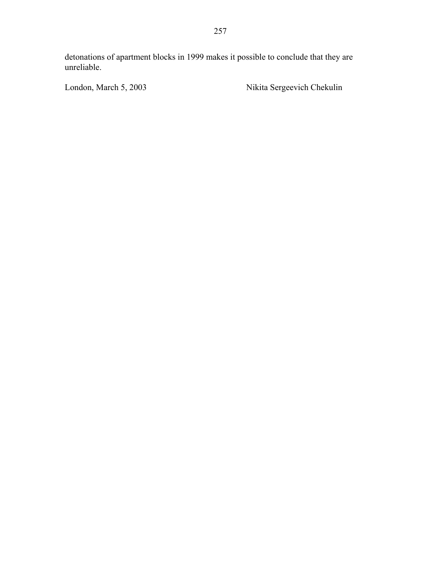detonations of apartment blocks in 1999 makes it possible to conclude that they are unreliable.

London, March 5, 2003 Nikita Sergeevich Chekulin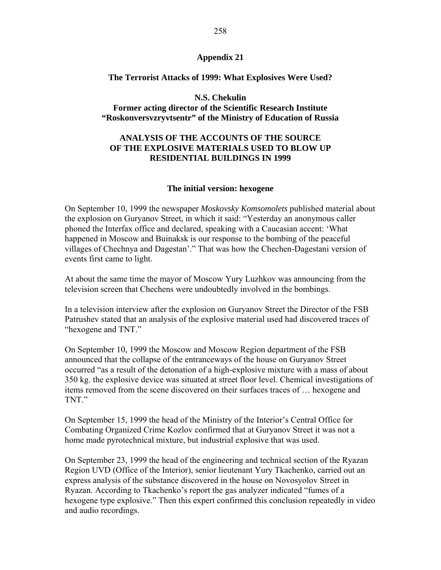#### **Appendix 21**

#### **The Terrorist Attacks of 1999: What Explosives Were Used?**

#### **N.S. Chekulin**

### **Former acting director of the Scientific Research Institute "Roskonversvzryvtsentr" of the Ministry of Education of Russia**

## **ANALYSIS OF THE ACCOUNTS OF THE SOURCE OF THE EXPLOSIVE MATERIALS USED TO BLOW UP RESIDENTIAL BUILDINGS IN 1999**

#### **The initial version: hexogene**

On September 10, 1999 the newspaper *Moskovsky Komsomolets* published material about the explosion on Guryanov Street, in which it said: "Yesterday an anonymous caller phoned the Interfax office and declared, speaking with a Caucasian accent: 'What happened in Moscow and Buinaksk is our response to the bombing of the peaceful villages of Chechnya and Dagestan'." That was how the Chechen-Dagestani version of events first came to light.

At about the same time the mayor of Moscow Yury Luzhkov was announcing from the television screen that Chechens were undoubtedly involved in the bombings.

In a television interview after the explosion on Guryanov Street the Director of the FSB Patrushev stated that an analysis of the explosive material used had discovered traces of "hexogene and TNT."

On September 10, 1999 the Moscow and Moscow Region department of the FSB announced that the collapse of the entranceways of the house on Guryanov Street occurred "as a result of the detonation of a high-explosive mixture with a mass of about 350 kg. the explosive device was situated at street floor level. Chemical investigations of items removed from the scene discovered on their surfaces traces of … hexogene and TNT."

On September 15, 1999 the head of the Ministry of the Interior's Central Office for Combating Organized Crime Kozlov confirmed that at Guryanov Street it was not a home made pyrotechnical mixture, but industrial explosive that was used.

On September 23, 1999 the head of the engineering and technical section of the Ryazan Region UVD (Office of the Interior), senior lieutenant Yury Tkachenko, carried out an express analysis of the substance discovered in the house on Novosyolov Street in Ryazan. According to Tkachenko's report the gas analyzer indicated "fumes of a hexogene type explosive." Then this expert confirmed this conclusion repeatedly in video and audio recordings.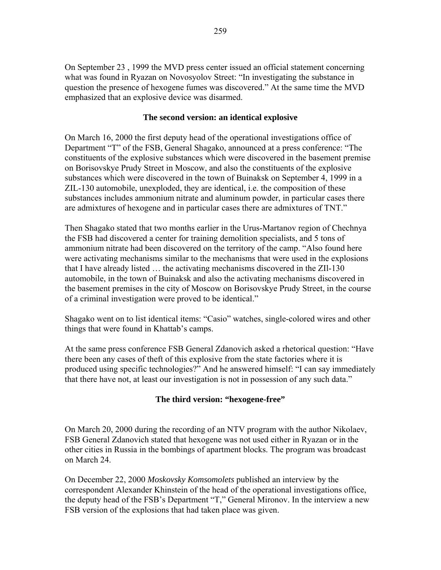On September 23 , 1999 the MVD press center issued an official statement concerning what was found in Ryazan on Novosyolov Street: "In investigating the substance in question the presence of hexogene fumes was discovered." At the same time the MVD emphasized that an explosive device was disarmed.

#### **The second version: an identical explosive**

On March 16, 2000 the first deputy head of the operational investigations office of Department "T" of the FSB, General Shagako, announced at a press conference: "The constituents of the explosive substances which were discovered in the basement premise on Borisovskye Prudy Street in Moscow, and also the constituents of the explosive substances which were discovered in the town of Buinaksk on September 4, 1999 in a ZIL-130 automobile, unexploded, they are identical, i.e. the composition of these substances includes ammonium nitrate and aluminum powder, in particular cases there are admixtures of hexogene and in particular cases there are admixtures of TNT."

Then Shagako stated that two months earlier in the Urus-Martanov region of Chechnya the FSB had discovered a center for training demolition specialists, and 5 tons of ammonium nitrate had been discovered on the territory of the camp. "Also found here were activating mechanisms similar to the mechanisms that were used in the explosions that I have already listed … the activating mechanisms discovered in the ZIl-130 automobile, in the town of Buinaksk and also the activating mechanisms discovered in the basement premises in the city of Moscow on Borisovskye Prudy Street, in the course of a criminal investigation were proved to be identical."

Shagako went on to list identical items: "Casio" watches, single-colored wires and other things that were found in Khattab's camps.

At the same press conference FSB General Zdanovich asked a rhetorical question: "Have there been any cases of theft of this explosive from the state factories where it is produced using specific technologies?" And he answered himself: "I can say immediately that there have not, at least our investigation is not in possession of any such data."

### **The third version: "hexogene-free"**

On March 20, 2000 during the recording of an NTV program with the author Nikolaev, FSB General Zdanovich stated that hexogene was not used either in Ryazan or in the other cities in Russia in the bombings of apartment blocks. The program was broadcast on March 24.

On December 22, 2000 *Moskovsky Komsomolets* published an interview by the correspondent Alexander Khinstein of the head of the operational investigations office, the deputy head of the FSB's Department "T," General Mironov. In the interview a new FSB version of the explosions that had taken place was given.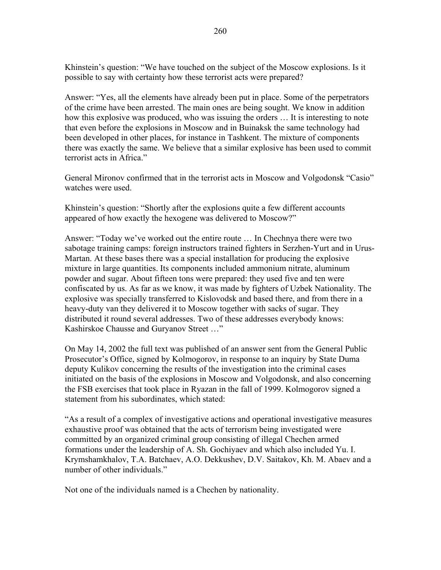Khinstein's question: "We have touched on the subject of the Moscow explosions. Is it possible to say with certainty how these terrorist acts were prepared?

Answer: "Yes, all the elements have already been put in place. Some of the perpetrators of the crime have been arrested. The main ones are being sought. We know in addition how this explosive was produced, who was issuing the orders … It is interesting to note that even before the explosions in Moscow and in Buinaksk the same technology had been developed in other places, for instance in Tashkent. The mixture of components there was exactly the same. We believe that a similar explosive has been used to commit terrorist acts in Africa."

General Mironov confirmed that in the terrorist acts in Moscow and Volgodonsk "Casio" watches were used.

Khinstein's question: "Shortly after the explosions quite a few different accounts appeared of how exactly the hexogene was delivered to Moscow?"

Answer: "Today we've worked out the entire route … In Chechnya there were two sabotage training camps: foreign instructors trained fighters in Serzhen-Yurt and in Urus-Martan. At these bases there was a special installation for producing the explosive mixture in large quantities. Its components included ammonium nitrate, aluminum powder and sugar. About fifteen tons were prepared: they used five and ten were confiscated by us. As far as we know, it was made by fighters of Uzbek Nationality. The explosive was specially transferred to Kislovodsk and based there, and from there in a heavy-duty van they delivered it to Moscow together with sacks of sugar. They distributed it round several addresses. Two of these addresses everybody knows: Kashirskoe Chausse and Guryanov Street …"

On May 14, 2002 the full text was published of an answer sent from the General Public Prosecutor's Office, signed by Kolmogorov, in response to an inquiry by State Duma deputy Kulikov concerning the results of the investigation into the criminal cases initiated on the basis of the explosions in Moscow and Volgodonsk, and also concerning the FSB exercises that took place in Ryazan in the fall of 1999. Kolmogorov signed a statement from his subordinates, which stated:

"As a result of a complex of investigative actions and operational investigative measures exhaustive proof was obtained that the acts of terrorism being investigated were committed by an organized criminal group consisting of illegal Chechen armed formations under the leadership of A. Sh. Gochiyaev and which also included Yu. I. Krymshamkhalov, T.A. Batchaev, A.O. Dekkushev, D.V. Saitakov, Kh. M. Abaev and a number of other individuals."

Not one of the individuals named is a Chechen by nationality.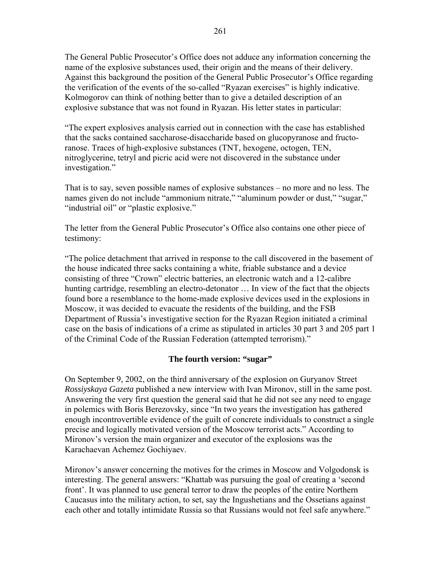The General Public Prosecutor's Office does not adduce any information concerning the name of the explosive substances used, their origin and the means of their delivery. Against this background the position of the General Public Prosecutor's Office regarding the verification of the events of the so-called "Ryazan exercises" is highly indicative. Kolmogorov can think of nothing better than to give a detailed description of an explosive substance that was not found in Ryazan. His letter states in particular:

"The expert explosives analysis carried out in connection with the case has established that the sacks contained saccharose-disaccharide based on glucopyranose and fructoranose. Traces of high-explosive substances (TNT, hexogene, octogen, TEN, nitroglycerine, tetryl and picric acid were not discovered in the substance under investigation."

That is to say, seven possible names of explosive substances – no more and no less. The names given do not include "ammonium nitrate," "aluminum powder or dust," "sugar," "industrial oil" or "plastic explosive."

The letter from the General Public Prosecutor's Office also contains one other piece of testimony:

"The police detachment that arrived in response to the call discovered in the basement of the house indicated three sacks containing a white, friable substance and a device consisting of three "Crown" electric batteries, an electronic watch and a 12-calibre hunting cartridge, resembling an electro-detonator ... In view of the fact that the objects found bore a resemblance to the home-made explosive devices used in the explosions in Moscow, it was decided to evacuate the residents of the building, and the FSB Department of Russia's investigative section for the Ryazan Region initiated a criminal case on the basis of indications of a crime as stipulated in articles 30 part 3 and 205 part 1 of the Criminal Code of the Russian Federation (attempted terrorism)."

## **The fourth version: "sugar"**

On September 9, 2002, on the third anniversary of the explosion on Guryanov Street *Rossiyskaya Gazeta* published a new interview with Ivan Mironov, still in the same post. Answering the very first question the general said that he did not see any need to engage in polemics with Boris Berezovsky, since "In two years the investigation has gathered enough incontrovertible evidence of the guilt of concrete individuals to construct a single precise and logically motivated version of the Moscow terrorist acts." According to Mironov's version the main organizer and executor of the explosions was the Karachaevan Achemez Gochiyaev.

Mironov's answer concerning the motives for the crimes in Moscow and Volgodonsk is interesting. The general answers: "Khattab was pursuing the goal of creating a 'second front'. It was planned to use general terror to draw the peoples of the entire Northern Caucasus into the military action, to set, say the Ingushetians and the Ossetians against each other and totally intimidate Russia so that Russians would not feel safe anywhere."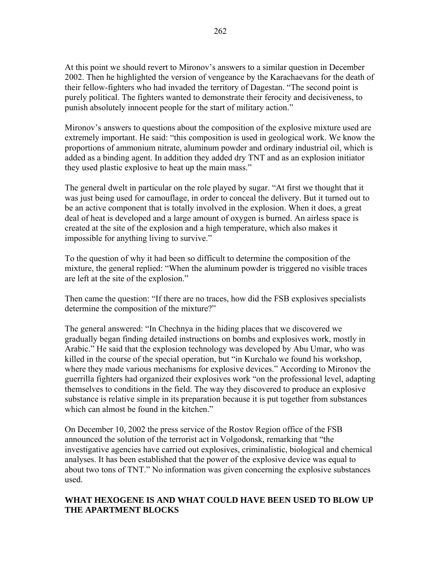At this point we should revert to Mironov's answers to a similar question in December 2002. Then he highlighted the version of vengeance by the Karachaevans for the death of their fellow-fighters who had invaded the territory of Dagestan. "The second point is purely political. The fighters wanted to demonstrate their ferocity and decisiveness, to punish absolutely innocent people for the start of military action."

Mironov's answers to questions about the composition of the explosive mixture used are extremely important. He said: "this composition is used in geological work. We know the proportions of ammonium nitrate, aluminum powder and ordinary industrial oil, which is added as a binding agent. In addition they added dry TNT and as an explosion initiator they used plastic explosive to heat up the main mass."

The general dwelt in particular on the role played by sugar. "At first we thought that it was just being used for camouflage, in order to conceal the delivery. But it turned out to be an active component that is totally involved in the explosion. When it does, a great deal of heat is developed and a large amount of oxygen is burned. An airless space is created at the site of the explosion and a high temperature, which also makes it impossible for anything living to survive."

To the question of why it had been so difficult to determine the composition of the mixture, the general replied: "When the aluminum powder is triggered no visible traces are left at the site of the explosion."

Then came the question: "If there are no traces, how did the FSB explosives specialists determine the composition of the mixture?"

The general answered: "In Chechnya in the hiding places that we discovered we gradually began finding detailed instructions on bombs and explosives work, mostly in Arabic." He said that the explosion technology was developed by Abu Umar, who was killed in the course of the special operation, but "in Kurchalo we found his workshop, where they made various mechanisms for explosive devices." According to Mironov the guerrilla fighters had organized their explosives work "on the professional level, adapting themselves to conditions in the field. The way they discovered to produce an explosive substance is relative simple in its preparation because it is put together from substances which can almost be found in the kitchen."

On December 10, 2002 the press service of the Rostov Region office of the FSB announced the solution of the terrorist act in Volgodonsk, remarking that "the investigative agencies have carried out explosives, criminalistic, biological and chemical analyses. It has been established that the power of the explosive device was equal to about two tons of TNT." No information was given concerning the explosive substances used.

# **WHAT HEXOGENE IS AND WHAT COULD HAVE BEEN USED TO BLOW UP THE APARTMENT BLOCKS**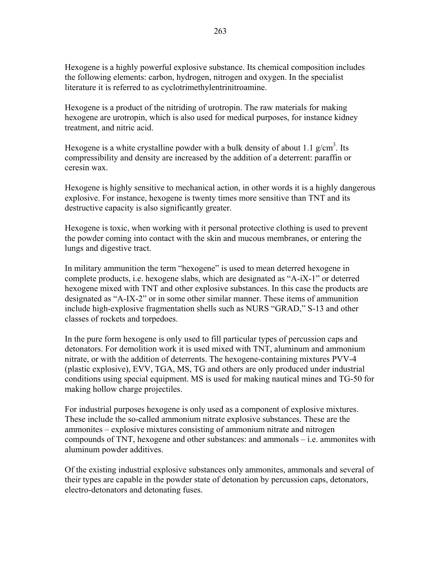Hexogene is a highly powerful explosive substance. Its chemical composition includes the following elements: carbon, hydrogen, nitrogen and oxygen. In the specialist literature it is referred to as cyclotrimethylentrinitroamine.

Hexogene is a product of the nitriding of urotropin. The raw materials for making hexogene are urotropin, which is also used for medical purposes, for instance kidney treatment, and nitric acid.

Hexogene is a white crystalline powder with a bulk density of about 1.1 g/cm<sup>3</sup>. Its compressibility and density are increased by the addition of a deterrent: paraffin or ceresin wax.

Hexogene is highly sensitive to mechanical action, in other words it is a highly dangerous explosive. For instance, hexogene is twenty times more sensitive than TNT and its destructive capacity is also significantly greater.

Hexogene is toxic, when working with it personal protective clothing is used to prevent the powder coming into contact with the skin and mucous membranes, or entering the lungs and digestive tract.

In military ammunition the term "hexogene" is used to mean deterred hexogene in complete products, i.e. hexogene slabs, which are designated as "A-iX-1" or deterred hexogene mixed with TNT and other explosive substances. In this case the products are designated as "A-IX-2" or in some other similar manner. These items of ammunition include high-explosive fragmentation shells such as NURS "GRAD," S-13 and other classes of rockets and torpedoes.

In the pure form hexogene is only used to fill particular types of percussion caps and detonators. For demolition work it is used mixed with TNT, aluminum and ammonium nitrate, or with the addition of deterrents. The hexogene-containing mixtures PVV-4 (plastic explosive), EVV, TGA, MS, TG and others are only produced under industrial conditions using special equipment. MS is used for making nautical mines and TG-50 for making hollow charge projectiles.

For industrial purposes hexogene is only used as a component of explosive mixtures. These include the so-called ammonium nitrate explosive substances. These are the ammonites – explosive mixtures consisting of ammonium nitrate and nitrogen compounds of TNT, hexogene and other substances: and ammonals – i.e. ammonites with aluminum powder additives.

Of the existing industrial explosive substances only ammonites, ammonals and several of their types are capable in the powder state of detonation by percussion caps, detonators, electro-detonators and detonating fuses.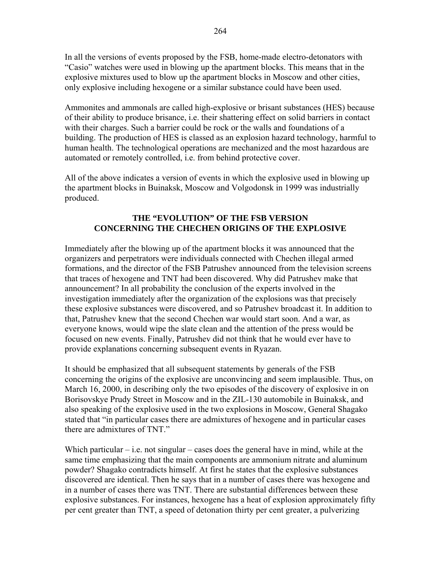In all the versions of events proposed by the FSB, home-made electro-detonators with "Casio" watches were used in blowing up the apartment blocks. This means that in the explosive mixtures used to blow up the apartment blocks in Moscow and other cities, only explosive including hexogene or a similar substance could have been used.

Ammonites and ammonals are called high-explosive or brisant substances (HES) because of their ability to produce brisance, i.e. their shattering effect on solid barriers in contact with their charges. Such a barrier could be rock or the walls and foundations of a building. The production of HES is classed as an explosion hazard technology, harmful to human health. The technological operations are mechanized and the most hazardous are automated or remotely controlled, i.e. from behind protective cover.

All of the above indicates a version of events in which the explosive used in blowing up the apartment blocks in Buinaksk, Moscow and Volgodonsk in 1999 was industrially produced.

## **THE "EVOLUTION" OF THE FSB VERSION CONCERNING THE CHECHEN ORIGINS OF THE EXPLOSIVE**

Immediately after the blowing up of the apartment blocks it was announced that the organizers and perpetrators were individuals connected with Chechen illegal armed formations, and the director of the FSB Patrushev announced from the television screens that traces of hexogene and TNT had been discovered. Why did Patrushev make that announcement? In all probability the conclusion of the experts involved in the investigation immediately after the organization of the explosions was that precisely these explosive substances were discovered, and so Patrushev broadcast it. In addition to that, Patrushev knew that the second Chechen war would start soon. And a war, as everyone knows, would wipe the slate clean and the attention of the press would be focused on new events. Finally, Patrushev did not think that he would ever have to provide explanations concerning subsequent events in Ryazan.

It should be emphasized that all subsequent statements by generals of the FSB concerning the origins of the explosive are unconvincing and seem implausible. Thus, on March 16, 2000, in describing only the two episodes of the discovery of explosive in on Borisovskye Prudy Street in Moscow and in the ZIL-130 automobile in Buinaksk, and also speaking of the explosive used in the two explosions in Moscow, General Shagako stated that "in particular cases there are admixtures of hexogene and in particular cases there are admixtures of TNT."

Which particular  $-$  i.e. not singular – cases does the general have in mind, while at the same time emphasizing that the main components are ammonium nitrate and aluminum powder? Shagako contradicts himself. At first he states that the explosive substances discovered are identical. Then he says that in a number of cases there was hexogene and in a number of cases there was TNT. There are substantial differences between these explosive substances. For instances, hexogene has a heat of explosion approximately fifty per cent greater than TNT, a speed of detonation thirty per cent greater, a pulverizing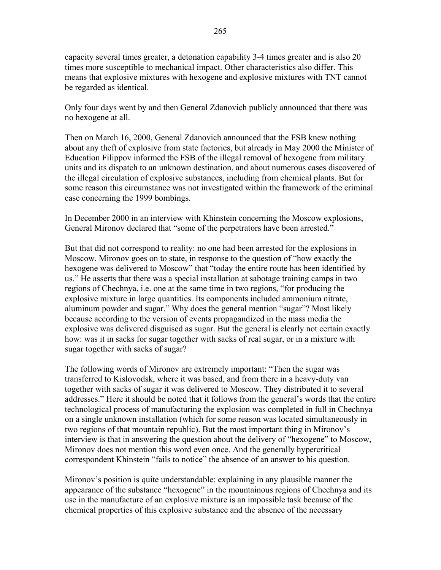capacity several times greater, a detonation capability 3-4 times greater and is also 20 times more susceptible to mechanical impact. Other characteristics also differ. This means that explosive mixtures with hexogene and explosive mixtures with TNT cannot be regarded as identical.

Only four days went by and then General Zdanovich publicly announced that there was no hexogene at all.

Then on March 16, 2000, General Zdanovich announced that the FSB knew nothing about any theft of explosive from state factories, but already in May 2000 the Minister of Education Filippov informed the FSB of the illegal removal of hexogene from military units and its dispatch to an unknown destination, and about numerous cases discovered of the illegal circulation of explosive substances, including from chemical plants. But for some reason this circumstance was not investigated within the framework of the criminal case concerning the 1999 bombings.

In December 2000 in an interview with Khinstein concerning the Moscow explosions, General Mironov declared that "some of the perpetrators have been arrested."

But that did not correspond to reality: no one had been arrested for the explosions in Moscow. Mironov goes on to state, in response to the question of "how exactly the hexogene was delivered to Moscow" that "today the entire route has been identified by us." He asserts that there was a special installation at sabotage training camps in two regions of Chechnya, i.e. one at the same time in two regions, "for producing the explosive mixture in large quantities. Its components included ammonium nitrate, aluminum powder and sugar." Why does the general mention "sugar"? Most likely because according to the version of events propagandized in the mass media the explosive was delivered disguised as sugar. But the general is clearly not certain exactly how: was it in sacks for sugar together with sacks of real sugar, or in a mixture with sugar together with sacks of sugar?

The following words of Mironov are extremely important: "Then the sugar was transferred to Kislovodsk, where it was based, and from there in a heavy-duty van together with sacks of sugar it was delivered to Moscow. They distributed it to several addresses." Here it should be noted that it follows from the general's words that the entire technological process of manufacturing the explosion was completed in full in Chechnya on a single unknown installation (which for some reason was located simultaneously in two regions of that mountain republic). But the most important thing in Mironov's interview is that in answering the question about the delivery of "hexogene" to Moscow, Mironov does not mention this word even once. And the generally hypercritical correspondent Khinstein "fails to notice" the absence of an answer to his question.

Mironov's position is quite understandable: explaining in any plausible manner the appearance of the substance "hexogene" in the mountainous regions of Chechnya and its use in the manufacture of an explosive mixture is an impossible task because of the chemical properties of this explosive substance and the absence of the necessary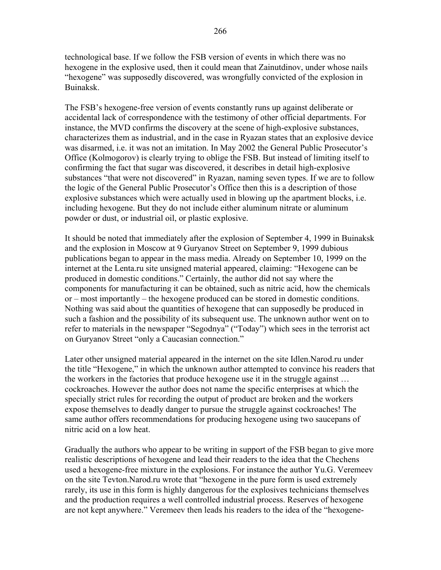technological base. If we follow the FSB version of events in which there was no hexogene in the explosive used, then it could mean that Zainutdinov, under whose nails "hexogene" was supposedly discovered, was wrongfully convicted of the explosion in Buinaksk.

The FSB's hexogene-free version of events constantly runs up against deliberate or accidental lack of correspondence with the testimony of other official departments. For instance, the MVD confirms the discovery at the scene of high-explosive substances, characterizes them as industrial, and in the case in Ryazan states that an explosive device was disarmed, i.e. it was not an imitation. In May 2002 the General Public Prosecutor's Office (Kolmogorov) is clearly trying to oblige the FSB. But instead of limiting itself to confirming the fact that sugar was discovered, it describes in detail high-explosive substances "that were not discovered" in Ryazan, naming seven types. If we are to follow the logic of the General Public Prosecutor's Office then this is a description of those explosive substances which were actually used in blowing up the apartment blocks, i.e. including hexogene. But they do not include either aluminum nitrate or aluminum powder or dust, or industrial oil, or plastic explosive.

It should be noted that immediately after the explosion of September 4, 1999 in Buinaksk and the explosion in Moscow at 9 Guryanov Street on September 9, 1999 dubious publications began to appear in the mass media. Already on September 10, 1999 on the internet at the Lenta.ru site unsigned material appeared, claiming: "Hexogene can be produced in domestic conditions." Certainly, the author did not say where the components for manufacturing it can be obtained, such as nitric acid, how the chemicals or – most importantly – the hexogene produced can be stored in domestic conditions. Nothing was said about the quantities of hexogene that can supposedly be produced in such a fashion and the possibility of its subsequent use. The unknown author went on to refer to materials in the newspaper "Segodnya" ("Today") which sees in the terrorist act on Guryanov Street "only a Caucasian connection."

Later other unsigned material appeared in the internet on the site Idlen.Narod.ru under the title "Hexogene," in which the unknown author attempted to convince his readers that the workers in the factories that produce hexogene use it in the struggle against … cockroaches. However the author does not name the specific enterprises at which the specially strict rules for recording the output of product are broken and the workers expose themselves to deadly danger to pursue the struggle against cockroaches! The same author offers recommendations for producing hexogene using two saucepans of nitric acid on a low heat.

Gradually the authors who appear to be writing in support of the FSB began to give more realistic descriptions of hexogene and lead their readers to the idea that the Chechens used a hexogene-free mixture in the explosions. For instance the author Yu.G. Veremeev on the site Tevton.Narod.ru wrote that "hexogene in the pure form is used extremely rarely, its use in this form is highly dangerous for the explosives technicians themselves and the production requires a well controlled industrial process. Reserves of hexogene are not kept anywhere." Veremeev then leads his readers to the idea of the "hexogene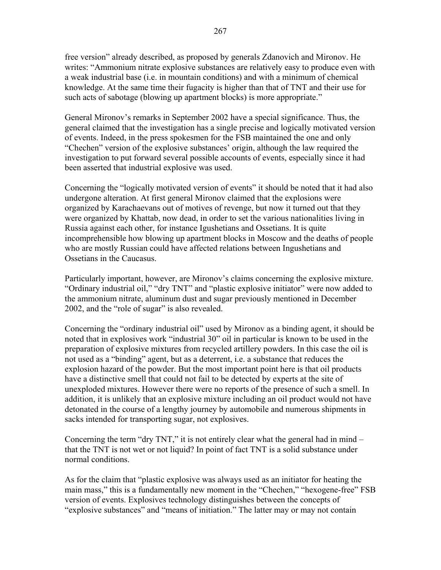free version" already described, as proposed by generals Zdanovich and Mironov. He writes: "Ammonium nitrate explosive substances are relatively easy to produce even with a weak industrial base (i.e. in mountain conditions) and with a minimum of chemical knowledge. At the same time their fugacity is higher than that of TNT and their use for such acts of sabotage (blowing up apartment blocks) is more appropriate."

General Mironov's remarks in September 2002 have a special significance. Thus, the general claimed that the investigation has a single precise and logically motivated version of events. Indeed, in the press spokesmen for the FSB maintained the one and only "Chechen" version of the explosive substances' origin, although the law required the investigation to put forward several possible accounts of events, especially since it had been asserted that industrial explosive was used.

Concerning the "logically motivated version of events" it should be noted that it had also undergone alteration. At first general Mironov claimed that the explosions were organized by Karachaevans out of motives of revenge, but now it turned out that they were organized by Khattab, now dead, in order to set the various nationalities living in Russia against each other, for instance Igushetians and Ossetians. It is quite incomprehensible how blowing up apartment blocks in Moscow and the deaths of people who are mostly Russian could have affected relations between Ingushetians and Ossetians in the Caucasus.

Particularly important, however, are Mironov's claims concerning the explosive mixture. "Ordinary industrial oil," "dry TNT" and "plastic explosive initiator" were now added to the ammonium nitrate, aluminum dust and sugar previously mentioned in December 2002, and the "role of sugar" is also revealed.

Concerning the "ordinary industrial oil" used by Mironov as a binding agent, it should be noted that in explosives work "industrial 30" oil in particular is known to be used in the preparation of explosive mixtures from recycled artillery powders. In this case the oil is not used as a "binding" agent, but as a deterrent, i.e. a substance that reduces the explosion hazard of the powder. But the most important point here is that oil products have a distinctive smell that could not fail to be detected by experts at the site of unexploded mixtures. However there were no reports of the presence of such a smell. In addition, it is unlikely that an explosive mixture including an oil product would not have detonated in the course of a lengthy journey by automobile and numerous shipments in sacks intended for transporting sugar, not explosives.

Concerning the term "dry TNT," it is not entirely clear what the general had in mind – that the TNT is not wet or not liquid? In point of fact TNT is a solid substance under normal conditions.

As for the claim that "plastic explosive was always used as an initiator for heating the main mass," this is a fundamentally new moment in the "Chechen," "hexogene-free" FSB version of events. Explosives technology distinguishes between the concepts of "explosive substances" and "means of initiation." The latter may or may not contain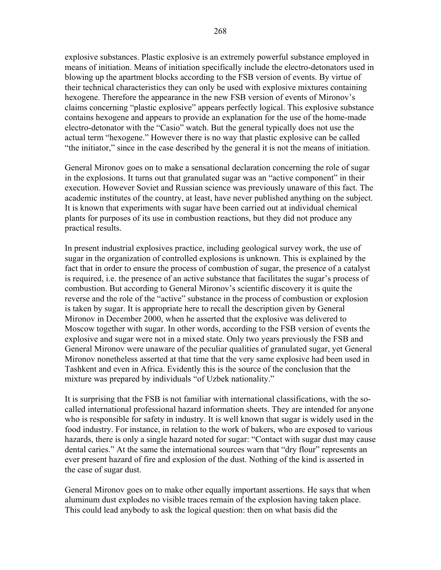explosive substances. Plastic explosive is an extremely powerful substance employed in means of initiation. Means of initiation specifically include the electro-detonators used in blowing up the apartment blocks according to the FSB version of events. By virtue of their technical characteristics they can only be used with explosive mixtures containing hexogene. Therefore the appearance in the new FSB version of events of Mironov's claims concerning "plastic explosive" appears perfectly logical. This explosive substance contains hexogene and appears to provide an explanation for the use of the home-made electro-detonator with the "Casio" watch. But the general typically does not use the actual term "hexogene." However there is no way that plastic explosive can be called "the initiator," since in the case described by the general it is not the means of initiation.

General Mironov goes on to make a sensational declaration concerning the role of sugar in the explosions. It turns out that granulated sugar was an "active component" in their execution. However Soviet and Russian science was previously unaware of this fact. The academic institutes of the country, at least, have never published anything on the subject. It is known that experiments with sugar have been carried out at individual chemical plants for purposes of its use in combustion reactions, but they did not produce any practical results.

In present industrial explosives practice, including geological survey work, the use of sugar in the organization of controlled explosions is unknown. This is explained by the fact that in order to ensure the process of combustion of sugar, the presence of a catalyst is required, i.e. the presence of an active substance that facilitates the sugar's process of combustion. But according to General Mironov's scientific discovery it is quite the reverse and the role of the "active" substance in the process of combustion or explosion is taken by sugar. It is appropriate here to recall the description given by General Mironov in December 2000, when he asserted that the explosive was delivered to Moscow together with sugar. In other words, according to the FSB version of events the explosive and sugar were not in a mixed state. Only two years previously the FSB and General Mironov were unaware of the peculiar qualities of granulated sugar, yet General Mironov nonetheless asserted at that time that the very same explosive had been used in Tashkent and even in Africa. Evidently this is the source of the conclusion that the mixture was prepared by individuals "of Uzbek nationality."

It is surprising that the FSB is not familiar with international classifications, with the socalled international professional hazard information sheets. They are intended for anyone who is responsible for safety in industry. It is well known that sugar is widely used in the food industry. For instance, in relation to the work of bakers, who are exposed to various hazards, there is only a single hazard noted for sugar: "Contact with sugar dust may cause dental caries." At the same the international sources warn that "dry flour" represents an ever present hazard of fire and explosion of the dust. Nothing of the kind is asserted in the case of sugar dust.

General Mironov goes on to make other equally important assertions. He says that when aluminum dust explodes no visible traces remain of the explosion having taken place. This could lead anybody to ask the logical question: then on what basis did the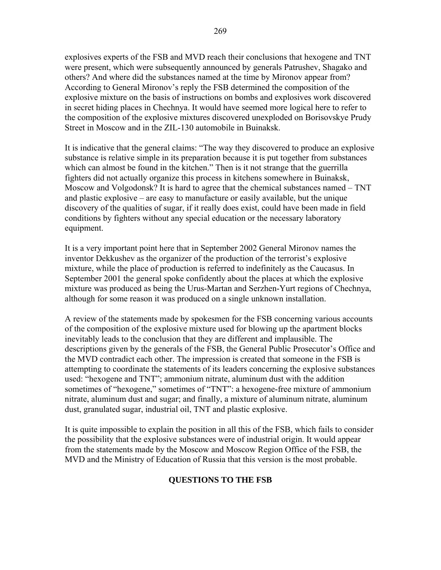explosives experts of the FSB and MVD reach their conclusions that hexogene and TNT were present, which were subsequently announced by generals Patrushev, Shagako and others? And where did the substances named at the time by Mironov appear from? According to General Mironov's reply the FSB determined the composition of the explosive mixture on the basis of instructions on bombs and explosives work discovered in secret hiding places in Chechnya. It would have seemed more logical here to refer to the composition of the explosive mixtures discovered unexploded on Borisovskye Prudy Street in Moscow and in the ZIL-130 automobile in Buinaksk.

It is indicative that the general claims: "The way they discovered to produce an explosive substance is relative simple in its preparation because it is put together from substances which can almost be found in the kitchen." Then is it not strange that the guerrilla fighters did not actually organize this process in kitchens somewhere in Buinaksk, Moscow and Volgodonsk? It is hard to agree that the chemical substances named – TNT and plastic explosive – are easy to manufacture or easily available, but the unique discovery of the qualities of sugar, if it really does exist, could have been made in field conditions by fighters without any special education or the necessary laboratory equipment.

It is a very important point here that in September 2002 General Mironov names the inventor Dekkushev as the organizer of the production of the terrorist's explosive mixture, while the place of production is referred to indefinitely as the Caucasus. In September 2001 the general spoke confidently about the places at which the explosive mixture was produced as being the Urus-Martan and Serzhen-Yurt regions of Chechnya, although for some reason it was produced on a single unknown installation.

A review of the statements made by spokesmen for the FSB concerning various accounts of the composition of the explosive mixture used for blowing up the apartment blocks inevitably leads to the conclusion that they are different and implausible. The descriptions given by the generals of the FSB, the General Public Prosecutor's Office and the MVD contradict each other. The impression is created that someone in the FSB is attempting to coordinate the statements of its leaders concerning the explosive substances used: "hexogene and TNT"; ammonium nitrate, aluminum dust with the addition sometimes of "hexogene," sometimes of "TNT": a hexogene-free mixture of ammonium nitrate, aluminum dust and sugar; and finally, a mixture of aluminum nitrate, aluminum dust, granulated sugar, industrial oil, TNT and plastic explosive.

It is quite impossible to explain the position in all this of the FSB, which fails to consider the possibility that the explosive substances were of industrial origin. It would appear from the statements made by the Moscow and Moscow Region Office of the FSB, the MVD and the Ministry of Education of Russia that this version is the most probable.

### **QUESTIONS TO THE FSB**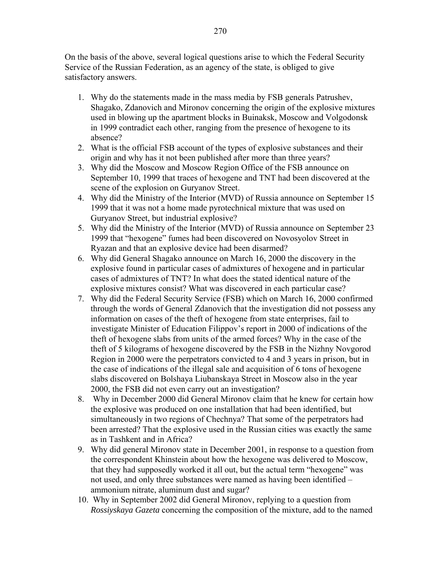On the basis of the above, several logical questions arise to which the Federal Security Service of the Russian Federation, as an agency of the state, is obliged to give satisfactory answers.

- 1. Why do the statements made in the mass media by FSB generals Patrushev, Shagako, Zdanovich and Mironov concerning the origin of the explosive mixtures used in blowing up the apartment blocks in Buinaksk, Moscow and Volgodonsk in 1999 contradict each other, ranging from the presence of hexogene to its absence?
- 2. What is the official FSB account of the types of explosive substances and their origin and why has it not been published after more than three years?
- 3. Why did the Moscow and Moscow Region Office of the FSB announce on September 10, 1999 that traces of hexogene and TNT had been discovered at the scene of the explosion on Guryanov Street.
- 4. Why did the Ministry of the Interior (MVD) of Russia announce on September 15 1999 that it was not a home made pyrotechnical mixture that was used on Guryanov Street, but industrial explosive?
- 5. Why did the Ministry of the Interior (MVD) of Russia announce on September 23 1999 that "hexogene" fumes had been discovered on Novosyolov Street in Ryazan and that an explosive device had been disarmed?
- 6. Why did General Shagako announce on March 16, 2000 the discovery in the explosive found in particular cases of admixtures of hexogene and in particular cases of admixtures of TNT? In what does the stated identical nature of the explosive mixtures consist? What was discovered in each particular case?
- 7. Why did the Federal Security Service (FSB) which on March 16, 2000 confirmed through the words of General Zdanovich that the investigation did not possess any information on cases of the theft of hexogene from state enterprises, fail to investigate Minister of Education Filippov's report in 2000 of indications of the theft of hexogene slabs from units of the armed forces? Why in the case of the theft of 5 kilograms of hexogene discovered by the FSB in the Nizhny Novgorod Region in 2000 were the perpetrators convicted to 4 and 3 years in prison, but in the case of indications of the illegal sale and acquisition of 6 tons of hexogene slabs discovered on Bolshaya Liubanskaya Street in Moscow also in the year 2000, the FSB did not even carry out an investigation?
- 8. Why in December 2000 did General Mironov claim that he knew for certain how the explosive was produced on one installation that had been identified, but simultaneously in two regions of Chechnya? That some of the perpetrators had been arrested? That the explosive used in the Russian cities was exactly the same as in Tashkent and in Africa?
- 9. Why did general Mironov state in December 2001, in response to a question from the correspondent Khinstein about how the hexogene was delivered to Moscow, that they had supposedly worked it all out, but the actual term "hexogene" was not used, and only three substances were named as having been identified – ammonium nitrate, aluminum dust and sugar?
- 10. Why in September 2002 did General Mironov, replying to a question from *Rossiyskaya Gazeta* concerning the composition of the mixture, add to the named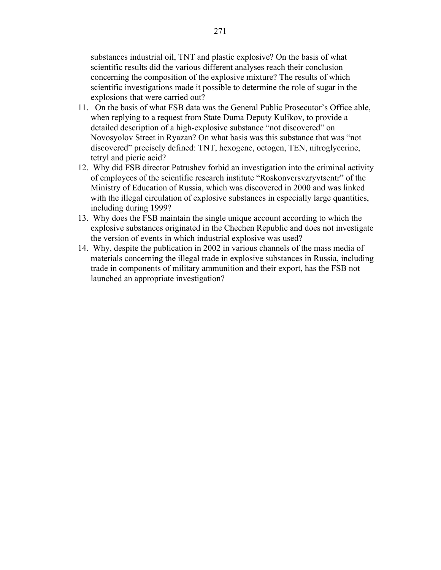substances industrial oil, TNT and plastic explosive? On the basis of what scientific results did the various different analyses reach their conclusion concerning the composition of the explosive mixture? The results of which scientific investigations made it possible to determine the role of sugar in the explosions that were carried out?

- 11. On the basis of what FSB data was the General Public Prosecutor's Office able, when replying to a request from State Duma Deputy Kulikov, to provide a detailed description of a high-explosive substance "not discovered" on Novosyolov Street in Ryazan? On what basis was this substance that was "not discovered" precisely defined: TNT, hexogene, octogen, TEN, nitroglycerine, tetryl and picric acid?
- 12. Why did FSB director Patrushev forbid an investigation into the criminal activity of employees of the scientific research institute "Roskonversvzryvtsentr" of the Ministry of Education of Russia, which was discovered in 2000 and was linked with the illegal circulation of explosive substances in especially large quantities, including during 1999?
- 13. Why does the FSB maintain the single unique account according to which the explosive substances originated in the Chechen Republic and does not investigate the version of events in which industrial explosive was used?
- 14. Why, despite the publication in 2002 in various channels of the mass media of materials concerning the illegal trade in explosive substances in Russia, including trade in components of military ammunition and their export, has the FSB not launched an appropriate investigation?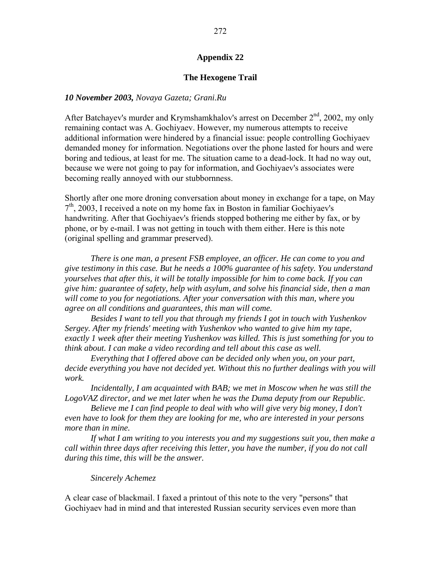### **Appendix 22**

#### **The Hexogene Trail**

#### *10 November 2003, Novaya Gazeta; Grani.Ru*

After Batchayev's murder and Krymshamkhalov's arrest on December  $2<sup>nd</sup>$ , 2002, my only remaining contact was A. Gochiyaev. However, my numerous attempts to receive additional information were hindered by a financial issue: people controlling Gochiyaev demanded money for information. Negotiations over the phone lasted for hours and were boring and tedious, at least for me. The situation came to a dead-lock. It had no way out, because we were not going to pay for information, and Gochiyaev's associates were becoming really annoyed with our stubbornness.

Shortly after one more droning conversation about money in exchange for a tape, on May  $7<sup>th</sup>$ , 2003, I received a note on my home fax in Boston in familiar Gochiyaev's handwriting. After that Gochiyaev's friends stopped bothering me either by fax, or by phone, or by e-mail. I was not getting in touch with them either. Here is this note (original spelling and grammar preserved).

*There is one man, a present FSB employee, an officer. He can come to you and give testimony in this case. But he needs a 100% guarantee of his safety. You understand yourselves that after this, it will be totally impossible for him to come back. If you can give him: guarantee of safety, help with asylum, and solve his financial side, then a man will come to you for negotiations. After your conversation with this man, where you agree on all conditions and guarantees, this man will come.* 

 *Besides I want to tell you that through my friends I got in touch with Yushenkov Sergey. After my friends' meeting with Yushenkov who wanted to give him my tape, exactly 1 week after their meeting Yushenkov was killed. This is just something for you to think about. I can make a video recording and tell about this case as well.* 

 *Everything that I offered above can be decided only when you, on your part,*  decide everything you have not decided yet. Without this no further dealings with you will *work.* 

 *Incidentally, I am acquainted with BAB; we met in Moscow when he was still the LogoVAZ director, and we met later when he was the Duma deputy from our Republic.* 

 *Believe me I can find people to deal with who will give very big money, I don't even have to look for them they are looking for me, who are interested in your persons more than in mine.* 

 *If what I am writing to you interests you and my suggestions suit you, then make a call within three days after receiving this letter, you have the number, if you do not call during this time, this will be the answer.* 

#### *Sincerely Achemez*

A clear case of blackmail. I faxed a printout of this note to the very "persons" that Gochiyaev had in mind and that interested Russian security services even more than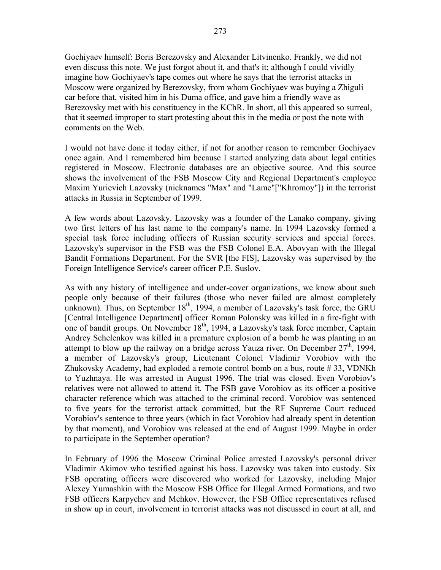Gochiyaev himself: Boris Berezovsky and Alexander Litvinenko. Frankly, we did not even discuss this note. We just forgot about it, and that's it; although I could vividly imagine how Gochiyaev's tape comes out where he says that the terrorist attacks in Moscow were organized by Berezovsky, from whom Gochiyaev was buying a Zhiguli car before that, visited him in his Duma office, and gave him a friendly wave as Berezovsky met with his constituency in the KChR. In short, all this appeared so surreal, that it seemed improper to start protesting about this in the media or post the note with comments on the Web.

I would not have done it today either, if not for another reason to remember Gochiyaev once again. And I remembered him because I started analyzing data about legal entities registered in Moscow. Electronic databases are an objective source. And this source shows the involvement of the FSB Moscow City and Regional Department's employee Maxim Yurievich Lazovsky (nicknames "Max" and "Lame"["Khromoy"]) in the terrorist attacks in Russia in September of 1999.

A few words about Lazovsky. Lazovsky was a founder of the Lanako company, giving two first letters of his last name to the company's name. In 1994 Lazovsky formed a special task force including officers of Russian security services and special forces. Lazovsky's supervisor in the FSB was the FSB Colonel E.A. Abovyan with the Illegal Bandit Formations Department. For the SVR [the FIS], Lazovsky was supervised by the Foreign Intelligence Service's career officer P.E. Suslov.

As with any history of intelligence and under-cover organizations, we know about such people only because of their failures (those who never failed are almost completely unknown). Thus, on September  $18<sup>th</sup>$ , 1994, a member of Lazovsky's task force, the GRU [Central Intelligence Department] officer Roman Polonsky was killed in a fire-fight with one of bandit groups. On November 18<sup>th</sup>, 1994, a Lazovsky's task force member, Captain Andrey Schelenkov was killed in a premature explosion of a bomb he was planting in an attempt to blow up the railway on a bridge across Yauza river. On December  $27<sup>th</sup>$ , 1994, a member of Lazovsky's group, Lieutenant Colonel Vladimir Vorobiov with the Zhukovsky Academy, had exploded a remote control bomb on a bus, route # 33, VDNKh to Yuzhnaya. He was arrested in August 1996. The trial was closed. Even Vorobiov's relatives were not allowed to attend it. The FSB gave Vorobiov as its officer a positive character reference which was attached to the criminal record. Vorobiov was sentenced to five years for the terrorist attack committed, but the RF Supreme Court reduced Vorobiov's sentence to three years (which in fact Vorobiov had already spent in detention by that moment), and Vorobiov was released at the end of August 1999. Maybe in order to participate in the September operation?

In February of 1996 the Moscow Criminal Police arrested Lazovsky's personal driver Vladimir Akimov who testified against his boss. Lazovsky was taken into custody. Six FSB operating officers were discovered who worked for Lazovsky, including Major Alexey Yumashkin with the Moscow FSB Office for Illegal Armed Formations, and two FSB officers Karpychev and Mehkov. However, the FSB Office representatives refused in show up in court, involvement in terrorist attacks was not discussed in court at all, and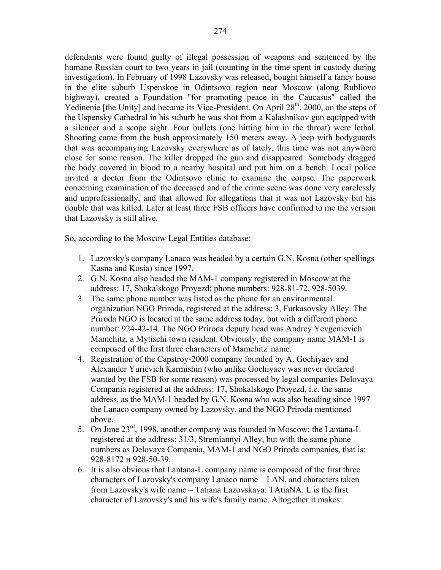defendants were found guilty of illegal possession of weapons and sentenced by the humane Russian court to two years in jail (counting in the time spent in custody during investigation). In February of 1998 Lazovsky was released, bought himself a fancy house in the elite suburb Uspenskoe in Odintsovo region near Moscow (along Rubliovo highway), created a Foundation "for promoting peace in the Caucasus" called the Yedinenie [the Unity] and became its Vice-President. On April 28<sup>th</sup>, 2000, on the steps of the Uspensky Cathedral in his suburb he was shot from a Kalashnikov gun equipped with a silencer and a scope sight. Four bullets (one hitting him in the throat) were lethal. Shooting came from the bush approximately 150 meters away. A jeep with bodyguards that was accompanying Lazovsky everywhere as of lately, this time was not anywhere close for some reason. The killer dropped the gun and disappeared. Somebody dragged the body covered in blood to a nearby hospital and put him on a bench. Local police invited a doctor from the Odintsovo clinic to examine the corpse. The paperwork concerning examination of the deceased and of the crime scene was done very carelessly and unprofessionally, and that allowed for allegations that it was not Lazovsky but his double that was killed. Later at least three FSB officers have confirmed to me the version that Lazovsky is still alive.

So, according to the Moscow Legal Entities database:

- 1. Lazovsky's company Lanaco was headed by a certain G.N. Kosna (other spellings Kasna and Kosia) since 1997.
- 2. G.N. Kosna also headed the MAM-1 company registered in Moscow at the address: 17, Shokalskogo Proyezd; phone numbers: 928-81-72, 928-5039.
- 3. The same phone number was listed as the phone for an environmental organization NGO Priroda, registered at the address: 3, Furkasovsky Alley. The Priroda NGO is located at the same address today, but with a different phone number: 924-42-14. The NGO Priroda deputy head was Andrey Yevgenievich Mamchitz, a Mytischi town resident. Obviously, the company name MAM-1 is composed of the first three characters of Mamchitz' name.
- 4. Registration of the Capstroy-2000 company founded by A. Gochiyaev and Alexander Yurievich Karmishin (who unlike Gochiyaev was never declared wanted by the FSB for some reason) was processed by legal companies Delovaya Compania registered at the address: 17, Shokalskogo Proyezd, i.e. the same address, as the MAM-1 headed by G.N. Kosna who was also heading since 1997 the Lanaco company owned by Lazovsky, and the NGO Priroda mentioned above.
- 5. On June 23<sup>rd</sup>, 1998, another company was founded in Moscow: the Lantana-L registered at the address: 31/3, Stremiannyi Alley, but with the same phone numbers as Delovaya Compania, MAM-1 and NGO Priroda companies, that is: 928-8172 и 928-50-39.
- 6. It is also obvious that Lantana-L company name is composed of the first three characters of Lazovsky's company Lanaco name – LAN, and characters taken from Lazovsky's wife name – Tatiana Lazovskaya: TAtiaNA. L is the first character of Lazovsky's and his wife's family name. Altogether it makes: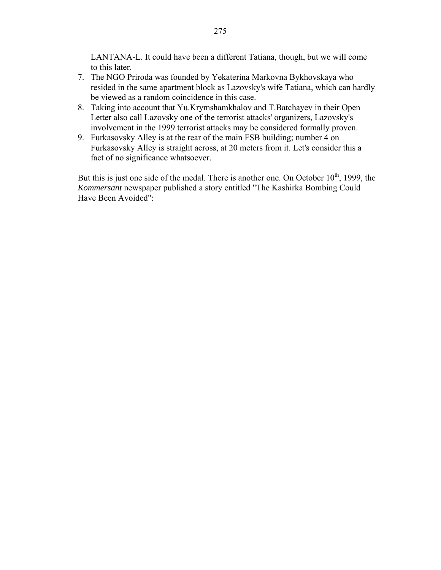LANTANA-L. It could have been a different Tatiana, though, but we will come to this later.

- 7. The NGO Priroda was founded by Yekaterina Markovna Bykhovskaya who resided in the same apartment block as Lazovsky's wife Tatiana, which can hardly be viewed as a random coincidence in this case.
- 8. Taking into account that Yu.Krymshamkhalov and T.Batchayev in their Open Letter also call Lazovsky one of the terrorist attacks' organizers, Lazovsky's involvement in the 1999 terrorist attacks may be considered formally proven.
- 9. Furkasovsky Alley is at the rear of the main FSB building; number 4 on Furkasovsky Alley is straight across, at 20 meters from it. Let's consider this a fact of no significance whatsoever.

But this is just one side of the medal. There is another one. On October  $10<sup>th</sup>$ , 1999, the *Kommersant* newspaper published a story entitled "The Kashirka Bombing Could Have Been Avoided":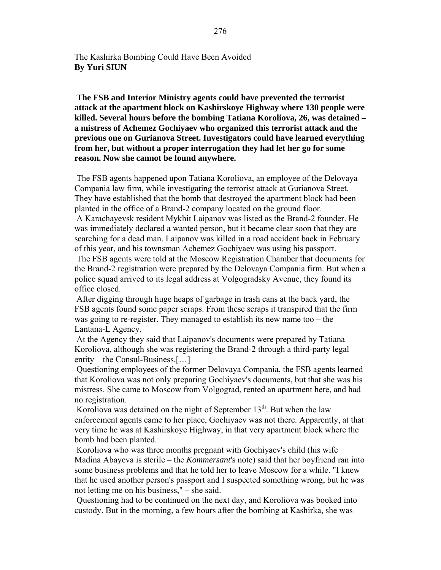The Kashirka Bombing Could Have Been Avoided **By Yuri SIUN** 

 **The FSB and Interior Ministry agents could have prevented the terrorist attack at the apartment block on Kashirskoye Highway where 130 people were killed. Several hours before the bombing Tatiana Koroliova, 26, was detained – a mistress of Achemez Gochiyaev who organized this terrorist attack and the previous one on Gurianova Street. Investigators could have learned everything from her, but without a proper interrogation they had let her go for some reason. Now she cannot be found anywhere.** 

 The FSB agents happened upon Tatiana Koroliova, an employee of the Delovaya Compania law firm, while investigating the terrorist attack at Gurianova Street. They have established that the bomb that destroyed the apartment block had been planted in the office of a Brand-2 company located on the ground floor.

 A Karachayevsk resident Mykhit Laipanov was listed as the Brand-2 founder. He was immediately declared a wanted person, but it became clear soon that they are searching for a dead man. Laipanov was killed in a road accident back in February of this year, and his townsman Achemez Gochiyaev was using his passport.

 The FSB agents were told at the Moscow Registration Chamber that documents for the Brand-2 registration were prepared by the Delovaya Compania firm. But when a police squad arrived to its legal address at Volgogradsky Avenue, they found its office closed.

 After digging through huge heaps of garbage in trash cans at the back yard, the FSB agents found some paper scraps. From these scraps it transpired that the firm was going to re-register. They managed to establish its new name too – the Lantana-L Agency.

 At the Agency they said that Laipanov's documents were prepared by Tatiana Koroliova, although she was registering the Brand-2 through a third-party legal entity – the Consul-Business.[…]

 Questioning employees of the former Delovaya Compania, the FSB agents learned that Koroliova was not only preparing Gochiyaev's documents, but that she was his mistress. She came to Moscow from Volgograd, rented an apartment here, and had no registration.

Koroliova was detained on the night of September  $13<sup>th</sup>$ . But when the law enforcement agents came to her place, Gochiyaev was not there. Apparently, at that very time he was at Kashirskoye Highway, in that very apartment block where the bomb had been planted.

 Koroliova who was three months pregnant with Gochiyaev's child (his wife Madina Abayeva is sterile – the *Kommersant*'s note) said that her boyfriend ran into some business problems and that he told her to leave Moscow for a while. "I knew that he used another person's passport and I suspected something wrong, but he was not letting me on his business," – she said.

 Questioning had to be continued on the next day, and Koroliova was booked into custody. But in the morning, a few hours after the bombing at Kashirka, she was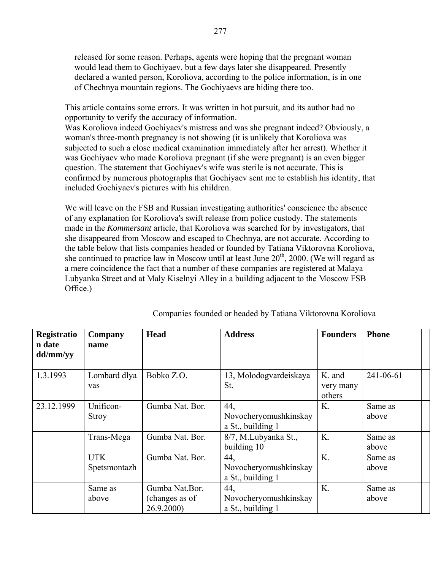released for some reason. Perhaps, agents were hoping that the pregnant woman would lead them to Gochiyaev, but a few days later she disappeared. Presently declared a wanted person, Koroliova, according to the police information, is in one of Chechnya mountain regions. The Gochiyaevs are hiding there too.

This article contains some errors. It was written in hot pursuit, and its author had no opportunity to verify the accuracy of information.

Was Koroliova indeed Gochiyaev's mistress and was she pregnant indeed? Obviously, a woman's three-month pregnancy is not showing (it is unlikely that Koroliova was subjected to such a close medical examination immediately after her arrest). Whether it was Gochiyaev who made Koroliova pregnant (if she were pregnant) is an even bigger question. The statement that Gochiyaev's wife was sterile is not accurate. This is confirmed by numerous photographs that Gochiyaev sent me to establish his identity, that included Gochiyaev's pictures with his children.

We will leave on the FSB and Russian investigating authorities' conscience the absence of any explanation for Koroliova's swift release from police custody. The statements made in the *Kommersant* article, that Koroliova was searched for by investigators, that she disappeared from Moscow and escaped to Chechnya, are not accurate. According to the table below that lists companies headed or founded by Tatiana Viktorovna Koroliova, she continued to practice law in Moscow until at least June  $20<sup>th</sup>$ , 2000. (We will regard as a mere coincidence the fact that a number of these companies are registered at Malaya Lubyanka Street and at Maly Kiselnyi Alley in a building adjacent to the Moscow FSB Office.)

| Registratio<br>n date<br>dd/mm/yy | Company<br>name            | <b>Head</b>                                    | <b>Address</b>                                    | <b>Founders</b>               | <b>Phone</b>     |
|-----------------------------------|----------------------------|------------------------------------------------|---------------------------------------------------|-------------------------------|------------------|
| 1.3.1993                          | Lombard dlya<br>vas        | Bobko Z.O.                                     | 13, Molodogvardeiskaya<br>St.                     | K. and<br>very many<br>others | 241-06-61        |
| 23.12.1999                        | Unificon-<br>Stroy         | Gumba Nat. Bor.                                | 44,<br>Novocheryomushkinskay<br>a St., building 1 | K.                            | Same as<br>above |
|                                   | Trans-Mega                 | Gumba Nat. Bor.                                | 8/7, M.Lubyanka St.,<br>building 10               | K.                            | Same as<br>above |
|                                   | <b>UTK</b><br>Spetsmontazh | Gumba Nat. Bor.                                | 44.<br>Novocheryomushkinskay<br>a St., building 1 | K.                            | Same as<br>above |
|                                   | Same as<br>above           | Gumba Nat.Bor.<br>(changes as of<br>26.9.2000) | 44,<br>Novocheryomushkinskay<br>a St., building 1 | K.                            | Same as<br>above |

Companies founded or headed by Tatiana Viktorovna Koroliova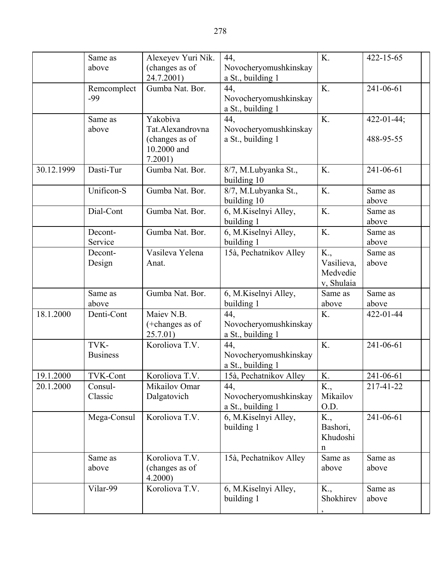|            | Same as            | Alexeyev Yuri Nik.            | 44,                                 | K.                     | 422-15-65         |
|------------|--------------------|-------------------------------|-------------------------------------|------------------------|-------------------|
|            | above              | (changes as of                | Novocheryomushkinskay               |                        |                   |
|            |                    | 24.7.2001)                    | a St., building 1                   |                        |                   |
|            | Remcomplect        | Gumba Nat. Bor.               | 44,                                 | K.                     | 241-06-61         |
|            | -99                |                               | Novocheryomushkinskay               |                        |                   |
|            |                    |                               | a St., building 1                   |                        |                   |
|            | Same as            | Yakobiva                      | 44,                                 | K.                     | $422 - 01 - 44$ ; |
|            | above              | Tat.Alexandrovna              | Novocheryomushkinskay               |                        |                   |
|            |                    | (changes as of<br>10.2000 and | a St., building 1                   |                        | 488-95-55         |
|            |                    | 7.2001)                       |                                     |                        |                   |
| 30.12.1999 | Dasti-Tur          | Gumba Nat. Bor.               | 8/7, M.Lubyanka St.,<br>building 10 | K.                     | 241-06-61         |
|            | Unificon-S         | Gumba Nat. Bor.               | 8/7, M.Lubyanka St.,<br>building 10 | K.                     | Same as<br>above  |
|            | Dial-Cont          | Gumba Nat. Bor.               | 6, M.Kiselnyi Alley,<br>building 1  | K.                     | Same as<br>above  |
|            | Decont-            | Gumba Nat. Bor.               | 6, M.Kiselnyi Alley,                | K.                     | Same as           |
|            | Service            |                               | building 1                          |                        | above             |
|            | Decont-            | Vasileva Yelena               | 15à, Pechatnikov Alley              | K.,                    | Same as           |
|            | Design             | Anat.                         |                                     | Vasilieva,             | above             |
|            |                    |                               |                                     | Medvedie<br>v, Shulaia |                   |
|            | Same as            | Gumba Nat. Bor.               | 6, M.Kiselnyi Alley,                | Same as                | Same as           |
|            | above              |                               | building 1                          | above                  | above             |
| 18.1.2000  | Denti-Cont         | Maiev N.B.                    | 44,                                 | K.                     | $422 - 01 - 44$   |
|            |                    | (+changes as of               | Novocheryomushkinskay               |                        |                   |
|            |                    | 25.7.01)                      | a St., building 1                   |                        |                   |
|            | TVK-               | Koroliova T.V.                | 44,                                 | K.                     | 241-06-61         |
|            | <b>Business</b>    |                               | Novocheryomushkinskay               |                        |                   |
|            |                    |                               | a St., building 1                   |                        | 241-06-61         |
| 19.1.2000  | TVK-Cont           | Koroliova T.V.                | 15à, Pechatnikov Alley              | $\rm K.$               |                   |
| 20.1.2000  | Consul-<br>Classic | Mikailov Omar<br>Dalgatovich  | 44,<br>Novocheryomushkinskay        | K.,<br>Mikailov        | 217-41-22         |
|            |                    |                               | a St., building 1                   | O.D.                   |                   |
|            | Mega-Consul        | Koroliova T.V.                | 6, M.Kiselnyi Alley,                | K.,                    | 241-06-61         |
|            |                    |                               | building 1                          | Bashori,               |                   |
|            |                    |                               |                                     | Khudoshi               |                   |
|            |                    |                               |                                     | n                      |                   |
|            | Same as            | Koroliova T.V.                | 15à, Pechatnikov Alley              | Same as                | Same as           |
|            | above              | (changes as of                |                                     | above                  | above             |
|            |                    | 4.2000                        |                                     |                        |                   |
|            | Vilar-99           | Koroliova T.V.                | 6, M.Kiselnyi Alley,                | K.,                    | Same as           |
|            |                    |                               | building 1                          | Shokhirev              | above             |
|            |                    |                               |                                     |                        |                   |